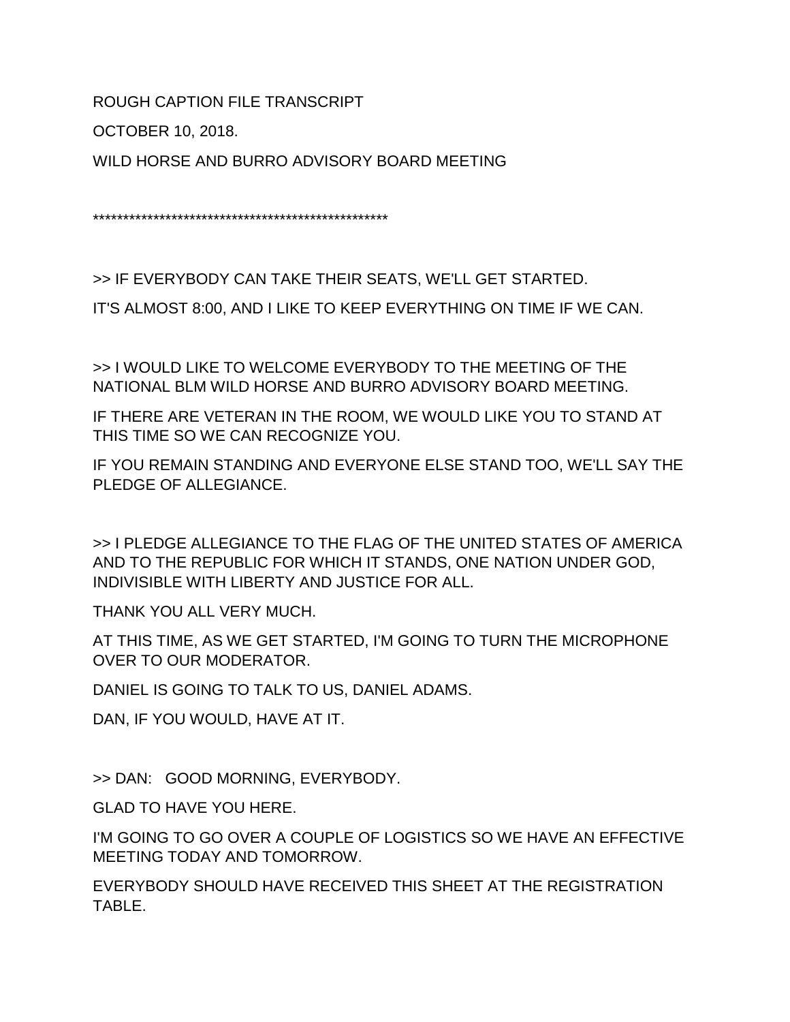ROUGH CAPTION FILE TRANSCRIPT

OCTOBER 10, 2018.

WILD HORSE AND BURRO ADVISORY BOARD MEETING

\*\*\*\*\*\*\*\*\*\*\*\*\*\*\*\*\*\*\*\*\*\*\*\*\*\*\*\*\*\*\*\*\*\*\*\*\*\*\*\*\*\*\*\*\*\*\*\*\*

>> IF EVERYBODY CAN TAKE THEIR SEATS, WE'LL GET STARTED.

IT'S ALMOST 8:00, AND I LIKE TO KEEP EVERYTHING ON TIME IF WE CAN.

>> I WOULD LIKE TO WELCOME EVERYBODY TO THE MEETING OF THE NATIONAL BLM WILD HORSE AND BURRO ADVISORY BOARD MEETING.

IF THERE ARE VETERAN IN THE ROOM, WE WOULD LIKE YOU TO STAND AT THIS TIME SO WE CAN RECOGNIZE YOU.

IF YOU REMAIN STANDING AND EVERYONE ELSE STAND TOO, WE'LL SAY THE PLEDGE OF ALLEGIANCE.

>> I PLEDGE ALLEGIANCE TO THE FLAG OF THE UNITED STATES OF AMERICA AND TO THE REPUBLIC FOR WHICH IT STANDS, ONE NATION UNDER GOD, INDIVISIBLE WITH LIBERTY AND JUSTICE FOR ALL.

THANK YOU ALL VERY MUCH.

AT THIS TIME, AS WE GET STARTED, I'M GOING TO TURN THE MICROPHONE OVER TO OUR MODERATOR.

DANIEL IS GOING TO TALK TO US, DANIEL ADAMS.

DAN, IF YOU WOULD, HAVE AT IT.

>> DAN: GOOD MORNING, EVERYBODY.

GLAD TO HAVE YOU HERE.

I'M GOING TO GO OVER A COUPLE OF LOGISTICS SO WE HAVE AN EFFECTIVE MEETING TODAY AND TOMORROW.

EVERYBODY SHOULD HAVE RECEIVED THIS SHEET AT THE REGISTRATION TABLE.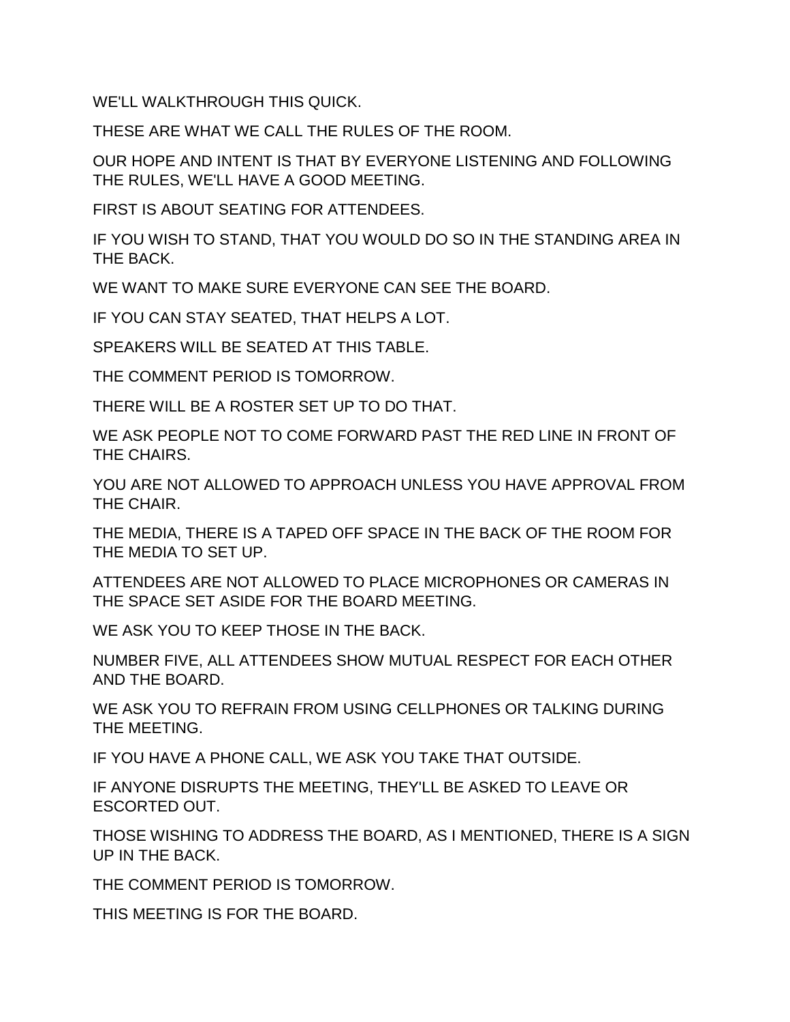WE'LL WALKTHROUGH THIS QUICK.

THESE ARE WHAT WE CALL THE RULES OF THE ROOM.

OUR HOPE AND INTENT IS THAT BY EVERYONE LISTENING AND FOLLOWING THE RULES, WE'LL HAVE A GOOD MEETING.

FIRST IS ABOUT SEATING FOR ATTENDEES.

IF YOU WISH TO STAND, THAT YOU WOULD DO SO IN THE STANDING AREA IN THE BACK.

WE WANT TO MAKE SURE EVERYONE CAN SEE THE BOARD.

IF YOU CAN STAY SEATED, THAT HELPS A LOT.

SPEAKERS WILL BE SEATED AT THIS TABLE.

THE COMMENT PERIOD IS TOMORROW.

THERE WILL BE A ROSTER SET UP TO DO THAT.

WE ASK PEOPLE NOT TO COME FORWARD PAST THE RED LINE IN FRONT OF THE CHAIRS.

YOU ARE NOT ALLOWED TO APPROACH UNLESS YOU HAVE APPROVAL FROM THE CHAIR.

THE MEDIA, THERE IS A TAPED OFF SPACE IN THE BACK OF THE ROOM FOR THE MEDIA TO SET UP.

ATTENDEES ARE NOT ALLOWED TO PLACE MICROPHONES OR CAMERAS IN THE SPACE SET ASIDE FOR THE BOARD MEETING.

WE ASK YOU TO KEEP THOSE IN THE BACK.

NUMBER FIVE, ALL ATTENDEES SHOW MUTUAL RESPECT FOR EACH OTHER AND THE BOARD.

WE ASK YOU TO REFRAIN FROM USING CELLPHONES OR TALKING DURING THE MEETING.

IF YOU HAVE A PHONE CALL, WE ASK YOU TAKE THAT OUTSIDE.

IF ANYONE DISRUPTS THE MEETING, THEY'LL BE ASKED TO LEAVE OR ESCORTED OUT.

THOSE WISHING TO ADDRESS THE BOARD, AS I MENTIONED, THERE IS A SIGN UP IN THE BACK.

THE COMMENT PERIOD IS TOMORROW.

THIS MEETING IS FOR THE BOARD.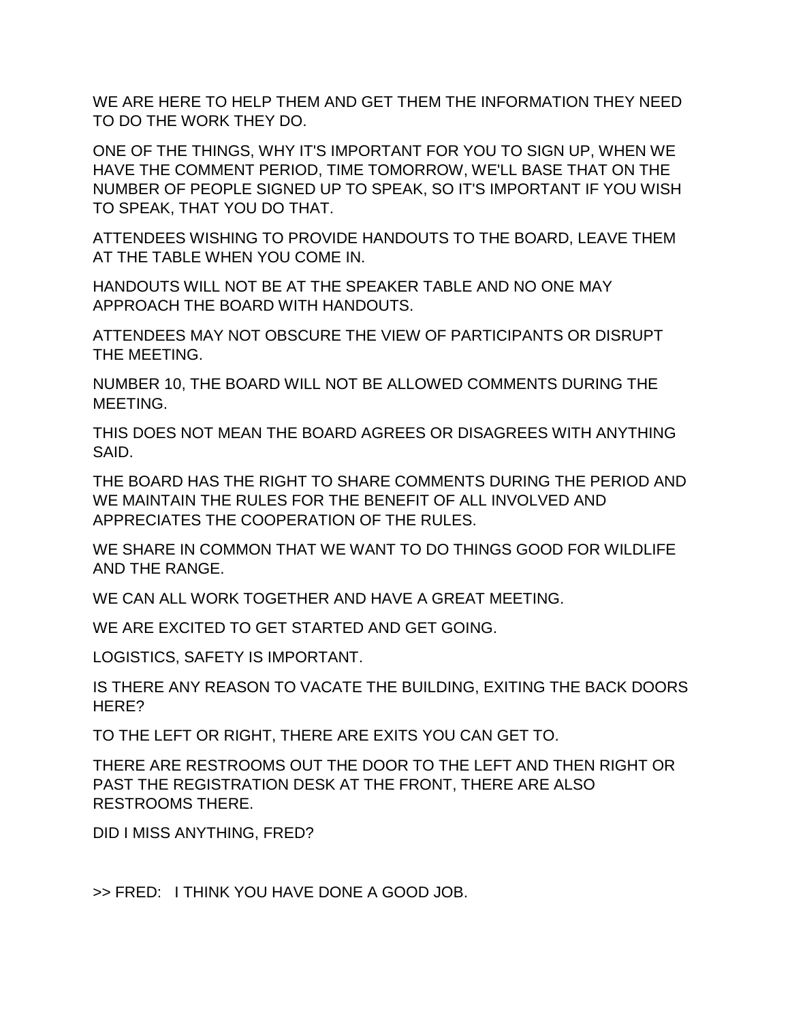WE ARE HERE TO HELP THEM AND GET THEM THE INFORMATION THEY NEED TO DO THE WORK THEY DO.

ONE OF THE THINGS, WHY IT'S IMPORTANT FOR YOU TO SIGN UP, WHEN WE HAVE THE COMMENT PERIOD, TIME TOMORROW, WE'LL BASE THAT ON THE NUMBER OF PEOPLE SIGNED UP TO SPEAK, SO IT'S IMPORTANT IF YOU WISH TO SPEAK, THAT YOU DO THAT.

ATTENDEES WISHING TO PROVIDE HANDOUTS TO THE BOARD, LEAVE THEM AT THE TABLE WHEN YOU COME IN.

HANDOUTS WILL NOT BE AT THE SPEAKER TABLE AND NO ONE MAY APPROACH THE BOARD WITH HANDOUTS.

ATTENDEES MAY NOT OBSCURE THE VIEW OF PARTICIPANTS OR DISRUPT THE MEETING.

NUMBER 10, THE BOARD WILL NOT BE ALLOWED COMMENTS DURING THE MEETING.

THIS DOES NOT MEAN THE BOARD AGREES OR DISAGREES WITH ANYTHING SAID.

THE BOARD HAS THE RIGHT TO SHARE COMMENTS DURING THE PERIOD AND WE MAINTAIN THE RULES FOR THE BENEFIT OF ALL INVOLVED AND APPRECIATES THE COOPERATION OF THE RULES.

WE SHARE IN COMMON THAT WE WANT TO DO THINGS GOOD FOR WILDLIFE AND THE RANGE.

WE CAN ALL WORK TOGETHER AND HAVE A GREAT MEETING.

WE ARE EXCITED TO GET STARTED AND GET GOING.

LOGISTICS, SAFETY IS IMPORTANT.

IS THERE ANY REASON TO VACATE THE BUILDING, EXITING THE BACK DOORS HERE?

TO THE LEFT OR RIGHT, THERE ARE EXITS YOU CAN GET TO.

THERE ARE RESTROOMS OUT THE DOOR TO THE LEFT AND THEN RIGHT OR PAST THE REGISTRATION DESK AT THE FRONT, THERE ARE ALSO RESTROOMS THERE.

DID I MISS ANYTHING, FRED?

>> FRED: I THINK YOU HAVE DONE A GOOD JOB.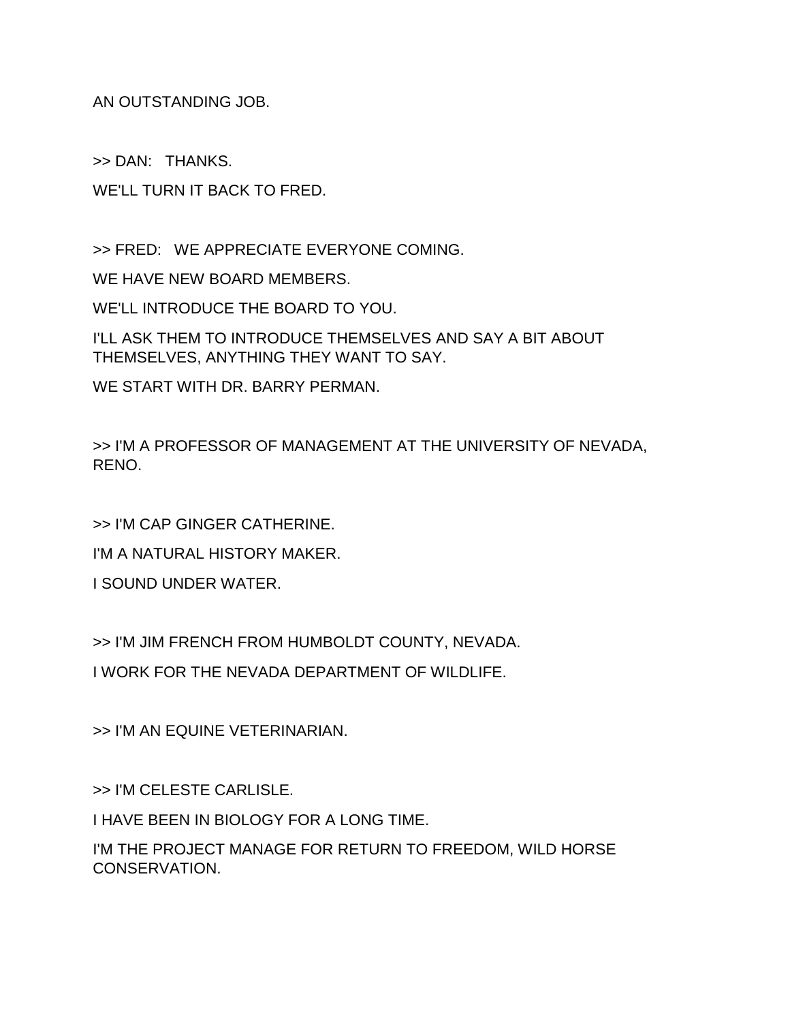AN OUTSTANDING JOB.

>> DAN: THANKS.

WE'LL TURN IT BACK TO FRED.

>> FRED: WE APPRECIATE EVERYONE COMING.

WE HAVE NEW BOARD MEMBERS.

WE'LL INTRODUCE THE BOARD TO YOU.

I'LL ASK THEM TO INTRODUCE THEMSELVES AND SAY A BIT ABOUT THEMSELVES, ANYTHING THEY WANT TO SAY.

WE START WITH DR. BARRY PERMAN.

>> I'M A PROFESSOR OF MANAGEMENT AT THE UNIVERSITY OF NEVADA, RENO.

>> I'M CAP GINGER CATHERINE.

I'M A NATURAL HISTORY MAKER.

I SOUND UNDER WATER.

>> I'M JIM FRENCH FROM HUMBOLDT COUNTY, NEVADA.

I WORK FOR THE NEVADA DEPARTMENT OF WILDLIFE.

>> I'M AN EQUINE VETERINARIAN.

>> I'M CELESTE CARLISLE.

I HAVE BEEN IN BIOLOGY FOR A LONG TIME.

I'M THE PROJECT MANAGE FOR RETURN TO FREEDOM, WILD HORSE CONSERVATION.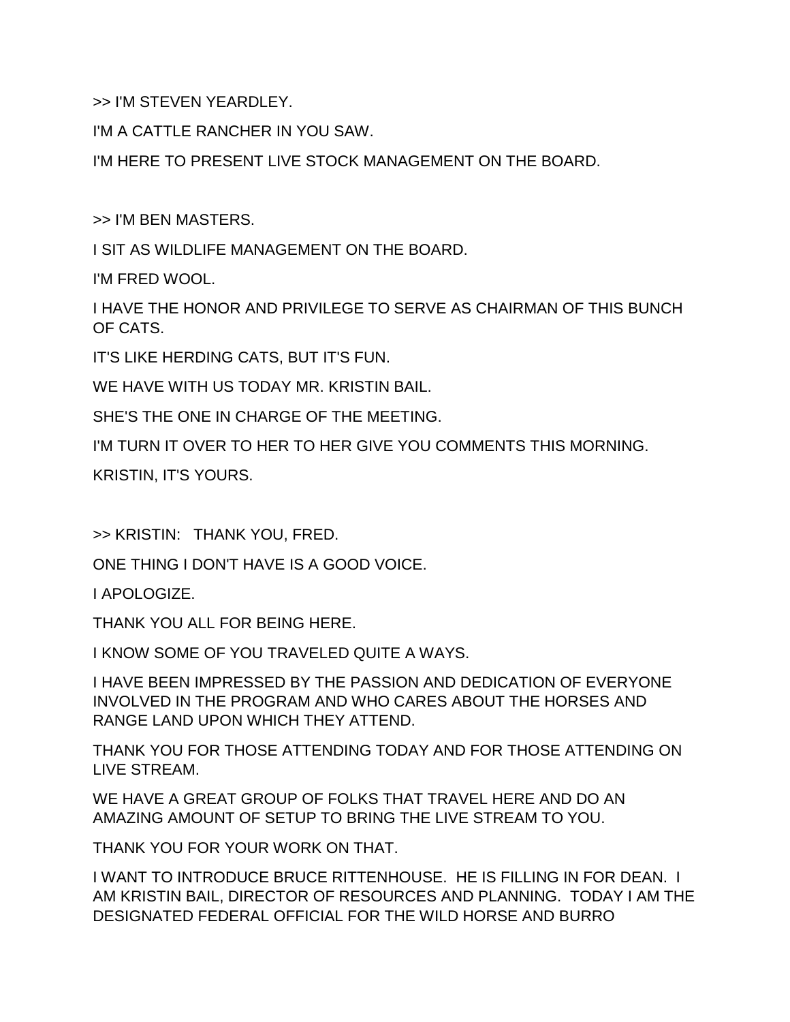>> I'M STEVEN YEARDLEY.

I'M A CATTLE RANCHER IN YOU SAW.

I'M HERE TO PRESENT LIVE STOCK MANAGEMENT ON THE BOARD.

>> I'M BEN MASTERS.

I SIT AS WILDLIFE MANAGEMENT ON THE BOARD.

I'M FRED WOOL.

I HAVE THE HONOR AND PRIVILEGE TO SERVE AS CHAIRMAN OF THIS BUNCH OF CATS.

IT'S LIKE HERDING CATS, BUT IT'S FUN.

WE HAVE WITH US TODAY MR. KRISTIN BAIL.

SHE'S THE ONE IN CHARGE OF THE MEETING.

I'M TURN IT OVER TO HER TO HER GIVE YOU COMMENTS THIS MORNING.

KRISTIN, IT'S YOURS.

>> KRISTIN: THANK YOU, FRED.

ONE THING I DON'T HAVE IS A GOOD VOICE.

I APOLOGIZE.

THANK YOU ALL FOR BEING HERE.

I KNOW SOME OF YOU TRAVELED QUITE A WAYS.

I HAVE BEEN IMPRESSED BY THE PASSION AND DEDICATION OF EVERYONE INVOLVED IN THE PROGRAM AND WHO CARES ABOUT THE HORSES AND RANGE LAND UPON WHICH THEY ATTEND.

THANK YOU FOR THOSE ATTENDING TODAY AND FOR THOSE ATTENDING ON LIVE STREAM.

WE HAVE A GREAT GROUP OF FOLKS THAT TRAVEL HERE AND DO AN AMAZING AMOUNT OF SETUP TO BRING THE LIVE STREAM TO YOU.

THANK YOU FOR YOUR WORK ON THAT.

I WANT TO INTRODUCE BRUCE RITTENHOUSE. HE IS FILLING IN FOR DEAN. I AM KRISTIN BAIL, DIRECTOR OF RESOURCES AND PLANNING. TODAY I AM THE DESIGNATED FEDERAL OFFICIAL FOR THE WILD HORSE AND BURRO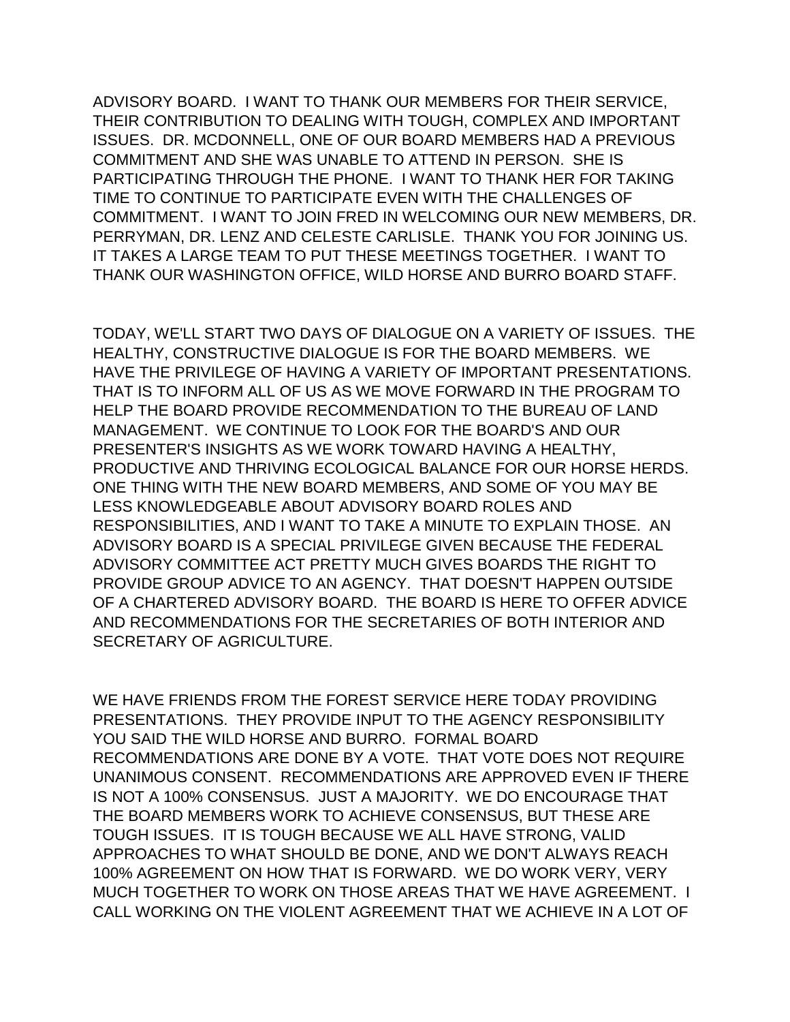ADVISORY BOARD. I WANT TO THANK OUR MEMBERS FOR THEIR SERVICE, THEIR CONTRIBUTION TO DEALING WITH TOUGH, COMPLEX AND IMPORTANT ISSUES. DR. MCDONNELL, ONE OF OUR BOARD MEMBERS HAD A PREVIOUS COMMITMENT AND SHE WAS UNABLE TO ATTEND IN PERSON. SHE IS PARTICIPATING THROUGH THE PHONE. I WANT TO THANK HER FOR TAKING TIME TO CONTINUE TO PARTICIPATE EVEN WITH THE CHALLENGES OF COMMITMENT. I WANT TO JOIN FRED IN WELCOMING OUR NEW MEMBERS, DR. PERRYMAN, DR. LENZ AND CELESTE CARLISLE. THANK YOU FOR JOINING US. IT TAKES A LARGE TEAM TO PUT THESE MEETINGS TOGETHER. I WANT TO THANK OUR WASHINGTON OFFICE, WILD HORSE AND BURRO BOARD STAFF.

TODAY, WE'LL START TWO DAYS OF DIALOGUE ON A VARIETY OF ISSUES. THE HEALTHY, CONSTRUCTIVE DIALOGUE IS FOR THE BOARD MEMBERS. WE HAVE THE PRIVILEGE OF HAVING A VARIETY OF IMPORTANT PRESENTATIONS. THAT IS TO INFORM ALL OF US AS WE MOVE FORWARD IN THE PROGRAM TO HELP THE BOARD PROVIDE RECOMMENDATION TO THE BUREAU OF LAND MANAGEMENT. WE CONTINUE TO LOOK FOR THE BOARD'S AND OUR PRESENTER'S INSIGHTS AS WE WORK TOWARD HAVING A HEALTHY, PRODUCTIVE AND THRIVING ECOLOGICAL BALANCE FOR OUR HORSE HERDS. ONE THING WITH THE NEW BOARD MEMBERS, AND SOME OF YOU MAY BE LESS KNOWLEDGEABLE ABOUT ADVISORY BOARD ROLES AND RESPONSIBILITIES, AND I WANT TO TAKE A MINUTE TO EXPLAIN THOSE. AN ADVISORY BOARD IS A SPECIAL PRIVILEGE GIVEN BECAUSE THE FEDERAL ADVISORY COMMITTEE ACT PRETTY MUCH GIVES BOARDS THE RIGHT TO PROVIDE GROUP ADVICE TO AN AGENCY. THAT DOESN'T HAPPEN OUTSIDE OF A CHARTERED ADVISORY BOARD. THE BOARD IS HERE TO OFFER ADVICE AND RECOMMENDATIONS FOR THE SECRETARIES OF BOTH INTERIOR AND SECRETARY OF AGRICULTURE.

WE HAVE FRIENDS FROM THE FOREST SERVICE HERE TODAY PROVIDING PRESENTATIONS. THEY PROVIDE INPUT TO THE AGENCY RESPONSIBILITY YOU SAID THE WILD HORSE AND BURRO. FORMAL BOARD RECOMMENDATIONS ARE DONE BY A VOTE. THAT VOTE DOES NOT REQUIRE UNANIMOUS CONSENT. RECOMMENDATIONS ARE APPROVED EVEN IF THERE IS NOT A 100% CONSENSUS. JUST A MAJORITY. WE DO ENCOURAGE THAT THE BOARD MEMBERS WORK TO ACHIEVE CONSENSUS, BUT THESE ARE TOUGH ISSUES. IT IS TOUGH BECAUSE WE ALL HAVE STRONG, VALID APPROACHES TO WHAT SHOULD BE DONE, AND WE DON'T ALWAYS REACH 100% AGREEMENT ON HOW THAT IS FORWARD. WE DO WORK VERY, VERY MUCH TOGETHER TO WORK ON THOSE AREAS THAT WE HAVE AGREEMENT. I CALL WORKING ON THE VIOLENT AGREEMENT THAT WE ACHIEVE IN A LOT OF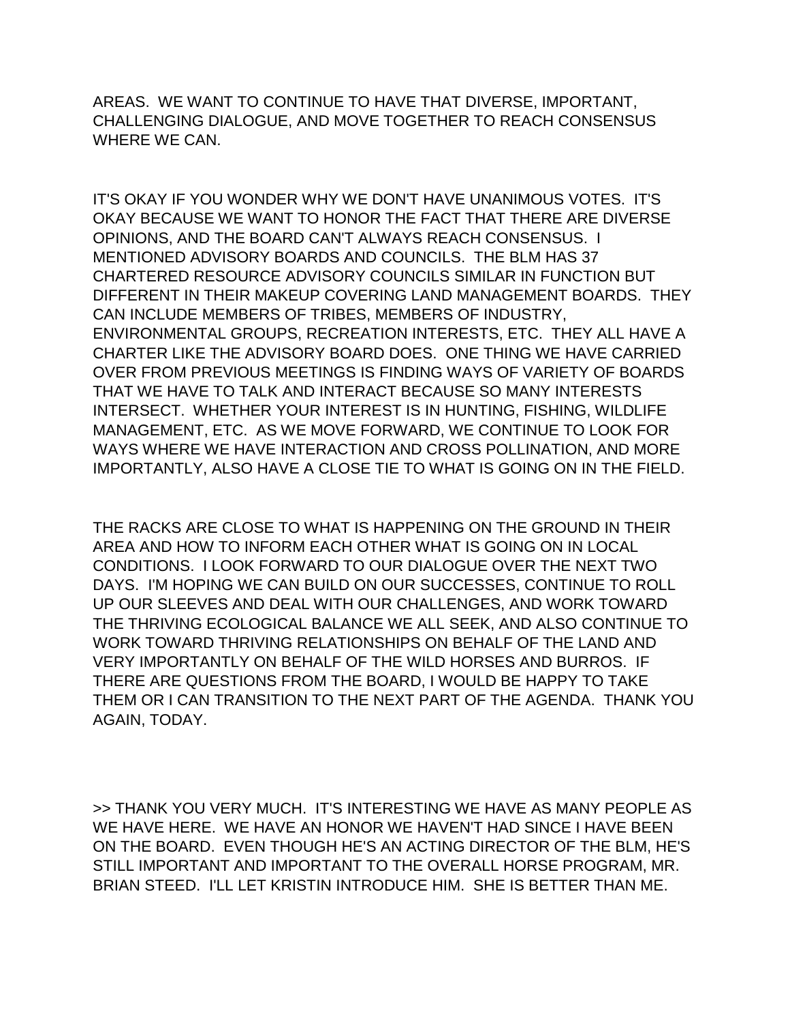AREAS. WE WANT TO CONTINUE TO HAVE THAT DIVERSE, IMPORTANT, CHALLENGING DIALOGUE, AND MOVE TOGETHER TO REACH CONSENSUS WHERE WE CAN.

IT'S OKAY IF YOU WONDER WHY WE DON'T HAVE UNANIMOUS VOTES. IT'S OKAY BECAUSE WE WANT TO HONOR THE FACT THAT THERE ARE DIVERSE OPINIONS, AND THE BOARD CAN'T ALWAYS REACH CONSENSUS. I MENTIONED ADVISORY BOARDS AND COUNCILS. THE BLM HAS 37 CHARTERED RESOURCE ADVISORY COUNCILS SIMILAR IN FUNCTION BUT DIFFERENT IN THEIR MAKEUP COVERING LAND MANAGEMENT BOARDS. THEY CAN INCLUDE MEMBERS OF TRIBES, MEMBERS OF INDUSTRY, ENVIRONMENTAL GROUPS, RECREATION INTERESTS, ETC. THEY ALL HAVE A CHARTER LIKE THE ADVISORY BOARD DOES. ONE THING WE HAVE CARRIED OVER FROM PREVIOUS MEETINGS IS FINDING WAYS OF VARIETY OF BOARDS THAT WE HAVE TO TALK AND INTERACT BECAUSE SO MANY INTERESTS INTERSECT. WHETHER YOUR INTEREST IS IN HUNTING, FISHING, WILDLIFE MANAGEMENT, ETC. AS WE MOVE FORWARD, WE CONTINUE TO LOOK FOR WAYS WHERE WE HAVE INTERACTION AND CROSS POLLINATION, AND MORE IMPORTANTLY, ALSO HAVE A CLOSE TIE TO WHAT IS GOING ON IN THE FIELD.

THE RACKS ARE CLOSE TO WHAT IS HAPPENING ON THE GROUND IN THEIR AREA AND HOW TO INFORM EACH OTHER WHAT IS GOING ON IN LOCAL CONDITIONS. I LOOK FORWARD TO OUR DIALOGUE OVER THE NEXT TWO DAYS. I'M HOPING WE CAN BUILD ON OUR SUCCESSES, CONTINUE TO ROLL UP OUR SLEEVES AND DEAL WITH OUR CHALLENGES, AND WORK TOWARD THE THRIVING ECOLOGICAL BALANCE WE ALL SEEK, AND ALSO CONTINUE TO WORK TOWARD THRIVING RELATIONSHIPS ON BEHALF OF THE LAND AND VERY IMPORTANTLY ON BEHALF OF THE WILD HORSES AND BURROS. IF THERE ARE QUESTIONS FROM THE BOARD, I WOULD BE HAPPY TO TAKE THEM OR I CAN TRANSITION TO THE NEXT PART OF THE AGENDA. THANK YOU AGAIN, TODAY.

>> THANK YOU VERY MUCH. IT'S INTERESTING WE HAVE AS MANY PEOPLE AS WE HAVE HERE. WE HAVE AN HONOR WE HAVEN'T HAD SINCE I HAVE BEEN ON THE BOARD. EVEN THOUGH HE'S AN ACTING DIRECTOR OF THE BLM, HE'S STILL IMPORTANT AND IMPORTANT TO THE OVERALL HORSE PROGRAM, MR. BRIAN STEED. I'LL LET KRISTIN INTRODUCE HIM. SHE IS BETTER THAN ME.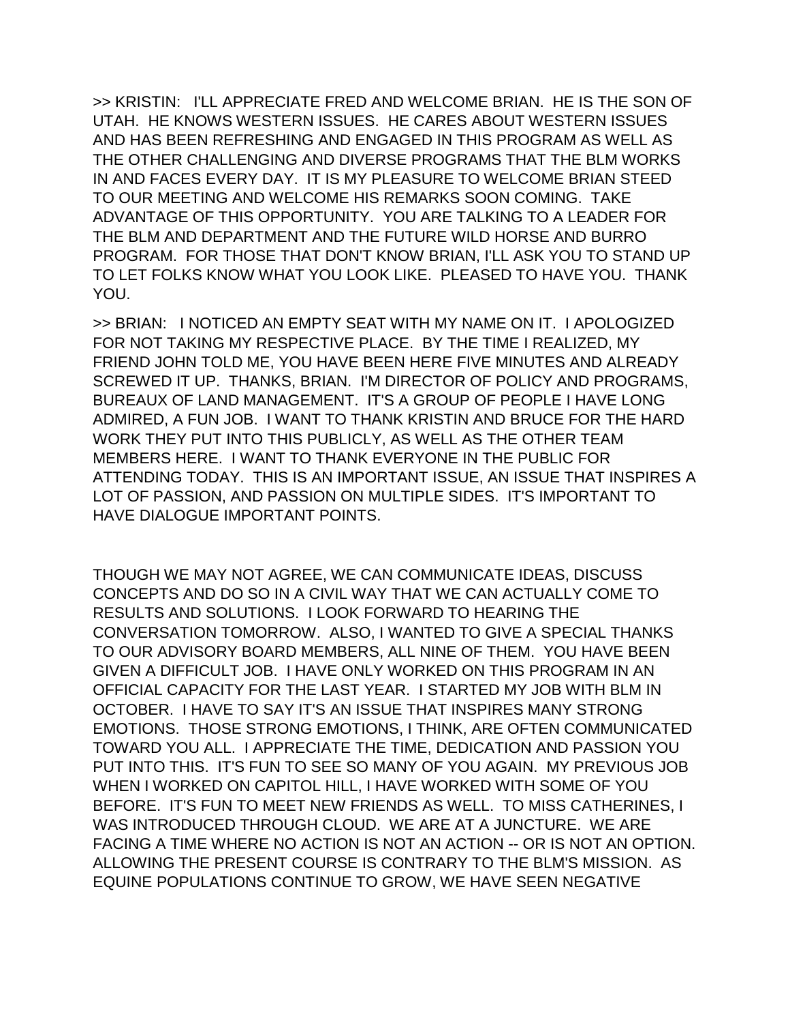>> KRISTIN: I'LL APPRECIATE FRED AND WELCOME BRIAN. HE IS THE SON OF UTAH. HE KNOWS WESTERN ISSUES. HE CARES ABOUT WESTERN ISSUES AND HAS BEEN REFRESHING AND ENGAGED IN THIS PROGRAM AS WELL AS THE OTHER CHALLENGING AND DIVERSE PROGRAMS THAT THE BLM WORKS IN AND FACES EVERY DAY. IT IS MY PLEASURE TO WELCOME BRIAN STEED TO OUR MEETING AND WELCOME HIS REMARKS SOON COMING. TAKE ADVANTAGE OF THIS OPPORTUNITY. YOU ARE TALKING TO A LEADER FOR THE BLM AND DEPARTMENT AND THE FUTURE WILD HORSE AND BURRO PROGRAM. FOR THOSE THAT DON'T KNOW BRIAN, I'LL ASK YOU TO STAND UP TO LET FOLKS KNOW WHAT YOU LOOK LIKE. PLEASED TO HAVE YOU. THANK YOU.

>> BRIAN: I NOTICED AN EMPTY SEAT WITH MY NAME ON IT. I APOLOGIZED FOR NOT TAKING MY RESPECTIVE PLACE. BY THE TIME I REALIZED, MY FRIEND JOHN TOLD ME, YOU HAVE BEEN HERE FIVE MINUTES AND ALREADY SCREWED IT UP. THANKS, BRIAN. I'M DIRECTOR OF POLICY AND PROGRAMS, BUREAUX OF LAND MANAGEMENT. IT'S A GROUP OF PEOPLE I HAVE LONG ADMIRED, A FUN JOB. I WANT TO THANK KRISTIN AND BRUCE FOR THE HARD WORK THEY PUT INTO THIS PUBLICLY, AS WELL AS THE OTHER TEAM MEMBERS HERE. I WANT TO THANK EVERYONE IN THE PUBLIC FOR ATTENDING TODAY. THIS IS AN IMPORTANT ISSUE, AN ISSUE THAT INSPIRES A LOT OF PASSION, AND PASSION ON MULTIPLE SIDES. IT'S IMPORTANT TO HAVE DIALOGUE IMPORTANT POINTS.

THOUGH WE MAY NOT AGREE, WE CAN COMMUNICATE IDEAS, DISCUSS CONCEPTS AND DO SO IN A CIVIL WAY THAT WE CAN ACTUALLY COME TO RESULTS AND SOLUTIONS. I LOOK FORWARD TO HEARING THE CONVERSATION TOMORROW. ALSO, I WANTED TO GIVE A SPECIAL THANKS TO OUR ADVISORY BOARD MEMBERS, ALL NINE OF THEM. YOU HAVE BEEN GIVEN A DIFFICULT JOB. I HAVE ONLY WORKED ON THIS PROGRAM IN AN OFFICIAL CAPACITY FOR THE LAST YEAR. I STARTED MY JOB WITH BLM IN OCTOBER. I HAVE TO SAY IT'S AN ISSUE THAT INSPIRES MANY STRONG EMOTIONS. THOSE STRONG EMOTIONS, I THINK, ARE OFTEN COMMUNICATED TOWARD YOU ALL. I APPRECIATE THE TIME, DEDICATION AND PASSION YOU PUT INTO THIS. IT'S FUN TO SEE SO MANY OF YOU AGAIN. MY PREVIOUS JOB WHEN I WORKED ON CAPITOL HILL, I HAVE WORKED WITH SOME OF YOU BEFORE. IT'S FUN TO MEET NEW FRIENDS AS WELL. TO MISS CATHERINES, I WAS INTRODUCED THROUGH CLOUD. WE ARE AT A JUNCTURE. WE ARE FACING A TIME WHERE NO ACTION IS NOT AN ACTION -- OR IS NOT AN OPTION. ALLOWING THE PRESENT COURSE IS CONTRARY TO THE BLM'S MISSION. AS EQUINE POPULATIONS CONTINUE TO GROW, WE HAVE SEEN NEGATIVE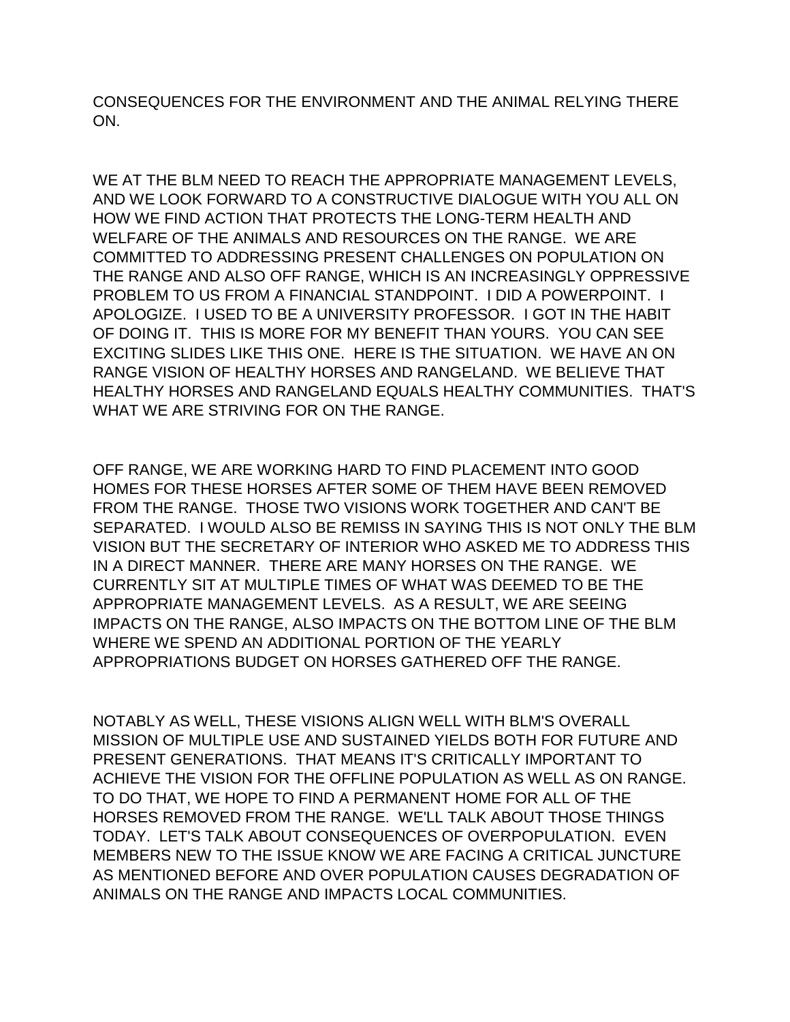CONSEQUENCES FOR THE ENVIRONMENT AND THE ANIMAL RELYING THERE ON.

WE AT THE BLM NEED TO REACH THE APPROPRIATE MANAGEMENT LEVELS, AND WE LOOK FORWARD TO A CONSTRUCTIVE DIALOGUE WITH YOU ALL ON HOW WE FIND ACTION THAT PROTECTS THE LONG-TERM HEALTH AND WELFARE OF THE ANIMALS AND RESOURCES ON THE RANGE. WE ARE COMMITTED TO ADDRESSING PRESENT CHALLENGES ON POPULATION ON THE RANGE AND ALSO OFF RANGE, WHICH IS AN INCREASINGLY OPPRESSIVE PROBLEM TO US FROM A FINANCIAL STANDPOINT. I DID A POWERPOINT. I APOLOGIZE. I USED TO BE A UNIVERSITY PROFESSOR. I GOT IN THE HABIT OF DOING IT. THIS IS MORE FOR MY BENEFIT THAN YOURS. YOU CAN SEE EXCITING SLIDES LIKE THIS ONE. HERE IS THE SITUATION. WE HAVE AN ON RANGE VISION OF HEALTHY HORSES AND RANGELAND. WE BELIEVE THAT HEALTHY HORSES AND RANGELAND EQUALS HEALTHY COMMUNITIES. THAT'S WHAT WE ARE STRIVING FOR ON THE RANGE.

OFF RANGE, WE ARE WORKING HARD TO FIND PLACEMENT INTO GOOD HOMES FOR THESE HORSES AFTER SOME OF THEM HAVE BEEN REMOVED FROM THE RANGE. THOSE TWO VISIONS WORK TOGETHER AND CAN'T BE SEPARATED. I WOULD ALSO BE REMISS IN SAYING THIS IS NOT ONLY THE BLM VISION BUT THE SECRETARY OF INTERIOR WHO ASKED ME TO ADDRESS THIS IN A DIRECT MANNER. THERE ARE MANY HORSES ON THE RANGE. WE CURRENTLY SIT AT MULTIPLE TIMES OF WHAT WAS DEEMED TO BE THE APPROPRIATE MANAGEMENT LEVELS. AS A RESULT, WE ARE SEEING IMPACTS ON THE RANGE, ALSO IMPACTS ON THE BOTTOM LINE OF THE BLM WHERE WE SPEND AN ADDITIONAL PORTION OF THE YEARLY APPROPRIATIONS BUDGET ON HORSES GATHERED OFF THE RANGE.

NOTABLY AS WELL, THESE VISIONS ALIGN WELL WITH BLM'S OVERALL MISSION OF MULTIPLE USE AND SUSTAINED YIELDS BOTH FOR FUTURE AND PRESENT GENERATIONS. THAT MEANS IT'S CRITICALLY IMPORTANT TO ACHIEVE THE VISION FOR THE OFFLINE POPULATION AS WELL AS ON RANGE. TO DO THAT, WE HOPE TO FIND A PERMANENT HOME FOR ALL OF THE HORSES REMOVED FROM THE RANGE. WE'LL TALK ABOUT THOSE THINGS TODAY. LET'S TALK ABOUT CONSEQUENCES OF OVERPOPULATION. EVEN MEMBERS NEW TO THE ISSUE KNOW WE ARE FACING A CRITICAL JUNCTURE AS MENTIONED BEFORE AND OVER POPULATION CAUSES DEGRADATION OF ANIMALS ON THE RANGE AND IMPACTS LOCAL COMMUNITIES.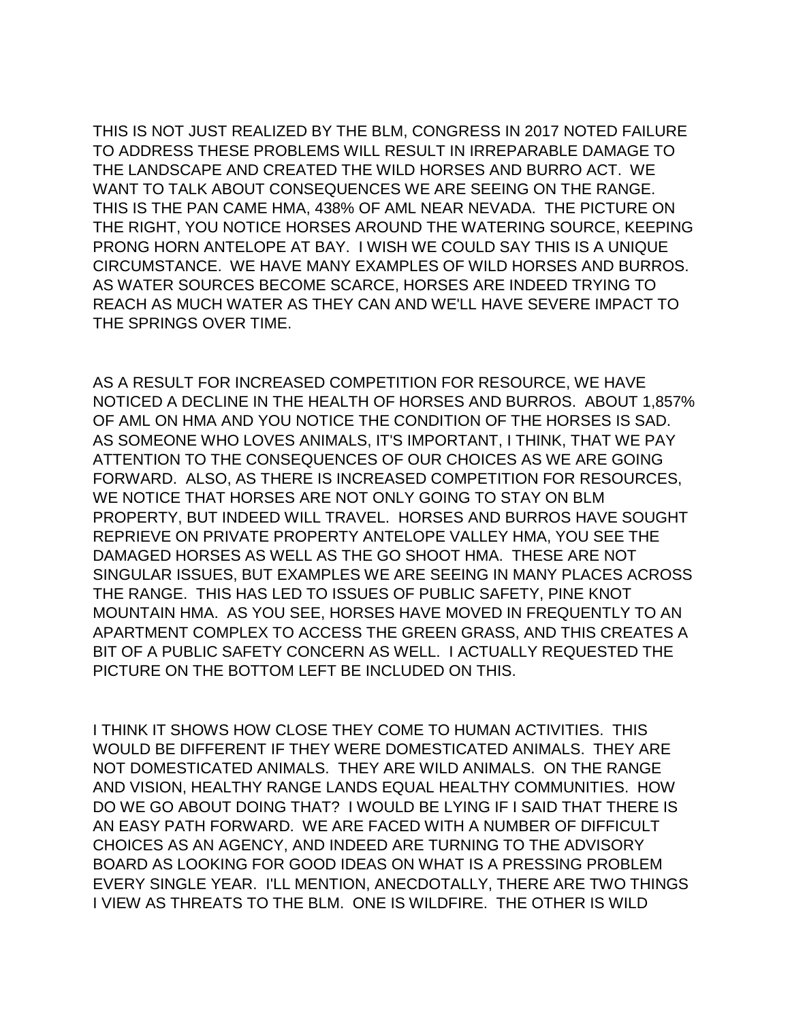THIS IS NOT JUST REALIZED BY THE BLM, CONGRESS IN 2017 NOTED FAILURE TO ADDRESS THESE PROBLEMS WILL RESULT IN IRREPARABLE DAMAGE TO THE LANDSCAPE AND CREATED THE WILD HORSES AND BURRO ACT. WE WANT TO TALK ABOUT CONSEQUENCES WE ARE SEEING ON THE RANGE. THIS IS THE PAN CAME HMA, 438% OF AML NEAR NEVADA. THE PICTURE ON THE RIGHT, YOU NOTICE HORSES AROUND THE WATERING SOURCE, KEEPING PRONG HORN ANTELOPE AT BAY. I WISH WE COULD SAY THIS IS A UNIQUE CIRCUMSTANCE. WE HAVE MANY EXAMPLES OF WILD HORSES AND BURROS. AS WATER SOURCES BECOME SCARCE, HORSES ARE INDEED TRYING TO REACH AS MUCH WATER AS THEY CAN AND WE'LL HAVE SEVERE IMPACT TO THE SPRINGS OVER TIME.

AS A RESULT FOR INCREASED COMPETITION FOR RESOURCE, WE HAVE NOTICED A DECLINE IN THE HEALTH OF HORSES AND BURROS. ABOUT 1,857% OF AML ON HMA AND YOU NOTICE THE CONDITION OF THE HORSES IS SAD. AS SOMEONE WHO LOVES ANIMALS, IT'S IMPORTANT, I THINK, THAT WE PAY ATTENTION TO THE CONSEQUENCES OF OUR CHOICES AS WE ARE GOING FORWARD. ALSO, AS THERE IS INCREASED COMPETITION FOR RESOURCES, WE NOTICE THAT HORSES ARE NOT ONLY GOING TO STAY ON BLM PROPERTY, BUT INDEED WILL TRAVEL. HORSES AND BURROS HAVE SOUGHT REPRIEVE ON PRIVATE PROPERTY ANTELOPE VALLEY HMA, YOU SEE THE DAMAGED HORSES AS WELL AS THE GO SHOOT HMA. THESE ARE NOT SINGULAR ISSUES, BUT EXAMPLES WE ARE SEEING IN MANY PLACES ACROSS THE RANGE. THIS HAS LED TO ISSUES OF PUBLIC SAFETY, PINE KNOT MOUNTAIN HMA. AS YOU SEE, HORSES HAVE MOVED IN FREQUENTLY TO AN APARTMENT COMPLEX TO ACCESS THE GREEN GRASS, AND THIS CREATES A BIT OF A PUBLIC SAFETY CONCERN AS WELL. I ACTUALLY REQUESTED THE PICTURE ON THE BOTTOM LEFT BE INCLUDED ON THIS.

I THINK IT SHOWS HOW CLOSE THEY COME TO HUMAN ACTIVITIES. THIS WOULD BE DIFFERENT IF THEY WERE DOMESTICATED ANIMALS. THEY ARE NOT DOMESTICATED ANIMALS. THEY ARE WILD ANIMALS. ON THE RANGE AND VISION, HEALTHY RANGE LANDS EQUAL HEALTHY COMMUNITIES. HOW DO WE GO ABOUT DOING THAT? I WOULD BE LYING IF I SAID THAT THERE IS AN EASY PATH FORWARD. WE ARE FACED WITH A NUMBER OF DIFFICULT CHOICES AS AN AGENCY, AND INDEED ARE TURNING TO THE ADVISORY BOARD AS LOOKING FOR GOOD IDEAS ON WHAT IS A PRESSING PROBLEM EVERY SINGLE YEAR. I'LL MENTION, ANECDOTALLY, THERE ARE TWO THINGS I VIEW AS THREATS TO THE BLM. ONE IS WILDFIRE. THE OTHER IS WILD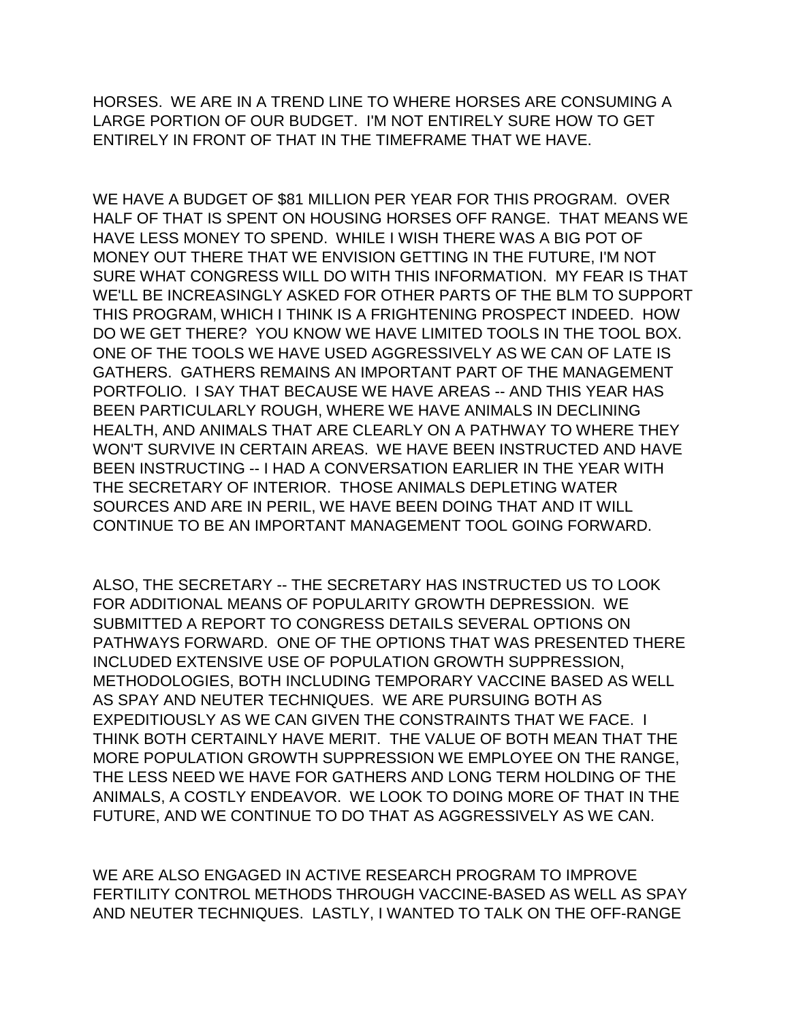HORSES. WE ARE IN A TREND LINE TO WHERE HORSES ARE CONSUMING A LARGE PORTION OF OUR BUDGET. I'M NOT ENTIRELY SURE HOW TO GET ENTIRELY IN FRONT OF THAT IN THE TIMEFRAME THAT WE HAVE.

WE HAVE A BUDGET OF \$81 MILLION PER YEAR FOR THIS PROGRAM. OVER HALF OF THAT IS SPENT ON HOUSING HORSES OFF RANGE. THAT MEANS WE HAVE LESS MONEY TO SPEND. WHILE I WISH THERE WAS A BIG POT OF MONEY OUT THERE THAT WE ENVISION GETTING IN THE FUTURE, I'M NOT SURE WHAT CONGRESS WILL DO WITH THIS INFORMATION. MY FEAR IS THAT WE'LL BE INCREASINGLY ASKED FOR OTHER PARTS OF THE BLM TO SUPPORT THIS PROGRAM, WHICH I THINK IS A FRIGHTENING PROSPECT INDEED. HOW DO WE GET THERE? YOU KNOW WE HAVE LIMITED TOOLS IN THE TOOL BOX. ONE OF THE TOOLS WE HAVE USED AGGRESSIVELY AS WE CAN OF LATE IS GATHERS. GATHERS REMAINS AN IMPORTANT PART OF THE MANAGEMENT PORTFOLIO. I SAY THAT BECAUSE WE HAVE AREAS -- AND THIS YEAR HAS BEEN PARTICULARLY ROUGH, WHERE WE HAVE ANIMALS IN DECLINING HEALTH, AND ANIMALS THAT ARE CLEARLY ON A PATHWAY TO WHERE THEY WON'T SURVIVE IN CERTAIN AREAS. WE HAVE BEEN INSTRUCTED AND HAVE BEEN INSTRUCTING -- I HAD A CONVERSATION EARLIER IN THE YEAR WITH THE SECRETARY OF INTERIOR. THOSE ANIMALS DEPLETING WATER SOURCES AND ARE IN PERIL, WE HAVE BEEN DOING THAT AND IT WILL CONTINUE TO BE AN IMPORTANT MANAGEMENT TOOL GOING FORWARD.

ALSO, THE SECRETARY -- THE SECRETARY HAS INSTRUCTED US TO LOOK FOR ADDITIONAL MEANS OF POPULARITY GROWTH DEPRESSION. WE SUBMITTED A REPORT TO CONGRESS DETAILS SEVERAL OPTIONS ON PATHWAYS FORWARD. ONE OF THE OPTIONS THAT WAS PRESENTED THERE INCLUDED EXTENSIVE USE OF POPULATION GROWTH SUPPRESSION, METHODOLOGIES, BOTH INCLUDING TEMPORARY VACCINE BASED AS WELL AS SPAY AND NEUTER TECHNIQUES. WE ARE PURSUING BOTH AS EXPEDITIOUSLY AS WE CAN GIVEN THE CONSTRAINTS THAT WE FACE. I THINK BOTH CERTAINLY HAVE MERIT. THE VALUE OF BOTH MEAN THAT THE MORE POPULATION GROWTH SUPPRESSION WE EMPLOYEE ON THE RANGE, THE LESS NEED WE HAVE FOR GATHERS AND LONG TERM HOLDING OF THE ANIMALS, A COSTLY ENDEAVOR. WE LOOK TO DOING MORE OF THAT IN THE FUTURE, AND WE CONTINUE TO DO THAT AS AGGRESSIVELY AS WE CAN.

WE ARE ALSO ENGAGED IN ACTIVE RESEARCH PROGRAM TO IMPROVE FERTILITY CONTROL METHODS THROUGH VACCINE-BASED AS WELL AS SPAY AND NEUTER TECHNIQUES. LASTLY, I WANTED TO TALK ON THE OFF-RANGE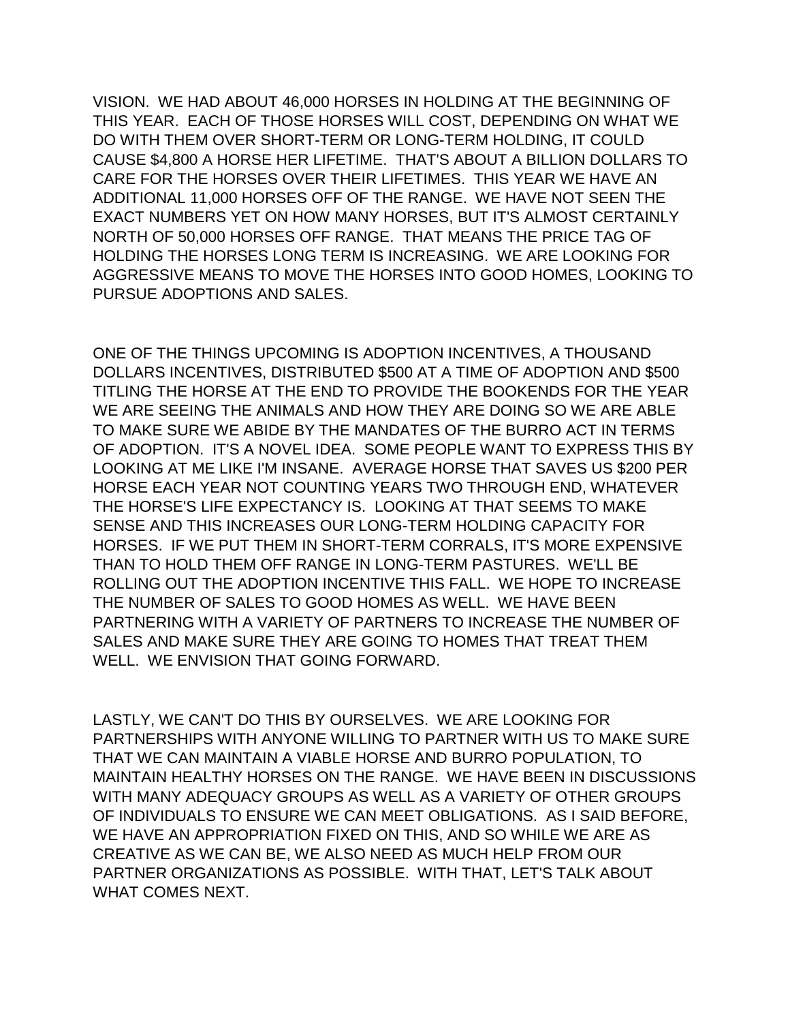VISION. WE HAD ABOUT 46,000 HORSES IN HOLDING AT THE BEGINNING OF THIS YEAR. EACH OF THOSE HORSES WILL COST, DEPENDING ON WHAT WE DO WITH THEM OVER SHORT-TERM OR LONG-TERM HOLDING, IT COULD CAUSE \$4,800 A HORSE HER LIFETIME. THAT'S ABOUT A BILLION DOLLARS TO CARE FOR THE HORSES OVER THEIR LIFETIMES. THIS YEAR WE HAVE AN ADDITIONAL 11,000 HORSES OFF OF THE RANGE. WE HAVE NOT SEEN THE EXACT NUMBERS YET ON HOW MANY HORSES, BUT IT'S ALMOST CERTAINLY NORTH OF 50,000 HORSES OFF RANGE. THAT MEANS THE PRICE TAG OF HOLDING THE HORSES LONG TERM IS INCREASING. WE ARE LOOKING FOR AGGRESSIVE MEANS TO MOVE THE HORSES INTO GOOD HOMES, LOOKING TO PURSUE ADOPTIONS AND SALES.

ONE OF THE THINGS UPCOMING IS ADOPTION INCENTIVES, A THOUSAND DOLLARS INCENTIVES, DISTRIBUTED \$500 AT A TIME OF ADOPTION AND \$500 TITLING THE HORSE AT THE END TO PROVIDE THE BOOKENDS FOR THE YEAR WE ARE SEEING THE ANIMALS AND HOW THEY ARE DOING SO WE ARE ABLE TO MAKE SURE WE ABIDE BY THE MANDATES OF THE BURRO ACT IN TERMS OF ADOPTION. IT'S A NOVEL IDEA. SOME PEOPLE WANT TO EXPRESS THIS BY LOOKING AT ME LIKE I'M INSANE. AVERAGE HORSE THAT SAVES US \$200 PER HORSE EACH YEAR NOT COUNTING YEARS TWO THROUGH END, WHATEVER THE HORSE'S LIFE EXPECTANCY IS. LOOKING AT THAT SEEMS TO MAKE SENSE AND THIS INCREASES OUR LONG-TERM HOLDING CAPACITY FOR HORSES. IF WE PUT THEM IN SHORT-TERM CORRALS, IT'S MORE EXPENSIVE THAN TO HOLD THEM OFF RANGE IN LONG-TERM PASTURES. WE'LL BE ROLLING OUT THE ADOPTION INCENTIVE THIS FALL. WE HOPE TO INCREASE THE NUMBER OF SALES TO GOOD HOMES AS WELL. WE HAVE BEEN PARTNERING WITH A VARIETY OF PARTNERS TO INCREASE THE NUMBER OF SALES AND MAKE SURE THEY ARE GOING TO HOMES THAT TREAT THEM WELL. WE ENVISION THAT GOING FORWARD.

LASTLY, WE CAN'T DO THIS BY OURSELVES. WE ARE LOOKING FOR PARTNERSHIPS WITH ANYONE WILLING TO PARTNER WITH US TO MAKE SURE THAT WE CAN MAINTAIN A VIABLE HORSE AND BURRO POPULATION, TO MAINTAIN HEALTHY HORSES ON THE RANGE. WE HAVE BEEN IN DISCUSSIONS WITH MANY ADEQUACY GROUPS AS WELL AS A VARIETY OF OTHER GROUPS OF INDIVIDUALS TO ENSURE WE CAN MEET OBLIGATIONS. AS I SAID BEFORE, WE HAVE AN APPROPRIATION FIXED ON THIS, AND SO WHILE WE ARE AS CREATIVE AS WE CAN BE, WE ALSO NEED AS MUCH HELP FROM OUR PARTNER ORGANIZATIONS AS POSSIBLE. WITH THAT, LET'S TALK ABOUT WHAT COMES NEXT.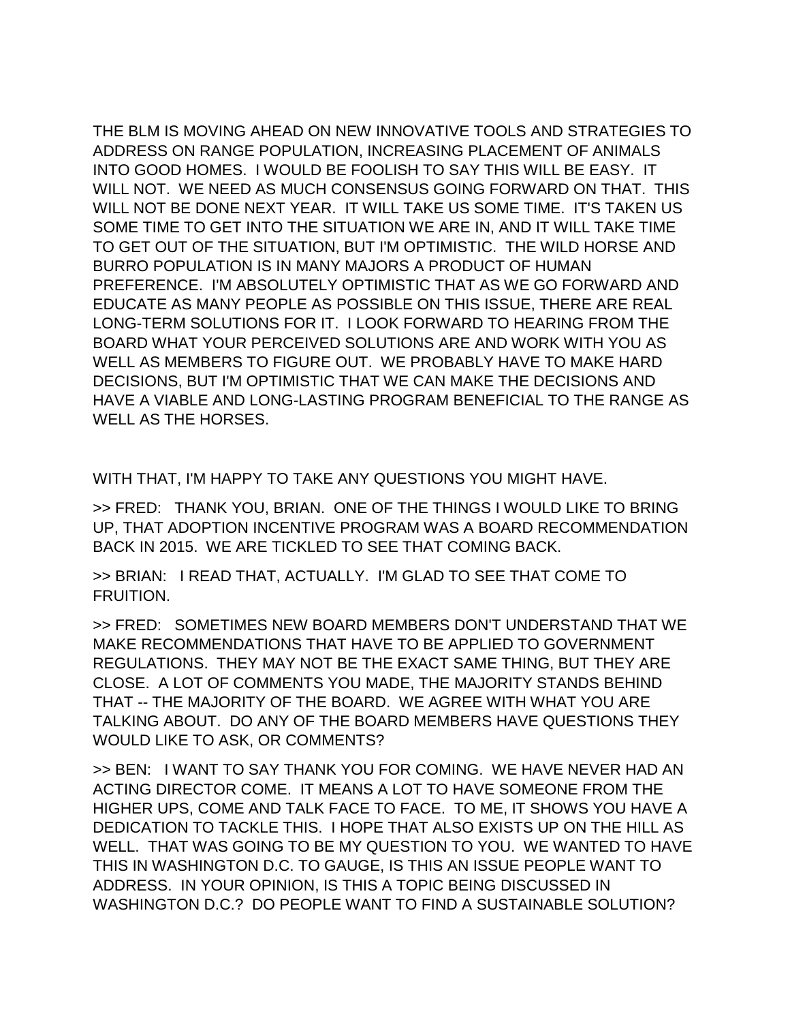THE BLM IS MOVING AHEAD ON NEW INNOVATIVE TOOLS AND STRATEGIES TO ADDRESS ON RANGE POPULATION, INCREASING PLACEMENT OF ANIMALS INTO GOOD HOMES. I WOULD BE FOOLISH TO SAY THIS WILL BE EASY. IT WILL NOT. WE NEED AS MUCH CONSENSUS GOING FORWARD ON THAT. THIS WILL NOT BE DONE NEXT YEAR. IT WILL TAKE US SOME TIME. IT'S TAKEN US SOME TIME TO GET INTO THE SITUATION WE ARE IN, AND IT WILL TAKE TIME TO GET OUT OF THE SITUATION, BUT I'M OPTIMISTIC. THE WILD HORSE AND BURRO POPULATION IS IN MANY MAJORS A PRODUCT OF HUMAN PREFERENCE. I'M ABSOLUTELY OPTIMISTIC THAT AS WE GO FORWARD AND EDUCATE AS MANY PEOPLE AS POSSIBLE ON THIS ISSUE, THERE ARE REAL LONG-TERM SOLUTIONS FOR IT. I LOOK FORWARD TO HEARING FROM THE BOARD WHAT YOUR PERCEIVED SOLUTIONS ARE AND WORK WITH YOU AS WELL AS MEMBERS TO FIGURE OUT. WE PROBABLY HAVE TO MAKE HARD DECISIONS, BUT I'M OPTIMISTIC THAT WE CAN MAKE THE DECISIONS AND HAVE A VIABLE AND LONG-LASTING PROGRAM BENEFICIAL TO THE RANGE AS WELL AS THE HORSES.

WITH THAT, I'M HAPPY TO TAKE ANY QUESTIONS YOU MIGHT HAVE.

>> FRED: THANK YOU, BRIAN. ONE OF THE THINGS I WOULD LIKE TO BRING UP, THAT ADOPTION INCENTIVE PROGRAM WAS A BOARD RECOMMENDATION BACK IN 2015. WE ARE TICKLED TO SEE THAT COMING BACK.

>> BRIAN: I READ THAT, ACTUALLY. I'M GLAD TO SEE THAT COME TO FRUITION.

>> FRED: SOMETIMES NEW BOARD MEMBERS DON'T UNDERSTAND THAT WE MAKE RECOMMENDATIONS THAT HAVE TO BE APPLIED TO GOVERNMENT REGULATIONS. THEY MAY NOT BE THE EXACT SAME THING, BUT THEY ARE CLOSE. A LOT OF COMMENTS YOU MADE, THE MAJORITY STANDS BEHIND THAT -- THE MAJORITY OF THE BOARD. WE AGREE WITH WHAT YOU ARE TALKING ABOUT. DO ANY OF THE BOARD MEMBERS HAVE QUESTIONS THEY WOULD LIKE TO ASK, OR COMMENTS?

>> BEN: I WANT TO SAY THANK YOU FOR COMING. WE HAVE NEVER HAD AN ACTING DIRECTOR COME. IT MEANS A LOT TO HAVE SOMEONE FROM THE HIGHER UPS, COME AND TALK FACE TO FACE. TO ME, IT SHOWS YOU HAVE A DEDICATION TO TACKLE THIS. I HOPE THAT ALSO EXISTS UP ON THE HILL AS WELL. THAT WAS GOING TO BE MY QUESTION TO YOU. WE WANTED TO HAVE THIS IN WASHINGTON D.C. TO GAUGE, IS THIS AN ISSUE PEOPLE WANT TO ADDRESS. IN YOUR OPINION, IS THIS A TOPIC BEING DISCUSSED IN WASHINGTON D.C.? DO PEOPLE WANT TO FIND A SUSTAINABLE SOLUTION?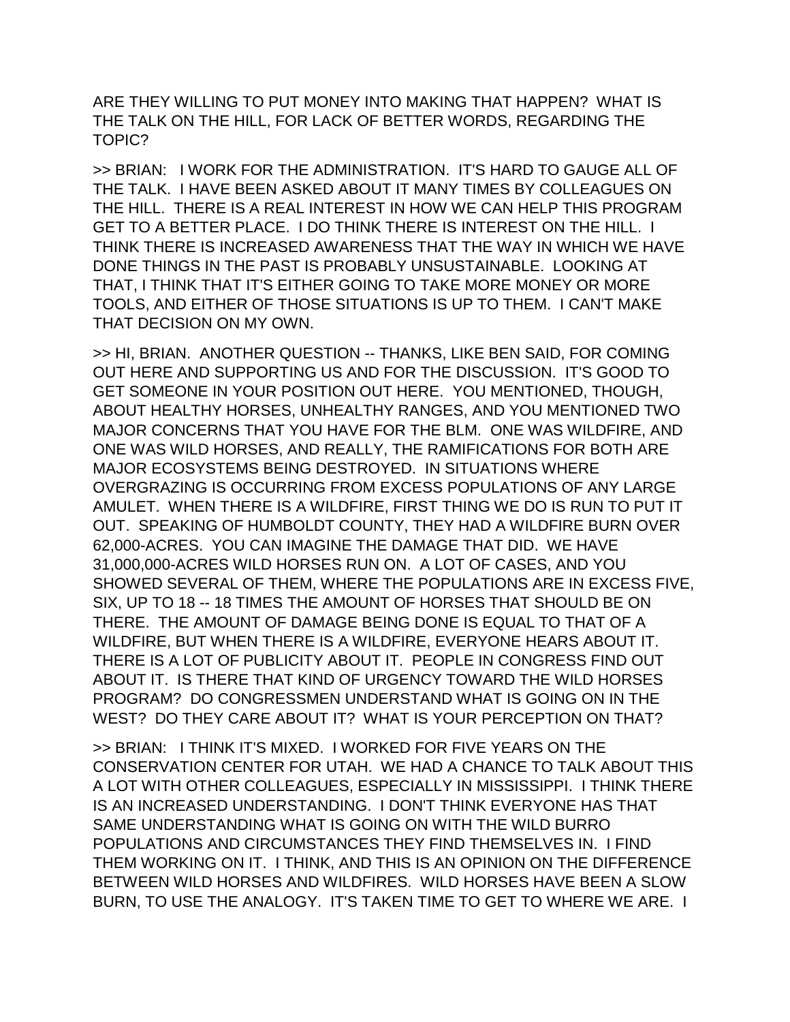ARE THEY WILLING TO PUT MONEY INTO MAKING THAT HAPPEN? WHAT IS THE TALK ON THE HILL, FOR LACK OF BETTER WORDS, REGARDING THE TOPIC?

>> BRIAN: I WORK FOR THE ADMINISTRATION. IT'S HARD TO GAUGE ALL OF THE TALK. I HAVE BEEN ASKED ABOUT IT MANY TIMES BY COLLEAGUES ON THE HILL. THERE IS A REAL INTEREST IN HOW WE CAN HELP THIS PROGRAM GET TO A BETTER PLACE. I DO THINK THERE IS INTEREST ON THE HILL. I THINK THERE IS INCREASED AWARENESS THAT THE WAY IN WHICH WE HAVE DONE THINGS IN THE PAST IS PROBABLY UNSUSTAINABLE. LOOKING AT THAT, I THINK THAT IT'S EITHER GOING TO TAKE MORE MONEY OR MORE TOOLS, AND EITHER OF THOSE SITUATIONS IS UP TO THEM. I CAN'T MAKE THAT DECISION ON MY OWN.

>> HI, BRIAN. ANOTHER QUESTION -- THANKS, LIKE BEN SAID, FOR COMING OUT HERE AND SUPPORTING US AND FOR THE DISCUSSION. IT'S GOOD TO GET SOMEONE IN YOUR POSITION OUT HERE. YOU MENTIONED, THOUGH, ABOUT HEALTHY HORSES, UNHEALTHY RANGES, AND YOU MENTIONED TWO MAJOR CONCERNS THAT YOU HAVE FOR THE BLM. ONE WAS WILDFIRE, AND ONE WAS WILD HORSES, AND REALLY, THE RAMIFICATIONS FOR BOTH ARE MAJOR ECOSYSTEMS BEING DESTROYED. IN SITUATIONS WHERE OVERGRAZING IS OCCURRING FROM EXCESS POPULATIONS OF ANY LARGE AMULET. WHEN THERE IS A WILDFIRE, FIRST THING WE DO IS RUN TO PUT IT OUT. SPEAKING OF HUMBOLDT COUNTY, THEY HAD A WILDFIRE BURN OVER 62,000-ACRES. YOU CAN IMAGINE THE DAMAGE THAT DID. WE HAVE 31,000,000-ACRES WILD HORSES RUN ON. A LOT OF CASES, AND YOU SHOWED SEVERAL OF THEM, WHERE THE POPULATIONS ARE IN EXCESS FIVE, SIX, UP TO 18 -- 18 TIMES THE AMOUNT OF HORSES THAT SHOULD BE ON THERE. THE AMOUNT OF DAMAGE BEING DONE IS EQUAL TO THAT OF A WILDFIRE, BUT WHEN THERE IS A WILDFIRE, EVERYONE HEARS ABOUT IT. THERE IS A LOT OF PUBLICITY ABOUT IT. PEOPLE IN CONGRESS FIND OUT ABOUT IT. IS THERE THAT KIND OF URGENCY TOWARD THE WILD HORSES PROGRAM? DO CONGRESSMEN UNDERSTAND WHAT IS GOING ON IN THE WEST? DO THEY CARE ABOUT IT? WHAT IS YOUR PERCEPTION ON THAT?

>> BRIAN: I THINK IT'S MIXED. I WORKED FOR FIVE YEARS ON THE CONSERVATION CENTER FOR UTAH. WE HAD A CHANCE TO TALK ABOUT THIS A LOT WITH OTHER COLLEAGUES, ESPECIALLY IN MISSISSIPPI. I THINK THERE IS AN INCREASED UNDERSTANDING. I DON'T THINK EVERYONE HAS THAT SAME UNDERSTANDING WHAT IS GOING ON WITH THE WILD BURRO POPULATIONS AND CIRCUMSTANCES THEY FIND THEMSELVES IN. I FIND THEM WORKING ON IT. I THINK, AND THIS IS AN OPINION ON THE DIFFERENCE BETWEEN WILD HORSES AND WILDFIRES. WILD HORSES HAVE BEEN A SLOW BURN, TO USE THE ANALOGY. IT'S TAKEN TIME TO GET TO WHERE WE ARE. I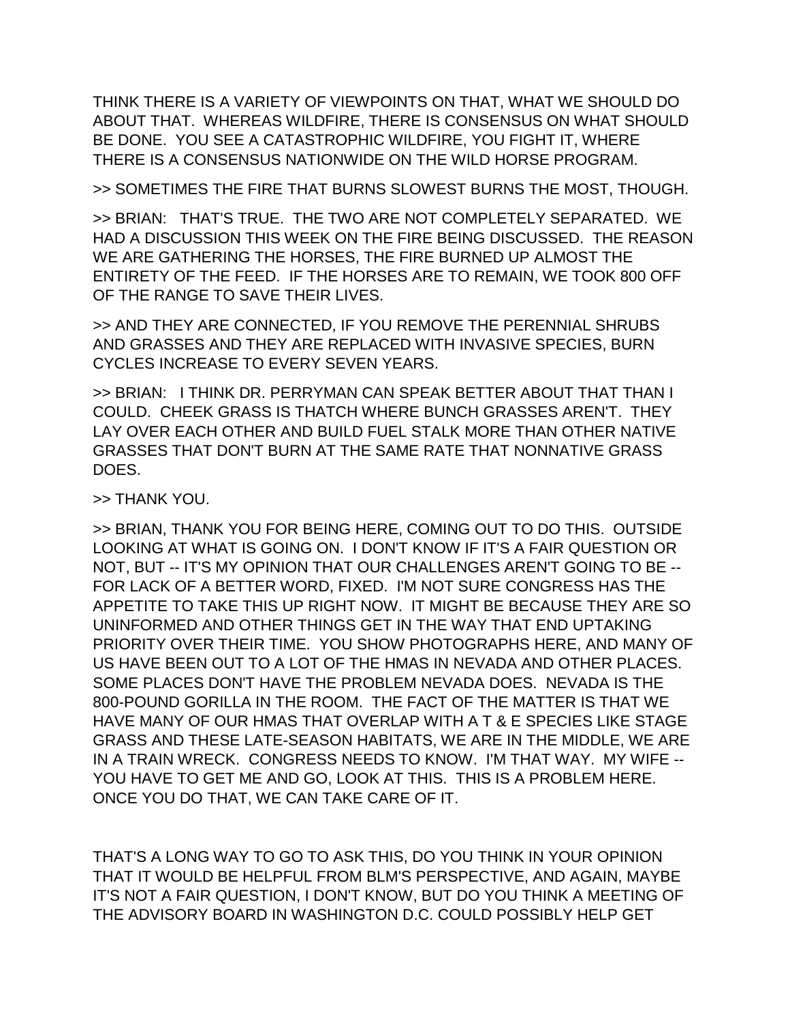THINK THERE IS A VARIETY OF VIEWPOINTS ON THAT, WHAT WE SHOULD DO ABOUT THAT. WHEREAS WILDFIRE, THERE IS CONSENSUS ON WHAT SHOULD BE DONE. YOU SEE A CATASTROPHIC WILDFIRE, YOU FIGHT IT, WHERE THERE IS A CONSENSUS NATIONWIDE ON THE WILD HORSE PROGRAM.

>> SOMETIMES THE FIRE THAT BURNS SLOWEST BURNS THE MOST, THOUGH.

>> BRIAN: THAT'S TRUE. THE TWO ARE NOT COMPLETELY SEPARATED. WE HAD A DISCUSSION THIS WEEK ON THE FIRE BEING DISCUSSED. THE REASON WE ARE GATHERING THE HORSES, THE FIRE BURNED UP ALMOST THE ENTIRETY OF THE FEED. IF THE HORSES ARE TO REMAIN, WE TOOK 800 OFF OF THE RANGE TO SAVE THEIR LIVES.

>> AND THEY ARE CONNECTED, IF YOU REMOVE THE PERENNIAL SHRUBS AND GRASSES AND THEY ARE REPLACED WITH INVASIVE SPECIES, BURN CYCLES INCREASE TO EVERY SEVEN YEARS.

>> BRIAN: I THINK DR. PERRYMAN CAN SPEAK BETTER ABOUT THAT THAN I COULD. CHEEK GRASS IS THATCH WHERE BUNCH GRASSES AREN'T. THEY LAY OVER EACH OTHER AND BUILD FUEL STALK MORE THAN OTHER NATIVE GRASSES THAT DON'T BURN AT THE SAME RATE THAT NONNATIVE GRASS DOES.

>> THANK YOU.

>> BRIAN, THANK YOU FOR BEING HERE, COMING OUT TO DO THIS. OUTSIDE LOOKING AT WHAT IS GOING ON. I DON'T KNOW IF IT'S A FAIR QUESTION OR NOT, BUT -- IT'S MY OPINION THAT OUR CHALLENGES AREN'T GOING TO BE -- FOR LACK OF A BETTER WORD, FIXED. I'M NOT SURE CONGRESS HAS THE APPETITE TO TAKE THIS UP RIGHT NOW. IT MIGHT BE BECAUSE THEY ARE SO UNINFORMED AND OTHER THINGS GET IN THE WAY THAT END UPTAKING PRIORITY OVER THEIR TIME. YOU SHOW PHOTOGRAPHS HERE, AND MANY OF US HAVE BEEN OUT TO A LOT OF THE HMAS IN NEVADA AND OTHER PLACES. SOME PLACES DON'T HAVE THE PROBLEM NEVADA DOES. NEVADA IS THE 800-POUND GORILLA IN THE ROOM. THE FACT OF THE MATTER IS THAT WE HAVE MANY OF OUR HMAS THAT OVERLAP WITH A T & E SPECIES LIKE STAGE GRASS AND THESE LATE-SEASON HABITATS, WE ARE IN THE MIDDLE, WE ARE IN A TRAIN WRECK. CONGRESS NEEDS TO KNOW. I'M THAT WAY. MY WIFE -- YOU HAVE TO GET ME AND GO, LOOK AT THIS. THIS IS A PROBLEM HERE. ONCE YOU DO THAT, WE CAN TAKE CARE OF IT.

THAT'S A LONG WAY TO GO TO ASK THIS, DO YOU THINK IN YOUR OPINION THAT IT WOULD BE HELPFUL FROM BLM'S PERSPECTIVE, AND AGAIN, MAYBE IT'S NOT A FAIR QUESTION, I DON'T KNOW, BUT DO YOU THINK A MEETING OF THE ADVISORY BOARD IN WASHINGTON D.C. COULD POSSIBLY HELP GET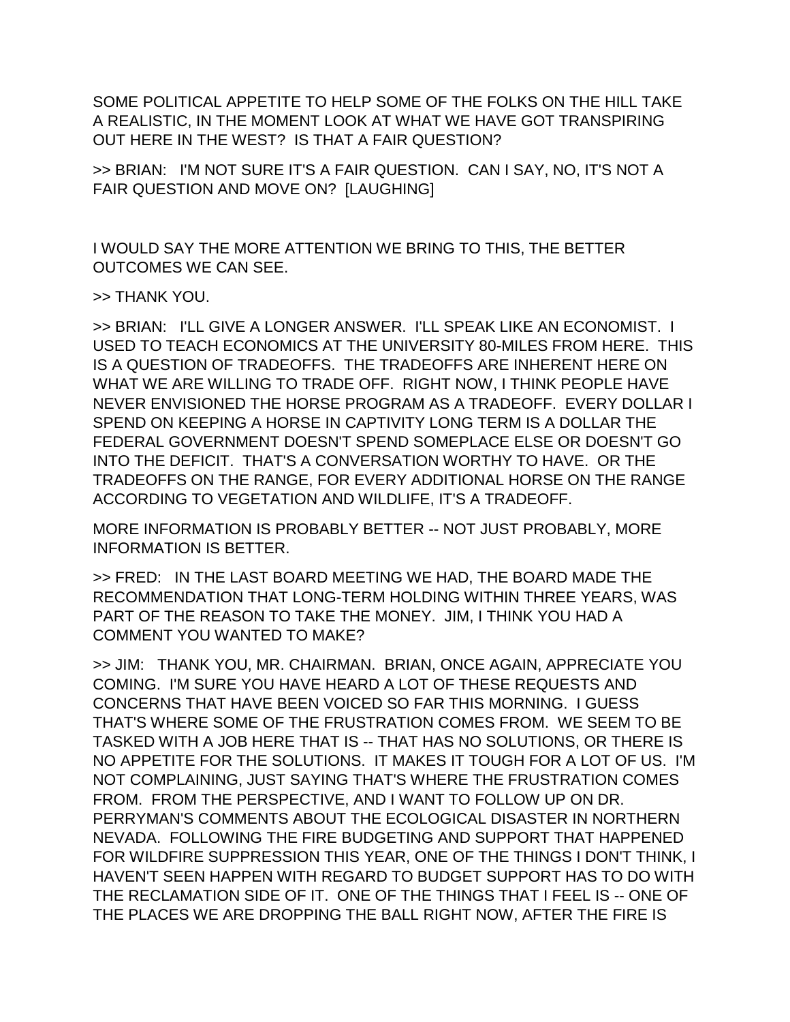SOME POLITICAL APPETITE TO HELP SOME OF THE FOLKS ON THE HILL TAKE A REALISTIC, IN THE MOMENT LOOK AT WHAT WE HAVE GOT TRANSPIRING OUT HERE IN THE WEST? IS THAT A FAIR QUESTION?

>> BRIAN: I'M NOT SURE IT'S A FAIR QUESTION. CAN I SAY, NO, IT'S NOT A FAIR QUESTION AND MOVE ON? [LAUGHING]

I WOULD SAY THE MORE ATTENTION WE BRING TO THIS, THE BETTER OUTCOMES WE CAN SEE.

>> THANK YOU.

>> BRIAN: I'LL GIVE A LONGER ANSWER. I'LL SPEAK LIKE AN ECONOMIST. I USED TO TEACH ECONOMICS AT THE UNIVERSITY 80-MILES FROM HERE. THIS IS A QUESTION OF TRADEOFFS. THE TRADEOFFS ARE INHERENT HERE ON WHAT WE ARE WILLING TO TRADE OFF. RIGHT NOW, I THINK PEOPLE HAVE NEVER ENVISIONED THE HORSE PROGRAM AS A TRADEOFF. EVERY DOLLAR I SPEND ON KEEPING A HORSE IN CAPTIVITY LONG TERM IS A DOLLAR THE FEDERAL GOVERNMENT DOESN'T SPEND SOMEPLACE ELSE OR DOESN'T GO INTO THE DEFICIT. THAT'S A CONVERSATION WORTHY TO HAVE. OR THE TRADEOFFS ON THE RANGE, FOR EVERY ADDITIONAL HORSE ON THE RANGE ACCORDING TO VEGETATION AND WILDLIFE, IT'S A TRADEOFF.

MORE INFORMATION IS PROBABLY BETTER -- NOT JUST PROBABLY, MORE INFORMATION IS BETTER.

>> FRED: IN THE LAST BOARD MEETING WE HAD, THE BOARD MADE THE RECOMMENDATION THAT LONG-TERM HOLDING WITHIN THREE YEARS, WAS PART OF THE REASON TO TAKE THE MONEY. JIM, I THINK YOU HAD A COMMENT YOU WANTED TO MAKE?

>> JIM: THANK YOU, MR. CHAIRMAN. BRIAN, ONCE AGAIN, APPRECIATE YOU COMING. I'M SURE YOU HAVE HEARD A LOT OF THESE REQUESTS AND CONCERNS THAT HAVE BEEN VOICED SO FAR THIS MORNING. I GUESS THAT'S WHERE SOME OF THE FRUSTRATION COMES FROM. WE SEEM TO BE TASKED WITH A JOB HERE THAT IS -- THAT HAS NO SOLUTIONS, OR THERE IS NO APPETITE FOR THE SOLUTIONS. IT MAKES IT TOUGH FOR A LOT OF US. I'M NOT COMPLAINING, JUST SAYING THAT'S WHERE THE FRUSTRATION COMES FROM. FROM THE PERSPECTIVE, AND I WANT TO FOLLOW UP ON DR. PERRYMAN'S COMMENTS ABOUT THE ECOLOGICAL DISASTER IN NORTHERN NEVADA. FOLLOWING THE FIRE BUDGETING AND SUPPORT THAT HAPPENED FOR WILDFIRE SUPPRESSION THIS YEAR, ONE OF THE THINGS I DON'T THINK, I HAVEN'T SEEN HAPPEN WITH REGARD TO BUDGET SUPPORT HAS TO DO WITH THE RECLAMATION SIDE OF IT. ONE OF THE THINGS THAT I FEEL IS -- ONE OF THE PLACES WE ARE DROPPING THE BALL RIGHT NOW, AFTER THE FIRE IS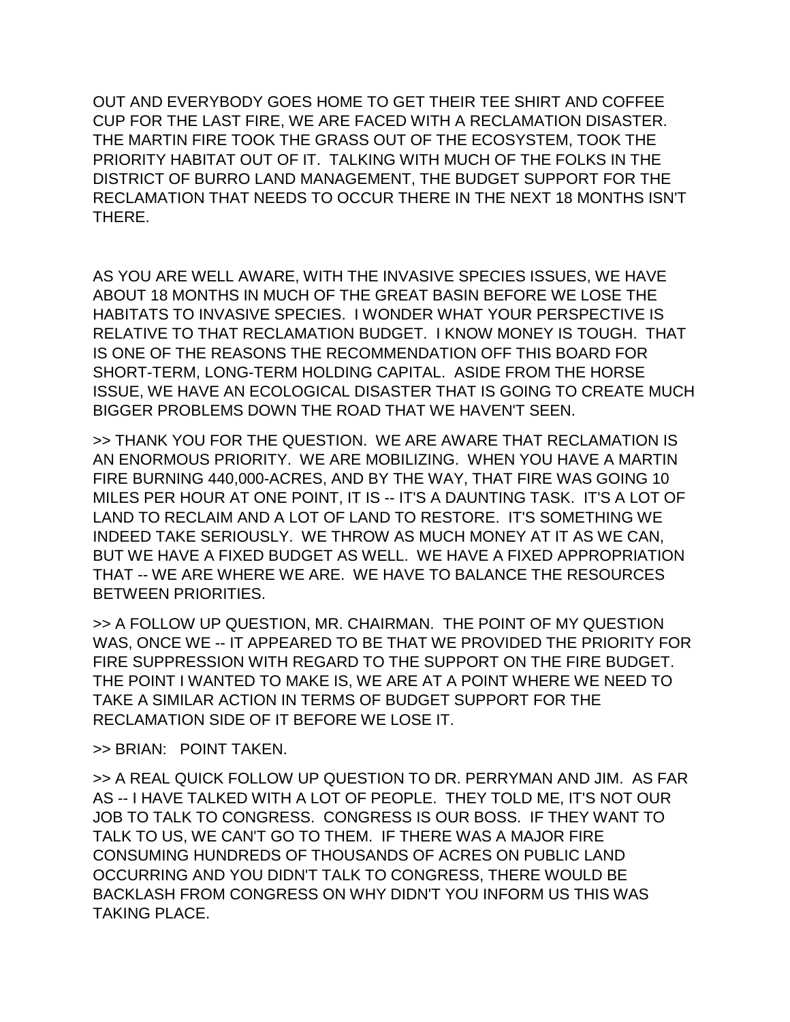OUT AND EVERYBODY GOES HOME TO GET THEIR TEE SHIRT AND COFFEE CUP FOR THE LAST FIRE, WE ARE FACED WITH A RECLAMATION DISASTER. THE MARTIN FIRE TOOK THE GRASS OUT OF THE ECOSYSTEM, TOOK THE PRIORITY HABITAT OUT OF IT. TALKING WITH MUCH OF THE FOLKS IN THE DISTRICT OF BURRO LAND MANAGEMENT, THE BUDGET SUPPORT FOR THE RECLAMATION THAT NEEDS TO OCCUR THERE IN THE NEXT 18 MONTHS ISN'T THERE.

AS YOU ARE WELL AWARE, WITH THE INVASIVE SPECIES ISSUES, WE HAVE ABOUT 18 MONTHS IN MUCH OF THE GREAT BASIN BEFORE WE LOSE THE HABITATS TO INVASIVE SPECIES. I WONDER WHAT YOUR PERSPECTIVE IS RELATIVE TO THAT RECLAMATION BUDGET. I KNOW MONEY IS TOUGH. THAT IS ONE OF THE REASONS THE RECOMMENDATION OFF THIS BOARD FOR SHORT-TERM, LONG-TERM HOLDING CAPITAL. ASIDE FROM THE HORSE ISSUE, WE HAVE AN ECOLOGICAL DISASTER THAT IS GOING TO CREATE MUCH BIGGER PROBLEMS DOWN THE ROAD THAT WE HAVEN'T SEEN.

>> THANK YOU FOR THE QUESTION. WE ARE AWARE THAT RECLAMATION IS AN ENORMOUS PRIORITY. WE ARE MOBILIZING. WHEN YOU HAVE A MARTIN FIRE BURNING 440,000-ACRES, AND BY THE WAY, THAT FIRE WAS GOING 10 MILES PER HOUR AT ONE POINT, IT IS -- IT'S A DAUNTING TASK. IT'S A LOT OF LAND TO RECLAIM AND A LOT OF LAND TO RESTORE. IT'S SOMETHING WE INDEED TAKE SERIOUSLY. WE THROW AS MUCH MONEY AT IT AS WE CAN, BUT WE HAVE A FIXED BUDGET AS WELL. WE HAVE A FIXED APPROPRIATION THAT -- WE ARE WHERE WE ARE. WE HAVE TO BALANCE THE RESOURCES BETWEEN PRIORITIES.

>> A FOLLOW UP QUESTION, MR. CHAIRMAN. THE POINT OF MY QUESTION WAS, ONCE WE -- IT APPEARED TO BE THAT WE PROVIDED THE PRIORITY FOR FIRE SUPPRESSION WITH REGARD TO THE SUPPORT ON THE FIRE BUDGET. THE POINT I WANTED TO MAKE IS, WE ARE AT A POINT WHERE WE NEED TO TAKE A SIMILAR ACTION IN TERMS OF BUDGET SUPPORT FOR THE RECLAMATION SIDE OF IT BEFORE WE LOSE IT.

>> BRIAN: POINT TAKEN.

>> A REAL QUICK FOLLOW UP QUESTION TO DR. PERRYMAN AND JIM. AS FAR AS -- I HAVE TALKED WITH A LOT OF PEOPLE. THEY TOLD ME, IT'S NOT OUR JOB TO TALK TO CONGRESS. CONGRESS IS OUR BOSS. IF THEY WANT TO TALK TO US, WE CAN'T GO TO THEM. IF THERE WAS A MAJOR FIRE CONSUMING HUNDREDS OF THOUSANDS OF ACRES ON PUBLIC LAND OCCURRING AND YOU DIDN'T TALK TO CONGRESS, THERE WOULD BE BACKLASH FROM CONGRESS ON WHY DIDN'T YOU INFORM US THIS WAS TAKING PLACE.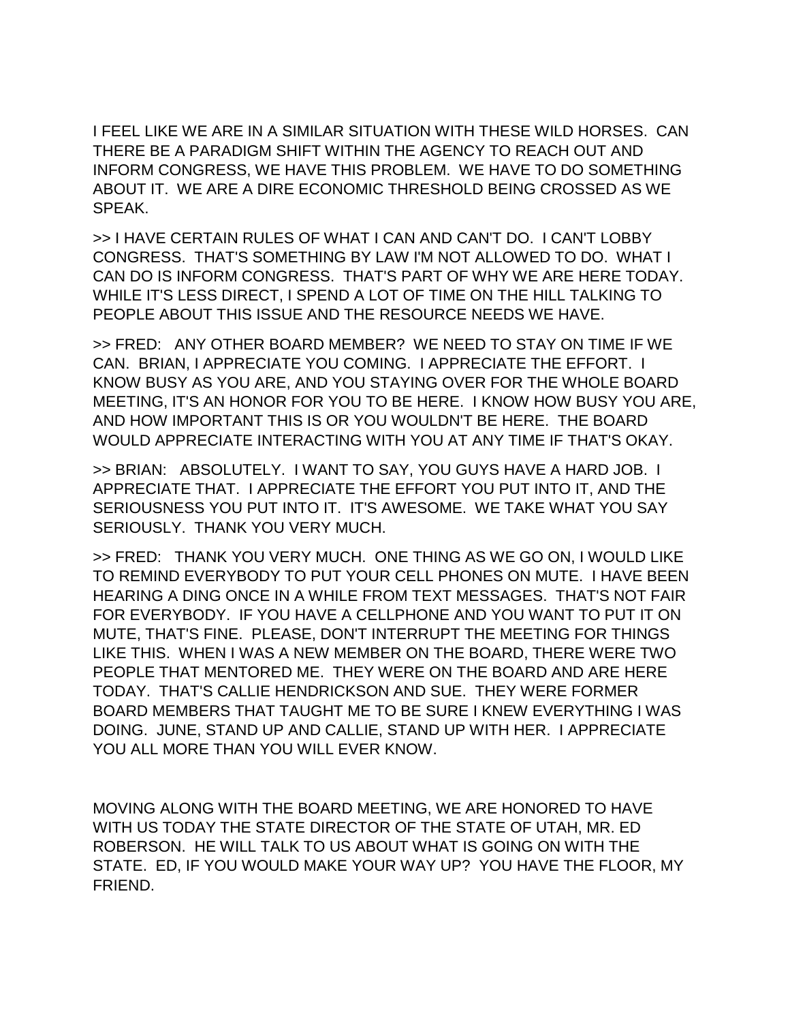I FEEL LIKE WE ARE IN A SIMILAR SITUATION WITH THESE WILD HORSES. CAN THERE BE A PARADIGM SHIFT WITHIN THE AGENCY TO REACH OUT AND INFORM CONGRESS, WE HAVE THIS PROBLEM. WE HAVE TO DO SOMETHING ABOUT IT. WE ARE A DIRE ECONOMIC THRESHOLD BEING CROSSED AS WE SPEAK.

>> I HAVE CERTAIN RULES OF WHAT I CAN AND CAN'T DO. I CAN'T LOBBY CONGRESS. THAT'S SOMETHING BY LAW I'M NOT ALLOWED TO DO. WHAT I CAN DO IS INFORM CONGRESS. THAT'S PART OF WHY WE ARE HERE TODAY. WHILE IT'S LESS DIRECT, I SPEND A LOT OF TIME ON THE HILL TALKING TO PEOPLE ABOUT THIS ISSUE AND THE RESOURCE NEEDS WE HAVE.

>> FRED: ANY OTHER BOARD MEMBER? WE NEED TO STAY ON TIME IF WE CAN. BRIAN, I APPRECIATE YOU COMING. I APPRECIATE THE EFFORT. I KNOW BUSY AS YOU ARE, AND YOU STAYING OVER FOR THE WHOLE BOARD MEETING, IT'S AN HONOR FOR YOU TO BE HERE. I KNOW HOW BUSY YOU ARE, AND HOW IMPORTANT THIS IS OR YOU WOULDN'T BE HERE. THE BOARD WOULD APPRECIATE INTERACTING WITH YOU AT ANY TIME IF THAT'S OKAY.

>> BRIAN: ABSOLUTELY. I WANT TO SAY, YOU GUYS HAVE A HARD JOB. I APPRECIATE THAT. I APPRECIATE THE EFFORT YOU PUT INTO IT, AND THE SERIOUSNESS YOU PUT INTO IT. IT'S AWESOME. WE TAKE WHAT YOU SAY SERIOUSLY. THANK YOU VERY MUCH.

>> FRED: THANK YOU VERY MUCH. ONE THING AS WE GO ON, I WOULD LIKE TO REMIND EVERYBODY TO PUT YOUR CELL PHONES ON MUTE. I HAVE BEEN HEARING A DING ONCE IN A WHILE FROM TEXT MESSAGES. THAT'S NOT FAIR FOR EVERYBODY. IF YOU HAVE A CELLPHONE AND YOU WANT TO PUT IT ON MUTE, THAT'S FINE. PLEASE, DON'T INTERRUPT THE MEETING FOR THINGS LIKE THIS. WHEN I WAS A NEW MEMBER ON THE BOARD, THERE WERE TWO PEOPLE THAT MENTORED ME. THEY WERE ON THE BOARD AND ARE HERE TODAY. THAT'S CALLIE HENDRICKSON AND SUE. THEY WERE FORMER BOARD MEMBERS THAT TAUGHT ME TO BE SURE I KNEW EVERYTHING I WAS DOING. JUNE, STAND UP AND CALLIE, STAND UP WITH HER. I APPRECIATE YOU ALL MORE THAN YOU WILL EVER KNOW.

MOVING ALONG WITH THE BOARD MEETING, WE ARE HONORED TO HAVE WITH US TODAY THE STATE DIRECTOR OF THE STATE OF UTAH, MR. ED ROBERSON. HE WILL TALK TO US ABOUT WHAT IS GOING ON WITH THE STATE. ED, IF YOU WOULD MAKE YOUR WAY UP? YOU HAVE THE FLOOR, MY FRIEND.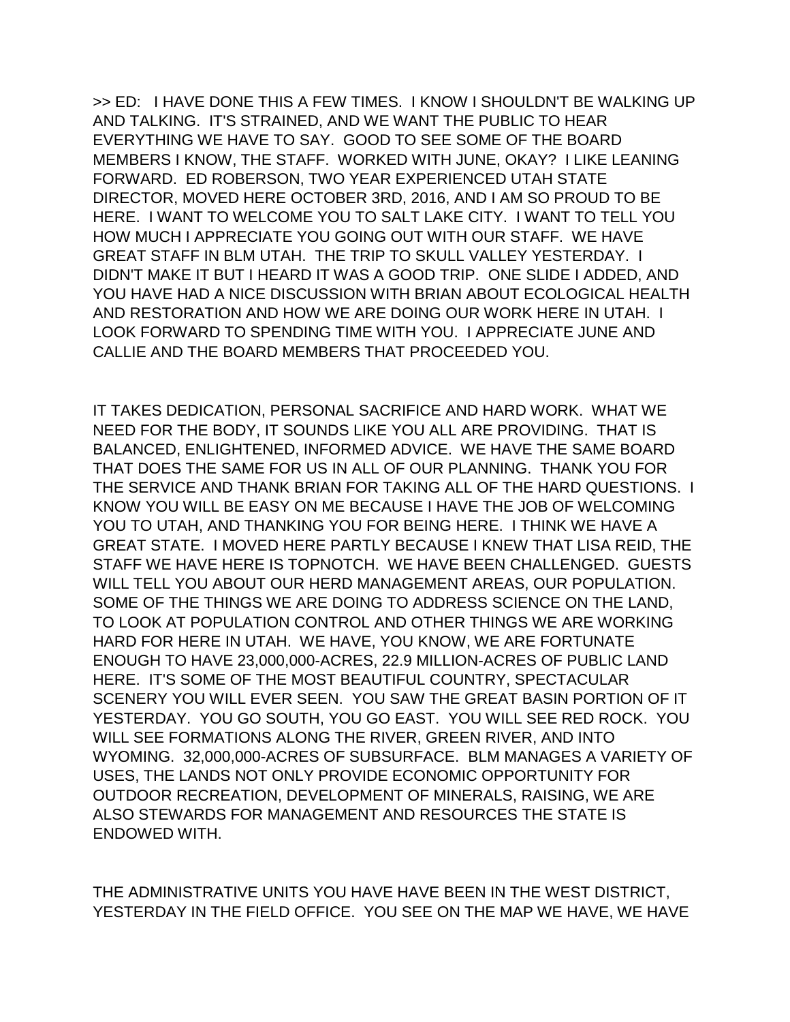>> ED: I HAVE DONE THIS A FEW TIMES. I KNOW I SHOULDN'T BE WALKING UP AND TALKING. IT'S STRAINED, AND WE WANT THE PUBLIC TO HEAR EVERYTHING WE HAVE TO SAY. GOOD TO SEE SOME OF THE BOARD MEMBERS I KNOW, THE STAFF. WORKED WITH JUNE, OKAY? I LIKE LEANING FORWARD. ED ROBERSON, TWO YEAR EXPERIENCED UTAH STATE DIRECTOR, MOVED HERE OCTOBER 3RD, 2016, AND I AM SO PROUD TO BE HERE. I WANT TO WELCOME YOU TO SALT LAKE CITY. I WANT TO TELL YOU HOW MUCH I APPRECIATE YOU GOING OUT WITH OUR STAFF. WE HAVE GREAT STAFF IN BLM UTAH. THE TRIP TO SKULL VALLEY YESTERDAY. I DIDN'T MAKE IT BUT I HEARD IT WAS A GOOD TRIP. ONE SLIDE I ADDED, AND YOU HAVE HAD A NICE DISCUSSION WITH BRIAN ABOUT ECOLOGICAL HEALTH AND RESTORATION AND HOW WE ARE DOING OUR WORK HERE IN UTAH. I LOOK FORWARD TO SPENDING TIME WITH YOU. I APPRECIATE JUNE AND CALLIE AND THE BOARD MEMBERS THAT PROCEEDED YOU.

IT TAKES DEDICATION, PERSONAL SACRIFICE AND HARD WORK. WHAT WE NEED FOR THE BODY, IT SOUNDS LIKE YOU ALL ARE PROVIDING. THAT IS BALANCED, ENLIGHTENED, INFORMED ADVICE. WE HAVE THE SAME BOARD THAT DOES THE SAME FOR US IN ALL OF OUR PLANNING. THANK YOU FOR THE SERVICE AND THANK BRIAN FOR TAKING ALL OF THE HARD QUESTIONS. I KNOW YOU WILL BE EASY ON ME BECAUSE I HAVE THE JOB OF WELCOMING YOU TO UTAH, AND THANKING YOU FOR BEING HERE. I THINK WE HAVE A GREAT STATE. I MOVED HERE PARTLY BECAUSE I KNEW THAT LISA REID, THE STAFF WE HAVE HERE IS TOPNOTCH. WE HAVE BEEN CHALLENGED. GUESTS WILL TELL YOU ABOUT OUR HERD MANAGEMENT AREAS, OUR POPULATION. SOME OF THE THINGS WE ARE DOING TO ADDRESS SCIENCE ON THE LAND, TO LOOK AT POPULATION CONTROL AND OTHER THINGS WE ARE WORKING HARD FOR HERE IN UTAH. WE HAVE, YOU KNOW, WE ARE FORTUNATE ENOUGH TO HAVE 23,000,000-ACRES, 22.9 MILLION-ACRES OF PUBLIC LAND HERE. IT'S SOME OF THE MOST BEAUTIFUL COUNTRY, SPECTACULAR SCENERY YOU WILL EVER SEEN. YOU SAW THE GREAT BASIN PORTION OF IT YESTERDAY. YOU GO SOUTH, YOU GO EAST. YOU WILL SEE RED ROCK. YOU WILL SEE FORMATIONS ALONG THE RIVER, GREEN RIVER, AND INTO WYOMING. 32,000,000-ACRES OF SUBSURFACE. BLM MANAGES A VARIETY OF USES, THE LANDS NOT ONLY PROVIDE ECONOMIC OPPORTUNITY FOR OUTDOOR RECREATION, DEVELOPMENT OF MINERALS, RAISING, WE ARE ALSO STEWARDS FOR MANAGEMENT AND RESOURCES THE STATE IS ENDOWED WITH.

THE ADMINISTRATIVE UNITS YOU HAVE HAVE BEEN IN THE WEST DISTRICT, YESTERDAY IN THE FIELD OFFICE. YOU SEE ON THE MAP WE HAVE, WE HAVE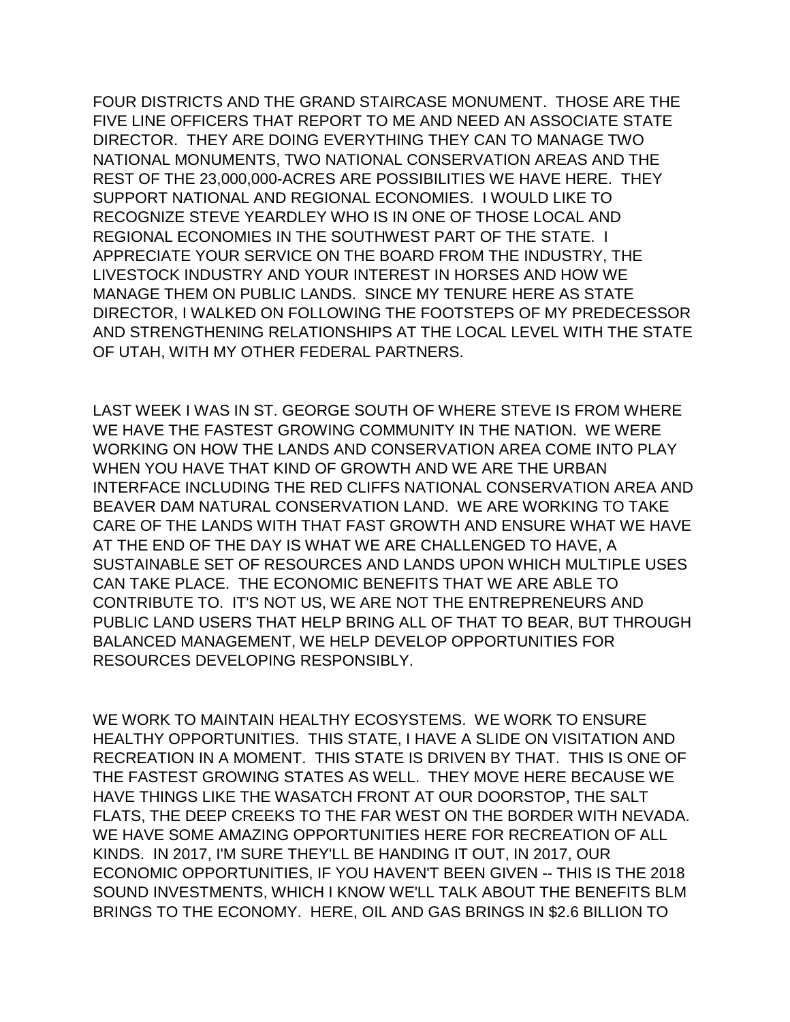FOUR DISTRICTS AND THE GRAND STAIRCASE MONUMENT. THOSE ARE THE FIVE LINE OFFICERS THAT REPORT TO ME AND NEED AN ASSOCIATE STATE DIRECTOR. THEY ARE DOING EVERYTHING THEY CAN TO MANAGE TWO NATIONAL MONUMENTS, TWO NATIONAL CONSERVATION AREAS AND THE REST OF THE 23,000,000-ACRES ARE POSSIBILITIES WE HAVE HERE. THEY SUPPORT NATIONAL AND REGIONAL ECONOMIES. I WOULD LIKE TO RECOGNIZE STEVE YEARDLEY WHO IS IN ONE OF THOSE LOCAL AND REGIONAL ECONOMIES IN THE SOUTHWEST PART OF THE STATE. I APPRECIATE YOUR SERVICE ON THE BOARD FROM THE INDUSTRY, THE LIVESTOCK INDUSTRY AND YOUR INTEREST IN HORSES AND HOW WE MANAGE THEM ON PUBLIC LANDS. SINCE MY TENURE HERE AS STATE DIRECTOR, I WALKED ON FOLLOWING THE FOOTSTEPS OF MY PREDECESSOR AND STRENGTHENING RELATIONSHIPS AT THE LOCAL LEVEL WITH THE STATE OF UTAH, WITH MY OTHER FEDERAL PARTNERS.

LAST WEEK I WAS IN ST. GEORGE SOUTH OF WHERE STEVE IS FROM WHERE WE HAVE THE FASTEST GROWING COMMUNITY IN THE NATION. WE WERE WORKING ON HOW THE LANDS AND CONSERVATION AREA COME INTO PLAY WHEN YOU HAVE THAT KIND OF GROWTH AND WE ARE THE URBAN INTERFACE INCLUDING THE RED CLIFFS NATIONAL CONSERVATION AREA AND BEAVER DAM NATURAL CONSERVATION LAND. WE ARE WORKING TO TAKE CARE OF THE LANDS WITH THAT FAST GROWTH AND ENSURE WHAT WE HAVE AT THE END OF THE DAY IS WHAT WE ARE CHALLENGED TO HAVE, A SUSTAINABLE SET OF RESOURCES AND LANDS UPON WHICH MULTIPLE USES CAN TAKE PLACE. THE ECONOMIC BENEFITS THAT WE ARE ABLE TO CONTRIBUTE TO. IT'S NOT US, WE ARE NOT THE ENTREPRENEURS AND PUBLIC LAND USERS THAT HELP BRING ALL OF THAT TO BEAR, BUT THROUGH BALANCED MANAGEMENT, WE HELP DEVELOP OPPORTUNITIES FOR RESOURCES DEVELOPING RESPONSIBLY.

WE WORK TO MAINTAIN HEALTHY ECOSYSTEMS. WE WORK TO ENSURE HEALTHY OPPORTUNITIES. THIS STATE, I HAVE A SLIDE ON VISITATION AND RECREATION IN A MOMENT. THIS STATE IS DRIVEN BY THAT. THIS IS ONE OF THE FASTEST GROWING STATES AS WELL. THEY MOVE HERE BECAUSE WE HAVE THINGS LIKE THE WASATCH FRONT AT OUR DOORSTOP, THE SALT FLATS, THE DEEP CREEKS TO THE FAR WEST ON THE BORDER WITH NEVADA. WE HAVE SOME AMAZING OPPORTUNITIES HERE FOR RECREATION OF ALL KINDS. IN 2017, I'M SURE THEY'LL BE HANDING IT OUT, IN 2017, OUR ECONOMIC OPPORTUNITIES, IF YOU HAVEN'T BEEN GIVEN -- THIS IS THE 2018 SOUND INVESTMENTS, WHICH I KNOW WE'LL TALK ABOUT THE BENEFITS BLM BRINGS TO THE ECONOMY. HERE, OIL AND GAS BRINGS IN \$2.6 BILLION TO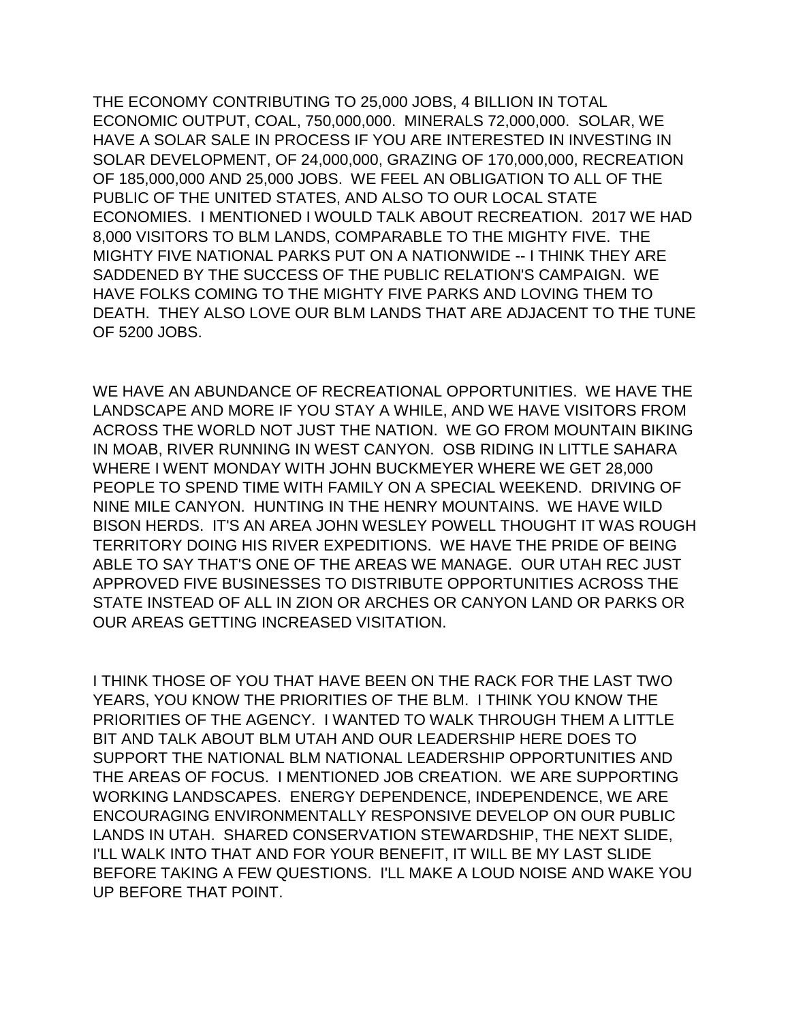THE ECONOMY CONTRIBUTING TO 25,000 JOBS, 4 BILLION IN TOTAL ECONOMIC OUTPUT, COAL, 750,000,000. MINERALS 72,000,000. SOLAR, WE HAVE A SOLAR SALE IN PROCESS IF YOU ARE INTERESTED IN INVESTING IN SOLAR DEVELOPMENT, OF 24,000,000, GRAZING OF 170,000,000, RECREATION OF 185,000,000 AND 25,000 JOBS. WE FEEL AN OBLIGATION TO ALL OF THE PUBLIC OF THE UNITED STATES, AND ALSO TO OUR LOCAL STATE ECONOMIES. I MENTIONED I WOULD TALK ABOUT RECREATION. 2017 WE HAD 8,000 VISITORS TO BLM LANDS, COMPARABLE TO THE MIGHTY FIVE. THE MIGHTY FIVE NATIONAL PARKS PUT ON A NATIONWIDE -- I THINK THEY ARE SADDENED BY THE SUCCESS OF THE PUBLIC RELATION'S CAMPAIGN. WE HAVE FOLKS COMING TO THE MIGHTY FIVE PARKS AND LOVING THEM TO DEATH. THEY ALSO LOVE OUR BLM LANDS THAT ARE ADJACENT TO THE TUNE OF 5200 JOBS.

WE HAVE AN ABUNDANCE OF RECREATIONAL OPPORTUNITIES. WE HAVE THE LANDSCAPE AND MORE IF YOU STAY A WHILE, AND WE HAVE VISITORS FROM ACROSS THE WORLD NOT JUST THE NATION. WE GO FROM MOUNTAIN BIKING IN MOAB, RIVER RUNNING IN WEST CANYON. OSB RIDING IN LITTLE SAHARA WHERE I WENT MONDAY WITH JOHN BUCKMEYER WHERE WE GET 28,000 PEOPLE TO SPEND TIME WITH FAMILY ON A SPECIAL WEEKEND. DRIVING OF NINE MILE CANYON. HUNTING IN THE HENRY MOUNTAINS. WE HAVE WILD BISON HERDS. IT'S AN AREA JOHN WESLEY POWELL THOUGHT IT WAS ROUGH TERRITORY DOING HIS RIVER EXPEDITIONS. WE HAVE THE PRIDE OF BEING ABLE TO SAY THAT'S ONE OF THE AREAS WE MANAGE. OUR UTAH REC JUST APPROVED FIVE BUSINESSES TO DISTRIBUTE OPPORTUNITIES ACROSS THE STATE INSTEAD OF ALL IN ZION OR ARCHES OR CANYON LAND OR PARKS OR OUR AREAS GETTING INCREASED VISITATION.

I THINK THOSE OF YOU THAT HAVE BEEN ON THE RACK FOR THE LAST TWO YEARS, YOU KNOW THE PRIORITIES OF THE BLM. I THINK YOU KNOW THE PRIORITIES OF THE AGENCY. I WANTED TO WALK THROUGH THEM A LITTLE BIT AND TALK ABOUT BLM UTAH AND OUR LEADERSHIP HERE DOES TO SUPPORT THE NATIONAL BLM NATIONAL LEADERSHIP OPPORTUNITIES AND THE AREAS OF FOCUS. I MENTIONED JOB CREATION. WE ARE SUPPORTING WORKING LANDSCAPES. ENERGY DEPENDENCE, INDEPENDENCE, WE ARE ENCOURAGING ENVIRONMENTALLY RESPONSIVE DEVELOP ON OUR PUBLIC LANDS IN UTAH. SHARED CONSERVATION STEWARDSHIP, THE NEXT SLIDE, I'LL WALK INTO THAT AND FOR YOUR BENEFIT, IT WILL BE MY LAST SLIDE BEFORE TAKING A FEW QUESTIONS. I'LL MAKE A LOUD NOISE AND WAKE YOU UP BEFORE THAT POINT.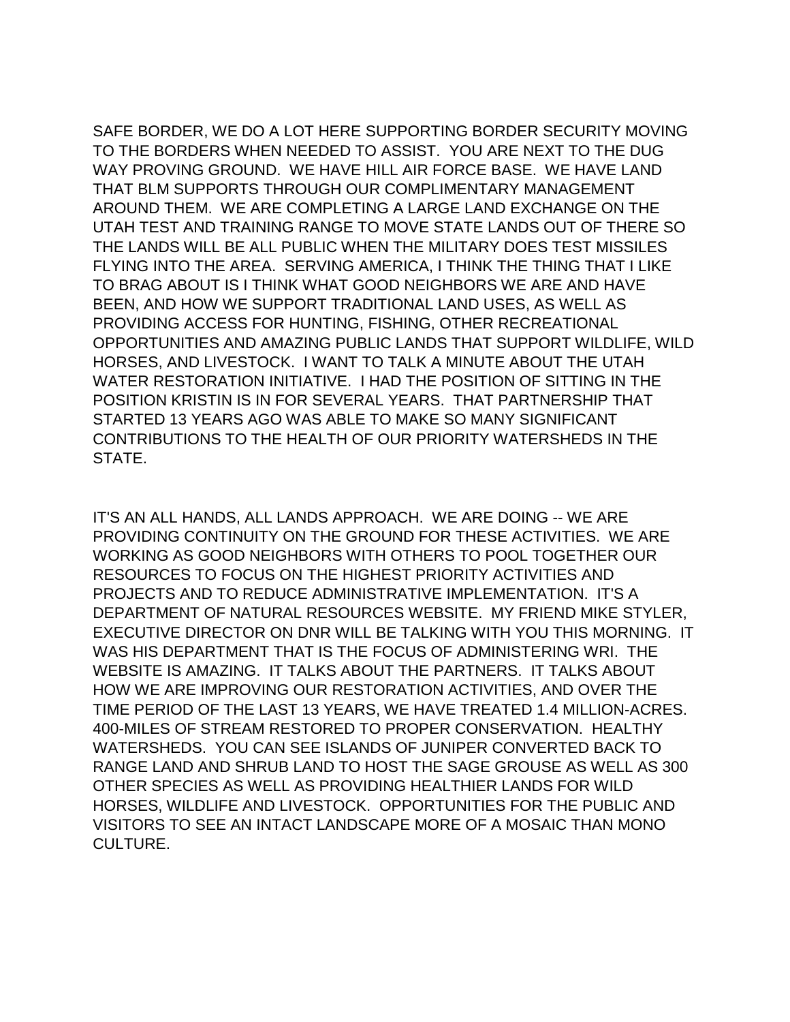SAFE BORDER, WE DO A LOT HERE SUPPORTING BORDER SECURITY MOVING TO THE BORDERS WHEN NEEDED TO ASSIST. YOU ARE NEXT TO THE DUG WAY PROVING GROUND. WE HAVE HILL AIR FORCE BASE. WE HAVE LAND THAT BLM SUPPORTS THROUGH OUR COMPLIMENTARY MANAGEMENT AROUND THEM. WE ARE COMPLETING A LARGE LAND EXCHANGE ON THE UTAH TEST AND TRAINING RANGE TO MOVE STATE LANDS OUT OF THERE SO THE LANDS WILL BE ALL PUBLIC WHEN THE MILITARY DOES TEST MISSILES FLYING INTO THE AREA. SERVING AMERICA, I THINK THE THING THAT I LIKE TO BRAG ABOUT IS I THINK WHAT GOOD NEIGHBORS WE ARE AND HAVE BEEN, AND HOW WE SUPPORT TRADITIONAL LAND USES, AS WELL AS PROVIDING ACCESS FOR HUNTING, FISHING, OTHER RECREATIONAL OPPORTUNITIES AND AMAZING PUBLIC LANDS THAT SUPPORT WILDLIFE, WILD HORSES, AND LIVESTOCK. I WANT TO TALK A MINUTE ABOUT THE UTAH WATER RESTORATION INITIATIVE. I HAD THE POSITION OF SITTING IN THE POSITION KRISTIN IS IN FOR SEVERAL YEARS. THAT PARTNERSHIP THAT STARTED 13 YEARS AGO WAS ABLE TO MAKE SO MANY SIGNIFICANT CONTRIBUTIONS TO THE HEALTH OF OUR PRIORITY WATERSHEDS IN THE STATE.

IT'S AN ALL HANDS, ALL LANDS APPROACH. WE ARE DOING -- WE ARE PROVIDING CONTINUITY ON THE GROUND FOR THESE ACTIVITIES. WE ARE WORKING AS GOOD NEIGHBORS WITH OTHERS TO POOL TOGETHER OUR RESOURCES TO FOCUS ON THE HIGHEST PRIORITY ACTIVITIES AND PROJECTS AND TO REDUCE ADMINISTRATIVE IMPLEMENTATION. IT'S A DEPARTMENT OF NATURAL RESOURCES WEBSITE. MY FRIEND MIKE STYLER, EXECUTIVE DIRECTOR ON DNR WILL BE TALKING WITH YOU THIS MORNING. IT WAS HIS DEPARTMENT THAT IS THE FOCUS OF ADMINISTERING WRI. THE WEBSITE IS AMAZING. IT TALKS ABOUT THE PARTNERS. IT TALKS ABOUT HOW WE ARE IMPROVING OUR RESTORATION ACTIVITIES, AND OVER THE TIME PERIOD OF THE LAST 13 YEARS, WE HAVE TREATED 1.4 MILLION-ACRES. 400-MILES OF STREAM RESTORED TO PROPER CONSERVATION. HEALTHY WATERSHEDS. YOU CAN SEE ISLANDS OF JUNIPER CONVERTED BACK TO RANGE LAND AND SHRUB LAND TO HOST THE SAGE GROUSE AS WELL AS 300 OTHER SPECIES AS WELL AS PROVIDING HEALTHIER LANDS FOR WILD HORSES, WILDLIFE AND LIVESTOCK. OPPORTUNITIES FOR THE PUBLIC AND VISITORS TO SEE AN INTACT LANDSCAPE MORE OF A MOSAIC THAN MONO CULTURE.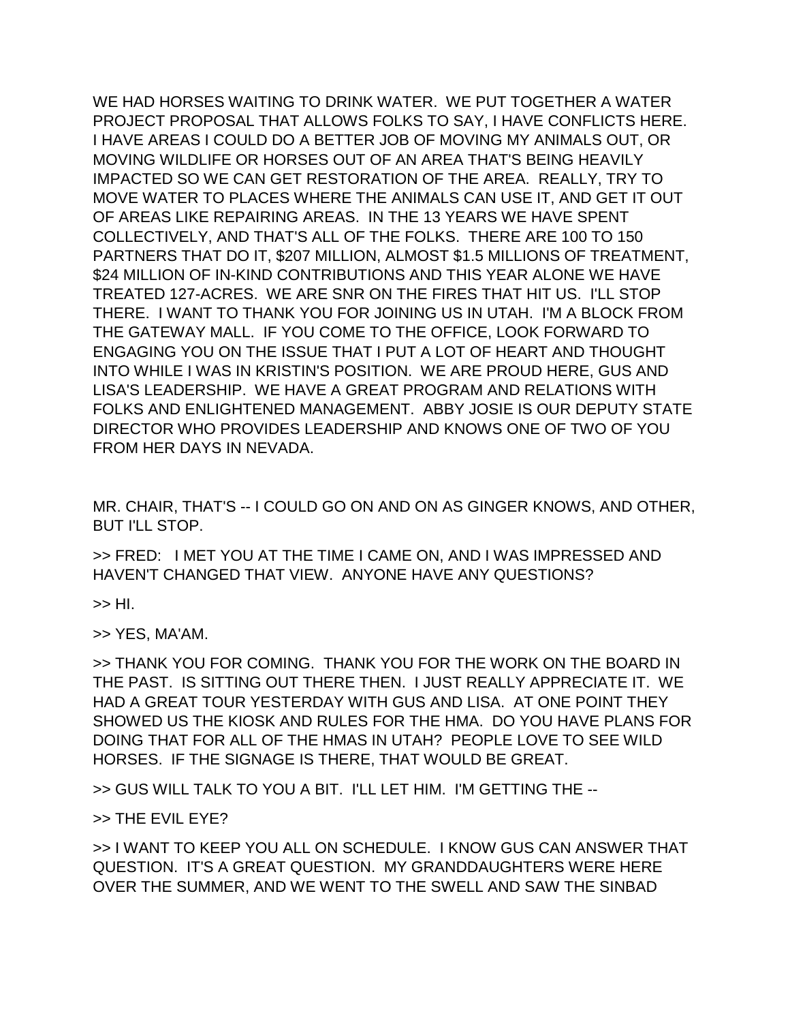WE HAD HORSES WAITING TO DRINK WATER. WE PUT TOGETHER A WATER PROJECT PROPOSAL THAT ALLOWS FOLKS TO SAY, I HAVE CONFLICTS HERE. I HAVE AREAS I COULD DO A BETTER JOB OF MOVING MY ANIMALS OUT, OR MOVING WILDLIFE OR HORSES OUT OF AN AREA THAT'S BEING HEAVILY IMPACTED SO WE CAN GET RESTORATION OF THE AREA. REALLY, TRY TO MOVE WATER TO PLACES WHERE THE ANIMALS CAN USE IT, AND GET IT OUT OF AREAS LIKE REPAIRING AREAS. IN THE 13 YEARS WE HAVE SPENT COLLECTIVELY, AND THAT'S ALL OF THE FOLKS. THERE ARE 100 TO 150 PARTNERS THAT DO IT, \$207 MILLION, ALMOST \$1.5 MILLIONS OF TREATMENT, \$24 MILLION OF IN-KIND CONTRIBUTIONS AND THIS YEAR ALONE WE HAVE TREATED 127-ACRES. WE ARE SNR ON THE FIRES THAT HIT US. I'LL STOP THERE. I WANT TO THANK YOU FOR JOINING US IN UTAH. I'M A BLOCK FROM THE GATEWAY MALL. IF YOU COME TO THE OFFICE, LOOK FORWARD TO ENGAGING YOU ON THE ISSUE THAT I PUT A LOT OF HEART AND THOUGHT INTO WHILE I WAS IN KRISTIN'S POSITION. WE ARE PROUD HERE, GUS AND LISA'S LEADERSHIP. WE HAVE A GREAT PROGRAM AND RELATIONS WITH FOLKS AND ENLIGHTENED MANAGEMENT. ABBY JOSIE IS OUR DEPUTY STATE DIRECTOR WHO PROVIDES LEADERSHIP AND KNOWS ONE OF TWO OF YOU FROM HER DAYS IN NEVADA.

MR. CHAIR, THAT'S -- I COULD GO ON AND ON AS GINGER KNOWS, AND OTHER, BUT I'LL STOP.

>> FRED: I MET YOU AT THE TIME I CAME ON, AND I WAS IMPRESSED AND HAVEN'T CHANGED THAT VIEW. ANYONE HAVE ANY QUESTIONS?

>> HI.

>> YES, MA'AM.

>> THANK YOU FOR COMING. THANK YOU FOR THE WORK ON THE BOARD IN THE PAST. IS SITTING OUT THERE THEN. I JUST REALLY APPRECIATE IT. WE HAD A GREAT TOUR YESTERDAY WITH GUS AND LISA. AT ONE POINT THEY SHOWED US THE KIOSK AND RULES FOR THE HMA. DO YOU HAVE PLANS FOR DOING THAT FOR ALL OF THE HMAS IN UTAH? PEOPLE LOVE TO SEE WILD HORSES. IF THE SIGNAGE IS THERE, THAT WOULD BE GREAT.

>> GUS WILL TALK TO YOU A BIT. I'LL LET HIM. I'M GETTING THE --

>> THE EVIL EYE?

>> I WANT TO KEEP YOU ALL ON SCHEDULE. I KNOW GUS CAN ANSWER THAT QUESTION. IT'S A GREAT QUESTION. MY GRANDDAUGHTERS WERE HERE OVER THE SUMMER, AND WE WENT TO THE SWELL AND SAW THE SINBAD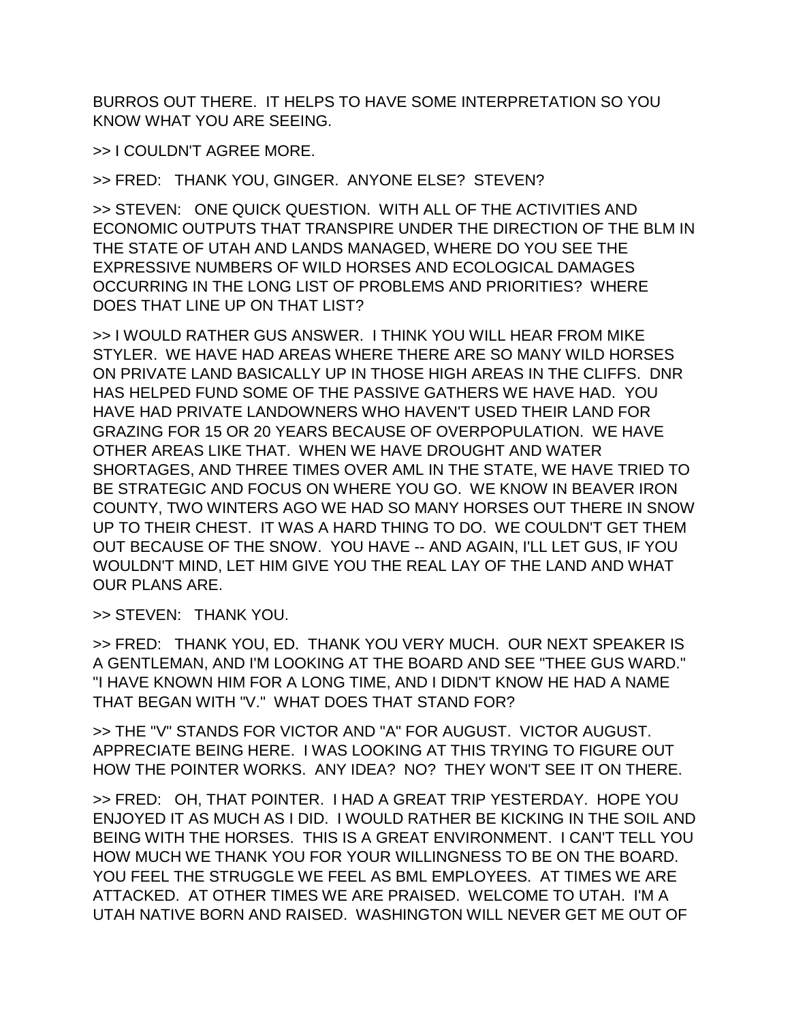BURROS OUT THERE. IT HELPS TO HAVE SOME INTERPRETATION SO YOU KNOW WHAT YOU ARE SEEING.

>> I COULDN'T AGREE MORE.

>> FRED: THANK YOU, GINGER. ANYONE ELSE? STEVEN?

>> STEVEN: ONE QUICK QUESTION. WITH ALL OF THE ACTIVITIES AND ECONOMIC OUTPUTS THAT TRANSPIRE UNDER THE DIRECTION OF THE BLM IN THE STATE OF UTAH AND LANDS MANAGED, WHERE DO YOU SEE THE EXPRESSIVE NUMBERS OF WILD HORSES AND ECOLOGICAL DAMAGES OCCURRING IN THE LONG LIST OF PROBLEMS AND PRIORITIES? WHERE DOES THAT LINE UP ON THAT LIST?

>> I WOULD RATHER GUS ANSWER. I THINK YOU WILL HEAR FROM MIKE STYLER. WE HAVE HAD AREAS WHERE THERE ARE SO MANY WILD HORSES ON PRIVATE LAND BASICALLY UP IN THOSE HIGH AREAS IN THE CLIFFS. DNR HAS HELPED FUND SOME OF THE PASSIVE GATHERS WE HAVE HAD. YOU HAVE HAD PRIVATE LANDOWNERS WHO HAVEN'T USED THEIR LAND FOR GRAZING FOR 15 OR 20 YEARS BECAUSE OF OVERPOPULATION. WE HAVE OTHER AREAS LIKE THAT. WHEN WE HAVE DROUGHT AND WATER SHORTAGES, AND THREE TIMES OVER AML IN THE STATE, WE HAVE TRIED TO BE STRATEGIC AND FOCUS ON WHERE YOU GO. WE KNOW IN BEAVER IRON COUNTY, TWO WINTERS AGO WE HAD SO MANY HORSES OUT THERE IN SNOW UP TO THEIR CHEST. IT WAS A HARD THING TO DO. WE COULDN'T GET THEM OUT BECAUSE OF THE SNOW. YOU HAVE -- AND AGAIN, I'LL LET GUS, IF YOU WOULDN'T MIND, LET HIM GIVE YOU THE REAL LAY OF THE LAND AND WHAT OUR PLANS ARE.

>> STEVEN: THANK YOU.

>> FRED: THANK YOU, ED. THANK YOU VERY MUCH. OUR NEXT SPEAKER IS A GENTLEMAN, AND I'M LOOKING AT THE BOARD AND SEE "THEE GUS WARD." "I HAVE KNOWN HIM FOR A LONG TIME, AND I DIDN'T KNOW HE HAD A NAME THAT BEGAN WITH "V." WHAT DOES THAT STAND FOR?

>> THE "V" STANDS FOR VICTOR AND "A" FOR AUGUST. VICTOR AUGUST. APPRECIATE BEING HERE. I WAS LOOKING AT THIS TRYING TO FIGURE OUT HOW THE POINTER WORKS. ANY IDEA? NO? THEY WON'T SEE IT ON THERE.

>> FRED: OH, THAT POINTER. I HAD A GREAT TRIP YESTERDAY. HOPE YOU ENJOYED IT AS MUCH AS I DID. I WOULD RATHER BE KICKING IN THE SOIL AND BEING WITH THE HORSES. THIS IS A GREAT ENVIRONMENT. I CAN'T TELL YOU HOW MUCH WE THANK YOU FOR YOUR WILLINGNESS TO BE ON THE BOARD. YOU FEEL THE STRUGGLE WE FEEL AS BML EMPLOYEES. AT TIMES WE ARE ATTACKED. AT OTHER TIMES WE ARE PRAISED. WELCOME TO UTAH. I'M A UTAH NATIVE BORN AND RAISED. WASHINGTON WILL NEVER GET ME OUT OF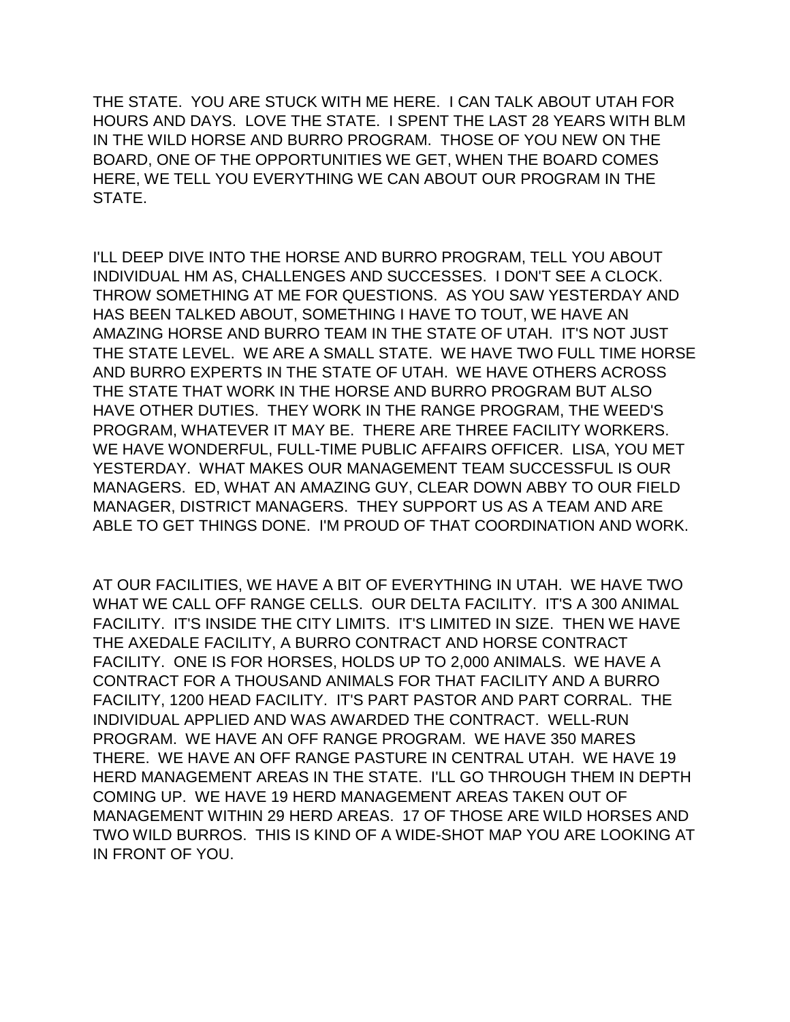THE STATE. YOU ARE STUCK WITH ME HERE. I CAN TALK ABOUT UTAH FOR HOURS AND DAYS. LOVE THE STATE. I SPENT THE LAST 28 YEARS WITH BLM IN THE WILD HORSE AND BURRO PROGRAM. THOSE OF YOU NEW ON THE BOARD, ONE OF THE OPPORTUNITIES WE GET, WHEN THE BOARD COMES HERE, WE TELL YOU EVERYTHING WE CAN ABOUT OUR PROGRAM IN THE STATE.

I'LL DEEP DIVE INTO THE HORSE AND BURRO PROGRAM, TELL YOU ABOUT INDIVIDUAL HM AS, CHALLENGES AND SUCCESSES. I DON'T SEE A CLOCK. THROW SOMETHING AT ME FOR QUESTIONS. AS YOU SAW YESTERDAY AND HAS BEEN TALKED ABOUT, SOMETHING I HAVE TO TOUT, WE HAVE AN AMAZING HORSE AND BURRO TEAM IN THE STATE OF UTAH. IT'S NOT JUST THE STATE LEVEL. WE ARE A SMALL STATE. WE HAVE TWO FULL TIME HORSE AND BURRO EXPERTS IN THE STATE OF UTAH. WE HAVE OTHERS ACROSS THE STATE THAT WORK IN THE HORSE AND BURRO PROGRAM BUT ALSO HAVE OTHER DUTIES. THEY WORK IN THE RANGE PROGRAM, THE WEED'S PROGRAM, WHATEVER IT MAY BE. THERE ARE THREE FACILITY WORKERS. WE HAVE WONDERFUL, FULL-TIME PUBLIC AFFAIRS OFFICER. LISA, YOU MET YESTERDAY. WHAT MAKES OUR MANAGEMENT TEAM SUCCESSFUL IS OUR MANAGERS. ED, WHAT AN AMAZING GUY, CLEAR DOWN ABBY TO OUR FIELD MANAGER, DISTRICT MANAGERS. THEY SUPPORT US AS A TEAM AND ARE ABLE TO GET THINGS DONE. I'M PROUD OF THAT COORDINATION AND WORK.

AT OUR FACILITIES, WE HAVE A BIT OF EVERYTHING IN UTAH. WE HAVE TWO WHAT WE CALL OFF RANGE CELLS. OUR DELTA FACILITY. IT'S A 300 ANIMAL FACILITY. IT'S INSIDE THE CITY LIMITS. IT'S LIMITED IN SIZE. THEN WE HAVE THE AXEDALE FACILITY, A BURRO CONTRACT AND HORSE CONTRACT FACILITY. ONE IS FOR HORSES, HOLDS UP TO 2,000 ANIMALS. WE HAVE A CONTRACT FOR A THOUSAND ANIMALS FOR THAT FACILITY AND A BURRO FACILITY, 1200 HEAD FACILITY. IT'S PART PASTOR AND PART CORRAL. THE INDIVIDUAL APPLIED AND WAS AWARDED THE CONTRACT. WELL-RUN PROGRAM. WE HAVE AN OFF RANGE PROGRAM. WE HAVE 350 MARES THERE. WE HAVE AN OFF RANGE PASTURE IN CENTRAL UTAH. WE HAVE 19 HERD MANAGEMENT AREAS IN THE STATE. I'LL GO THROUGH THEM IN DEPTH COMING UP. WE HAVE 19 HERD MANAGEMENT AREAS TAKEN OUT OF MANAGEMENT WITHIN 29 HERD AREAS. 17 OF THOSE ARE WILD HORSES AND TWO WILD BURROS. THIS IS KIND OF A WIDE-SHOT MAP YOU ARE LOOKING AT IN FRONT OF YOU.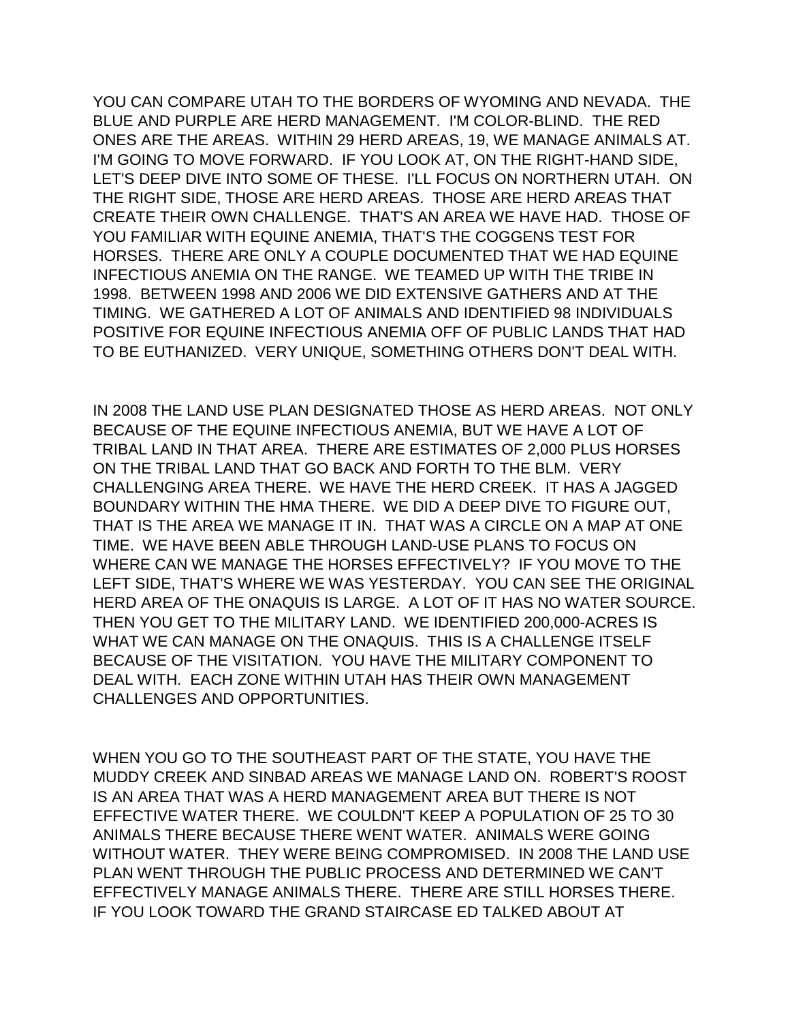YOU CAN COMPARE UTAH TO THE BORDERS OF WYOMING AND NEVADA. THE BLUE AND PURPLE ARE HERD MANAGEMENT. I'M COLOR-BLIND. THE RED ONES ARE THE AREAS. WITHIN 29 HERD AREAS, 19, WE MANAGE ANIMALS AT. I'M GOING TO MOVE FORWARD. IF YOU LOOK AT, ON THE RIGHT-HAND SIDE, LET'S DEEP DIVE INTO SOME OF THESE. I'LL FOCUS ON NORTHERN UTAH. ON THE RIGHT SIDE, THOSE ARE HERD AREAS. THOSE ARE HERD AREAS THAT CREATE THEIR OWN CHALLENGE. THAT'S AN AREA WE HAVE HAD. THOSE OF YOU FAMILIAR WITH EQUINE ANEMIA, THAT'S THE COGGENS TEST FOR HORSES. THERE ARE ONLY A COUPLE DOCUMENTED THAT WE HAD EQUINE INFECTIOUS ANEMIA ON THE RANGE. WE TEAMED UP WITH THE TRIBE IN 1998. BETWEEN 1998 AND 2006 WE DID EXTENSIVE GATHERS AND AT THE TIMING. WE GATHERED A LOT OF ANIMALS AND IDENTIFIED 98 INDIVIDUALS POSITIVE FOR EQUINE INFECTIOUS ANEMIA OFF OF PUBLIC LANDS THAT HAD TO BE EUTHANIZED. VERY UNIQUE, SOMETHING OTHERS DON'T DEAL WITH.

IN 2008 THE LAND USE PLAN DESIGNATED THOSE AS HERD AREAS. NOT ONLY BECAUSE OF THE EQUINE INFECTIOUS ANEMIA, BUT WE HAVE A LOT OF TRIBAL LAND IN THAT AREA. THERE ARE ESTIMATES OF 2,000 PLUS HORSES ON THE TRIBAL LAND THAT GO BACK AND FORTH TO THE BLM. VERY CHALLENGING AREA THERE. WE HAVE THE HERD CREEK. IT HAS A JAGGED BOUNDARY WITHIN THE HMA THERE. WE DID A DEEP DIVE TO FIGURE OUT, THAT IS THE AREA WE MANAGE IT IN. THAT WAS A CIRCLE ON A MAP AT ONE TIME. WE HAVE BEEN ABLE THROUGH LAND-USE PLANS TO FOCUS ON WHERE CAN WE MANAGE THE HORSES EFFECTIVELY? IF YOU MOVE TO THE LEFT SIDE, THAT'S WHERE WE WAS YESTERDAY. YOU CAN SEE THE ORIGINAL HERD AREA OF THE ONAQUIS IS LARGE. A LOT OF IT HAS NO WATER SOURCE. THEN YOU GET TO THE MILITARY LAND. WE IDENTIFIED 200,000-ACRES IS WHAT WE CAN MANAGE ON THE ONAQUIS. THIS IS A CHALLENGE ITSELF BECAUSE OF THE VISITATION. YOU HAVE THE MILITARY COMPONENT TO DEAL WITH. EACH ZONE WITHIN UTAH HAS THEIR OWN MANAGEMENT CHALLENGES AND OPPORTUNITIES.

WHEN YOU GO TO THE SOUTHEAST PART OF THE STATE, YOU HAVE THE MUDDY CREEK AND SINBAD AREAS WE MANAGE LAND ON. ROBERT'S ROOST IS AN AREA THAT WAS A HERD MANAGEMENT AREA BUT THERE IS NOT EFFECTIVE WATER THERE. WE COULDN'T KEEP A POPULATION OF 25 TO 30 ANIMALS THERE BECAUSE THERE WENT WATER. ANIMALS WERE GOING WITHOUT WATER. THEY WERE BEING COMPROMISED. IN 2008 THE LAND USE PLAN WENT THROUGH THE PUBLIC PROCESS AND DETERMINED WE CAN'T EFFECTIVELY MANAGE ANIMALS THERE. THERE ARE STILL HORSES THERE. IF YOU LOOK TOWARD THE GRAND STAIRCASE ED TALKED ABOUT AT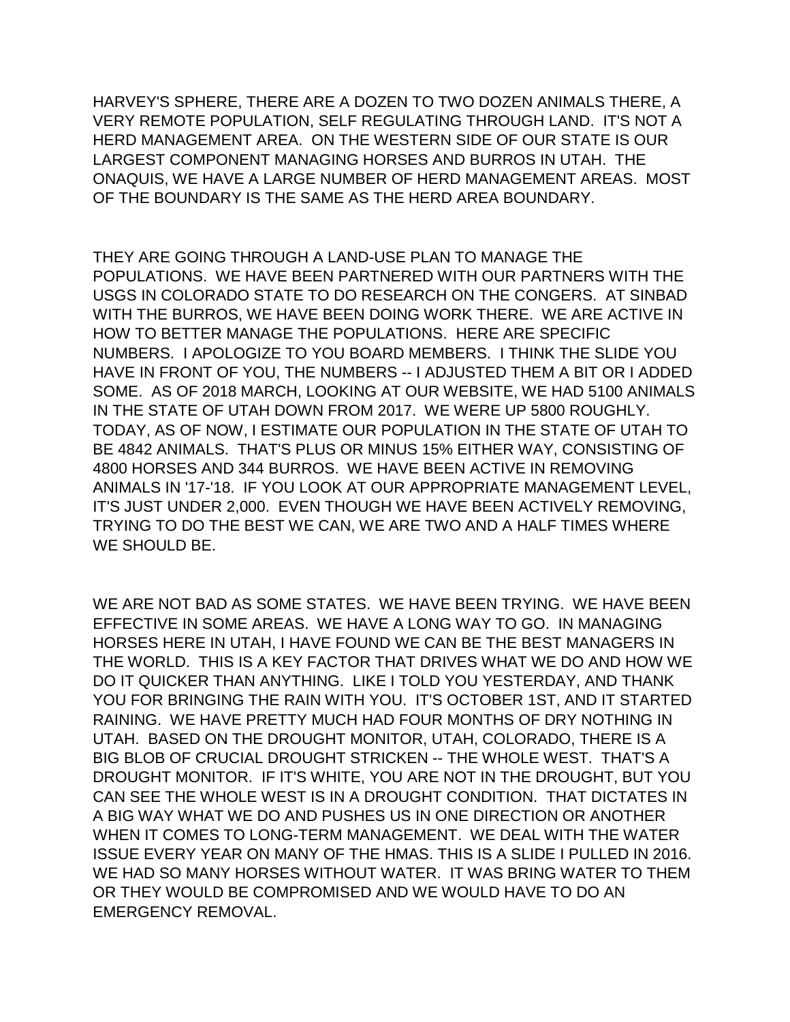HARVEY'S SPHERE, THERE ARE A DOZEN TO TWO DOZEN ANIMALS THERE, A VERY REMOTE POPULATION, SELF REGULATING THROUGH LAND. IT'S NOT A HERD MANAGEMENT AREA. ON THE WESTERN SIDE OF OUR STATE IS OUR LARGEST COMPONENT MANAGING HORSES AND BURROS IN UTAH. THE ONAQUIS, WE HAVE A LARGE NUMBER OF HERD MANAGEMENT AREAS. MOST OF THE BOUNDARY IS THE SAME AS THE HERD AREA BOUNDARY.

THEY ARE GOING THROUGH A LAND-USE PLAN TO MANAGE THE POPULATIONS. WE HAVE BEEN PARTNERED WITH OUR PARTNERS WITH THE USGS IN COLORADO STATE TO DO RESEARCH ON THE CONGERS. AT SINBAD WITH THE BURROS, WE HAVE BEEN DOING WORK THERE. WE ARE ACTIVE IN HOW TO BETTER MANAGE THE POPULATIONS. HERE ARE SPECIFIC NUMBERS. I APOLOGIZE TO YOU BOARD MEMBERS. I THINK THE SLIDE YOU HAVE IN FRONT OF YOU, THE NUMBERS -- I ADJUSTED THEM A BIT OR I ADDED SOME. AS OF 2018 MARCH, LOOKING AT OUR WEBSITE, WE HAD 5100 ANIMALS IN THE STATE OF UTAH DOWN FROM 2017. WE WERE UP 5800 ROUGHLY. TODAY, AS OF NOW, I ESTIMATE OUR POPULATION IN THE STATE OF UTAH TO BE 4842 ANIMALS. THAT'S PLUS OR MINUS 15% EITHER WAY, CONSISTING OF 4800 HORSES AND 344 BURROS. WE HAVE BEEN ACTIVE IN REMOVING ANIMALS IN '17-'18. IF YOU LOOK AT OUR APPROPRIATE MANAGEMENT LEVEL, IT'S JUST UNDER 2,000. EVEN THOUGH WE HAVE BEEN ACTIVELY REMOVING, TRYING TO DO THE BEST WE CAN, WE ARE TWO AND A HALF TIMES WHERE WE SHOULD BE.

WE ARE NOT BAD AS SOME STATES. WE HAVE BEEN TRYING. WE HAVE BEEN EFFECTIVE IN SOME AREAS. WE HAVE A LONG WAY TO GO. IN MANAGING HORSES HERE IN UTAH, I HAVE FOUND WE CAN BE THE BEST MANAGERS IN THE WORLD. THIS IS A KEY FACTOR THAT DRIVES WHAT WE DO AND HOW WE DO IT QUICKER THAN ANYTHING. LIKE I TOLD YOU YESTERDAY, AND THANK YOU FOR BRINGING THE RAIN WITH YOU. IT'S OCTOBER 1ST, AND IT STARTED RAINING. WE HAVE PRETTY MUCH HAD FOUR MONTHS OF DRY NOTHING IN UTAH. BASED ON THE DROUGHT MONITOR, UTAH, COLORADO, THERE IS A BIG BLOB OF CRUCIAL DROUGHT STRICKEN -- THE WHOLE WEST. THAT'S A DROUGHT MONITOR. IF IT'S WHITE, YOU ARE NOT IN THE DROUGHT, BUT YOU CAN SEE THE WHOLE WEST IS IN A DROUGHT CONDITION. THAT DICTATES IN A BIG WAY WHAT WE DO AND PUSHES US IN ONE DIRECTION OR ANOTHER WHEN IT COMES TO LONG-TERM MANAGEMENT. WE DEAL WITH THE WATER ISSUE EVERY YEAR ON MANY OF THE HMAS. THIS IS A SLIDE I PULLED IN 2016. WE HAD SO MANY HORSES WITHOUT WATER. IT WAS BRING WATER TO THEM OR THEY WOULD BE COMPROMISED AND WE WOULD HAVE TO DO AN EMERGENCY REMOVAL.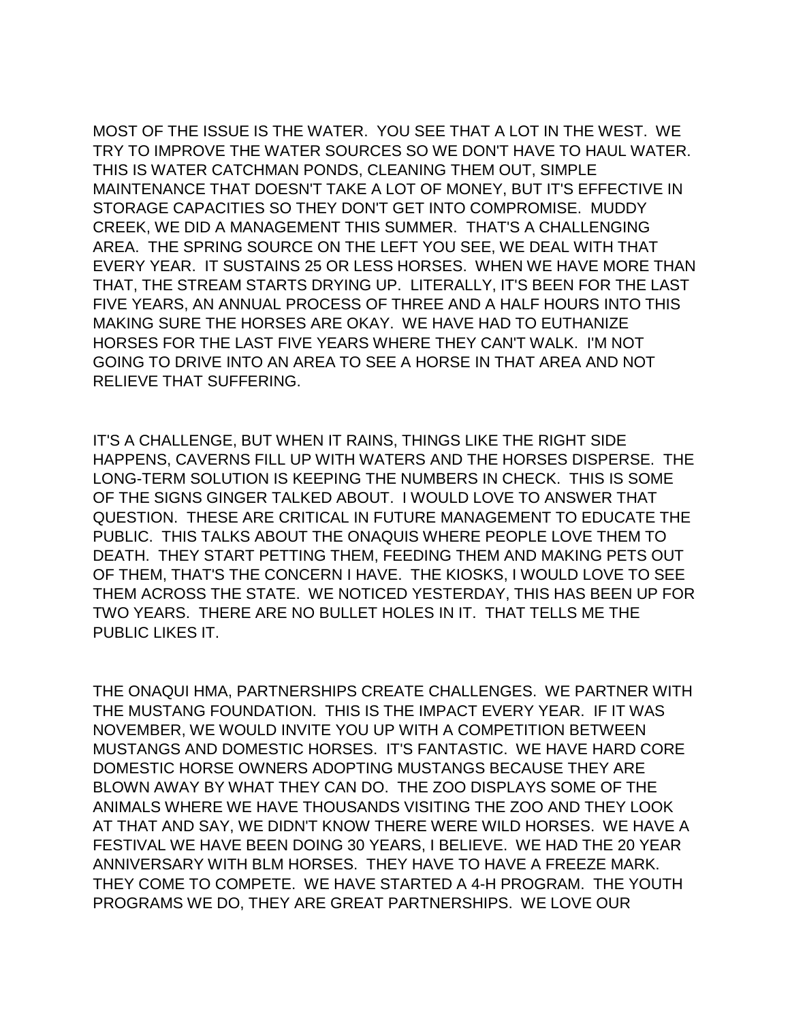MOST OF THE ISSUE IS THE WATER. YOU SEE THAT A LOT IN THE WEST. WE TRY TO IMPROVE THE WATER SOURCES SO WE DON'T HAVE TO HAUL WATER. THIS IS WATER CATCHMAN PONDS, CLEANING THEM OUT, SIMPLE MAINTENANCE THAT DOESN'T TAKE A LOT OF MONEY, BUT IT'S EFFECTIVE IN STORAGE CAPACITIES SO THEY DON'T GET INTO COMPROMISE. MUDDY CREEK, WE DID A MANAGEMENT THIS SUMMER. THAT'S A CHALLENGING AREA. THE SPRING SOURCE ON THE LEFT YOU SEE, WE DEAL WITH THAT EVERY YEAR. IT SUSTAINS 25 OR LESS HORSES. WHEN WE HAVE MORE THAN THAT, THE STREAM STARTS DRYING UP. LITERALLY, IT'S BEEN FOR THE LAST FIVE YEARS, AN ANNUAL PROCESS OF THREE AND A HALF HOURS INTO THIS MAKING SURE THE HORSES ARE OKAY. WE HAVE HAD TO EUTHANIZE HORSES FOR THE LAST FIVE YEARS WHERE THEY CAN'T WALK. I'M NOT GOING TO DRIVE INTO AN AREA TO SEE A HORSE IN THAT AREA AND NOT RELIEVE THAT SUFFERING.

IT'S A CHALLENGE, BUT WHEN IT RAINS, THINGS LIKE THE RIGHT SIDE HAPPENS, CAVERNS FILL UP WITH WATERS AND THE HORSES DISPERSE. THE LONG-TERM SOLUTION IS KEEPING THE NUMBERS IN CHECK. THIS IS SOME OF THE SIGNS GINGER TALKED ABOUT. I WOULD LOVE TO ANSWER THAT QUESTION. THESE ARE CRITICAL IN FUTURE MANAGEMENT TO EDUCATE THE PUBLIC. THIS TALKS ABOUT THE ONAQUIS WHERE PEOPLE LOVE THEM TO DEATH. THEY START PETTING THEM, FEEDING THEM AND MAKING PETS OUT OF THEM, THAT'S THE CONCERN I HAVE. THE KIOSKS, I WOULD LOVE TO SEE THEM ACROSS THE STATE. WE NOTICED YESTERDAY, THIS HAS BEEN UP FOR TWO YEARS. THERE ARE NO BULLET HOLES IN IT. THAT TELLS ME THE PUBLIC LIKES IT.

THE ONAQUI HMA, PARTNERSHIPS CREATE CHALLENGES. WE PARTNER WITH THE MUSTANG FOUNDATION. THIS IS THE IMPACT EVERY YEAR. IF IT WAS NOVEMBER, WE WOULD INVITE YOU UP WITH A COMPETITION BETWEEN MUSTANGS AND DOMESTIC HORSES. IT'S FANTASTIC. WE HAVE HARD CORE DOMESTIC HORSE OWNERS ADOPTING MUSTANGS BECAUSE THEY ARE BLOWN AWAY BY WHAT THEY CAN DO. THE ZOO DISPLAYS SOME OF THE ANIMALS WHERE WE HAVE THOUSANDS VISITING THE ZOO AND THEY LOOK AT THAT AND SAY, WE DIDN'T KNOW THERE WERE WILD HORSES. WE HAVE A FESTIVAL WE HAVE BEEN DOING 30 YEARS, I BELIEVE. WE HAD THE 20 YEAR ANNIVERSARY WITH BLM HORSES. THEY HAVE TO HAVE A FREEZE MARK. THEY COME TO COMPETE. WE HAVE STARTED A 4-H PROGRAM. THE YOUTH PROGRAMS WE DO, THEY ARE GREAT PARTNERSHIPS. WE LOVE OUR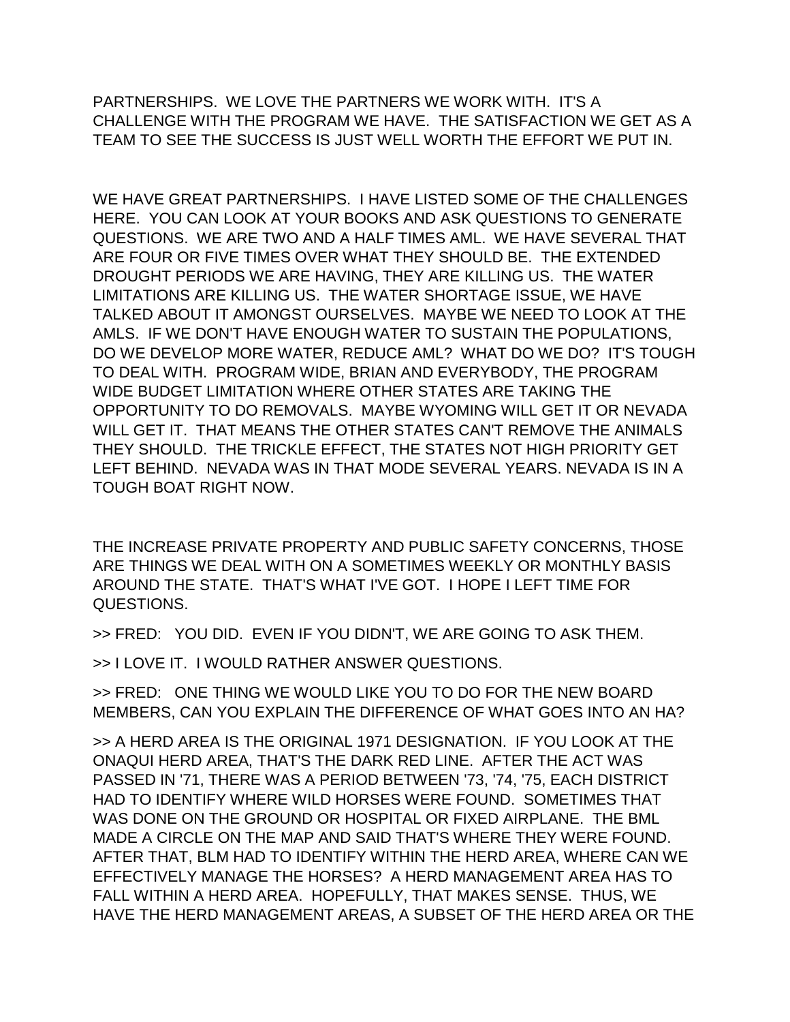PARTNERSHIPS. WE LOVE THE PARTNERS WE WORK WITH. IT'S A CHALLENGE WITH THE PROGRAM WE HAVE. THE SATISFACTION WE GET AS A TEAM TO SEE THE SUCCESS IS JUST WELL WORTH THE EFFORT WE PUT IN.

WE HAVE GREAT PARTNERSHIPS. I HAVE LISTED SOME OF THE CHALLENGES HERE. YOU CAN LOOK AT YOUR BOOKS AND ASK QUESTIONS TO GENERATE QUESTIONS. WE ARE TWO AND A HALF TIMES AML. WE HAVE SEVERAL THAT ARE FOUR OR FIVE TIMES OVER WHAT THEY SHOULD BE. THE EXTENDED DROUGHT PERIODS WE ARE HAVING, THEY ARE KILLING US. THE WATER LIMITATIONS ARE KILLING US. THE WATER SHORTAGE ISSUE, WE HAVE TALKED ABOUT IT AMONGST OURSELVES. MAYBE WE NEED TO LOOK AT THE AMLS. IF WE DON'T HAVE ENOUGH WATER TO SUSTAIN THE POPULATIONS, DO WE DEVELOP MORE WATER, REDUCE AML? WHAT DO WE DO? IT'S TOUGH TO DEAL WITH. PROGRAM WIDE, BRIAN AND EVERYBODY, THE PROGRAM WIDE BUDGET LIMITATION WHERE OTHER STATES ARE TAKING THE OPPORTUNITY TO DO REMOVALS. MAYBE WYOMING WILL GET IT OR NEVADA WILL GET IT. THAT MEANS THE OTHER STATES CAN'T REMOVE THE ANIMALS THEY SHOULD. THE TRICKLE EFFECT, THE STATES NOT HIGH PRIORITY GET LEFT BEHIND. NEVADA WAS IN THAT MODE SEVERAL YEARS. NEVADA IS IN A TOUGH BOAT RIGHT NOW.

THE INCREASE PRIVATE PROPERTY AND PUBLIC SAFETY CONCERNS, THOSE ARE THINGS WE DEAL WITH ON A SOMETIMES WEEKLY OR MONTHLY BASIS AROUND THE STATE. THAT'S WHAT I'VE GOT. I HOPE I LEFT TIME FOR QUESTIONS.

>> FRED: YOU DID. EVEN IF YOU DIDN'T, WE ARE GOING TO ASK THEM.

>> I LOVE IT. I WOULD RATHER ANSWER QUESTIONS.

>> FRED: ONE THING WE WOULD LIKE YOU TO DO FOR THE NEW BOARD MEMBERS, CAN YOU EXPLAIN THE DIFFERENCE OF WHAT GOES INTO AN HA?

>> A HERD AREA IS THE ORIGINAL 1971 DESIGNATION. IF YOU LOOK AT THE ONAQUI HERD AREA, THAT'S THE DARK RED LINE. AFTER THE ACT WAS PASSED IN '71, THERE WAS A PERIOD BETWEEN '73, '74, '75, EACH DISTRICT HAD TO IDENTIFY WHERE WILD HORSES WERE FOUND. SOMETIMES THAT WAS DONE ON THE GROUND OR HOSPITAL OR FIXED AIRPLANE. THE BML MADE A CIRCLE ON THE MAP AND SAID THAT'S WHERE THEY WERE FOUND. AFTER THAT, BLM HAD TO IDENTIFY WITHIN THE HERD AREA, WHERE CAN WE EFFECTIVELY MANAGE THE HORSES? A HERD MANAGEMENT AREA HAS TO FALL WITHIN A HERD AREA. HOPEFULLY, THAT MAKES SENSE. THUS, WE HAVE THE HERD MANAGEMENT AREAS, A SUBSET OF THE HERD AREA OR THE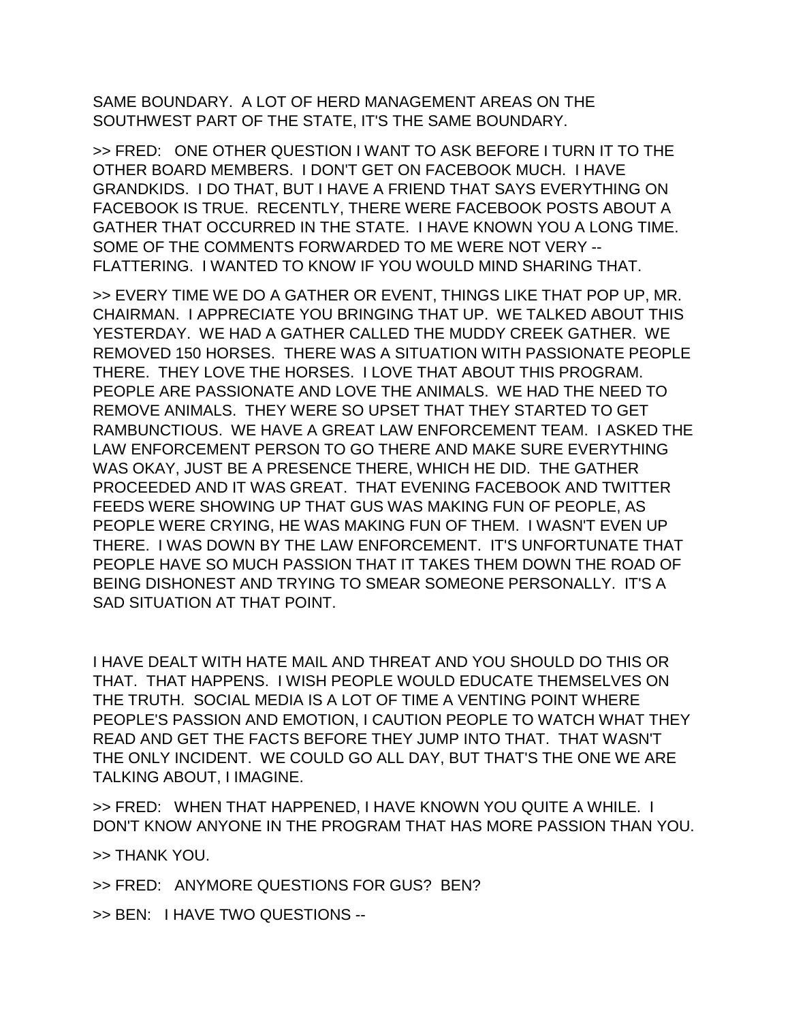SAME BOUNDARY. A LOT OF HERD MANAGEMENT AREAS ON THE SOUTHWEST PART OF THE STATE, IT'S THE SAME BOUNDARY.

>> FRED: ONE OTHER QUESTION I WANT TO ASK BEFORE I TURN IT TO THE OTHER BOARD MEMBERS. I DON'T GET ON FACEBOOK MUCH. I HAVE GRANDKIDS. I DO THAT, BUT I HAVE A FRIEND THAT SAYS EVERYTHING ON FACEBOOK IS TRUE. RECENTLY, THERE WERE FACEBOOK POSTS ABOUT A GATHER THAT OCCURRED IN THE STATE. I HAVE KNOWN YOU A LONG TIME. SOME OF THE COMMENTS FORWARDED TO ME WERE NOT VERY -- FLATTERING. I WANTED TO KNOW IF YOU WOULD MIND SHARING THAT.

>> EVERY TIME WE DO A GATHER OR EVENT, THINGS LIKE THAT POP UP, MR. CHAIRMAN. I APPRECIATE YOU BRINGING THAT UP. WE TALKED ABOUT THIS YESTERDAY. WE HAD A GATHER CALLED THE MUDDY CREEK GATHER. WE REMOVED 150 HORSES. THERE WAS A SITUATION WITH PASSIONATE PEOPLE THERE. THEY LOVE THE HORSES. I LOVE THAT ABOUT THIS PROGRAM. PEOPLE ARE PASSIONATE AND LOVE THE ANIMALS. WE HAD THE NEED TO REMOVE ANIMALS. THEY WERE SO UPSET THAT THEY STARTED TO GET RAMBUNCTIOUS. WE HAVE A GREAT LAW ENFORCEMENT TEAM. I ASKED THE LAW ENFORCEMENT PERSON TO GO THERE AND MAKE SURE EVERYTHING WAS OKAY, JUST BE A PRESENCE THERE, WHICH HE DID. THE GATHER PROCEEDED AND IT WAS GREAT. THAT EVENING FACEBOOK AND TWITTER FEEDS WERE SHOWING UP THAT GUS WAS MAKING FUN OF PEOPLE, AS PEOPLE WERE CRYING, HE WAS MAKING FUN OF THEM. I WASN'T EVEN UP THERE. I WAS DOWN BY THE LAW ENFORCEMENT. IT'S UNFORTUNATE THAT PEOPLE HAVE SO MUCH PASSION THAT IT TAKES THEM DOWN THE ROAD OF BEING DISHONEST AND TRYING TO SMEAR SOMEONE PERSONALLY. IT'S A SAD SITUATION AT THAT POINT.

I HAVE DEALT WITH HATE MAIL AND THREAT AND YOU SHOULD DO THIS OR THAT. THAT HAPPENS. I WISH PEOPLE WOULD EDUCATE THEMSELVES ON THE TRUTH. SOCIAL MEDIA IS A LOT OF TIME A VENTING POINT WHERE PEOPLE'S PASSION AND EMOTION, I CAUTION PEOPLE TO WATCH WHAT THEY READ AND GET THE FACTS BEFORE THEY JUMP INTO THAT. THAT WASN'T THE ONLY INCIDENT. WE COULD GO ALL DAY, BUT THAT'S THE ONE WE ARE TALKING ABOUT, I IMAGINE.

>> FRED: WHEN THAT HAPPENED, I HAVE KNOWN YOU QUITE A WHILE. I DON'T KNOW ANYONE IN THE PROGRAM THAT HAS MORE PASSION THAN YOU.

>> THANK YOU.

>> FRED: ANYMORE QUESTIONS FOR GUS? BEN?

>> BEN: I HAVE TWO QUESTIONS --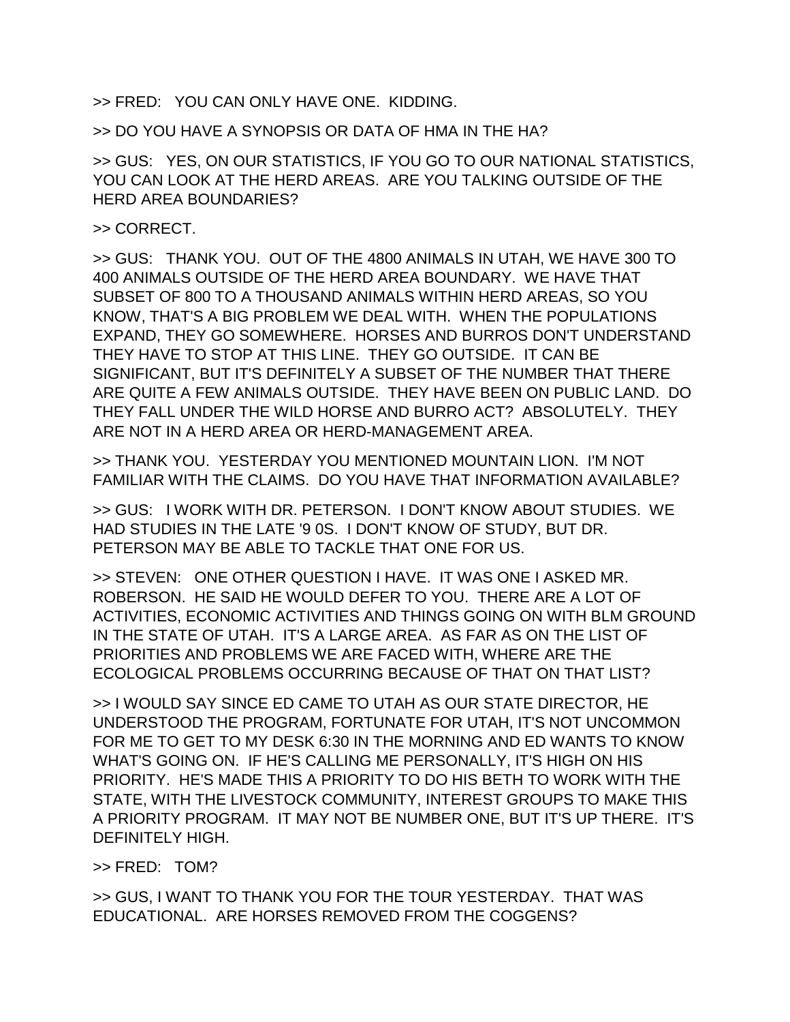>> FRED: YOU CAN ONLY HAVE ONE. KIDDING.

>> DO YOU HAVE A SYNOPSIS OR DATA OF HMA IN THE HA?

>> GUS: YES, ON OUR STATISTICS, IF YOU GO TO OUR NATIONAL STATISTICS, YOU CAN LOOK AT THE HERD AREAS. ARE YOU TALKING OUTSIDE OF THE HERD AREA BOUNDARIES?

>> CORRECT.

>> GUS: THANK YOU. OUT OF THE 4800 ANIMALS IN UTAH, WE HAVE 300 TO 400 ANIMALS OUTSIDE OF THE HERD AREA BOUNDARY. WE HAVE THAT SUBSET OF 800 TO A THOUSAND ANIMALS WITHIN HERD AREAS, SO YOU KNOW, THAT'S A BIG PROBLEM WE DEAL WITH. WHEN THE POPULATIONS EXPAND, THEY GO SOMEWHERE. HORSES AND BURROS DON'T UNDERSTAND THEY HAVE TO STOP AT THIS LINE. THEY GO OUTSIDE. IT CAN BE SIGNIFICANT, BUT IT'S DEFINITELY A SUBSET OF THE NUMBER THAT THERE ARE QUITE A FEW ANIMALS OUTSIDE. THEY HAVE BEEN ON PUBLIC LAND. DO THEY FALL UNDER THE WILD HORSE AND BURRO ACT? ABSOLUTELY. THEY ARE NOT IN A HERD AREA OR HERD-MANAGEMENT AREA.

>> THANK YOU. YESTERDAY YOU MENTIONED MOUNTAIN LION. I'M NOT FAMILIAR WITH THE CLAIMS. DO YOU HAVE THAT INFORMATION AVAILABLE?

>> GUS: I WORK WITH DR. PETERSON. I DON'T KNOW ABOUT STUDIES. WE HAD STUDIES IN THE LATE '9 0S. I DON'T KNOW OF STUDY, BUT DR. PETERSON MAY BE ABLE TO TACKLE THAT ONE FOR US.

>> STEVEN: ONE OTHER QUESTION I HAVE. IT WAS ONE I ASKED MR. ROBERSON. HE SAID HE WOULD DEFER TO YOU. THERE ARE A LOT OF ACTIVITIES, ECONOMIC ACTIVITIES AND THINGS GOING ON WITH BLM GROUND IN THE STATE OF UTAH. IT'S A LARGE AREA. AS FAR AS ON THE LIST OF PRIORITIES AND PROBLEMS WE ARE FACED WITH, WHERE ARE THE ECOLOGICAL PROBLEMS OCCURRING BECAUSE OF THAT ON THAT LIST?

>> I WOULD SAY SINCE ED CAME TO UTAH AS OUR STATE DIRECTOR, HE UNDERSTOOD THE PROGRAM, FORTUNATE FOR UTAH, IT'S NOT UNCOMMON FOR ME TO GET TO MY DESK 6:30 IN THE MORNING AND ED WANTS TO KNOW WHAT'S GOING ON. IF HE'S CALLING ME PERSONALLY, IT'S HIGH ON HIS PRIORITY. HE'S MADE THIS A PRIORITY TO DO HIS BETH TO WORK WITH THE STATE, WITH THE LIVESTOCK COMMUNITY, INTEREST GROUPS TO MAKE THIS A PRIORITY PROGRAM. IT MAY NOT BE NUMBER ONE, BUT IT'S UP THERE. IT'S DEFINITELY HIGH.

>> FRED: TOM?

>> GUS, I WANT TO THANK YOU FOR THE TOUR YESTERDAY. THAT WAS EDUCATIONAL. ARE HORSES REMOVED FROM THE COGGENS?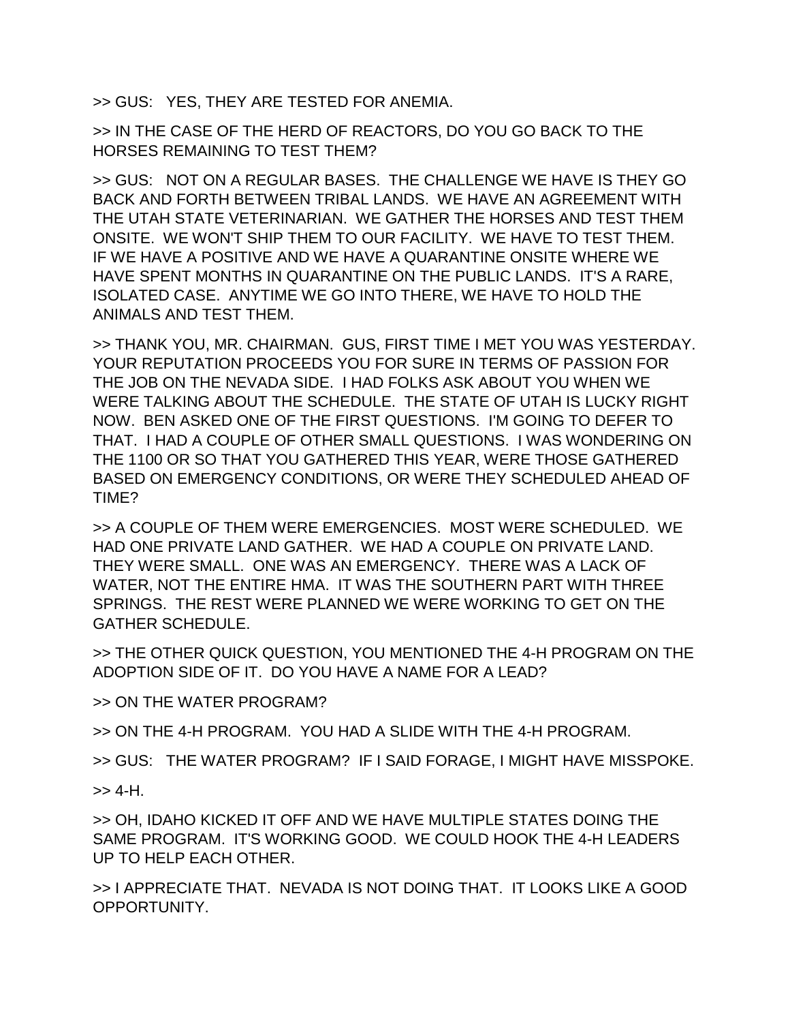>> GUS: YES, THEY ARE TESTED FOR ANEMIA.

>> IN THE CASE OF THE HERD OF REACTORS, DO YOU GO BACK TO THE HORSES REMAINING TO TEST THEM?

>> GUS: NOT ON A REGULAR BASES. THE CHALLENGE WE HAVE IS THEY GO BACK AND FORTH BETWEEN TRIBAL LANDS. WE HAVE AN AGREEMENT WITH THE UTAH STATE VETERINARIAN. WE GATHER THE HORSES AND TEST THEM ONSITE. WE WON'T SHIP THEM TO OUR FACILITY. WE HAVE TO TEST THEM. IF WE HAVE A POSITIVE AND WE HAVE A QUARANTINE ONSITE WHERE WE HAVE SPENT MONTHS IN QUARANTINE ON THE PUBLIC LANDS. IT'S A RARE, ISOLATED CASE. ANYTIME WE GO INTO THERE, WE HAVE TO HOLD THE ANIMALS AND TEST THEM.

>> THANK YOU, MR. CHAIRMAN. GUS, FIRST TIME I MET YOU WAS YESTERDAY. YOUR REPUTATION PROCEEDS YOU FOR SURE IN TERMS OF PASSION FOR THE JOB ON THE NEVADA SIDE. I HAD FOLKS ASK ABOUT YOU WHEN WE WERE TALKING ABOUT THE SCHEDULE. THE STATE OF UTAH IS LUCKY RIGHT NOW. BEN ASKED ONE OF THE FIRST QUESTIONS. I'M GOING TO DEFER TO THAT. I HAD A COUPLE OF OTHER SMALL QUESTIONS. I WAS WONDERING ON THE 1100 OR SO THAT YOU GATHERED THIS YEAR, WERE THOSE GATHERED BASED ON EMERGENCY CONDITIONS, OR WERE THEY SCHEDULED AHEAD OF TIME?

>> A COUPLE OF THEM WERE EMERGENCIES. MOST WERE SCHEDULED. WE HAD ONE PRIVATE LAND GATHER. WE HAD A COUPLE ON PRIVATE LAND. THEY WERE SMALL. ONE WAS AN EMERGENCY. THERE WAS A LACK OF WATER, NOT THE ENTIRE HMA. IT WAS THE SOUTHERN PART WITH THREE SPRINGS. THE REST WERE PLANNED WE WERE WORKING TO GET ON THE GATHER SCHEDULE.

>> THE OTHER QUICK QUESTION, YOU MENTIONED THE 4-H PROGRAM ON THE ADOPTION SIDE OF IT. DO YOU HAVE A NAME FOR A LEAD?

>> ON THE WATER PROGRAM?

>> ON THE 4-H PROGRAM. YOU HAD A SLIDE WITH THE 4-H PROGRAM.

>> GUS: THE WATER PROGRAM? IF I SAID FORAGE, I MIGHT HAVE MISSPOKE.

 $>> 4-H$ .

>> OH, IDAHO KICKED IT OFF AND WE HAVE MULTIPLE STATES DOING THE SAME PROGRAM. IT'S WORKING GOOD. WE COULD HOOK THE 4-H LEADERS UP TO HELP EACH OTHER.

>> I APPRECIATE THAT. NEVADA IS NOT DOING THAT. IT LOOKS LIKE A GOOD OPPORTUNITY.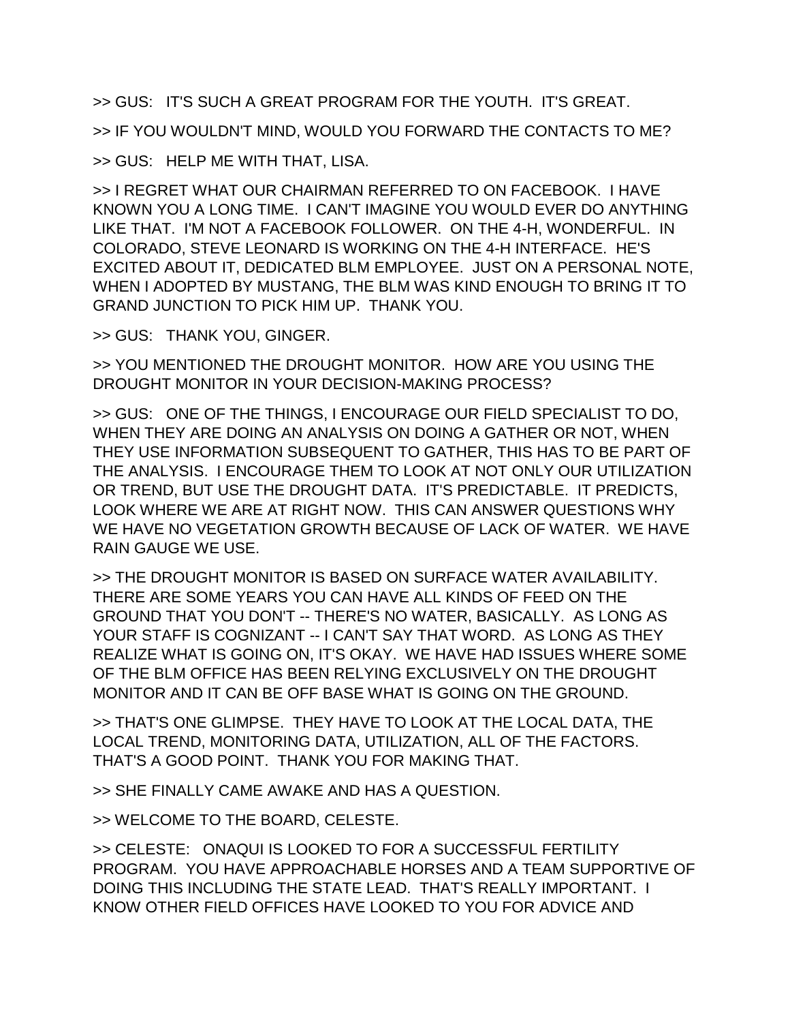>> GUS: IT'S SUCH A GREAT PROGRAM FOR THE YOUTH. IT'S GREAT. >> IF YOU WOULDN'T MIND, WOULD YOU FORWARD THE CONTACTS TO ME? >> GUS: HELP ME WITH THAT, LISA.

>> I REGRET WHAT OUR CHAIRMAN REFERRED TO ON FACEBOOK. I HAVE KNOWN YOU A LONG TIME. I CAN'T IMAGINE YOU WOULD EVER DO ANYTHING LIKE THAT. I'M NOT A FACEBOOK FOLLOWER. ON THE 4-H, WONDERFUL. IN COLORADO, STEVE LEONARD IS WORKING ON THE 4-H INTERFACE. HE'S EXCITED ABOUT IT, DEDICATED BLM EMPLOYEE. JUST ON A PERSONAL NOTE, WHEN I ADOPTED BY MUSTANG, THE BLM WAS KIND ENOUGH TO BRING IT TO GRAND JUNCTION TO PICK HIM UP. THANK YOU.

>> GUS: THANK YOU, GINGER.

>> YOU MENTIONED THE DROUGHT MONITOR. HOW ARE YOU USING THE DROUGHT MONITOR IN YOUR DECISION-MAKING PROCESS?

>> GUS: ONE OF THE THINGS, I ENCOURAGE OUR FIELD SPECIALIST TO DO, WHEN THEY ARE DOING AN ANALYSIS ON DOING A GATHER OR NOT, WHEN THEY USE INFORMATION SUBSEQUENT TO GATHER, THIS HAS TO BE PART OF THE ANALYSIS. I ENCOURAGE THEM TO LOOK AT NOT ONLY OUR UTILIZATION OR TREND, BUT USE THE DROUGHT DATA. IT'S PREDICTABLE. IT PREDICTS, LOOK WHERE WE ARE AT RIGHT NOW. THIS CAN ANSWER QUESTIONS WHY WE HAVE NO VEGETATION GROWTH BECAUSE OF LACK OF WATER. WE HAVE RAIN GAUGE WE USE.

>> THE DROUGHT MONITOR IS BASED ON SURFACE WATER AVAILABILITY. THERE ARE SOME YEARS YOU CAN HAVE ALL KINDS OF FEED ON THE GROUND THAT YOU DON'T -- THERE'S NO WATER, BASICALLY. AS LONG AS YOUR STAFF IS COGNIZANT -- I CAN'T SAY THAT WORD. AS LONG AS THEY REALIZE WHAT IS GOING ON, IT'S OKAY. WE HAVE HAD ISSUES WHERE SOME OF THE BLM OFFICE HAS BEEN RELYING EXCLUSIVELY ON THE DROUGHT MONITOR AND IT CAN BE OFF BASE WHAT IS GOING ON THE GROUND.

>> THAT'S ONE GLIMPSE. THEY HAVE TO LOOK AT THE LOCAL DATA, THE LOCAL TREND, MONITORING DATA, UTILIZATION, ALL OF THE FACTORS. THAT'S A GOOD POINT. THANK YOU FOR MAKING THAT.

>> SHE FINALLY CAME AWAKE AND HAS A QUESTION.

>> WELCOME TO THE BOARD, CELESTE.

>> CELESTE: ONAQUI IS LOOKED TO FOR A SUCCESSFUL FERTILITY PROGRAM. YOU HAVE APPROACHABLE HORSES AND A TEAM SUPPORTIVE OF DOING THIS INCLUDING THE STATE LEAD. THAT'S REALLY IMPORTANT. I KNOW OTHER FIELD OFFICES HAVE LOOKED TO YOU FOR ADVICE AND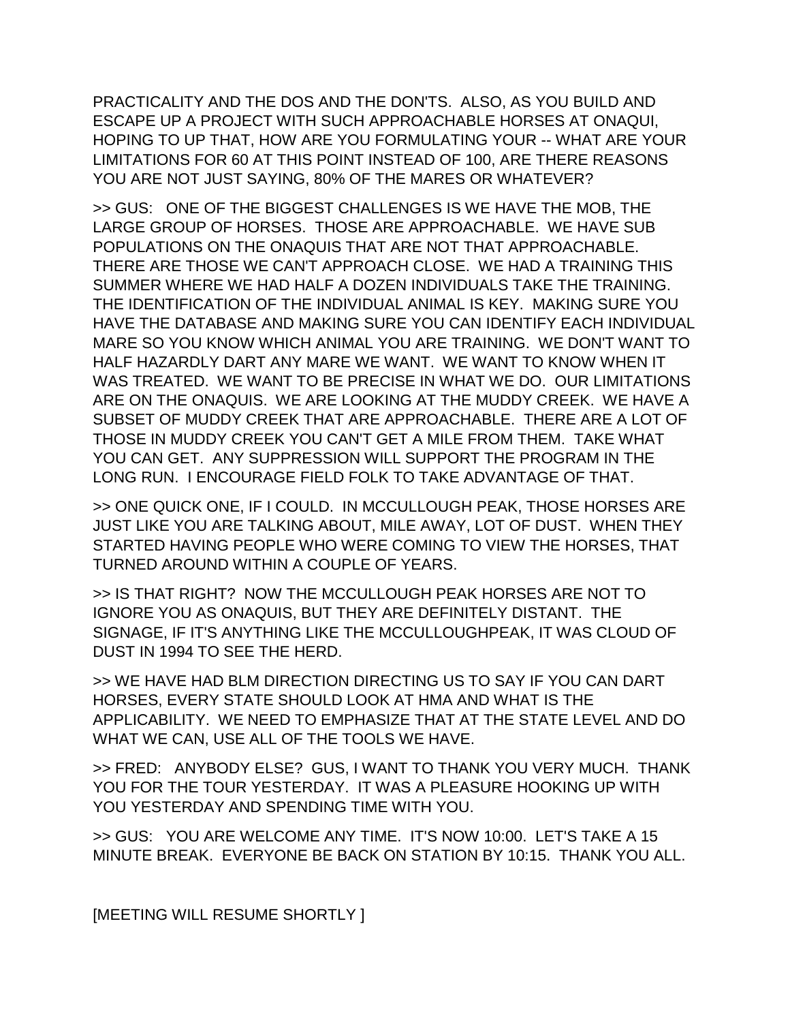PRACTICALITY AND THE DOS AND THE DON'TS. ALSO, AS YOU BUILD AND ESCAPE UP A PROJECT WITH SUCH APPROACHABLE HORSES AT ONAQUI, HOPING TO UP THAT, HOW ARE YOU FORMULATING YOUR -- WHAT ARE YOUR LIMITATIONS FOR 60 AT THIS POINT INSTEAD OF 100, ARE THERE REASONS YOU ARE NOT JUST SAYING, 80% OF THE MARES OR WHATEVER?

>> GUS: ONE OF THE BIGGEST CHALLENGES IS WE HAVE THE MOB, THE LARGE GROUP OF HORSES. THOSE ARE APPROACHABLE. WE HAVE SUB POPULATIONS ON THE ONAQUIS THAT ARE NOT THAT APPROACHABLE. THERE ARE THOSE WE CAN'T APPROACH CLOSE. WE HAD A TRAINING THIS SUMMER WHERE WE HAD HALF A DOZEN INDIVIDUALS TAKE THE TRAINING. THE IDENTIFICATION OF THE INDIVIDUAL ANIMAL IS KEY. MAKING SURE YOU HAVE THE DATABASE AND MAKING SURE YOU CAN IDENTIFY EACH INDIVIDUAL MARE SO YOU KNOW WHICH ANIMAL YOU ARE TRAINING. WE DON'T WANT TO HALF HAZARDLY DART ANY MARE WE WANT. WE WANT TO KNOW WHEN IT WAS TREATED. WE WANT TO BE PRECISE IN WHAT WE DO. OUR LIMITATIONS ARE ON THE ONAQUIS. WE ARE LOOKING AT THE MUDDY CREEK. WE HAVE A SUBSET OF MUDDY CREEK THAT ARE APPROACHABLE. THERE ARE A LOT OF THOSE IN MUDDY CREEK YOU CAN'T GET A MILE FROM THEM. TAKE WHAT YOU CAN GET. ANY SUPPRESSION WILL SUPPORT THE PROGRAM IN THE LONG RUN. I ENCOURAGE FIELD FOLK TO TAKE ADVANTAGE OF THAT.

>> ONE QUICK ONE, IF I COULD. IN MCCULLOUGH PEAK, THOSE HORSES ARE JUST LIKE YOU ARE TALKING ABOUT, MILE AWAY, LOT OF DUST. WHEN THEY STARTED HAVING PEOPLE WHO WERE COMING TO VIEW THE HORSES, THAT TURNED AROUND WITHIN A COUPLE OF YEARS.

>> IS THAT RIGHT? NOW THE MCCULLOUGH PEAK HORSES ARE NOT TO IGNORE YOU AS ONAQUIS, BUT THEY ARE DEFINITELY DISTANT. THE SIGNAGE, IF IT'S ANYTHING LIKE THE MCCULLOUGHPEAK, IT WAS CLOUD OF DUST IN 1994 TO SEE THE HERD.

>> WE HAVE HAD BLM DIRECTION DIRECTING US TO SAY IF YOU CAN DART HORSES, EVERY STATE SHOULD LOOK AT HMA AND WHAT IS THE APPLICABILITY. WE NEED TO EMPHASIZE THAT AT THE STATE LEVEL AND DO WHAT WE CAN, USE ALL OF THE TOOLS WE HAVE.

>> FRED: ANYBODY ELSE? GUS, I WANT TO THANK YOU VERY MUCH. THANK YOU FOR THE TOUR YESTERDAY. IT WAS A PLEASURE HOOKING UP WITH YOU YESTERDAY AND SPENDING TIME WITH YOU.

>> GUS: YOU ARE WELCOME ANY TIME. IT'S NOW 10:00. LET'S TAKE A 15 MINUTE BREAK. EVERYONE BE BACK ON STATION BY 10:15. THANK YOU ALL.

[MEETING WILL RESUME SHORTLY ]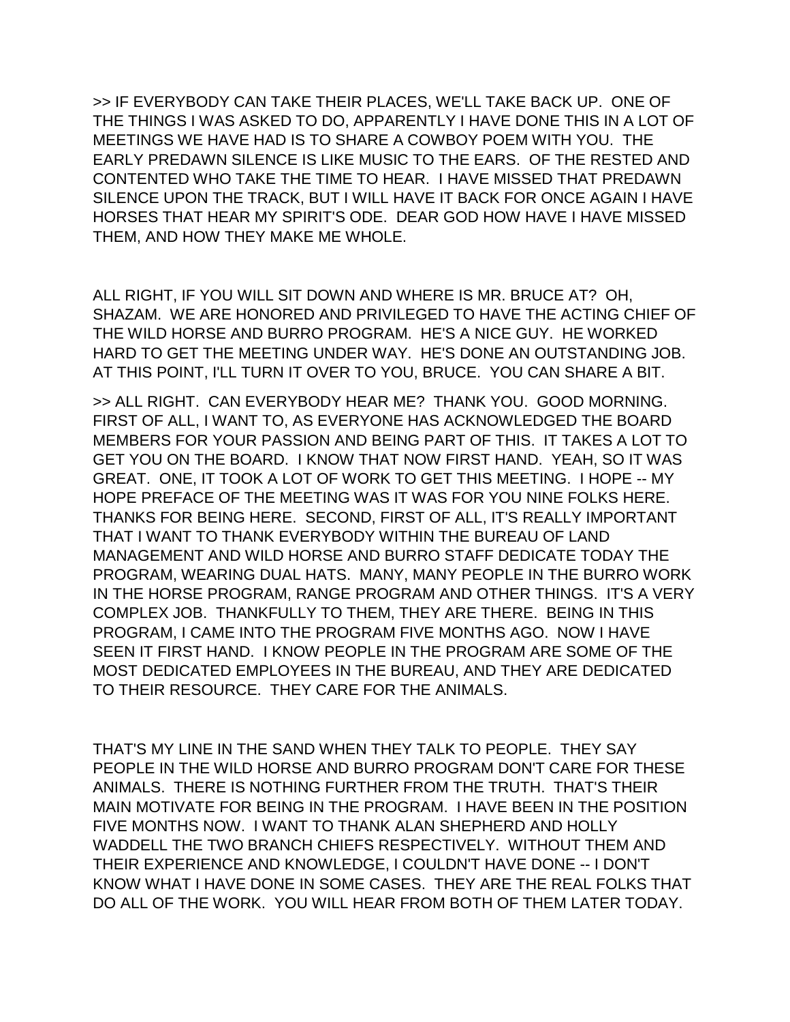>> IF EVERYBODY CAN TAKE THEIR PLACES, WE'LL TAKE BACK UP. ONE OF THE THINGS I WAS ASKED TO DO, APPARENTLY I HAVE DONE THIS IN A LOT OF MEETINGS WE HAVE HAD IS TO SHARE A COWBOY POEM WITH YOU. THE EARLY PREDAWN SILENCE IS LIKE MUSIC TO THE EARS. OF THE RESTED AND CONTENTED WHO TAKE THE TIME TO HEAR. I HAVE MISSED THAT PREDAWN SILENCE UPON THE TRACK, BUT I WILL HAVE IT BACK FOR ONCE AGAIN I HAVE HORSES THAT HEAR MY SPIRIT'S ODE. DEAR GOD HOW HAVE I HAVE MISSED THEM, AND HOW THEY MAKE ME WHOLE.

ALL RIGHT, IF YOU WILL SIT DOWN AND WHERE IS MR. BRUCE AT? OH, SHAZAM. WE ARE HONORED AND PRIVILEGED TO HAVE THE ACTING CHIEF OF THE WILD HORSE AND BURRO PROGRAM. HE'S A NICE GUY. HE WORKED HARD TO GET THE MEETING UNDER WAY. HE'S DONE AN OUTSTANDING JOB. AT THIS POINT, I'LL TURN IT OVER TO YOU, BRUCE. YOU CAN SHARE A BIT.

>> ALL RIGHT. CAN EVERYBODY HEAR ME? THANK YOU. GOOD MORNING. FIRST OF ALL, I WANT TO, AS EVERYONE HAS ACKNOWLEDGED THE BOARD MEMBERS FOR YOUR PASSION AND BEING PART OF THIS. IT TAKES A LOT TO GET YOU ON THE BOARD. I KNOW THAT NOW FIRST HAND. YEAH, SO IT WAS GREAT. ONE, IT TOOK A LOT OF WORK TO GET THIS MEETING. I HOPE -- MY HOPE PREFACE OF THE MEETING WAS IT WAS FOR YOU NINE FOLKS HERE. THANKS FOR BEING HERE. SECOND, FIRST OF ALL, IT'S REALLY IMPORTANT THAT I WANT TO THANK EVERYBODY WITHIN THE BUREAU OF LAND MANAGEMENT AND WILD HORSE AND BURRO STAFF DEDICATE TODAY THE PROGRAM, WEARING DUAL HATS. MANY, MANY PEOPLE IN THE BURRO WORK IN THE HORSE PROGRAM, RANGE PROGRAM AND OTHER THINGS. IT'S A VERY COMPLEX JOB. THANKFULLY TO THEM, THEY ARE THERE. BEING IN THIS PROGRAM, I CAME INTO THE PROGRAM FIVE MONTHS AGO. NOW I HAVE SEEN IT FIRST HAND. I KNOW PEOPLE IN THE PROGRAM ARE SOME OF THE MOST DEDICATED EMPLOYEES IN THE BUREAU, AND THEY ARE DEDICATED TO THEIR RESOURCE. THEY CARE FOR THE ANIMALS.

THAT'S MY LINE IN THE SAND WHEN THEY TALK TO PEOPLE. THEY SAY PEOPLE IN THE WILD HORSE AND BURRO PROGRAM DON'T CARE FOR THESE ANIMALS. THERE IS NOTHING FURTHER FROM THE TRUTH. THAT'S THEIR MAIN MOTIVATE FOR BEING IN THE PROGRAM. I HAVE BEEN IN THE POSITION FIVE MONTHS NOW. I WANT TO THANK ALAN SHEPHERD AND HOLLY WADDELL THE TWO BRANCH CHIEFS RESPECTIVELY. WITHOUT THEM AND THEIR EXPERIENCE AND KNOWLEDGE, I COULDN'T HAVE DONE -- I DON'T KNOW WHAT I HAVE DONE IN SOME CASES. THEY ARE THE REAL FOLKS THAT DO ALL OF THE WORK. YOU WILL HEAR FROM BOTH OF THEM LATER TODAY.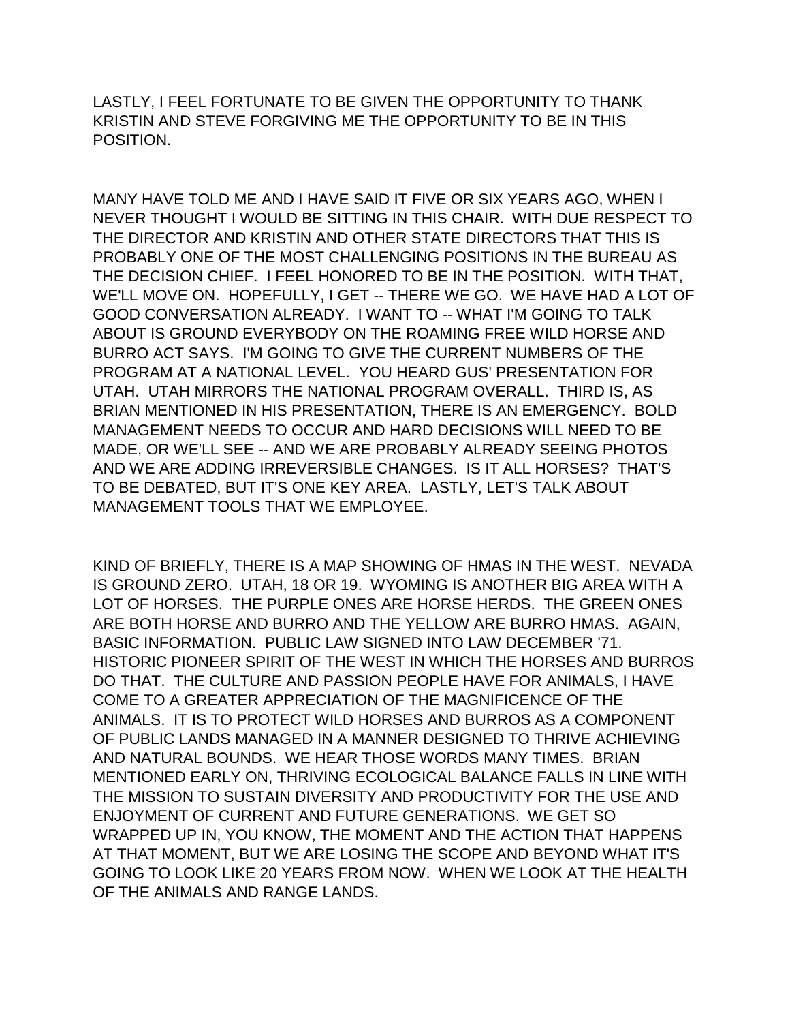LASTLY, I FEEL FORTUNATE TO BE GIVEN THE OPPORTUNITY TO THANK KRISTIN AND STEVE FORGIVING ME THE OPPORTUNITY TO BE IN THIS POSITION.

MANY HAVE TOLD ME AND I HAVE SAID IT FIVE OR SIX YEARS AGO, WHEN I NEVER THOUGHT I WOULD BE SITTING IN THIS CHAIR. WITH DUE RESPECT TO THE DIRECTOR AND KRISTIN AND OTHER STATE DIRECTORS THAT THIS IS PROBABLY ONE OF THE MOST CHALLENGING POSITIONS IN THE BUREAU AS THE DECISION CHIEF. I FEEL HONORED TO BE IN THE POSITION. WITH THAT, WE'LL MOVE ON. HOPEFULLY, I GET -- THERE WE GO. WE HAVE HAD A LOT OF GOOD CONVERSATION ALREADY. I WANT TO -- WHAT I'M GOING TO TALK ABOUT IS GROUND EVERYBODY ON THE ROAMING FREE WILD HORSE AND BURRO ACT SAYS. I'M GOING TO GIVE THE CURRENT NUMBERS OF THE PROGRAM AT A NATIONAL LEVEL. YOU HEARD GUS' PRESENTATION FOR UTAH. UTAH MIRRORS THE NATIONAL PROGRAM OVERALL. THIRD IS, AS BRIAN MENTIONED IN HIS PRESENTATION, THERE IS AN EMERGENCY. BOLD MANAGEMENT NEEDS TO OCCUR AND HARD DECISIONS WILL NEED TO BE MADE, OR WE'LL SEE -- AND WE ARE PROBABLY ALREADY SEEING PHOTOS AND WE ARE ADDING IRREVERSIBLE CHANGES. IS IT ALL HORSES? THAT'S TO BE DEBATED, BUT IT'S ONE KEY AREA. LASTLY, LET'S TALK ABOUT MANAGEMENT TOOLS THAT WE EMPLOYEE.

KIND OF BRIEFLY, THERE IS A MAP SHOWING OF HMAS IN THE WEST. NEVADA IS GROUND ZERO. UTAH, 18 OR 19. WYOMING IS ANOTHER BIG AREA WITH A LOT OF HORSES. THE PURPLE ONES ARE HORSE HERDS. THE GREEN ONES ARE BOTH HORSE AND BURRO AND THE YELLOW ARE BURRO HMAS. AGAIN, BASIC INFORMATION. PUBLIC LAW SIGNED INTO LAW DECEMBER '71. HISTORIC PIONEER SPIRIT OF THE WEST IN WHICH THE HORSES AND BURROS DO THAT. THE CULTURE AND PASSION PEOPLE HAVE FOR ANIMALS, I HAVE COME TO A GREATER APPRECIATION OF THE MAGNIFICENCE OF THE ANIMALS. IT IS TO PROTECT WILD HORSES AND BURROS AS A COMPONENT OF PUBLIC LANDS MANAGED IN A MANNER DESIGNED TO THRIVE ACHIEVING AND NATURAL BOUNDS. WE HEAR THOSE WORDS MANY TIMES. BRIAN MENTIONED EARLY ON, THRIVING ECOLOGICAL BALANCE FALLS IN LINE WITH THE MISSION TO SUSTAIN DIVERSITY AND PRODUCTIVITY FOR THE USE AND ENJOYMENT OF CURRENT AND FUTURE GENERATIONS. WE GET SO WRAPPED UP IN, YOU KNOW, THE MOMENT AND THE ACTION THAT HAPPENS AT THAT MOMENT, BUT WE ARE LOSING THE SCOPE AND BEYOND WHAT IT'S GOING TO LOOK LIKE 20 YEARS FROM NOW. WHEN WE LOOK AT THE HEALTH OF THE ANIMALS AND RANGE LANDS.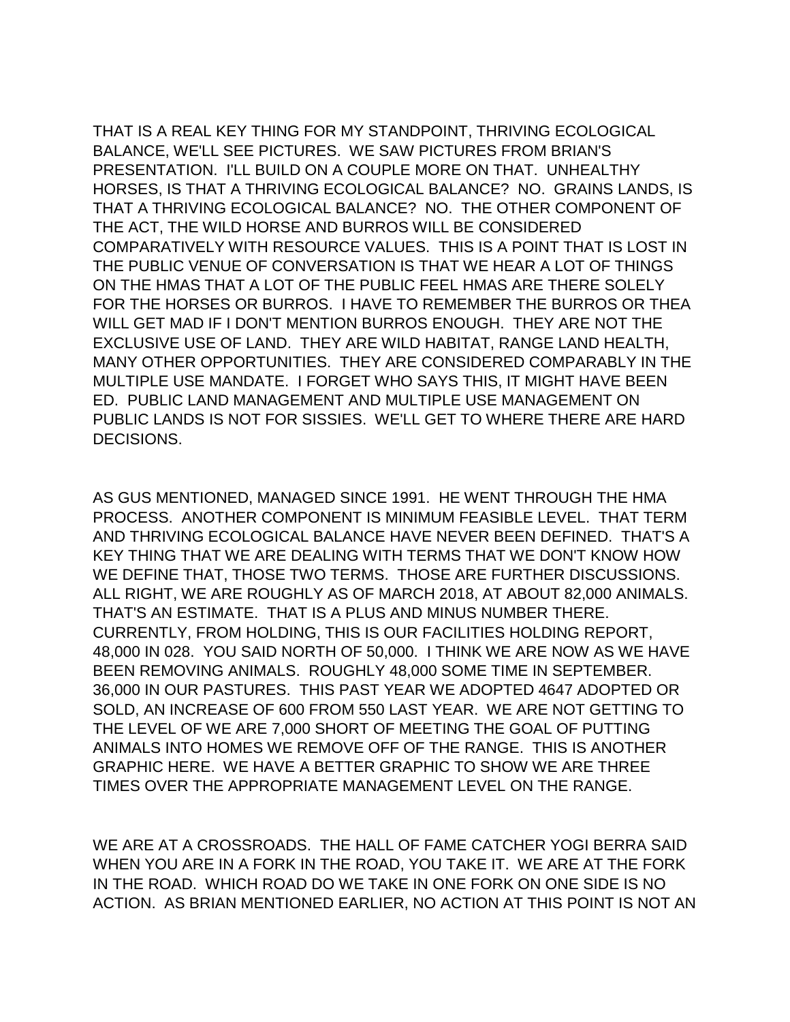THAT IS A REAL KEY THING FOR MY STANDPOINT, THRIVING ECOLOGICAL BALANCE, WE'LL SEE PICTURES. WE SAW PICTURES FROM BRIAN'S PRESENTATION. I'LL BUILD ON A COUPLE MORE ON THAT. UNHEALTHY HORSES, IS THAT A THRIVING ECOLOGICAL BALANCE? NO. GRAINS LANDS, IS THAT A THRIVING ECOLOGICAL BALANCE? NO. THE OTHER COMPONENT OF THE ACT, THE WILD HORSE AND BURROS WILL BE CONSIDERED COMPARATIVELY WITH RESOURCE VALUES. THIS IS A POINT THAT IS LOST IN THE PUBLIC VENUE OF CONVERSATION IS THAT WE HEAR A LOT OF THINGS ON THE HMAS THAT A LOT OF THE PUBLIC FEEL HMAS ARE THERE SOLELY FOR THE HORSES OR BURROS. I HAVE TO REMEMBER THE BURROS OR THEA WILL GET MAD IF I DON'T MENTION BURROS ENOUGH. THEY ARE NOT THE EXCLUSIVE USE OF LAND. THEY ARE WILD HABITAT, RANGE LAND HEALTH, MANY OTHER OPPORTUNITIES. THEY ARE CONSIDERED COMPARABLY IN THE MULTIPLE USE MANDATE. I FORGET WHO SAYS THIS, IT MIGHT HAVE BEEN ED. PUBLIC LAND MANAGEMENT AND MULTIPLE USE MANAGEMENT ON PUBLIC LANDS IS NOT FOR SISSIES. WE'LL GET TO WHERE THERE ARE HARD DECISIONS.

AS GUS MENTIONED, MANAGED SINCE 1991. HE WENT THROUGH THE HMA PROCESS. ANOTHER COMPONENT IS MINIMUM FEASIBLE LEVEL. THAT TERM AND THRIVING ECOLOGICAL BALANCE HAVE NEVER BEEN DEFINED. THAT'S A KEY THING THAT WE ARE DEALING WITH TERMS THAT WE DON'T KNOW HOW WE DEFINE THAT, THOSE TWO TERMS. THOSE ARE FURTHER DISCUSSIONS. ALL RIGHT, WE ARE ROUGHLY AS OF MARCH 2018, AT ABOUT 82,000 ANIMALS. THAT'S AN ESTIMATE. THAT IS A PLUS AND MINUS NUMBER THERE. CURRENTLY, FROM HOLDING, THIS IS OUR FACILITIES HOLDING REPORT, 48,000 IN 028. YOU SAID NORTH OF 50,000. I THINK WE ARE NOW AS WE HAVE BEEN REMOVING ANIMALS. ROUGHLY 48,000 SOME TIME IN SEPTEMBER. 36,000 IN OUR PASTURES. THIS PAST YEAR WE ADOPTED 4647 ADOPTED OR SOLD, AN INCREASE OF 600 FROM 550 LAST YEAR. WE ARE NOT GETTING TO THE LEVEL OF WE ARE 7,000 SHORT OF MEETING THE GOAL OF PUTTING ANIMALS INTO HOMES WE REMOVE OFF OF THE RANGE. THIS IS ANOTHER GRAPHIC HERE. WE HAVE A BETTER GRAPHIC TO SHOW WE ARE THREE TIMES OVER THE APPROPRIATE MANAGEMENT LEVEL ON THE RANGE.

WE ARE AT A CROSSROADS. THE HALL OF FAME CATCHER YOGI BERRA SAID WHEN YOU ARE IN A FORK IN THE ROAD, YOU TAKE IT. WE ARE AT THE FORK IN THE ROAD. WHICH ROAD DO WE TAKE IN ONE FORK ON ONE SIDE IS NO ACTION. AS BRIAN MENTIONED EARLIER, NO ACTION AT THIS POINT IS NOT AN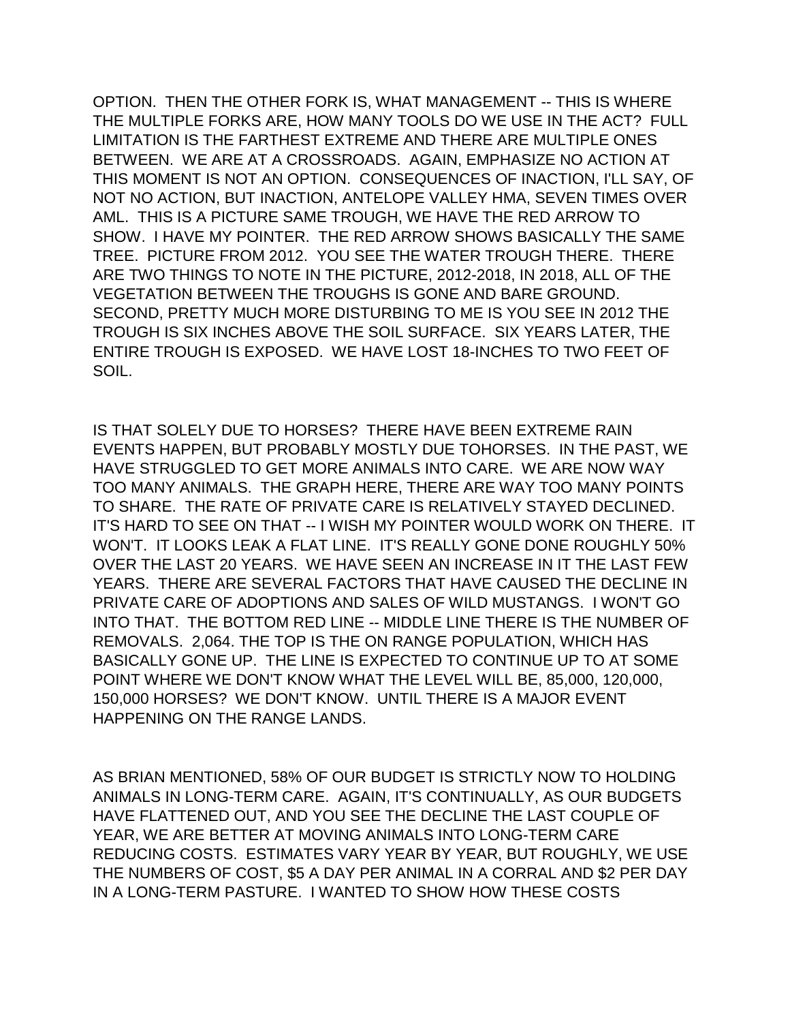OPTION. THEN THE OTHER FORK IS, WHAT MANAGEMENT -- THIS IS WHERE THE MULTIPLE FORKS ARE, HOW MANY TOOLS DO WE USE IN THE ACT? FULL LIMITATION IS THE FARTHEST EXTREME AND THERE ARE MULTIPLE ONES BETWEEN. WE ARE AT A CROSSROADS. AGAIN, EMPHASIZE NO ACTION AT THIS MOMENT IS NOT AN OPTION. CONSEQUENCES OF INACTION, I'LL SAY, OF NOT NO ACTION, BUT INACTION, ANTELOPE VALLEY HMA, SEVEN TIMES OVER AML. THIS IS A PICTURE SAME TROUGH, WE HAVE THE RED ARROW TO SHOW. I HAVE MY POINTER. THE RED ARROW SHOWS BASICALLY THE SAME TREE. PICTURE FROM 2012. YOU SEE THE WATER TROUGH THERE. THERE ARE TWO THINGS TO NOTE IN THE PICTURE, 2012-2018, IN 2018, ALL OF THE VEGETATION BETWEEN THE TROUGHS IS GONE AND BARE GROUND. SECOND, PRETTY MUCH MORE DISTURBING TO ME IS YOU SEE IN 2012 THE TROUGH IS SIX INCHES ABOVE THE SOIL SURFACE. SIX YEARS LATER, THE ENTIRE TROUGH IS EXPOSED. WE HAVE LOST 18-INCHES TO TWO FEET OF SOIL.

IS THAT SOLELY DUE TO HORSES? THERE HAVE BEEN EXTREME RAIN EVENTS HAPPEN, BUT PROBABLY MOSTLY DUE TOHORSES. IN THE PAST, WE HAVE STRUGGLED TO GET MORE ANIMALS INTO CARE. WE ARE NOW WAY TOO MANY ANIMALS. THE GRAPH HERE, THERE ARE WAY TOO MANY POINTS TO SHARE. THE RATE OF PRIVATE CARE IS RELATIVELY STAYED DECLINED. IT'S HARD TO SEE ON THAT -- I WISH MY POINTER WOULD WORK ON THERE. IT WON'T. IT LOOKS LEAK A FLAT LINE. IT'S REALLY GONE DONE ROUGHLY 50% OVER THE LAST 20 YEARS. WE HAVE SEEN AN INCREASE IN IT THE LAST FEW YEARS. THERE ARE SEVERAL FACTORS THAT HAVE CAUSED THE DECLINE IN PRIVATE CARE OF ADOPTIONS AND SALES OF WILD MUSTANGS. I WON'T GO INTO THAT. THE BOTTOM RED LINE -- MIDDLE LINE THERE IS THE NUMBER OF REMOVALS. 2,064. THE TOP IS THE ON RANGE POPULATION, WHICH HAS BASICALLY GONE UP. THE LINE IS EXPECTED TO CONTINUE UP TO AT SOME POINT WHERE WE DON'T KNOW WHAT THE LEVEL WILL BE, 85,000, 120,000, 150,000 HORSES? WE DON'T KNOW. UNTIL THERE IS A MAJOR EVENT HAPPENING ON THE RANGE LANDS.

AS BRIAN MENTIONED, 58% OF OUR BUDGET IS STRICTLY NOW TO HOLDING ANIMALS IN LONG-TERM CARE. AGAIN, IT'S CONTINUALLY, AS OUR BUDGETS HAVE FLATTENED OUT, AND YOU SEE THE DECLINE THE LAST COUPLE OF YEAR, WE ARE BETTER AT MOVING ANIMALS INTO LONG-TERM CARE REDUCING COSTS. ESTIMATES VARY YEAR BY YEAR, BUT ROUGHLY, WE USE THE NUMBERS OF COST, \$5 A DAY PER ANIMAL IN A CORRAL AND \$2 PER DAY IN A LONG-TERM PASTURE. I WANTED TO SHOW HOW THESE COSTS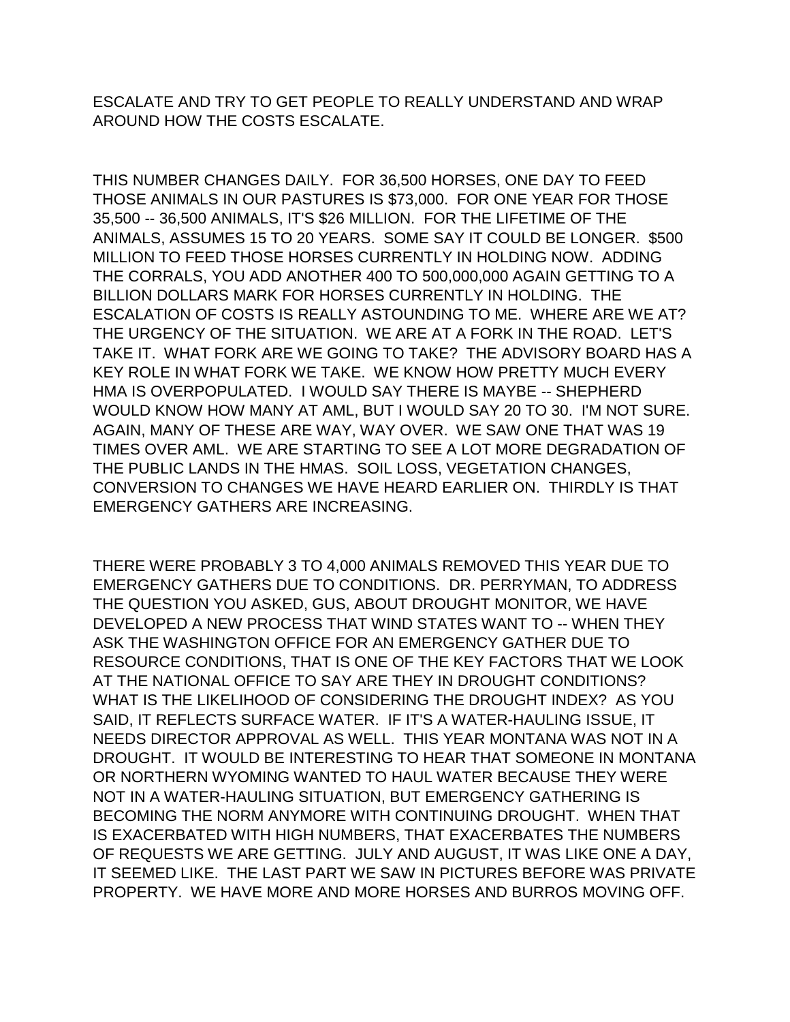ESCALATE AND TRY TO GET PEOPLE TO REALLY UNDERSTAND AND WRAP AROUND HOW THE COSTS ESCALATE.

THIS NUMBER CHANGES DAILY. FOR 36,500 HORSES, ONE DAY TO FEED THOSE ANIMALS IN OUR PASTURES IS \$73,000. FOR ONE YEAR FOR THOSE 35,500 -- 36,500 ANIMALS, IT'S \$26 MILLION. FOR THE LIFETIME OF THE ANIMALS, ASSUMES 15 TO 20 YEARS. SOME SAY IT COULD BE LONGER. \$500 MILLION TO FEED THOSE HORSES CURRENTLY IN HOLDING NOW. ADDING THE CORRALS, YOU ADD ANOTHER 400 TO 500,000,000 AGAIN GETTING TO A BILLION DOLLARS MARK FOR HORSES CURRENTLY IN HOLDING. THE ESCALATION OF COSTS IS REALLY ASTOUNDING TO ME. WHERE ARE WE AT? THE URGENCY OF THE SITUATION. WE ARE AT A FORK IN THE ROAD. LET'S TAKE IT. WHAT FORK ARE WE GOING TO TAKE? THE ADVISORY BOARD HAS A KEY ROLE IN WHAT FORK WE TAKE. WE KNOW HOW PRETTY MUCH EVERY HMA IS OVERPOPULATED. I WOULD SAY THERE IS MAYBE -- SHEPHERD WOULD KNOW HOW MANY AT AML, BUT I WOULD SAY 20 TO 30. I'M NOT SURE. AGAIN, MANY OF THESE ARE WAY, WAY OVER. WE SAW ONE THAT WAS 19 TIMES OVER AML. WE ARE STARTING TO SEE A LOT MORE DEGRADATION OF THE PUBLIC LANDS IN THE HMAS. SOIL LOSS, VEGETATION CHANGES, CONVERSION TO CHANGES WE HAVE HEARD EARLIER ON. THIRDLY IS THAT EMERGENCY GATHERS ARE INCREASING.

THERE WERE PROBABLY 3 TO 4,000 ANIMALS REMOVED THIS YEAR DUE TO EMERGENCY GATHERS DUE TO CONDITIONS. DR. PERRYMAN, TO ADDRESS THE QUESTION YOU ASKED, GUS, ABOUT DROUGHT MONITOR, WE HAVE DEVELOPED A NEW PROCESS THAT WIND STATES WANT TO -- WHEN THEY ASK THE WASHINGTON OFFICE FOR AN EMERGENCY GATHER DUE TO RESOURCE CONDITIONS, THAT IS ONE OF THE KEY FACTORS THAT WE LOOK AT THE NATIONAL OFFICE TO SAY ARE THEY IN DROUGHT CONDITIONS? WHAT IS THE LIKELIHOOD OF CONSIDERING THE DROUGHT INDEX? AS YOU SAID, IT REFLECTS SURFACE WATER. IF IT'S A WATER-HAULING ISSUE, IT NEEDS DIRECTOR APPROVAL AS WELL. THIS YEAR MONTANA WAS NOT IN A DROUGHT. IT WOULD BE INTERESTING TO HEAR THAT SOMEONE IN MONTANA OR NORTHERN WYOMING WANTED TO HAUL WATER BECAUSE THEY WERE NOT IN A WATER-HAULING SITUATION, BUT EMERGENCY GATHERING IS BECOMING THE NORM ANYMORE WITH CONTINUING DROUGHT. WHEN THAT IS EXACERBATED WITH HIGH NUMBERS, THAT EXACERBATES THE NUMBERS OF REQUESTS WE ARE GETTING. JULY AND AUGUST, IT WAS LIKE ONE A DAY, IT SEEMED LIKE. THE LAST PART WE SAW IN PICTURES BEFORE WAS PRIVATE PROPERTY. WE HAVE MORE AND MORE HORSES AND BURROS MOVING OFF.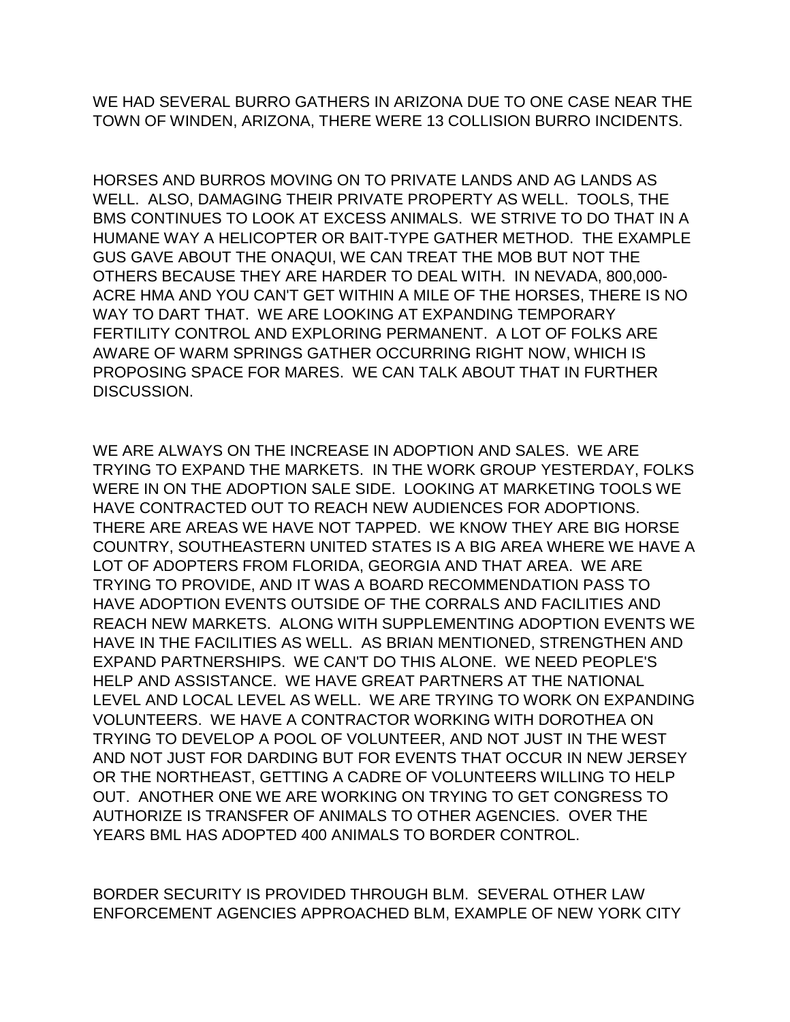WE HAD SEVERAL BURRO GATHERS IN ARIZONA DUE TO ONE CASE NEAR THE TOWN OF WINDEN, ARIZONA, THERE WERE 13 COLLISION BURRO INCIDENTS.

HORSES AND BURROS MOVING ON TO PRIVATE LANDS AND AG LANDS AS WELL. ALSO, DAMAGING THEIR PRIVATE PROPERTY AS WELL. TOOLS, THE BMS CONTINUES TO LOOK AT EXCESS ANIMALS. WE STRIVE TO DO THAT IN A HUMANE WAY A HELICOPTER OR BAIT-TYPE GATHER METHOD. THE EXAMPLE GUS GAVE ABOUT THE ONAQUI, WE CAN TREAT THE MOB BUT NOT THE OTHERS BECAUSE THEY ARE HARDER TO DEAL WITH. IN NEVADA, 800,000- ACRE HMA AND YOU CAN'T GET WITHIN A MILE OF THE HORSES, THERE IS NO WAY TO DART THAT. WE ARE LOOKING AT EXPANDING TEMPORARY FERTILITY CONTROL AND EXPLORING PERMANENT. A LOT OF FOLKS ARE AWARE OF WARM SPRINGS GATHER OCCURRING RIGHT NOW, WHICH IS PROPOSING SPACE FOR MARES. WE CAN TALK ABOUT THAT IN FURTHER DISCUSSION.

WE ARE ALWAYS ON THE INCREASE IN ADOPTION AND SALES. WE ARE TRYING TO EXPAND THE MARKETS. IN THE WORK GROUP YESTERDAY, FOLKS WERE IN ON THE ADOPTION SALE SIDE. LOOKING AT MARKETING TOOLS WE HAVE CONTRACTED OUT TO REACH NEW AUDIENCES FOR ADOPTIONS. THERE ARE AREAS WE HAVE NOT TAPPED. WE KNOW THEY ARE BIG HORSE COUNTRY, SOUTHEASTERN UNITED STATES IS A BIG AREA WHERE WE HAVE A LOT OF ADOPTERS FROM FLORIDA, GEORGIA AND THAT AREA. WE ARE TRYING TO PROVIDE, AND IT WAS A BOARD RECOMMENDATION PASS TO HAVE ADOPTION EVENTS OUTSIDE OF THE CORRALS AND FACILITIES AND REACH NEW MARKETS. ALONG WITH SUPPLEMENTING ADOPTION EVENTS WE HAVE IN THE FACILITIES AS WELL. AS BRIAN MENTIONED, STRENGTHEN AND EXPAND PARTNERSHIPS. WE CAN'T DO THIS ALONE. WE NEED PEOPLE'S HELP AND ASSISTANCE. WE HAVE GREAT PARTNERS AT THE NATIONAL LEVEL AND LOCAL LEVEL AS WELL. WE ARE TRYING TO WORK ON EXPANDING VOLUNTEERS. WE HAVE A CONTRACTOR WORKING WITH DOROTHEA ON TRYING TO DEVELOP A POOL OF VOLUNTEER, AND NOT JUST IN THE WEST AND NOT JUST FOR DARDING BUT FOR EVENTS THAT OCCUR IN NEW JERSEY OR THE NORTHEAST, GETTING A CADRE OF VOLUNTEERS WILLING TO HELP OUT. ANOTHER ONE WE ARE WORKING ON TRYING TO GET CONGRESS TO AUTHORIZE IS TRANSFER OF ANIMALS TO OTHER AGENCIES. OVER THE YEARS BML HAS ADOPTED 400 ANIMALS TO BORDER CONTROL.

BORDER SECURITY IS PROVIDED THROUGH BLM. SEVERAL OTHER LAW ENFORCEMENT AGENCIES APPROACHED BLM, EXAMPLE OF NEW YORK CITY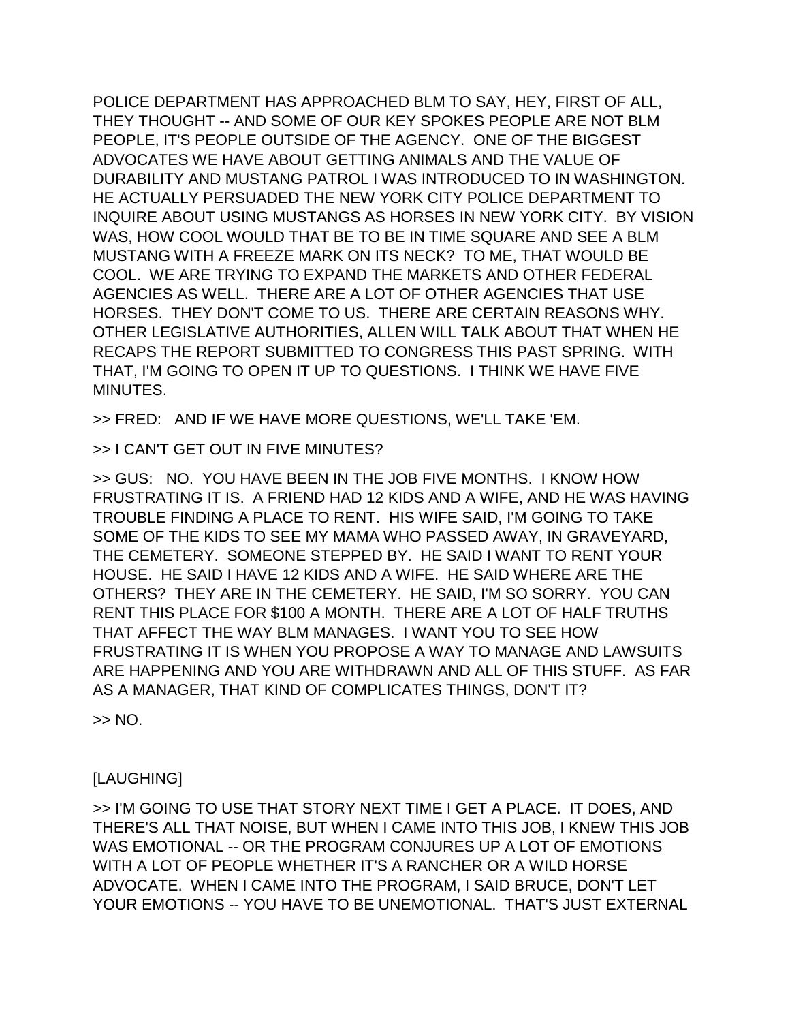POLICE DEPARTMENT HAS APPROACHED BLM TO SAY, HEY, FIRST OF ALL, THEY THOUGHT -- AND SOME OF OUR KEY SPOKES PEOPLE ARE NOT BLM PEOPLE, IT'S PEOPLE OUTSIDE OF THE AGENCY. ONE OF THE BIGGEST ADVOCATES WE HAVE ABOUT GETTING ANIMALS AND THE VALUE OF DURABILITY AND MUSTANG PATROL I WAS INTRODUCED TO IN WASHINGTON. HE ACTUALLY PERSUADED THE NEW YORK CITY POLICE DEPARTMENT TO INQUIRE ABOUT USING MUSTANGS AS HORSES IN NEW YORK CITY. BY VISION WAS, HOW COOL WOULD THAT BE TO BE IN TIME SQUARE AND SEE A BLM MUSTANG WITH A FREEZE MARK ON ITS NECK? TO ME, THAT WOULD BE COOL. WE ARE TRYING TO EXPAND THE MARKETS AND OTHER FEDERAL AGENCIES AS WELL. THERE ARE A LOT OF OTHER AGENCIES THAT USE HORSES. THEY DON'T COME TO US. THERE ARE CERTAIN REASONS WHY. OTHER LEGISLATIVE AUTHORITIES, ALLEN WILL TALK ABOUT THAT WHEN HE RECAPS THE REPORT SUBMITTED TO CONGRESS THIS PAST SPRING. WITH THAT, I'M GOING TO OPEN IT UP TO QUESTIONS. I THINK WE HAVE FIVE MINUTES.

>> FRED: AND IF WE HAVE MORE QUESTIONS, WE'LL TAKE 'EM.

>> I CAN'T GET OUT IN FIVE MINUTES?

>> GUS: NO. YOU HAVE BEEN IN THE JOB FIVE MONTHS. I KNOW HOW FRUSTRATING IT IS. A FRIEND HAD 12 KIDS AND A WIFE, AND HE WAS HAVING TROUBLE FINDING A PLACE TO RENT. HIS WIFE SAID, I'M GOING TO TAKE SOME OF THE KIDS TO SEE MY MAMA WHO PASSED AWAY, IN GRAVEYARD, THE CEMETERY. SOMEONE STEPPED BY. HE SAID I WANT TO RENT YOUR HOUSE. HE SAID I HAVE 12 KIDS AND A WIFE. HE SAID WHERE ARE THE OTHERS? THEY ARE IN THE CEMETERY. HE SAID, I'M SO SORRY. YOU CAN RENT THIS PLACE FOR \$100 A MONTH. THERE ARE A LOT OF HALF TRUTHS THAT AFFECT THE WAY BLM MANAGES. I WANT YOU TO SEE HOW FRUSTRATING IT IS WHEN YOU PROPOSE A WAY TO MANAGE AND LAWSUITS ARE HAPPENING AND YOU ARE WITHDRAWN AND ALL OF THIS STUFF. AS FAR AS A MANAGER, THAT KIND OF COMPLICATES THINGS, DON'T IT?

>> NO.

## [LAUGHING]

>> I'M GOING TO USE THAT STORY NEXT TIME I GET A PLACE. IT DOES, AND THERE'S ALL THAT NOISE, BUT WHEN I CAME INTO THIS JOB, I KNEW THIS JOB WAS EMOTIONAL -- OR THE PROGRAM CONJURES UP A LOT OF EMOTIONS WITH A LOT OF PEOPLE WHETHER IT'S A RANCHER OR A WILD HORSE ADVOCATE. WHEN I CAME INTO THE PROGRAM, I SAID BRUCE, DON'T LET YOUR EMOTIONS -- YOU HAVE TO BE UNEMOTIONAL. THAT'S JUST EXTERNAL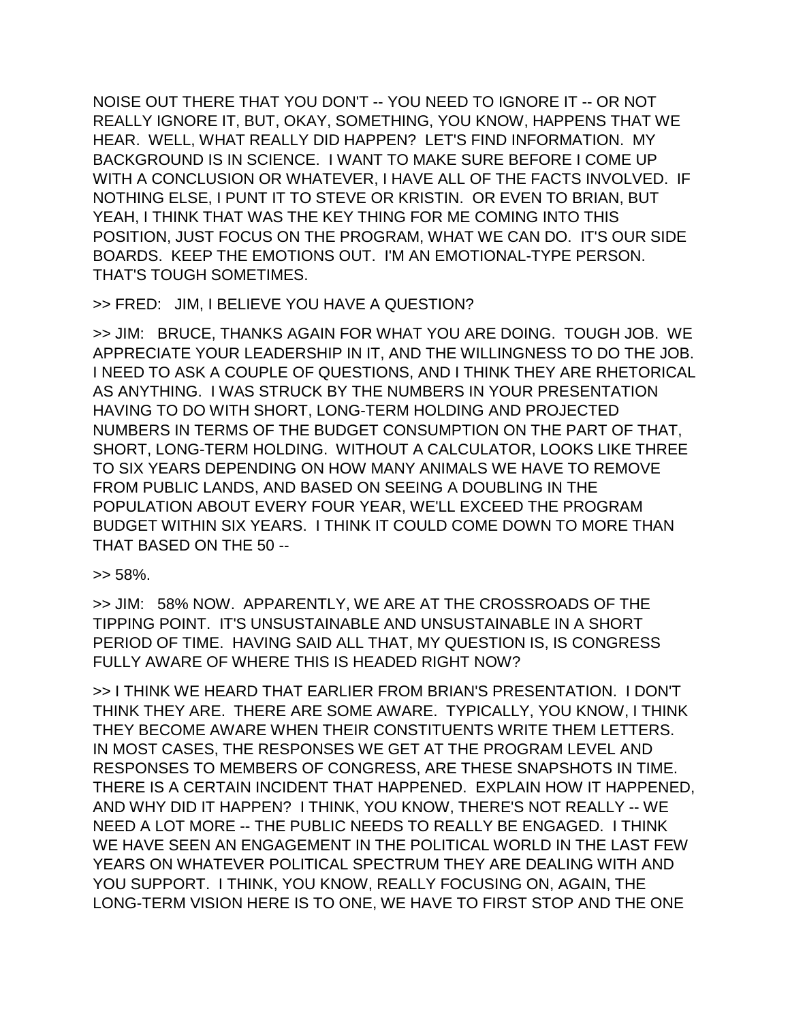NOISE OUT THERE THAT YOU DON'T -- YOU NEED TO IGNORE IT -- OR NOT REALLY IGNORE IT, BUT, OKAY, SOMETHING, YOU KNOW, HAPPENS THAT WE HEAR. WELL, WHAT REALLY DID HAPPEN? LET'S FIND INFORMATION. MY BACKGROUND IS IN SCIENCE. I WANT TO MAKE SURE BEFORE I COME UP WITH A CONCLUSION OR WHATEVER, I HAVE ALL OF THE FACTS INVOLVED. IF NOTHING ELSE, I PUNT IT TO STEVE OR KRISTIN. OR EVEN TO BRIAN, BUT YEAH, I THINK THAT WAS THE KEY THING FOR ME COMING INTO THIS POSITION, JUST FOCUS ON THE PROGRAM, WHAT WE CAN DO. IT'S OUR SIDE BOARDS. KEEP THE EMOTIONS OUT. I'M AN EMOTIONAL-TYPE PERSON. THAT'S TOUGH SOMETIMES.

>> FRED: JIM, I BELIEVE YOU HAVE A QUESTION?

>> JIM: BRUCE, THANKS AGAIN FOR WHAT YOU ARE DOING. TOUGH JOB. WE APPRECIATE YOUR LEADERSHIP IN IT, AND THE WILLINGNESS TO DO THE JOB. I NEED TO ASK A COUPLE OF QUESTIONS, AND I THINK THEY ARE RHETORICAL AS ANYTHING. I WAS STRUCK BY THE NUMBERS IN YOUR PRESENTATION HAVING TO DO WITH SHORT, LONG-TERM HOLDING AND PROJECTED NUMBERS IN TERMS OF THE BUDGET CONSUMPTION ON THE PART OF THAT, SHORT, LONG-TERM HOLDING. WITHOUT A CALCULATOR, LOOKS LIKE THREE TO SIX YEARS DEPENDING ON HOW MANY ANIMALS WE HAVE TO REMOVE FROM PUBLIC LANDS, AND BASED ON SEEING A DOUBLING IN THE POPULATION ABOUT EVERY FOUR YEAR, WE'LL EXCEED THE PROGRAM BUDGET WITHIN SIX YEARS. I THINK IT COULD COME DOWN TO MORE THAN THAT BASED ON THE 50 --

>> 58%.

>> JIM: 58% NOW. APPARENTLY, WE ARE AT THE CROSSROADS OF THE TIPPING POINT. IT'S UNSUSTAINABLE AND UNSUSTAINABLE IN A SHORT PERIOD OF TIME. HAVING SAID ALL THAT, MY QUESTION IS, IS CONGRESS FULLY AWARE OF WHERE THIS IS HEADED RIGHT NOW?

>> I THINK WE HEARD THAT EARLIER FROM BRIAN'S PRESENTATION. I DON'T THINK THEY ARE. THERE ARE SOME AWARE. TYPICALLY, YOU KNOW, I THINK THEY BECOME AWARE WHEN THEIR CONSTITUENTS WRITE THEM LETTERS. IN MOST CASES, THE RESPONSES WE GET AT THE PROGRAM LEVEL AND RESPONSES TO MEMBERS OF CONGRESS, ARE THESE SNAPSHOTS IN TIME. THERE IS A CERTAIN INCIDENT THAT HAPPENED. EXPLAIN HOW IT HAPPENED, AND WHY DID IT HAPPEN? I THINK, YOU KNOW, THERE'S NOT REALLY -- WE NEED A LOT MORE -- THE PUBLIC NEEDS TO REALLY BE ENGAGED. I THINK WE HAVE SEEN AN ENGAGEMENT IN THE POLITICAL WORLD IN THE LAST FEW YEARS ON WHATEVER POLITICAL SPECTRUM THEY ARE DEALING WITH AND YOU SUPPORT. I THINK, YOU KNOW, REALLY FOCUSING ON, AGAIN, THE LONG-TERM VISION HERE IS TO ONE, WE HAVE TO FIRST STOP AND THE ONE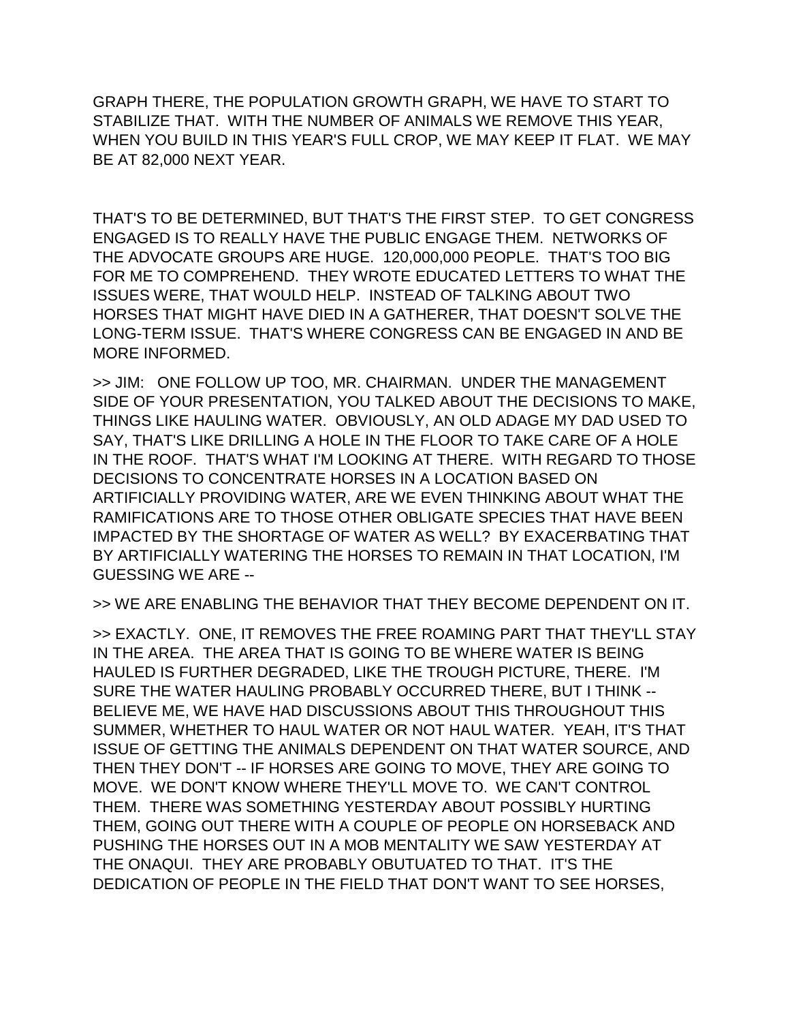GRAPH THERE, THE POPULATION GROWTH GRAPH, WE HAVE TO START TO STABILIZE THAT. WITH THE NUMBER OF ANIMALS WE REMOVE THIS YEAR, WHEN YOU BUILD IN THIS YEAR'S FULL CROP, WE MAY KEEP IT FLAT. WE MAY BE AT 82,000 NEXT YEAR.

THAT'S TO BE DETERMINED, BUT THAT'S THE FIRST STEP. TO GET CONGRESS ENGAGED IS TO REALLY HAVE THE PUBLIC ENGAGE THEM. NETWORKS OF THE ADVOCATE GROUPS ARE HUGE. 120,000,000 PEOPLE. THAT'S TOO BIG FOR ME TO COMPREHEND. THEY WROTE EDUCATED LETTERS TO WHAT THE ISSUES WERE, THAT WOULD HELP. INSTEAD OF TALKING ABOUT TWO HORSES THAT MIGHT HAVE DIED IN A GATHERER, THAT DOESN'T SOLVE THE LONG-TERM ISSUE. THAT'S WHERE CONGRESS CAN BE ENGAGED IN AND BE MORE INFORMED.

>> JIM: ONE FOLLOW UP TOO, MR. CHAIRMAN. UNDER THE MANAGEMENT SIDE OF YOUR PRESENTATION, YOU TALKED ABOUT THE DECISIONS TO MAKE, THINGS LIKE HAULING WATER. OBVIOUSLY, AN OLD ADAGE MY DAD USED TO SAY, THAT'S LIKE DRILLING A HOLE IN THE FLOOR TO TAKE CARE OF A HOLE IN THE ROOF. THAT'S WHAT I'M LOOKING AT THERE. WITH REGARD TO THOSE DECISIONS TO CONCENTRATE HORSES IN A LOCATION BASED ON ARTIFICIALLY PROVIDING WATER, ARE WE EVEN THINKING ABOUT WHAT THE RAMIFICATIONS ARE TO THOSE OTHER OBLIGATE SPECIES THAT HAVE BEEN IMPACTED BY THE SHORTAGE OF WATER AS WELL? BY EXACERBATING THAT BY ARTIFICIALLY WATERING THE HORSES TO REMAIN IN THAT LOCATION, I'M GUESSING WE ARE --

>> WE ARE ENABLING THE BEHAVIOR THAT THEY BECOME DEPENDENT ON IT.

>> EXACTLY. ONE, IT REMOVES THE FREE ROAMING PART THAT THEY'LL STAY IN THE AREA. THE AREA THAT IS GOING TO BE WHERE WATER IS BEING HAULED IS FURTHER DEGRADED, LIKE THE TROUGH PICTURE, THERE. I'M SURE THE WATER HAULING PROBABLY OCCURRED THERE, BUT I THINK -- BELIEVE ME, WE HAVE HAD DISCUSSIONS ABOUT THIS THROUGHOUT THIS SUMMER, WHETHER TO HAUL WATER OR NOT HAUL WATER. YEAH, IT'S THAT ISSUE OF GETTING THE ANIMALS DEPENDENT ON THAT WATER SOURCE, AND THEN THEY DON'T -- IF HORSES ARE GOING TO MOVE, THEY ARE GOING TO MOVE. WE DON'T KNOW WHERE THEY'LL MOVE TO. WE CAN'T CONTROL THEM. THERE WAS SOMETHING YESTERDAY ABOUT POSSIBLY HURTING THEM, GOING OUT THERE WITH A COUPLE OF PEOPLE ON HORSEBACK AND PUSHING THE HORSES OUT IN A MOB MENTALITY WE SAW YESTERDAY AT THE ONAQUI. THEY ARE PROBABLY OBUTUATED TO THAT. IT'S THE DEDICATION OF PEOPLE IN THE FIELD THAT DON'T WANT TO SEE HORSES,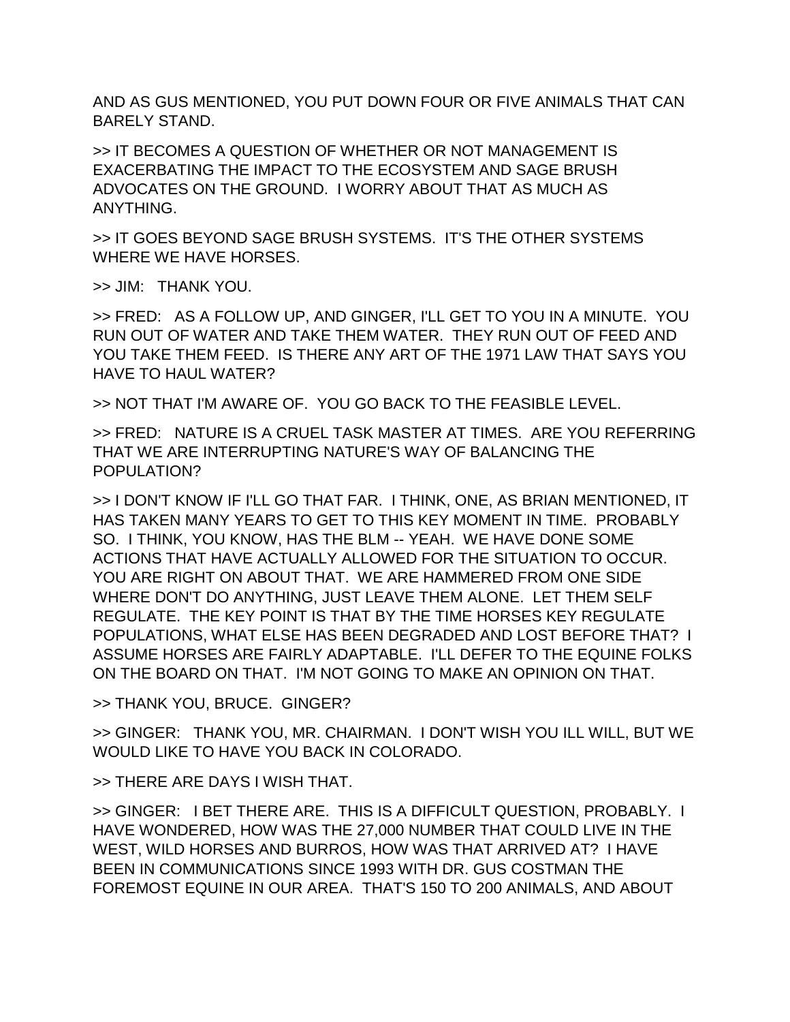AND AS GUS MENTIONED, YOU PUT DOWN FOUR OR FIVE ANIMALS THAT CAN BARELY STAND.

>> IT BECOMES A QUESTION OF WHETHER OR NOT MANAGEMENT IS EXACERBATING THE IMPACT TO THE ECOSYSTEM AND SAGE BRUSH ADVOCATES ON THE GROUND. I WORRY ABOUT THAT AS MUCH AS ANYTHING.

>> IT GOES BEYOND SAGE BRUSH SYSTEMS. IT'S THE OTHER SYSTEMS WHERE WE HAVE HORSES.

>> JIM: THANK YOU.

>> FRED: AS A FOLLOW UP, AND GINGER, I'LL GET TO YOU IN A MINUTE. YOU RUN OUT OF WATER AND TAKE THEM WATER. THEY RUN OUT OF FEED AND YOU TAKE THEM FEED. IS THERE ANY ART OF THE 1971 LAW THAT SAYS YOU HAVE TO HAUL WATER?

>> NOT THAT I'M AWARE OF. YOU GO BACK TO THE FEASIBLE LEVEL.

>> FRED: NATURE IS A CRUEL TASK MASTER AT TIMES. ARE YOU REFERRING THAT WE ARE INTERRUPTING NATURE'S WAY OF BALANCING THE POPULATION?

>> I DON'T KNOW IF I'LL GO THAT FAR. I THINK, ONE, AS BRIAN MENTIONED, IT HAS TAKEN MANY YEARS TO GET TO THIS KEY MOMENT IN TIME. PROBABLY SO. I THINK, YOU KNOW, HAS THE BLM -- YEAH. WE HAVE DONE SOME ACTIONS THAT HAVE ACTUALLY ALLOWED FOR THE SITUATION TO OCCUR. YOU ARE RIGHT ON ABOUT THAT. WE ARE HAMMERED FROM ONE SIDE WHERE DON'T DO ANYTHING, JUST LEAVE THEM ALONE. LET THEM SELF REGULATE. THE KEY POINT IS THAT BY THE TIME HORSES KEY REGULATE POPULATIONS, WHAT ELSE HAS BEEN DEGRADED AND LOST BEFORE THAT? I ASSUME HORSES ARE FAIRLY ADAPTABLE. I'LL DEFER TO THE EQUINE FOLKS ON THE BOARD ON THAT. I'M NOT GOING TO MAKE AN OPINION ON THAT.

>> THANK YOU, BRUCE. GINGER?

>> GINGER: THANK YOU, MR. CHAIRMAN. I DON'T WISH YOU ILL WILL, BUT WE WOULD LIKE TO HAVE YOU BACK IN COLORADO.

>> THERE ARE DAYS I WISH THAT.

>> GINGER: I BET THERE ARE. THIS IS A DIFFICULT QUESTION, PROBABLY. I HAVE WONDERED, HOW WAS THE 27,000 NUMBER THAT COULD LIVE IN THE WEST, WILD HORSES AND BURROS, HOW WAS THAT ARRIVED AT? I HAVE BEEN IN COMMUNICATIONS SINCE 1993 WITH DR. GUS COSTMAN THE FOREMOST EQUINE IN OUR AREA. THAT'S 150 TO 200 ANIMALS, AND ABOUT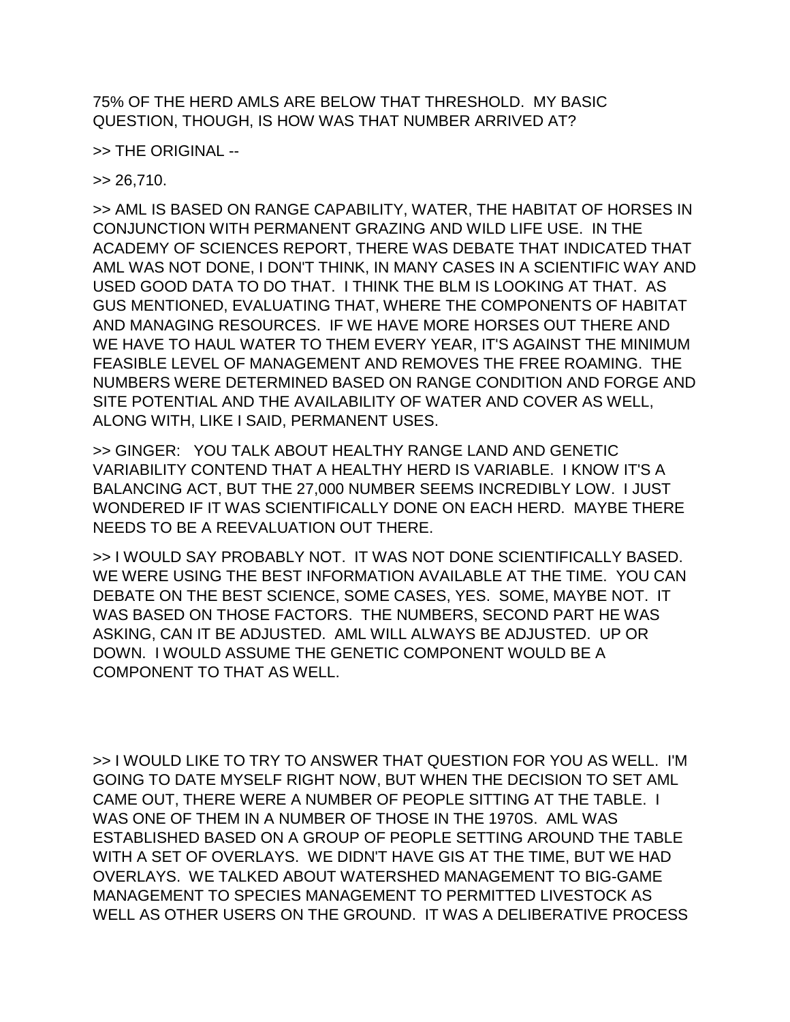75% OF THE HERD AMLS ARE BELOW THAT THRESHOLD. MY BASIC QUESTION, THOUGH, IS HOW WAS THAT NUMBER ARRIVED AT?

>> THE ORIGINAL --

 $>> 26.710.$ 

>> AML IS BASED ON RANGE CAPABILITY, WATER, THE HABITAT OF HORSES IN CONJUNCTION WITH PERMANENT GRAZING AND WILD LIFE USE. IN THE ACADEMY OF SCIENCES REPORT, THERE WAS DEBATE THAT INDICATED THAT AML WAS NOT DONE, I DON'T THINK, IN MANY CASES IN A SCIENTIFIC WAY AND USED GOOD DATA TO DO THAT. I THINK THE BLM IS LOOKING AT THAT. AS GUS MENTIONED, EVALUATING THAT, WHERE THE COMPONENTS OF HABITAT AND MANAGING RESOURCES. IF WE HAVE MORE HORSES OUT THERE AND WE HAVE TO HAUL WATER TO THEM EVERY YEAR, IT'S AGAINST THE MINIMUM FEASIBLE LEVEL OF MANAGEMENT AND REMOVES THE FREE ROAMING. THE NUMBERS WERE DETERMINED BASED ON RANGE CONDITION AND FORGE AND SITE POTENTIAL AND THE AVAILABILITY OF WATER AND COVER AS WELL, ALONG WITH, LIKE I SAID, PERMANENT USES.

>> GINGER: YOU TALK ABOUT HEALTHY RANGE LAND AND GENETIC VARIABILITY CONTEND THAT A HEALTHY HERD IS VARIABLE. I KNOW IT'S A BALANCING ACT, BUT THE 27,000 NUMBER SEEMS INCREDIBLY LOW. I JUST WONDERED IF IT WAS SCIENTIFICALLY DONE ON EACH HERD. MAYBE THERE NEEDS TO BE A REEVALUATION OUT THERE.

>> I WOULD SAY PROBABLY NOT. IT WAS NOT DONE SCIENTIFICALLY BASED. WE WERE USING THE BEST INFORMATION AVAILABLE AT THE TIME. YOU CAN DEBATE ON THE BEST SCIENCE, SOME CASES, YES. SOME, MAYBE NOT. IT WAS BASED ON THOSE FACTORS. THE NUMBERS, SECOND PART HE WAS ASKING, CAN IT BE ADJUSTED. AML WILL ALWAYS BE ADJUSTED. UP OR DOWN. I WOULD ASSUME THE GENETIC COMPONENT WOULD BE A COMPONENT TO THAT AS WELL.

>> I WOULD LIKE TO TRY TO ANSWER THAT QUESTION FOR YOU AS WELL. I'M GOING TO DATE MYSELF RIGHT NOW, BUT WHEN THE DECISION TO SET AML CAME OUT, THERE WERE A NUMBER OF PEOPLE SITTING AT THE TABLE. I WAS ONE OF THEM IN A NUMBER OF THOSE IN THE 1970S. AML WAS ESTABLISHED BASED ON A GROUP OF PEOPLE SETTING AROUND THE TABLE WITH A SET OF OVERLAYS. WE DIDN'T HAVE GIS AT THE TIME, BUT WE HAD OVERLAYS. WE TALKED ABOUT WATERSHED MANAGEMENT TO BIG-GAME MANAGEMENT TO SPECIES MANAGEMENT TO PERMITTED LIVESTOCK AS WELL AS OTHER USERS ON THE GROUND. IT WAS A DELIBERATIVE PROCESS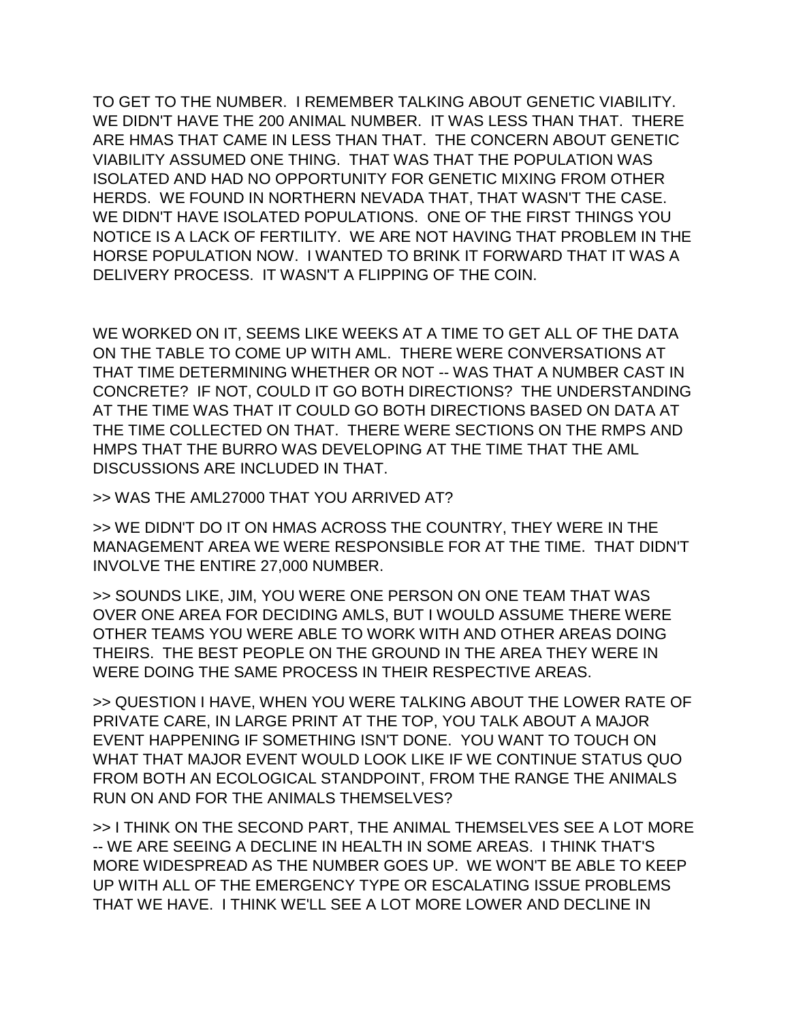TO GET TO THE NUMBER. I REMEMBER TALKING ABOUT GENETIC VIABILITY. WE DIDN'T HAVE THE 200 ANIMAL NUMBER. IT WAS LESS THAN THAT. THERE ARE HMAS THAT CAME IN LESS THAN THAT. THE CONCERN ABOUT GENETIC VIABILITY ASSUMED ONE THING. THAT WAS THAT THE POPULATION WAS ISOLATED AND HAD NO OPPORTUNITY FOR GENETIC MIXING FROM OTHER HERDS. WE FOUND IN NORTHERN NEVADA THAT, THAT WASN'T THE CASE. WE DIDN'T HAVE ISOLATED POPULATIONS. ONE OF THE FIRST THINGS YOU NOTICE IS A LACK OF FERTILITY. WE ARE NOT HAVING THAT PROBLEM IN THE HORSE POPULATION NOW. I WANTED TO BRINK IT FORWARD THAT IT WAS A DELIVERY PROCESS. IT WASN'T A FLIPPING OF THE COIN.

WE WORKED ON IT, SEEMS LIKE WEEKS AT A TIME TO GET ALL OF THE DATA ON THE TABLE TO COME UP WITH AML. THERE WERE CONVERSATIONS AT THAT TIME DETERMINING WHETHER OR NOT -- WAS THAT A NUMBER CAST IN CONCRETE? IF NOT, COULD IT GO BOTH DIRECTIONS? THE UNDERSTANDING AT THE TIME WAS THAT IT COULD GO BOTH DIRECTIONS BASED ON DATA AT THE TIME COLLECTED ON THAT. THERE WERE SECTIONS ON THE RMPS AND HMPS THAT THE BURRO WAS DEVELOPING AT THE TIME THAT THE AML DISCUSSIONS ARE INCLUDED IN THAT.

>> WAS THE AML27000 THAT YOU ARRIVED AT?

>> WE DIDN'T DO IT ON HMAS ACROSS THE COUNTRY, THEY WERE IN THE MANAGEMENT AREA WE WERE RESPONSIBLE FOR AT THE TIME. THAT DIDN'T INVOLVE THE ENTIRE 27,000 NUMBER.

>> SOUNDS LIKE, JIM, YOU WERE ONE PERSON ON ONE TEAM THAT WAS OVER ONE AREA FOR DECIDING AMLS, BUT I WOULD ASSUME THERE WERE OTHER TEAMS YOU WERE ABLE TO WORK WITH AND OTHER AREAS DOING THEIRS. THE BEST PEOPLE ON THE GROUND IN THE AREA THEY WERE IN WERE DOING THE SAME PROCESS IN THEIR RESPECTIVE AREAS.

>> QUESTION I HAVE, WHEN YOU WERE TALKING ABOUT THE LOWER RATE OF PRIVATE CARE, IN LARGE PRINT AT THE TOP, YOU TALK ABOUT A MAJOR EVENT HAPPENING IF SOMETHING ISN'T DONE. YOU WANT TO TOUCH ON WHAT THAT MAJOR EVENT WOULD LOOK LIKE IF WE CONTINUE STATUS QUO FROM BOTH AN ECOLOGICAL STANDPOINT, FROM THE RANGE THE ANIMALS RUN ON AND FOR THE ANIMALS THEMSELVES?

>> I THINK ON THE SECOND PART, THE ANIMAL THEMSELVES SEE A LOT MORE -- WE ARE SEEING A DECLINE IN HEALTH IN SOME AREAS. I THINK THAT'S MORE WIDESPREAD AS THE NUMBER GOES UP. WE WON'T BE ABLE TO KEEP UP WITH ALL OF THE EMERGENCY TYPE OR ESCALATING ISSUE PROBLEMS THAT WE HAVE. I THINK WE'LL SEE A LOT MORE LOWER AND DECLINE IN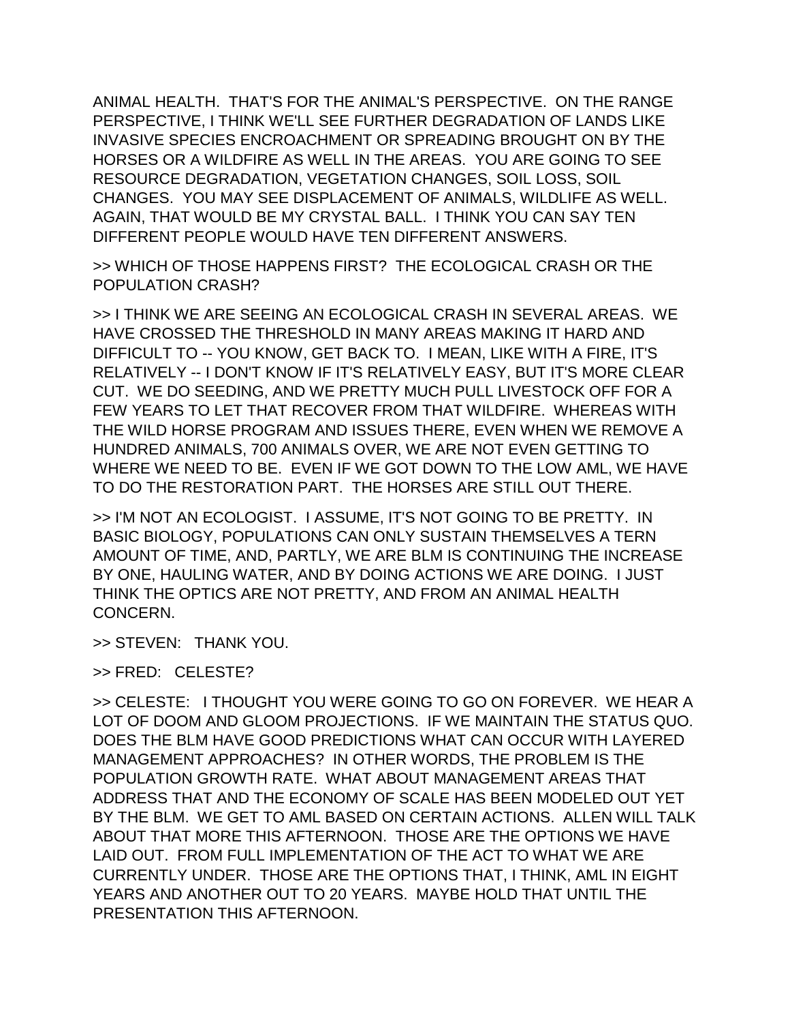ANIMAL HEALTH. THAT'S FOR THE ANIMAL'S PERSPECTIVE. ON THE RANGE PERSPECTIVE, I THINK WE'LL SEE FURTHER DEGRADATION OF LANDS LIKE INVASIVE SPECIES ENCROACHMENT OR SPREADING BROUGHT ON BY THE HORSES OR A WILDFIRE AS WELL IN THE AREAS. YOU ARE GOING TO SEE RESOURCE DEGRADATION, VEGETATION CHANGES, SOIL LOSS, SOIL CHANGES. YOU MAY SEE DISPLACEMENT OF ANIMALS, WILDLIFE AS WELL. AGAIN, THAT WOULD BE MY CRYSTAL BALL. I THINK YOU CAN SAY TEN DIFFERENT PEOPLE WOULD HAVE TEN DIFFERENT ANSWERS.

>> WHICH OF THOSE HAPPENS FIRST? THE ECOLOGICAL CRASH OR THE POPULATION CRASH?

>> I THINK WE ARE SEEING AN ECOLOGICAL CRASH IN SEVERAL AREAS. WE HAVE CROSSED THE THRESHOLD IN MANY AREAS MAKING IT HARD AND DIFFICULT TO -- YOU KNOW, GET BACK TO. I MEAN, LIKE WITH A FIRE, IT'S RELATIVELY -- I DON'T KNOW IF IT'S RELATIVELY EASY, BUT IT'S MORE CLEAR CUT. WE DO SEEDING, AND WE PRETTY MUCH PULL LIVESTOCK OFF FOR A FEW YEARS TO LET THAT RECOVER FROM THAT WILDFIRE. WHEREAS WITH THE WILD HORSE PROGRAM AND ISSUES THERE, EVEN WHEN WE REMOVE A HUNDRED ANIMALS, 700 ANIMALS OVER, WE ARE NOT EVEN GETTING TO WHERE WE NEED TO BE. EVEN IF WE GOT DOWN TO THE LOW AML, WE HAVE TO DO THE RESTORATION PART. THE HORSES ARE STILL OUT THERE.

>> I'M NOT AN ECOLOGIST. I ASSUME, IT'S NOT GOING TO BE PRETTY. IN BASIC BIOLOGY, POPULATIONS CAN ONLY SUSTAIN THEMSELVES A TERN AMOUNT OF TIME, AND, PARTLY, WE ARE BLM IS CONTINUING THE INCREASE BY ONE, HAULING WATER, AND BY DOING ACTIONS WE ARE DOING. I JUST THINK THE OPTICS ARE NOT PRETTY, AND FROM AN ANIMAL HEALTH CONCERN.

>> STEVEN: THANK YOU.

>> FRED: CELESTE?

>> CELESTE: I THOUGHT YOU WERE GOING TO GO ON FOREVER. WE HEAR A LOT OF DOOM AND GLOOM PROJECTIONS. IF WE MAINTAIN THE STATUS QUO. DOES THE BLM HAVE GOOD PREDICTIONS WHAT CAN OCCUR WITH LAYERED MANAGEMENT APPROACHES? IN OTHER WORDS, THE PROBLEM IS THE POPULATION GROWTH RATE. WHAT ABOUT MANAGEMENT AREAS THAT ADDRESS THAT AND THE ECONOMY OF SCALE HAS BEEN MODELED OUT YET BY THE BLM. WE GET TO AML BASED ON CERTAIN ACTIONS. ALLEN WILL TALK ABOUT THAT MORE THIS AFTERNOON. THOSE ARE THE OPTIONS WE HAVE LAID OUT. FROM FULL IMPLEMENTATION OF THE ACT TO WHAT WE ARE CURRENTLY UNDER. THOSE ARE THE OPTIONS THAT, I THINK, AML IN EIGHT YEARS AND ANOTHER OUT TO 20 YEARS. MAYBE HOLD THAT UNTIL THE PRESENTATION THIS AFTERNOON.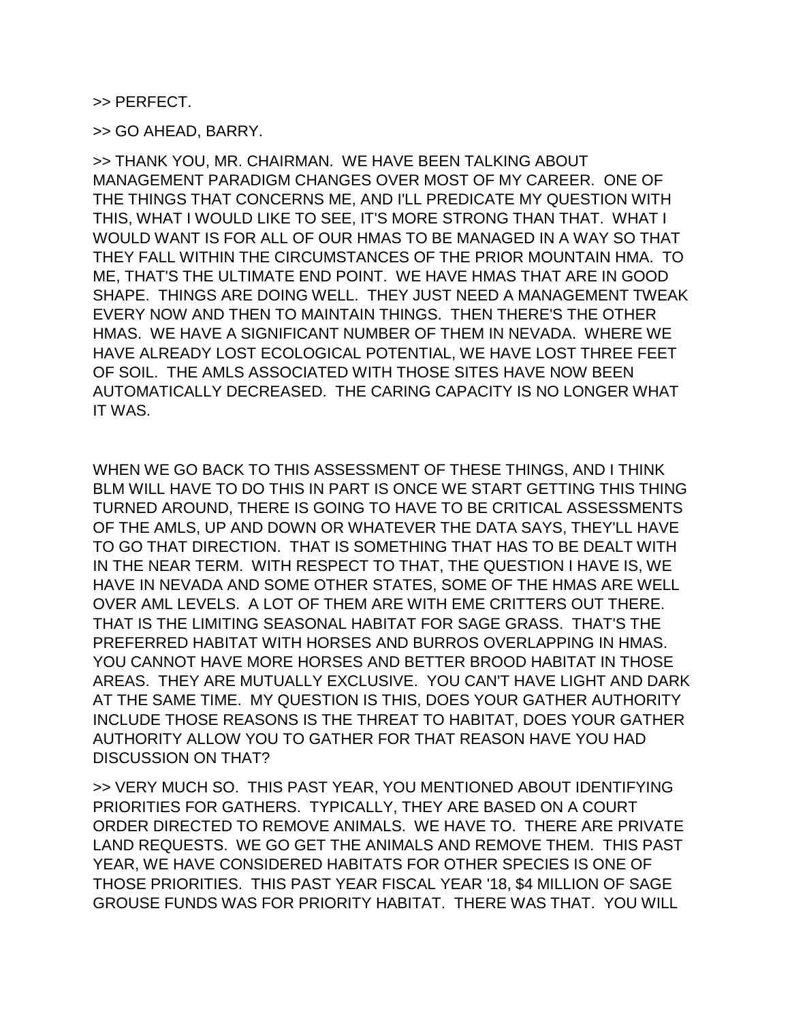>> PERFECT.

>> GO AHEAD, BARRY.

>> THANK YOU, MR. CHAIRMAN. WE HAVE BEEN TALKING ABOUT MANAGEMENT PARADIGM CHANGES OVER MOST OF MY CAREER. ONE OF THE THINGS THAT CONCERNS ME, AND I'LL PREDICATE MY QUESTION WITH THIS, WHAT I WOULD LIKE TO SEE, IT'S MORE STRONG THAN THAT. WHAT I WOULD WANT IS FOR ALL OF OUR HMAS TO BE MANAGED IN A WAY SO THAT THEY FALL WITHIN THE CIRCUMSTANCES OF THE PRIOR MOUNTAIN HMA. TO ME, THAT'S THE ULTIMATE END POINT. WE HAVE HMAS THAT ARE IN GOOD SHAPE. THINGS ARE DOING WELL. THEY JUST NEED A MANAGEMENT TWEAK EVERY NOW AND THEN TO MAINTAIN THINGS. THEN THERE'S THE OTHER HMAS. WE HAVE A SIGNIFICANT NUMBER OF THEM IN NEVADA. WHERE WE HAVE ALREADY LOST ECOLOGICAL POTENTIAL, WE HAVE LOST THREE FEET OF SOIL. THE AMLS ASSOCIATED WITH THOSE SITES HAVE NOW BEEN AUTOMATICALLY DECREASED. THE CARING CAPACITY IS NO LONGER WHAT IT WAS.

WHEN WE GO BACK TO THIS ASSESSMENT OF THESE THINGS, AND I THINK BLM WILL HAVE TO DO THIS IN PART IS ONCE WE START GETTING THIS THING TURNED AROUND, THERE IS GOING TO HAVE TO BE CRITICAL ASSESSMENTS OF THE AMLS, UP AND DOWN OR WHATEVER THE DATA SAYS, THEY'LL HAVE TO GO THAT DIRECTION. THAT IS SOMETHING THAT HAS TO BE DEALT WITH IN THE NEAR TERM. WITH RESPECT TO THAT, THE QUESTION I HAVE IS, WE HAVE IN NEVADA AND SOME OTHER STATES, SOME OF THE HMAS ARE WELL OVER AML LEVELS. A LOT OF THEM ARE WITH EME CRITTERS OUT THERE. THAT IS THE LIMITING SEASONAL HABITAT FOR SAGE GRASS. THAT'S THE PREFERRED HABITAT WITH HORSES AND BURROS OVERLAPPING IN HMAS. YOU CANNOT HAVE MORE HORSES AND BETTER BROOD HABITAT IN THOSE AREAS. THEY ARE MUTUALLY EXCLUSIVE. YOU CAN'T HAVE LIGHT AND DARK AT THE SAME TIME. MY QUESTION IS THIS, DOES YOUR GATHER AUTHORITY INCLUDE THOSE REASONS IS THE THREAT TO HABITAT, DOES YOUR GATHER AUTHORITY ALLOW YOU TO GATHER FOR THAT REASON HAVE YOU HAD DISCUSSION ON THAT?

>> VERY MUCH SO. THIS PAST YEAR, YOU MENTIONED ABOUT IDENTIFYING PRIORITIES FOR GATHERS. TYPICALLY, THEY ARE BASED ON A COURT ORDER DIRECTED TO REMOVE ANIMALS. WE HAVE TO. THERE ARE PRIVATE LAND REQUESTS. WE GO GET THE ANIMALS AND REMOVE THEM. THIS PAST YEAR, WE HAVE CONSIDERED HABITATS FOR OTHER SPECIES IS ONE OF THOSE PRIORITIES. THIS PAST YEAR FISCAL YEAR '18, \$4 MILLION OF SAGE GROUSE FUNDS WAS FOR PRIORITY HABITAT. THERE WAS THAT. YOU WILL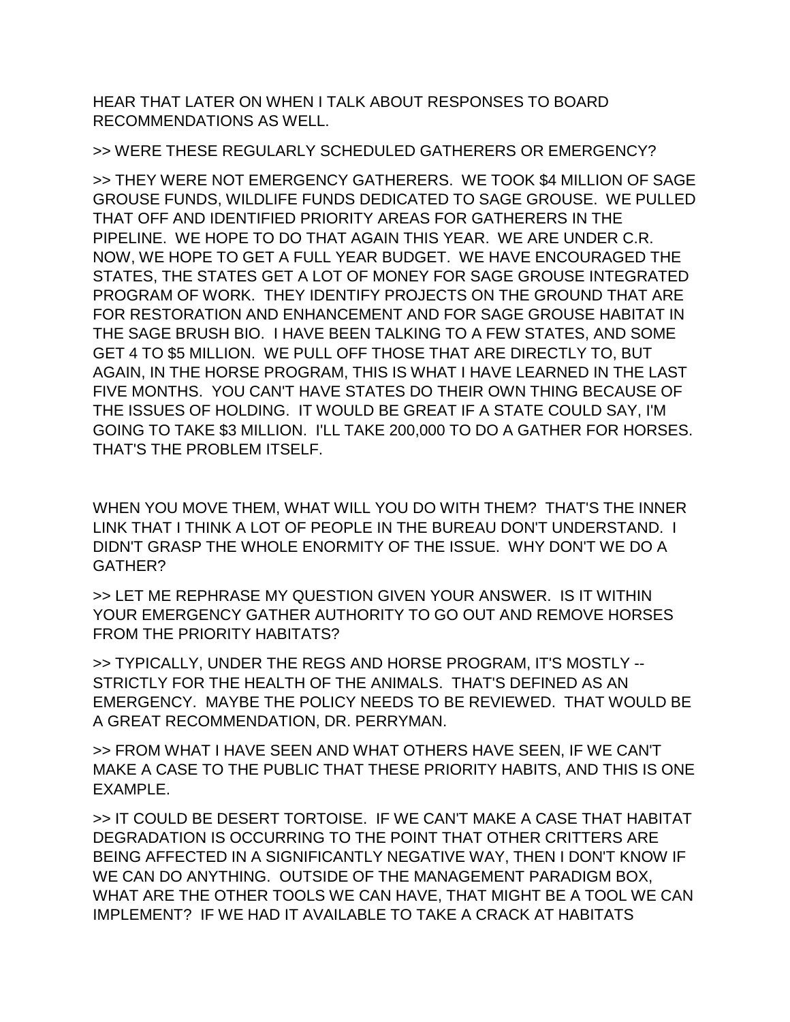HEAR THAT LATER ON WHEN I TALK ABOUT RESPONSES TO BOARD RECOMMENDATIONS AS WELL.

>> WERE THESE REGULARLY SCHEDULED GATHERERS OR EMERGENCY?

>> THEY WERE NOT EMERGENCY GATHERERS. WE TOOK \$4 MILLION OF SAGE GROUSE FUNDS, WILDLIFE FUNDS DEDICATED TO SAGE GROUSE. WE PULLED THAT OFF AND IDENTIFIED PRIORITY AREAS FOR GATHERERS IN THE PIPELINE. WE HOPE TO DO THAT AGAIN THIS YEAR. WE ARE UNDER C.R. NOW, WE HOPE TO GET A FULL YEAR BUDGET. WE HAVE ENCOURAGED THE STATES, THE STATES GET A LOT OF MONEY FOR SAGE GROUSE INTEGRATED PROGRAM OF WORK. THEY IDENTIFY PROJECTS ON THE GROUND THAT ARE FOR RESTORATION AND ENHANCEMENT AND FOR SAGE GROUSE HABITAT IN THE SAGE BRUSH BIO. I HAVE BEEN TALKING TO A FEW STATES, AND SOME GET 4 TO \$5 MILLION. WE PULL OFF THOSE THAT ARE DIRECTLY TO, BUT AGAIN, IN THE HORSE PROGRAM, THIS IS WHAT I HAVE LEARNED IN THE LAST FIVE MONTHS. YOU CAN'T HAVE STATES DO THEIR OWN THING BECAUSE OF THE ISSUES OF HOLDING. IT WOULD BE GREAT IF A STATE COULD SAY, I'M GOING TO TAKE \$3 MILLION. I'LL TAKE 200,000 TO DO A GATHER FOR HORSES. THAT'S THE PROBLEM ITSELF.

WHEN YOU MOVE THEM, WHAT WILL YOU DO WITH THEM? THAT'S THE INNER LINK THAT I THINK A LOT OF PEOPLE IN THE BUREAU DON'T UNDERSTAND. I DIDN'T GRASP THE WHOLE ENORMITY OF THE ISSUE. WHY DON'T WE DO A GATHER?

>> LET ME REPHRASE MY QUESTION GIVEN YOUR ANSWER. IS IT WITHIN YOUR EMERGENCY GATHER AUTHORITY TO GO OUT AND REMOVE HORSES FROM THE PRIORITY HABITATS?

>> TYPICALLY, UNDER THE REGS AND HORSE PROGRAM, IT'S MOSTLY -- STRICTLY FOR THE HEALTH OF THE ANIMALS. THAT'S DEFINED AS AN EMERGENCY. MAYBE THE POLICY NEEDS TO BE REVIEWED. THAT WOULD BE A GREAT RECOMMENDATION, DR. PERRYMAN.

>> FROM WHAT I HAVE SEEN AND WHAT OTHERS HAVE SEEN, IF WE CAN'T MAKE A CASE TO THE PUBLIC THAT THESE PRIORITY HABITS, AND THIS IS ONE EXAMPLE.

>> IT COULD BE DESERT TORTOISE. IF WE CAN'T MAKE A CASE THAT HABITAT DEGRADATION IS OCCURRING TO THE POINT THAT OTHER CRITTERS ARE BEING AFFECTED IN A SIGNIFICANTLY NEGATIVE WAY, THEN I DON'T KNOW IF WE CAN DO ANYTHING. OUTSIDE OF THE MANAGEMENT PARADIGM BOX, WHAT ARE THE OTHER TOOLS WE CAN HAVE, THAT MIGHT BE A TOOL WE CAN IMPLEMENT? IF WE HAD IT AVAILABLE TO TAKE A CRACK AT HABITATS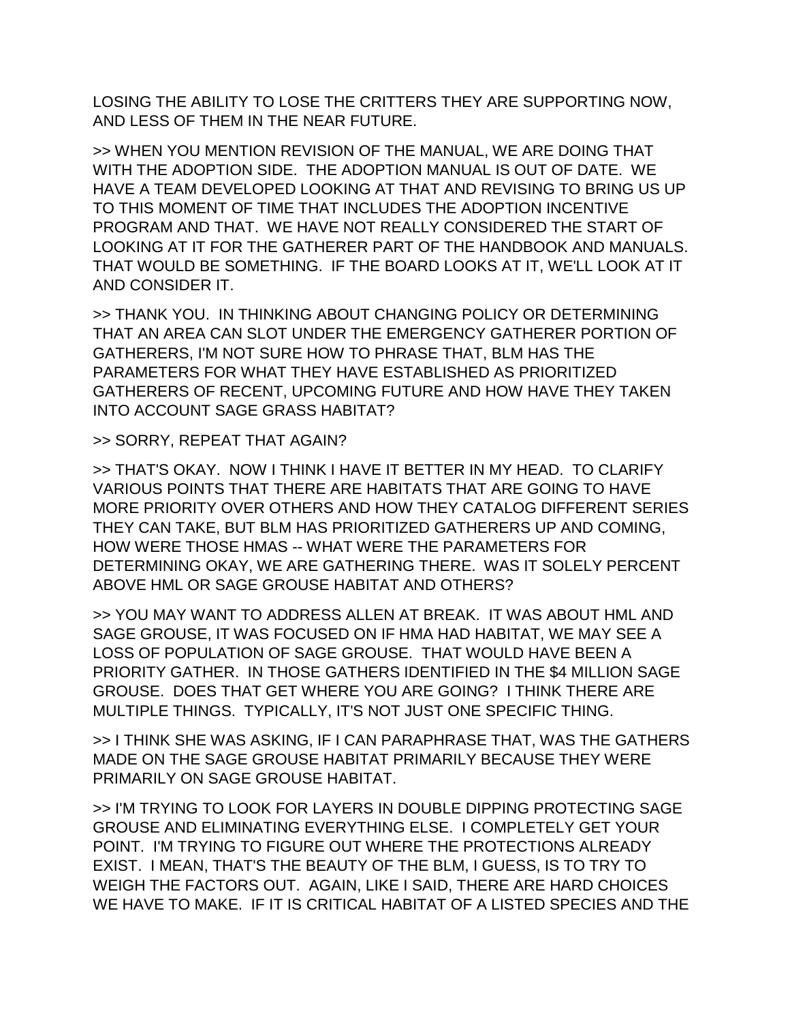LOSING THE ABILITY TO LOSE THE CRITTERS THEY ARE SUPPORTING NOW, AND LESS OF THEM IN THE NEAR FUTURE.

>> WHEN YOU MENTION REVISION OF THE MANUAL, WE ARE DOING THAT WITH THE ADOPTION SIDE. THE ADOPTION MANUAL IS OUT OF DATE. WE HAVE A TEAM DEVELOPED LOOKING AT THAT AND REVISING TO BRING US UP TO THIS MOMENT OF TIME THAT INCLUDES THE ADOPTION INCENTIVE PROGRAM AND THAT. WE HAVE NOT REALLY CONSIDERED THE START OF LOOKING AT IT FOR THE GATHERER PART OF THE HANDBOOK AND MANUALS. THAT WOULD BE SOMETHING. IF THE BOARD LOOKS AT IT, WE'LL LOOK AT IT AND CONSIDER IT.

>> THANK YOU. IN THINKING ABOUT CHANGING POLICY OR DETERMINING THAT AN AREA CAN SLOT UNDER THE EMERGENCY GATHERER PORTION OF GATHERERS, I'M NOT SURE HOW TO PHRASE THAT, BLM HAS THE PARAMETERS FOR WHAT THEY HAVE ESTABLISHED AS PRIORITIZED GATHERERS OF RECENT, UPCOMING FUTURE AND HOW HAVE THEY TAKEN INTO ACCOUNT SAGE GRASS HABITAT?

>> SORRY, REPEAT THAT AGAIN?

>> THAT'S OKAY. NOW I THINK I HAVE IT BETTER IN MY HEAD. TO CLARIFY VARIOUS POINTS THAT THERE ARE HABITATS THAT ARE GOING TO HAVE MORE PRIORITY OVER OTHERS AND HOW THEY CATALOG DIFFERENT SERIES THEY CAN TAKE, BUT BLM HAS PRIORITIZED GATHERERS UP AND COMING, HOW WERE THOSE HMAS -- WHAT WERE THE PARAMETERS FOR DETERMINING OKAY, WE ARE GATHERING THERE. WAS IT SOLELY PERCENT ABOVE HML OR SAGE GROUSE HABITAT AND OTHERS?

>> YOU MAY WANT TO ADDRESS ALLEN AT BREAK. IT WAS ABOUT HML AND SAGE GROUSE, IT WAS FOCUSED ON IF HMA HAD HABITAT, WE MAY SEE A LOSS OF POPULATION OF SAGE GROUSE. THAT WOULD HAVE BEEN A PRIORITY GATHER. IN THOSE GATHERS IDENTIFIED IN THE \$4 MILLION SAGE GROUSE. DOES THAT GET WHERE YOU ARE GOING? I THINK THERE ARE MULTIPLE THINGS. TYPICALLY, IT'S NOT JUST ONE SPECIFIC THING.

>> I THINK SHE WAS ASKING, IF I CAN PARAPHRASE THAT, WAS THE GATHERS MADE ON THE SAGE GROUSE HABITAT PRIMARILY BECAUSE THEY WERE PRIMARILY ON SAGE GROUSE HABITAT.

>> I'M TRYING TO LOOK FOR LAYERS IN DOUBLE DIPPING PROTECTING SAGE GROUSE AND ELIMINATING EVERYTHING ELSE. I COMPLETELY GET YOUR POINT. I'M TRYING TO FIGURE OUT WHERE THE PROTECTIONS ALREADY EXIST. I MEAN, THAT'S THE BEAUTY OF THE BLM, I GUESS, IS TO TRY TO WEIGH THE FACTORS OUT. AGAIN, LIKE I SAID, THERE ARE HARD CHOICES WE HAVE TO MAKE. IF IT IS CRITICAL HABITAT OF A LISTED SPECIES AND THE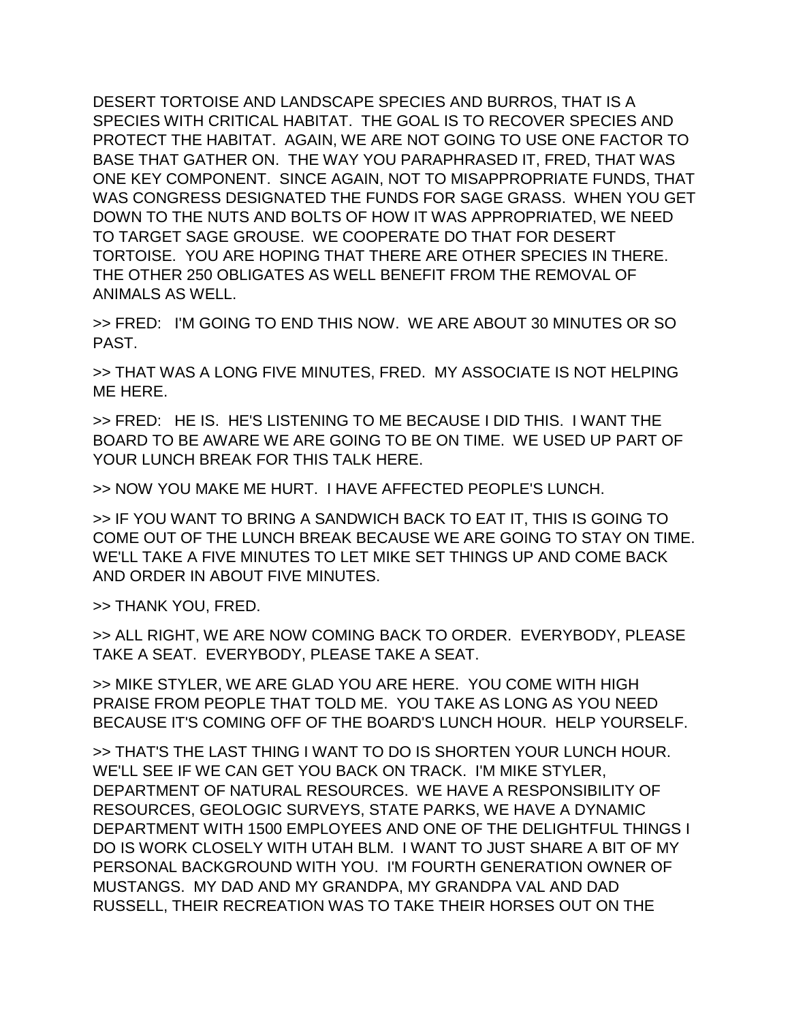DESERT TORTOISE AND LANDSCAPE SPECIES AND BURROS, THAT IS A SPECIES WITH CRITICAL HABITAT. THE GOAL IS TO RECOVER SPECIES AND PROTECT THE HABITAT. AGAIN, WE ARE NOT GOING TO USE ONE FACTOR TO BASE THAT GATHER ON. THE WAY YOU PARAPHRASED IT, FRED, THAT WAS ONE KEY COMPONENT. SINCE AGAIN, NOT TO MISAPPROPRIATE FUNDS, THAT WAS CONGRESS DESIGNATED THE FUNDS FOR SAGE GRASS. WHEN YOU GET DOWN TO THE NUTS AND BOLTS OF HOW IT WAS APPROPRIATED, WE NEED TO TARGET SAGE GROUSE. WE COOPERATE DO THAT FOR DESERT TORTOISE. YOU ARE HOPING THAT THERE ARE OTHER SPECIES IN THERE. THE OTHER 250 OBLIGATES AS WELL BENEFIT FROM THE REMOVAL OF ANIMALS AS WELL.

>> FRED: I'M GOING TO END THIS NOW. WE ARE ABOUT 30 MINUTES OR SO PAST.

>> THAT WAS A LONG FIVE MINUTES, FRED. MY ASSOCIATE IS NOT HELPING ME HERE.

>> FRED: HE IS. HE'S LISTENING TO ME BECAUSE I DID THIS. I WANT THE BOARD TO BE AWARE WE ARE GOING TO BE ON TIME. WE USED UP PART OF YOUR LUNCH BREAK FOR THIS TALK HERE.

>> NOW YOU MAKE ME HURT. I HAVE AFFECTED PEOPLE'S LUNCH.

>> IF YOU WANT TO BRING A SANDWICH BACK TO EAT IT, THIS IS GOING TO COME OUT OF THE LUNCH BREAK BECAUSE WE ARE GOING TO STAY ON TIME. WE'LL TAKE A FIVE MINUTES TO LET MIKE SET THINGS UP AND COME BACK AND ORDER IN ABOUT FIVE MINUTES.

>> THANK YOU, FRED.

>> ALL RIGHT, WE ARE NOW COMING BACK TO ORDER. EVERYBODY, PLEASE TAKE A SEAT. EVERYBODY, PLEASE TAKE A SEAT.

>> MIKE STYLER, WE ARE GLAD YOU ARE HERE. YOU COME WITH HIGH PRAISE FROM PEOPLE THAT TOLD ME. YOU TAKE AS LONG AS YOU NEED BECAUSE IT'S COMING OFF OF THE BOARD'S LUNCH HOUR. HELP YOURSELF.

>> THAT'S THE LAST THING I WANT TO DO IS SHORTEN YOUR LUNCH HOUR. WE'LL SEE IF WE CAN GET YOU BACK ON TRACK. I'M MIKE STYLER, DEPARTMENT OF NATURAL RESOURCES. WE HAVE A RESPONSIBILITY OF RESOURCES, GEOLOGIC SURVEYS, STATE PARKS, WE HAVE A DYNAMIC DEPARTMENT WITH 1500 EMPLOYEES AND ONE OF THE DELIGHTFUL THINGS I DO IS WORK CLOSELY WITH UTAH BLM. I WANT TO JUST SHARE A BIT OF MY PERSONAL BACKGROUND WITH YOU. I'M FOURTH GENERATION OWNER OF MUSTANGS. MY DAD AND MY GRANDPA, MY GRANDPA VAL AND DAD RUSSELL, THEIR RECREATION WAS TO TAKE THEIR HORSES OUT ON THE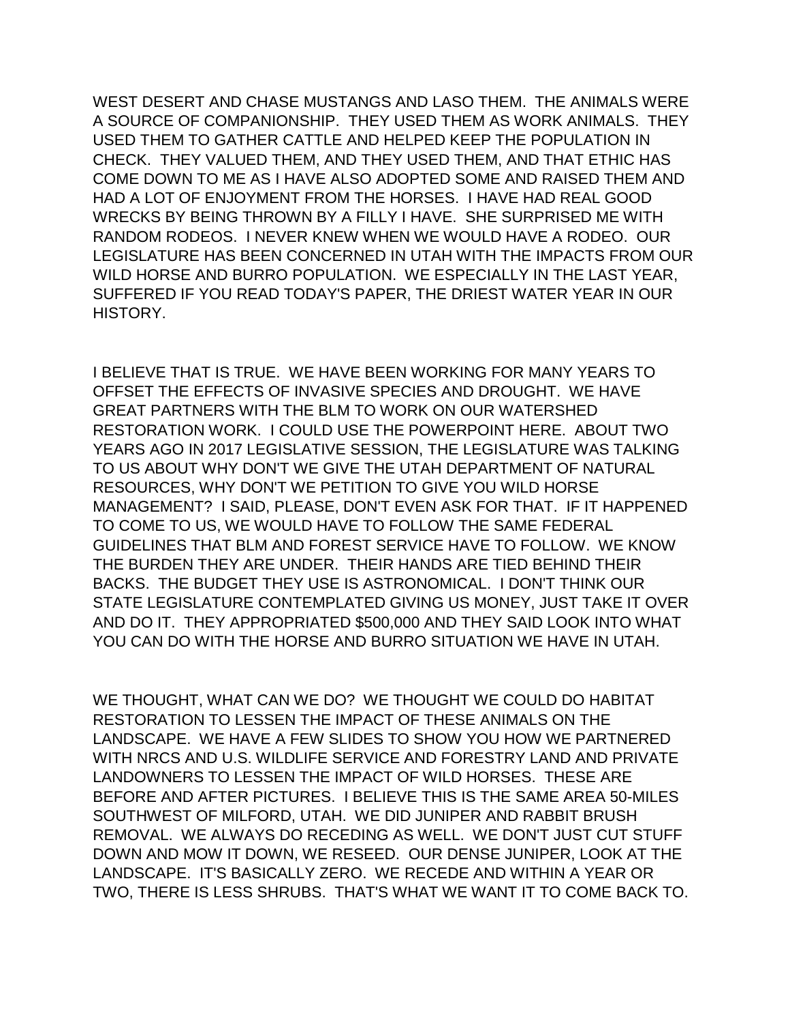WEST DESERT AND CHASE MUSTANGS AND LASO THEM. THE ANIMALS WERE A SOURCE OF COMPANIONSHIP. THEY USED THEM AS WORK ANIMALS. THEY USED THEM TO GATHER CATTLE AND HELPED KEEP THE POPULATION IN CHECK. THEY VALUED THEM, AND THEY USED THEM, AND THAT ETHIC HAS COME DOWN TO ME AS I HAVE ALSO ADOPTED SOME AND RAISED THEM AND HAD A LOT OF ENJOYMENT FROM THE HORSES. I HAVE HAD REAL GOOD WRECKS BY BEING THROWN BY A FILLY I HAVE. SHE SURPRISED ME WITH RANDOM RODEOS. I NEVER KNEW WHEN WE WOULD HAVE A RODEO. OUR LEGISLATURE HAS BEEN CONCERNED IN UTAH WITH THE IMPACTS FROM OUR WILD HORSE AND BURRO POPULATION. WE ESPECIALLY IN THE LAST YEAR, SUFFERED IF YOU READ TODAY'S PAPER, THE DRIEST WATER YEAR IN OUR HISTORY.

I BELIEVE THAT IS TRUE. WE HAVE BEEN WORKING FOR MANY YEARS TO OFFSET THE EFFECTS OF INVASIVE SPECIES AND DROUGHT. WE HAVE GREAT PARTNERS WITH THE BLM TO WORK ON OUR WATERSHED RESTORATION WORK. I COULD USE THE POWERPOINT HERE. ABOUT TWO YEARS AGO IN 2017 LEGISLATIVE SESSION, THE LEGISLATURE WAS TALKING TO US ABOUT WHY DON'T WE GIVE THE UTAH DEPARTMENT OF NATURAL RESOURCES, WHY DON'T WE PETITION TO GIVE YOU WILD HORSE MANAGEMENT? I SAID, PLEASE, DON'T EVEN ASK FOR THAT. IF IT HAPPENED TO COME TO US, WE WOULD HAVE TO FOLLOW THE SAME FEDERAL GUIDELINES THAT BLM AND FOREST SERVICE HAVE TO FOLLOW. WE KNOW THE BURDEN THEY ARE UNDER. THEIR HANDS ARE TIED BEHIND THEIR BACKS. THE BUDGET THEY USE IS ASTRONOMICAL. I DON'T THINK OUR STATE LEGISLATURE CONTEMPLATED GIVING US MONEY, JUST TAKE IT OVER AND DO IT. THEY APPROPRIATED \$500,000 AND THEY SAID LOOK INTO WHAT YOU CAN DO WITH THE HORSE AND BURRO SITUATION WE HAVE IN UTAH.

WE THOUGHT, WHAT CAN WE DO? WE THOUGHT WE COULD DO HABITAT RESTORATION TO LESSEN THE IMPACT OF THESE ANIMALS ON THE LANDSCAPE. WE HAVE A FEW SLIDES TO SHOW YOU HOW WE PARTNERED WITH NRCS AND U.S. WILDLIFE SERVICE AND FORESTRY LAND AND PRIVATE LANDOWNERS TO LESSEN THE IMPACT OF WILD HORSES. THESE ARE BEFORE AND AFTER PICTURES. I BELIEVE THIS IS THE SAME AREA 50-MILES SOUTHWEST OF MILFORD, UTAH. WE DID JUNIPER AND RABBIT BRUSH REMOVAL. WE ALWAYS DO RECEDING AS WELL. WE DON'T JUST CUT STUFF DOWN AND MOW IT DOWN, WE RESEED. OUR DENSE JUNIPER, LOOK AT THE LANDSCAPE. IT'S BASICALLY ZERO. WE RECEDE AND WITHIN A YEAR OR TWO, THERE IS LESS SHRUBS. THAT'S WHAT WE WANT IT TO COME BACK TO.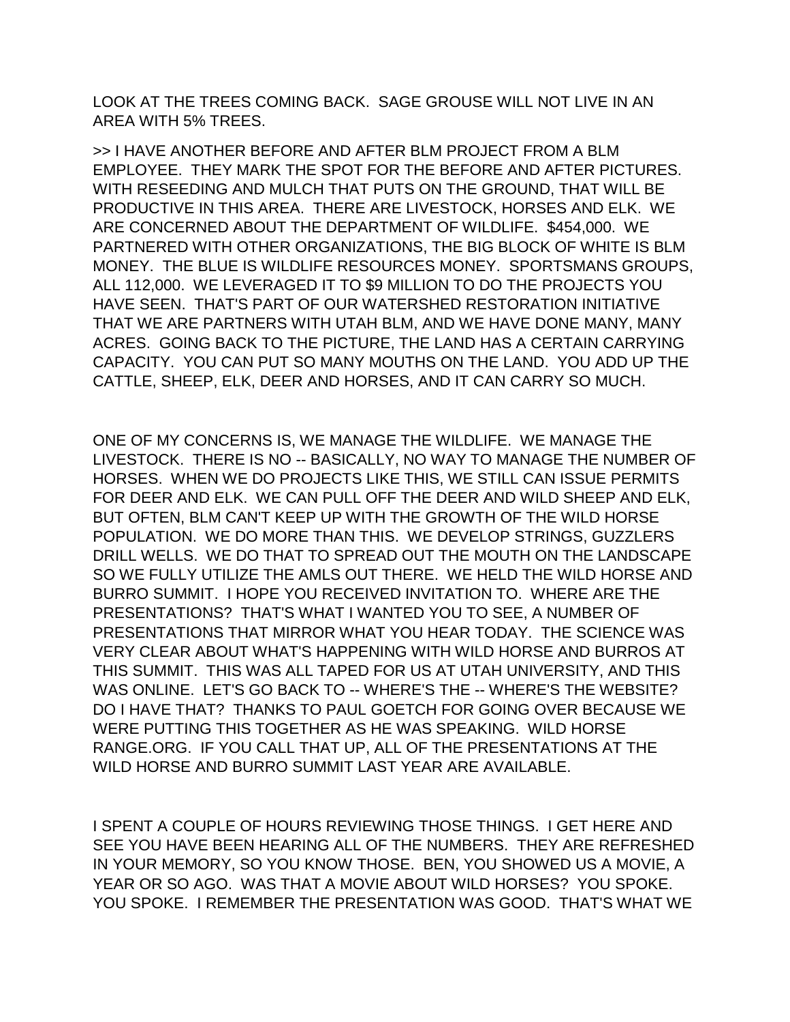LOOK AT THE TREES COMING BACK. SAGE GROUSE WILL NOT LIVE IN AN AREA WITH 5% TREES.

>> I HAVE ANOTHER BEFORE AND AFTER BLM PROJECT FROM A BLM EMPLOYEE. THEY MARK THE SPOT FOR THE BEFORE AND AFTER PICTURES. WITH RESEEDING AND MULCH THAT PUTS ON THE GROUND, THAT WILL BE PRODUCTIVE IN THIS AREA. THERE ARE LIVESTOCK, HORSES AND ELK. WE ARE CONCERNED ABOUT THE DEPARTMENT OF WILDLIFE. \$454,000. WE PARTNERED WITH OTHER ORGANIZATIONS, THE BIG BLOCK OF WHITE IS BLM MONEY. THE BLUE IS WILDLIFE RESOURCES MONEY. SPORTSMANS GROUPS, ALL 112,000. WE LEVERAGED IT TO \$9 MILLION TO DO THE PROJECTS YOU HAVE SEEN. THAT'S PART OF OUR WATERSHED RESTORATION INITIATIVE THAT WE ARE PARTNERS WITH UTAH BLM, AND WE HAVE DONE MANY, MANY ACRES. GOING BACK TO THE PICTURE, THE LAND HAS A CERTAIN CARRYING CAPACITY. YOU CAN PUT SO MANY MOUTHS ON THE LAND. YOU ADD UP THE CATTLE, SHEEP, ELK, DEER AND HORSES, AND IT CAN CARRY SO MUCH.

ONE OF MY CONCERNS IS, WE MANAGE THE WILDLIFE. WE MANAGE THE LIVESTOCK. THERE IS NO -- BASICALLY, NO WAY TO MANAGE THE NUMBER OF HORSES. WHEN WE DO PROJECTS LIKE THIS, WE STILL CAN ISSUE PERMITS FOR DEER AND ELK. WE CAN PULL OFF THE DEER AND WILD SHEEP AND ELK, BUT OFTEN, BLM CAN'T KEEP UP WITH THE GROWTH OF THE WILD HORSE POPULATION. WE DO MORE THAN THIS. WE DEVELOP STRINGS, GUZZLERS DRILL WELLS. WE DO THAT TO SPREAD OUT THE MOUTH ON THE LANDSCAPE SO WE FULLY UTILIZE THE AMLS OUT THERE. WE HELD THE WILD HORSE AND BURRO SUMMIT. I HOPE YOU RECEIVED INVITATION TO. WHERE ARE THE PRESENTATIONS? THAT'S WHAT I WANTED YOU TO SEE, A NUMBER OF PRESENTATIONS THAT MIRROR WHAT YOU HEAR TODAY. THE SCIENCE WAS VERY CLEAR ABOUT WHAT'S HAPPENING WITH WILD HORSE AND BURROS AT THIS SUMMIT. THIS WAS ALL TAPED FOR US AT UTAH UNIVERSITY, AND THIS WAS ONLINE. LET'S GO BACK TO -- WHERE'S THE -- WHERE'S THE WEBSITE? DO I HAVE THAT? THANKS TO PAUL GOETCH FOR GOING OVER BECAUSE WE WERE PUTTING THIS TOGETHER AS HE WAS SPEAKING. WILD HORSE RANGE.ORG. IF YOU CALL THAT UP, ALL OF THE PRESENTATIONS AT THE WILD HORSE AND BURRO SUMMIT LAST YEAR ARE AVAILABLE.

I SPENT A COUPLE OF HOURS REVIEWING THOSE THINGS. I GET HERE AND SEE YOU HAVE BEEN HEARING ALL OF THE NUMBERS. THEY ARE REFRESHED IN YOUR MEMORY, SO YOU KNOW THOSE. BEN, YOU SHOWED US A MOVIE, A YEAR OR SO AGO. WAS THAT A MOVIE ABOUT WILD HORSES? YOU SPOKE. YOU SPOKE. I REMEMBER THE PRESENTATION WAS GOOD. THAT'S WHAT WE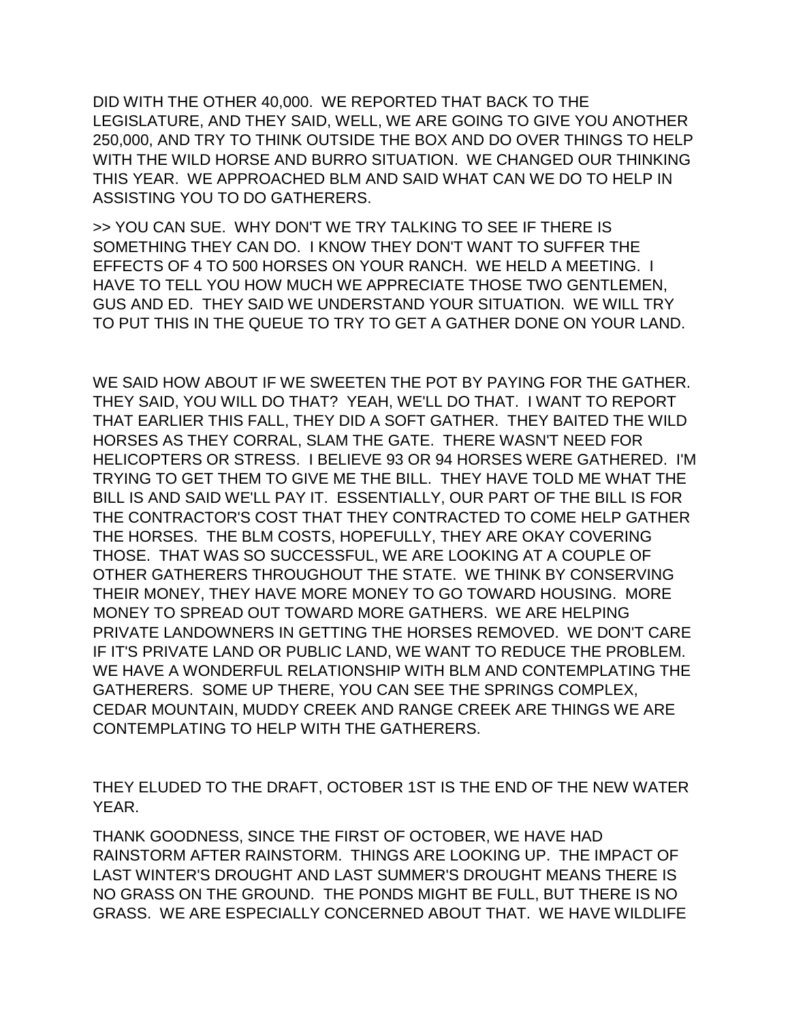DID WITH THE OTHER 40,000. WE REPORTED THAT BACK TO THE LEGISLATURE, AND THEY SAID, WELL, WE ARE GOING TO GIVE YOU ANOTHER 250,000, AND TRY TO THINK OUTSIDE THE BOX AND DO OVER THINGS TO HELP WITH THE WILD HORSE AND BURRO SITUATION. WE CHANGED OUR THINKING THIS YEAR. WE APPROACHED BLM AND SAID WHAT CAN WE DO TO HELP IN ASSISTING YOU TO DO GATHERERS.

>> YOU CAN SUE. WHY DON'T WE TRY TALKING TO SEE IF THERE IS SOMETHING THEY CAN DO. I KNOW THEY DON'T WANT TO SUFFER THE EFFECTS OF 4 TO 500 HORSES ON YOUR RANCH. WE HELD A MEETING. I HAVE TO TELL YOU HOW MUCH WE APPRECIATE THOSE TWO GENTLEMEN, GUS AND ED. THEY SAID WE UNDERSTAND YOUR SITUATION. WE WILL TRY TO PUT THIS IN THE QUEUE TO TRY TO GET A GATHER DONE ON YOUR LAND.

WE SAID HOW ABOUT IF WE SWEETEN THE POT BY PAYING FOR THE GATHER. THEY SAID, YOU WILL DO THAT? YEAH, WE'LL DO THAT. I WANT TO REPORT THAT EARLIER THIS FALL, THEY DID A SOFT GATHER. THEY BAITED THE WILD HORSES AS THEY CORRAL, SLAM THE GATE. THERE WASN'T NEED FOR HELICOPTERS OR STRESS. I BELIEVE 93 OR 94 HORSES WERE GATHERED. I'M TRYING TO GET THEM TO GIVE ME THE BILL. THEY HAVE TOLD ME WHAT THE BILL IS AND SAID WE'LL PAY IT. ESSENTIALLY, OUR PART OF THE BILL IS FOR THE CONTRACTOR'S COST THAT THEY CONTRACTED TO COME HELP GATHER THE HORSES. THE BLM COSTS, HOPEFULLY, THEY ARE OKAY COVERING THOSE. THAT WAS SO SUCCESSFUL, WE ARE LOOKING AT A COUPLE OF OTHER GATHERERS THROUGHOUT THE STATE. WE THINK BY CONSERVING THEIR MONEY, THEY HAVE MORE MONEY TO GO TOWARD HOUSING. MORE MONEY TO SPREAD OUT TOWARD MORE GATHERS. WE ARE HELPING PRIVATE LANDOWNERS IN GETTING THE HORSES REMOVED. WE DON'T CARE IF IT'S PRIVATE LAND OR PUBLIC LAND, WE WANT TO REDUCE THE PROBLEM. WE HAVE A WONDERFUL RELATIONSHIP WITH BLM AND CONTEMPLATING THE GATHERERS. SOME UP THERE, YOU CAN SEE THE SPRINGS COMPLEX, CEDAR MOUNTAIN, MUDDY CREEK AND RANGE CREEK ARE THINGS WE ARE CONTEMPLATING TO HELP WITH THE GATHERERS.

THEY ELUDED TO THE DRAFT, OCTOBER 1ST IS THE END OF THE NEW WATER YEAR.

THANK GOODNESS, SINCE THE FIRST OF OCTOBER, WE HAVE HAD RAINSTORM AFTER RAINSTORM. THINGS ARE LOOKING UP. THE IMPACT OF LAST WINTER'S DROUGHT AND LAST SUMMER'S DROUGHT MEANS THERE IS NO GRASS ON THE GROUND. THE PONDS MIGHT BE FULL, BUT THERE IS NO GRASS. WE ARE ESPECIALLY CONCERNED ABOUT THAT. WE HAVE WILDLIFE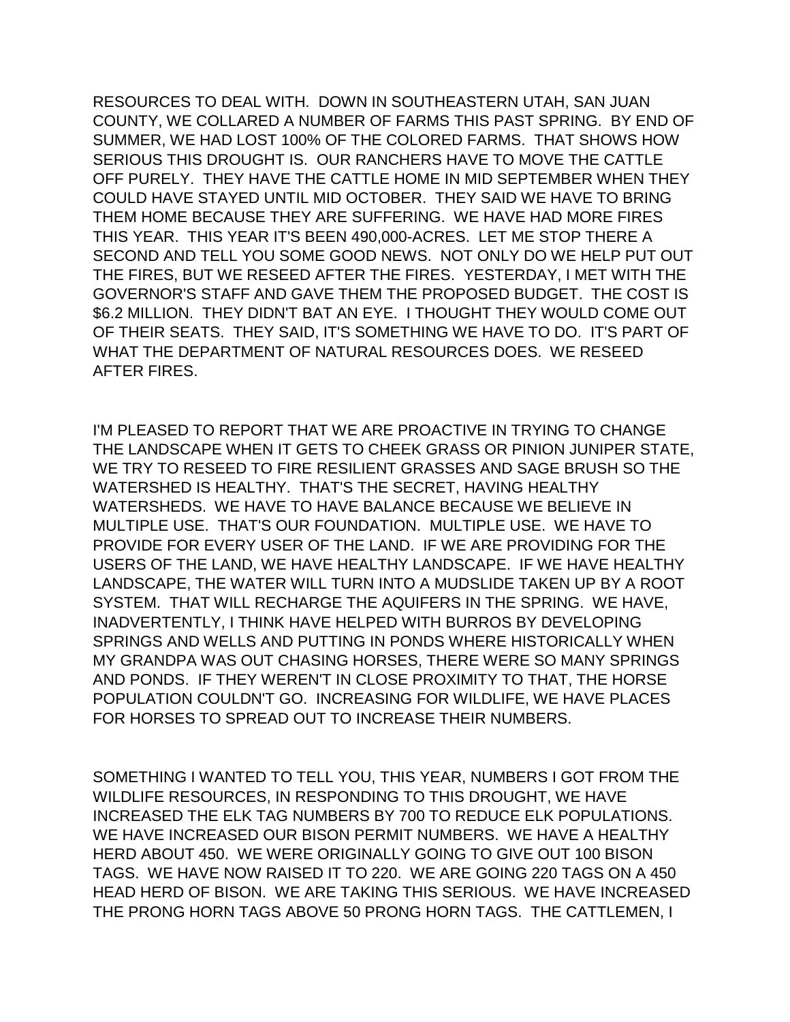RESOURCES TO DEAL WITH. DOWN IN SOUTHEASTERN UTAH, SAN JUAN COUNTY, WE COLLARED A NUMBER OF FARMS THIS PAST SPRING. BY END OF SUMMER, WE HAD LOST 100% OF THE COLORED FARMS. THAT SHOWS HOW SERIOUS THIS DROUGHT IS. OUR RANCHERS HAVE TO MOVE THE CATTLE OFF PURELY. THEY HAVE THE CATTLE HOME IN MID SEPTEMBER WHEN THEY COULD HAVE STAYED UNTIL MID OCTOBER. THEY SAID WE HAVE TO BRING THEM HOME BECAUSE THEY ARE SUFFERING. WE HAVE HAD MORE FIRES THIS YEAR. THIS YEAR IT'S BEEN 490,000-ACRES. LET ME STOP THERE A SECOND AND TELL YOU SOME GOOD NEWS. NOT ONLY DO WE HELP PUT OUT THE FIRES, BUT WE RESEED AFTER THE FIRES. YESTERDAY, I MET WITH THE GOVERNOR'S STAFF AND GAVE THEM THE PROPOSED BUDGET. THE COST IS \$6.2 MILLION. THEY DIDN'T BAT AN EYE. I THOUGHT THEY WOULD COME OUT OF THEIR SEATS. THEY SAID, IT'S SOMETHING WE HAVE TO DO. IT'S PART OF WHAT THE DEPARTMENT OF NATURAL RESOURCES DOES. WE RESEED AFTER FIRES.

I'M PLEASED TO REPORT THAT WE ARE PROACTIVE IN TRYING TO CHANGE THE LANDSCAPE WHEN IT GETS TO CHEEK GRASS OR PINION JUNIPER STATE, WE TRY TO RESEED TO FIRE RESILIENT GRASSES AND SAGE BRUSH SO THE WATERSHED IS HEALTHY. THAT'S THE SECRET, HAVING HEALTHY WATERSHEDS. WE HAVE TO HAVE BALANCE BECAUSE WE BELIEVE IN MULTIPLE USE. THAT'S OUR FOUNDATION. MULTIPLE USE. WE HAVE TO PROVIDE FOR EVERY USER OF THE LAND. IF WE ARE PROVIDING FOR THE USERS OF THE LAND, WE HAVE HEALTHY LANDSCAPE. IF WE HAVE HEALTHY LANDSCAPE, THE WATER WILL TURN INTO A MUDSLIDE TAKEN UP BY A ROOT SYSTEM. THAT WILL RECHARGE THE AQUIFERS IN THE SPRING. WE HAVE, INADVERTENTLY, I THINK HAVE HELPED WITH BURROS BY DEVELOPING SPRINGS AND WELLS AND PUTTING IN PONDS WHERE HISTORICALLY WHEN MY GRANDPA WAS OUT CHASING HORSES, THERE WERE SO MANY SPRINGS AND PONDS. IF THEY WEREN'T IN CLOSE PROXIMITY TO THAT, THE HORSE POPULATION COULDN'T GO. INCREASING FOR WILDLIFE, WE HAVE PLACES FOR HORSES TO SPREAD OUT TO INCREASE THEIR NUMBERS.

SOMETHING I WANTED TO TELL YOU, THIS YEAR, NUMBERS I GOT FROM THE WILDLIFE RESOURCES, IN RESPONDING TO THIS DROUGHT, WE HAVE INCREASED THE ELK TAG NUMBERS BY 700 TO REDUCE ELK POPULATIONS. WE HAVE INCREASED OUR BISON PERMIT NUMBERS. WE HAVE A HEALTHY HERD ABOUT 450. WE WERE ORIGINALLY GOING TO GIVE OUT 100 BISON TAGS. WE HAVE NOW RAISED IT TO 220. WE ARE GOING 220 TAGS ON A 450 HEAD HERD OF BISON. WE ARE TAKING THIS SERIOUS. WE HAVE INCREASED THE PRONG HORN TAGS ABOVE 50 PRONG HORN TAGS. THE CATTLEMEN, I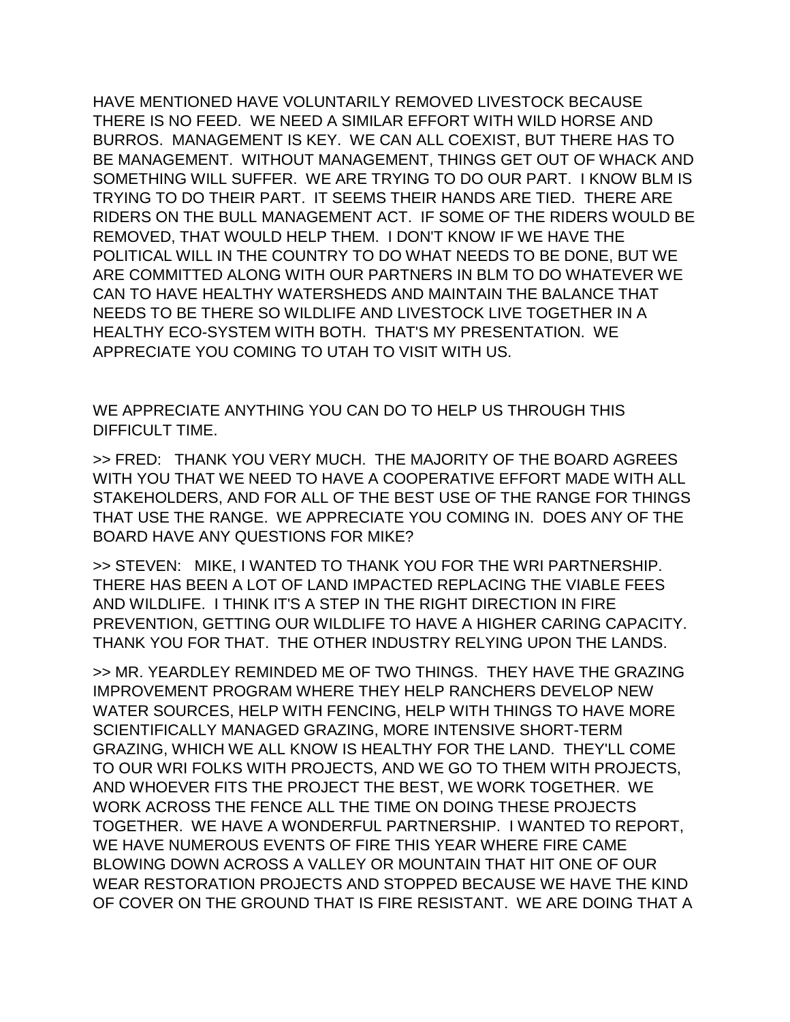HAVE MENTIONED HAVE VOLUNTARILY REMOVED LIVESTOCK BECAUSE THERE IS NO FEED. WE NEED A SIMILAR EFFORT WITH WILD HORSE AND BURROS. MANAGEMENT IS KEY. WE CAN ALL COEXIST, BUT THERE HAS TO BE MANAGEMENT. WITHOUT MANAGEMENT, THINGS GET OUT OF WHACK AND SOMETHING WILL SUFFER. WE ARE TRYING TO DO OUR PART. I KNOW BLM IS TRYING TO DO THEIR PART. IT SEEMS THEIR HANDS ARE TIED. THERE ARE RIDERS ON THE BULL MANAGEMENT ACT. IF SOME OF THE RIDERS WOULD BE REMOVED, THAT WOULD HELP THEM. I DON'T KNOW IF WE HAVE THE POLITICAL WILL IN THE COUNTRY TO DO WHAT NEEDS TO BE DONE, BUT WE ARE COMMITTED ALONG WITH OUR PARTNERS IN BLM TO DO WHATEVER WE CAN TO HAVE HEALTHY WATERSHEDS AND MAINTAIN THE BALANCE THAT NEEDS TO BE THERE SO WILDLIFE AND LIVESTOCK LIVE TOGETHER IN A HEALTHY ECO-SYSTEM WITH BOTH. THAT'S MY PRESENTATION. WE APPRECIATE YOU COMING TO UTAH TO VISIT WITH US.

WE APPRECIATE ANYTHING YOU CAN DO TO HELP US THROUGH THIS DIFFICULT TIME.

>> FRED: THANK YOU VERY MUCH. THE MAJORITY OF THE BOARD AGREES WITH YOU THAT WE NEED TO HAVE A COOPERATIVE EFFORT MADE WITH ALL STAKEHOLDERS, AND FOR ALL OF THE BEST USE OF THE RANGE FOR THINGS THAT USE THE RANGE. WE APPRECIATE YOU COMING IN. DOES ANY OF THE BOARD HAVE ANY QUESTIONS FOR MIKE?

>> STEVEN: MIKE, I WANTED TO THANK YOU FOR THE WRI PARTNERSHIP. THERE HAS BEEN A LOT OF LAND IMPACTED REPLACING THE VIABLE FEES AND WILDLIFE. I THINK IT'S A STEP IN THE RIGHT DIRECTION IN FIRE PREVENTION, GETTING OUR WILDLIFE TO HAVE A HIGHER CARING CAPACITY. THANK YOU FOR THAT. THE OTHER INDUSTRY RELYING UPON THE LANDS.

>> MR. YEARDLEY REMINDED ME OF TWO THINGS. THEY HAVE THE GRAZING IMPROVEMENT PROGRAM WHERE THEY HELP RANCHERS DEVELOP NEW WATER SOURCES, HELP WITH FENCING, HELP WITH THINGS TO HAVE MORE SCIENTIFICALLY MANAGED GRAZING, MORE INTENSIVE SHORT-TERM GRAZING, WHICH WE ALL KNOW IS HEALTHY FOR THE LAND. THEY'LL COME TO OUR WRI FOLKS WITH PROJECTS, AND WE GO TO THEM WITH PROJECTS, AND WHOEVER FITS THE PROJECT THE BEST, WE WORK TOGETHER. WE WORK ACROSS THE FENCE ALL THE TIME ON DOING THESE PROJECTS TOGETHER. WE HAVE A WONDERFUL PARTNERSHIP. I WANTED TO REPORT, WE HAVE NUMEROUS EVENTS OF FIRE THIS YEAR WHERE FIRE CAME BLOWING DOWN ACROSS A VALLEY OR MOUNTAIN THAT HIT ONE OF OUR WEAR RESTORATION PROJECTS AND STOPPED BECAUSE WE HAVE THE KIND OF COVER ON THE GROUND THAT IS FIRE RESISTANT. WE ARE DOING THAT A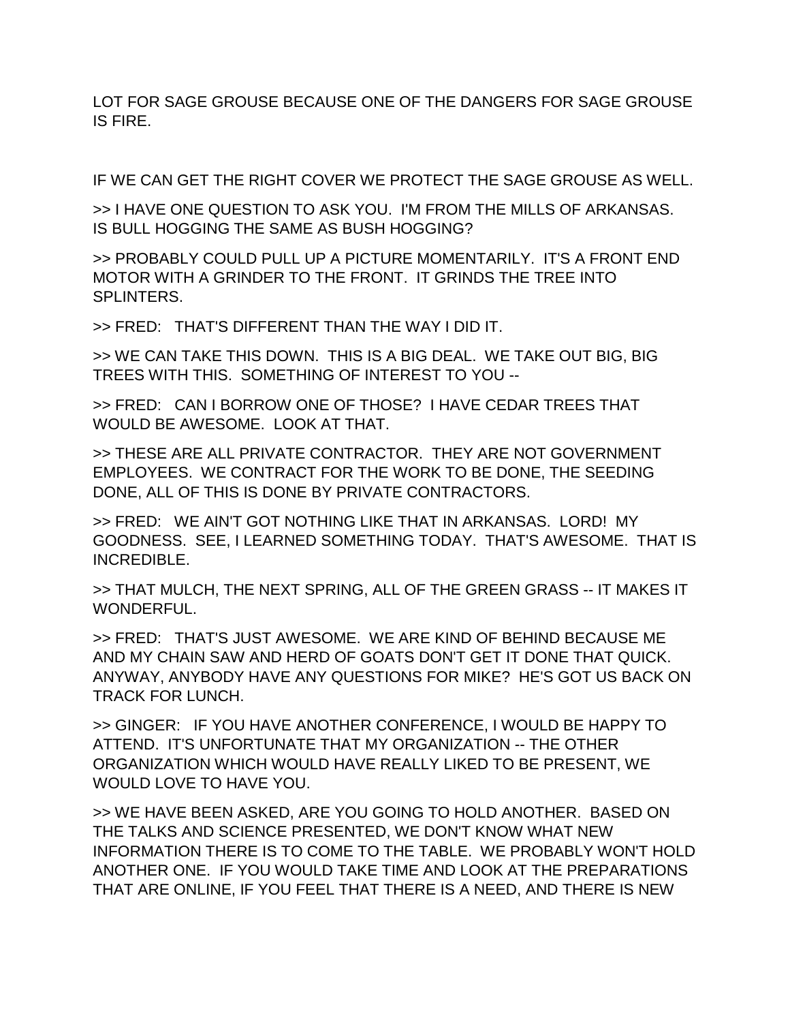LOT FOR SAGE GROUSE BECAUSE ONE OF THE DANGERS FOR SAGE GROUSE IS FIRE.

IF WE CAN GET THE RIGHT COVER WE PROTECT THE SAGE GROUSE AS WELL.

>> I HAVE ONE QUESTION TO ASK YOU. I'M FROM THE MILLS OF ARKANSAS. IS BULL HOGGING THE SAME AS BUSH HOGGING?

>> PROBABLY COULD PULL UP A PICTURE MOMENTARILY. IT'S A FRONT END MOTOR WITH A GRINDER TO THE FRONT. IT GRINDS THE TREE INTO SPI INTERS.

>> FRED: THAT'S DIFFERENT THAN THE WAY I DID IT.

>> WE CAN TAKE THIS DOWN. THIS IS A BIG DEAL. WE TAKE OUT BIG, BIG TREES WITH THIS. SOMETHING OF INTEREST TO YOU --

>> FRED: CAN I BORROW ONE OF THOSE? I HAVE CEDAR TREES THAT WOULD BE AWESOME. LOOK AT THAT.

>> THESE ARE ALL PRIVATE CONTRACTOR. THEY ARE NOT GOVERNMENT EMPLOYEES. WE CONTRACT FOR THE WORK TO BE DONE, THE SEEDING DONE, ALL OF THIS IS DONE BY PRIVATE CONTRACTORS.

>> FRED: WE AIN'T GOT NOTHING LIKE THAT IN ARKANSAS. LORD! MY GOODNESS. SEE, I LEARNED SOMETHING TODAY. THAT'S AWESOME. THAT IS INCREDIBLE.

>> THAT MULCH, THE NEXT SPRING, ALL OF THE GREEN GRASS -- IT MAKES IT WONDERFUL.

>> FRED: THAT'S JUST AWESOME. WE ARE KIND OF BEHIND BECAUSE ME AND MY CHAIN SAW AND HERD OF GOATS DON'T GET IT DONE THAT QUICK. ANYWAY, ANYBODY HAVE ANY QUESTIONS FOR MIKE? HE'S GOT US BACK ON TRACK FOR LUNCH.

>> GINGER: IF YOU HAVE ANOTHER CONFERENCE, I WOULD BE HAPPY TO ATTEND. IT'S UNFORTUNATE THAT MY ORGANIZATION -- THE OTHER ORGANIZATION WHICH WOULD HAVE REALLY LIKED TO BE PRESENT, WE WOULD LOVE TO HAVE YOU.

>> WE HAVE BEEN ASKED, ARE YOU GOING TO HOLD ANOTHER. BASED ON THE TALKS AND SCIENCE PRESENTED, WE DON'T KNOW WHAT NEW INFORMATION THERE IS TO COME TO THE TABLE. WE PROBABLY WON'T HOLD ANOTHER ONE. IF YOU WOULD TAKE TIME AND LOOK AT THE PREPARATIONS THAT ARE ONLINE, IF YOU FEEL THAT THERE IS A NEED, AND THERE IS NEW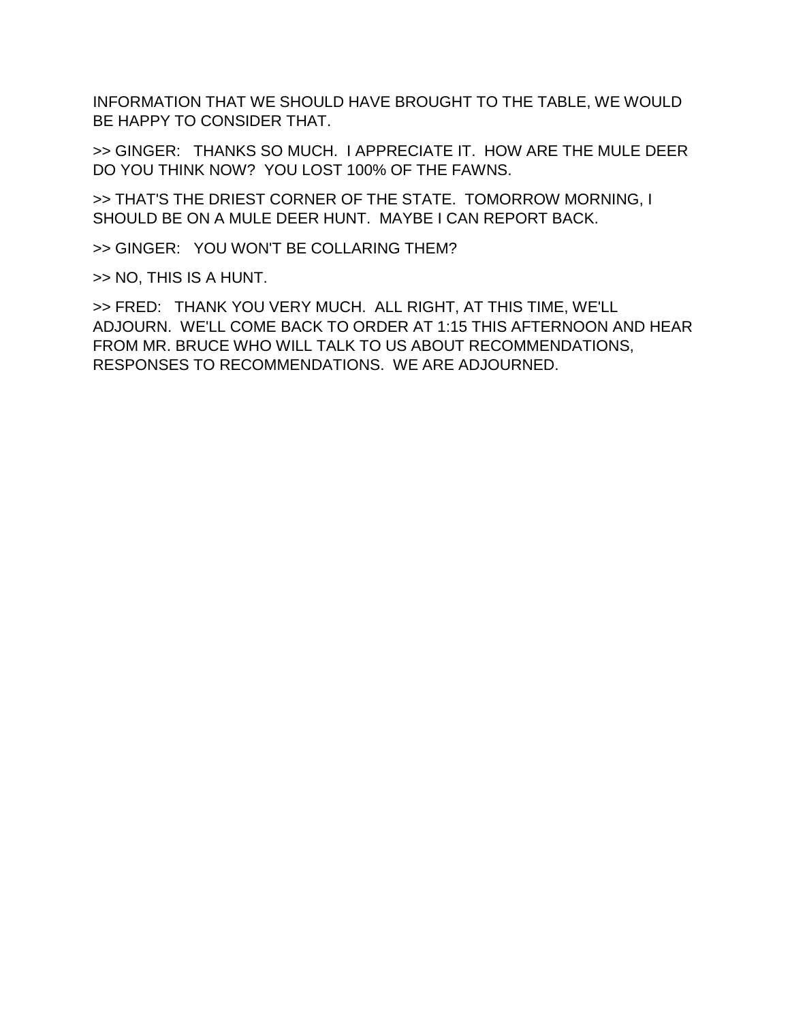INFORMATION THAT WE SHOULD HAVE BROUGHT TO THE TABLE, WE WOULD BE HAPPY TO CONSIDER THAT.

>> GINGER: THANKS SO MUCH. I APPRECIATE IT. HOW ARE THE MULE DEER DO YOU THINK NOW? YOU LOST 100% OF THE FAWNS.

>> THAT'S THE DRIEST CORNER OF THE STATE. TOMORROW MORNING, I SHOULD BE ON A MULE DEER HUNT. MAYBE I CAN REPORT BACK.

>> GINGER: YOU WON'T BE COLLARING THEM?

>> NO, THIS IS A HUNT.

>> FRED: THANK YOU VERY MUCH. ALL RIGHT, AT THIS TIME, WE'LL ADJOURN. WE'LL COME BACK TO ORDER AT 1:15 THIS AFTERNOON AND HEAR FROM MR. BRUCE WHO WILL TALK TO US ABOUT RECOMMENDATIONS, RESPONSES TO RECOMMENDATIONS. WE ARE ADJOURNED.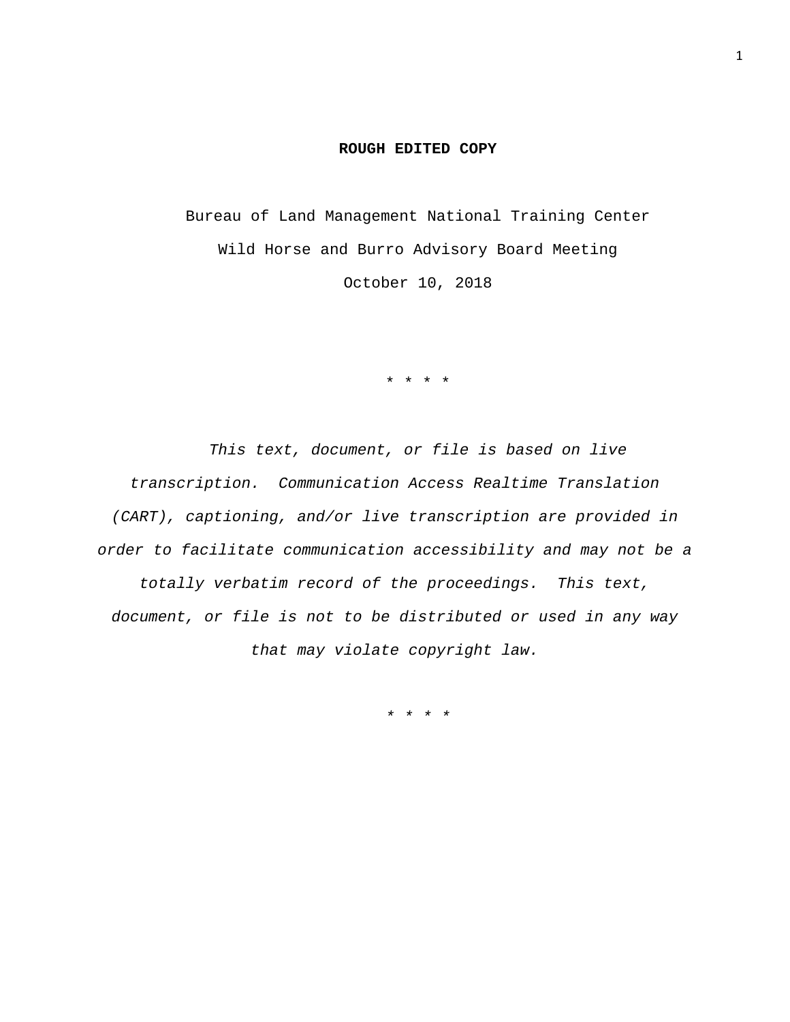## **ROUGH EDITED COPY**

Bureau of Land Management National Training Center Wild Horse and Burro Advisory Board Meeting October 10, 2018

\* \* \* \*

*This text, document, or file is based on live transcription. Communication Access Realtime Translation (CART), captioning, and/or live transcription are provided in order to facilitate communication accessibility and may not be a totally verbatim record of the proceedings. This text, document, or file is not to be distributed or used in any way that may violate copyright law.* 

*\* \* \* \**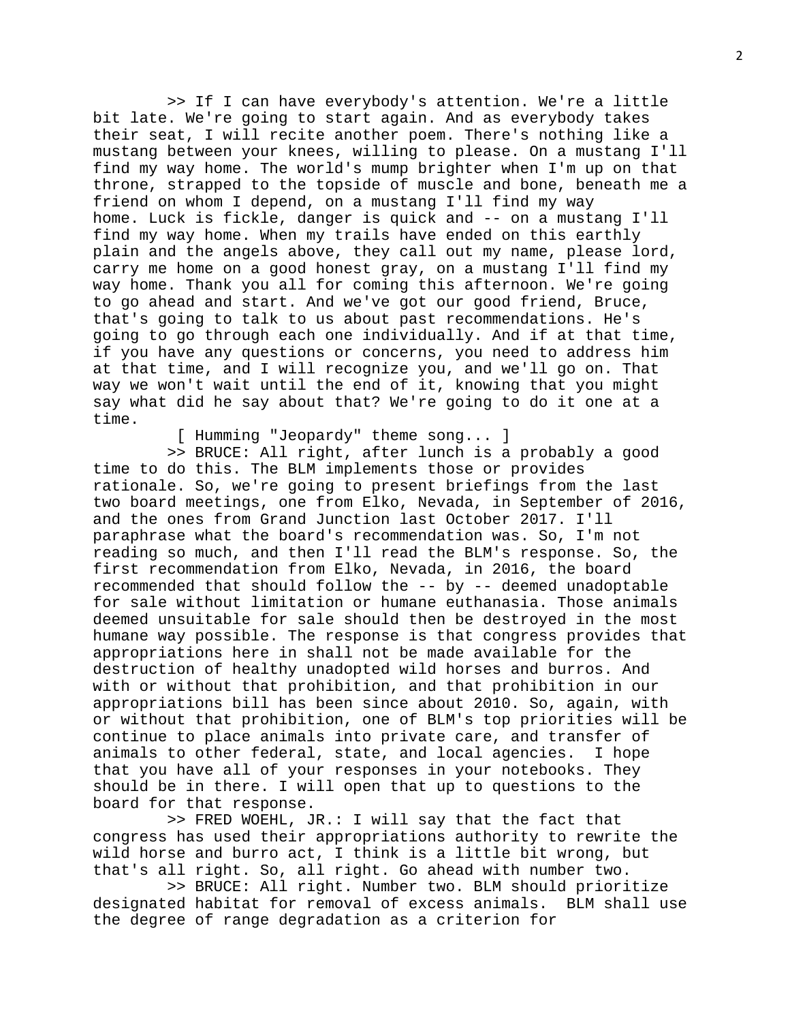>> If I can have everybody's attention. We're a little bit late. We're going to start again. And as everybody takes their seat, I will recite another poem. There's nothing like a mustang between your knees, willing to please. On a mustang I'll find my way home. The world's mump brighter when I'm up on that throne, strapped to the topside of muscle and bone, beneath me a friend on whom I depend, on a mustang I'll find my way home. Luck is fickle, danger is quick and -- on a mustang I'll find my way home. When my trails have ended on this earthly plain and the angels above, they call out my name, please lord, carry me home on a good honest gray, on a mustang I'll find my way home. Thank you all for coming this afternoon. We're going to go ahead and start. And we've got our good friend, Bruce, that's going to talk to us about past recommendations. He's going to go through each one individually. And if at that time, if you have any questions or concerns, you need to address him at that time, and I will recognize you, and we'll go on. That way we won't wait until the end of it, knowing that you might say what did he say about that? We're going to do it one at a time.

[ Humming "Jeopardy" theme song... ]

 >> BRUCE: All right, after lunch is a probably a good time to do this. The BLM implements those or provides rationale. So, we're going to present briefings from the last two board meetings, one from Elko, Nevada, in September of 2016, and the ones from Grand Junction last October 2017. I'll paraphrase what the board's recommendation was. So, I'm not reading so much, and then I'll read the BLM's response. So, the first recommendation from Elko, Nevada, in 2016, the board recommended that should follow the -- by -- deemed unadoptable for sale without limitation or humane euthanasia. Those animals deemed unsuitable for sale should then be destroyed in the most humane way possible. The response is that congress provides that appropriations here in shall not be made available for the destruction of healthy unadopted wild horses and burros. And with or without that prohibition, and that prohibition in our appropriations bill has been since about 2010. So, again, with or without that prohibition, one of BLM's top priorities will be continue to place animals into private care, and transfer of animals to other federal, state, and local agencies. I hope that you have all of your responses in your notebooks. They should be in there. I will open that up to questions to the board for that response.

 >> FRED WOEHL, JR.: I will say that the fact that congress has used their appropriations authority to rewrite the wild horse and burro act, I think is a little bit wrong, but that's all right. So, all right. Go ahead with number two.

 >> BRUCE: All right. Number two. BLM should prioritize designated habitat for removal of excess animals. BLM shall use the degree of range degradation as a criterion for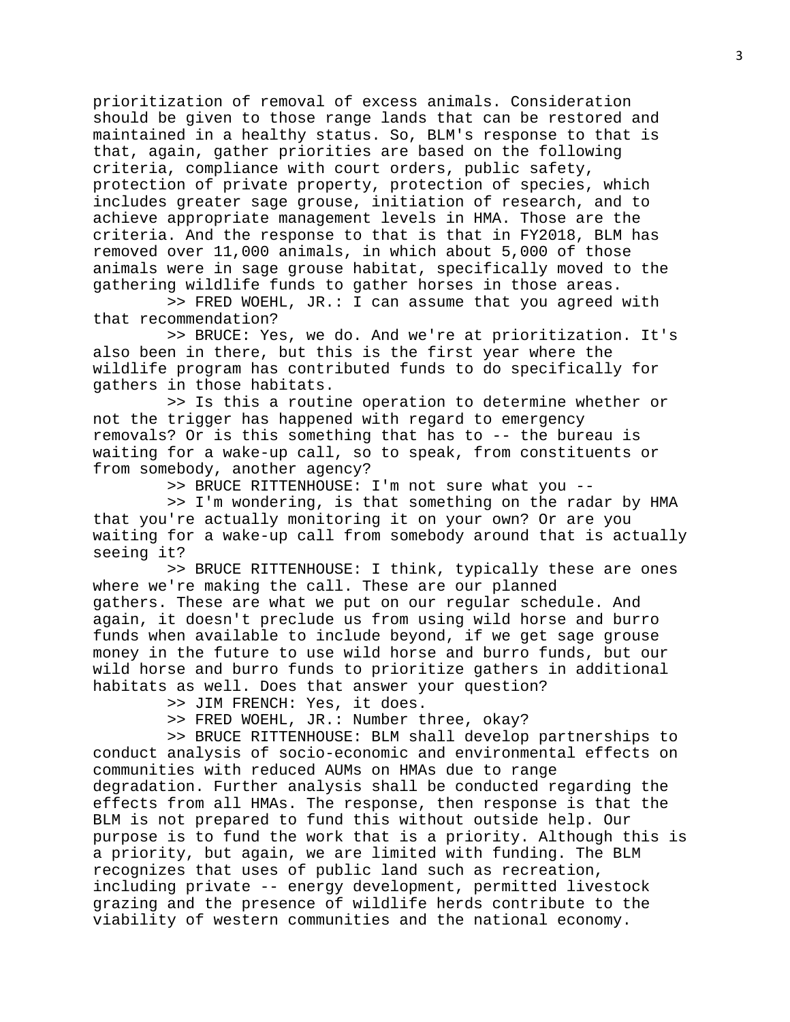prioritization of removal of excess animals. Consideration should be given to those range lands that can be restored and maintained in a healthy status. So, BLM's response to that is that, again, gather priorities are based on the following criteria, compliance with court orders, public safety, protection of private property, protection of species, which includes greater sage grouse, initiation of research, and to achieve appropriate management levels in HMA. Those are the criteria. And the response to that is that in FY2018, BLM has removed over 11,000 animals, in which about 5,000 of those animals were in sage grouse habitat, specifically moved to the gathering wildlife funds to gather horses in those areas.

 >> FRED WOEHL, JR.: I can assume that you agreed with that recommendation?

 >> BRUCE: Yes, we do. And we're at prioritization. It's also been in there, but this is the first year where the wildlife program has contributed funds to do specifically for gathers in those habitats.

 >> Is this a routine operation to determine whether or not the trigger has happened with regard to emergency removals? Or is this something that has to -- the bureau is waiting for a wake-up call, so to speak, from constituents or from somebody, another agency?

>> BRUCE RITTENHOUSE: I'm not sure what you --

 >> I'm wondering, is that something on the radar by HMA that you're actually monitoring it on your own? Or are you waiting for a wake-up call from somebody around that is actually seeing it?

 >> BRUCE RITTENHOUSE: I think, typically these are ones where we're making the call. These are our planned gathers. These are what we put on our regular schedule. And again, it doesn't preclude us from using wild horse and burro funds when available to include beyond, if we get sage grouse money in the future to use wild horse and burro funds, but our wild horse and burro funds to prioritize gathers in additional habitats as well. Does that answer your question?

>> JIM FRENCH: Yes, it does.

>> FRED WOEHL, JR.: Number three, okay?

 >> BRUCE RITTENHOUSE: BLM shall develop partnerships to conduct analysis of socio-economic and environmental effects on communities with reduced AUMs on HMAs due to range degradation. Further analysis shall be conducted regarding the effects from all HMAs. The response, then response is that the BLM is not prepared to fund this without outside help. Our purpose is to fund the work that is a priority. Although this is a priority, but again, we are limited with funding. The BLM recognizes that uses of public land such as recreation, including private -- energy development, permitted livestock grazing and the presence of wildlife herds contribute to the viability of western communities and the national economy.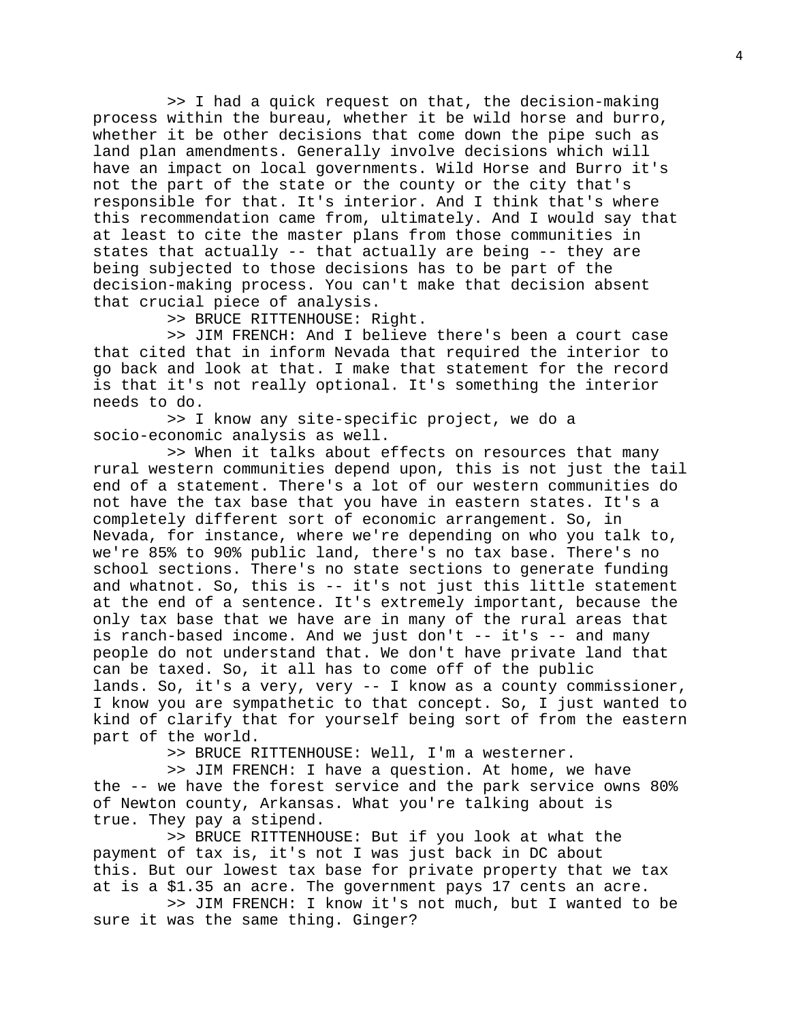>> I had a quick request on that, the decision-making process within the bureau, whether it be wild horse and burro, whether it be other decisions that come down the pipe such as land plan amendments. Generally involve decisions which will have an impact on local governments. Wild Horse and Burro it's not the part of the state or the county or the city that's responsible for that. It's interior. And I think that's where this recommendation came from, ultimately. And I would say that at least to cite the master plans from those communities in states that actually -- that actually are being -- they are being subjected to those decisions has to be part of the decision-making process. You can't make that decision absent that crucial piece of analysis.

>> BRUCE RITTENHOUSE: Right.

 >> JIM FRENCH: And I believe there's been a court case that cited that in inform Nevada that required the interior to go back and look at that. I make that statement for the record is that it's not really optional. It's something the interior needs to do.

 >> I know any site-specific project, we do a socio-economic analysis as well.

 >> When it talks about effects on resources that many rural western communities depend upon, this is not just the tail end of a statement. There's a lot of our western communities do not have the tax base that you have in eastern states. It's a completely different sort of economic arrangement. So, in Nevada, for instance, where we're depending on who you talk to, we're 85% to 90% public land, there's no tax base. There's no school sections. There's no state sections to generate funding and whatnot. So, this is -- it's not just this little statement at the end of a sentence. It's extremely important, because the only tax base that we have are in many of the rural areas that is ranch-based income. And we just don't  $-$  it's  $-$  and many people do not understand that. We don't have private land that can be taxed. So, it all has to come off of the public lands. So, it's a very, very -- I know as a county commissioner, I know you are sympathetic to that concept. So, I just wanted to kind of clarify that for yourself being sort of from the eastern part of the world.

>> BRUCE RITTENHOUSE: Well, I'm a westerner.

 >> JIM FRENCH: I have a question. At home, we have the -- we have the forest service and the park service owns 80% of Newton county, Arkansas. What you're talking about is true. They pay a stipend.

 >> BRUCE RITTENHOUSE: But if you look at what the payment of tax is, it's not I was just back in DC about this. But our lowest tax base for private property that we tax at is a \$1.35 an acre. The government pays 17 cents an acre.

 >> JIM FRENCH: I know it's not much, but I wanted to be sure it was the same thing. Ginger?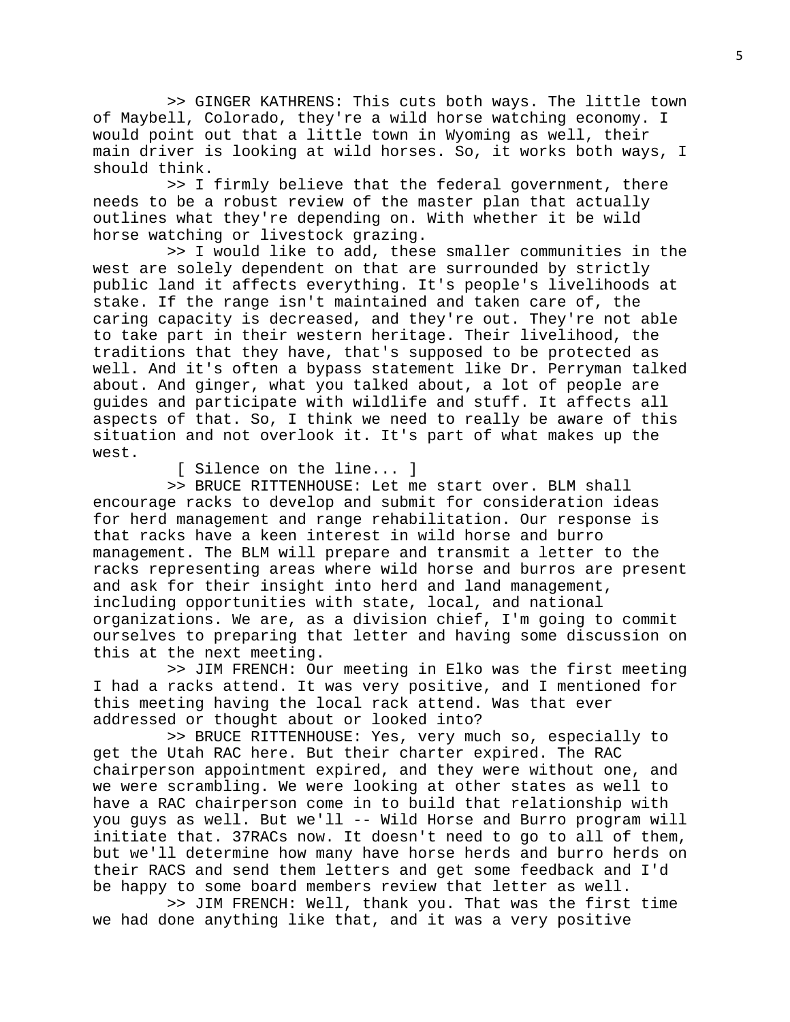>> GINGER KATHRENS: This cuts both ways. The little town of Maybell, Colorado, they're a wild horse watching economy. I would point out that a little town in Wyoming as well, their main driver is looking at wild horses. So, it works both ways, I should think.

 >> I firmly believe that the federal government, there needs to be a robust review of the master plan that actually outlines what they're depending on. With whether it be wild horse watching or livestock grazing.

 >> I would like to add, these smaller communities in the west are solely dependent on that are surrounded by strictly public land it affects everything. It's people's livelihoods at stake. If the range isn't maintained and taken care of, the caring capacity is decreased, and they're out. They're not able to take part in their western heritage. Their livelihood, the traditions that they have, that's supposed to be protected as well. And it's often a bypass statement like Dr. Perryman talked about. And ginger, what you talked about, a lot of people are guides and participate with wildlife and stuff. It affects all aspects of that. So, I think we need to really be aware of this situation and not overlook it. It's part of what makes up the west.

[ Silence on the line... ]

 >> BRUCE RITTENHOUSE: Let me start over. BLM shall encourage racks to develop and submit for consideration ideas for herd management and range rehabilitation. Our response is that racks have a keen interest in wild horse and burro management. The BLM will prepare and transmit a letter to the racks representing areas where wild horse and burros are present and ask for their insight into herd and land management, including opportunities with state, local, and national organizations. We are, as a division chief, I'm going to commit ourselves to preparing that letter and having some discussion on this at the next meeting.

 >> JIM FRENCH: Our meeting in Elko was the first meeting I had a racks attend. It was very positive, and I mentioned for this meeting having the local rack attend. Was that ever addressed or thought about or looked into?

 >> BRUCE RITTENHOUSE: Yes, very much so, especially to get the Utah RAC here. But their charter expired. The RAC chairperson appointment expired, and they were without one, and we were scrambling. We were looking at other states as well to have a RAC chairperson come in to build that relationship with you guys as well. But we'll -- Wild Horse and Burro program will initiate that. 37RACs now. It doesn't need to go to all of them, but we'll determine how many have horse herds and burro herds on their RACS and send them letters and get some feedback and I'd be happy to some board members review that letter as well.

 >> JIM FRENCH: Well, thank you. That was the first time we had done anything like that, and it was a very positive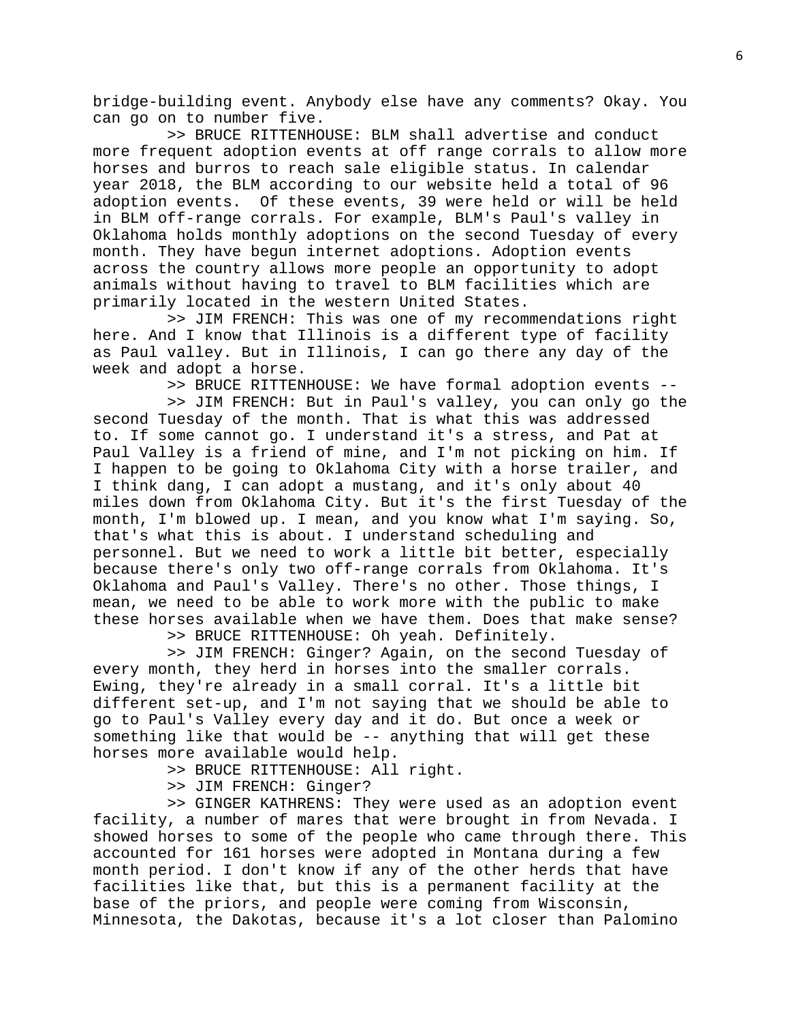bridge-building event. Anybody else have any comments? Okay. You can go on to number five.

 >> BRUCE RITTENHOUSE: BLM shall advertise and conduct more frequent adoption events at off range corrals to allow more horses and burros to reach sale eligible status. In calendar year 2018, the BLM according to our website held a total of 96 adoption events. Of these events, 39 were held or will be held in BLM off-range corrals. For example, BLM's Paul's valley in Oklahoma holds monthly adoptions on the second Tuesday of every month. They have begun internet adoptions. Adoption events across the country allows more people an opportunity to adopt animals without having to travel to BLM facilities which are primarily located in the western United States.

 >> JIM FRENCH: This was one of my recommendations right here. And I know that Illinois is a different type of facility as Paul valley. But in Illinois, I can go there any day of the week and adopt a horse.

>> BRUCE RITTENHOUSE: We have formal adoption events --

 >> JIM FRENCH: But in Paul's valley, you can only go the second Tuesday of the month. That is what this was addressed to. If some cannot go. I understand it's a stress, and Pat at Paul Valley is a friend of mine, and I'm not picking on him. If I happen to be going to Oklahoma City with a horse trailer, and I think dang, I can adopt a mustang, and it's only about 40 miles down from Oklahoma City. But it's the first Tuesday of the month, I'm blowed up. I mean, and you know what I'm saying. So, that's what this is about. I understand scheduling and personnel. But we need to work a little bit better, especially because there's only two off-range corrals from Oklahoma. It's Oklahoma and Paul's Valley. There's no other. Those things, I mean, we need to be able to work more with the public to make these horses available when we have them. Does that make sense?

>> BRUCE RITTENHOUSE: Oh yeah. Definitely.

 >> JIM FRENCH: Ginger? Again, on the second Tuesday of every month, they herd in horses into the smaller corrals. Ewing, they're already in a small corral. It's a little bit different set-up, and I'm not saying that we should be able to go to Paul's Valley every day and it do. But once a week or something like that would be -- anything that will get these horses more available would help.

>> BRUCE RITTENHOUSE: All right.

>> JIM FRENCH: Ginger?

 >> GINGER KATHRENS: They were used as an adoption event facility, a number of mares that were brought in from Nevada. I showed horses to some of the people who came through there. This accounted for 161 horses were adopted in Montana during a few month period. I don't know if any of the other herds that have facilities like that, but this is a permanent facility at the base of the priors, and people were coming from Wisconsin, Minnesota, the Dakotas, because it's a lot closer than Palomino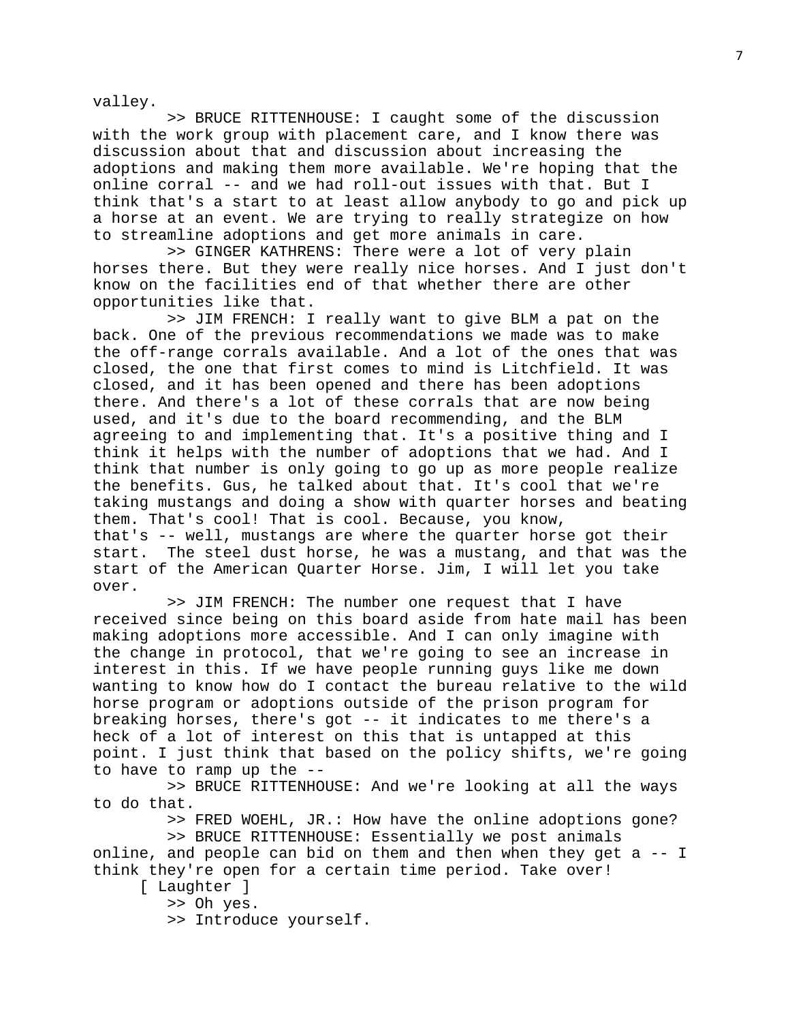valley.

 >> BRUCE RITTENHOUSE: I caught some of the discussion with the work group with placement care, and I know there was discussion about that and discussion about increasing the adoptions and making them more available. We're hoping that the online corral -- and we had roll-out issues with that. But I think that's a start to at least allow anybody to go and pick up a horse at an event. We are trying to really strategize on how to streamline adoptions and get more animals in care.

 >> GINGER KATHRENS: There were a lot of very plain horses there. But they were really nice horses. And I just don't know on the facilities end of that whether there are other opportunities like that.

 >> JIM FRENCH: I really want to give BLM a pat on the back. One of the previous recommendations we made was to make the off-range corrals available. And a lot of the ones that was closed, the one that first comes to mind is Litchfield. It was closed, and it has been opened and there has been adoptions there. And there's a lot of these corrals that are now being used, and it's due to the board recommending, and the BLM agreeing to and implementing that. It's a positive thing and I think it helps with the number of adoptions that we had. And I think that number is only going to go up as more people realize the benefits. Gus, he talked about that. It's cool that we're taking mustangs and doing a show with quarter horses and beating them. That's cool! That is cool. Because, you know, that's -- well, mustangs are where the quarter horse got their<br>start. The steel dust horse, he was a mustang, and that was t The steel dust horse, he was a mustang, and that was the start of the American Quarter Horse. Jim, I will let you take over.

 >> JIM FRENCH: The number one request that I have received since being on this board aside from hate mail has been making adoptions more accessible. And I can only imagine with the change in protocol, that we're going to see an increase in interest in this. If we have people running guys like me down wanting to know how do I contact the bureau relative to the wild horse program or adoptions outside of the prison program for breaking horses, there's got -- it indicates to me there's a heck of a lot of interest on this that is untapped at this point. I just think that based on the policy shifts, we're going to have to ramp up the --

 >> BRUCE RITTENHOUSE: And we're looking at all the ways to do that.

>> FRED WOEHL, JR.: How have the online adoptions gone?

 >> BRUCE RITTENHOUSE: Essentially we post animals online, and people can bid on them and then when they get a -- I think they're open for a certain time period. Take over!

[ Laughter ]

>> Oh yes.

>> Introduce yourself.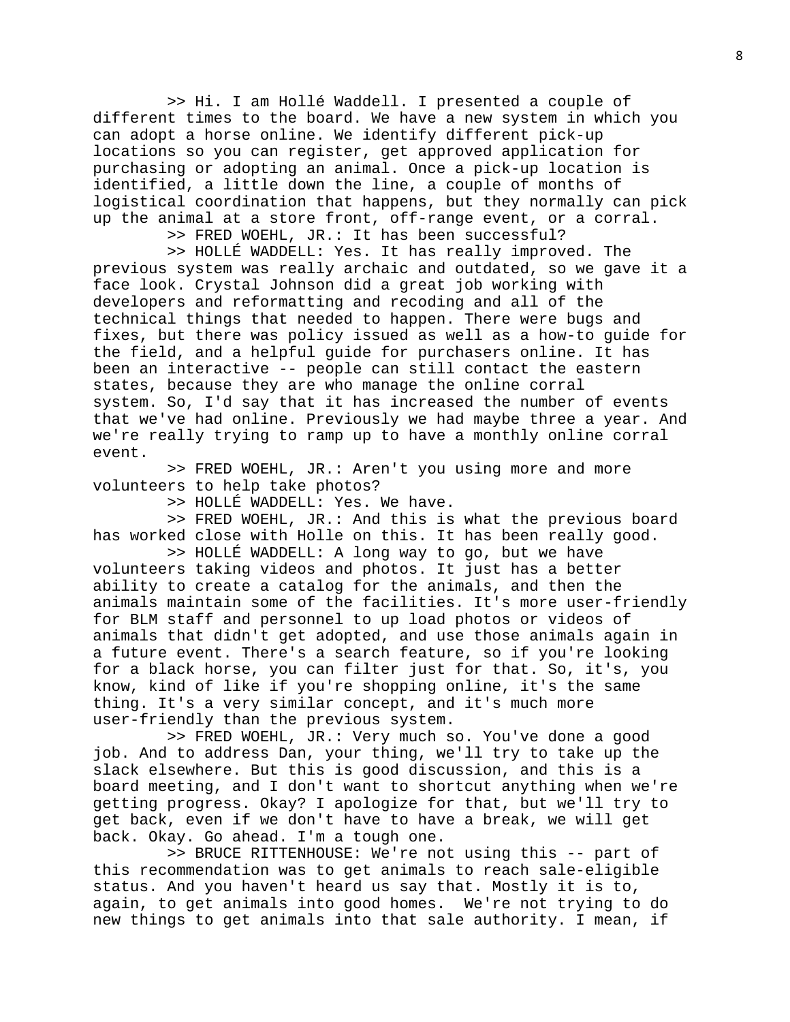>> Hi. I am Hollé Waddell. I presented a couple of different times to the board. We have a new system in which you can adopt a horse online. We identify different pick-up locations so you can register, get approved application for purchasing or adopting an animal. Once a pick-up location is identified, a little down the line, a couple of months of logistical coordination that happens, but they normally can pick up the animal at a store front, off-range event, or a corral.

>> FRED WOEHL, JR.: It has been successful?

 >> HOLLÉ WADDELL: Yes. It has really improved. The previous system was really archaic and outdated, so we gave it a face look. Crystal Johnson did a great job working with developers and reformatting and recoding and all of the technical things that needed to happen. There were bugs and fixes, but there was policy issued as well as a how-to guide for the field, and a helpful guide for purchasers online. It has been an interactive -- people can still contact the eastern states, because they are who manage the online corral system. So, I'd say that it has increased the number of events that we've had online. Previously we had maybe three a year. And we're really trying to ramp up to have a monthly online corral event.

 >> FRED WOEHL, JR.: Aren't you using more and more volunteers to help take photos?

>> HOLLÉ WADDELL: Yes. We have.

 >> FRED WOEHL, JR.: And this is what the previous board has worked close with Holle on this. It has been really good.

 >> HOLLÉ WADDELL: A long way to go, but we have volunteers taking videos and photos. It just has a better ability to create a catalog for the animals, and then the animals maintain some of the facilities. It's more user-friendly for BLM staff and personnel to up load photos or videos of animals that didn't get adopted, and use those animals again in a future event. There's a search feature, so if you're looking for a black horse, you can filter just for that. So, it's, you know, kind of like if you're shopping online, it's the same thing. It's a very similar concept, and it's much more user-friendly than the previous system.

 >> FRED WOEHL, JR.: Very much so. You've done a good job. And to address Dan, your thing, we'll try to take up the slack elsewhere. But this is good discussion, and this is a board meeting, and I don't want to shortcut anything when we're getting progress. Okay? I apologize for that, but we'll try to get back, even if we don't have to have a break, we will get back. Okay. Go ahead. I'm a tough one.

 >> BRUCE RITTENHOUSE: We're not using this -- part of this recommendation was to get animals to reach sale-eligible status. And you haven't heard us say that. Mostly it is to, again, to get animals into good homes. We're not trying to do new things to get animals into that sale authority. I mean, if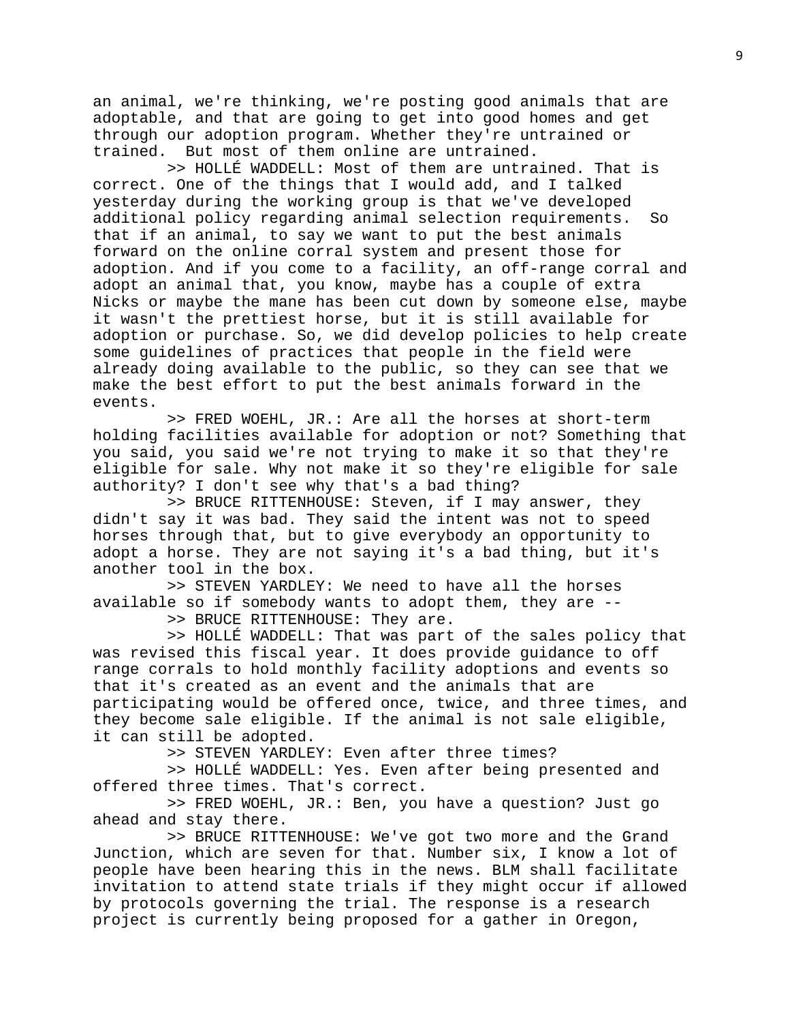an animal, we're thinking, we're posting good animals that are adoptable, and that are going to get into good homes and get through our adoption program. Whether they're untrained or trained. But most of them online are untrained.

 >> HOLLÉ WADDELL: Most of them are untrained. That is correct. One of the things that I would add, and I talked yesterday during the working group is that we've developed additional policy regarding animal selection requirements. So that if an animal, to say we want to put the best animals forward on the online corral system and present those for adoption. And if you come to a facility, an off-range corral and adopt an animal that, you know, maybe has a couple of extra Nicks or maybe the mane has been cut down by someone else, maybe it wasn't the prettiest horse, but it is still available for adoption or purchase. So, we did develop policies to help create some guidelines of practices that people in the field were already doing available to the public, so they can see that we make the best effort to put the best animals forward in the events.

 >> FRED WOEHL, JR.: Are all the horses at short-term holding facilities available for adoption or not? Something that you said, you said we're not trying to make it so that they're eligible for sale. Why not make it so they're eligible for sale authority? I don't see why that's a bad thing?

 >> BRUCE RITTENHOUSE: Steven, if I may answer, they didn't say it was bad. They said the intent was not to speed horses through that, but to give everybody an opportunity to adopt a horse. They are not saying it's a bad thing, but it's another tool in the box.

 >> STEVEN YARDLEY: We need to have all the horses available so if somebody wants to adopt them, they are --

>> BRUCE RITTENHOUSE: They are.

 >> HOLLÉ WADDELL: That was part of the sales policy that was revised this fiscal year. It does provide guidance to off range corrals to hold monthly facility adoptions and events so that it's created as an event and the animals that are participating would be offered once, twice, and three times, and they become sale eligible. If the animal is not sale eligible, it can still be adopted.

>> STEVEN YARDLEY: Even after three times?

 >> HOLLÉ WADDELL: Yes. Even after being presented and offered three times. That's correct.

 >> FRED WOEHL, JR.: Ben, you have a question? Just go ahead and stay there.

 >> BRUCE RITTENHOUSE: We've got two more and the Grand Junction, which are seven for that. Number six, I know a lot of people have been hearing this in the news. BLM shall facilitate invitation to attend state trials if they might occur if allowed by protocols governing the trial. The response is a research project is currently being proposed for a gather in Oregon,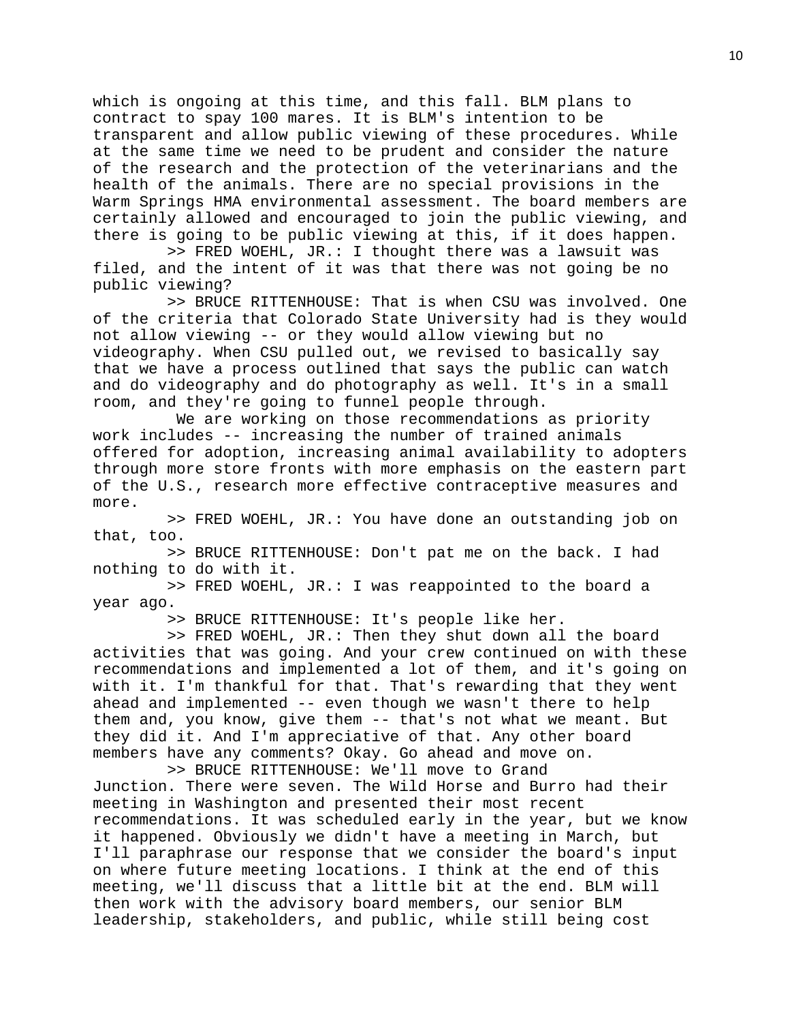which is ongoing at this time, and this fall. BLM plans to contract to spay 100 mares. It is BLM's intention to be transparent and allow public viewing of these procedures. While at the same time we need to be prudent and consider the nature of the research and the protection of the veterinarians and the health of the animals. There are no special provisions in the Warm Springs HMA environmental assessment. The board members are certainly allowed and encouraged to join the public viewing, and there is going to be public viewing at this, if it does happen.

 >> FRED WOEHL, JR.: I thought there was a lawsuit was filed, and the intent of it was that there was not going be no public viewing?

 >> BRUCE RITTENHOUSE: That is when CSU was involved. One of the criteria that Colorado State University had is they would not allow viewing -- or they would allow viewing but no videography. When CSU pulled out, we revised to basically say that we have a process outlined that says the public can watch and do videography and do photography as well. It's in a small room, and they're going to funnel people through.

 We are working on those recommendations as priority work includes -- increasing the number of trained animals offered for adoption, increasing animal availability to adopters through more store fronts with more emphasis on the eastern part of the U.S., research more effective contraceptive measures and more.

 >> FRED WOEHL, JR.: You have done an outstanding job on that, too.

 >> BRUCE RITTENHOUSE: Don't pat me on the back. I had nothing to do with it.

 >> FRED WOEHL, JR.: I was reappointed to the board a year ago.

>> BRUCE RITTENHOUSE: It's people like her.

 >> FRED WOEHL, JR.: Then they shut down all the board activities that was going. And your crew continued on with these recommendations and implemented a lot of them, and it's going on with it. I'm thankful for that. That's rewarding that they went ahead and implemented -- even though we wasn't there to help them and, you know, give them -- that's not what we meant. But they did it. And I'm appreciative of that. Any other board members have any comments? Okay. Go ahead and move on.

 >> BRUCE RITTENHOUSE: We'll move to Grand Junction. There were seven. The Wild Horse and Burro had their meeting in Washington and presented their most recent recommendations. It was scheduled early in the year, but we know it happened. Obviously we didn't have a meeting in March, but I'll paraphrase our response that we consider the board's input on where future meeting locations. I think at the end of this meeting, we'll discuss that a little bit at the end. BLM will then work with the advisory board members, our senior BLM leadership, stakeholders, and public, while still being cost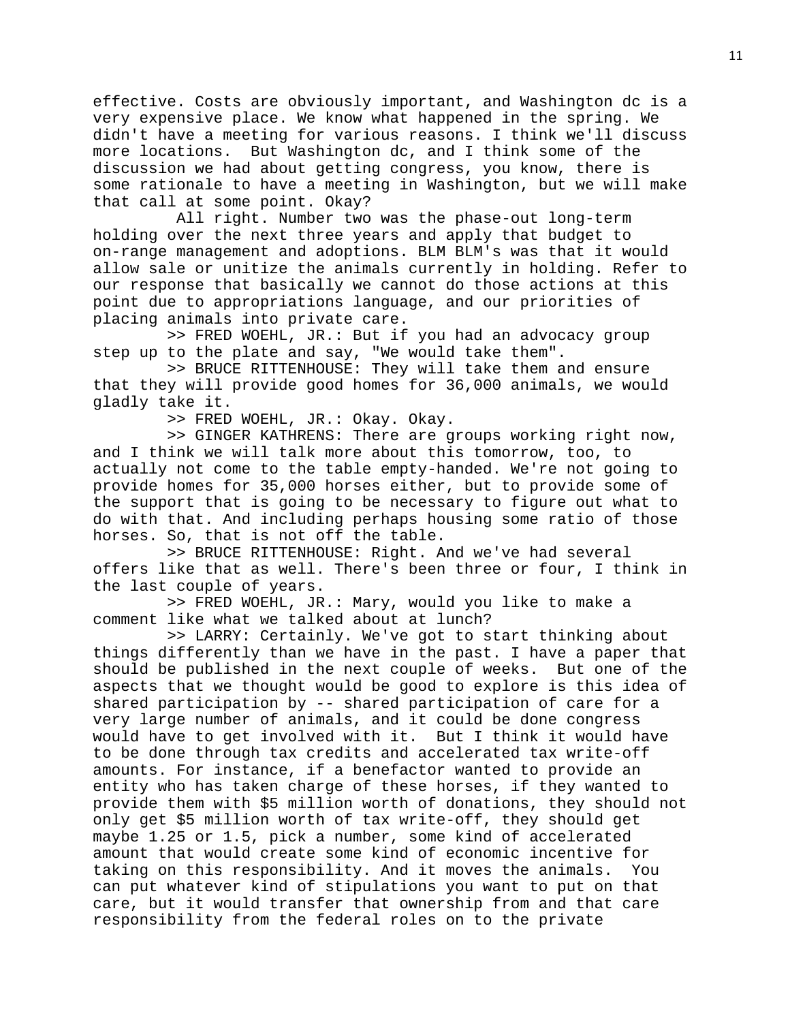effective. Costs are obviously important, and Washington dc is a very expensive place. We know what happened in the spring. We didn't have a meeting for various reasons. I think we'll discuss more locations. But Washington dc, and I think some of the discussion we had about getting congress, you know, there is some rationale to have a meeting in Washington, but we will make that call at some point. Okay?

 All right. Number two was the phase-out long-term holding over the next three years and apply that budget to on-range management and adoptions. BLM BLM's was that it would allow sale or unitize the animals currently in holding. Refer to our response that basically we cannot do those actions at this point due to appropriations language, and our priorities of placing animals into private care.

 >> FRED WOEHL, JR.: But if you had an advocacy group step up to the plate and say, "We would take them".

 >> BRUCE RITTENHOUSE: They will take them and ensure that they will provide good homes for 36,000 animals, we would gladly take it.

>> FRED WOEHL, JR.: Okay. Okay.

 >> GINGER KATHRENS: There are groups working right now, and I think we will talk more about this tomorrow, too, to actually not come to the table empty-handed. We're not going to provide homes for 35,000 horses either, but to provide some of the support that is going to be necessary to figure out what to do with that. And including perhaps housing some ratio of those horses. So, that is not off the table.

 >> BRUCE RITTENHOUSE: Right. And we've had several offers like that as well. There's been three or four, I think in the last couple of years.

 >> FRED WOEHL, JR.: Mary, would you like to make a comment like what we talked about at lunch?

 >> LARRY: Certainly. We've got to start thinking about things differently than we have in the past. I have a paper that should be published in the next couple of weeks. But one of the aspects that we thought would be good to explore is this idea of shared participation by -- shared participation of care for a very large number of animals, and it could be done congress would have to get involved with it. But I think it would have to be done through tax credits and accelerated tax write-off amounts. For instance, if a benefactor wanted to provide an entity who has taken charge of these horses, if they wanted to provide them with \$5 million worth of donations, they should not only get \$5 million worth of tax write-off, they should get maybe 1.25 or 1.5, pick a number, some kind of accelerated amount that would create some kind of economic incentive for<br>taking on this responsibility. And it moves the animals. You taking on this responsibility. And it moves the animals. can put whatever kind of stipulations you want to put on that care, but it would transfer that ownership from and that care responsibility from the federal roles on to the private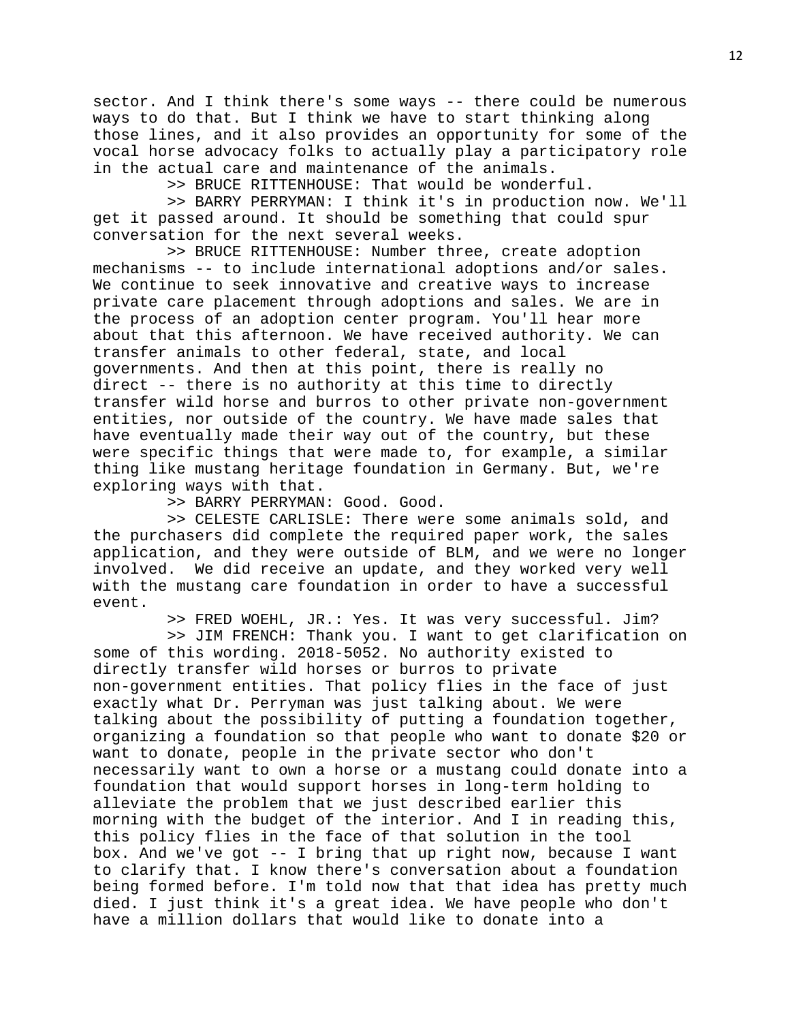sector. And I think there's some ways -- there could be numerous ways to do that. But I think we have to start thinking along those lines, and it also provides an opportunity for some of the vocal horse advocacy folks to actually play a participatory role in the actual care and maintenance of the animals.

>> BRUCE RITTENHOUSE: That would be wonderful.

 >> BARRY PERRYMAN: I think it's in production now. We'll get it passed around. It should be something that could spur conversation for the next several weeks.

 >> BRUCE RITTENHOUSE: Number three, create adoption mechanisms -- to include international adoptions and/or sales. We continue to seek innovative and creative ways to increase private care placement through adoptions and sales. We are in the process of an adoption center program. You'll hear more about that this afternoon. We have received authority. We can transfer animals to other federal, state, and local governments. And then at this point, there is really no direct -- there is no authority at this time to directly transfer wild horse and burros to other private non-government entities, nor outside of the country. We have made sales that have eventually made their way out of the country, but these were specific things that were made to, for example, a similar thing like mustang heritage foundation in Germany. But, we're exploring ways with that.

>> BARRY PERRYMAN: Good. Good.

 >> CELESTE CARLISLE: There were some animals sold, and the purchasers did complete the required paper work, the sales application, and they were outside of BLM, and we were no longer involved. We did receive an update, and they worked very well with the mustang care foundation in order to have a successful event.

>> FRED WOEHL, JR.: Yes. It was very successful. Jim?

 >> JIM FRENCH: Thank you. I want to get clarification on some of this wording. 2018-5052. No authority existed to directly transfer wild horses or burros to private non-government entities. That policy flies in the face of just exactly what Dr. Perryman was just talking about. We were talking about the possibility of putting a foundation together, organizing a foundation so that people who want to donate \$20 or want to donate, people in the private sector who don't necessarily want to own a horse or a mustang could donate into a foundation that would support horses in long-term holding to alleviate the problem that we just described earlier this morning with the budget of the interior. And I in reading this, this policy flies in the face of that solution in the tool box. And we've got -- I bring that up right now, because I want to clarify that. I know there's conversation about a foundation being formed before. I'm told now that that idea has pretty much died. I just think it's a great idea. We have people who don't have a million dollars that would like to donate into a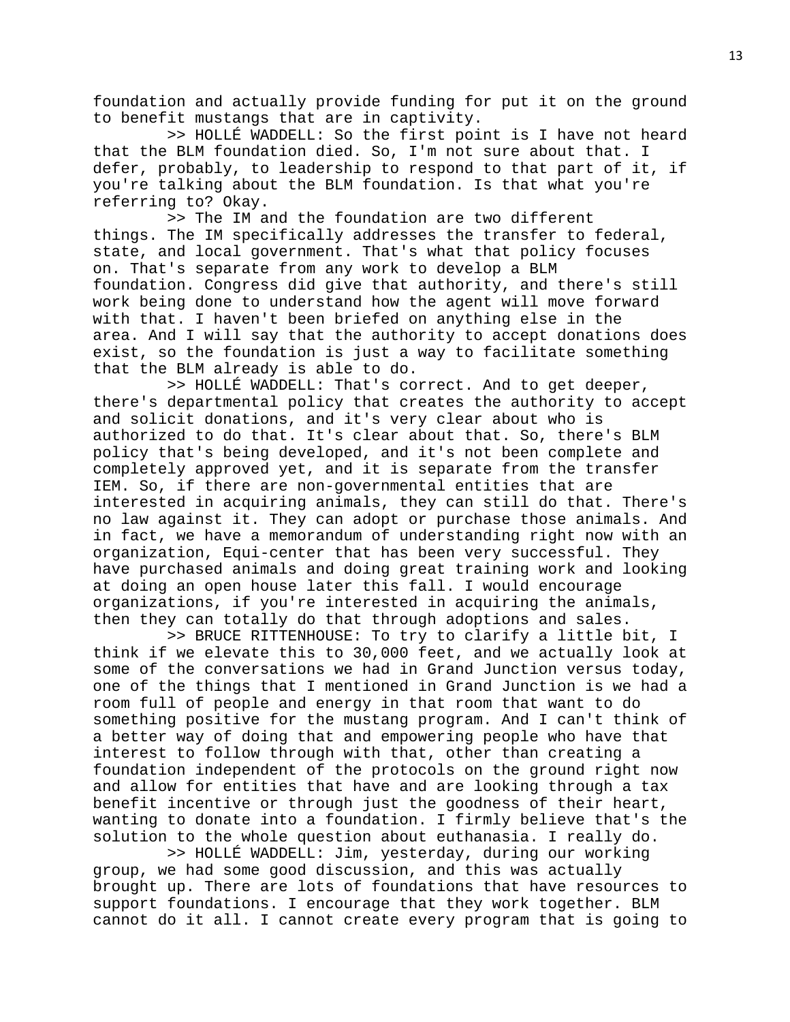foundation and actually provide funding for put it on the ground to benefit mustangs that are in captivity.

 >> HOLLÉ WADDELL: So the first point is I have not heard that the BLM foundation died. So, I'm not sure about that. I defer, probably, to leadership to respond to that part of it, if you're talking about the BLM foundation. Is that what you're referring to? Okay.

 >> The IM and the foundation are two different things. The IM specifically addresses the transfer to federal, state, and local government. That's what that policy focuses on. That's separate from any work to develop a BLM foundation. Congress did give that authority, and there's still work being done to understand how the agent will move forward with that. I haven't been briefed on anything else in the area. And I will say that the authority to accept donations does exist, so the foundation is just a way to facilitate something that the BLM already is able to do.

 >> HOLLÉ WADDELL: That's correct. And to get deeper, there's departmental policy that creates the authority to accept and solicit donations, and it's very clear about who is authorized to do that. It's clear about that. So, there's BLM policy that's being developed, and it's not been complete and completely approved yet, and it is separate from the transfer IEM. So, if there are non-governmental entities that are interested in acquiring animals, they can still do that. There's no law against it. They can adopt or purchase those animals. And in fact, we have a memorandum of understanding right now with an organization, Equi-center that has been very successful. They have purchased animals and doing great training work and looking at doing an open house later this fall. I would encourage organizations, if you're interested in acquiring the animals, then they can totally do that through adoptions and sales.

 >> BRUCE RITTENHOUSE: To try to clarify a little bit, I think if we elevate this to 30,000 feet, and we actually look at some of the conversations we had in Grand Junction versus today, one of the things that I mentioned in Grand Junction is we had a room full of people and energy in that room that want to do something positive for the mustang program. And I can't think of a better way of doing that and empowering people who have that interest to follow through with that, other than creating a foundation independent of the protocols on the ground right now and allow for entities that have and are looking through a tax benefit incentive or through just the goodness of their heart, wanting to donate into a foundation. I firmly believe that's the solution to the whole question about euthanasia. I really do.

 >> HOLLÉ WADDELL: Jim, yesterday, during our working group, we had some good discussion, and this was actually brought up. There are lots of foundations that have resources to support foundations. I encourage that they work together. BLM cannot do it all. I cannot create every program that is going to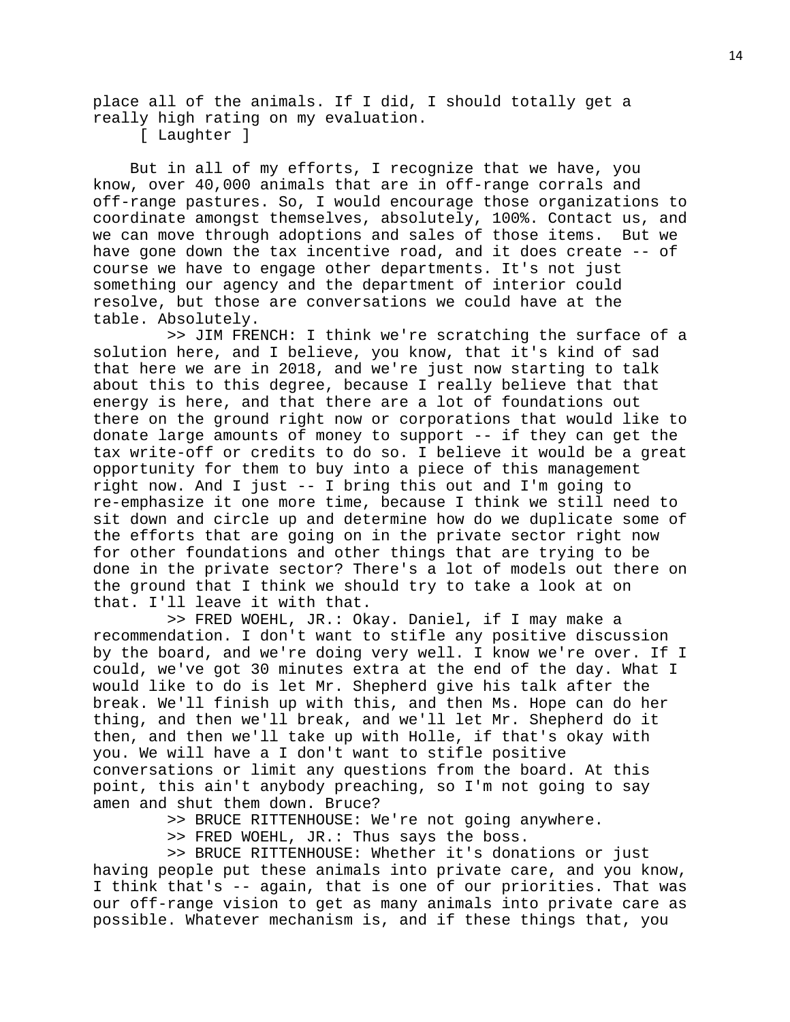place all of the animals. If I did, I should totally get a really high rating on my evaluation.

[ Laughter ]

 But in all of my efforts, I recognize that we have, you know, over 40,000 animals that are in off-range corrals and off-range pastures. So, I would encourage those organizations to coordinate amongst themselves, absolutely, 100%. Contact us, and we can move through adoptions and sales of those items. But we have gone down the tax incentive road, and it does create -- of course we have to engage other departments. It's not just something our agency and the department of interior could resolve, but those are conversations we could have at the table. Absolutely.

 >> JIM FRENCH: I think we're scratching the surface of a solution here, and I believe, you know, that it's kind of sad that here we are in 2018, and we're just now starting to talk about this to this degree, because I really believe that that energy is here, and that there are a lot of foundations out there on the ground right now or corporations that would like to donate large amounts of money to support -- if they can get the tax write-off or credits to do so. I believe it would be a great opportunity for them to buy into a piece of this management right now. And I just -- I bring this out and I'm going to re-emphasize it one more time, because I think we still need to sit down and circle up and determine how do we duplicate some of the efforts that are going on in the private sector right now for other foundations and other things that are trying to be done in the private sector? There's a lot of models out there on the ground that I think we should try to take a look at on that. I'll leave it with that.

 >> FRED WOEHL, JR.: Okay. Daniel, if I may make a recommendation. I don't want to stifle any positive discussion by the board, and we're doing very well. I know we're over. If I could, we've got 30 minutes extra at the end of the day. What I would like to do is let Mr. Shepherd give his talk after the break. We'll finish up with this, and then Ms. Hope can do her thing, and then we'll break, and we'll let Mr. Shepherd do it then, and then we'll take up with Holle, if that's okay with you. We will have a I don't want to stifle positive conversations or limit any questions from the board. At this point, this ain't anybody preaching, so I'm not going to say amen and shut them down. Bruce?

>> BRUCE RITTENHOUSE: We're not going anywhere.

>> FRED WOEHL, JR.: Thus says the boss.

 >> BRUCE RITTENHOUSE: Whether it's donations or just having people put these animals into private care, and you know, I think that's -- again, that is one of our priorities. That was our off-range vision to get as many animals into private care as possible. Whatever mechanism is, and if these things that, you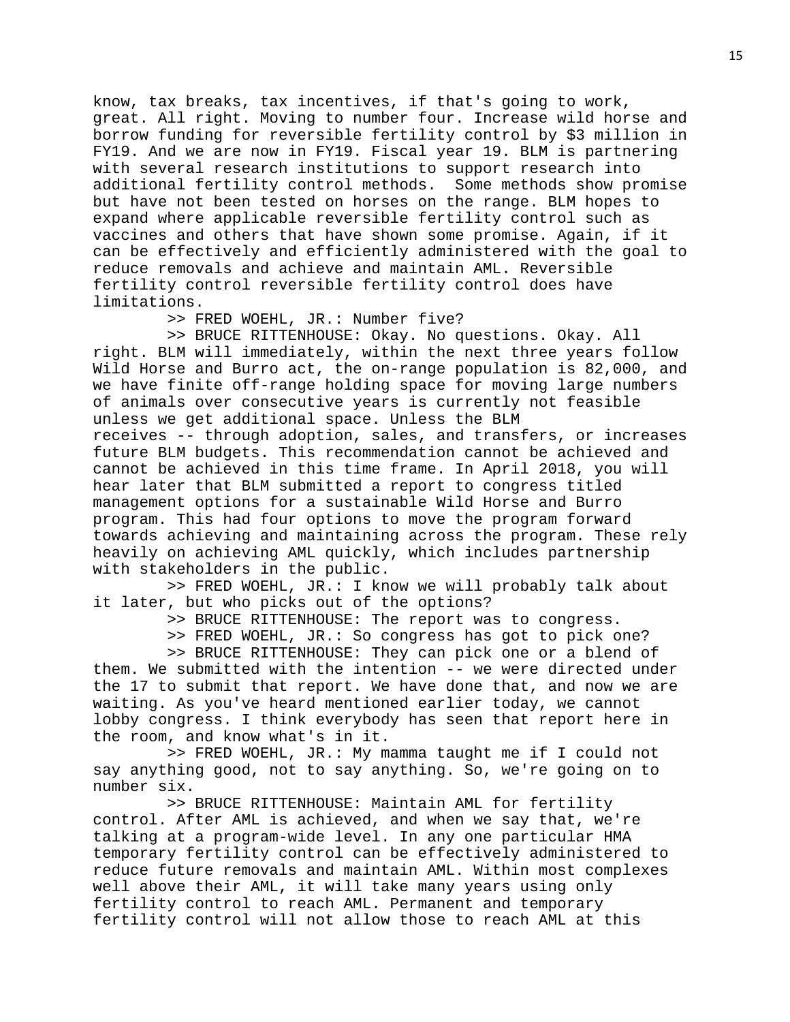know, tax breaks, tax incentives, if that's going to work, great. All right. Moving to number four. Increase wild horse and borrow funding for reversible fertility control by \$3 million in FY19. And we are now in FY19. Fiscal year 19. BLM is partnering with several research institutions to support research into additional fertility control methods. Some methods show promise but have not been tested on horses on the range. BLM hopes to expand where applicable reversible fertility control such as vaccines and others that have shown some promise. Again, if it can be effectively and efficiently administered with the goal to reduce removals and achieve and maintain AML. Reversible fertility control reversible fertility control does have limitations.

>> FRED WOEHL, JR.: Number five?

 >> BRUCE RITTENHOUSE: Okay. No questions. Okay. All right. BLM will immediately, within the next three years follow Wild Horse and Burro act, the on-range population is 82,000, and we have finite off-range holding space for moving large numbers of animals over consecutive years is currently not feasible unless we get additional space. Unless the BLM receives -- through adoption, sales, and transfers, or increases future BLM budgets. This recommendation cannot be achieved and cannot be achieved in this time frame. In April 2018, you will hear later that BLM submitted a report to congress titled management options for a sustainable Wild Horse and Burro program. This had four options to move the program forward towards achieving and maintaining across the program. These rely heavily on achieving AML quickly, which includes partnership with stakeholders in the public.

 >> FRED WOEHL, JR.: I know we will probably talk about it later, but who picks out of the options?

>> BRUCE RITTENHOUSE: The report was to congress.

>> FRED WOEHL, JR.: So congress has got to pick one?

 >> BRUCE RITTENHOUSE: They can pick one or a blend of them. We submitted with the intention -- we were directed under the 17 to submit that report. We have done that, and now we are waiting. As you've heard mentioned earlier today, we cannot lobby congress. I think everybody has seen that report here in the room, and know what's in it.

 >> FRED WOEHL, JR.: My mamma taught me if I could not say anything good, not to say anything. So, we're going on to number six.

 >> BRUCE RITTENHOUSE: Maintain AML for fertility control. After AML is achieved, and when we say that, we're talking at a program-wide level. In any one particular HMA temporary fertility control can be effectively administered to reduce future removals and maintain AML. Within most complexes well above their AML, it will take many years using only fertility control to reach AML. Permanent and temporary fertility control will not allow those to reach AML at this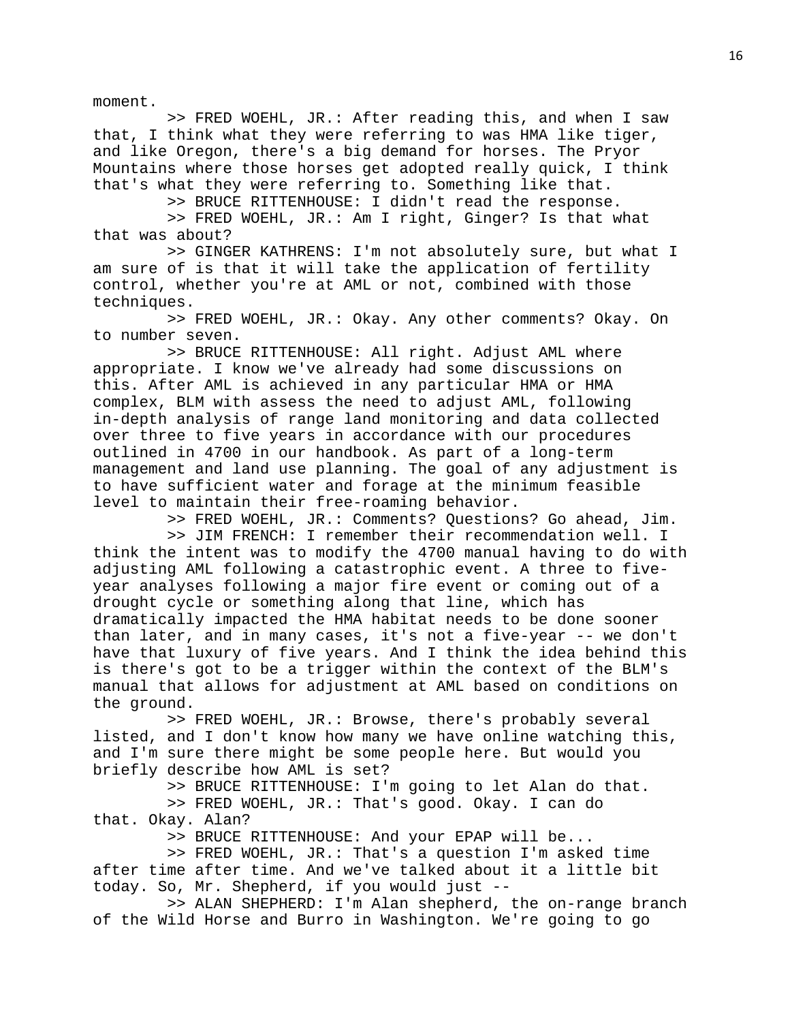moment.

 >> FRED WOEHL, JR.: After reading this, and when I saw that, I think what they were referring to was HMA like tiger, and like Oregon, there's a big demand for horses. The Pryor Mountains where those horses get adopted really quick, I think that's what they were referring to. Something like that.

>> BRUCE RITTENHOUSE: I didn't read the response.

 >> FRED WOEHL, JR.: Am I right, Ginger? Is that what that was about?

 >> GINGER KATHRENS: I'm not absolutely sure, but what I am sure of is that it will take the application of fertility control, whether you're at AML or not, combined with those techniques.

 >> FRED WOEHL, JR.: Okay. Any other comments? Okay. On to number seven.

 >> BRUCE RITTENHOUSE: All right. Adjust AML where appropriate. I know we've already had some discussions on this. After AML is achieved in any particular HMA or HMA complex, BLM with assess the need to adjust AML, following in-depth analysis of range land monitoring and data collected over three to five years in accordance with our procedures outlined in 4700 in our handbook. As part of a long-term management and land use planning. The goal of any adjustment is to have sufficient water and forage at the minimum feasible level to maintain their free-roaming behavior.

>> FRED WOEHL, JR.: Comments? Questions? Go ahead, Jim.

 >> JIM FRENCH: I remember their recommendation well. I think the intent was to modify the 4700 manual having to do with adjusting AML following a catastrophic event. A three to fiveyear analyses following a major fire event or coming out of a drought cycle or something along that line, which has dramatically impacted the HMA habitat needs to be done sooner than later, and in many cases, it's not a five-year -- we don't have that luxury of five years. And I think the idea behind this is there's got to be a trigger within the context of the BLM's manual that allows for adjustment at AML based on conditions on the ground.

 >> FRED WOEHL, JR.: Browse, there's probably several listed, and I don't know how many we have online watching this, and I'm sure there might be some people here. But would you briefly describe how AML is set?

>> BRUCE RITTENHOUSE: I'm going to let Alan do that.

 >> FRED WOEHL, JR.: That's good. Okay. I can do that. Okay. Alan?

>> BRUCE RITTENHOUSE: And your EPAP will be...

 >> FRED WOEHL, JR.: That's a question I'm asked time after time after time. And we've talked about it a little bit today. So, Mr. Shepherd, if you would just --

 >> ALAN SHEPHERD: I'm Alan shepherd, the on-range branch of the Wild Horse and Burro in Washington. We're going to go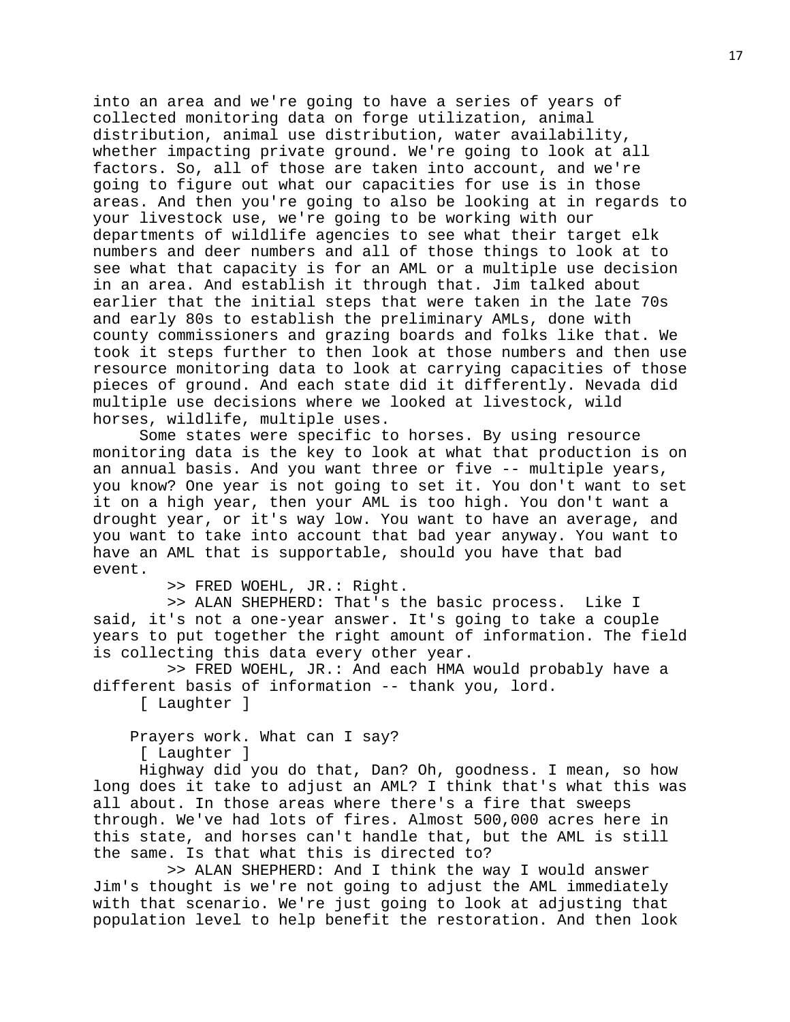into an area and we're going to have a series of years of collected monitoring data on forge utilization, animal distribution, animal use distribution, water availability, whether impacting private ground. We're going to look at all factors. So, all of those are taken into account, and we're going to figure out what our capacities for use is in those areas. And then you're going to also be looking at in regards to your livestock use, we're going to be working with our departments of wildlife agencies to see what their target elk numbers and deer numbers and all of those things to look at to see what that capacity is for an AML or a multiple use decision in an area. And establish it through that. Jim talked about earlier that the initial steps that were taken in the late 70s and early 80s to establish the preliminary AMLs, done with county commissioners and grazing boards and folks like that. We took it steps further to then look at those numbers and then use resource monitoring data to look at carrying capacities of those pieces of ground. And each state did it differently. Nevada did multiple use decisions where we looked at livestock, wild horses, wildlife, multiple uses.

Some states were specific to horses. By using resource monitoring data is the key to look at what that production is on an annual basis. And you want three or five -- multiple years, you know? One year is not going to set it. You don't want to set it on a high year, then your AML is too high. You don't want a drought year, or it's way low. You want to have an average, and you want to take into account that bad year anyway. You want to have an AML that is supportable, should you have that bad event.

>> FRED WOEHL, JR.: Right.

 >> ALAN SHEPHERD: That's the basic process. Like I said, it's not a one-year answer. It's going to take a couple years to put together the right amount of information. The field is collecting this data every other year.

 >> FRED WOEHL, JR.: And each HMA would probably have a different basis of information -- thank you, lord.

[ Laughter ]

Prayers work. What can I say?

[ Laughter ]

Highway did you do that, Dan? Oh, goodness. I mean, so how long does it take to adjust an AML? I think that's what this was all about. In those areas where there's a fire that sweeps through. We've had lots of fires. Almost 500,000 acres here in this state, and horses can't handle that, but the AML is still the same. Is that what this is directed to?

 >> ALAN SHEPHERD: And I think the way I would answer Jim's thought is we're not going to adjust the AML immediately with that scenario. We're just going to look at adjusting that population level to help benefit the restoration. And then look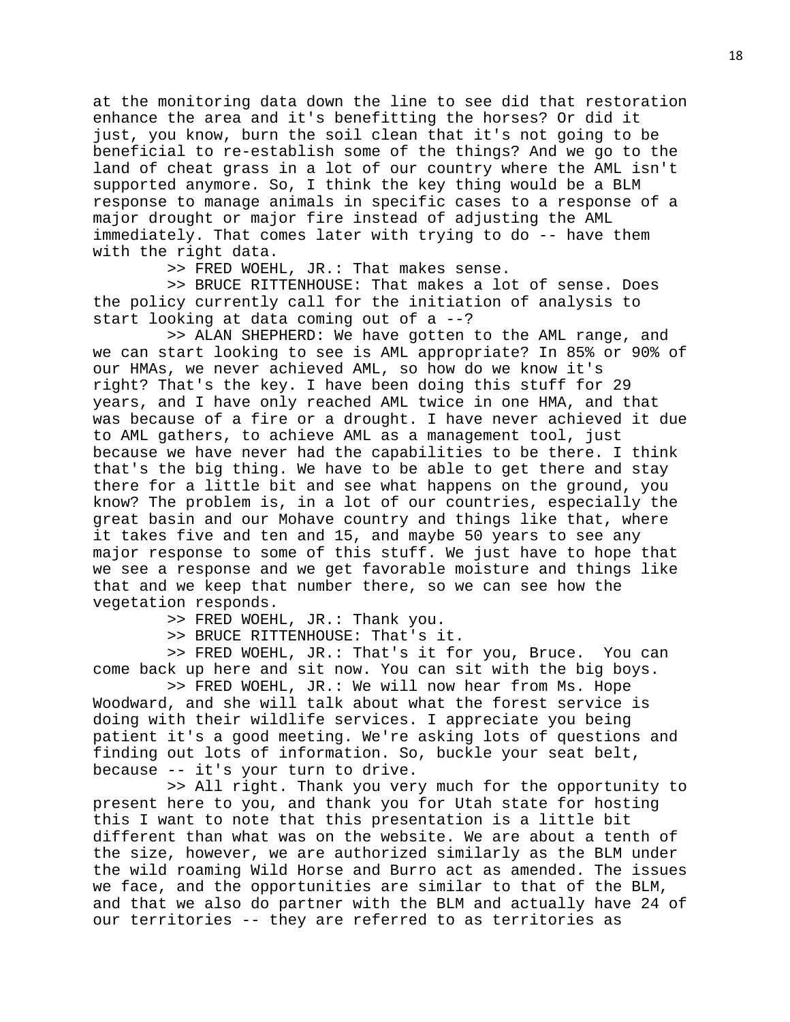at the monitoring data down the line to see did that restoration enhance the area and it's benefitting the horses? Or did it just, you know, burn the soil clean that it's not going to be beneficial to re-establish some of the things? And we go to the land of cheat grass in a lot of our country where the AML isn't supported anymore. So, I think the key thing would be a BLM response to manage animals in specific cases to a response of a major drought or major fire instead of adjusting the AML immediately. That comes later with trying to do -- have them with the right data.

>> FRED WOEHL, JR.: That makes sense.

 >> BRUCE RITTENHOUSE: That makes a lot of sense. Does the policy currently call for the initiation of analysis to start looking at data coming out of a --?

 >> ALAN SHEPHERD: We have gotten to the AML range, and we can start looking to see is AML appropriate? In 85% or 90% of our HMAs, we never achieved AML, so how do we know it's right? That's the key. I have been doing this stuff for 29 years, and I have only reached AML twice in one HMA, and that was because of a fire or a drought. I have never achieved it due to AML gathers, to achieve AML as a management tool, just because we have never had the capabilities to be there. I think that's the big thing. We have to be able to get there and stay there for a little bit and see what happens on the ground, you know? The problem is, in a lot of our countries, especially the great basin and our Mohave country and things like that, where it takes five and ten and 15, and maybe 50 years to see any major response to some of this stuff. We just have to hope that we see a response and we get favorable moisture and things like that and we keep that number there, so we can see how the vegetation responds.

>> FRED WOEHL, JR.: Thank you.

>> BRUCE RITTENHOUSE: That's it.

 >> FRED WOEHL, JR.: That's it for you, Bruce. You can come back up here and sit now. You can sit with the big boys.

 >> FRED WOEHL, JR.: We will now hear from Ms. Hope Woodward, and she will talk about what the forest service is doing with their wildlife services. I appreciate you being patient it's a good meeting. We're asking lots of questions and finding out lots of information. So, buckle your seat belt, because -- it's your turn to drive.

 >> All right. Thank you very much for the opportunity to present here to you, and thank you for Utah state for hosting this I want to note that this presentation is a little bit different than what was on the website. We are about a tenth of the size, however, we are authorized similarly as the BLM under the wild roaming Wild Horse and Burro act as amended. The issues we face, and the opportunities are similar to that of the BLM, and that we also do partner with the BLM and actually have 24 of our territories -- they are referred to as territories as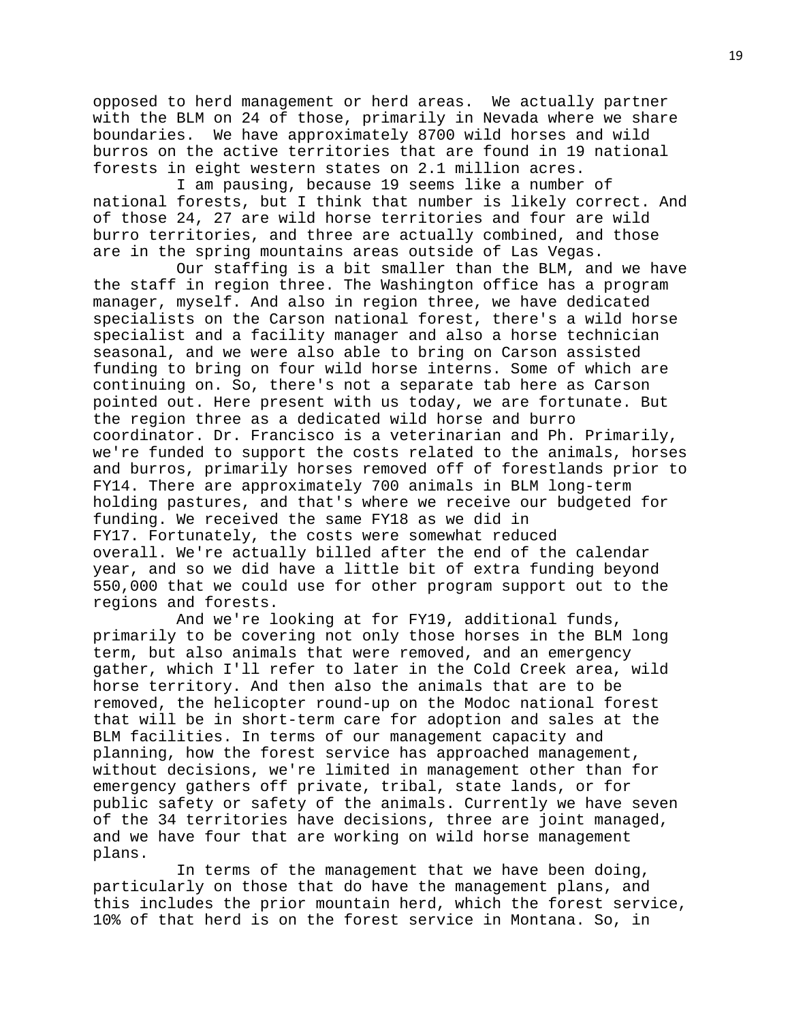opposed to herd management or herd areas. We actually partner with the BLM on 24 of those, primarily in Nevada where we share boundaries. We have approximately 8700 wild horses and wild burros on the active territories that are found in 19 national forests in eight western states on 2.1 million acres.

 I am pausing, because 19 seems like a number of national forests, but I think that number is likely correct. And of those 24, 27 are wild horse territories and four are wild burro territories, and three are actually combined, and those are in the spring mountains areas outside of Las Vegas.

 Our staffing is a bit smaller than the BLM, and we have the staff in region three. The Washington office has a program manager, myself. And also in region three, we have dedicated specialists on the Carson national forest, there's a wild horse specialist and a facility manager and also a horse technician seasonal, and we were also able to bring on Carson assisted funding to bring on four wild horse interns. Some of which are continuing on. So, there's not a separate tab here as Carson pointed out. Here present with us today, we are fortunate. But the region three as a dedicated wild horse and burro coordinator. Dr. Francisco is a veterinarian and Ph. Primarily, we're funded to support the costs related to the animals, horses and burros, primarily horses removed off of forestlands prior to FY14. There are approximately 700 animals in BLM long-term holding pastures, and that's where we receive our budgeted for funding. We received the same FY18 as we did in FY17. Fortunately, the costs were somewhat reduced overall. We're actually billed after the end of the calendar year, and so we did have a little bit of extra funding beyond 550,000 that we could use for other program support out to the regions and forests.

 And we're looking at for FY19, additional funds, primarily to be covering not only those horses in the BLM long term, but also animals that were removed, and an emergency gather, which I'll refer to later in the Cold Creek area, wild horse territory. And then also the animals that are to be removed, the helicopter round-up on the Modoc national forest that will be in short-term care for adoption and sales at the BLM facilities. In terms of our management capacity and planning, how the forest service has approached management, without decisions, we're limited in management other than for emergency gathers off private, tribal, state lands, or for public safety or safety of the animals. Currently we have seven of the 34 territories have decisions, three are joint managed, and we have four that are working on wild horse management plans.

 In terms of the management that we have been doing, particularly on those that do have the management plans, and this includes the prior mountain herd, which the forest service, 10% of that herd is on the forest service in Montana. So, in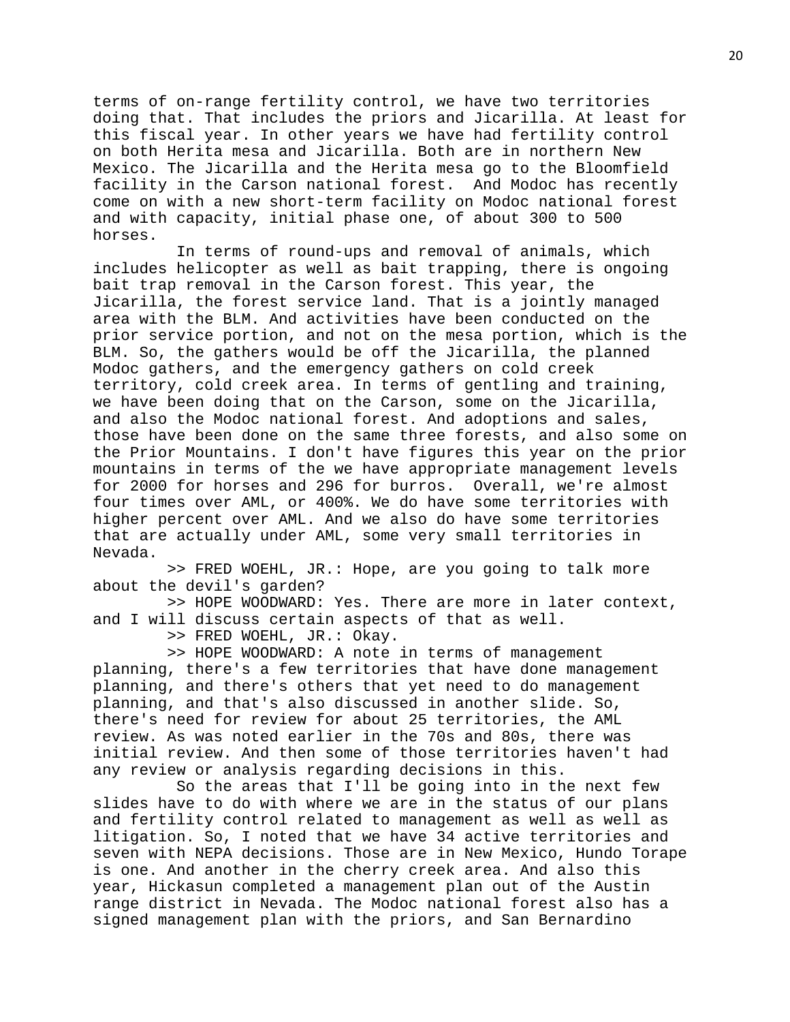terms of on-range fertility control, we have two territories doing that. That includes the priors and Jicarilla. At least for this fiscal year. In other years we have had fertility control on both Herita mesa and Jicarilla. Both are in northern New Mexico. The Jicarilla and the Herita mesa go to the Bloomfield facility in the Carson national forest. And Modoc has recently come on with a new short-term facility on Modoc national forest and with capacity, initial phase one, of about 300 to 500 horses.

 In terms of round-ups and removal of animals, which includes helicopter as well as bait trapping, there is ongoing bait trap removal in the Carson forest. This year, the Jicarilla, the forest service land. That is a jointly managed area with the BLM. And activities have been conducted on the prior service portion, and not on the mesa portion, which is the BLM. So, the gathers would be off the Jicarilla, the planned Modoc gathers, and the emergency gathers on cold creek territory, cold creek area. In terms of gentling and training, we have been doing that on the Carson, some on the Jicarilla, and also the Modoc national forest. And adoptions and sales, those have been done on the same three forests, and also some on the Prior Mountains. I don't have figures this year on the prior mountains in terms of the we have appropriate management levels for 2000 for horses and 296 for burros. Overall, we're almost four times over AML, or 400%. We do have some territories with higher percent over AML. And we also do have some territories that are actually under AML, some very small territories in Nevada.

 >> FRED WOEHL, JR.: Hope, are you going to talk more about the devil's garden?

 >> HOPE WOODWARD: Yes. There are more in later context, and I will discuss certain aspects of that as well.

>> FRED WOEHL, JR.: Okay.

 >> HOPE WOODWARD: A note in terms of management planning, there's a few territories that have done management planning, and there's others that yet need to do management planning, and that's also discussed in another slide. So, there's need for review for about 25 territories, the AML review. As was noted earlier in the 70s and 80s, there was initial review. And then some of those territories haven't had any review or analysis regarding decisions in this.

 So the areas that I'll be going into in the next few slides have to do with where we are in the status of our plans and fertility control related to management as well as well as litigation. So, I noted that we have 34 active territories and seven with NEPA decisions. Those are in New Mexico, Hundo Torape is one. And another in the cherry creek area. And also this year, Hickasun completed a management plan out of the Austin range district in Nevada. The Modoc national forest also has a signed management plan with the priors, and San Bernardino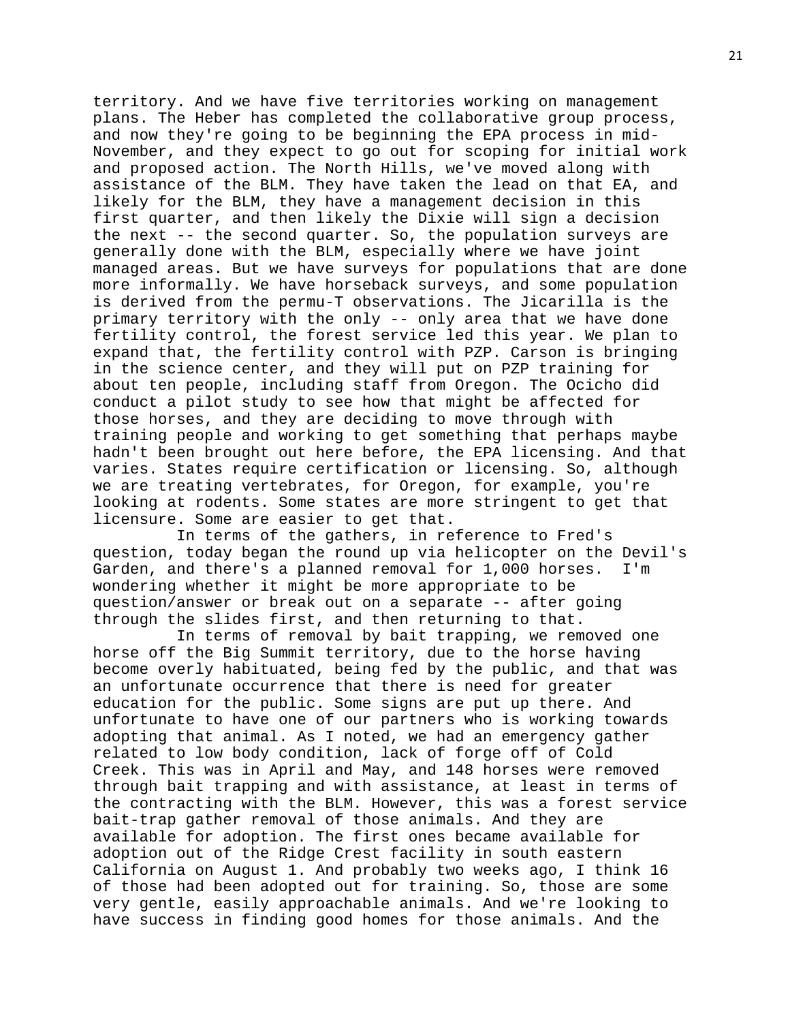territory. And we have five territories working on management plans. The Heber has completed the collaborative group process, and now they're going to be beginning the EPA process in mid-November, and they expect to go out for scoping for initial work and proposed action. The North Hills, we've moved along with assistance of the BLM. They have taken the lead on that EA, and likely for the BLM, they have a management decision in this first quarter, and then likely the Dixie will sign a decision the next -- the second quarter. So, the population surveys are generally done with the BLM, especially where we have joint managed areas. But we have surveys for populations that are done more informally. We have horseback surveys, and some population is derived from the permu-T observations. The Jicarilla is the primary territory with the only -- only area that we have done fertility control, the forest service led this year. We plan to expand that, the fertility control with PZP. Carson is bringing in the science center, and they will put on PZP training for about ten people, including staff from Oregon. The Ocicho did conduct a pilot study to see how that might be affected for those horses, and they are deciding to move through with training people and working to get something that perhaps maybe hadn't been brought out here before, the EPA licensing. And that varies. States require certification or licensing. So, although we are treating vertebrates, for Oregon, for example, you're looking at rodents. Some states are more stringent to get that licensure. Some are easier to get that.

 In terms of the gathers, in reference to Fred's question, today began the round up via helicopter on the Devil's<br>Garden, and there's a planned removal for 1,000 horses. I'm Garden, and there's a planned removal for  $1,000$  horses. wondering whether it might be more appropriate to be question/answer or break out on a separate -- after going through the slides first, and then returning to that.

 In terms of removal by bait trapping, we removed one horse off the Big Summit territory, due to the horse having become overly habituated, being fed by the public, and that was an unfortunate occurrence that there is need for greater education for the public. Some signs are put up there. And unfortunate to have one of our partners who is working towards adopting that animal. As I noted, we had an emergency gather related to low body condition, lack of forge off of Cold Creek. This was in April and May, and 148 horses were removed through bait trapping and with assistance, at least in terms of the contracting with the BLM. However, this was a forest service bait-trap gather removal of those animals. And they are available for adoption. The first ones became available for adoption out of the Ridge Crest facility in south eastern California on August 1. And probably two weeks ago, I think 16 of those had been adopted out for training. So, those are some very gentle, easily approachable animals. And we're looking to have success in finding good homes for those animals. And the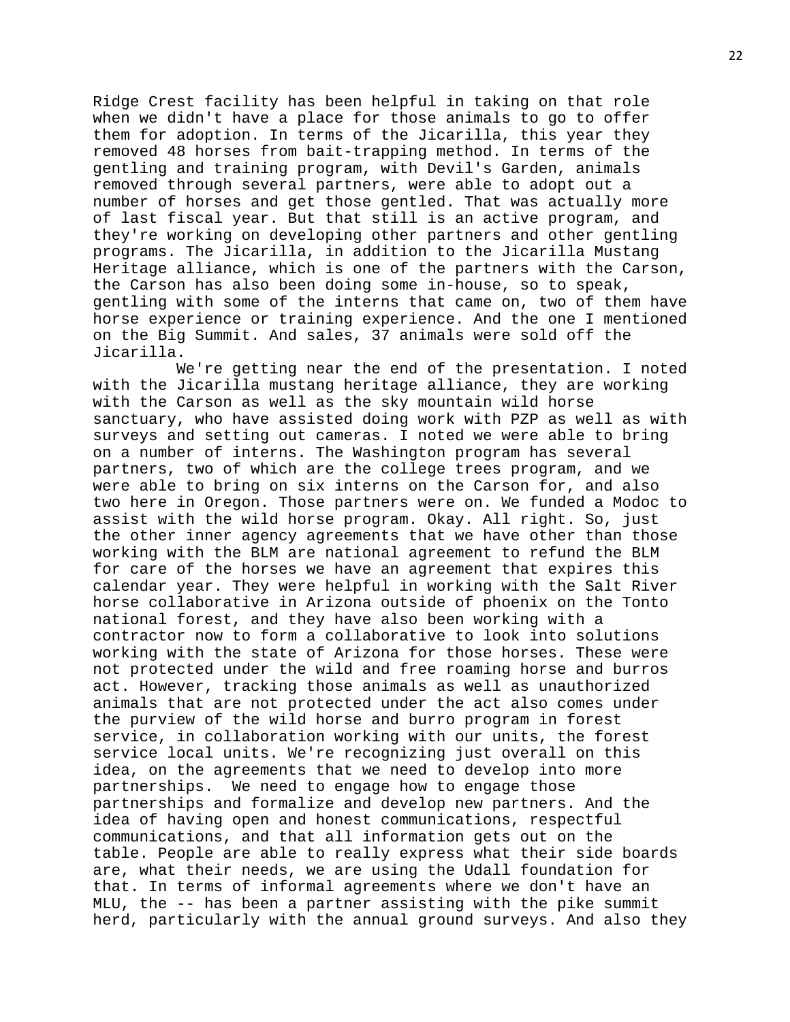Ridge Crest facility has been helpful in taking on that role when we didn't have a place for those animals to go to offer them for adoption. In terms of the Jicarilla, this year they removed 48 horses from bait-trapping method. In terms of the gentling and training program, with Devil's Garden, animals removed through several partners, were able to adopt out a number of horses and get those gentled. That was actually more of last fiscal year. But that still is an active program, and they're working on developing other partners and other gentling programs. The Jicarilla, in addition to the Jicarilla Mustang Heritage alliance, which is one of the partners with the Carson, the Carson has also been doing some in-house, so to speak, gentling with some of the interns that came on, two of them have horse experience or training experience. And the one I mentioned on the Big Summit. And sales, 37 animals were sold off the Jicarilla.

 We're getting near the end of the presentation. I noted with the Jicarilla mustang heritage alliance, they are working with the Carson as well as the sky mountain wild horse sanctuary, who have assisted doing work with PZP as well as with surveys and setting out cameras. I noted we were able to bring on a number of interns. The Washington program has several partners, two of which are the college trees program, and we were able to bring on six interns on the Carson for, and also two here in Oregon. Those partners were on. We funded a Modoc to assist with the wild horse program. Okay. All right. So, just the other inner agency agreements that we have other than those working with the BLM are national agreement to refund the BLM for care of the horses we have an agreement that expires this calendar year. They were helpful in working with the Salt River horse collaborative in Arizona outside of phoenix on the Tonto national forest, and they have also been working with a contractor now to form a collaborative to look into solutions working with the state of Arizona for those horses. These were not protected under the wild and free roaming horse and burros act. However, tracking those animals as well as unauthorized animals that are not protected under the act also comes under the purview of the wild horse and burro program in forest service, in collaboration working with our units, the forest service local units. We're recognizing just overall on this idea, on the agreements that we need to develop into more partnerships. We need to engage how to engage those partnerships and formalize and develop new partners. And the idea of having open and honest communications, respectful communications, and that all information gets out on the table. People are able to really express what their side boards are, what their needs, we are using the Udall foundation for that. In terms of informal agreements where we don't have an MLU, the -- has been a partner assisting with the pike summit herd, particularly with the annual ground surveys. And also they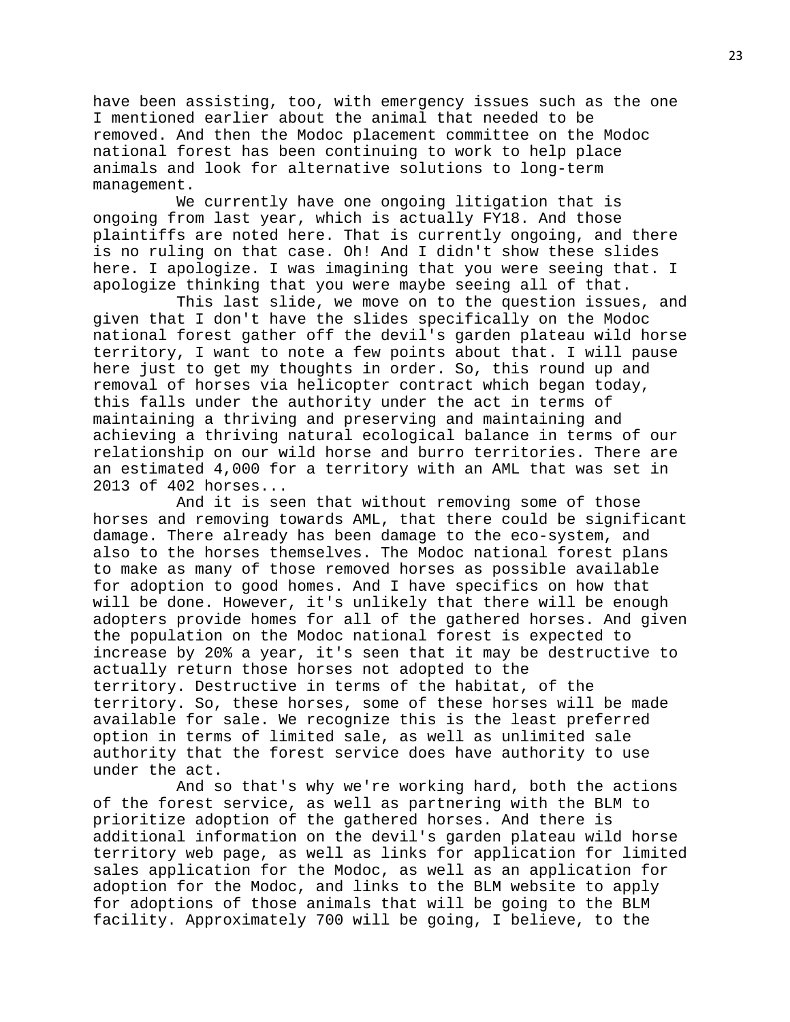have been assisting, too, with emergency issues such as the one I mentioned earlier about the animal that needed to be removed. And then the Modoc placement committee on the Modoc national forest has been continuing to work to help place animals and look for alternative solutions to long-term management.

 We currently have one ongoing litigation that is ongoing from last year, which is actually FY18. And those plaintiffs are noted here. That is currently ongoing, and there is no ruling on that case. Oh! And I didn't show these slides here. I apologize. I was imagining that you were seeing that. I apologize thinking that you were maybe seeing all of that.

 This last slide, we move on to the question issues, and given that I don't have the slides specifically on the Modoc national forest gather off the devil's garden plateau wild horse territory, I want to note a few points about that. I will pause here just to get my thoughts in order. So, this round up and removal of horses via helicopter contract which began today, this falls under the authority under the act in terms of maintaining a thriving and preserving and maintaining and achieving a thriving natural ecological balance in terms of our relationship on our wild horse and burro territories. There are an estimated 4,000 for a territory with an AML that was set in 2013 of 402 horses...

 And it is seen that without removing some of those horses and removing towards AML, that there could be significant damage. There already has been damage to the eco-system, and also to the horses themselves. The Modoc national forest plans to make as many of those removed horses as possible available for adoption to good homes. And I have specifics on how that will be done. However, it's unlikely that there will be enough adopters provide homes for all of the gathered horses. And given the population on the Modoc national forest is expected to increase by 20% a year, it's seen that it may be destructive to actually return those horses not adopted to the territory. Destructive in terms of the habitat, of the territory. So, these horses, some of these horses will be made available for sale. We recognize this is the least preferred option in terms of limited sale, as well as unlimited sale authority that the forest service does have authority to use under the act.

 And so that's why we're working hard, both the actions of the forest service, as well as partnering with the BLM to prioritize adoption of the gathered horses. And there is additional information on the devil's garden plateau wild horse territory web page, as well as links for application for limited sales application for the Modoc, as well as an application for adoption for the Modoc, and links to the BLM website to apply for adoptions of those animals that will be going to the BLM facility. Approximately 700 will be going, I believe, to the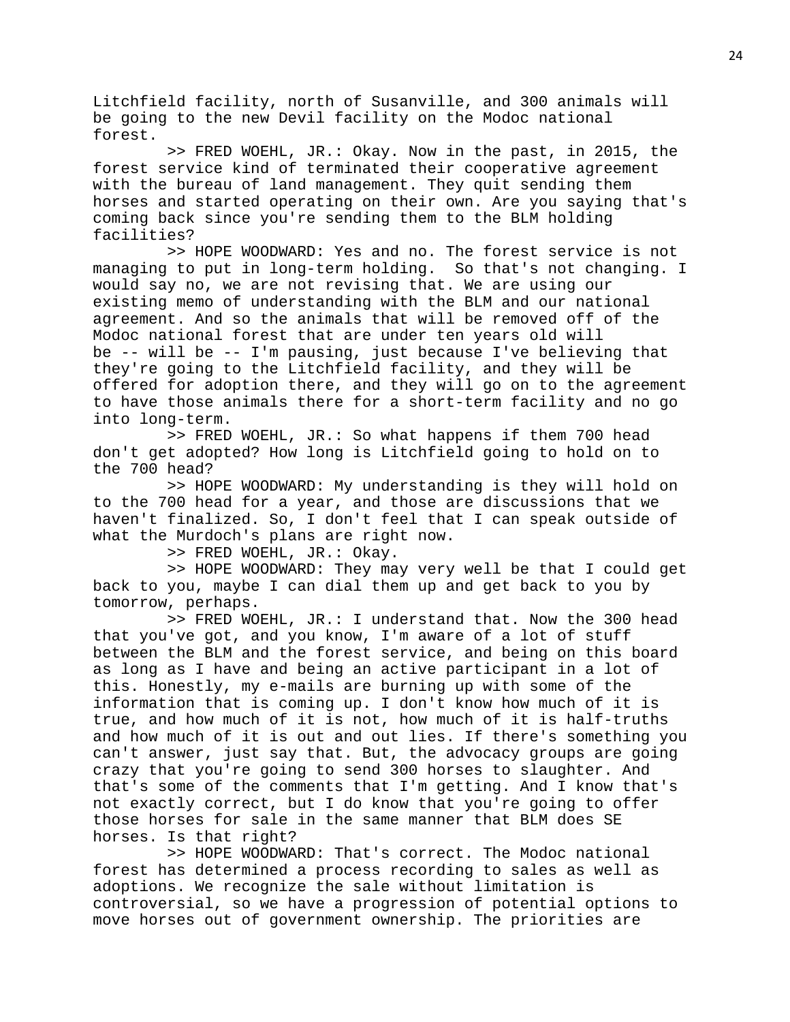Litchfield facility, north of Susanville, and 300 animals will be going to the new Devil facility on the Modoc national forest.

 >> FRED WOEHL, JR.: Okay. Now in the past, in 2015, the forest service kind of terminated their cooperative agreement with the bureau of land management. They quit sending them horses and started operating on their own. Are you saying that's coming back since you're sending them to the BLM holding facilities?

 >> HOPE WOODWARD: Yes and no. The forest service is not managing to put in long-term holding. So that's not changing. I would say no, we are not revising that. We are using our existing memo of understanding with the BLM and our national agreement. And so the animals that will be removed off of the Modoc national forest that are under ten years old will be -- will be -- I'm pausing, just because I've believing that they're going to the Litchfield facility, and they will be offered for adoption there, and they will go on to the agreement to have those animals there for a short-term facility and no go into long-term.

 >> FRED WOEHL, JR.: So what happens if them 700 head don't get adopted? How long is Litchfield going to hold on to the 700 head?

 >> HOPE WOODWARD: My understanding is they will hold on to the 700 head for a year, and those are discussions that we haven't finalized. So, I don't feel that I can speak outside of what the Murdoch's plans are right now.

>> FRED WOEHL, JR.: Okay.

 >> HOPE WOODWARD: They may very well be that I could get back to you, maybe I can dial them up and get back to you by tomorrow, perhaps.

 >> FRED WOEHL, JR.: I understand that. Now the 300 head that you've got, and you know, I'm aware of a lot of stuff between the BLM and the forest service, and being on this board as long as I have and being an active participant in a lot of this. Honestly, my e-mails are burning up with some of the information that is coming up. I don't know how much of it is true, and how much of it is not, how much of it is half-truths and how much of it is out and out lies. If there's something you can't answer, just say that. But, the advocacy groups are going crazy that you're going to send 300 horses to slaughter. And that's some of the comments that I'm getting. And I know that's not exactly correct, but I do know that you're going to offer those horses for sale in the same manner that BLM does SE horses. Is that right?

 >> HOPE WOODWARD: That's correct. The Modoc national forest has determined a process recording to sales as well as adoptions. We recognize the sale without limitation is controversial, so we have a progression of potential options to move horses out of government ownership. The priorities are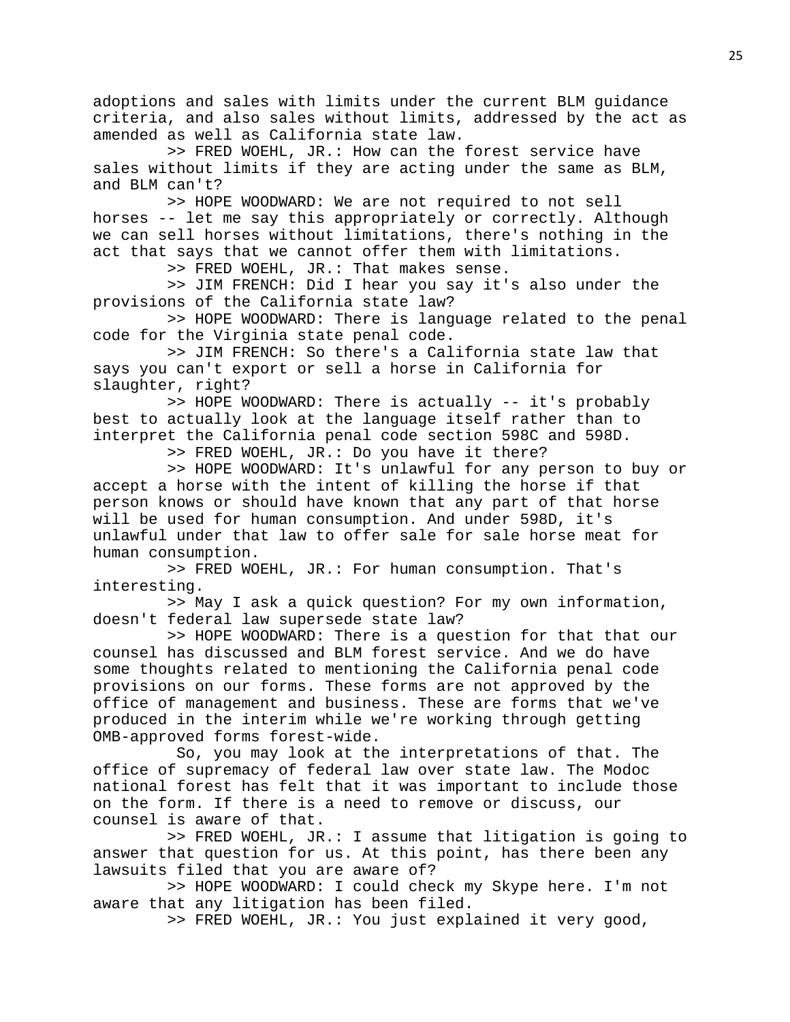adoptions and sales with limits under the current BLM guidance criteria, and also sales without limits, addressed by the act as amended as well as California state law.

 >> FRED WOEHL, JR.: How can the forest service have sales without limits if they are acting under the same as BLM, and BLM can't?

 >> HOPE WOODWARD: We are not required to not sell horses -- let me say this appropriately or correctly. Although we can sell horses without limitations, there's nothing in the act that says that we cannot offer them with limitations.

>> FRED WOEHL, JR.: That makes sense.

 >> JIM FRENCH: Did I hear you say it's also under the provisions of the California state law?

 >> HOPE WOODWARD: There is language related to the penal code for the Virginia state penal code.

 >> JIM FRENCH: So there's a California state law that says you can't export or sell a horse in California for slaughter, right?

 >> HOPE WOODWARD: There is actually -- it's probably best to actually look at the language itself rather than to interpret the California penal code section 598C and 598D.

>> FRED WOEHL, JR.: Do you have it there?

 >> HOPE WOODWARD: It's unlawful for any person to buy or accept a horse with the intent of killing the horse if that person knows or should have known that any part of that horse will be used for human consumption. And under 598D, it's unlawful under that law to offer sale for sale horse meat for human consumption.

 >> FRED WOEHL, JR.: For human consumption. That's interesting.

 >> May I ask a quick question? For my own information, doesn't federal law supersede state law?

 >> HOPE WOODWARD: There is a question for that that our counsel has discussed and BLM forest service. And we do have some thoughts related to mentioning the California penal code provisions on our forms. These forms are not approved by the office of management and business. These are forms that we've produced in the interim while we're working through getting OMB-approved forms forest-wide.

 So, you may look at the interpretations of that. The office of supremacy of federal law over state law. The Modoc national forest has felt that it was important to include those on the form. If there is a need to remove or discuss, our counsel is aware of that.

 >> FRED WOEHL, JR.: I assume that litigation is going to answer that question for us. At this point, has there been any lawsuits filed that you are aware of?

 >> HOPE WOODWARD: I could check my Skype here. I'm not aware that any litigation has been filed.

>> FRED WOEHL, JR.: You just explained it very good,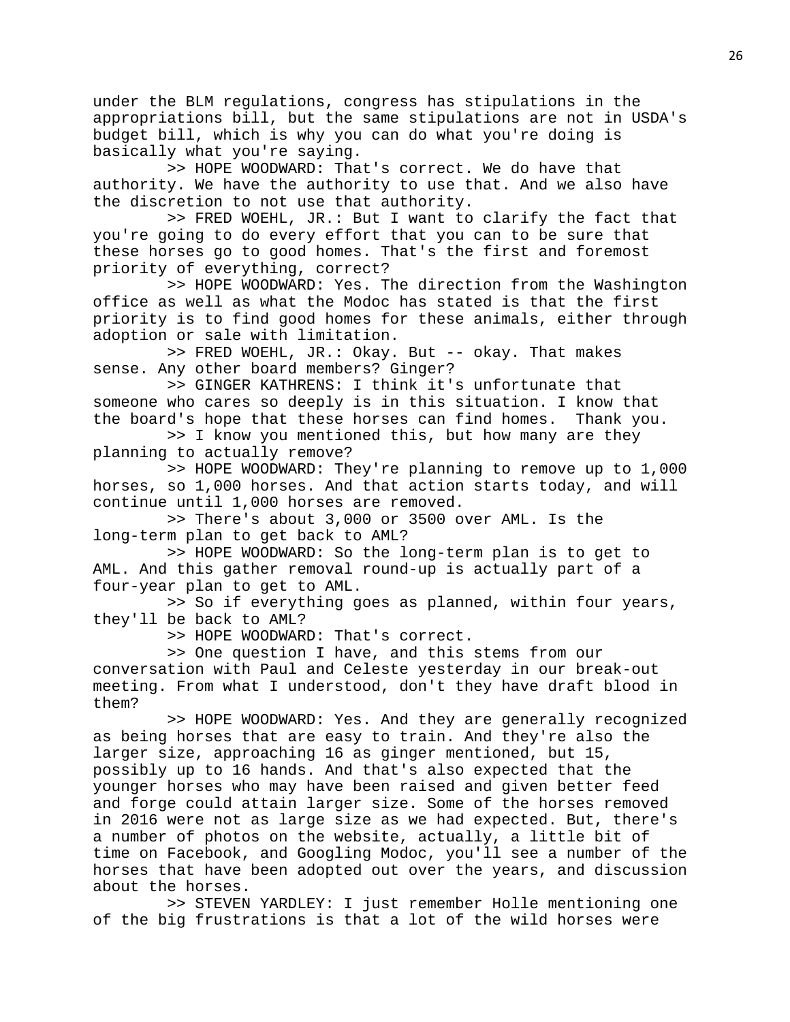under the BLM regulations, congress has stipulations in the appropriations bill, but the same stipulations are not in USDA's budget bill, which is why you can do what you're doing is basically what you're saying.

 >> HOPE WOODWARD: That's correct. We do have that authority. We have the authority to use that. And we also have the discretion to not use that authority.

 >> FRED WOEHL, JR.: But I want to clarify the fact that you're going to do every effort that you can to be sure that these horses go to good homes. That's the first and foremost priority of everything, correct?

 >> HOPE WOODWARD: Yes. The direction from the Washington office as well as what the Modoc has stated is that the first priority is to find good homes for these animals, either through adoption or sale with limitation.

 >> FRED WOEHL, JR.: Okay. But -- okay. That makes sense. Any other board members? Ginger?

 >> GINGER KATHRENS: I think it's unfortunate that someone who cares so deeply is in this situation. I know that the board's hope that these horses can find homes. Thank you.

 >> I know you mentioned this, but how many are they planning to actually remove?

 >> HOPE WOODWARD: They're planning to remove up to 1,000 horses, so 1,000 horses. And that action starts today, and will continue until 1,000 horses are removed.

 >> There's about 3,000 or 3500 over AML. Is the long-term plan to get back to AML?

 >> HOPE WOODWARD: So the long-term plan is to get to AML. And this gather removal round-up is actually part of a four-year plan to get to AML.

 >> So if everything goes as planned, within four years, they'll be back to AML?

>> HOPE WOODWARD: That's correct.

 >> One question I have, and this stems from our conversation with Paul and Celeste yesterday in our break-out meeting. From what I understood, don't they have draft blood in them?

 >> HOPE WOODWARD: Yes. And they are generally recognized as being horses that are easy to train. And they're also the larger size, approaching 16 as ginger mentioned, but 15, possibly up to 16 hands. And that's also expected that the younger horses who may have been raised and given better feed and forge could attain larger size. Some of the horses removed in 2016 were not as large size as we had expected. But, there's a number of photos on the website, actually, a little bit of time on Facebook, and Googling Modoc, you'll see a number of the horses that have been adopted out over the years, and discussion about the horses.

 >> STEVEN YARDLEY: I just remember Holle mentioning one of the big frustrations is that a lot of the wild horses were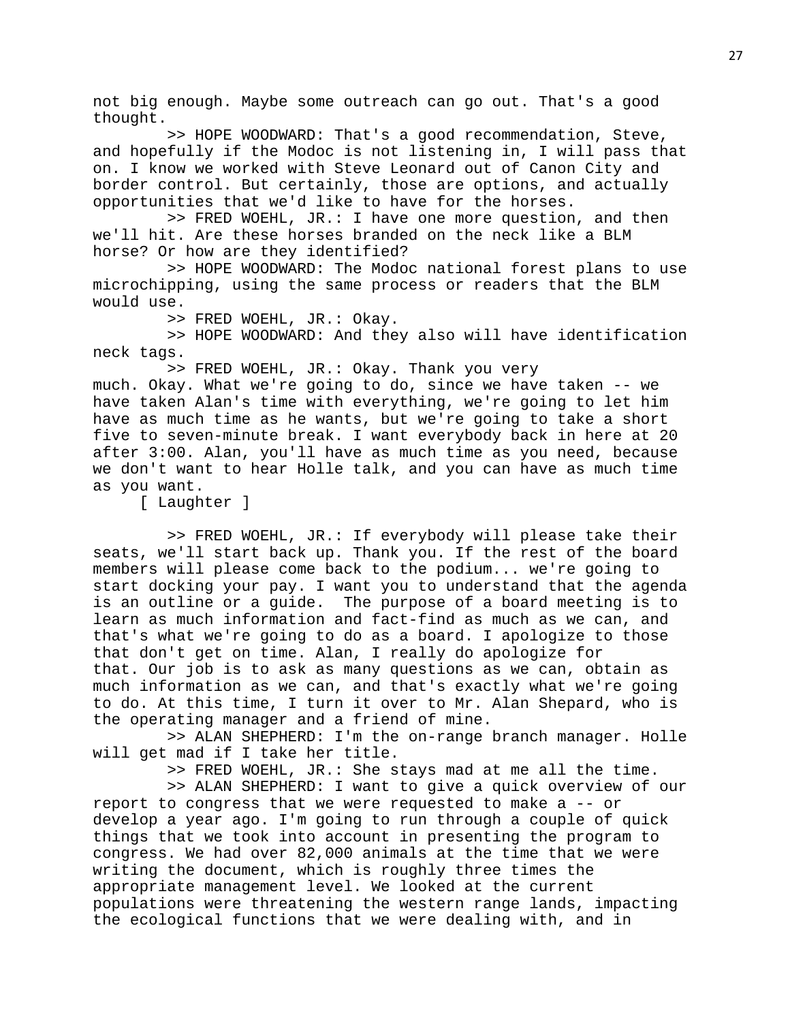not big enough. Maybe some outreach can go out. That's a good thought.

 >> HOPE WOODWARD: That's a good recommendation, Steve, and hopefully if the Modoc is not listening in, I will pass that on. I know we worked with Steve Leonard out of Canon City and border control. But certainly, those are options, and actually opportunities that we'd like to have for the horses.

 >> FRED WOEHL, JR.: I have one more question, and then we'll hit. Are these horses branded on the neck like a BLM horse? Or how are they identified?

 >> HOPE WOODWARD: The Modoc national forest plans to use microchipping, using the same process or readers that the BLM would use.

>> FRED WOEHL, JR.: Okay.

 >> HOPE WOODWARD: And they also will have identification neck tags.

>> FRED WOEHL, JR.: Okay. Thank you very

much. Okay. What we're going to do, since we have taken -- we have taken Alan's time with everything, we're going to let him have as much time as he wants, but we're going to take a short five to seven-minute break. I want everybody back in here at 20 after 3:00. Alan, you'll have as much time as you need, because we don't want to hear Holle talk, and you can have as much time as you want.

[ Laughter ]

 >> FRED WOEHL, JR.: If everybody will please take their seats, we'll start back up. Thank you. If the rest of the board members will please come back to the podium... we're going to start docking your pay. I want you to understand that the agenda is an outline or a guide. The purpose of a board meeting is to learn as much information and fact-find as much as we can, and that's what we're going to do as a board. I apologize to those that don't get on time. Alan, I really do apologize for that. Our job is to ask as many questions as we can, obtain as much information as we can, and that's exactly what we're going to do. At this time, I turn it over to Mr. Alan Shepard, who is the operating manager and a friend of mine.

 >> ALAN SHEPHERD: I'm the on-range branch manager. Holle will get mad if I take her title.

>> FRED WOEHL, JR.: She stays mad at me all the time.

 >> ALAN SHEPHERD: I want to give a quick overview of our report to congress that we were requested to make a -- or develop a year ago. I'm going to run through a couple of quick things that we took into account in presenting the program to congress. We had over 82,000 animals at the time that we were writing the document, which is roughly three times the appropriate management level. We looked at the current populations were threatening the western range lands, impacting the ecological functions that we were dealing with, and in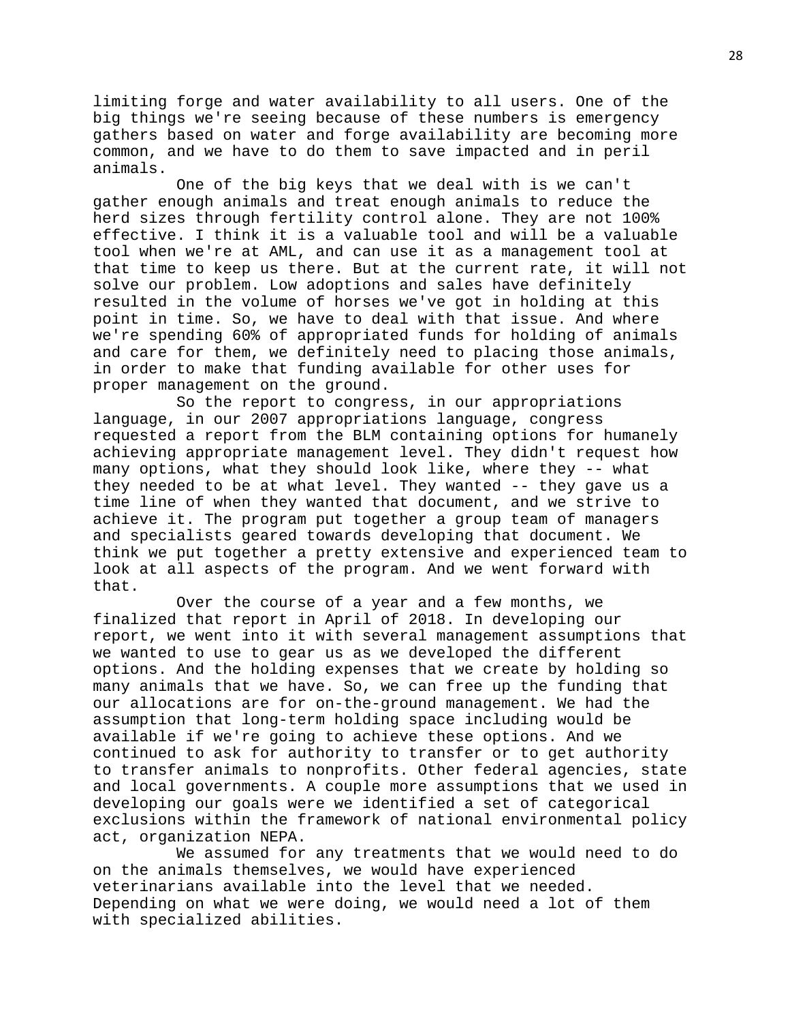limiting forge and water availability to all users. One of the big things we're seeing because of these numbers is emergency gathers based on water and forge availability are becoming more common, and we have to do them to save impacted and in peril animals.

 One of the big keys that we deal with is we can't gather enough animals and treat enough animals to reduce the herd sizes through fertility control alone. They are not 100% effective. I think it is a valuable tool and will be a valuable tool when we're at AML, and can use it as a management tool at that time to keep us there. But at the current rate, it will not solve our problem. Low adoptions and sales have definitely resulted in the volume of horses we've got in holding at this point in time. So, we have to deal with that issue. And where we're spending 60% of appropriated funds for holding of animals and care for them, we definitely need to placing those animals, in order to make that funding available for other uses for proper management on the ground.

 So the report to congress, in our appropriations language, in our 2007 appropriations language, congress requested a report from the BLM containing options for humanely achieving appropriate management level. They didn't request how many options, what they should look like, where they -- what they needed to be at what level. They wanted -- they gave us a time line of when they wanted that document, and we strive to achieve it. The program put together a group team of managers and specialists geared towards developing that document. We think we put together a pretty extensive and experienced team to look at all aspects of the program. And we went forward with that.

 Over the course of a year and a few months, we finalized that report in April of 2018. In developing our report, we went into it with several management assumptions that we wanted to use to gear us as we developed the different options. And the holding expenses that we create by holding so many animals that we have. So, we can free up the funding that our allocations are for on-the-ground management. We had the assumption that long-term holding space including would be available if we're going to achieve these options. And we continued to ask for authority to transfer or to get authority to transfer animals to nonprofits. Other federal agencies, state and local governments. A couple more assumptions that we used in developing our goals were we identified a set of categorical exclusions within the framework of national environmental policy act, organization NEPA.

 We assumed for any treatments that we would need to do on the animals themselves, we would have experienced veterinarians available into the level that we needed. Depending on what we were doing, we would need a lot of them with specialized abilities.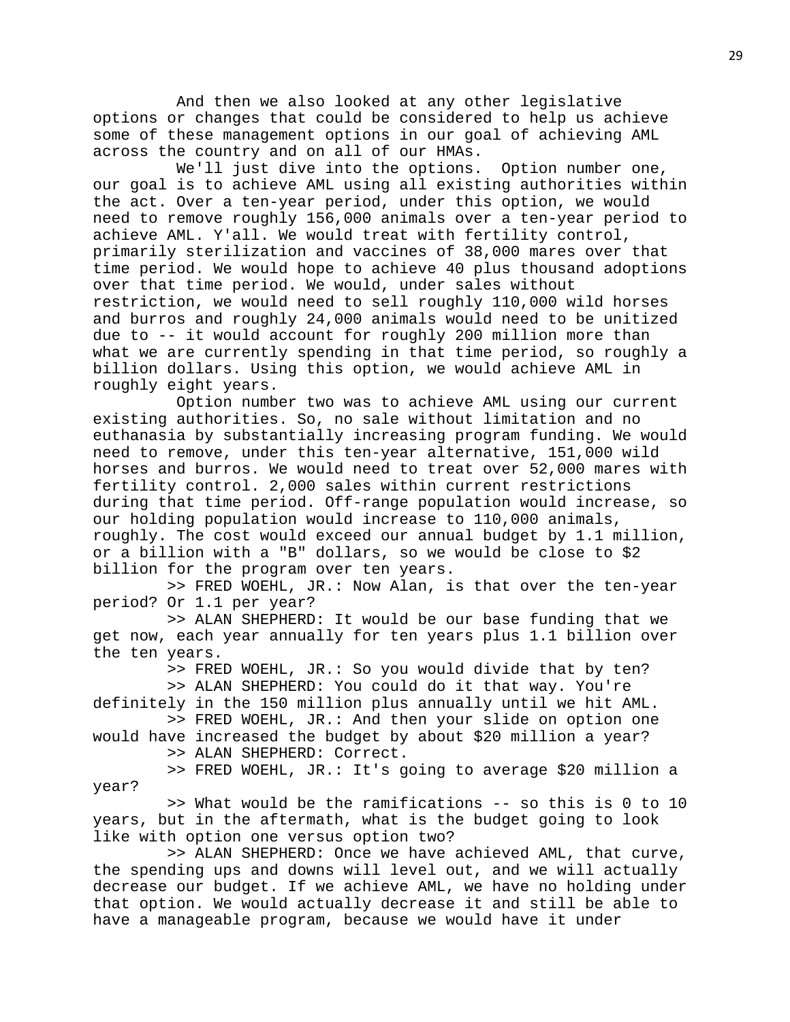And then we also looked at any other legislative options or changes that could be considered to help us achieve some of these management options in our goal of achieving AML across the country and on all of our HMAs.

 We'll just dive into the options. Option number one, our goal is to achieve AML using all existing authorities within the act. Over a ten-year period, under this option, we would need to remove roughly 156,000 animals over a ten-year period to achieve AML. Y'all. We would treat with fertility control, primarily sterilization and vaccines of 38,000 mares over that time period. We would hope to achieve 40 plus thousand adoptions over that time period. We would, under sales without restriction, we would need to sell roughly 110,000 wild horses and burros and roughly 24,000 animals would need to be unitized due to -- it would account for roughly 200 million more than what we are currently spending in that time period, so roughly a billion dollars. Using this option, we would achieve AML in roughly eight years.

 Option number two was to achieve AML using our current existing authorities. So, no sale without limitation and no euthanasia by substantially increasing program funding. We would need to remove, under this ten-year alternative, 151,000 wild horses and burros. We would need to treat over 52,000 mares with fertility control. 2,000 sales within current restrictions during that time period. Off-range population would increase, so our holding population would increase to 110,000 animals, roughly. The cost would exceed our annual budget by 1.1 million, or a billion with a "B" dollars, so we would be close to \$2 billion for the program over ten years.

 >> FRED WOEHL, JR.: Now Alan, is that over the ten-year period? Or 1.1 per year?

 >> ALAN SHEPHERD: It would be our base funding that we get now, each year annually for ten years plus 1.1 billion over the ten years.

> >> FRED WOEHL, JR.: So you would divide that by ten? >> ALAN SHEPHERD: You could do it that way. You're

definitely in the 150 million plus annually until we hit AML. >> FRED WOEHL, JR.: And then your slide on option one

would have increased the budget by about \$20 million a year? >> ALAN SHEPHERD: Correct.

year?

>> FRED WOEHL, JR.: It's going to average \$20 million a

 >> What would be the ramifications -- so this is 0 to 10 years, but in the aftermath, what is the budget going to look like with option one versus option two?

 >> ALAN SHEPHERD: Once we have achieved AML, that curve, the spending ups and downs will level out, and we will actually decrease our budget. If we achieve AML, we have no holding under that option. We would actually decrease it and still be able to have a manageable program, because we would have it under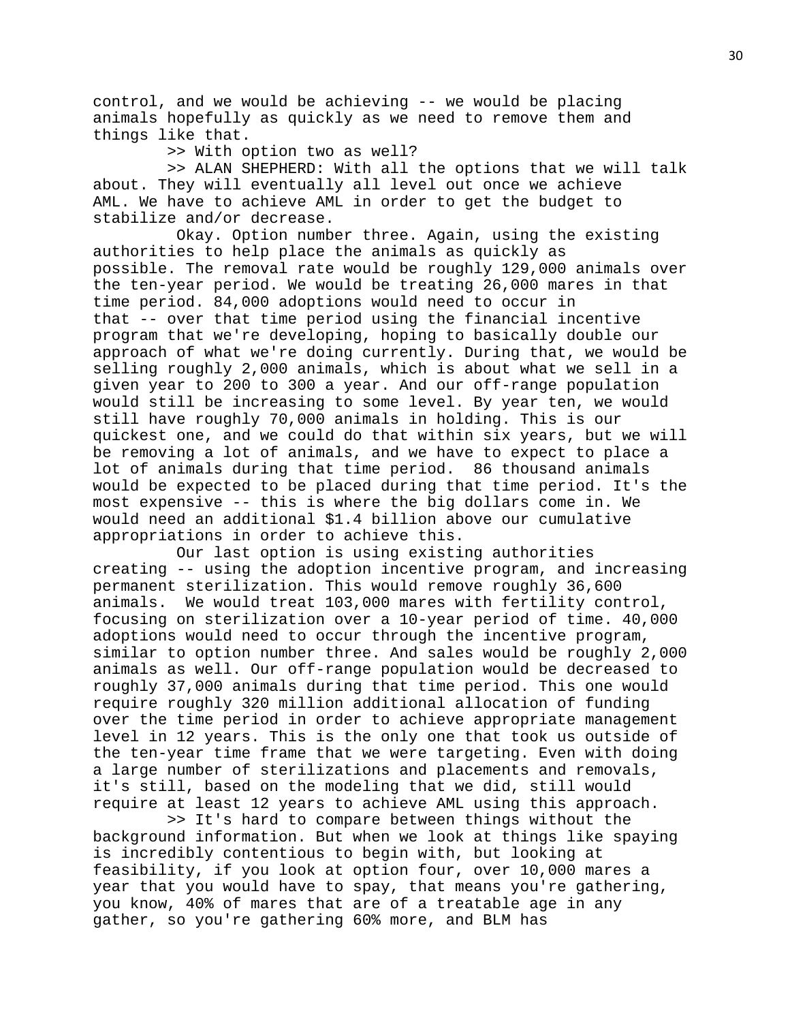control, and we would be achieving -- we would be placing animals hopefully as quickly as we need to remove them and things like that.

>> With option two as well?

 >> ALAN SHEPHERD: With all the options that we will talk about. They will eventually all level out once we achieve AML. We have to achieve AML in order to get the budget to stabilize and/or decrease.

 Okay. Option number three. Again, using the existing authorities to help place the animals as quickly as possible. The removal rate would be roughly 129,000 animals over the ten-year period. We would be treating 26,000 mares in that time period. 84,000 adoptions would need to occur in that -- over that time period using the financial incentive program that we're developing, hoping to basically double our approach of what we're doing currently. During that, we would be selling roughly 2,000 animals, which is about what we sell in a given year to 200 to 300 a year. And our off-range population would still be increasing to some level. By year ten, we would still have roughly 70,000 animals in holding. This is our quickest one, and we could do that within six years, but we will be removing a lot of animals, and we have to expect to place a lot of animals during that time period. 86 thousand animals would be expected to be placed during that time period. It's the most expensive -- this is where the big dollars come in. We would need an additional \$1.4 billion above our cumulative appropriations in order to achieve this.

 Our last option is using existing authorities creating -- using the adoption incentive program, and increasing permanent sterilization. This would remove roughly 36,600 animals. We would treat 103,000 mares with fertility control, focusing on sterilization over a 10-year period of time. 40,000 adoptions would need to occur through the incentive program, similar to option number three. And sales would be roughly 2,000 animals as well. Our off-range population would be decreased to roughly 37,000 animals during that time period. This one would require roughly 320 million additional allocation of funding over the time period in order to achieve appropriate management level in 12 years. This is the only one that took us outside of the ten-year time frame that we were targeting. Even with doing a large number of sterilizations and placements and removals, it's still, based on the modeling that we did, still would require at least 12 years to achieve AML using this approach.

 >> It's hard to compare between things without the background information. But when we look at things like spaying is incredibly contentious to begin with, but looking at feasibility, if you look at option four, over 10,000 mares a year that you would have to spay, that means you're gathering, you know, 40% of mares that are of a treatable age in any gather, so you're gathering 60% more, and BLM has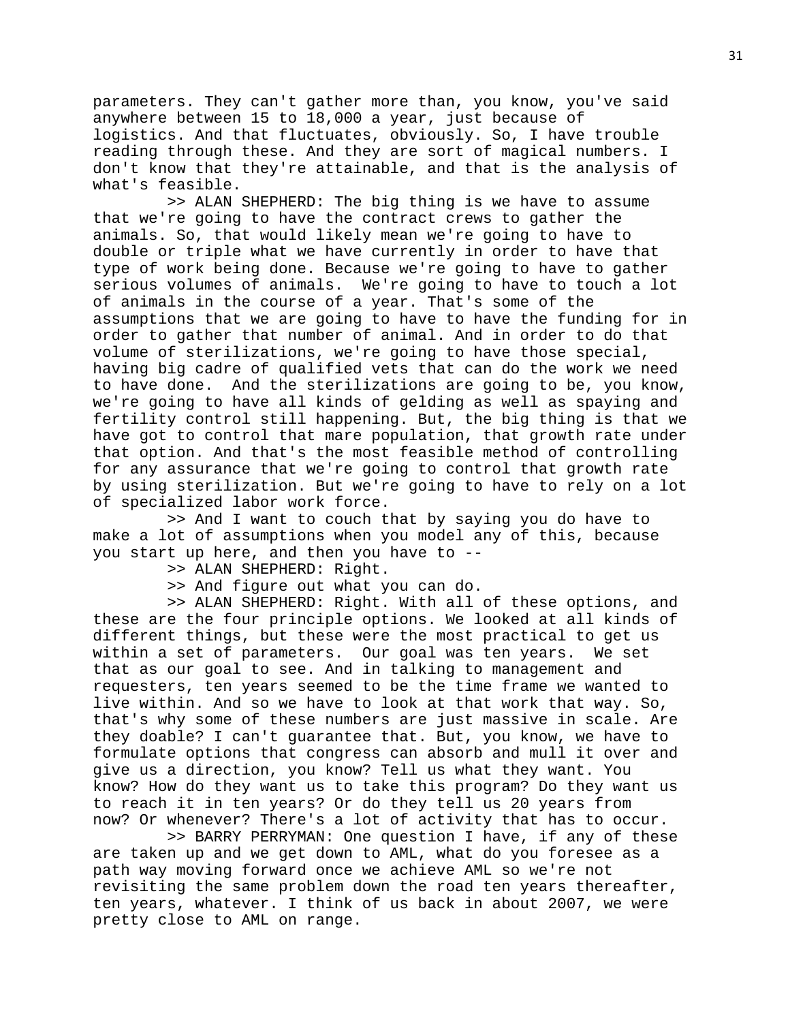parameters. They can't gather more than, you know, you've said anywhere between 15 to 18,000 a year, just because of logistics. And that fluctuates, obviously. So, I have trouble reading through these. And they are sort of magical numbers. I don't know that they're attainable, and that is the analysis of what's feasible.

 >> ALAN SHEPHERD: The big thing is we have to assume that we're going to have the contract crews to gather the animals. So, that would likely mean we're going to have to double or triple what we have currently in order to have that type of work being done. Because we're going to have to gather serious volumes of animals. We're going to have to touch a lot of animals in the course of a year. That's some of the assumptions that we are going to have to have the funding for in order to gather that number of animal. And in order to do that volume of sterilizations, we're going to have those special, having big cadre of qualified vets that can do the work we need to have done. And the sterilizations are going to be, you know, we're going to have all kinds of gelding as well as spaying and fertility control still happening. But, the big thing is that we have got to control that mare population, that growth rate under that option. And that's the most feasible method of controlling for any assurance that we're going to control that growth rate by using sterilization. But we're going to have to rely on a lot of specialized labor work force.

 >> And I want to couch that by saying you do have to make a lot of assumptions when you model any of this, because you start up here, and then you have to --

>> ALAN SHEPHERD: Right.

>> And figure out what you can do.

 >> ALAN SHEPHERD: Right. With all of these options, and these are the four principle options. We looked at all kinds of different things, but these were the most practical to get us<br>within a set of parameters. Our goal was ten years. We set within a set of parameters. Our goal was ten years. that as our goal to see. And in talking to management and requesters, ten years seemed to be the time frame we wanted to live within. And so we have to look at that work that way. So, that's why some of these numbers are just massive in scale. Are they doable? I can't guarantee that. But, you know, we have to formulate options that congress can absorb and mull it over and give us a direction, you know? Tell us what they want. You know? How do they want us to take this program? Do they want us to reach it in ten years? Or do they tell us 20 years from now? Or whenever? There's a lot of activity that has to occur.

 >> BARRY PERRYMAN: One question I have, if any of these are taken up and we get down to AML, what do you foresee as a path way moving forward once we achieve AML so we're not revisiting the same problem down the road ten years thereafter, ten years, whatever. I think of us back in about 2007, we were pretty close to AML on range.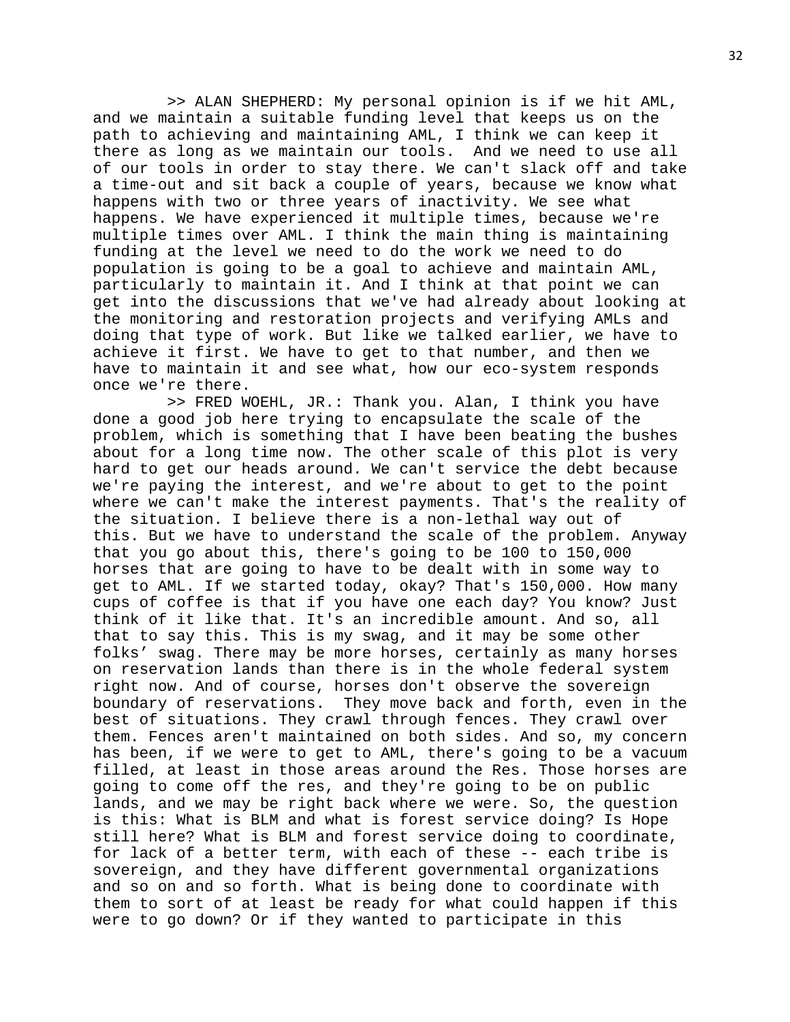>> ALAN SHEPHERD: My personal opinion is if we hit AML, and we maintain a suitable funding level that keeps us on the path to achieving and maintaining AML, I think we can keep it there as long as we maintain our tools. And we need to use all of our tools in order to stay there. We can't slack off and take a time-out and sit back a couple of years, because we know what happens with two or three years of inactivity. We see what happens. We have experienced it multiple times, because we're multiple times over AML. I think the main thing is maintaining funding at the level we need to do the work we need to do population is going to be a goal to achieve and maintain AML, particularly to maintain it. And I think at that point we can get into the discussions that we've had already about looking at the monitoring and restoration projects and verifying AMLs and doing that type of work. But like we talked earlier, we have to achieve it first. We have to get to that number, and then we have to maintain it and see what, how our eco-system responds once we're there.

 >> FRED WOEHL, JR.: Thank you. Alan, I think you have done a good job here trying to encapsulate the scale of the problem, which is something that I have been beating the bushes about for a long time now. The other scale of this plot is very hard to get our heads around. We can't service the debt because we're paying the interest, and we're about to get to the point where we can't make the interest payments. That's the reality of the situation. I believe there is a non-lethal way out of this. But we have to understand the scale of the problem. Anyway that you go about this, there's going to be 100 to 150,000 horses that are going to have to be dealt with in some way to get to AML. If we started today, okay? That's 150,000. How many cups of coffee is that if you have one each day? You know? Just think of it like that. It's an incredible amount. And so, all that to say this. This is my swag, and it may be some other folks' swag. There may be more horses, certainly as many horses on reservation lands than there is in the whole federal system right now. And of course, horses don't observe the sovereign boundary of reservations. They move back and forth, even in the best of situations. They crawl through fences. They crawl over them. Fences aren't maintained on both sides. And so, my concern has been, if we were to get to AML, there's going to be a vacuum filled, at least in those areas around the Res. Those horses are going to come off the res, and they're going to be on public lands, and we may be right back where we were. So, the question is this: What is BLM and what is forest service doing? Is Hope still here? What is BLM and forest service doing to coordinate, for lack of a better term, with each of these -- each tribe is sovereign, and they have different governmental organizations and so on and so forth. What is being done to coordinate with them to sort of at least be ready for what could happen if this were to go down? Or if they wanted to participate in this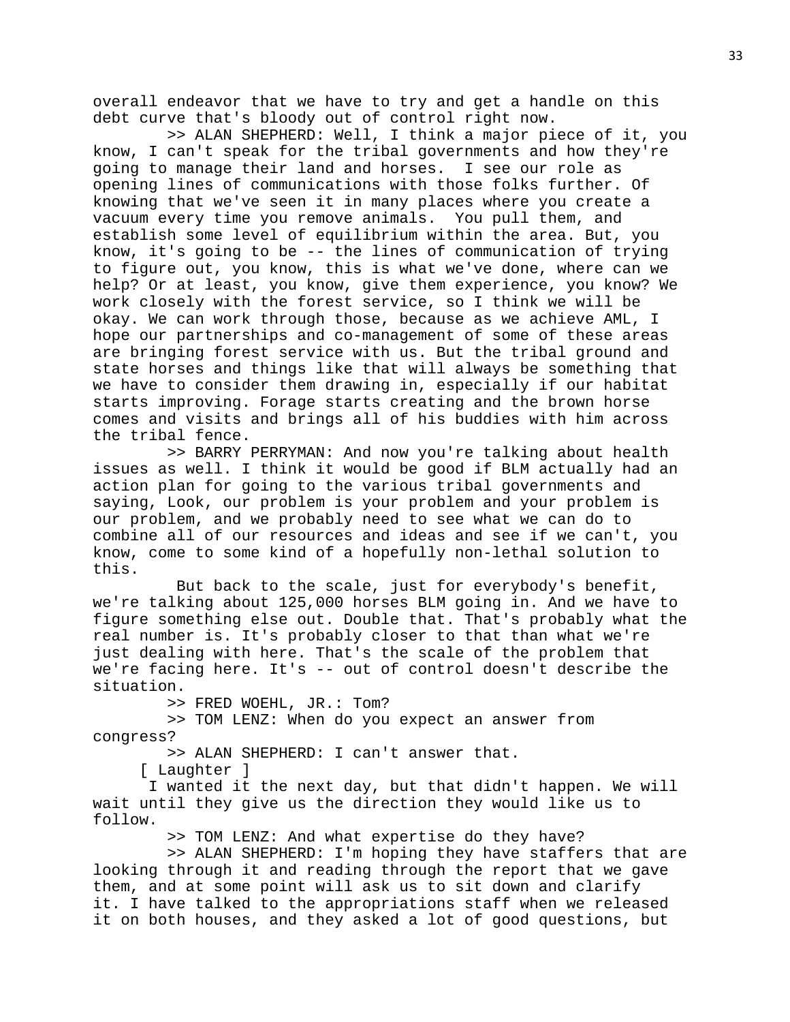overall endeavor that we have to try and get a handle on this debt curve that's bloody out of control right now.

 >> ALAN SHEPHERD: Well, I think a major piece of it, you know, I can't speak for the tribal governments and how they're going to manage their land and horses. I see our role as opening lines of communications with those folks further. Of knowing that we've seen it in many places where you create a vacuum every time you remove animals. You pull them, and establish some level of equilibrium within the area. But, you know, it's going to be -- the lines of communication of trying to figure out, you know, this is what we've done, where can we help? Or at least, you know, give them experience, you know? We work closely with the forest service, so I think we will be okay. We can work through those, because as we achieve AML, I hope our partnerships and co-management of some of these areas are bringing forest service with us. But the tribal ground and state horses and things like that will always be something that we have to consider them drawing in, especially if our habitat starts improving. Forage starts creating and the brown horse comes and visits and brings all of his buddies with him across the tribal fence.

 >> BARRY PERRYMAN: And now you're talking about health issues as well. I think it would be good if BLM actually had an action plan for going to the various tribal governments and saying, Look, our problem is your problem and your problem is our problem, and we probably need to see what we can do to combine all of our resources and ideas and see if we can't, you know, come to some kind of a hopefully non-lethal solution to this.

 But back to the scale, just for everybody's benefit, we're talking about 125,000 horses BLM going in. And we have to figure something else out. Double that. That's probably what the real number is. It's probably closer to that than what we're just dealing with here. That's the scale of the problem that we're facing here. It's -- out of control doesn't describe the situation.

>> FRED WOEHL, JR.: Tom?

 >> TOM LENZ: When do you expect an answer from congress?

>> ALAN SHEPHERD: I can't answer that.

[ Laughter ]

I wanted it the next day, but that didn't happen. We will wait until they give us the direction they would like us to follow.

>> TOM LENZ: And what expertise do they have?

 >> ALAN SHEPHERD: I'm hoping they have staffers that are looking through it and reading through the report that we gave them, and at some point will ask us to sit down and clarify it. I have talked to the appropriations staff when we released it on both houses, and they asked a lot of good questions, but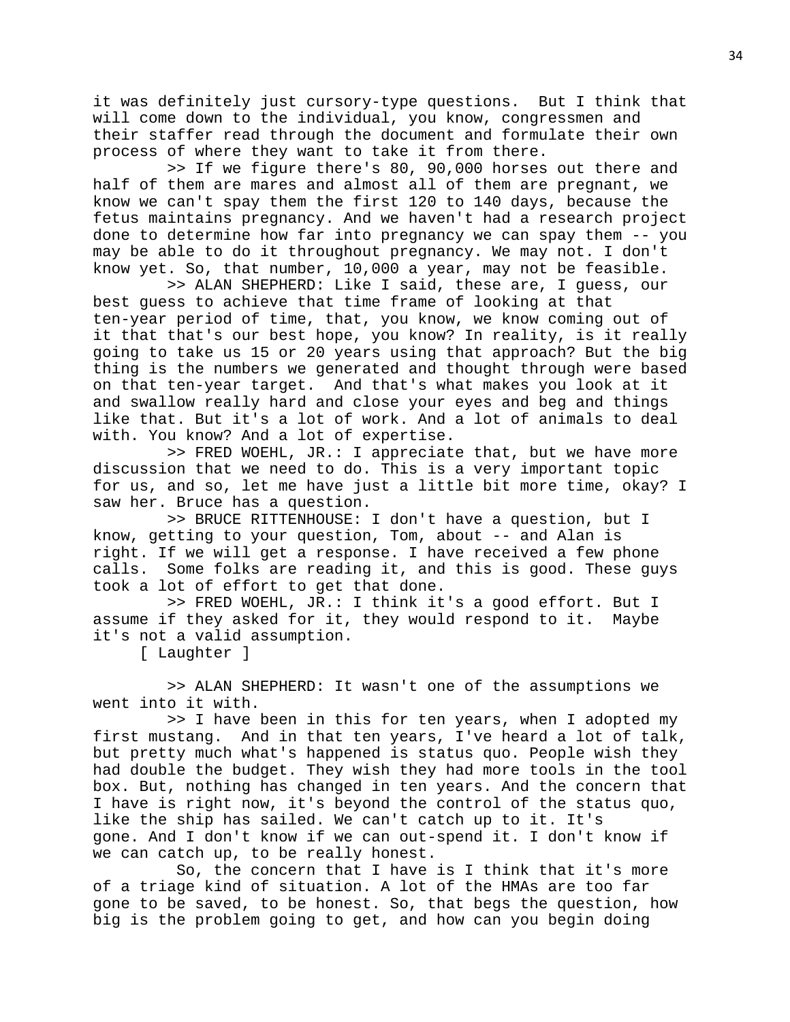it was definitely just cursory-type questions. But I think that will come down to the individual, you know, congressmen and their staffer read through the document and formulate their own process of where they want to take it from there.

 >> If we figure there's 80, 90,000 horses out there and half of them are mares and almost all of them are pregnant, we know we can't spay them the first 120 to 140 days, because the fetus maintains pregnancy. And we haven't had a research project done to determine how far into pregnancy we can spay them -- you may be able to do it throughout pregnancy. We may not. I don't know yet. So, that number, 10,000 a year, may not be feasible.

 >> ALAN SHEPHERD: Like I said, these are, I guess, our best guess to achieve that time frame of looking at that ten-year period of time, that, you know, we know coming out of it that that's our best hope, you know? In reality, is it really going to take us 15 or 20 years using that approach? But the big thing is the numbers we generated and thought through were based on that ten-year target. And that's what makes you look at it and swallow really hard and close your eyes and beg and things like that. But it's a lot of work. And a lot of animals to deal with. You know? And a lot of expertise.

 >> FRED WOEHL, JR.: I appreciate that, but we have more discussion that we need to do. This is a very important topic for us, and so, let me have just a little bit more time, okay? I saw her. Bruce has a question.

 >> BRUCE RITTENHOUSE: I don't have a question, but I know, getting to your question, Tom, about -- and Alan is right. If we will get a response. I have received a few phone<br>calls. Some folks are reading it, and this is good. These gu Some folks are reading it, and this is good. These guys took a lot of effort to get that done.

 >> FRED WOEHL, JR.: I think it's a good effort. But I assume if they asked for it, they would respond to it. Maybe it's not a valid assumption.

[ Laughter ]

 >> ALAN SHEPHERD: It wasn't one of the assumptions we went into it with.

 >> I have been in this for ten years, when I adopted my first mustang. And in that ten years, I've heard a lot of talk, but pretty much what's happened is status quo. People wish they had double the budget. They wish they had more tools in the tool box. But, nothing has changed in ten years. And the concern that I have is right now, it's beyond the control of the status quo, like the ship has sailed. We can't catch up to it. It's gone. And I don't know if we can out-spend it. I don't know if we can catch up, to be really honest.

 So, the concern that I have is I think that it's more of a triage kind of situation. A lot of the HMAs are too far gone to be saved, to be honest. So, that begs the question, how big is the problem going to get, and how can you begin doing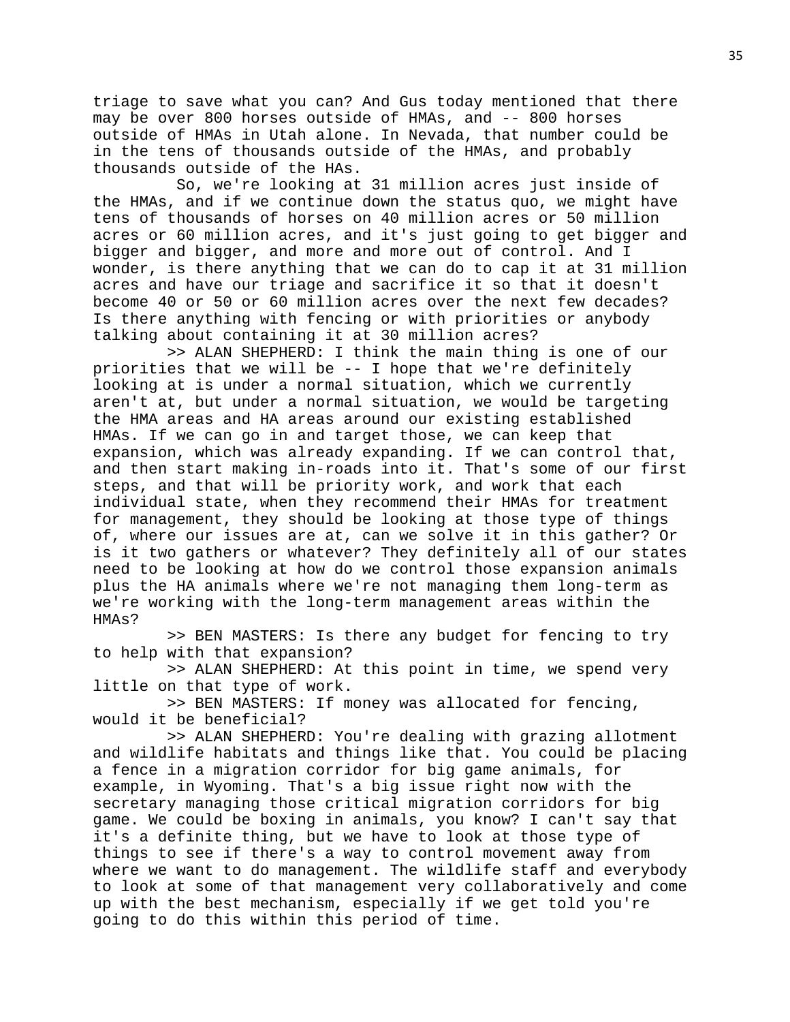triage to save what you can? And Gus today mentioned that there may be over 800 horses outside of HMAs, and -- 800 horses outside of HMAs in Utah alone. In Nevada, that number could be in the tens of thousands outside of the HMAs, and probably thousands outside of the HAs.

 So, we're looking at 31 million acres just inside of the HMAs, and if we continue down the status quo, we might have tens of thousands of horses on 40 million acres or 50 million acres or 60 million acres, and it's just going to get bigger and bigger and bigger, and more and more out of control. And I wonder, is there anything that we can do to cap it at 31 million acres and have our triage and sacrifice it so that it doesn't become 40 or 50 or 60 million acres over the next few decades? Is there anything with fencing or with priorities or anybody talking about containing it at 30 million acres?

 >> ALAN SHEPHERD: I think the main thing is one of our priorities that we will be -- I hope that we're definitely looking at is under a normal situation, which we currently aren't at, but under a normal situation, we would be targeting the HMA areas and HA areas around our existing established HMAs. If we can go in and target those, we can keep that expansion, which was already expanding. If we can control that, and then start making in-roads into it. That's some of our first steps, and that will be priority work, and work that each individual state, when they recommend their HMAs for treatment for management, they should be looking at those type of things of, where our issues are at, can we solve it in this gather? Or is it two gathers or whatever? They definitely all of our states need to be looking at how do we control those expansion animals plus the HA animals where we're not managing them long-term as we're working with the long-term management areas within the HMAs?

 >> BEN MASTERS: Is there any budget for fencing to try to help with that expansion?

 >> ALAN SHEPHERD: At this point in time, we spend very little on that type of work.

 >> BEN MASTERS: If money was allocated for fencing, would it be beneficial?

 >> ALAN SHEPHERD: You're dealing with grazing allotment and wildlife habitats and things like that. You could be placing a fence in a migration corridor for big game animals, for example, in Wyoming. That's a big issue right now with the secretary managing those critical migration corridors for big game. We could be boxing in animals, you know? I can't say that it's a definite thing, but we have to look at those type of things to see if there's a way to control movement away from where we want to do management. The wildlife staff and everybody to look at some of that management very collaboratively and come up with the best mechanism, especially if we get told you're going to do this within this period of time.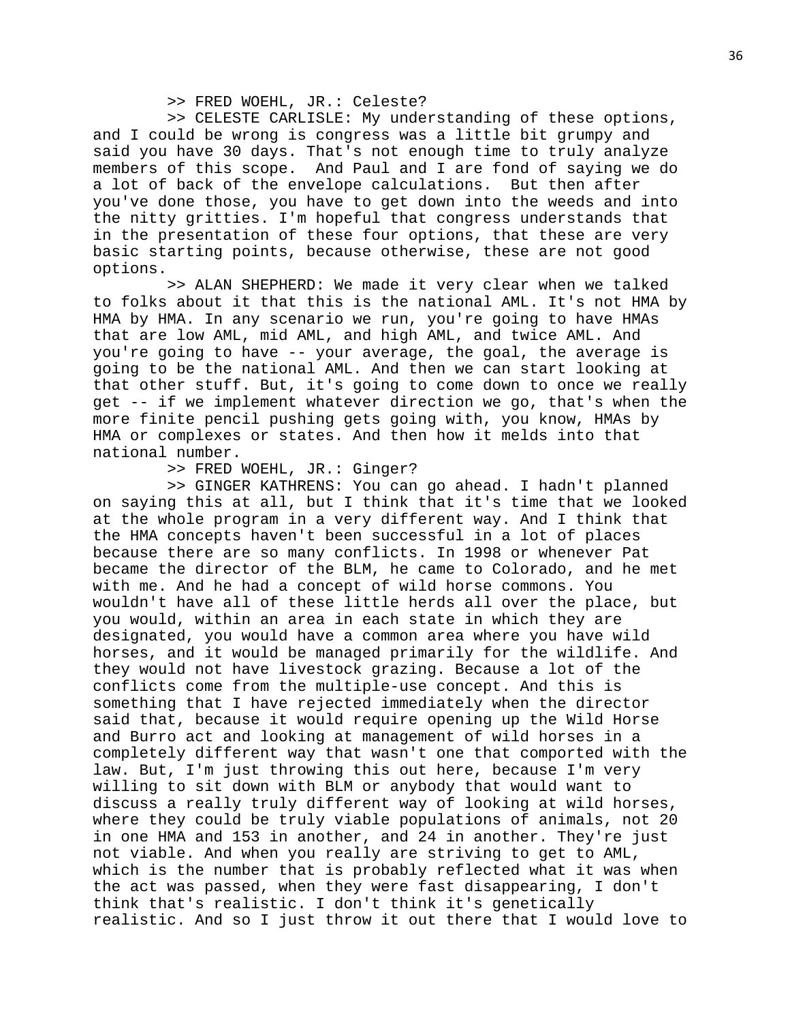## >> FRED WOEHL, JR.: Celeste?

 >> CELESTE CARLISLE: My understanding of these options, and I could be wrong is congress was a little bit grumpy and said you have 30 days. That's not enough time to truly analyze members of this scope. And Paul and I are fond of saying we do a lot of back of the envelope calculations. But then after you've done those, you have to get down into the weeds and into the nitty gritties. I'm hopeful that congress understands that in the presentation of these four options, that these are very basic starting points, because otherwise, these are not good options.

 >> ALAN SHEPHERD: We made it very clear when we talked to folks about it that this is the national AML. It's not HMA by HMA by HMA. In any scenario we run, you're going to have HMAs that are low AML, mid AML, and high AML, and twice AML. And you're going to have -- your average, the goal, the average is going to be the national AML. And then we can start looking at that other stuff. But, it's going to come down to once we really get -- if we implement whatever direction we go, that's when the more finite pencil pushing gets going with, you know, HMAs by HMA or complexes or states. And then how it melds into that national number.

>> FRED WOEHL, JR.: Ginger?

 >> GINGER KATHRENS: You can go ahead. I hadn't planned on saying this at all, but I think that it's time that we looked at the whole program in a very different way. And I think that the HMA concepts haven't been successful in a lot of places because there are so many conflicts. In 1998 or whenever Pat became the director of the BLM, he came to Colorado, and he met with me. And he had a concept of wild horse commons. You wouldn't have all of these little herds all over the place, but you would, within an area in each state in which they are designated, you would have a common area where you have wild horses, and it would be managed primarily for the wildlife. And they would not have livestock grazing. Because a lot of the conflicts come from the multiple-use concept. And this is something that I have rejected immediately when the director said that, because it would require opening up the Wild Horse and Burro act and looking at management of wild horses in a completely different way that wasn't one that comported with the law. But, I'm just throwing this out here, because I'm very willing to sit down with BLM or anybody that would want to discuss a really truly different way of looking at wild horses, where they could be truly viable populations of animals, not 20 in one HMA and 153 in another, and 24 in another. They're just not viable. And when you really are striving to get to AML, which is the number that is probably reflected what it was when the act was passed, when they were fast disappearing, I don't think that's realistic. I don't think it's genetically realistic. And so I just throw it out there that I would love to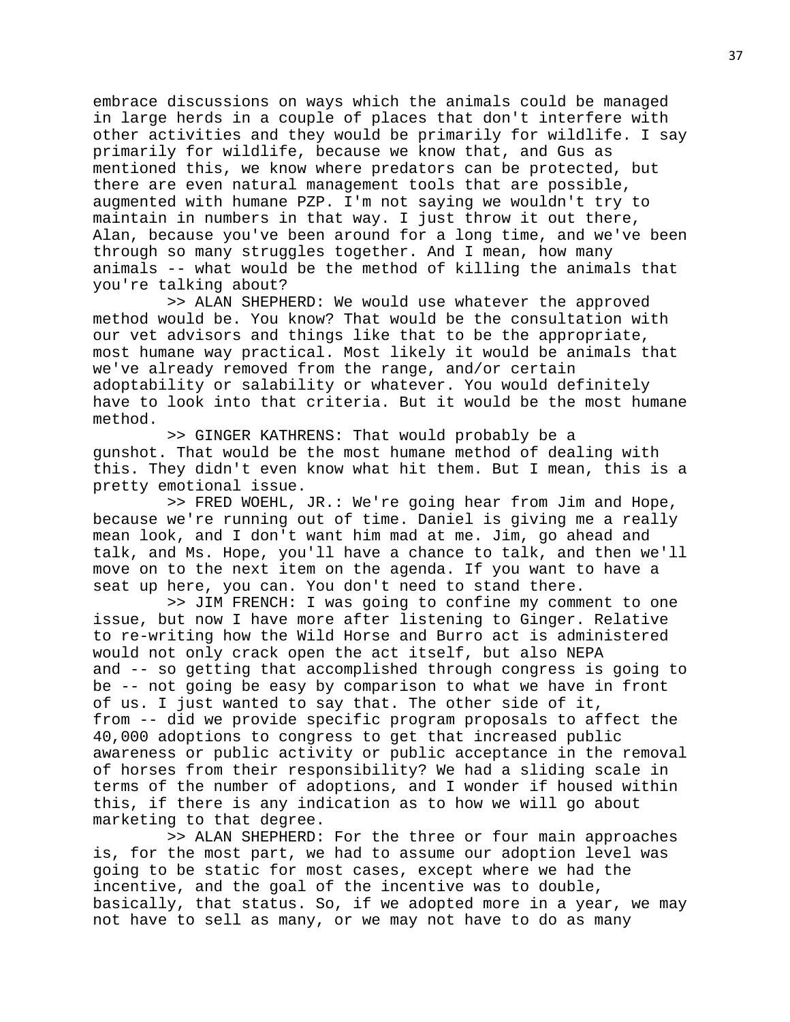embrace discussions on ways which the animals could be managed in large herds in a couple of places that don't interfere with other activities and they would be primarily for wildlife. I say primarily for wildlife, because we know that, and Gus as mentioned this, we know where predators can be protected, but there are even natural management tools that are possible, augmented with humane PZP. I'm not saying we wouldn't try to maintain in numbers in that way. I just throw it out there, Alan, because you've been around for a long time, and we've been through so many struggles together. And I mean, how many animals -- what would be the method of killing the animals that you're talking about?

 >> ALAN SHEPHERD: We would use whatever the approved method would be. You know? That would be the consultation with our vet advisors and things like that to be the appropriate, most humane way practical. Most likely it would be animals that we've already removed from the range, and/or certain adoptability or salability or whatever. You would definitely have to look into that criteria. But it would be the most humane method.

 >> GINGER KATHRENS: That would probably be a gunshot. That would be the most humane method of dealing with this. They didn't even know what hit them. But I mean, this is a pretty emotional issue.

 >> FRED WOEHL, JR.: We're going hear from Jim and Hope, because we're running out of time. Daniel is giving me a really mean look, and I don't want him mad at me. Jim, go ahead and talk, and Ms. Hope, you'll have a chance to talk, and then we'll move on to the next item on the agenda. If you want to have a seat up here, you can. You don't need to stand there.

 >> JIM FRENCH: I was going to confine my comment to one issue, but now I have more after listening to Ginger. Relative to re-writing how the Wild Horse and Burro act is administered would not only crack open the act itself, but also NEPA and -- so getting that accomplished through congress is going to be -- not going be easy by comparison to what we have in front of us. I just wanted to say that. The other side of it, from -- did we provide specific program proposals to affect the 40,000 adoptions to congress to get that increased public awareness or public activity or public acceptance in the removal of horses from their responsibility? We had a sliding scale in terms of the number of adoptions, and I wonder if housed within this, if there is any indication as to how we will go about marketing to that degree.

 >> ALAN SHEPHERD: For the three or four main approaches is, for the most part, we had to assume our adoption level was going to be static for most cases, except where we had the incentive, and the goal of the incentive was to double, basically, that status. So, if we adopted more in a year, we may not have to sell as many, or we may not have to do as many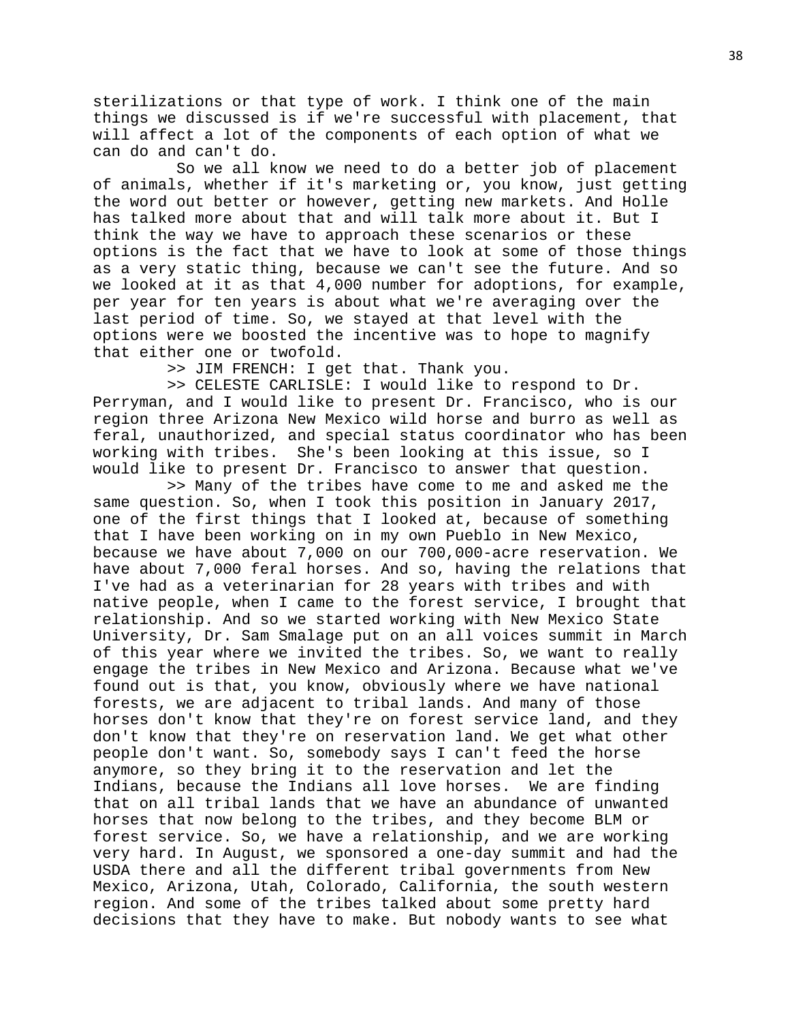sterilizations or that type of work. I think one of the main things we discussed is if we're successful with placement, that will affect a lot of the components of each option of what we can do and can't do.

 So we all know we need to do a better job of placement of animals, whether if it's marketing or, you know, just getting the word out better or however, getting new markets. And Holle has talked more about that and will talk more about it. But I think the way we have to approach these scenarios or these options is the fact that we have to look at some of those things as a very static thing, because we can't see the future. And so we looked at it as that 4,000 number for adoptions, for example, per year for ten years is about what we're averaging over the last period of time. So, we stayed at that level with the options were we boosted the incentive was to hope to magnify that either one or twofold.

>> JIM FRENCH: I get that. Thank you.

 >> CELESTE CARLISLE: I would like to respond to Dr. Perryman, and I would like to present Dr. Francisco, who is our region three Arizona New Mexico wild horse and burro as well as feral, unauthorized, and special status coordinator who has been working with tribes. She's been looking at this issue, so I would like to present Dr. Francisco to answer that question.

 >> Many of the tribes have come to me and asked me the same question. So, when I took this position in January 2017, one of the first things that I looked at, because of something that I have been working on in my own Pueblo in New Mexico, because we have about 7,000 on our 700,000-acre reservation. We have about 7,000 feral horses. And so, having the relations that I've had as a veterinarian for 28 years with tribes and with native people, when I came to the forest service, I brought that relationship. And so we started working with New Mexico State University, Dr. Sam Smalage put on an all voices summit in March of this year where we invited the tribes. So, we want to really engage the tribes in New Mexico and Arizona. Because what we've found out is that, you know, obviously where we have national forests, we are adjacent to tribal lands. And many of those horses don't know that they're on forest service land, and they don't know that they're on reservation land. We get what other people don't want. So, somebody says I can't feed the horse anymore, so they bring it to the reservation and let the Indians, because the Indians all love horses. We are finding that on all tribal lands that we have an abundance of unwanted horses that now belong to the tribes, and they become BLM or forest service. So, we have a relationship, and we are working very hard. In August, we sponsored a one-day summit and had the USDA there and all the different tribal governments from New Mexico, Arizona, Utah, Colorado, California, the south western region. And some of the tribes talked about some pretty hard decisions that they have to make. But nobody wants to see what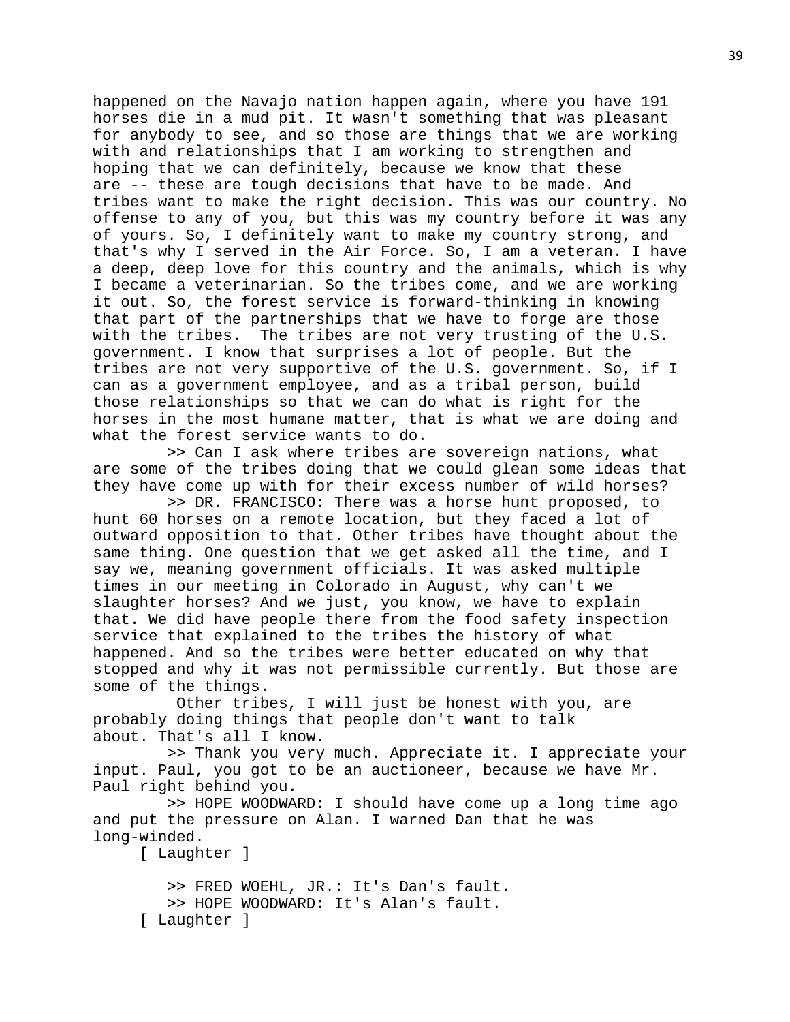happened on the Navajo nation happen again, where you have 191 horses die in a mud pit. It wasn't something that was pleasant for anybody to see, and so those are things that we are working with and relationships that I am working to strengthen and hoping that we can definitely, because we know that these are -- these are tough decisions that have to be made. And tribes want to make the right decision. This was our country. No offense to any of you, but this was my country before it was any of yours. So, I definitely want to make my country strong, and that's why I served in the Air Force. So, I am a veteran. I have a deep, deep love for this country and the animals, which is why I became a veterinarian. So the tribes come, and we are working it out. So, the forest service is forward-thinking in knowing that part of the partnerships that we have to forge are those with the tribes. The tribes are not very trusting of the U.S. government. I know that surprises a lot of people. But the tribes are not very supportive of the U.S. government. So, if I can as a government employee, and as a tribal person, build those relationships so that we can do what is right for the horses in the most humane matter, that is what we are doing and what the forest service wants to do.

 >> Can I ask where tribes are sovereign nations, what are some of the tribes doing that we could glean some ideas that they have come up with for their excess number of wild horses?

 >> DR. FRANCISCO: There was a horse hunt proposed, to hunt 60 horses on a remote location, but they faced a lot of outward opposition to that. Other tribes have thought about the same thing. One question that we get asked all the time, and I say we, meaning government officials. It was asked multiple times in our meeting in Colorado in August, why can't we slaughter horses? And we just, you know, we have to explain that. We did have people there from the food safety inspection service that explained to the tribes the history of what happened. And so the tribes were better educated on why that stopped and why it was not permissible currently. But those are some of the things.

 Other tribes, I will just be honest with you, are probably doing things that people don't want to talk about. That's all I know.

 >> Thank you very much. Appreciate it. I appreciate your input. Paul, you got to be an auctioneer, because we have Mr. Paul right behind you.

 >> HOPE WOODWARD: I should have come up a long time ago and put the pressure on Alan. I warned Dan that he was long-winded.

[ Laughter ]

 >> FRED WOEHL, JR.: It's Dan's fault. >> HOPE WOODWARD: It's Alan's fault. [ Laughter ]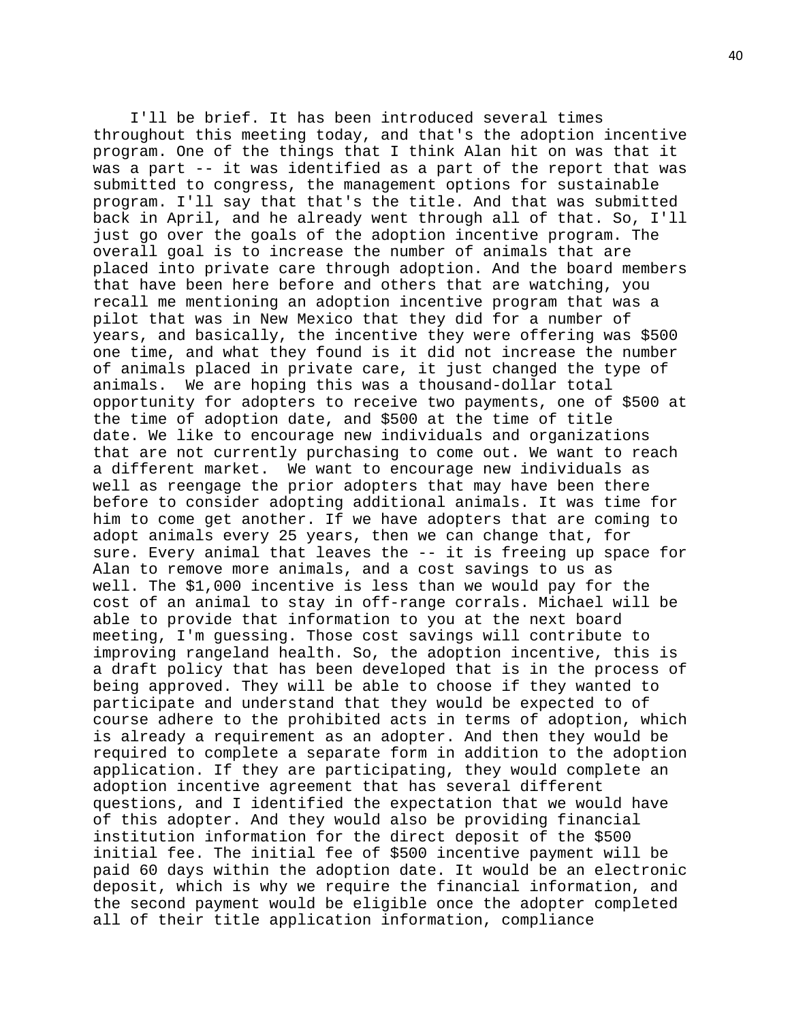I'll be brief. It has been introduced several times throughout this meeting today, and that's the adoption incentive program. One of the things that I think Alan hit on was that it was a part -- it was identified as a part of the report that was submitted to congress, the management options for sustainable program. I'll say that that's the title. And that was submitted back in April, and he already went through all of that. So, I'll just go over the goals of the adoption incentive program. The overall goal is to increase the number of animals that are placed into private care through adoption. And the board members that have been here before and others that are watching, you recall me mentioning an adoption incentive program that was a pilot that was in New Mexico that they did for a number of years, and basically, the incentive they were offering was \$500 one time, and what they found is it did not increase the number of animals placed in private care, it just changed the type of animals. We are hoping this was a thousand-dollar total opportunity for adopters to receive two payments, one of \$500 at the time of adoption date, and \$500 at the time of title date. We like to encourage new individuals and organizations that are not currently purchasing to come out. We want to reach a different market. We want to encourage new individuals as well as reengage the prior adopters that may have been there before to consider adopting additional animals. It was time for him to come get another. If we have adopters that are coming to adopt animals every 25 years, then we can change that, for sure. Every animal that leaves the -- it is freeing up space for Alan to remove more animals, and a cost savings to us as well. The \$1,000 incentive is less than we would pay for the cost of an animal to stay in off-range corrals. Michael will be able to provide that information to you at the next board meeting, I'm guessing. Those cost savings will contribute to improving rangeland health. So, the adoption incentive, this is a draft policy that has been developed that is in the process of being approved. They will be able to choose if they wanted to participate and understand that they would be expected to of course adhere to the prohibited acts in terms of adoption, which is already a requirement as an adopter. And then they would be required to complete a separate form in addition to the adoption application. If they are participating, they would complete an adoption incentive agreement that has several different questions, and I identified the expectation that we would have of this adopter. And they would also be providing financial institution information for the direct deposit of the \$500 initial fee. The initial fee of \$500 incentive payment will be paid 60 days within the adoption date. It would be an electronic deposit, which is why we require the financial information, and the second payment would be eligible once the adopter completed all of their title application information, compliance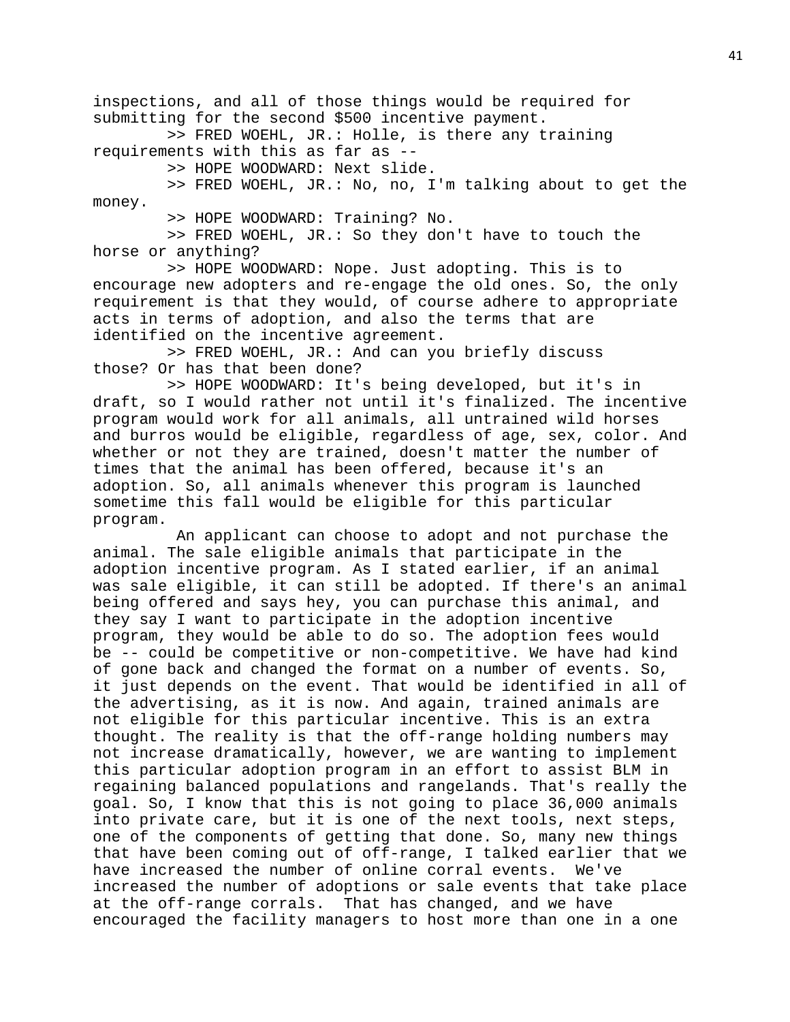inspections, and all of those things would be required for submitting for the second \$500 incentive payment.

 >> FRED WOEHL, JR.: Holle, is there any training requirements with this as far as --

>> HOPE WOODWARD: Next slide.

 >> FRED WOEHL, JR.: No, no, I'm talking about to get the money.

>> HOPE WOODWARD: Training? No.

 >> FRED WOEHL, JR.: So they don't have to touch the horse or anything?

 >> HOPE WOODWARD: Nope. Just adopting. This is to encourage new adopters and re-engage the old ones. So, the only requirement is that they would, of course adhere to appropriate acts in terms of adoption, and also the terms that are identified on the incentive agreement.

 >> FRED WOEHL, JR.: And can you briefly discuss those? Or has that been done?

 >> HOPE WOODWARD: It's being developed, but it's in draft, so I would rather not until it's finalized. The incentive program would work for all animals, all untrained wild horses and burros would be eligible, regardless of age, sex, color. And whether or not they are trained, doesn't matter the number of times that the animal has been offered, because it's an adoption. So, all animals whenever this program is launched sometime this fall would be eligible for this particular program.

 An applicant can choose to adopt and not purchase the animal. The sale eligible animals that participate in the adoption incentive program. As I stated earlier, if an animal was sale eligible, it can still be adopted. If there's an animal being offered and says hey, you can purchase this animal, and they say I want to participate in the adoption incentive program, they would be able to do so. The adoption fees would be -- could be competitive or non-competitive. We have had kind of gone back and changed the format on a number of events. So, it just depends on the event. That would be identified in all of the advertising, as it is now. And again, trained animals are not eligible for this particular incentive. This is an extra thought. The reality is that the off-range holding numbers may not increase dramatically, however, we are wanting to implement this particular adoption program in an effort to assist BLM in regaining balanced populations and rangelands. That's really the goal. So, I know that this is not going to place 36,000 animals into private care, but it is one of the next tools, next steps, one of the components of getting that done. So, many new things that have been coming out of off-range, I talked earlier that we have increased the number of online corral events. We've increased the number of adoptions or sale events that take place at the off-range corrals. That has changed, and we have encouraged the facility managers to host more than one in a one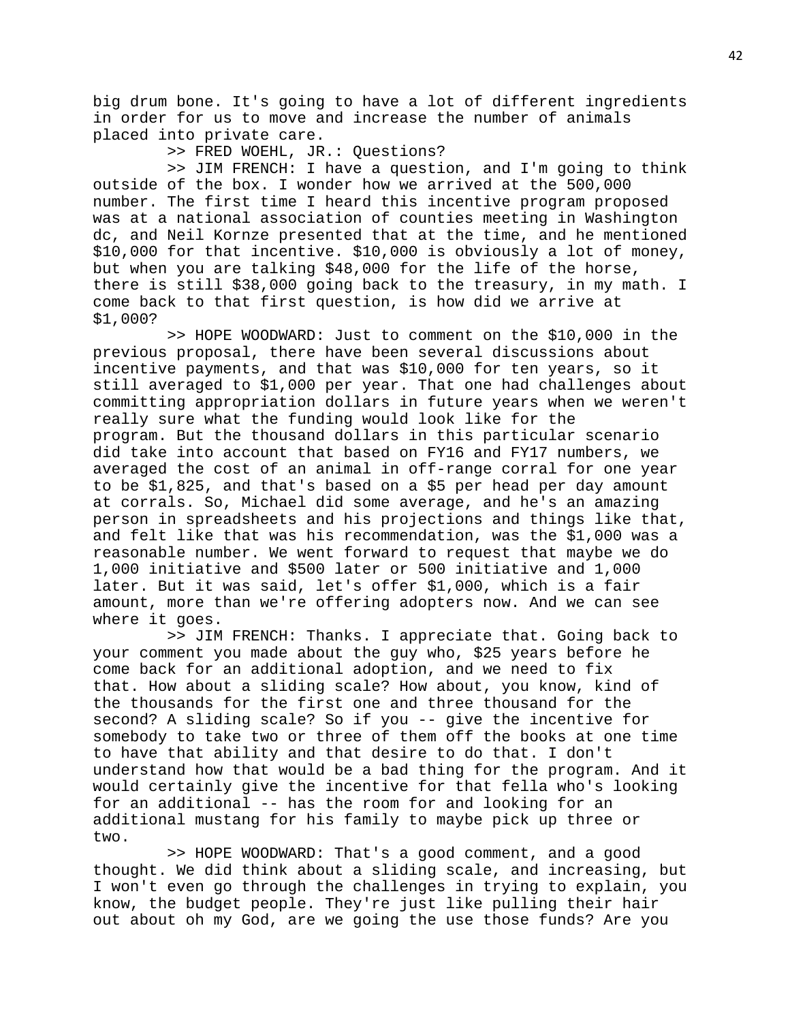big drum bone. It's going to have a lot of different ingredients in order for us to move and increase the number of animals placed into private care.

>> FRED WOEHL, JR.: Questions?

 >> JIM FRENCH: I have a question, and I'm going to think outside of the box. I wonder how we arrived at the 500,000 number. The first time I heard this incentive program proposed was at a national association of counties meeting in Washington dc, and Neil Kornze presented that at the time, and he mentioned \$10,000 for that incentive. \$10,000 is obviously a lot of money, but when you are talking \$48,000 for the life of the horse, there is still \$38,000 going back to the treasury, in my math. I come back to that first question, is how did we arrive at \$1,000?

 >> HOPE WOODWARD: Just to comment on the \$10,000 in the previous proposal, there have been several discussions about incentive payments, and that was \$10,000 for ten years, so it still averaged to \$1,000 per year. That one had challenges about committing appropriation dollars in future years when we weren't really sure what the funding would look like for the program. But the thousand dollars in this particular scenario did take into account that based on FY16 and FY17 numbers, we averaged the cost of an animal in off-range corral for one year to be \$1,825, and that's based on a \$5 per head per day amount at corrals. So, Michael did some average, and he's an amazing person in spreadsheets and his projections and things like that, and felt like that was his recommendation, was the \$1,000 was a reasonable number. We went forward to request that maybe we do 1,000 initiative and \$500 later or 500 initiative and 1,000 later. But it was said, let's offer \$1,000, which is a fair amount, more than we're offering adopters now. And we can see where it goes.

 >> JIM FRENCH: Thanks. I appreciate that. Going back to your comment you made about the guy who, \$25 years before he come back for an additional adoption, and we need to fix that. How about a sliding scale? How about, you know, kind of the thousands for the first one and three thousand for the second? A sliding scale? So if you -- give the incentive for somebody to take two or three of them off the books at one time to have that ability and that desire to do that. I don't understand how that would be a bad thing for the program. And it would certainly give the incentive for that fella who's looking for an additional -- has the room for and looking for an additional mustang for his family to maybe pick up three or two.

 >> HOPE WOODWARD: That's a good comment, and a good thought. We did think about a sliding scale, and increasing, but I won't even go through the challenges in trying to explain, you know, the budget people. They're just like pulling their hair out about oh my God, are we going the use those funds? Are you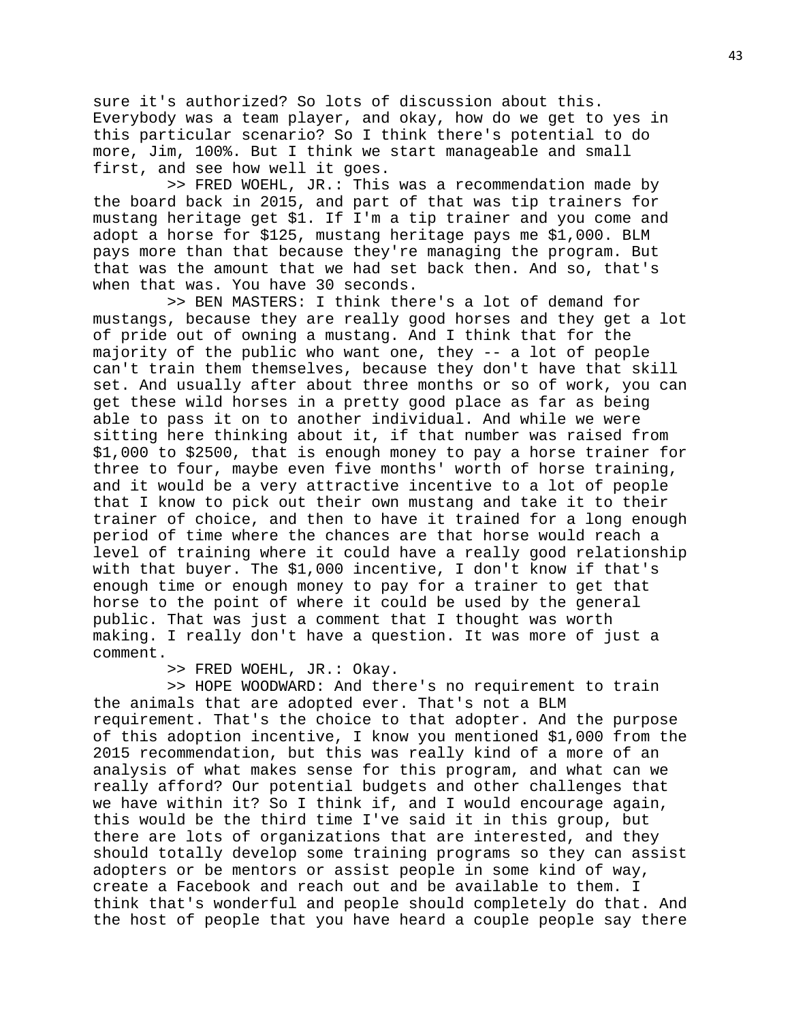sure it's authorized? So lots of discussion about this. Everybody was a team player, and okay, how do we get to yes in this particular scenario? So I think there's potential to do more, Jim, 100%. But I think we start manageable and small first, and see how well it goes.

 >> FRED WOEHL, JR.: This was a recommendation made by the board back in 2015, and part of that was tip trainers for mustang heritage get \$1. If I'm a tip trainer and you come and adopt a horse for \$125, mustang heritage pays me \$1,000. BLM pays more than that because they're managing the program. But that was the amount that we had set back then. And so, that's when that was. You have 30 seconds.

 >> BEN MASTERS: I think there's a lot of demand for mustangs, because they are really good horses and they get a lot of pride out of owning a mustang. And I think that for the majority of the public who want one, they -- a lot of people can't train them themselves, because they don't have that skill set. And usually after about three months or so of work, you can get these wild horses in a pretty good place as far as being able to pass it on to another individual. And while we were sitting here thinking about it, if that number was raised from \$1,000 to \$2500, that is enough money to pay a horse trainer for three to four, maybe even five months' worth of horse training, and it would be a very attractive incentive to a lot of people that I know to pick out their own mustang and take it to their trainer of choice, and then to have it trained for a long enough period of time where the chances are that horse would reach a level of training where it could have a really good relationship with that buyer. The \$1,000 incentive, I don't know if that's enough time or enough money to pay for a trainer to get that horse to the point of where it could be used by the general public. That was just a comment that I thought was worth making. I really don't have a question. It was more of just a comment.

>> FRED WOEHL, JR.: Okay.

 >> HOPE WOODWARD: And there's no requirement to train the animals that are adopted ever. That's not a BLM requirement. That's the choice to that adopter. And the purpose of this adoption incentive, I know you mentioned \$1,000 from the 2015 recommendation, but this was really kind of a more of an analysis of what makes sense for this program, and what can we really afford? Our potential budgets and other challenges that we have within it? So I think if, and I would encourage again, this would be the third time I've said it in this group, but there are lots of organizations that are interested, and they should totally develop some training programs so they can assist adopters or be mentors or assist people in some kind of way, create a Facebook and reach out and be available to them. I think that's wonderful and people should completely do that. And the host of people that you have heard a couple people say there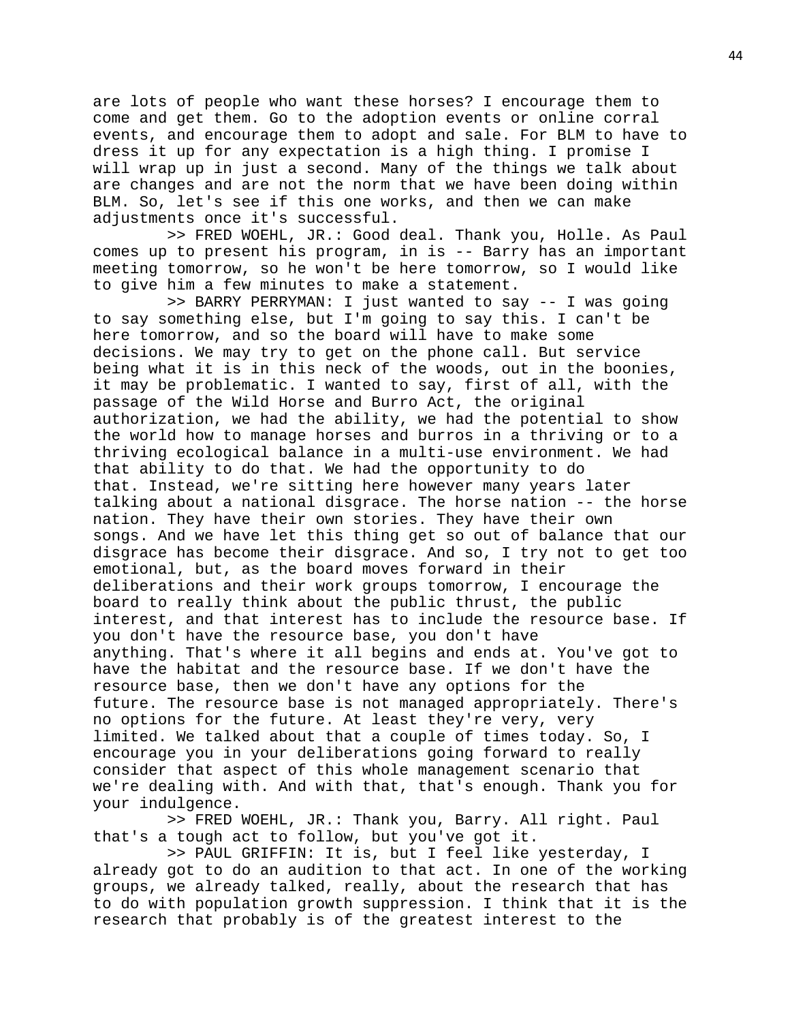are lots of people who want these horses? I encourage them to come and get them. Go to the adoption events or online corral events, and encourage them to adopt and sale. For BLM to have to dress it up for any expectation is a high thing. I promise I will wrap up in just a second. Many of the things we talk about are changes and are not the norm that we have been doing within BLM. So, let's see if this one works, and then we can make adjustments once it's successful.

 >> FRED WOEHL, JR.: Good deal. Thank you, Holle. As Paul comes up to present his program, in is -- Barry has an important meeting tomorrow, so he won't be here tomorrow, so I would like to give him a few minutes to make a statement.

 >> BARRY PERRYMAN: I just wanted to say -- I was going to say something else, but I'm going to say this. I can't be here tomorrow, and so the board will have to make some decisions. We may try to get on the phone call. But service being what it is in this neck of the woods, out in the boonies, it may be problematic. I wanted to say, first of all, with the passage of the Wild Horse and Burro Act, the original authorization, we had the ability, we had the potential to show the world how to manage horses and burros in a thriving or to a thriving ecological balance in a multi-use environment. We had that ability to do that. We had the opportunity to do that. Instead, we're sitting here however many years later talking about a national disgrace. The horse nation -- the horse nation. They have their own stories. They have their own songs. And we have let this thing get so out of balance that our disgrace has become their disgrace. And so, I try not to get too emotional, but, as the board moves forward in their deliberations and their work groups tomorrow, I encourage the board to really think about the public thrust, the public interest, and that interest has to include the resource base. If you don't have the resource base, you don't have anything. That's where it all begins and ends at. You've got to have the habitat and the resource base. If we don't have the resource base, then we don't have any options for the future. The resource base is not managed appropriately. There's no options for the future. At least they're very, very limited. We talked about that a couple of times today. So, I encourage you in your deliberations going forward to really consider that aspect of this whole management scenario that we're dealing with. And with that, that's enough. Thank you for your indulgence.

 >> FRED WOEHL, JR.: Thank you, Barry. All right. Paul that's a tough act to follow, but you've got it.

 >> PAUL GRIFFIN: It is, but I feel like yesterday, I already got to do an audition to that act. In one of the working groups, we already talked, really, about the research that has to do with population growth suppression. I think that it is the research that probably is of the greatest interest to the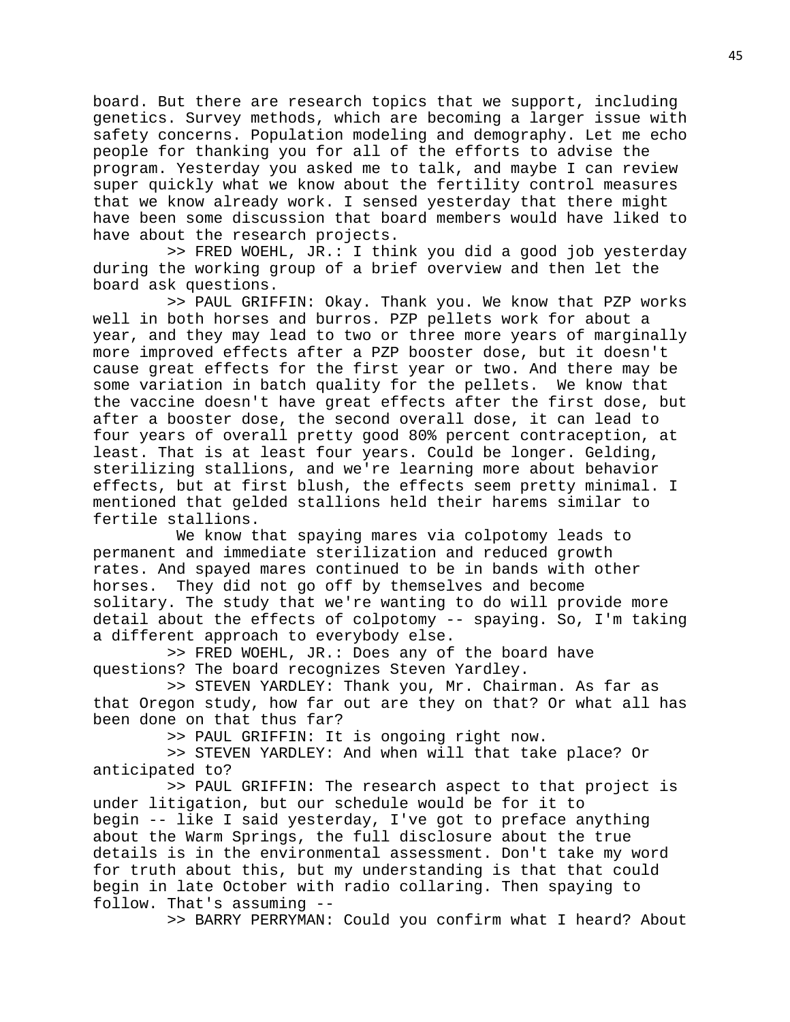board. But there are research topics that we support, including genetics. Survey methods, which are becoming a larger issue with safety concerns. Population modeling and demography. Let me echo people for thanking you for all of the efforts to advise the program. Yesterday you asked me to talk, and maybe I can review super quickly what we know about the fertility control measures that we know already work. I sensed yesterday that there might have been some discussion that board members would have liked to have about the research projects.

 >> FRED WOEHL, JR.: I think you did a good job yesterday during the working group of a brief overview and then let the board ask questions.

 >> PAUL GRIFFIN: Okay. Thank you. We know that PZP works well in both horses and burros. PZP pellets work for about a year, and they may lead to two or three more years of marginally more improved effects after a PZP booster dose, but it doesn't cause great effects for the first year or two. And there may be some variation in batch quality for the pellets. We know that the vaccine doesn't have great effects after the first dose, but after a booster dose, the second overall dose, it can lead to four years of overall pretty good 80% percent contraception, at least. That is at least four years. Could be longer. Gelding, sterilizing stallions, and we're learning more about behavior effects, but at first blush, the effects seem pretty minimal. I mentioned that gelded stallions held their harems similar to fertile stallions.

 We know that spaying mares via colpotomy leads to permanent and immediate sterilization and reduced growth rates. And spayed mares continued to be in bands with other horses. They did not go off by themselves and become solitary. The study that we're wanting to do will provide more detail about the effects of colpotomy -- spaying. So, I'm taking a different approach to everybody else.

 >> FRED WOEHL, JR.: Does any of the board have questions? The board recognizes Steven Yardley.

 >> STEVEN YARDLEY: Thank you, Mr. Chairman. As far as that Oregon study, how far out are they on that? Or what all has been done on that thus far?

>> PAUL GRIFFIN: It is ongoing right now.

 >> STEVEN YARDLEY: And when will that take place? Or anticipated to?

 >> PAUL GRIFFIN: The research aspect to that project is under litigation, but our schedule would be for it to begin -- like I said yesterday, I've got to preface anything about the Warm Springs, the full disclosure about the true details is in the environmental assessment. Don't take my word for truth about this, but my understanding is that that could begin in late October with radio collaring. Then spaying to follow. That's assuming --

>> BARRY PERRYMAN: Could you confirm what I heard? About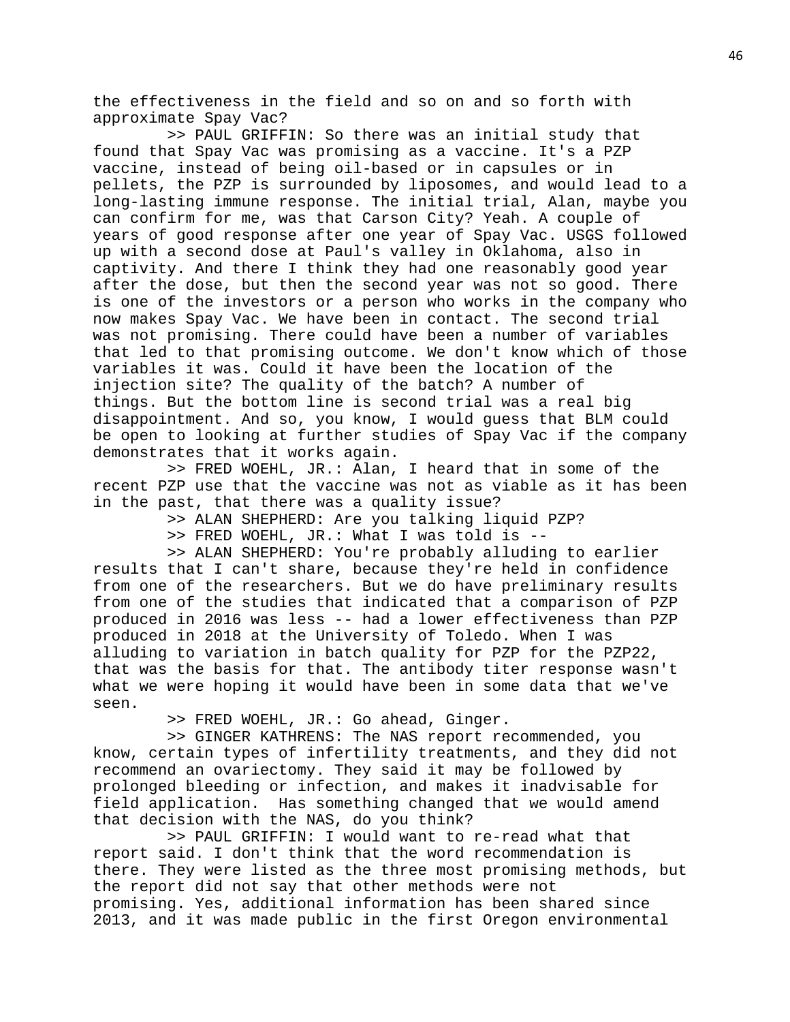the effectiveness in the field and so on and so forth with approximate Spay Vac?

 >> PAUL GRIFFIN: So there was an initial study that found that Spay Vac was promising as a vaccine. It's a PZP vaccine, instead of being oil-based or in capsules or in pellets, the PZP is surrounded by liposomes, and would lead to a long-lasting immune response. The initial trial, Alan, maybe you can confirm for me, was that Carson City? Yeah. A couple of years of good response after one year of Spay Vac. USGS followed up with a second dose at Paul's valley in Oklahoma, also in captivity. And there I think they had one reasonably good year after the dose, but then the second year was not so good. There is one of the investors or a person who works in the company who now makes Spay Vac. We have been in contact. The second trial was not promising. There could have been a number of variables that led to that promising outcome. We don't know which of those variables it was. Could it have been the location of the injection site? The quality of the batch? A number of things. But the bottom line is second trial was a real big disappointment. And so, you know, I would guess that BLM could be open to looking at further studies of Spay Vac if the company demonstrates that it works again.

 >> FRED WOEHL, JR.: Alan, I heard that in some of the recent PZP use that the vaccine was not as viable as it has been in the past, that there was a quality issue?

>> ALAN SHEPHERD: Are you talking liquid PZP?

>> FRED WOEHL, JR.: What I was told is --

 >> ALAN SHEPHERD: You're probably alluding to earlier results that I can't share, because they're held in confidence from one of the researchers. But we do have preliminary results from one of the studies that indicated that a comparison of PZP produced in 2016 was less -- had a lower effectiveness than PZP produced in 2018 at the University of Toledo. When I was alluding to variation in batch quality for PZP for the PZP22, that was the basis for that. The antibody titer response wasn't what we were hoping it would have been in some data that we've seen.

>> FRED WOEHL, JR.: Go ahead, Ginger.

 >> GINGER KATHRENS: The NAS report recommended, you know, certain types of infertility treatments, and they did not recommend an ovariectomy. They said it may be followed by prolonged bleeding or infection, and makes it inadvisable for field application. Has something changed that we would amend that decision with the NAS, do you think?

 >> PAUL GRIFFIN: I would want to re-read what that report said. I don't think that the word recommendation is there. They were listed as the three most promising methods, but the report did not say that other methods were not promising. Yes, additional information has been shared since 2013, and it was made public in the first Oregon environmental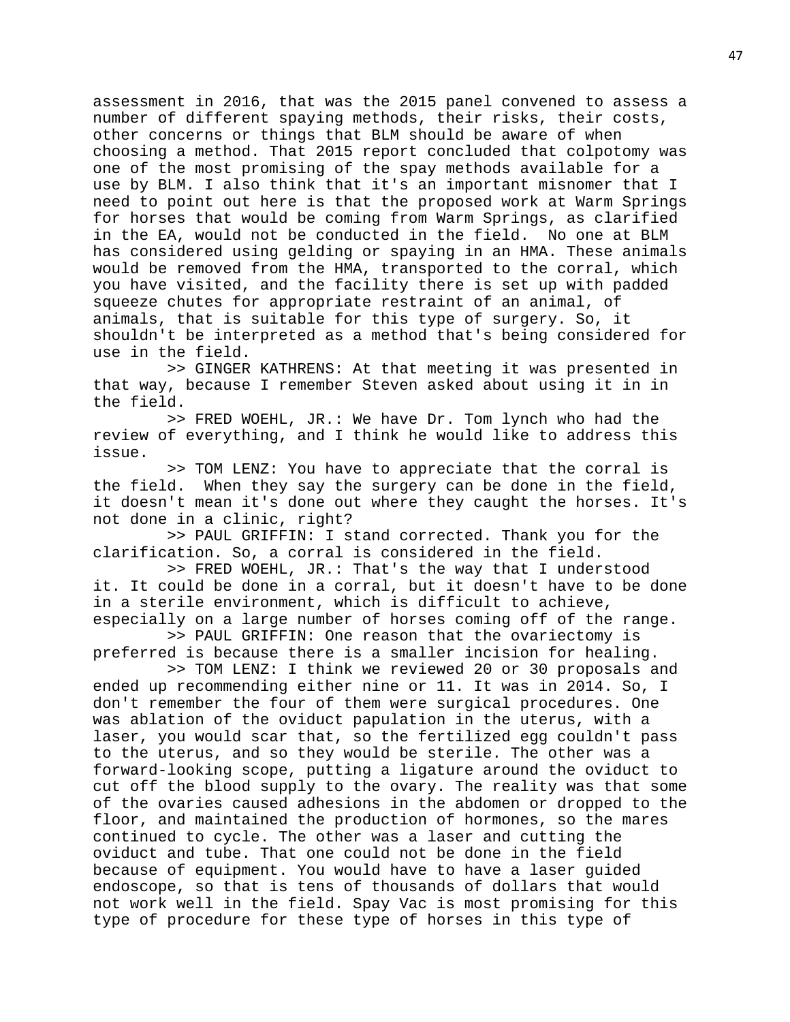assessment in 2016, that was the 2015 panel convened to assess a number of different spaying methods, their risks, their costs, other concerns or things that BLM should be aware of when choosing a method. That 2015 report concluded that colpotomy was one of the most promising of the spay methods available for a use by BLM. I also think that it's an important misnomer that I need to point out here is that the proposed work at Warm Springs for horses that would be coming from Warm Springs, as clarified in the EA, would not be conducted in the field. No one at BLM has considered using gelding or spaying in an HMA. These animals would be removed from the HMA, transported to the corral, which you have visited, and the facility there is set up with padded squeeze chutes for appropriate restraint of an animal, of animals, that is suitable for this type of surgery. So, it shouldn't be interpreted as a method that's being considered for use in the field.

 >> GINGER KATHRENS: At that meeting it was presented in that way, because I remember Steven asked about using it in in the field.

 >> FRED WOEHL, JR.: We have Dr. Tom lynch who had the review of everything, and I think he would like to address this issue.

 >> TOM LENZ: You have to appreciate that the corral is the field. When they say the surgery can be done in the field, it doesn't mean it's done out where they caught the horses. It's not done in a clinic, right?

 >> PAUL GRIFFIN: I stand corrected. Thank you for the clarification. So, a corral is considered in the field.

 >> FRED WOEHL, JR.: That's the way that I understood it. It could be done in a corral, but it doesn't have to be done in a sterile environment, which is difficult to achieve, especially on a large number of horses coming off of the range.

 >> PAUL GRIFFIN: One reason that the ovariectomy is preferred is because there is a smaller incision for healing.

 >> TOM LENZ: I think we reviewed 20 or 30 proposals and ended up recommending either nine or 11. It was in 2014. So, I don't remember the four of them were surgical procedures. One was ablation of the oviduct papulation in the uterus, with a laser, you would scar that, so the fertilized egg couldn't pass to the uterus, and so they would be sterile. The other was a forward-looking scope, putting a ligature around the oviduct to cut off the blood supply to the ovary. The reality was that some of the ovaries caused adhesions in the abdomen or dropped to the floor, and maintained the production of hormones, so the mares continued to cycle. The other was a laser and cutting the oviduct and tube. That one could not be done in the field because of equipment. You would have to have a laser guided endoscope, so that is tens of thousands of dollars that would not work well in the field. Spay Vac is most promising for this type of procedure for these type of horses in this type of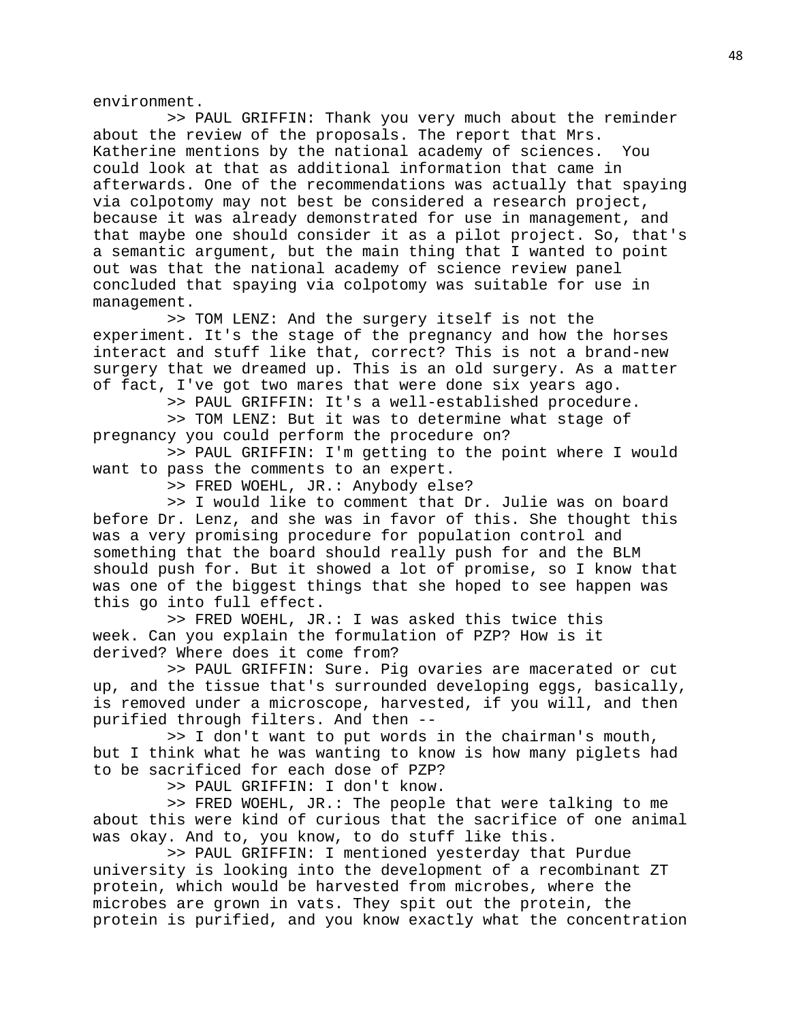environment.

 >> PAUL GRIFFIN: Thank you very much about the reminder about the review of the proposals. The report that Mrs. Katherine mentions by the national academy of sciences. You could look at that as additional information that came in afterwards. One of the recommendations was actually that spaying via colpotomy may not best be considered a research project, because it was already demonstrated for use in management, and that maybe one should consider it as a pilot project. So, that's a semantic argument, but the main thing that I wanted to point out was that the national academy of science review panel concluded that spaying via colpotomy was suitable for use in management.

 >> TOM LENZ: And the surgery itself is not the experiment. It's the stage of the pregnancy and how the horses interact and stuff like that, correct? This is not a brand-new surgery that we dreamed up. This is an old surgery. As a matter of fact, I've got two mares that were done six years ago.

>> PAUL GRIFFIN: It's a well-established procedure.

 >> TOM LENZ: But it was to determine what stage of pregnancy you could perform the procedure on?

 >> PAUL GRIFFIN: I'm getting to the point where I would want to pass the comments to an expert.

>> FRED WOEHL, JR.: Anybody else?

 >> I would like to comment that Dr. Julie was on board before Dr. Lenz, and she was in favor of this. She thought this was a very promising procedure for population control and something that the board should really push for and the BLM should push for. But it showed a lot of promise, so I know that was one of the biggest things that she hoped to see happen was this go into full effect.

 >> FRED WOEHL, JR.: I was asked this twice this week. Can you explain the formulation of PZP? How is it derived? Where does it come from?

 >> PAUL GRIFFIN: Sure. Pig ovaries are macerated or cut up, and the tissue that's surrounded developing eggs, basically, is removed under a microscope, harvested, if you will, and then purified through filters. And then --

 >> I don't want to put words in the chairman's mouth, but I think what he was wanting to know is how many piglets had to be sacrificed for each dose of PZP?

>> PAUL GRIFFIN: I don't know.

 >> FRED WOEHL, JR.: The people that were talking to me about this were kind of curious that the sacrifice of one animal was okay. And to, you know, to do stuff like this.

 >> PAUL GRIFFIN: I mentioned yesterday that Purdue university is looking into the development of a recombinant ZT protein, which would be harvested from microbes, where the microbes are grown in vats. They spit out the protein, the protein is purified, and you know exactly what the concentration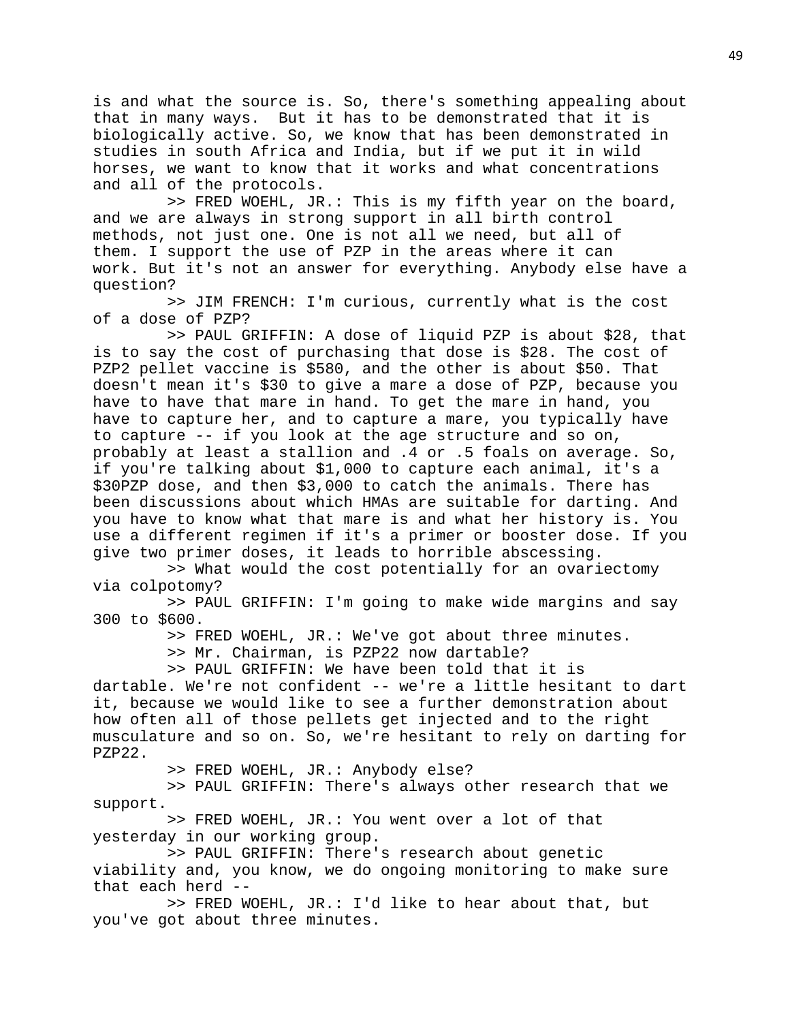is and what the source is. So, there's something appealing about that in many ways. But it has to be demonstrated that it is biologically active. So, we know that has been demonstrated in studies in south Africa and India, but if we put it in wild horses, we want to know that it works and what concentrations and all of the protocols.

 >> FRED WOEHL, JR.: This is my fifth year on the board, and we are always in strong support in all birth control methods, not just one. One is not all we need, but all of them. I support the use of PZP in the areas where it can work. But it's not an answer for everything. Anybody else have a question?

 >> JIM FRENCH: I'm curious, currently what is the cost of a dose of PZP?

 >> PAUL GRIFFIN: A dose of liquid PZP is about \$28, that is to say the cost of purchasing that dose is \$28. The cost of PZP2 pellet vaccine is \$580, and the other is about \$50. That doesn't mean it's \$30 to give a mare a dose of PZP, because you have to have that mare in hand. To get the mare in hand, you have to capture her, and to capture a mare, you typically have to capture -- if you look at the age structure and so on, probably at least a stallion and .4 or .5 foals on average. So, if you're talking about \$1,000 to capture each animal, it's a \$30PZP dose, and then \$3,000 to catch the animals. There has been discussions about which HMAs are suitable for darting. And you have to know what that mare is and what her history is. You use a different regimen if it's a primer or booster dose. If you give two primer doses, it leads to horrible abscessing.

 >> What would the cost potentially for an ovariectomy via colpotomy?

 >> PAUL GRIFFIN: I'm going to make wide margins and say 300 to \$600.

>> FRED WOEHL, JR.: We've got about three minutes.

>> Mr. Chairman, is PZP22 now dartable?

 >> PAUL GRIFFIN: We have been told that it is dartable. We're not confident -- we're a little hesitant to dart it, because we would like to see a further demonstration about how often all of those pellets get injected and to the right musculature and so on. So, we're hesitant to rely on darting for PZP22.

>> FRED WOEHL, JR.: Anybody else?

 >> PAUL GRIFFIN: There's always other research that we support.

 >> FRED WOEHL, JR.: You went over a lot of that yesterday in our working group.

 >> PAUL GRIFFIN: There's research about genetic viability and, you know, we do ongoing monitoring to make sure that each herd --

 >> FRED WOEHL, JR.: I'd like to hear about that, but you've got about three minutes.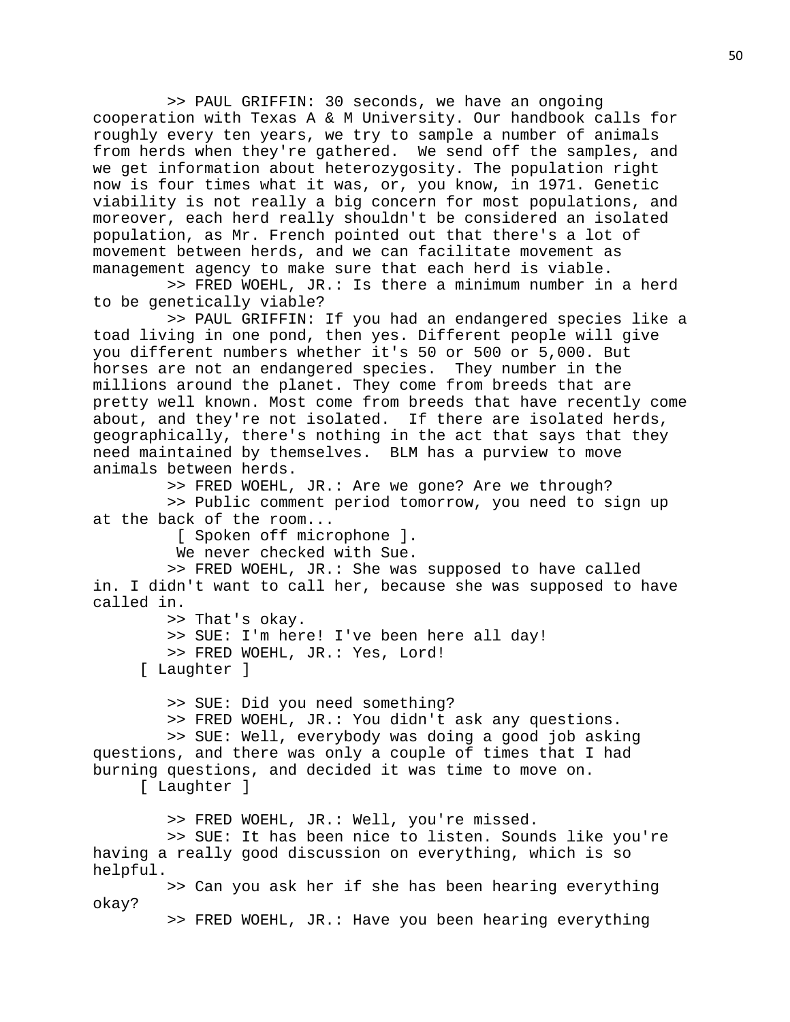>> PAUL GRIFFIN: 30 seconds, we have an ongoing cooperation with Texas A & M University. Our handbook calls for roughly every ten years, we try to sample a number of animals from herds when they're gathered. We send off the samples, and we get information about heterozygosity. The population right now is four times what it was, or, you know, in 1971. Genetic viability is not really a big concern for most populations, and moreover, each herd really shouldn't be considered an isolated population, as Mr. French pointed out that there's a lot of movement between herds, and we can facilitate movement as management agency to make sure that each herd is viable.

 >> FRED WOEHL, JR.: Is there a minimum number in a herd to be genetically viable?

 >> PAUL GRIFFIN: If you had an endangered species like a toad living in one pond, then yes. Different people will give you different numbers whether it's 50 or 500 or 5,000. But horses are not an endangered species. They number in the millions around the planet. They come from breeds that are pretty well known. Most come from breeds that have recently come about, and they're not isolated. If there are isolated herds, geographically, there's nothing in the act that says that they need maintained by themselves. BLM has a purview to move animals between herds.

>> FRED WOEHL, JR.: Are we gone? Are we through?

 >> Public comment period tomorrow, you need to sign up at the back of the room...

[ Spoken off microphone ].

We never checked with Sue.

 >> FRED WOEHL, JR.: She was supposed to have called in. I didn't want to call her, because she was supposed to have called in.

>> That's okay.

>> SUE: I'm here! I've been here all day!

>> FRED WOEHL, JR.: Yes, Lord!

[ Laughter ]

>> SUE: Did you need something?

>> FRED WOEHL, JR.: You didn't ask any questions.

 >> SUE: Well, everybody was doing a good job asking questions, and there was only a couple of times that I had burning questions, and decided it was time to move on.

[ Laughter ]

>> FRED WOEHL, JR.: Well, you're missed.

 >> SUE: It has been nice to listen. Sounds like you're having a really good discussion on everything, which is so helpful.

 >> Can you ask her if she has been hearing everything okay?

>> FRED WOEHL, JR.: Have you been hearing everything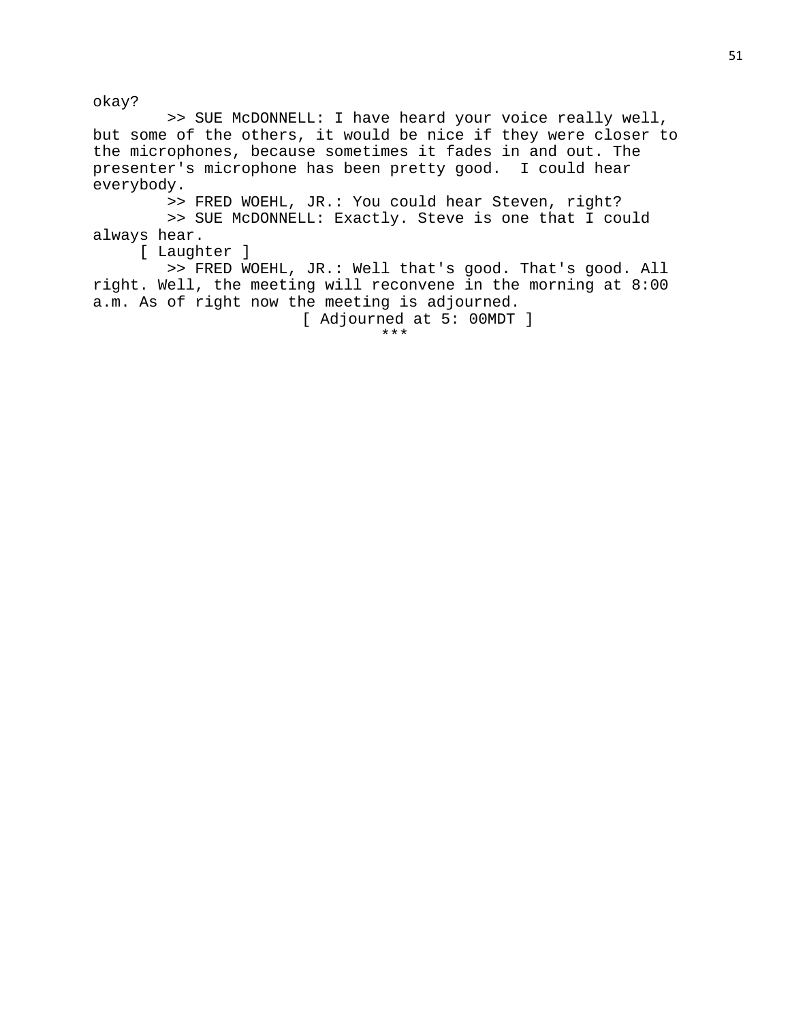okay?

 >> SUE McDONNELL: I have heard your voice really well, but some of the others, it would be nice if they were closer to the microphones, because sometimes it fades in and out. The presenter's microphone has been pretty good. I could hear everybody.

 >> FRED WOEHL, JR.: You could hear Steven, right? >> SUE McDONNELL: Exactly. Steve is one that I could always hear.

[ Laughter ]

 >> FRED WOEHL, JR.: Well that's good. That's good. All right. Well, the meeting will reconvene in the morning at 8:00 a.m. As of right now the meeting is adjourned.

[ Adjourned at 5: 00MDT ]

\*\*\*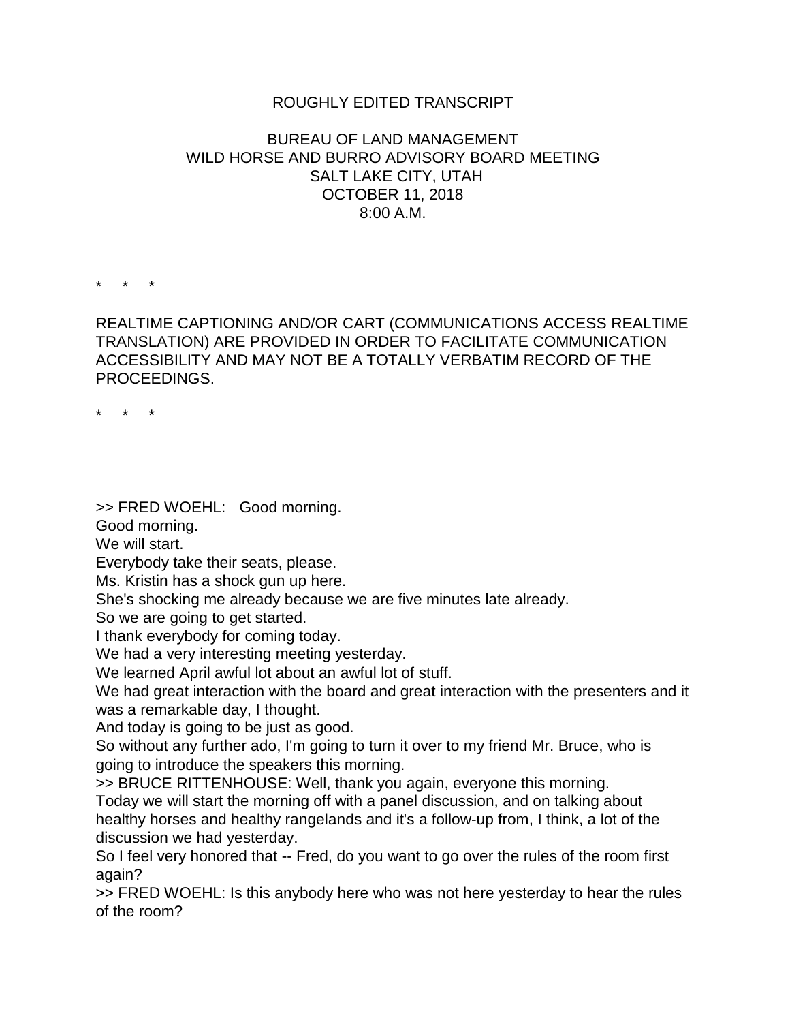## ROUGHLY EDITED TRANSCRIPT

## BUREAU OF LAND MANAGEMENT WILD HORSE AND BURRO ADVISORY BOARD MEETING SALT LAKE CITY, UTAH OCTOBER 11, 2018 8:00 A.M.

\* \* \*

REALTIME CAPTIONING AND/OR CART (COMMUNICATIONS ACCESS REALTIME TRANSLATION) ARE PROVIDED IN ORDER TO FACILITATE COMMUNICATION ACCESSIBILITY AND MAY NOT BE A TOTALLY VERBATIM RECORD OF THE PROCEEDINGS.

\* \* \*

>> FRED WOEHL: Good morning.

Good morning.

We will start.

Everybody take their seats, please.

Ms. Kristin has a shock gun up here.

She's shocking me already because we are five minutes late already.

So we are going to get started.

I thank everybody for coming today.

We had a very interesting meeting yesterday.

We learned April awful lot about an awful lot of stuff.

We had great interaction with the board and great interaction with the presenters and it was a remarkable day, I thought.

And today is going to be just as good.

So without any further ado, I'm going to turn it over to my friend Mr. Bruce, who is going to introduce the speakers this morning.

>> BRUCE RITTENHOUSE: Well, thank you again, everyone this morning. Today we will start the morning off with a panel discussion, and on talking about healthy horses and healthy rangelands and it's a follow-up from, I think, a lot of the discussion we had yesterday.

So I feel very honored that -- Fred, do you want to go over the rules of the room first again?

>> FRED WOEHL: Is this anybody here who was not here yesterday to hear the rules of the room?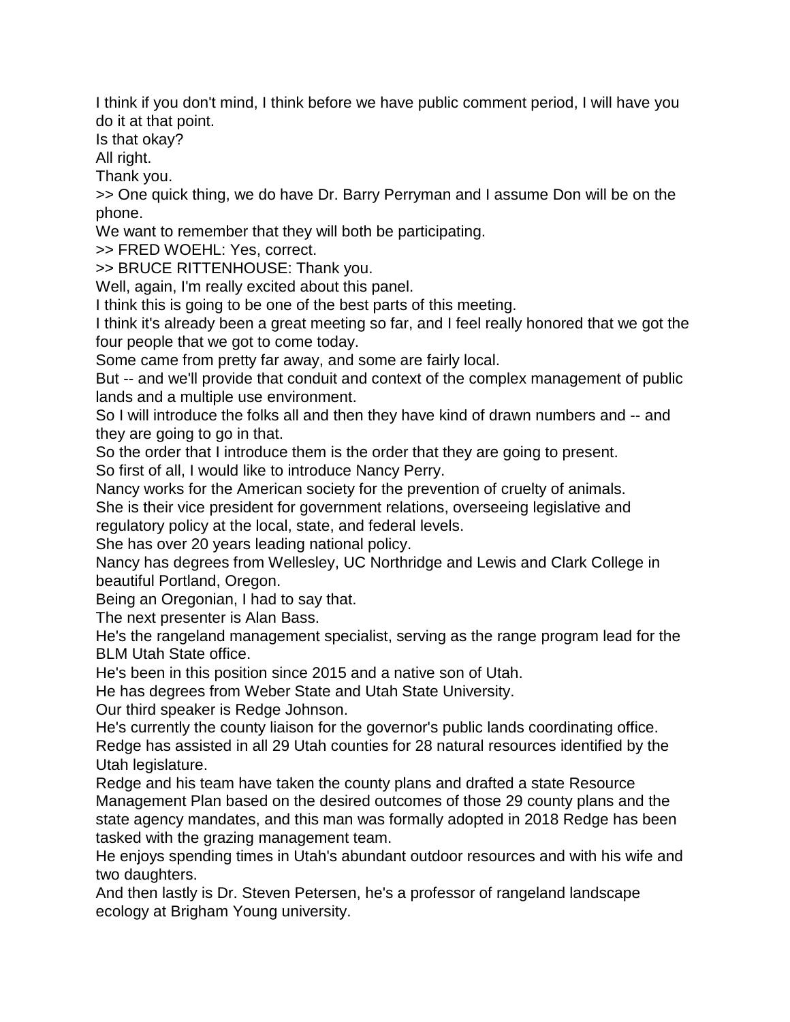I think if you don't mind, I think before we have public comment period, I will have you do it at that point.

Is that okay?

All right.

Thank you.

>> One quick thing, we do have Dr. Barry Perryman and I assume Don will be on the phone.

We want to remember that they will both be participating.

>> FRED WOEHL: Yes, correct.

>> BRUCE RITTENHOUSE: Thank you.

Well, again, I'm really excited about this panel.

I think this is going to be one of the best parts of this meeting.

I think it's already been a great meeting so far, and I feel really honored that we got the four people that we got to come today.

Some came from pretty far away, and some are fairly local.

But -- and we'll provide that conduit and context of the complex management of public lands and a multiple use environment.

So I will introduce the folks all and then they have kind of drawn numbers and -- and they are going to go in that.

So the order that I introduce them is the order that they are going to present.

So first of all, I would like to introduce Nancy Perry.

Nancy works for the American society for the prevention of cruelty of animals.

She is their vice president for government relations, overseeing legislative and

regulatory policy at the local, state, and federal levels.

She has over 20 years leading national policy.

Nancy has degrees from Wellesley, UC Northridge and Lewis and Clark College in beautiful Portland, Oregon.

Being an Oregonian, I had to say that.

The next presenter is Alan Bass.

He's the rangeland management specialist, serving as the range program lead for the BLM Utah State office.

He's been in this position since 2015 and a native son of Utah.

He has degrees from Weber State and Utah State University.

Our third speaker is Redge Johnson.

He's currently the county liaison for the governor's public lands coordinating office. Redge has assisted in all 29 Utah counties for 28 natural resources identified by the Utah legislature.

Redge and his team have taken the county plans and drafted a state Resource Management Plan based on the desired outcomes of those 29 county plans and the state agency mandates, and this man was formally adopted in 2018 Redge has been tasked with the grazing management team.

He enjoys spending times in Utah's abundant outdoor resources and with his wife and two daughters.

And then lastly is Dr. Steven Petersen, he's a professor of rangeland landscape ecology at Brigham Young university.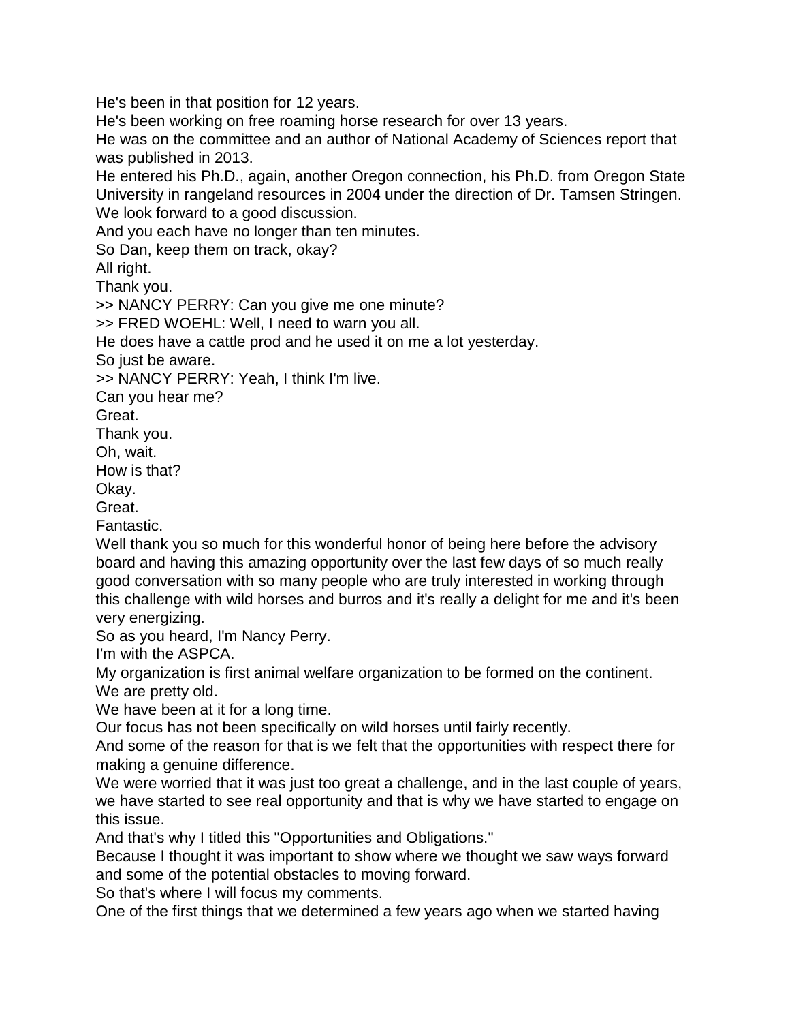He's been in that position for 12 years.

He's been working on free roaming horse research for over 13 years.

He was on the committee and an author of National Academy of Sciences report that was published in 2013.

He entered his Ph.D., again, another Oregon connection, his Ph.D. from Oregon State University in rangeland resources in 2004 under the direction of Dr. Tamsen Stringen. We look forward to a good discussion.

And you each have no longer than ten minutes.

So Dan, keep them on track, okay?

All right.

Thank you.

>> NANCY PERRY: Can you give me one minute?

>> FRED WOEHL: Well, I need to warn you all.

He does have a cattle prod and he used it on me a lot yesterday.

So just be aware.

>> NANCY PERRY: Yeah, I think I'm live.

Can you hear me?

Great.

Thank you.

Oh, wait.

How is that?

Okay.

Great.

Fantastic.

Well thank you so much for this wonderful honor of being here before the advisory board and having this amazing opportunity over the last few days of so much really good conversation with so many people who are truly interested in working through this challenge with wild horses and burros and it's really a delight for me and it's been very energizing.

So as you heard, I'm Nancy Perry.

I'm with the ASPCA.

My organization is first animal welfare organization to be formed on the continent.

We are pretty old.

We have been at it for a long time.

Our focus has not been specifically on wild horses until fairly recently.

And some of the reason for that is we felt that the opportunities with respect there for making a genuine difference.

We were worried that it was just too great a challenge, and in the last couple of years, we have started to see real opportunity and that is why we have started to engage on this issue.

And that's why I titled this "Opportunities and Obligations."

Because I thought it was important to show where we thought we saw ways forward and some of the potential obstacles to moving forward.

So that's where I will focus my comments.

One of the first things that we determined a few years ago when we started having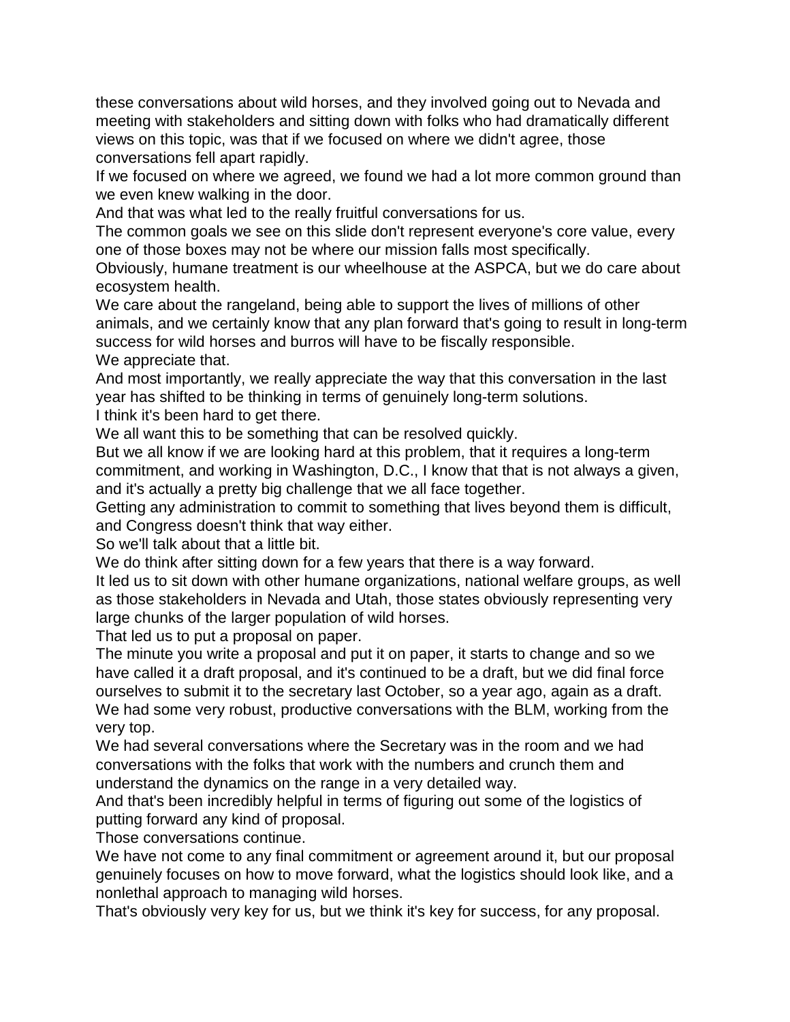these conversations about wild horses, and they involved going out to Nevada and meeting with stakeholders and sitting down with folks who had dramatically different views on this topic, was that if we focused on where we didn't agree, those conversations fell apart rapidly.

If we focused on where we agreed, we found we had a lot more common ground than we even knew walking in the door.

And that was what led to the really fruitful conversations for us.

The common goals we see on this slide don't represent everyone's core value, every one of those boxes may not be where our mission falls most specifically.

Obviously, humane treatment is our wheelhouse at the ASPCA, but we do care about ecosystem health.

We care about the rangeland, being able to support the lives of millions of other animals, and we certainly know that any plan forward that's going to result in long-term success for wild horses and burros will have to be fiscally responsible. We appreciate that.

And most importantly, we really appreciate the way that this conversation in the last year has shifted to be thinking in terms of genuinely long-term solutions.

I think it's been hard to get there.

We all want this to be something that can be resolved quickly.

But we all know if we are looking hard at this problem, that it requires a long-term commitment, and working in Washington, D.C., I know that that is not always a given, and it's actually a pretty big challenge that we all face together.

Getting any administration to commit to something that lives beyond them is difficult, and Congress doesn't think that way either.

So we'll talk about that a little bit.

We do think after sitting down for a few years that there is a way forward.

It led us to sit down with other humane organizations, national welfare groups, as well as those stakeholders in Nevada and Utah, those states obviously representing very large chunks of the larger population of wild horses.

That led us to put a proposal on paper.

The minute you write a proposal and put it on paper, it starts to change and so we have called it a draft proposal, and it's continued to be a draft, but we did final force ourselves to submit it to the secretary last October, so a year ago, again as a draft. We had some very robust, productive conversations with the BLM, working from the very top.

We had several conversations where the Secretary was in the room and we had conversations with the folks that work with the numbers and crunch them and understand the dynamics on the range in a very detailed way.

And that's been incredibly helpful in terms of figuring out some of the logistics of putting forward any kind of proposal.

Those conversations continue.

We have not come to any final commitment or agreement around it, but our proposal genuinely focuses on how to move forward, what the logistics should look like, and a nonlethal approach to managing wild horses.

That's obviously very key for us, but we think it's key for success, for any proposal.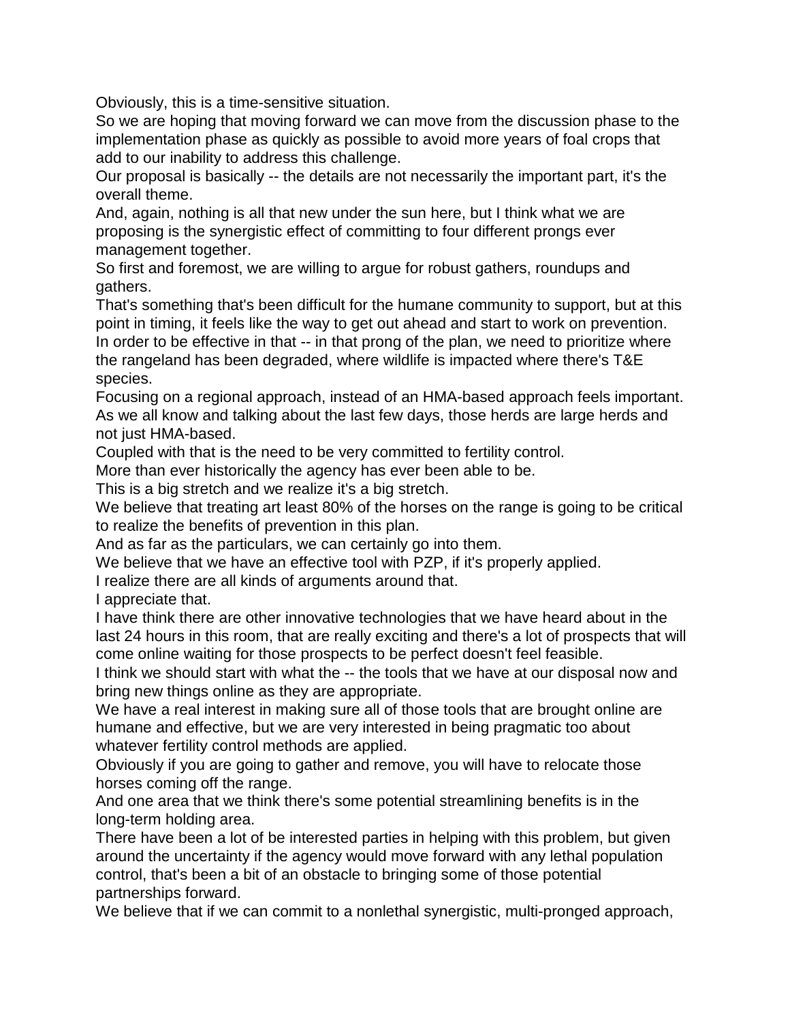Obviously, this is a time-sensitive situation.

So we are hoping that moving forward we can move from the discussion phase to the implementation phase as quickly as possible to avoid more years of foal crops that add to our inability to address this challenge.

Our proposal is basically -- the details are not necessarily the important part, it's the overall theme.

And, again, nothing is all that new under the sun here, but I think what we are proposing is the synergistic effect of committing to four different prongs ever management together.

So first and foremost, we are willing to argue for robust gathers, roundups and gathers.

That's something that's been difficult for the humane community to support, but at this point in timing, it feels like the way to get out ahead and start to work on prevention. In order to be effective in that -- in that prong of the plan, we need to prioritize where the rangeland has been degraded, where wildlife is impacted where there's T&E species.

Focusing on a regional approach, instead of an HMA-based approach feels important. As we all know and talking about the last few days, those herds are large herds and not just HMA-based.

Coupled with that is the need to be very committed to fertility control.

More than ever historically the agency has ever been able to be.

This is a big stretch and we realize it's a big stretch.

We believe that treating art least 80% of the horses on the range is going to be critical to realize the benefits of prevention in this plan.

And as far as the particulars, we can certainly go into them.

We believe that we have an effective tool with PZP, if it's properly applied.

I realize there are all kinds of arguments around that.

I appreciate that.

I have think there are other innovative technologies that we have heard about in the last 24 hours in this room, that are really exciting and there's a lot of prospects that will come online waiting for those prospects to be perfect doesn't feel feasible.

I think we should start with what the -- the tools that we have at our disposal now and bring new things online as they are appropriate.

We have a real interest in making sure all of those tools that are brought online are humane and effective, but we are very interested in being pragmatic too about whatever fertility control methods are applied.

Obviously if you are going to gather and remove, you will have to relocate those horses coming off the range.

And one area that we think there's some potential streamlining benefits is in the long-term holding area.

There have been a lot of be interested parties in helping with this problem, but given around the uncertainty if the agency would move forward with any lethal population control, that's been a bit of an obstacle to bringing some of those potential partnerships forward.

We believe that if we can commit to a nonlethal synergistic, multi-pronged approach,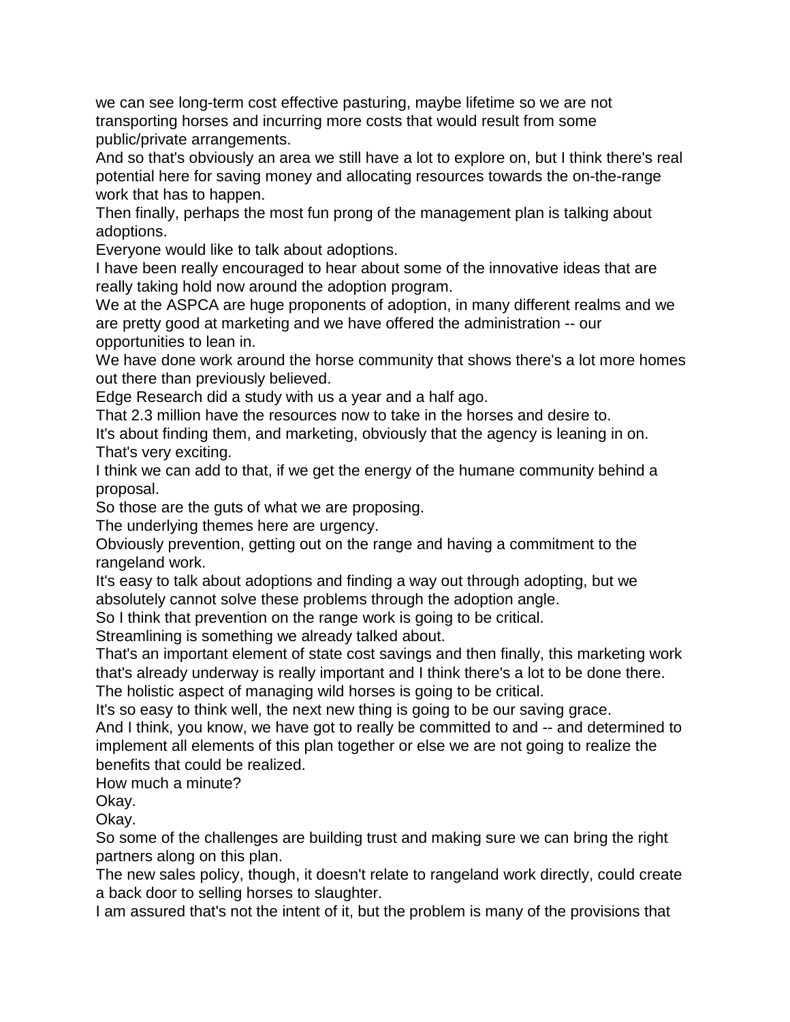we can see long-term cost effective pasturing, maybe lifetime so we are not transporting horses and incurring more costs that would result from some public/private arrangements.

And so that's obviously an area we still have a lot to explore on, but I think there's real potential here for saving money and allocating resources towards the on-the-range work that has to happen.

Then finally, perhaps the most fun prong of the management plan is talking about adoptions.

Everyone would like to talk about adoptions.

I have been really encouraged to hear about some of the innovative ideas that are really taking hold now around the adoption program.

We at the ASPCA are huge proponents of adoption, in many different realms and we are pretty good at marketing and we have offered the administration -- our opportunities to lean in.

We have done work around the horse community that shows there's a lot more homes out there than previously believed.

Edge Research did a study with us a year and a half ago.

That 2.3 million have the resources now to take in the horses and desire to.

It's about finding them, and marketing, obviously that the agency is leaning in on. That's very exciting.

I think we can add to that, if we get the energy of the humane community behind a proposal.

So those are the guts of what we are proposing.

The underlying themes here are urgency.

Obviously prevention, getting out on the range and having a commitment to the rangeland work.

It's easy to talk about adoptions and finding a way out through adopting, but we absolutely cannot solve these problems through the adoption angle.

So I think that prevention on the range work is going to be critical.

Streamlining is something we already talked about.

That's an important element of state cost savings and then finally, this marketing work that's already underway is really important and I think there's a lot to be done there.

The holistic aspect of managing wild horses is going to be critical.

It's so easy to think well, the next new thing is going to be our saving grace.

And I think, you know, we have got to really be committed to and -- and determined to implement all elements of this plan together or else we are not going to realize the benefits that could be realized.

How much a minute?

Okay.

Okay.

So some of the challenges are building trust and making sure we can bring the right partners along on this plan.

The new sales policy, though, it doesn't relate to rangeland work directly, could create a back door to selling horses to slaughter.

I am assured that's not the intent of it, but the problem is many of the provisions that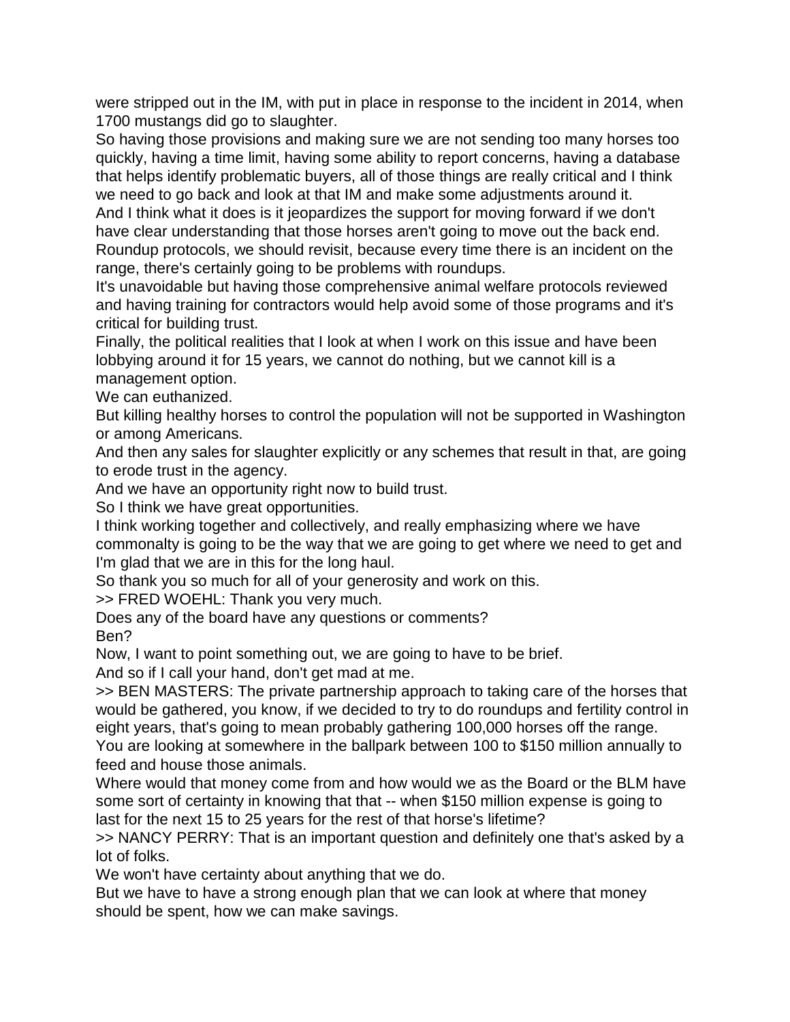were stripped out in the IM, with put in place in response to the incident in 2014, when 1700 mustangs did go to slaughter.

So having those provisions and making sure we are not sending too many horses too quickly, having a time limit, having some ability to report concerns, having a database that helps identify problematic buyers, all of those things are really critical and I think we need to go back and look at that IM and make some adjustments around it.

And I think what it does is it jeopardizes the support for moving forward if we don't have clear understanding that those horses aren't going to move out the back end. Roundup protocols, we should revisit, because every time there is an incident on the range, there's certainly going to be problems with roundups.

It's unavoidable but having those comprehensive animal welfare protocols reviewed and having training for contractors would help avoid some of those programs and it's critical for building trust.

Finally, the political realities that I look at when I work on this issue and have been lobbying around it for 15 years, we cannot do nothing, but we cannot kill is a management option.

We can euthanized.

But killing healthy horses to control the population will not be supported in Washington or among Americans.

And then any sales for slaughter explicitly or any schemes that result in that, are going to erode trust in the agency.

And we have an opportunity right now to build trust.

So I think we have great opportunities.

I think working together and collectively, and really emphasizing where we have commonalty is going to be the way that we are going to get where we need to get and I'm glad that we are in this for the long haul.

So thank you so much for all of your generosity and work on this.

>> FRED WOEHL: Thank you very much.

Does any of the board have any questions or comments? Ben?

Now, I want to point something out, we are going to have to be brief.

And so if I call your hand, don't get mad at me.

>> BEN MASTERS: The private partnership approach to taking care of the horses that would be gathered, you know, if we decided to try to do roundups and fertility control in eight years, that's going to mean probably gathering 100,000 horses off the range.

You are looking at somewhere in the ballpark between 100 to \$150 million annually to feed and house those animals.

Where would that money come from and how would we as the Board or the BLM have some sort of certainty in knowing that that -- when \$150 million expense is going to last for the next 15 to 25 years for the rest of that horse's lifetime?

>> NANCY PERRY: That is an important question and definitely one that's asked by a lot of folks.

We won't have certainty about anything that we do.

But we have to have a strong enough plan that we can look at where that money should be spent, how we can make savings.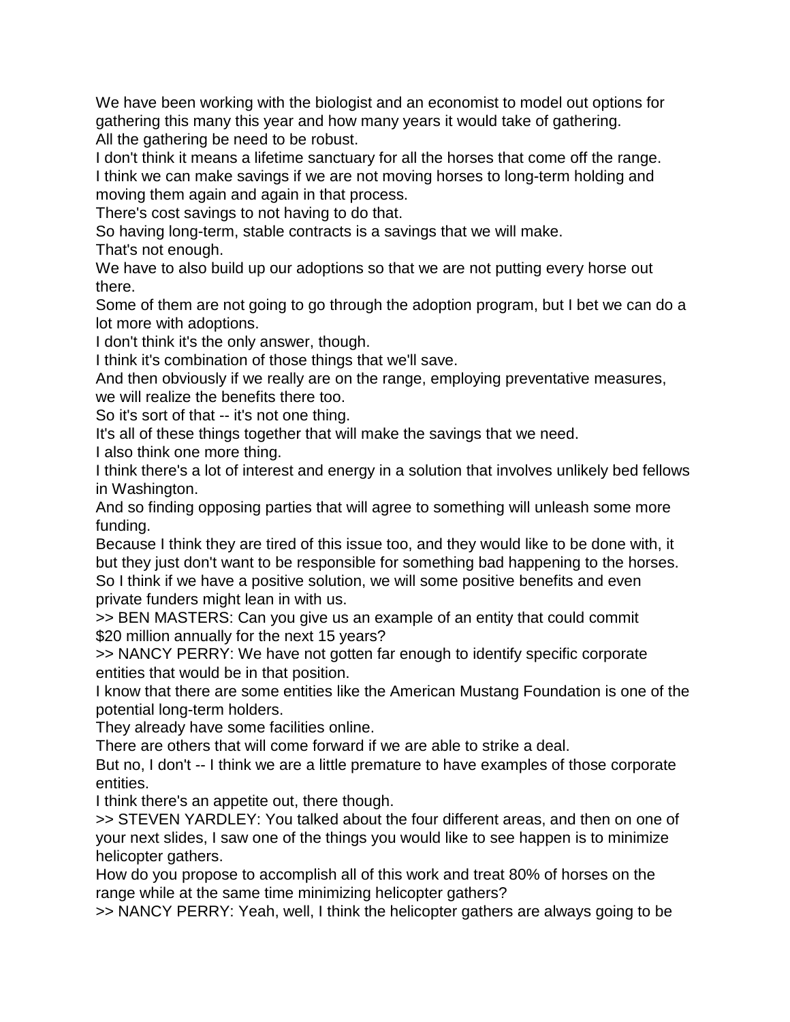We have been working with the biologist and an economist to model out options for gathering this many this year and how many years it would take of gathering. All the gathering be need to be robust.

I don't think it means a lifetime sanctuary for all the horses that come off the range.

I think we can make savings if we are not moving horses to long-term holding and moving them again and again in that process.

There's cost savings to not having to do that.

So having long-term, stable contracts is a savings that we will make.

That's not enough.

We have to also build up our adoptions so that we are not putting every horse out there.

Some of them are not going to go through the adoption program, but I bet we can do a lot more with adoptions.

I don't think it's the only answer, though.

I think it's combination of those things that we'll save.

And then obviously if we really are on the range, employing preventative measures, we will realize the benefits there too.

So it's sort of that -- it's not one thing.

It's all of these things together that will make the savings that we need.

I also think one more thing.

I think there's a lot of interest and energy in a solution that involves unlikely bed fellows in Washington.

And so finding opposing parties that will agree to something will unleash some more funding.

Because I think they are tired of this issue too, and they would like to be done with, it but they just don't want to be responsible for something bad happening to the horses. So I think if we have a positive solution, we will some positive benefits and even private funders might lean in with us.

>> BEN MASTERS: Can you give us an example of an entity that could commit \$20 million annually for the next 15 years?

>> NANCY PERRY: We have not gotten far enough to identify specific corporate entities that would be in that position.

I know that there are some entities like the American Mustang Foundation is one of the potential long-term holders.

They already have some facilities online.

There are others that will come forward if we are able to strike a deal.

But no, I don't -- I think we are a little premature to have examples of those corporate entities.

I think there's an appetite out, there though.

>> STEVEN YARDLEY: You talked about the four different areas, and then on one of your next slides, I saw one of the things you would like to see happen is to minimize helicopter gathers.

How do you propose to accomplish all of this work and treat 80% of horses on the range while at the same time minimizing helicopter gathers?

>> NANCY PERRY: Yeah, well, I think the helicopter gathers are always going to be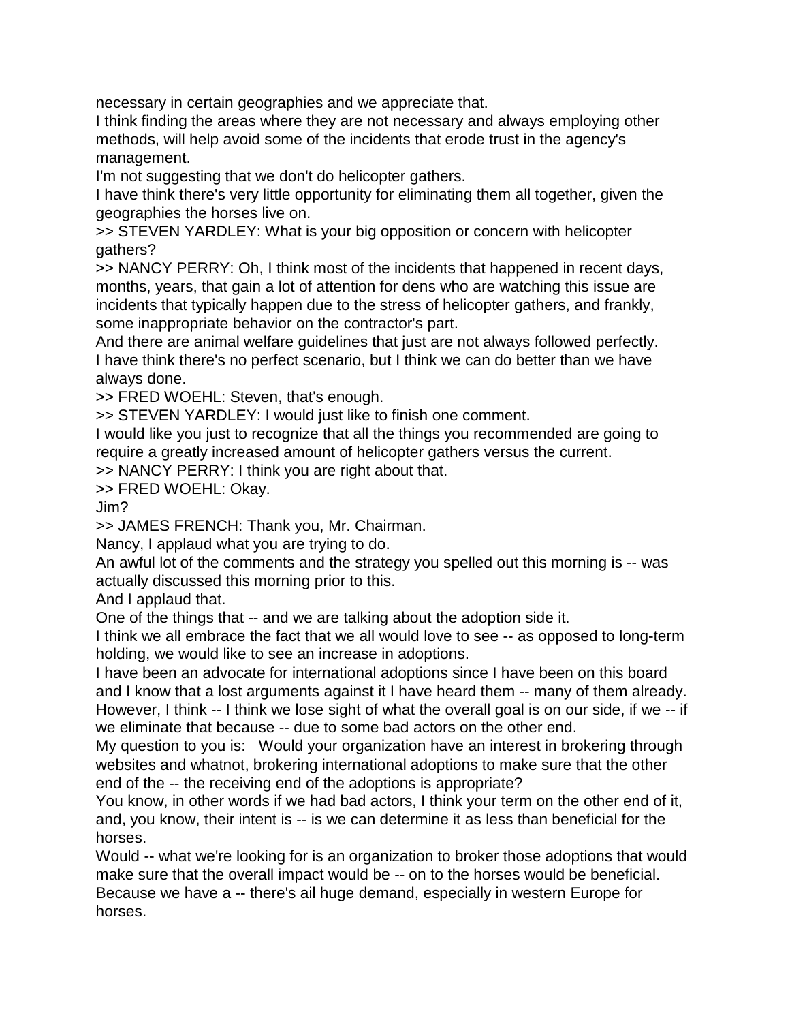necessary in certain geographies and we appreciate that.

I think finding the areas where they are not necessary and always employing other methods, will help avoid some of the incidents that erode trust in the agency's management.

I'm not suggesting that we don't do helicopter gathers.

I have think there's very little opportunity for eliminating them all together, given the geographies the horses live on.

>> STEVEN YARDLEY: What is your big opposition or concern with helicopter gathers?

>> NANCY PERRY: Oh, I think most of the incidents that happened in recent days, months, years, that gain a lot of attention for dens who are watching this issue are incidents that typically happen due to the stress of helicopter gathers, and frankly, some inappropriate behavior on the contractor's part.

And there are animal welfare guidelines that just are not always followed perfectly. I have think there's no perfect scenario, but I think we can do better than we have always done.

>> FRED WOEHL: Steven, that's enough.

>> STEVEN YARDLEY: I would just like to finish one comment.

I would like you just to recognize that all the things you recommended are going to require a greatly increased amount of helicopter gathers versus the current.

>> NANCY PERRY: I think you are right about that.

>> FRED WOEHL: Okay.

Jim?

>> JAMES FRENCH: Thank you, Mr. Chairman.

Nancy, I applaud what you are trying to do.

An awful lot of the comments and the strategy you spelled out this morning is -- was actually discussed this morning prior to this.

And I applaud that.

One of the things that -- and we are talking about the adoption side it.

I think we all embrace the fact that we all would love to see -- as opposed to long-term holding, we would like to see an increase in adoptions.

I have been an advocate for international adoptions since I have been on this board and I know that a lost arguments against it I have heard them -- many of them already. However, I think -- I think we lose sight of what the overall goal is on our side, if we -- if we eliminate that because -- due to some bad actors on the other end.

My question to you is: Would your organization have an interest in brokering through websites and whatnot, brokering international adoptions to make sure that the other end of the -- the receiving end of the adoptions is appropriate?

You know, in other words if we had bad actors, I think your term on the other end of it, and, you know, their intent is -- is we can determine it as less than beneficial for the horses.

Would -- what we're looking for is an organization to broker those adoptions that would make sure that the overall impact would be -- on to the horses would be beneficial. Because we have a -- there's ail huge demand, especially in western Europe for horses.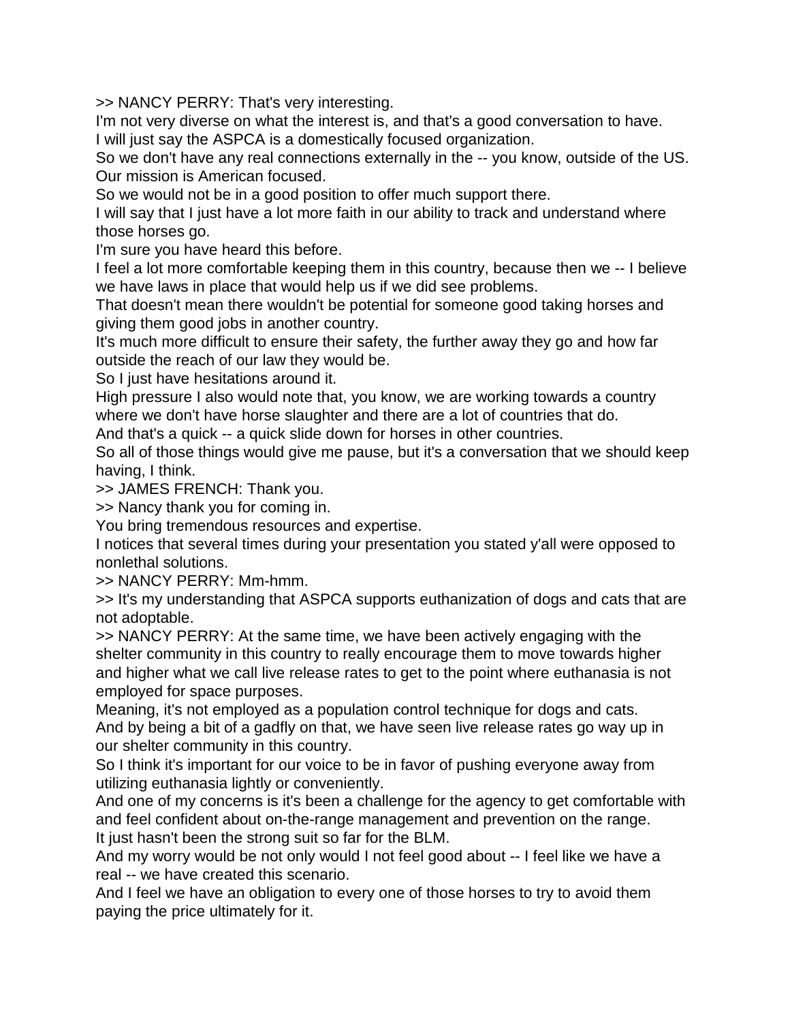>> NANCY PERRY: That's very interesting.

I'm not very diverse on what the interest is, and that's a good conversation to have. I will just say the ASPCA is a domestically focused organization.

So we don't have any real connections externally in the -- you know, outside of the US. Our mission is American focused.

So we would not be in a good position to offer much support there.

I will say that I just have a lot more faith in our ability to track and understand where those horses go.

I'm sure you have heard this before.

I feel a lot more comfortable keeping them in this country, because then we -- I believe we have laws in place that would help us if we did see problems.

That doesn't mean there wouldn't be potential for someone good taking horses and giving them good jobs in another country.

It's much more difficult to ensure their safety, the further away they go and how far outside the reach of our law they would be.

So I just have hesitations around it.

High pressure I also would note that, you know, we are working towards a country where we don't have horse slaughter and there are a lot of countries that do.

And that's a quick -- a quick slide down for horses in other countries.

So all of those things would give me pause, but it's a conversation that we should keep having, I think.

>> JAMES FRENCH: Thank you.

>> Nancy thank you for coming in.

You bring tremendous resources and expertise.

I notices that several times during your presentation you stated y'all were opposed to nonlethal solutions.

>> NANCY PERRY: Mm-hmm.

>> It's my understanding that ASPCA supports euthanization of dogs and cats that are not adoptable.

>> NANCY PERRY: At the same time, we have been actively engaging with the shelter community in this country to really encourage them to move towards higher and higher what we call live release rates to get to the point where euthanasia is not employed for space purposes.

Meaning, it's not employed as a population control technique for dogs and cats. And by being a bit of a gadfly on that, we have seen live release rates go way up in our shelter community in this country.

So I think it's important for our voice to be in favor of pushing everyone away from utilizing euthanasia lightly or conveniently.

And one of my concerns is it's been a challenge for the agency to get comfortable with and feel confident about on-the-range management and prevention on the range. It just hasn't been the strong suit so far for the BLM.

And my worry would be not only would I not feel good about -- I feel like we have a real -- we have created this scenario.

And I feel we have an obligation to every one of those horses to try to avoid them paying the price ultimately for it.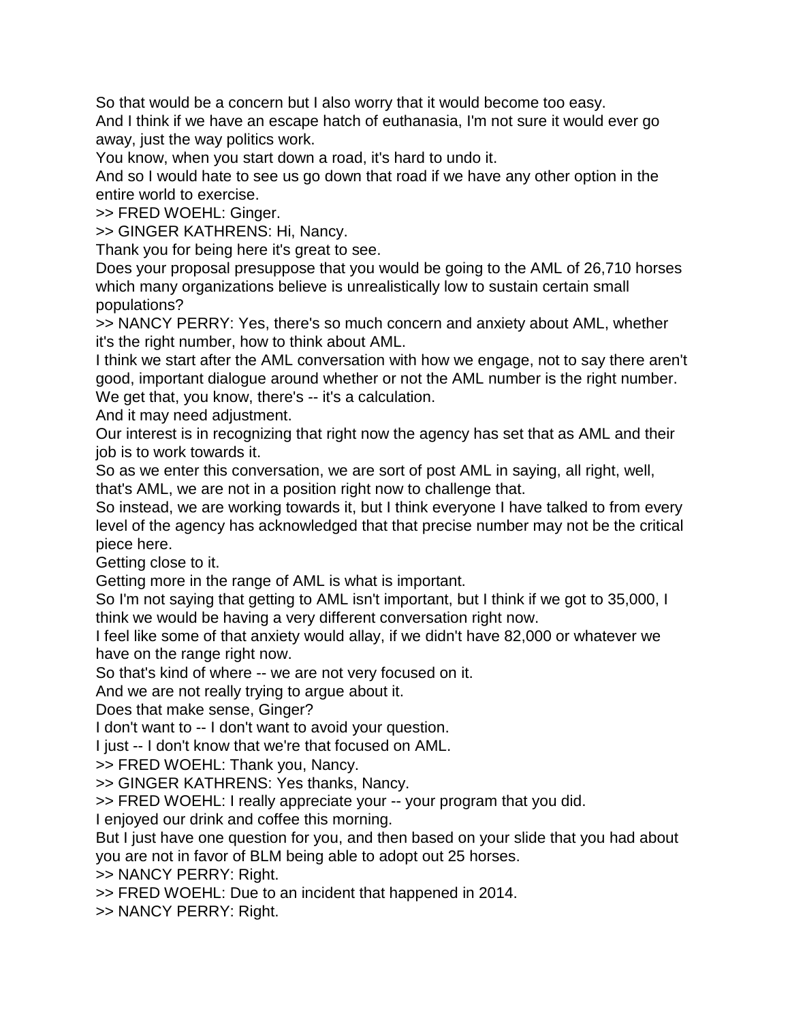So that would be a concern but I also worry that it would become too easy. And I think if we have an escape hatch of euthanasia, I'm not sure it would ever go away, just the way politics work.

You know, when you start down a road, it's hard to undo it.

And so I would hate to see us go down that road if we have any other option in the entire world to exercise.

>> FRED WOEHL: Ginger.

>> GINGER KATHRENS: Hi, Nancy.

Thank you for being here it's great to see.

Does your proposal presuppose that you would be going to the AML of 26,710 horses which many organizations believe is unrealistically low to sustain certain small populations?

>> NANCY PERRY: Yes, there's so much concern and anxiety about AML, whether it's the right number, how to think about AML.

I think we start after the AML conversation with how we engage, not to say there aren't good, important dialogue around whether or not the AML number is the right number. We get that, you know, there's -- it's a calculation.

And it may need adjustment.

Our interest is in recognizing that right now the agency has set that as AML and their job is to work towards it.

So as we enter this conversation, we are sort of post AML in saying, all right, well, that's AML, we are not in a position right now to challenge that.

So instead, we are working towards it, but I think everyone I have talked to from every level of the agency has acknowledged that that precise number may not be the critical piece here.

Getting close to it.

Getting more in the range of AML is what is important.

So I'm not saying that getting to AML isn't important, but I think if we got to 35,000, I think we would be having a very different conversation right now.

I feel like some of that anxiety would allay, if we didn't have 82,000 or whatever we have on the range right now.

So that's kind of where -- we are not very focused on it.

And we are not really trying to argue about it.

Does that make sense, Ginger?

I don't want to -- I don't want to avoid your question.

I just -- I don't know that we're that focused on AML.

>> FRED WOEHL: Thank you, Nancy.

>> GINGER KATHRENS: Yes thanks, Nancy.

>> FRED WOEHL: I really appreciate your -- your program that you did.

I enjoyed our drink and coffee this morning.

But I just have one question for you, and then based on your slide that you had about you are not in favor of BLM being able to adopt out 25 horses.

>> NANCY PERRY: Right.

>> FRED WOEHL: Due to an incident that happened in 2014.

>> NANCY PERRY: Right.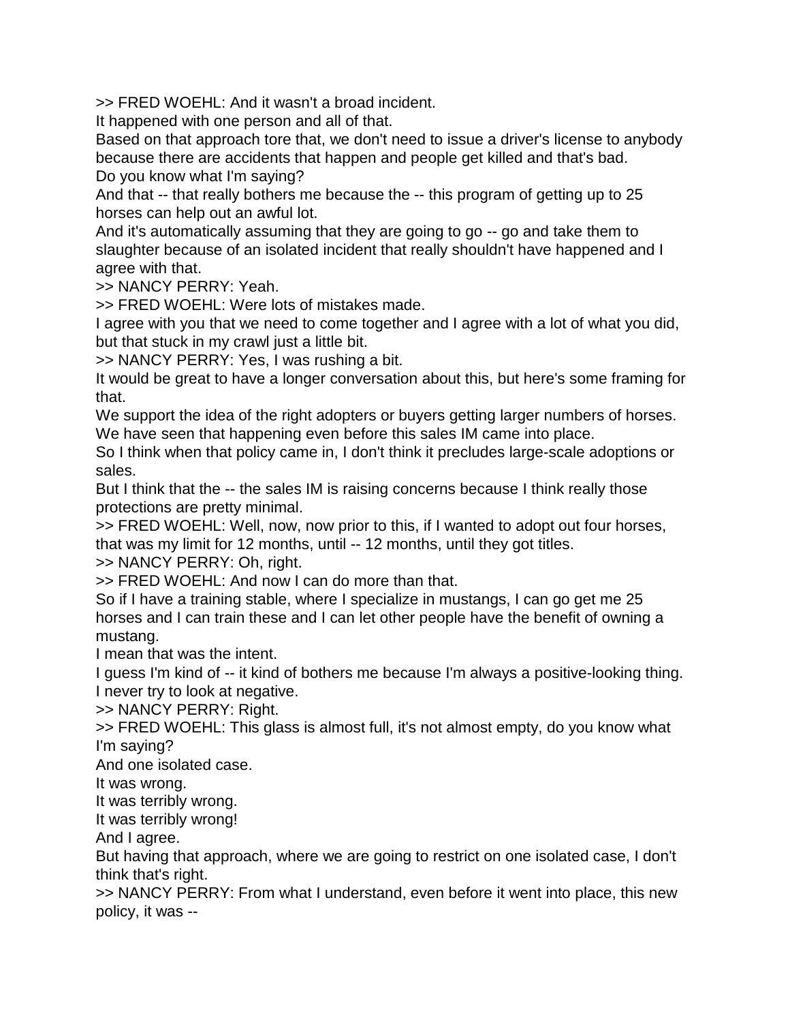>> FRED WOEHL: And it wasn't a broad incident.

It happened with one person and all of that.

Based on that approach tore that, we don't need to issue a driver's license to anybody because there are accidents that happen and people get killed and that's bad.

Do you know what I'm saying?

And that -- that really bothers me because the -- this program of getting up to 25 horses can help out an awful lot.

And it's automatically assuming that they are going to go -- go and take them to slaughter because of an isolated incident that really shouldn't have happened and I agree with that.

>> NANCY PERRY: Yeah.

>> FRED WOEHL: Were lots of mistakes made.

I agree with you that we need to come together and I agree with a lot of what you did, but that stuck in my crawl just a little bit.

>> NANCY PERRY: Yes, I was rushing a bit.

It would be great to have a longer conversation about this, but here's some framing for that.

We support the idea of the right adopters or buyers getting larger numbers of horses. We have seen that happening even before this sales IM came into place.

So I think when that policy came in, I don't think it precludes large-scale adoptions or sales.

But I think that the -- the sales IM is raising concerns because I think really those protections are pretty minimal.

>> FRED WOEHL: Well, now, now prior to this, if I wanted to adopt out four horses, that was my limit for 12 months, until -- 12 months, until they got titles.

>> NANCY PERRY: Oh, right.

>> FRED WOEHL: And now I can do more than that.

So if I have a training stable, where I specialize in mustangs, I can go get me 25 horses and I can train these and I can let other people have the benefit of owning a mustang.

I mean that was the intent.

I guess I'm kind of -- it kind of bothers me because I'm always a positive-looking thing. I never try to look at negative.

>> NANCY PERRY: Right.

>> FRED WOEHL: This glass is almost full, it's not almost empty, do you know what I'm saying?

And one isolated case.

It was wrong.

It was terribly wrong.

It was terribly wrong!

And I agree.

But having that approach, where we are going to restrict on one isolated case, I don't think that's right.

>> NANCY PERRY: From what I understand, even before it went into place, this new policy, it was --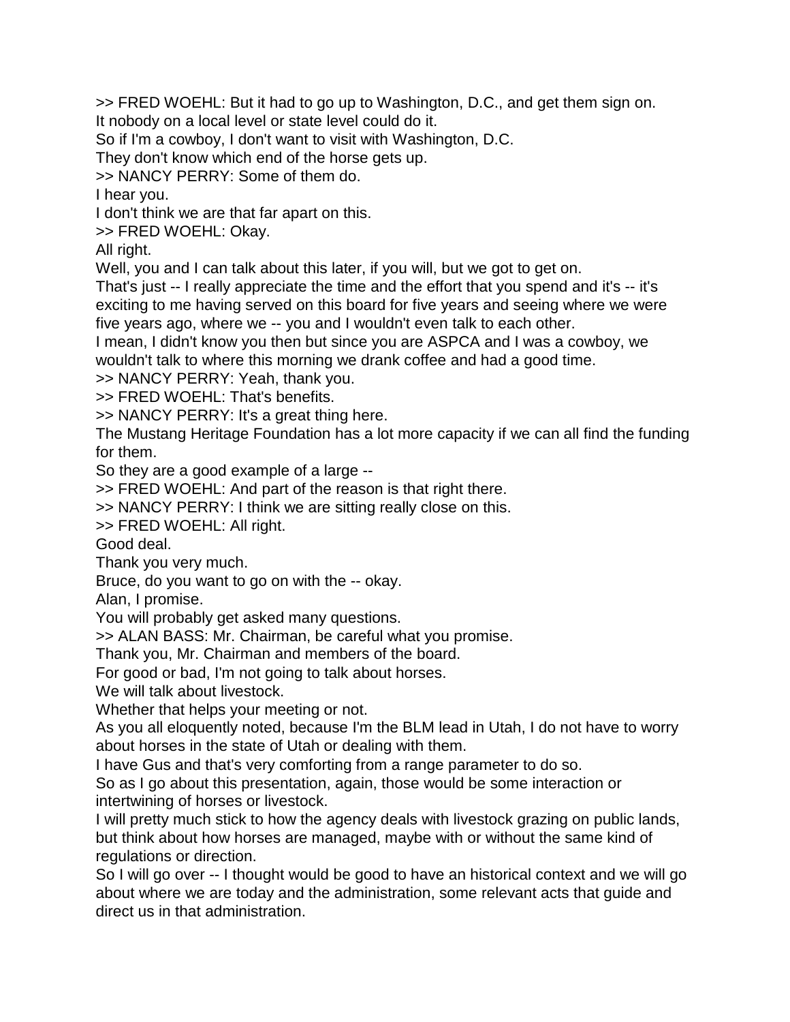>> FRED WOEHL: But it had to go up to Washington, D.C., and get them sign on. It nobody on a local level or state level could do it.

So if I'm a cowboy, I don't want to visit with Washington, D.C.

They don't know which end of the horse gets up.

>> NANCY PERRY: Some of them do.

I hear you.

I don't think we are that far apart on this.

>> FRED WOEHL: Okay.

All right.

Well, you and I can talk about this later, if you will, but we got to get on.

That's just -- I really appreciate the time and the effort that you spend and it's -- it's exciting to me having served on this board for five years and seeing where we were five years ago, where we -- you and I wouldn't even talk to each other.

I mean, I didn't know you then but since you are ASPCA and I was a cowboy, we wouldn't talk to where this morning we drank coffee and had a good time.

>> NANCY PERRY: Yeah, thank you.

>> FRED WOEHL: That's benefits.

>> NANCY PERRY: It's a great thing here.

The Mustang Heritage Foundation has a lot more capacity if we can all find the funding for them.

So they are a good example of a large --

>> FRED WOEHL: And part of the reason is that right there.

>> NANCY PERRY: I think we are sitting really close on this.

>> FRED WOEHL: All right.

Good deal.

Thank you very much.

Bruce, do you want to go on with the -- okay.

Alan, I promise.

You will probably get asked many questions.

>> ALAN BASS: Mr. Chairman, be careful what you promise.

Thank you, Mr. Chairman and members of the board.

For good or bad, I'm not going to talk about horses.

We will talk about livestock.

Whether that helps your meeting or not.

As you all eloquently noted, because I'm the BLM lead in Utah, I do not have to worry about horses in the state of Utah or dealing with them.

I have Gus and that's very comforting from a range parameter to do so.

So as I go about this presentation, again, those would be some interaction or intertwining of horses or livestock.

I will pretty much stick to how the agency deals with livestock grazing on public lands, but think about how horses are managed, maybe with or without the same kind of regulations or direction.

So I will go over -- I thought would be good to have an historical context and we will go about where we are today and the administration, some relevant acts that guide and direct us in that administration.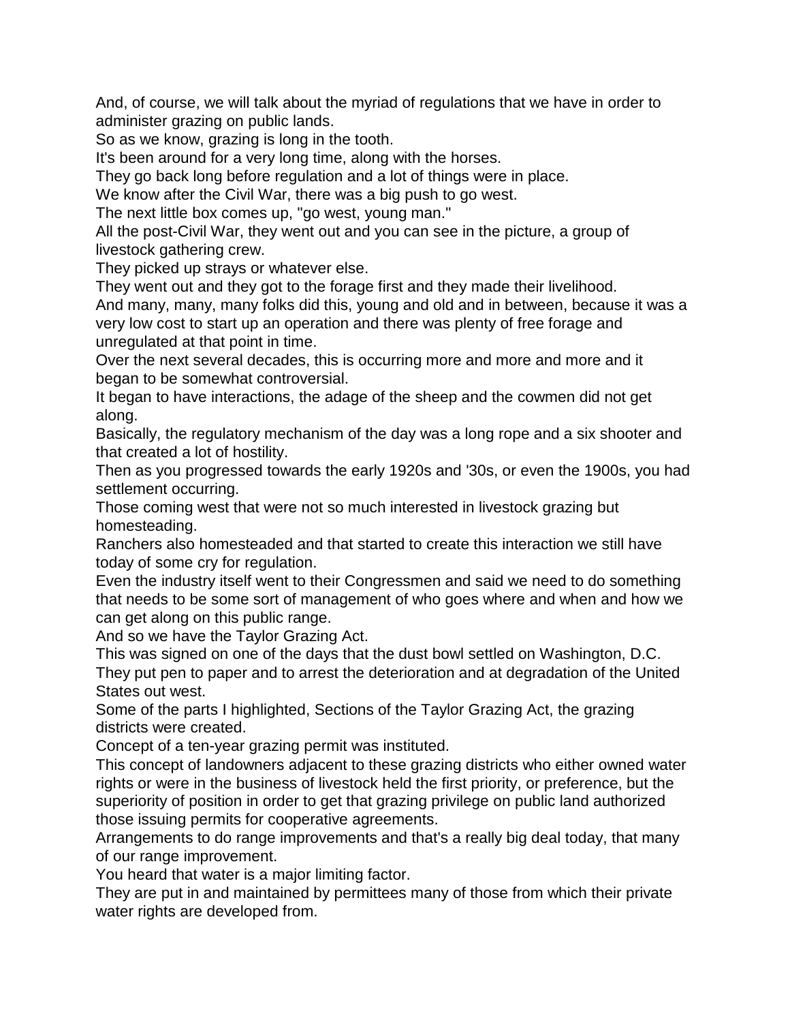And, of course, we will talk about the myriad of regulations that we have in order to administer grazing on public lands.

So as we know, grazing is long in the tooth.

It's been around for a very long time, along with the horses.

They go back long before regulation and a lot of things were in place.

We know after the Civil War, there was a big push to go west.

The next little box comes up, "go west, young man."

All the post-Civil War, they went out and you can see in the picture, a group of livestock gathering crew.

They picked up strays or whatever else.

They went out and they got to the forage first and they made their livelihood.

And many, many, many folks did this, young and old and in between, because it was a very low cost to start up an operation and there was plenty of free forage and unregulated at that point in time.

Over the next several decades, this is occurring more and more and more and it began to be somewhat controversial.

It began to have interactions, the adage of the sheep and the cowmen did not get along.

Basically, the regulatory mechanism of the day was a long rope and a six shooter and that created a lot of hostility.

Then as you progressed towards the early 1920s and '30s, or even the 1900s, you had settlement occurring.

Those coming west that were not so much interested in livestock grazing but homesteading.

Ranchers also homesteaded and that started to create this interaction we still have today of some cry for regulation.

Even the industry itself went to their Congressmen and said we need to do something that needs to be some sort of management of who goes where and when and how we can get along on this public range.

And so we have the Taylor Grazing Act.

This was signed on one of the days that the dust bowl settled on Washington, D.C. They put pen to paper and to arrest the deterioration and at degradation of the United States out west.

Some of the parts I highlighted, Sections of the Taylor Grazing Act, the grazing districts were created.

Concept of a ten-year grazing permit was instituted.

This concept of landowners adjacent to these grazing districts who either owned water rights or were in the business of livestock held the first priority, or preference, but the superiority of position in order to get that grazing privilege on public land authorized those issuing permits for cooperative agreements.

Arrangements to do range improvements and that's a really big deal today, that many of our range improvement.

You heard that water is a major limiting factor.

They are put in and maintained by permittees many of those from which their private water rights are developed from.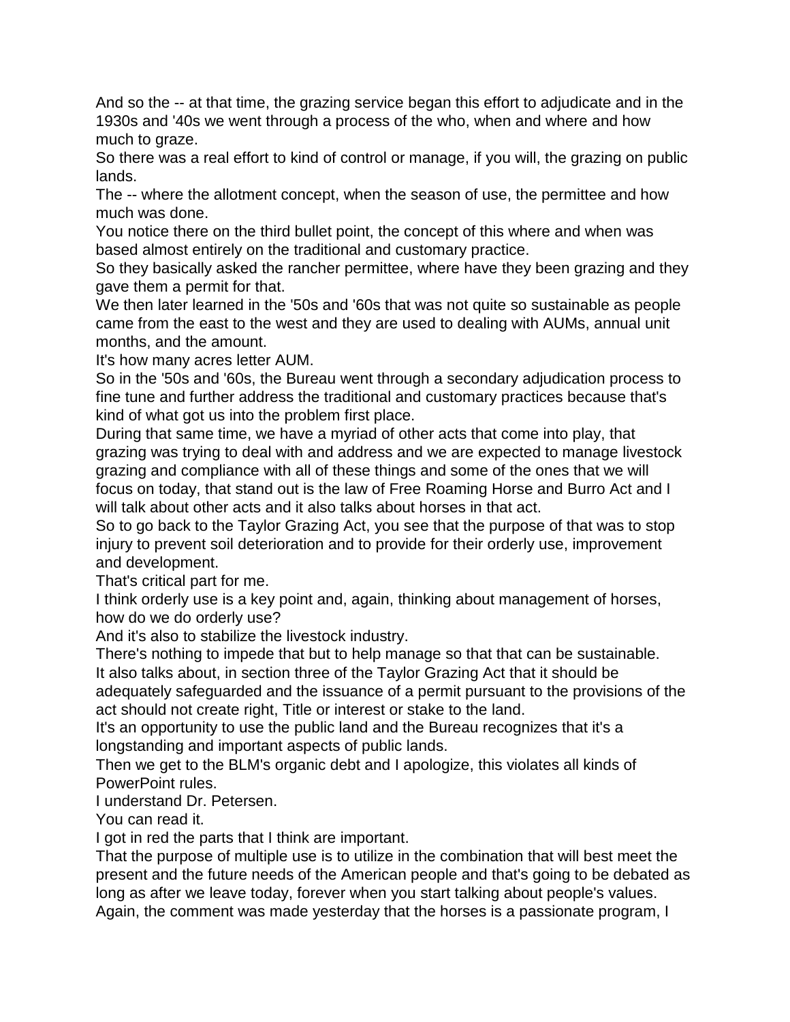And so the -- at that time, the grazing service began this effort to adjudicate and in the 1930s and '40s we went through a process of the who, when and where and how much to graze.

So there was a real effort to kind of control or manage, if you will, the grazing on public lands.

The -- where the allotment concept, when the season of use, the permittee and how much was done.

You notice there on the third bullet point, the concept of this where and when was based almost entirely on the traditional and customary practice.

So they basically asked the rancher permittee, where have they been grazing and they gave them a permit for that.

We then later learned in the '50s and '60s that was not quite so sustainable as people came from the east to the west and they are used to dealing with AUMs, annual unit months, and the amount.

It's how many acres letter AUM.

So in the '50s and '60s, the Bureau went through a secondary adjudication process to fine tune and further address the traditional and customary practices because that's kind of what got us into the problem first place.

During that same time, we have a myriad of other acts that come into play, that grazing was trying to deal with and address and we are expected to manage livestock grazing and compliance with all of these things and some of the ones that we will focus on today, that stand out is the law of Free Roaming Horse and Burro Act and I will talk about other acts and it also talks about horses in that act.

So to go back to the Taylor Grazing Act, you see that the purpose of that was to stop injury to prevent soil deterioration and to provide for their orderly use, improvement and development.

That's critical part for me.

I think orderly use is a key point and, again, thinking about management of horses, how do we do orderly use?

And it's also to stabilize the livestock industry.

There's nothing to impede that but to help manage so that that can be sustainable. It also talks about, in section three of the Taylor Grazing Act that it should be adequately safeguarded and the issuance of a permit pursuant to the provisions of the

act should not create right, Title or interest or stake to the land.

It's an opportunity to use the public land and the Bureau recognizes that it's a longstanding and important aspects of public lands.

Then we get to the BLM's organic debt and I apologize, this violates all kinds of PowerPoint rules.

I understand Dr. Petersen.

You can read it.

I got in red the parts that I think are important.

That the purpose of multiple use is to utilize in the combination that will best meet the present and the future needs of the American people and that's going to be debated as long as after we leave today, forever when you start talking about people's values. Again, the comment was made yesterday that the horses is a passionate program, I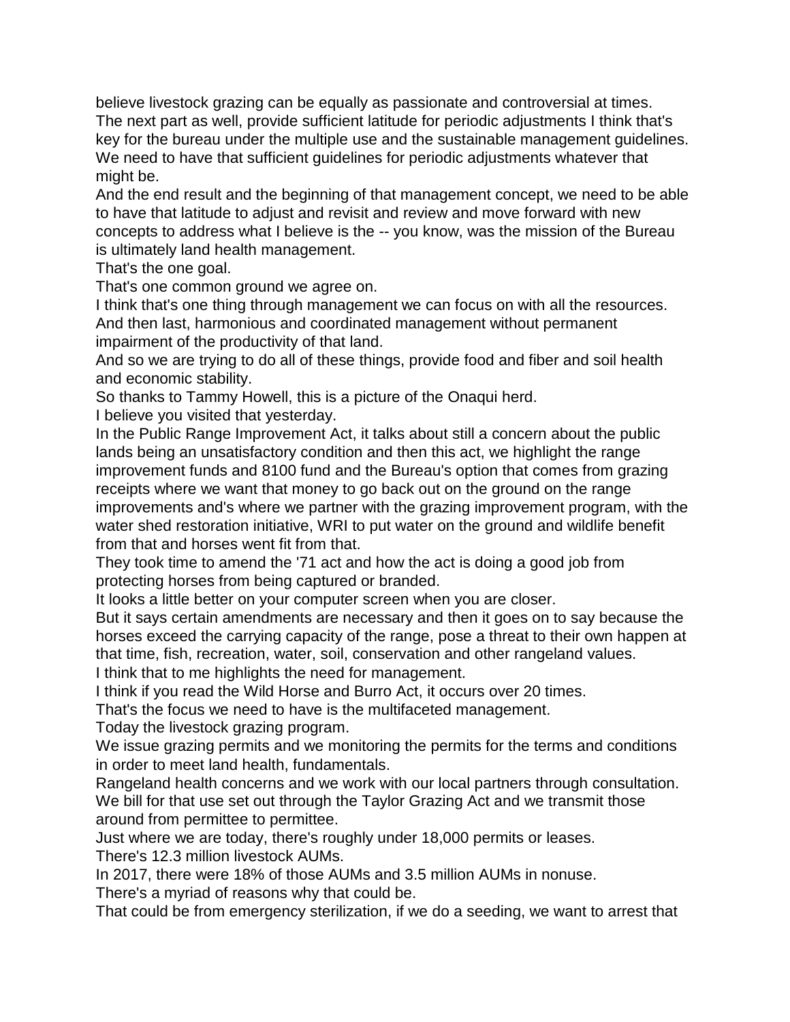believe livestock grazing can be equally as passionate and controversial at times. The next part as well, provide sufficient latitude for periodic adjustments I think that's key for the bureau under the multiple use and the sustainable management guidelines. We need to have that sufficient guidelines for periodic adjustments whatever that might be.

And the end result and the beginning of that management concept, we need to be able to have that latitude to adjust and revisit and review and move forward with new concepts to address what I believe is the -- you know, was the mission of the Bureau is ultimately land health management.

That's the one goal.

That's one common ground we agree on.

I think that's one thing through management we can focus on with all the resources.

And then last, harmonious and coordinated management without permanent impairment of the productivity of that land.

And so we are trying to do all of these things, provide food and fiber and soil health and economic stability.

So thanks to Tammy Howell, this is a picture of the Onaqui herd.

I believe you visited that yesterday.

In the Public Range Improvement Act, it talks about still a concern about the public lands being an unsatisfactory condition and then this act, we highlight the range improvement funds and 8100 fund and the Bureau's option that comes from grazing receipts where we want that money to go back out on the ground on the range improvements and's where we partner with the grazing improvement program, with the water shed restoration initiative, WRI to put water on the ground and wildlife benefit from that and horses went fit from that.

They took time to amend the '71 act and how the act is doing a good job from protecting horses from being captured or branded.

It looks a little better on your computer screen when you are closer.

But it says certain amendments are necessary and then it goes on to say because the horses exceed the carrying capacity of the range, pose a threat to their own happen at that time, fish, recreation, water, soil, conservation and other rangeland values. I think that to me highlights the need for management.

I think if you read the Wild Horse and Burro Act, it occurs over 20 times.

That's the focus we need to have is the multifaceted management.

Today the livestock grazing program.

We issue grazing permits and we monitoring the permits for the terms and conditions in order to meet land health, fundamentals.

Rangeland health concerns and we work with our local partners through consultation. We bill for that use set out through the Taylor Grazing Act and we transmit those around from permittee to permittee.

Just where we are today, there's roughly under 18,000 permits or leases.

There's 12.3 million livestock AUMs.

In 2017, there were 18% of those AUMs and 3.5 million AUMs in nonuse.

There's a myriad of reasons why that could be.

That could be from emergency sterilization, if we do a seeding, we want to arrest that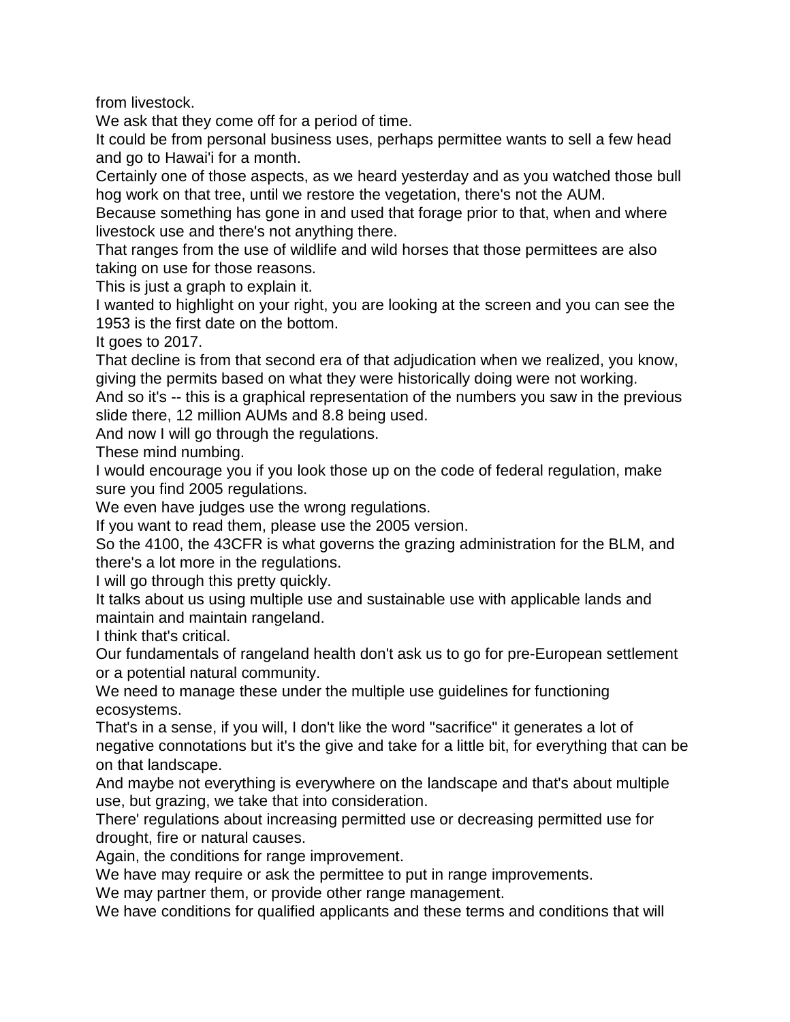from livestock.

We ask that they come off for a period of time.

It could be from personal business uses, perhaps permittee wants to sell a few head and go to Hawai'i for a month.

Certainly one of those aspects, as we heard yesterday and as you watched those bull hog work on that tree, until we restore the vegetation, there's not the AUM.

Because something has gone in and used that forage prior to that, when and where livestock use and there's not anything there.

That ranges from the use of wildlife and wild horses that those permittees are also taking on use for those reasons.

This is just a graph to explain it.

I wanted to highlight on your right, you are looking at the screen and you can see the 1953 is the first date on the bottom.

It goes to 2017.

That decline is from that second era of that adjudication when we realized, you know, giving the permits based on what they were historically doing were not working.

And so it's -- this is a graphical representation of the numbers you saw in the previous slide there, 12 million AUMs and 8.8 being used.

And now I will go through the regulations.

These mind numbing.

I would encourage you if you look those up on the code of federal regulation, make sure you find 2005 regulations.

We even have judges use the wrong regulations.

If you want to read them, please use the 2005 version.

So the 4100, the 43CFR is what governs the grazing administration for the BLM, and there's a lot more in the regulations.

I will go through this pretty quickly.

It talks about us using multiple use and sustainable use with applicable lands and maintain and maintain rangeland.

I think that's critical.

Our fundamentals of rangeland health don't ask us to go for pre-European settlement or a potential natural community.

We need to manage these under the multiple use guidelines for functioning ecosystems.

That's in a sense, if you will, I don't like the word "sacrifice" it generates a lot of negative connotations but it's the give and take for a little bit, for everything that can be on that landscape.

And maybe not everything is everywhere on the landscape and that's about multiple use, but grazing, we take that into consideration.

There' regulations about increasing permitted use or decreasing permitted use for drought, fire or natural causes.

Again, the conditions for range improvement.

We have may require or ask the permittee to put in range improvements.

We may partner them, or provide other range management.

We have conditions for qualified applicants and these terms and conditions that will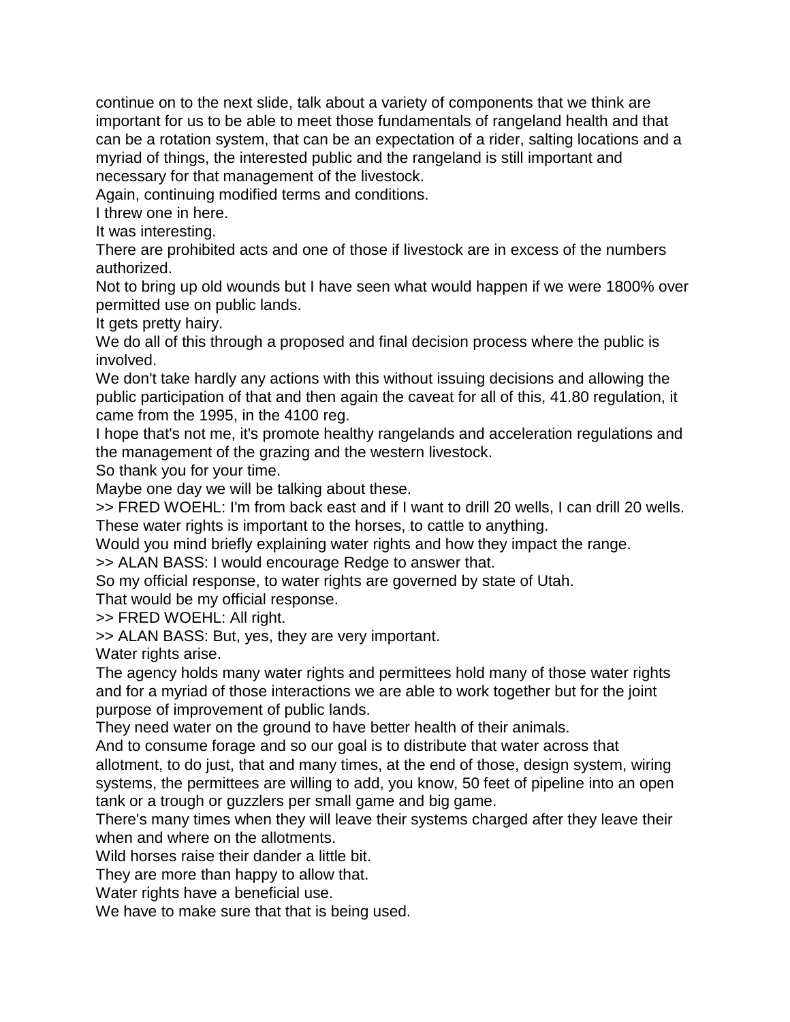continue on to the next slide, talk about a variety of components that we think are important for us to be able to meet those fundamentals of rangeland health and that can be a rotation system, that can be an expectation of a rider, salting locations and a myriad of things, the interested public and the rangeland is still important and necessary for that management of the livestock.

Again, continuing modified terms and conditions.

I threw one in here.

It was interesting.

There are prohibited acts and one of those if livestock are in excess of the numbers authorized.

Not to bring up old wounds but I have seen what would happen if we were 1800% over permitted use on public lands.

It gets pretty hairy.

We do all of this through a proposed and final decision process where the public is involved.

We don't take hardly any actions with this without issuing decisions and allowing the public participation of that and then again the caveat for all of this, 41.80 regulation, it came from the 1995, in the 4100 reg.

I hope that's not me, it's promote healthy rangelands and acceleration regulations and the management of the grazing and the western livestock.

So thank you for your time.

Maybe one day we will be talking about these.

>> FRED WOEHL: I'm from back east and if I want to drill 20 wells, I can drill 20 wells. These water rights is important to the horses, to cattle to anything.

Would you mind briefly explaining water rights and how they impact the range.

>> ALAN BASS: I would encourage Redge to answer that.

So my official response, to water rights are governed by state of Utah.

That would be my official response.

>> FRED WOEHL: All right.

>> ALAN BASS: But, yes, they are very important.

Water rights arise.

The agency holds many water rights and permittees hold many of those water rights and for a myriad of those interactions we are able to work together but for the joint purpose of improvement of public lands.

They need water on the ground to have better health of their animals.

And to consume forage and so our goal is to distribute that water across that allotment, to do just, that and many times, at the end of those, design system, wiring

systems, the permittees are willing to add, you know, 50 feet of pipeline into an open tank or a trough or guzzlers per small game and big game.

There's many times when they will leave their systems charged after they leave their when and where on the allotments.

Wild horses raise their dander a little bit.

They are more than happy to allow that.

Water rights have a beneficial use.

We have to make sure that that is being used.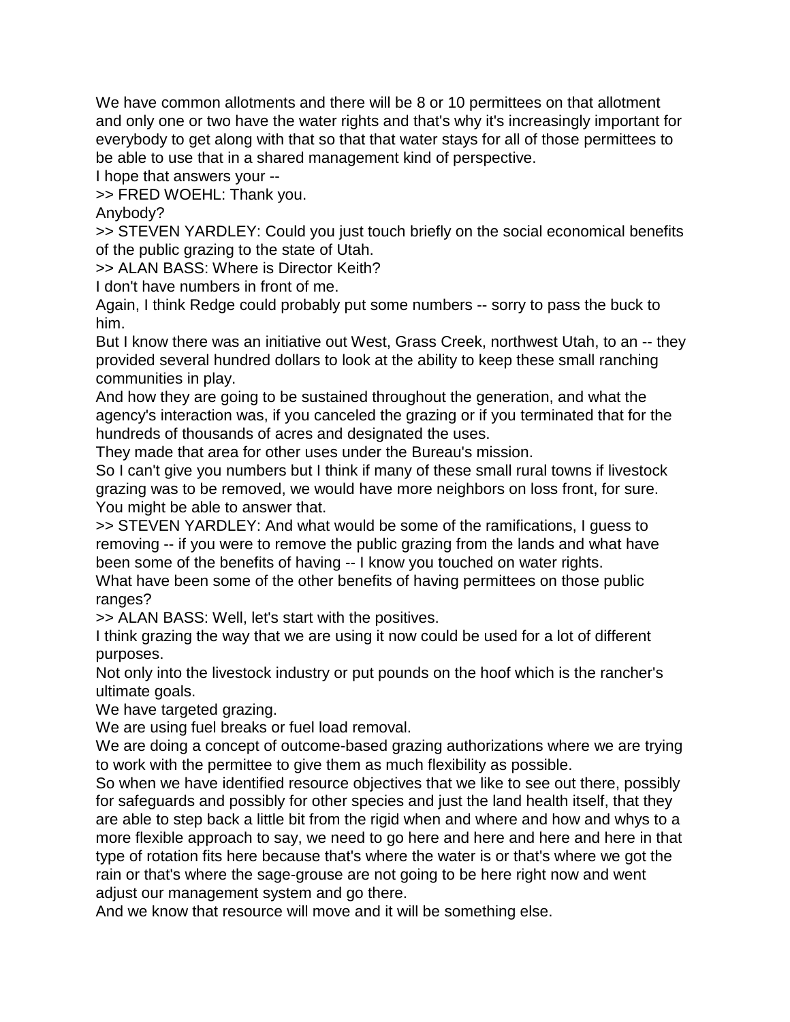We have common allotments and there will be 8 or 10 permittees on that allotment and only one or two have the water rights and that's why it's increasingly important for everybody to get along with that so that that water stays for all of those permittees to be able to use that in a shared management kind of perspective.

I hope that answers your --

>> FRED WOEHL: Thank you.

Anybody?

>> STEVEN YARDLEY: Could you just touch briefly on the social economical benefits of the public grazing to the state of Utah.

>> ALAN BASS: Where is Director Keith?

I don't have numbers in front of me.

Again, I think Redge could probably put some numbers -- sorry to pass the buck to him.

But I know there was an initiative out West, Grass Creek, northwest Utah, to an -- they provided several hundred dollars to look at the ability to keep these small ranching communities in play.

And how they are going to be sustained throughout the generation, and what the agency's interaction was, if you canceled the grazing or if you terminated that for the hundreds of thousands of acres and designated the uses.

They made that area for other uses under the Bureau's mission.

So I can't give you numbers but I think if many of these small rural towns if livestock grazing was to be removed, we would have more neighbors on loss front, for sure. You might be able to answer that.

>> STEVEN YARDLEY: And what would be some of the ramifications, I guess to removing -- if you were to remove the public grazing from the lands and what have been some of the benefits of having -- I know you touched on water rights.

What have been some of the other benefits of having permittees on those public ranges?

>> ALAN BASS: Well, let's start with the positives.

I think grazing the way that we are using it now could be used for a lot of different purposes.

Not only into the livestock industry or put pounds on the hoof which is the rancher's ultimate goals.

We have targeted grazing.

We are using fuel breaks or fuel load removal.

We are doing a concept of outcome-based grazing authorizations where we are trying to work with the permittee to give them as much flexibility as possible.

So when we have identified resource objectives that we like to see out there, possibly for safeguards and possibly for other species and just the land health itself, that they are able to step back a little bit from the rigid when and where and how and whys to a more flexible approach to say, we need to go here and here and here and here in that type of rotation fits here because that's where the water is or that's where we got the rain or that's where the sage-grouse are not going to be here right now and went adjust our management system and go there.

And we know that resource will move and it will be something else.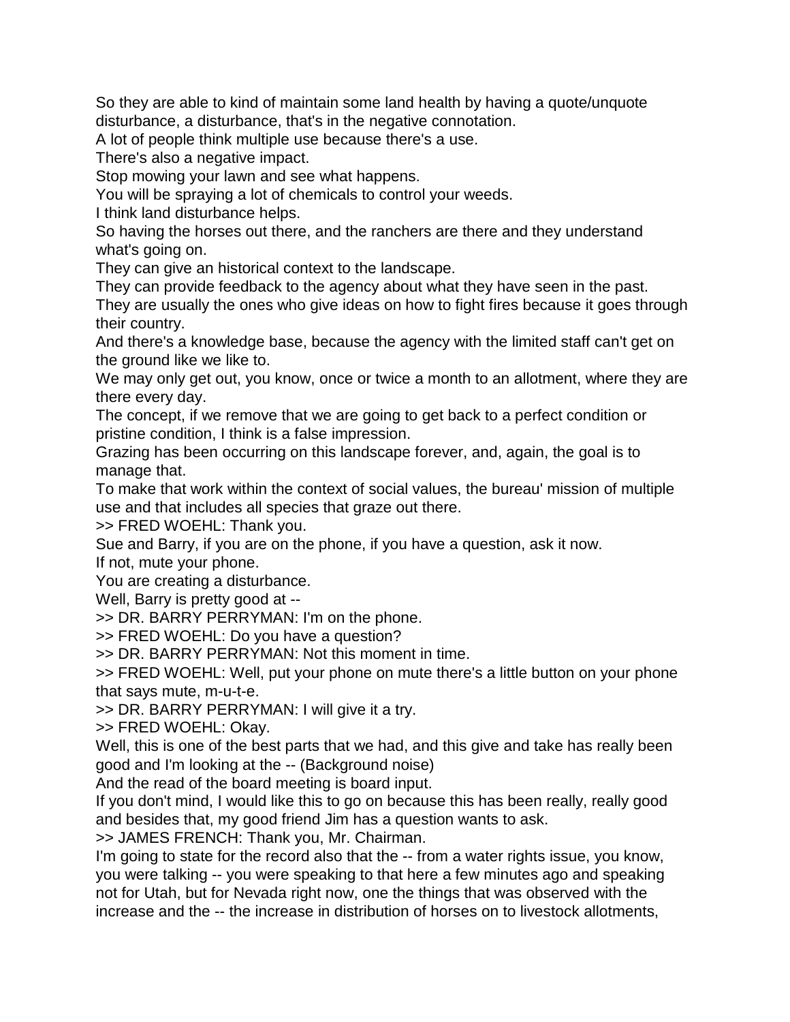So they are able to kind of maintain some land health by having a quote/unquote disturbance, a disturbance, that's in the negative connotation.

A lot of people think multiple use because there's a use.

There's also a negative impact.

Stop mowing your lawn and see what happens.

You will be spraying a lot of chemicals to control your weeds.

I think land disturbance helps.

So having the horses out there, and the ranchers are there and they understand what's going on.

They can give an historical context to the landscape.

They can provide feedback to the agency about what they have seen in the past.

They are usually the ones who give ideas on how to fight fires because it goes through their country.

And there's a knowledge base, because the agency with the limited staff can't get on the ground like we like to.

We may only get out, you know, once or twice a month to an allotment, where they are there every day.

The concept, if we remove that we are going to get back to a perfect condition or pristine condition, I think is a false impression.

Grazing has been occurring on this landscape forever, and, again, the goal is to manage that.

To make that work within the context of social values, the bureau' mission of multiple use and that includes all species that graze out there.

>> FRED WOEHL: Thank you.

Sue and Barry, if you are on the phone, if you have a question, ask it now. If not, mute your phone.

You are creating a disturbance.

Well, Barry is pretty good at --

>> DR. BARRY PERRYMAN: I'm on the phone.

>> FRED WOEHL: Do you have a question?

>> DR. BARRY PERRYMAN: Not this moment in time.

>> FRED WOEHL: Well, put your phone on mute there's a little button on your phone that says mute, m-u-t-e.

>> DR. BARRY PERRYMAN: I will give it a try.

>> FRED WOEHL: Okay.

Well, this is one of the best parts that we had, and this give and take has really been good and I'm looking at the -- (Background noise)

And the read of the board meeting is board input.

If you don't mind, I would like this to go on because this has been really, really good and besides that, my good friend Jim has a question wants to ask.

>> JAMES FRENCH: Thank you, Mr. Chairman.

I'm going to state for the record also that the -- from a water rights issue, you know, you were talking -- you were speaking to that here a few minutes ago and speaking not for Utah, but for Nevada right now, one the things that was observed with the increase and the -- the increase in distribution of horses on to livestock allotments,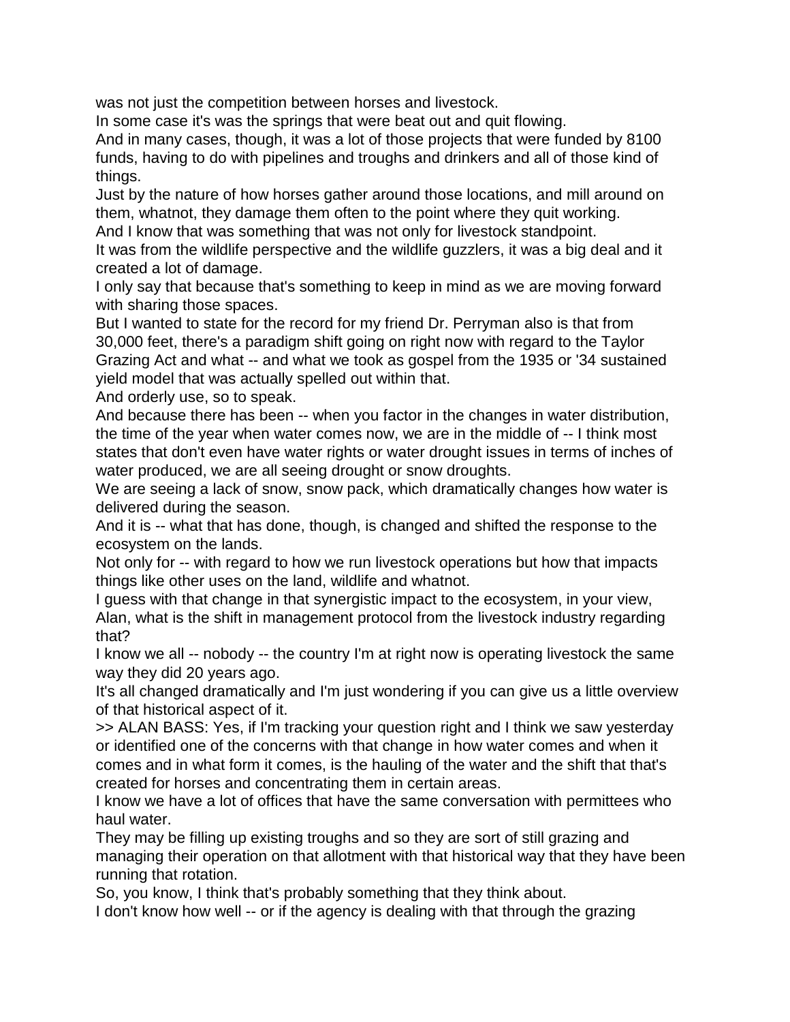was not just the competition between horses and livestock.

In some case it's was the springs that were beat out and quit flowing.

And in many cases, though, it was a lot of those projects that were funded by 8100 funds, having to do with pipelines and troughs and drinkers and all of those kind of things.

Just by the nature of how horses gather around those locations, and mill around on them, whatnot, they damage them often to the point where they quit working. And I know that was something that was not only for livestock standpoint.

It was from the wildlife perspective and the wildlife guzzlers, it was a big deal and it created a lot of damage.

I only say that because that's something to keep in mind as we are moving forward with sharing those spaces.

But I wanted to state for the record for my friend Dr. Perryman also is that from 30,000 feet, there's a paradigm shift going on right now with regard to the Taylor Grazing Act and what -- and what we took as gospel from the 1935 or '34 sustained yield model that was actually spelled out within that.

And orderly use, so to speak.

And because there has been -- when you factor in the changes in water distribution, the time of the year when water comes now, we are in the middle of -- I think most states that don't even have water rights or water drought issues in terms of inches of water produced, we are all seeing drought or snow droughts.

We are seeing a lack of snow, snow pack, which dramatically changes how water is delivered during the season.

And it is -- what that has done, though, is changed and shifted the response to the ecosystem on the lands.

Not only for -- with regard to how we run livestock operations but how that impacts things like other uses on the land, wildlife and whatnot.

I guess with that change in that synergistic impact to the ecosystem, in your view, Alan, what is the shift in management protocol from the livestock industry regarding that?

I know we all -- nobody -- the country I'm at right now is operating livestock the same way they did 20 years ago.

It's all changed dramatically and I'm just wondering if you can give us a little overview of that historical aspect of it.

>> ALAN BASS: Yes, if I'm tracking your question right and I think we saw yesterday or identified one of the concerns with that change in how water comes and when it comes and in what form it comes, is the hauling of the water and the shift that that's created for horses and concentrating them in certain areas.

I know we have a lot of offices that have the same conversation with permittees who haul water.

They may be filling up existing troughs and so they are sort of still grazing and managing their operation on that allotment with that historical way that they have been running that rotation.

So, you know, I think that's probably something that they think about.

I don't know how well -- or if the agency is dealing with that through the grazing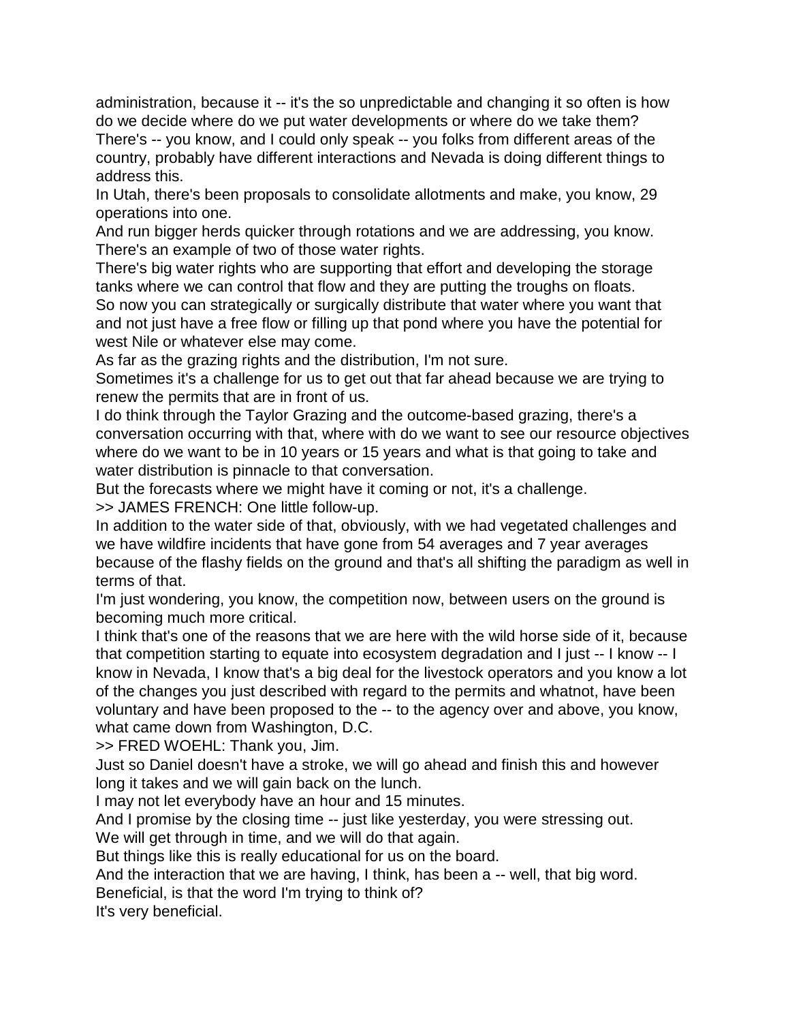administration, because it -- it's the so unpredictable and changing it so often is how do we decide where do we put water developments or where do we take them? There's -- you know, and I could only speak -- you folks from different areas of the country, probably have different interactions and Nevada is doing different things to address this.

In Utah, there's been proposals to consolidate allotments and make, you know, 29 operations into one.

And run bigger herds quicker through rotations and we are addressing, you know. There's an example of two of those water rights.

There's big water rights who are supporting that effort and developing the storage tanks where we can control that flow and they are putting the troughs on floats.

So now you can strategically or surgically distribute that water where you want that and not just have a free flow or filling up that pond where you have the potential for west Nile or whatever else may come.

As far as the grazing rights and the distribution, I'm not sure.

Sometimes it's a challenge for us to get out that far ahead because we are trying to renew the permits that are in front of us.

I do think through the Taylor Grazing and the outcome-based grazing, there's a conversation occurring with that, where with do we want to see our resource objectives where do we want to be in 10 years or 15 years and what is that going to take and water distribution is pinnacle to that conversation.

But the forecasts where we might have it coming or not, it's a challenge.

>> JAMES FRENCH: One little follow-up.

In addition to the water side of that, obviously, with we had vegetated challenges and we have wildfire incidents that have gone from 54 averages and 7 year averages because of the flashy fields on the ground and that's all shifting the paradigm as well in terms of that.

I'm just wondering, you know, the competition now, between users on the ground is becoming much more critical.

I think that's one of the reasons that we are here with the wild horse side of it, because that competition starting to equate into ecosystem degradation and I just -- I know -- I know in Nevada, I know that's a big deal for the livestock operators and you know a lot of the changes you just described with regard to the permits and whatnot, have been voluntary and have been proposed to the -- to the agency over and above, you know, what came down from Washington, D.C.

>> FRED WOEHL: Thank you, Jim.

Just so Daniel doesn't have a stroke, we will go ahead and finish this and however long it takes and we will gain back on the lunch.

I may not let everybody have an hour and 15 minutes.

And I promise by the closing time -- just like yesterday, you were stressing out. We will get through in time, and we will do that again.

But things like this is really educational for us on the board.

And the interaction that we are having, I think, has been a -- well, that big word.

Beneficial, is that the word I'm trying to think of?

It's very beneficial.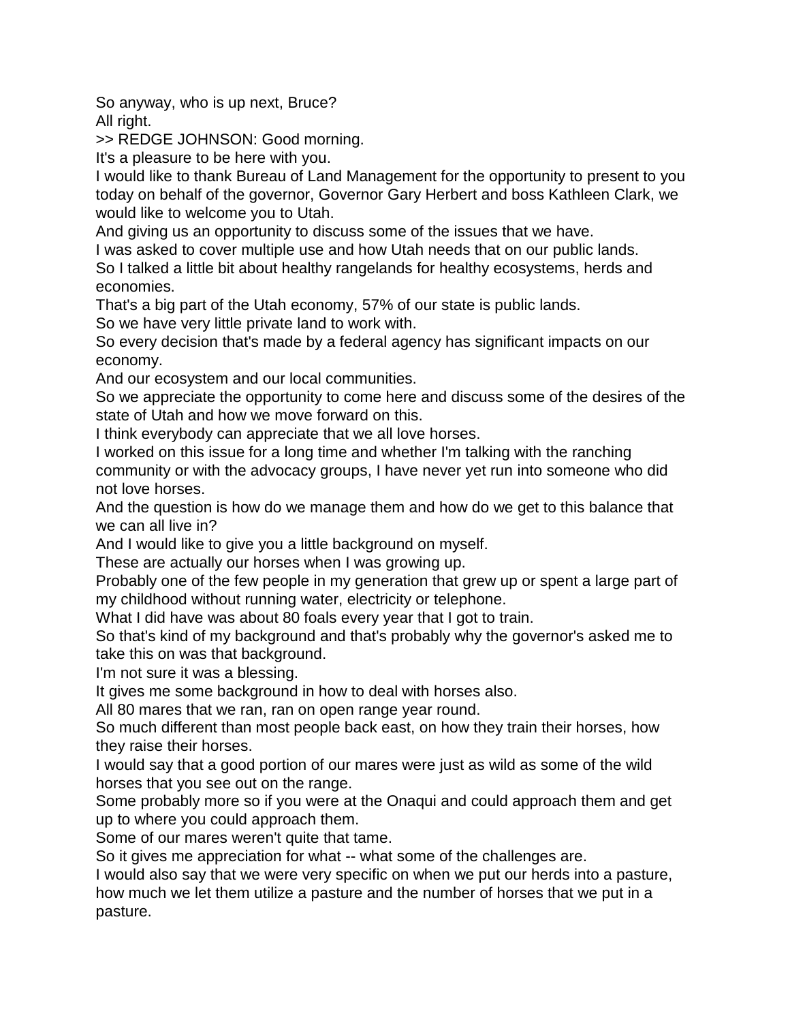So anyway, who is up next, Bruce? All right.

>> REDGE JOHNSON: Good morning.

It's a pleasure to be here with you.

I would like to thank Bureau of Land Management for the opportunity to present to you today on behalf of the governor, Governor Gary Herbert and boss Kathleen Clark, we would like to welcome you to Utah.

And giving us an opportunity to discuss some of the issues that we have.

I was asked to cover multiple use and how Utah needs that on our public lands. So I talked a little bit about healthy rangelands for healthy ecosystems, herds and economies.

That's a big part of the Utah economy, 57% of our state is public lands.

So we have very little private land to work with.

So every decision that's made by a federal agency has significant impacts on our economy.

And our ecosystem and our local communities.

So we appreciate the opportunity to come here and discuss some of the desires of the state of Utah and how we move forward on this.

I think everybody can appreciate that we all love horses.

I worked on this issue for a long time and whether I'm talking with the ranching community or with the advocacy groups, I have never yet run into someone who did not love horses.

And the question is how do we manage them and how do we get to this balance that we can all live in?

And I would like to give you a little background on myself.

These are actually our horses when I was growing up.

Probably one of the few people in my generation that grew up or spent a large part of my childhood without running water, electricity or telephone.

What I did have was about 80 foals every year that I got to train.

So that's kind of my background and that's probably why the governor's asked me to take this on was that background.

I'm not sure it was a blessing.

It gives me some background in how to deal with horses also.

All 80 mares that we ran, ran on open range year round.

So much different than most people back east, on how they train their horses, how they raise their horses.

I would say that a good portion of our mares were just as wild as some of the wild horses that you see out on the range.

Some probably more so if you were at the Onaqui and could approach them and get up to where you could approach them.

Some of our mares weren't quite that tame.

So it gives me appreciation for what -- what some of the challenges are.

I would also say that we were very specific on when we put our herds into a pasture, how much we let them utilize a pasture and the number of horses that we put in a pasture.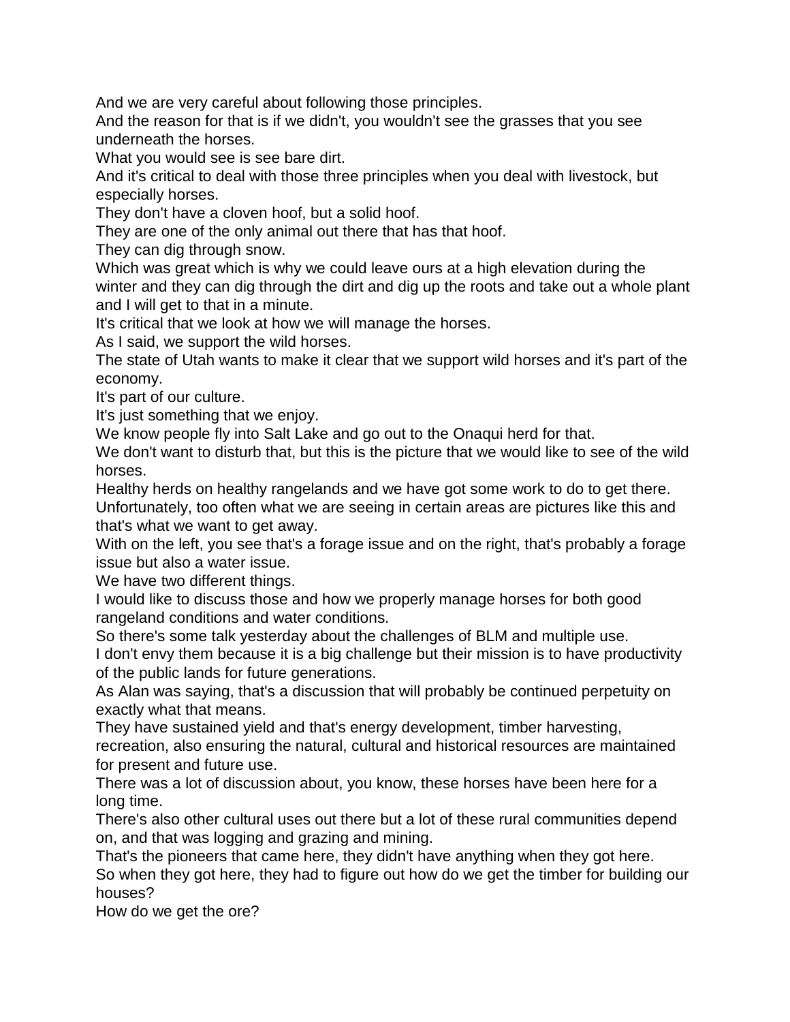And we are very careful about following those principles.

And the reason for that is if we didn't, you wouldn't see the grasses that you see underneath the horses.

What you would see is see bare dirt.

And it's critical to deal with those three principles when you deal with livestock, but especially horses.

They don't have a cloven hoof, but a solid hoof.

They are one of the only animal out there that has that hoof.

They can dig through snow.

Which was great which is why we could leave ours at a high elevation during the winter and they can dig through the dirt and dig up the roots and take out a whole plant and I will get to that in a minute.

It's critical that we look at how we will manage the horses.

As I said, we support the wild horses.

The state of Utah wants to make it clear that we support wild horses and it's part of the economy.

It's part of our culture.

It's just something that we enjoy.

We know people fly into Salt Lake and go out to the Onaqui herd for that.

We don't want to disturb that, but this is the picture that we would like to see of the wild horses.

Healthy herds on healthy rangelands and we have got some work to do to get there. Unfortunately, too often what we are seeing in certain areas are pictures like this and

that's what we want to get away. With on the left, you see that's a forage issue and on the right, that's probably a forage

issue but also a water issue.

We have two different things.

I would like to discuss those and how we properly manage horses for both good rangeland conditions and water conditions.

So there's some talk yesterday about the challenges of BLM and multiple use. I don't envy them because it is a big challenge but their mission is to have productivity of the public lands for future generations.

As Alan was saying, that's a discussion that will probably be continued perpetuity on exactly what that means.

They have sustained yield and that's energy development, timber harvesting,

recreation, also ensuring the natural, cultural and historical resources are maintained for present and future use.

There was a lot of discussion about, you know, these horses have been here for a long time.

There's also other cultural uses out there but a lot of these rural communities depend on, and that was logging and grazing and mining.

That's the pioneers that came here, they didn't have anything when they got here. So when they got here, they had to figure out how do we get the timber for building our houses?

How do we get the ore?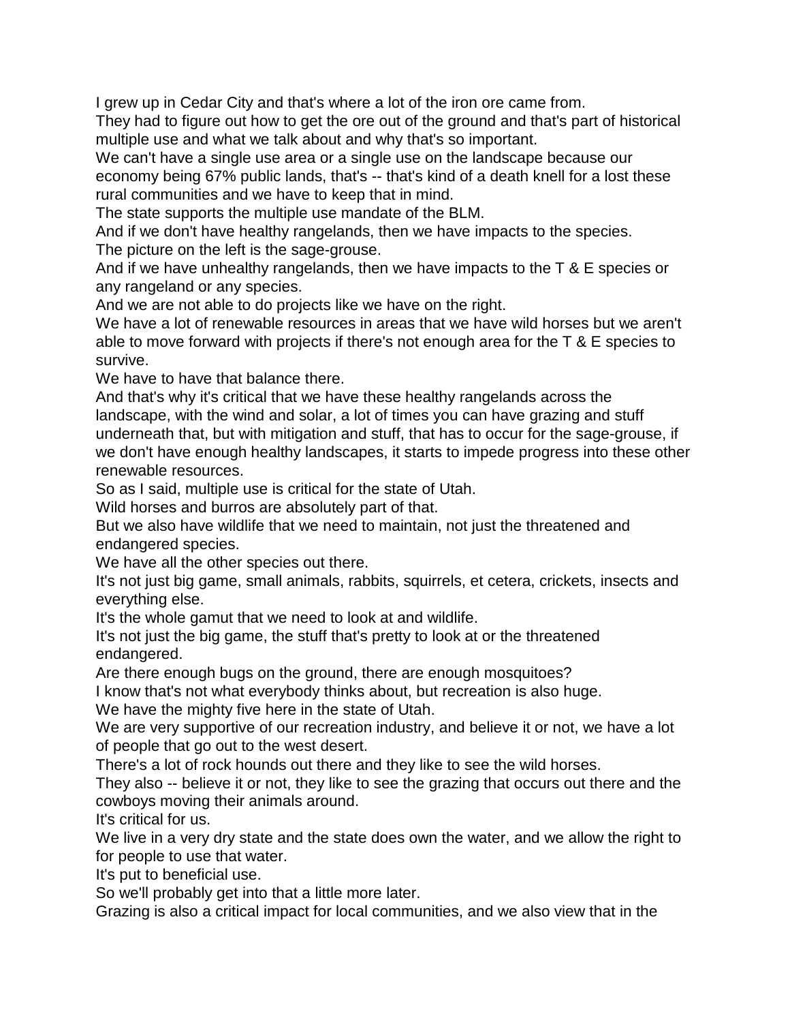I grew up in Cedar City and that's where a lot of the iron ore came from.

They had to figure out how to get the ore out of the ground and that's part of historical multiple use and what we talk about and why that's so important.

We can't have a single use area or a single use on the landscape because our economy being 67% public lands, that's -- that's kind of a death knell for a lost these rural communities and we have to keep that in mind.

The state supports the multiple use mandate of the BLM.

And if we don't have healthy rangelands, then we have impacts to the species.

The picture on the left is the sage-grouse.

And if we have unhealthy rangelands, then we have impacts to the T & E species or any rangeland or any species.

And we are not able to do projects like we have on the right.

We have a lot of renewable resources in areas that we have wild horses but we aren't able to move forward with projects if there's not enough area for the T & E species to survive.

We have to have that balance there.

And that's why it's critical that we have these healthy rangelands across the landscape, with the wind and solar, a lot of times you can have grazing and stuff underneath that, but with mitigation and stuff, that has to occur for the sage-grouse, if we don't have enough healthy landscapes, it starts to impede progress into these other renewable resources.

So as I said, multiple use is critical for the state of Utah.

Wild horses and burros are absolutely part of that.

But we also have wildlife that we need to maintain, not just the threatened and endangered species.

We have all the other species out there.

It's not just big game, small animals, rabbits, squirrels, et cetera, crickets, insects and everything else.

It's the whole gamut that we need to look at and wildlife.

It's not just the big game, the stuff that's pretty to look at or the threatened endangered.

Are there enough bugs on the ground, there are enough mosquitoes?

I know that's not what everybody thinks about, but recreation is also huge.

We have the mighty five here in the state of Utah.

We are very supportive of our recreation industry, and believe it or not, we have a lot of people that go out to the west desert.

There's a lot of rock hounds out there and they like to see the wild horses.

They also -- believe it or not, they like to see the grazing that occurs out there and the cowboys moving their animals around.

It's critical for us.

We live in a very dry state and the state does own the water, and we allow the right to for people to use that water.

It's put to beneficial use.

So we'll probably get into that a little more later.

Grazing is also a critical impact for local communities, and we also view that in the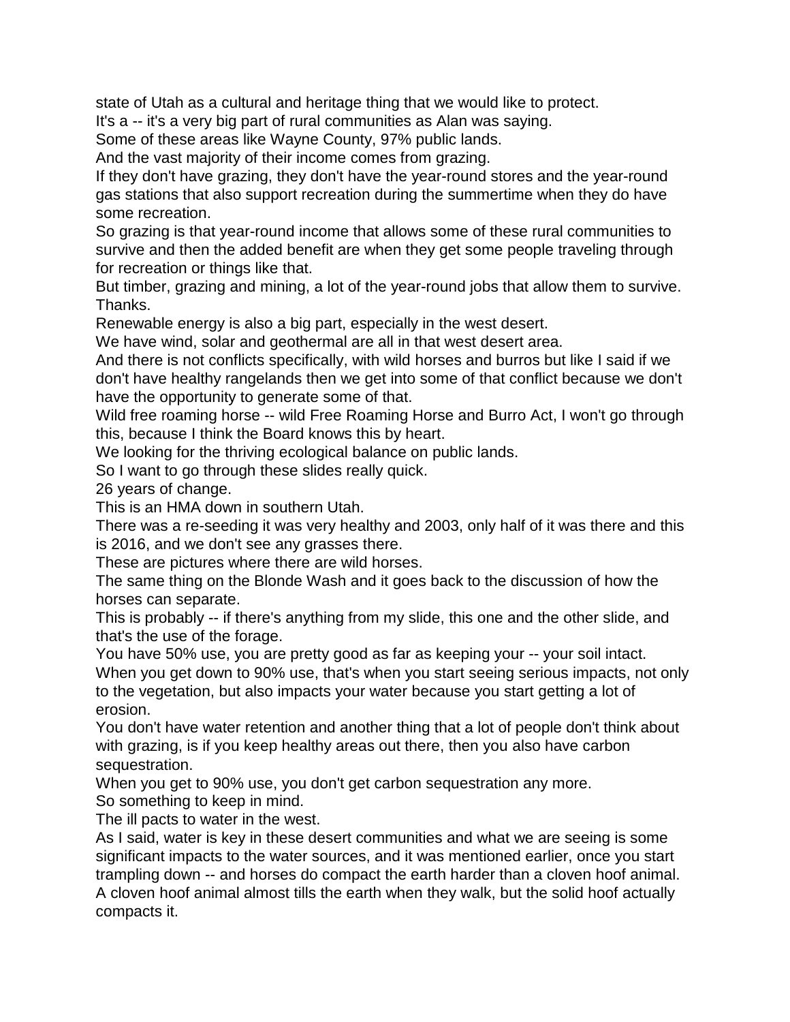state of Utah as a cultural and heritage thing that we would like to protect.

It's a -- it's a very big part of rural communities as Alan was saying.

Some of these areas like Wayne County, 97% public lands.

And the vast majority of their income comes from grazing.

If they don't have grazing, they don't have the year-round stores and the year-round gas stations that also support recreation during the summertime when they do have some recreation.

So grazing is that year-round income that allows some of these rural communities to survive and then the added benefit are when they get some people traveling through for recreation or things like that.

But timber, grazing and mining, a lot of the year-round jobs that allow them to survive. Thanks.

Renewable energy is also a big part, especially in the west desert.

We have wind, solar and geothermal are all in that west desert area.

And there is not conflicts specifically, with wild horses and burros but like I said if we don't have healthy rangelands then we get into some of that conflict because we don't have the opportunity to generate some of that.

Wild free roaming horse -- wild Free Roaming Horse and Burro Act, I won't go through this, because I think the Board knows this by heart.

We looking for the thriving ecological balance on public lands.

So I want to go through these slides really quick.

26 years of change.

This is an HMA down in southern Utah.

There was a re-seeding it was very healthy and 2003, only half of it was there and this is 2016, and we don't see any grasses there.

These are pictures where there are wild horses.

The same thing on the Blonde Wash and it goes back to the discussion of how the horses can separate.

This is probably -- if there's anything from my slide, this one and the other slide, and that's the use of the forage.

You have 50% use, you are pretty good as far as keeping your -- your soil intact. When you get down to 90% use, that's when you start seeing serious impacts, not only to the vegetation, but also impacts your water because you start getting a lot of erosion.

You don't have water retention and another thing that a lot of people don't think about with grazing, is if you keep healthy areas out there, then you also have carbon sequestration.

When you get to 90% use, you don't get carbon sequestration any more.

So something to keep in mind.

The ill pacts to water in the west.

As I said, water is key in these desert communities and what we are seeing is some significant impacts to the water sources, and it was mentioned earlier, once you start trampling down -- and horses do compact the earth harder than a cloven hoof animal. A cloven hoof animal almost tills the earth when they walk, but the solid hoof actually compacts it.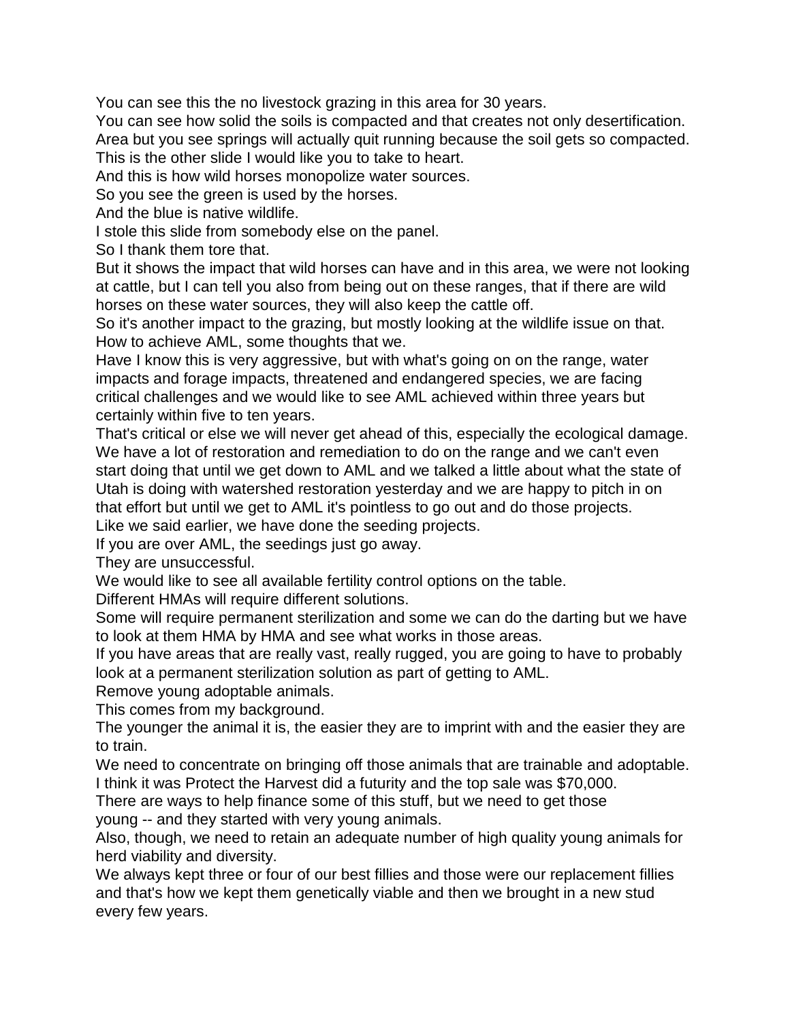You can see this the no livestock grazing in this area for 30 years.

You can see how solid the soils is compacted and that creates not only desertification.

Area but you see springs will actually quit running because the soil gets so compacted. This is the other slide I would like you to take to heart.

And this is how wild horses monopolize water sources.

So you see the green is used by the horses.

And the blue is native wildlife.

I stole this slide from somebody else on the panel.

So I thank them tore that.

But it shows the impact that wild horses can have and in this area, we were not looking at cattle, but I can tell you also from being out on these ranges, that if there are wild horses on these water sources, they will also keep the cattle off.

So it's another impact to the grazing, but mostly looking at the wildlife issue on that. How to achieve AML, some thoughts that we.

Have I know this is very aggressive, but with what's going on on the range, water impacts and forage impacts, threatened and endangered species, we are facing critical challenges and we would like to see AML achieved within three years but certainly within five to ten years.

That's critical or else we will never get ahead of this, especially the ecological damage. We have a lot of restoration and remediation to do on the range and we can't even start doing that until we get down to AML and we talked a little about what the state of Utah is doing with watershed restoration yesterday and we are happy to pitch in on that effort but until we get to AML it's pointless to go out and do those projects. Like we said earlier, we have done the seeding projects.

If you are over AML, the seedings just go away.

They are unsuccessful.

We would like to see all available fertility control options on the table.

Different HMAs will require different solutions.

Some will require permanent sterilization and some we can do the darting but we have to look at them HMA by HMA and see what works in those areas.

If you have areas that are really vast, really rugged, you are going to have to probably look at a permanent sterilization solution as part of getting to AML.

Remove young adoptable animals.

This comes from my background.

The younger the animal it is, the easier they are to imprint with and the easier they are to train.

We need to concentrate on bringing off those animals that are trainable and adoptable. I think it was Protect the Harvest did a futurity and the top sale was \$70,000.

There are ways to help finance some of this stuff, but we need to get those

young -- and they started with very young animals.

Also, though, we need to retain an adequate number of high quality young animals for herd viability and diversity.

We always kept three or four of our best fillies and those were our replacement fillies and that's how we kept them genetically viable and then we brought in a new stud every few years.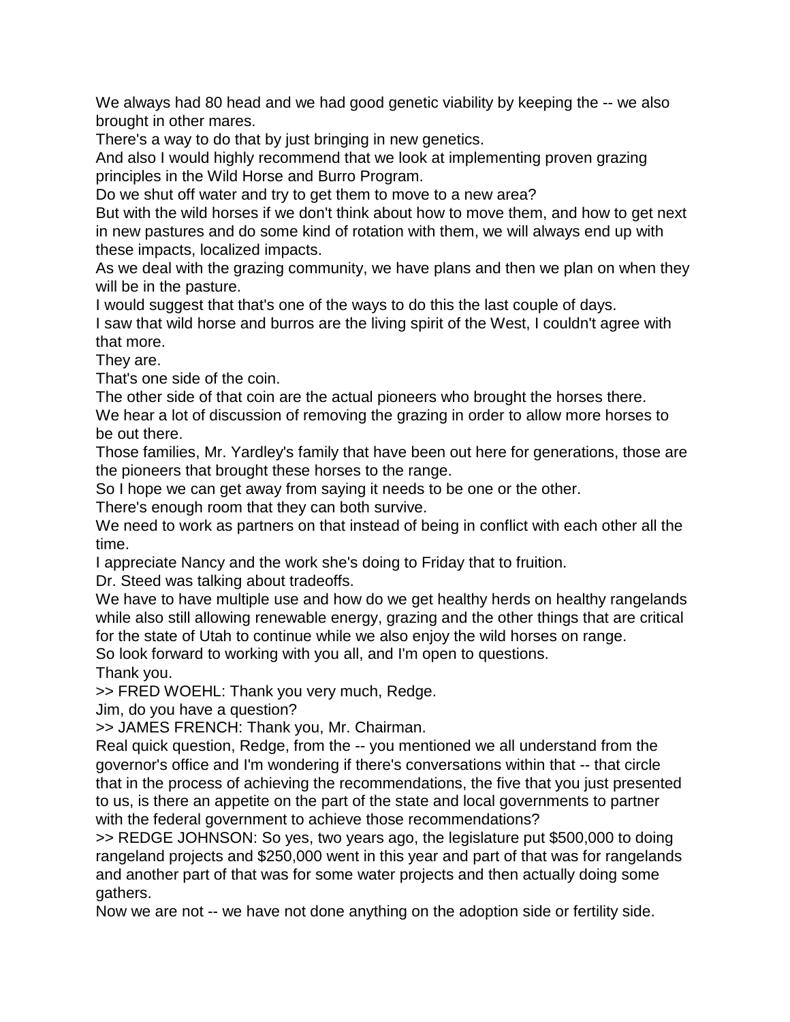We always had 80 head and we had good genetic viability by keeping the -- we also brought in other mares.

There's a way to do that by just bringing in new genetics.

And also I would highly recommend that we look at implementing proven grazing principles in the Wild Horse and Burro Program.

Do we shut off water and try to get them to move to a new area?

But with the wild horses if we don't think about how to move them, and how to get next in new pastures and do some kind of rotation with them, we will always end up with these impacts, localized impacts.

As we deal with the grazing community, we have plans and then we plan on when they will be in the pasture.

I would suggest that that's one of the ways to do this the last couple of days.

I saw that wild horse and burros are the living spirit of the West, I couldn't agree with that more.

They are.

That's one side of the coin.

The other side of that coin are the actual pioneers who brought the horses there.

We hear a lot of discussion of removing the grazing in order to allow more horses to be out there.

Those families, Mr. Yardley's family that have been out here for generations, those are the pioneers that brought these horses to the range.

So I hope we can get away from saying it needs to be one or the other.

There's enough room that they can both survive.

We need to work as partners on that instead of being in conflict with each other all the time.

I appreciate Nancy and the work she's doing to Friday that to fruition.

Dr. Steed was talking about tradeoffs.

We have to have multiple use and how do we get healthy herds on healthy rangelands while also still allowing renewable energy, grazing and the other things that are critical for the state of Utah to continue while we also enjoy the wild horses on range. So look forward to working with you all, and I'm open to questions.

Thank you.

>> FRED WOEHL: Thank you very much, Redge.

Jim, do you have a question?

>> JAMES FRENCH: Thank you, Mr. Chairman.

Real quick question, Redge, from the -- you mentioned we all understand from the governor's office and I'm wondering if there's conversations within that -- that circle that in the process of achieving the recommendations, the five that you just presented to us, is there an appetite on the part of the state and local governments to partner with the federal government to achieve those recommendations?

>> REDGE JOHNSON: So yes, two years ago, the legislature put \$500,000 to doing rangeland projects and \$250,000 went in this year and part of that was for rangelands and another part of that was for some water projects and then actually doing some gathers.

Now we are not -- we have not done anything on the adoption side or fertility side.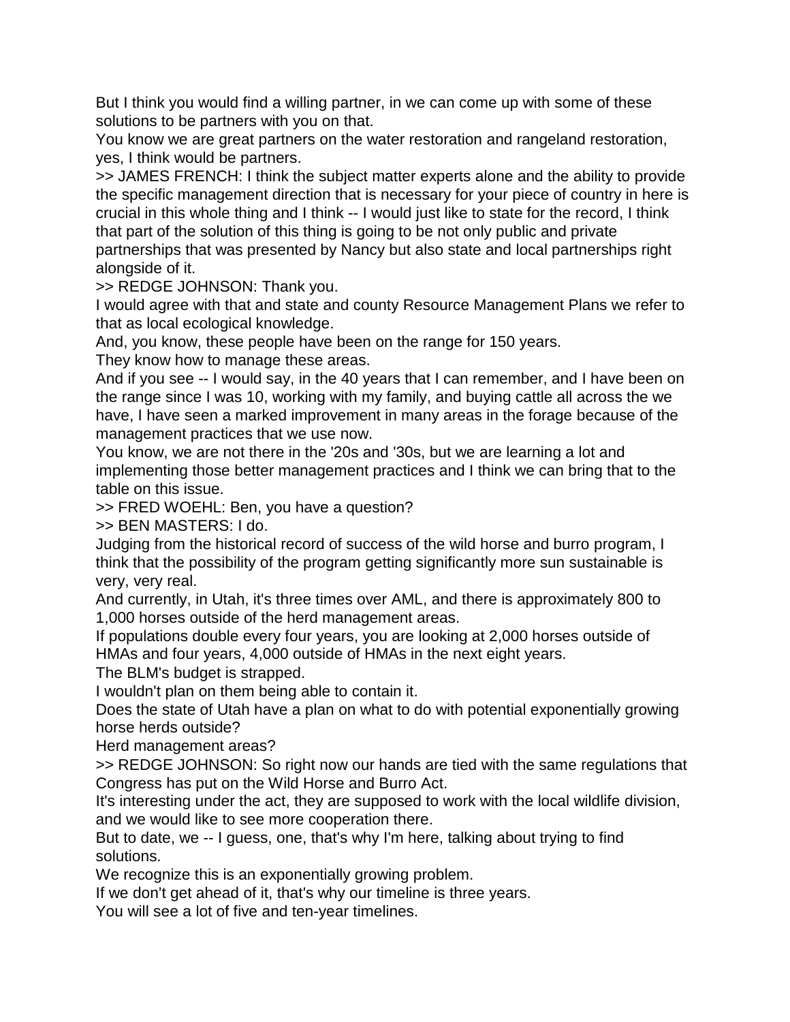But I think you would find a willing partner, in we can come up with some of these solutions to be partners with you on that.

You know we are great partners on the water restoration and rangeland restoration, yes, I think would be partners.

>> JAMES FRENCH: I think the subject matter experts alone and the ability to provide the specific management direction that is necessary for your piece of country in here is crucial in this whole thing and I think -- I would just like to state for the record, I think that part of the solution of this thing is going to be not only public and private

partnerships that was presented by Nancy but also state and local partnerships right alongside of it.

>> REDGE JOHNSON: Thank you.

I would agree with that and state and county Resource Management Plans we refer to that as local ecological knowledge.

And, you know, these people have been on the range for 150 years.

They know how to manage these areas.

And if you see -- I would say, in the 40 years that I can remember, and I have been on the range since I was 10, working with my family, and buying cattle all across the we have, I have seen a marked improvement in many areas in the forage because of the management practices that we use now.

You know, we are not there in the '20s and '30s, but we are learning a lot and implementing those better management practices and I think we can bring that to the table on this issue.

>> FRED WOEHL: Ben, you have a question?

>> BEN MASTERS: I do.

Judging from the historical record of success of the wild horse and burro program, I think that the possibility of the program getting significantly more sun sustainable is very, very real.

And currently, in Utah, it's three times over AML, and there is approximately 800 to 1,000 horses outside of the herd management areas.

If populations double every four years, you are looking at 2,000 horses outside of HMAs and four years, 4,000 outside of HMAs in the next eight years.

The BLM's budget is strapped.

I wouldn't plan on them being able to contain it.

Does the state of Utah have a plan on what to do with potential exponentially growing horse herds outside?

Herd management areas?

>> REDGE JOHNSON: So right now our hands are tied with the same regulations that Congress has put on the Wild Horse and Burro Act.

It's interesting under the act, they are supposed to work with the local wildlife division, and we would like to see more cooperation there.

But to date, we -- I guess, one, that's why I'm here, talking about trying to find solutions.

We recognize this is an exponentially growing problem.

If we don't get ahead of it, that's why our timeline is three years.

You will see a lot of five and ten-year timelines.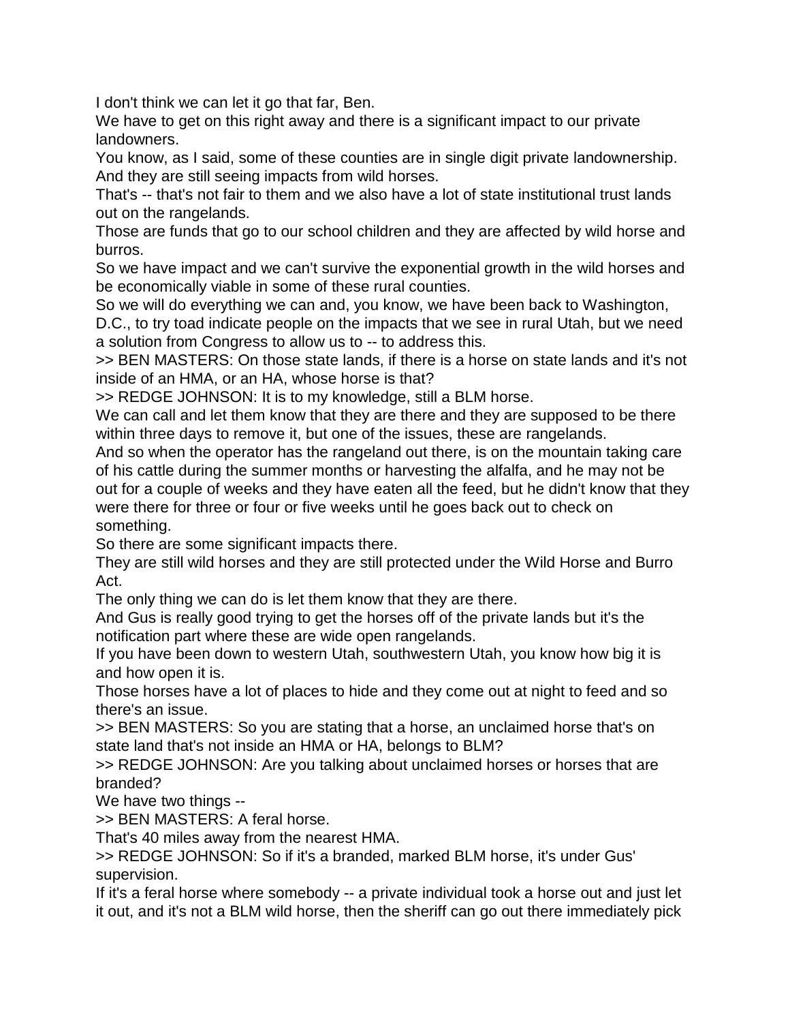I don't think we can let it go that far, Ben.

We have to get on this right away and there is a significant impact to our private landowners.

You know, as I said, some of these counties are in single digit private landownership. And they are still seeing impacts from wild horses.

That's -- that's not fair to them and we also have a lot of state institutional trust lands out on the rangelands.

Those are funds that go to our school children and they are affected by wild horse and burros.

So we have impact and we can't survive the exponential growth in the wild horses and be economically viable in some of these rural counties.

So we will do everything we can and, you know, we have been back to Washington,

D.C., to try toad indicate people on the impacts that we see in rural Utah, but we need a solution from Congress to allow us to -- to address this.

>> BEN MASTERS: On those state lands, if there is a horse on state lands and it's not inside of an HMA, or an HA, whose horse is that?

>> REDGE JOHNSON: It is to my knowledge, still a BLM horse.

We can call and let them know that they are there and they are supposed to be there within three days to remove it, but one of the issues, these are rangelands.

And so when the operator has the rangeland out there, is on the mountain taking care of his cattle during the summer months or harvesting the alfalfa, and he may not be out for a couple of weeks and they have eaten all the feed, but he didn't know that they were there for three or four or five weeks until he goes back out to check on something.

So there are some significant impacts there.

They are still wild horses and they are still protected under the Wild Horse and Burro Act.

The only thing we can do is let them know that they are there.

And Gus is really good trying to get the horses off of the private lands but it's the notification part where these are wide open rangelands.

If you have been down to western Utah, southwestern Utah, you know how big it is and how open it is.

Those horses have a lot of places to hide and they come out at night to feed and so there's an issue.

>> BEN MASTERS: So you are stating that a horse, an unclaimed horse that's on state land that's not inside an HMA or HA, belongs to BLM?

>> REDGE JOHNSON: Are you talking about unclaimed horses or horses that are branded?

We have two things --

>> BEN MASTERS: A feral horse.

That's 40 miles away from the nearest HMA.

>> REDGE JOHNSON: So if it's a branded, marked BLM horse, it's under Gus' supervision.

If it's a feral horse where somebody -- a private individual took a horse out and just let it out, and it's not a BLM wild horse, then the sheriff can go out there immediately pick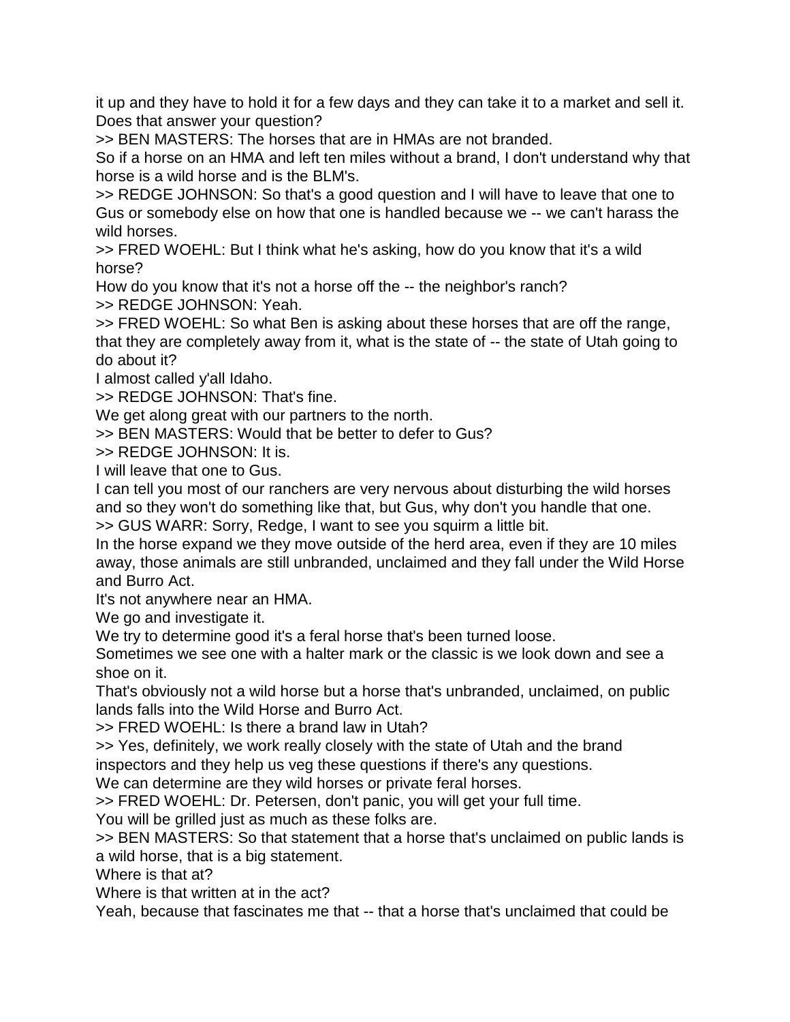it up and they have to hold it for a few days and they can take it to a market and sell it. Does that answer your question?

>> BEN MASTERS: The horses that are in HMAs are not branded.

So if a horse on an HMA and left ten miles without a brand, I don't understand why that horse is a wild horse and is the BLM's.

>> REDGE JOHNSON: So that's a good question and I will have to leave that one to Gus or somebody else on how that one is handled because we -- we can't harass the wild horses.

>> FRED WOEHL: But I think what he's asking, how do you know that it's a wild horse?

How do you know that it's not a horse off the -- the neighbor's ranch?

>> REDGE JOHNSON: Yeah.

>> FRED WOEHL: So what Ben is asking about these horses that are off the range, that they are completely away from it, what is the state of -- the state of Utah going to do about it?

I almost called y'all Idaho.

>> REDGE JOHNSON: That's fine.

We get along great with our partners to the north.

>> BEN MASTERS: Would that be better to defer to Gus?

>> REDGE JOHNSON: It is.

I will leave that one to Gus.

I can tell you most of our ranchers are very nervous about disturbing the wild horses and so they won't do something like that, but Gus, why don't you handle that one.

>> GUS WARR: Sorry, Redge, I want to see you squirm a little bit.

In the horse expand we they move outside of the herd area, even if they are 10 miles away, those animals are still unbranded, unclaimed and they fall under the Wild Horse and Burro Act.

It's not anywhere near an HMA.

We go and investigate it.

We try to determine good it's a feral horse that's been turned loose.

Sometimes we see one with a halter mark or the classic is we look down and see a shoe on it.

That's obviously not a wild horse but a horse that's unbranded, unclaimed, on public lands falls into the Wild Horse and Burro Act.

>> FRED WOEHL: Is there a brand law in Utah?

>> Yes, definitely, we work really closely with the state of Utah and the brand

inspectors and they help us veg these questions if there's any questions.

We can determine are they wild horses or private feral horses.

>> FRED WOEHL: Dr. Petersen, don't panic, you will get your full time.

You will be grilled just as much as these folks are.

>> BEN MASTERS: So that statement that a horse that's unclaimed on public lands is a wild horse, that is a big statement.

Where is that at?

Where is that written at in the act?

Yeah, because that fascinates me that -- that a horse that's unclaimed that could be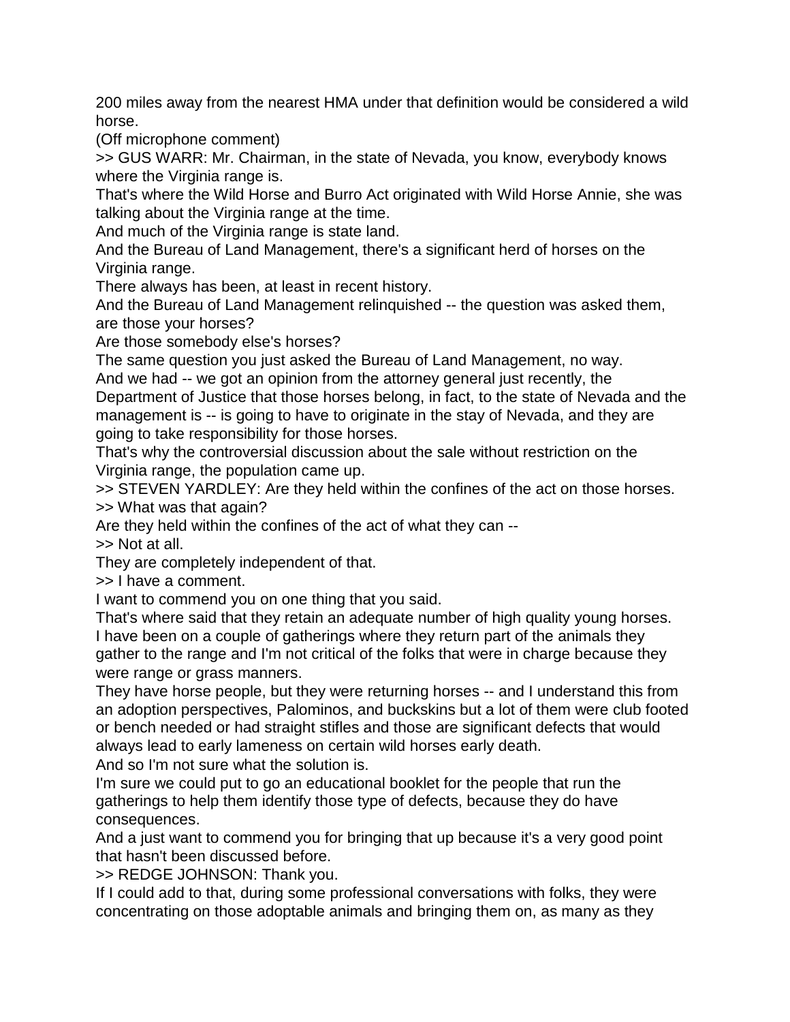200 miles away from the nearest HMA under that definition would be considered a wild horse.

(Off microphone comment)

>> GUS WARR: Mr. Chairman, in the state of Nevada, you know, everybody knows where the Virginia range is.

That's where the Wild Horse and Burro Act originated with Wild Horse Annie, she was talking about the Virginia range at the time.

And much of the Virginia range is state land.

And the Bureau of Land Management, there's a significant herd of horses on the Virginia range.

There always has been, at least in recent history.

And the Bureau of Land Management relinquished -- the question was asked them, are those your horses?

Are those somebody else's horses?

The same question you just asked the Bureau of Land Management, no way. And we had -- we got an opinion from the attorney general just recently, the

Department of Justice that those horses belong, in fact, to the state of Nevada and the management is -- is going to have to originate in the stay of Nevada, and they are going to take responsibility for those horses.

That's why the controversial discussion about the sale without restriction on the Virginia range, the population came up.

>> STEVEN YARDLEY: Are they held within the confines of the act on those horses. >> What was that again?

Are they held within the confines of the act of what they can --

>> Not at all.

They are completely independent of that.

>> I have a comment.

I want to commend you on one thing that you said.

That's where said that they retain an adequate number of high quality young horses. I have been on a couple of gatherings where they return part of the animals they gather to the range and I'm not critical of the folks that were in charge because they were range or grass manners.

They have horse people, but they were returning horses -- and I understand this from an adoption perspectives, Palominos, and buckskins but a lot of them were club footed or bench needed or had straight stifles and those are significant defects that would always lead to early lameness on certain wild horses early death.

And so I'm not sure what the solution is.

I'm sure we could put to go an educational booklet for the people that run the gatherings to help them identify those type of defects, because they do have consequences.

And a just want to commend you for bringing that up because it's a very good point that hasn't been discussed before.

>> REDGE JOHNSON: Thank you.

If I could add to that, during some professional conversations with folks, they were concentrating on those adoptable animals and bringing them on, as many as they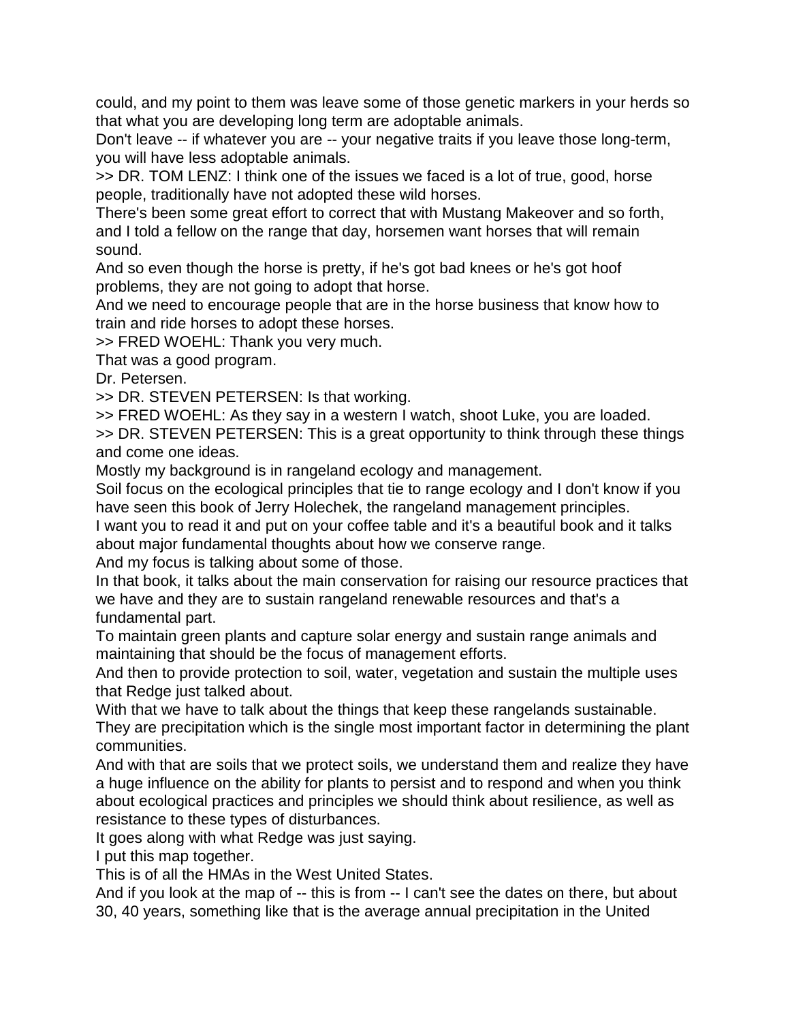could, and my point to them was leave some of those genetic markers in your herds so that what you are developing long term are adoptable animals.

Don't leave -- if whatever you are -- your negative traits if you leave those long-term, you will have less adoptable animals.

>> DR. TOM LENZ: I think one of the issues we faced is a lot of true, good, horse people, traditionally have not adopted these wild horses.

There's been some great effort to correct that with Mustang Makeover and so forth, and I told a fellow on the range that day, horsemen want horses that will remain sound.

And so even though the horse is pretty, if he's got bad knees or he's got hoof problems, they are not going to adopt that horse.

And we need to encourage people that are in the horse business that know how to train and ride horses to adopt these horses.

>> FRED WOEHL: Thank you very much.

That was a good program.

Dr. Petersen.

>> DR. STEVEN PETERSEN: Is that working.

>> FRED WOEHL: As they say in a western I watch, shoot Luke, you are loaded.

>> DR. STEVEN PETERSEN: This is a great opportunity to think through these things and come one ideas.

Mostly my background is in rangeland ecology and management.

Soil focus on the ecological principles that tie to range ecology and I don't know if you have seen this book of Jerry Holechek, the rangeland management principles.

I want you to read it and put on your coffee table and it's a beautiful book and it talks about major fundamental thoughts about how we conserve range.

And my focus is talking about some of those.

In that book, it talks about the main conservation for raising our resource practices that we have and they are to sustain rangeland renewable resources and that's a fundamental part.

To maintain green plants and capture solar energy and sustain range animals and maintaining that should be the focus of management efforts.

And then to provide protection to soil, water, vegetation and sustain the multiple uses that Redge just talked about.

With that we have to talk about the things that keep these rangelands sustainable. They are precipitation which is the single most important factor in determining the plant communities.

And with that are soils that we protect soils, we understand them and realize they have a huge influence on the ability for plants to persist and to respond and when you think about ecological practices and principles we should think about resilience, as well as resistance to these types of disturbances.

It goes along with what Redge was just saying.

I put this map together.

This is of all the HMAs in the West United States.

And if you look at the map of -- this is from -- I can't see the dates on there, but about 30, 40 years, something like that is the average annual precipitation in the United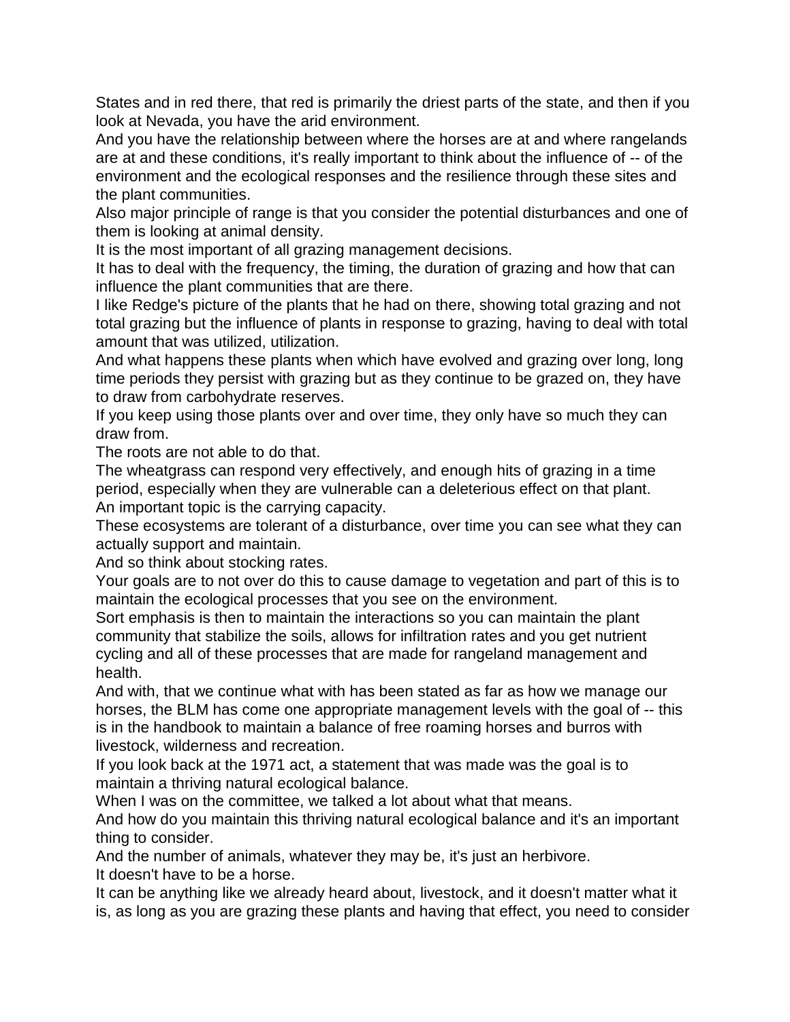States and in red there, that red is primarily the driest parts of the state, and then if you look at Nevada, you have the arid environment.

And you have the relationship between where the horses are at and where rangelands are at and these conditions, it's really important to think about the influence of -- of the environment and the ecological responses and the resilience through these sites and the plant communities.

Also major principle of range is that you consider the potential disturbances and one of them is looking at animal density.

It is the most important of all grazing management decisions.

It has to deal with the frequency, the timing, the duration of grazing and how that can influence the plant communities that are there.

I like Redge's picture of the plants that he had on there, showing total grazing and not total grazing but the influence of plants in response to grazing, having to deal with total amount that was utilized, utilization.

And what happens these plants when which have evolved and grazing over long, long time periods they persist with grazing but as they continue to be grazed on, they have to draw from carbohydrate reserves.

If you keep using those plants over and over time, they only have so much they can draw from.

The roots are not able to do that.

The wheatgrass can respond very effectively, and enough hits of grazing in a time period, especially when they are vulnerable can a deleterious effect on that plant. An important topic is the carrying capacity.

These ecosystems are tolerant of a disturbance, over time you can see what they can actually support and maintain.

And so think about stocking rates.

Your goals are to not over do this to cause damage to vegetation and part of this is to maintain the ecological processes that you see on the environment.

Sort emphasis is then to maintain the interactions so you can maintain the plant community that stabilize the soils, allows for infiltration rates and you get nutrient cycling and all of these processes that are made for rangeland management and health.

And with, that we continue what with has been stated as far as how we manage our horses, the BLM has come one appropriate management levels with the goal of -- this is in the handbook to maintain a balance of free roaming horses and burros with livestock, wilderness and recreation.

If you look back at the 1971 act, a statement that was made was the goal is to maintain a thriving natural ecological balance.

When I was on the committee, we talked a lot about what that means.

And how do you maintain this thriving natural ecological balance and it's an important thing to consider.

And the number of animals, whatever they may be, it's just an herbivore. It doesn't have to be a horse.

It can be anything like we already heard about, livestock, and it doesn't matter what it is, as long as you are grazing these plants and having that effect, you need to consider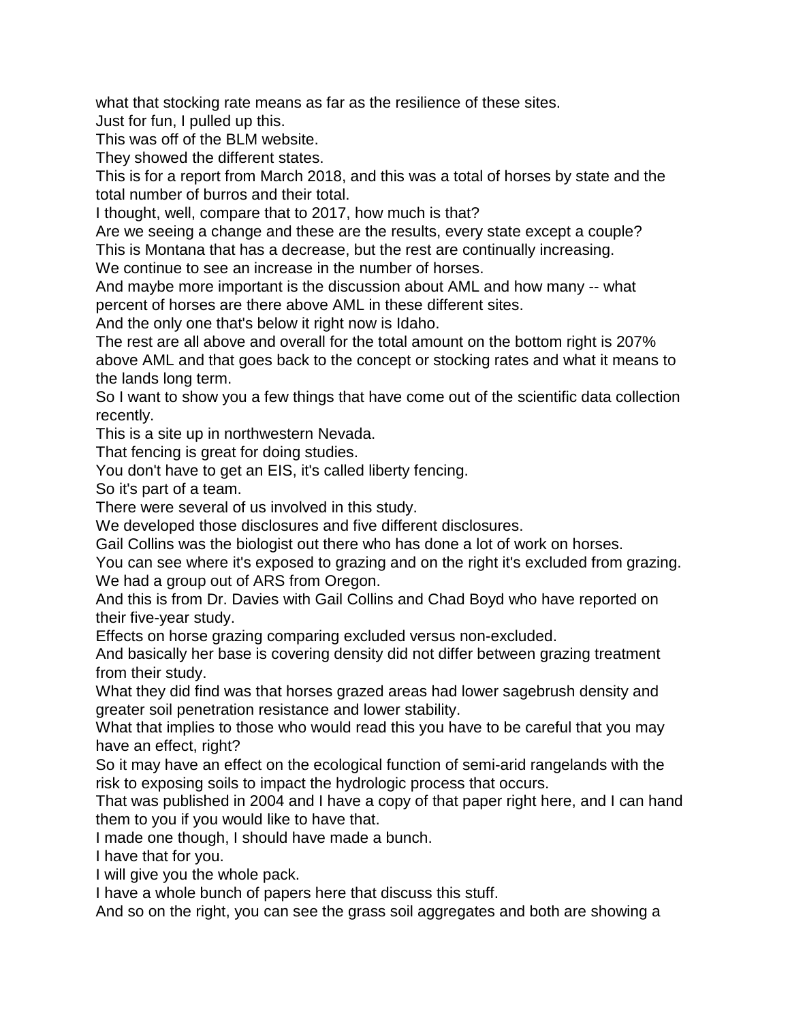what that stocking rate means as far as the resilience of these sites. Just for fun, I pulled up this.

This was off of the BLM website.

They showed the different states.

This is for a report from March 2018, and this was a total of horses by state and the total number of burros and their total.

I thought, well, compare that to 2017, how much is that?

Are we seeing a change and these are the results, every state except a couple? This is Montana that has a decrease, but the rest are continually increasing.

We continue to see an increase in the number of horses.

And maybe more important is the discussion about AML and how many -- what percent of horses are there above AML in these different sites.

And the only one that's below it right now is Idaho.

The rest are all above and overall for the total amount on the bottom right is 207% above AML and that goes back to the concept or stocking rates and what it means to the lands long term.

So I want to show you a few things that have come out of the scientific data collection recently.

This is a site up in northwestern Nevada.

That fencing is great for doing studies.

You don't have to get an EIS, it's called liberty fencing.

So it's part of a team.

There were several of us involved in this study.

We developed those disclosures and five different disclosures.

Gail Collins was the biologist out there who has done a lot of work on horses.

You can see where it's exposed to grazing and on the right it's excluded from grazing. We had a group out of ARS from Oregon.

And this is from Dr. Davies with Gail Collins and Chad Boyd who have reported on their five-year study.

Effects on horse grazing comparing excluded versus non-excluded.

And basically her base is covering density did not differ between grazing treatment from their study.

What they did find was that horses grazed areas had lower sagebrush density and greater soil penetration resistance and lower stability.

What that implies to those who would read this you have to be careful that you may have an effect, right?

So it may have an effect on the ecological function of semi-arid rangelands with the risk to exposing soils to impact the hydrologic process that occurs.

That was published in 2004 and I have a copy of that paper right here, and I can hand them to you if you would like to have that.

I made one though, I should have made a bunch.

I have that for you.

I will give you the whole pack.

I have a whole bunch of papers here that discuss this stuff.

And so on the right, you can see the grass soil aggregates and both are showing a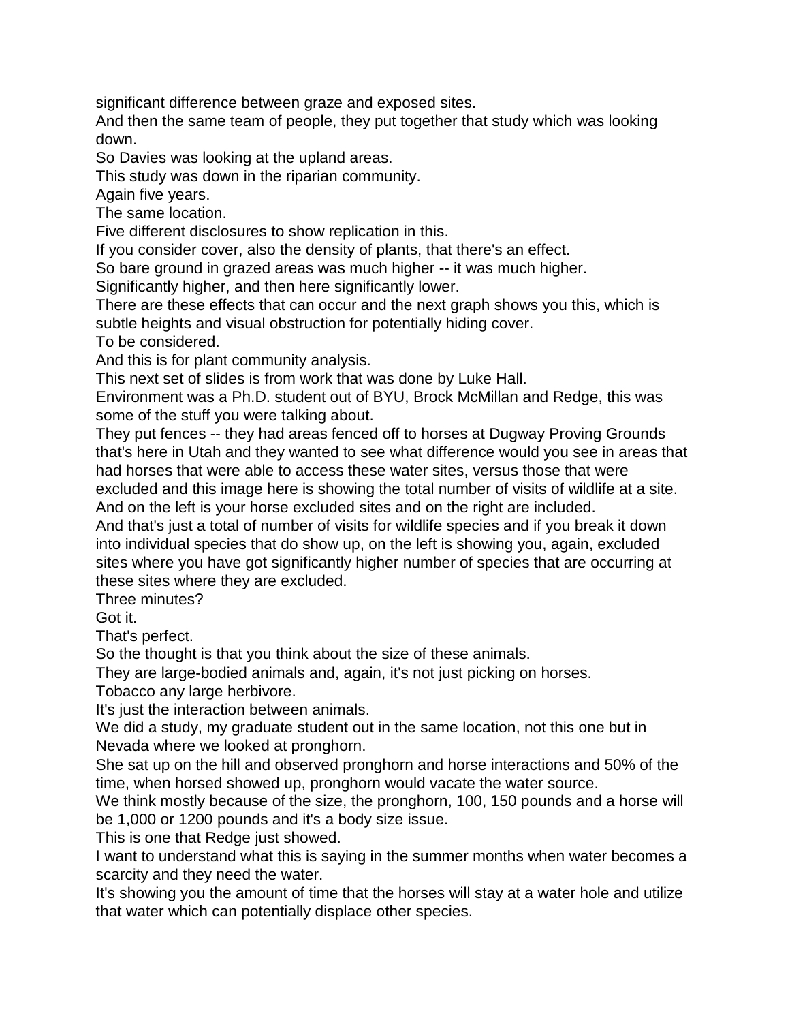significant difference between graze and exposed sites.

And then the same team of people, they put together that study which was looking down.

So Davies was looking at the upland areas.

This study was down in the riparian community.

Again five years.

The same location.

Five different disclosures to show replication in this.

If you consider cover, also the density of plants, that there's an effect.

So bare ground in grazed areas was much higher -- it was much higher.

Significantly higher, and then here significantly lower.

There are these effects that can occur and the next graph shows you this, which is subtle heights and visual obstruction for potentially hiding cover.

To be considered.

And this is for plant community analysis.

This next set of slides is from work that was done by Luke Hall.

Environment was a Ph.D. student out of BYU, Brock McMillan and Redge, this was some of the stuff you were talking about.

They put fences -- they had areas fenced off to horses at Dugway Proving Grounds that's here in Utah and they wanted to see what difference would you see in areas that had horses that were able to access these water sites, versus those that were excluded and this image here is showing the total number of visits of wildlife at a site. And on the left is your horse excluded sites and on the right are included.

And that's just a total of number of visits for wildlife species and if you break it down into individual species that do show up, on the left is showing you, again, excluded sites where you have got significantly higher number of species that are occurring at these sites where they are excluded.

Three minutes?

Got it.

That's perfect.

So the thought is that you think about the size of these animals.

They are large-bodied animals and, again, it's not just picking on horses.

Tobacco any large herbivore.

It's just the interaction between animals.

We did a study, my graduate student out in the same location, not this one but in Nevada where we looked at pronghorn.

She sat up on the hill and observed pronghorn and horse interactions and 50% of the time, when horsed showed up, pronghorn would vacate the water source.

We think mostly because of the size, the pronghorn, 100, 150 pounds and a horse will be 1,000 or 1200 pounds and it's a body size issue.

This is one that Redge just showed.

I want to understand what this is saying in the summer months when water becomes a scarcity and they need the water.

It's showing you the amount of time that the horses will stay at a water hole and utilize that water which can potentially displace other species.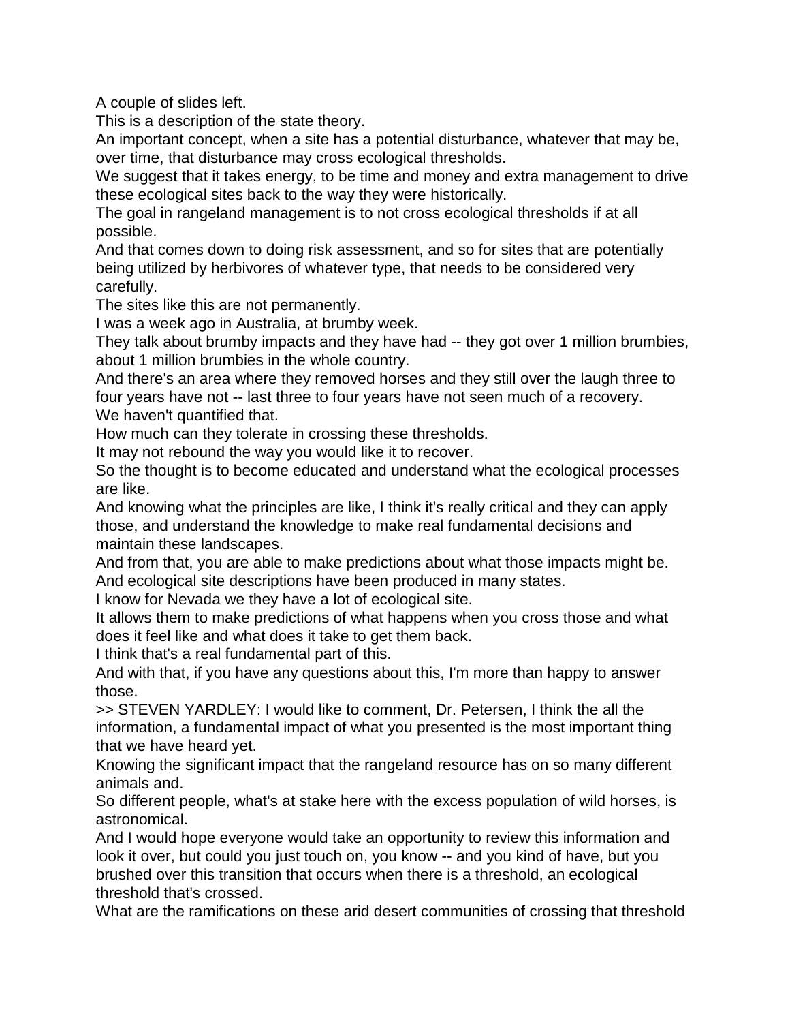A couple of slides left.

This is a description of the state theory.

An important concept, when a site has a potential disturbance, whatever that may be, over time, that disturbance may cross ecological thresholds.

We suggest that it takes energy, to be time and money and extra management to drive these ecological sites back to the way they were historically.

The goal in rangeland management is to not cross ecological thresholds if at all possible.

And that comes down to doing risk assessment, and so for sites that are potentially being utilized by herbivores of whatever type, that needs to be considered very carefully.

The sites like this are not permanently.

I was a week ago in Australia, at brumby week.

They talk about brumby impacts and they have had -- they got over 1 million brumbies, about 1 million brumbies in the whole country.

And there's an area where they removed horses and they still over the laugh three to four years have not -- last three to four years have not seen much of a recovery. We haven't quantified that.

How much can they tolerate in crossing these thresholds.

It may not rebound the way you would like it to recover.

So the thought is to become educated and understand what the ecological processes are like.

And knowing what the principles are like, I think it's really critical and they can apply those, and understand the knowledge to make real fundamental decisions and maintain these landscapes.

And from that, you are able to make predictions about what those impacts might be. And ecological site descriptions have been produced in many states.

I know for Nevada we they have a lot of ecological site.

It allows them to make predictions of what happens when you cross those and what does it feel like and what does it take to get them back.

I think that's a real fundamental part of this.

And with that, if you have any questions about this, I'm more than happy to answer those.

>> STEVEN YARDLEY: I would like to comment, Dr. Petersen, I think the all the information, a fundamental impact of what you presented is the most important thing that we have heard yet.

Knowing the significant impact that the rangeland resource has on so many different animals and.

So different people, what's at stake here with the excess population of wild horses, is astronomical.

And I would hope everyone would take an opportunity to review this information and look it over, but could you just touch on, you know -- and you kind of have, but you brushed over this transition that occurs when there is a threshold, an ecological threshold that's crossed.

What are the ramifications on these arid desert communities of crossing that threshold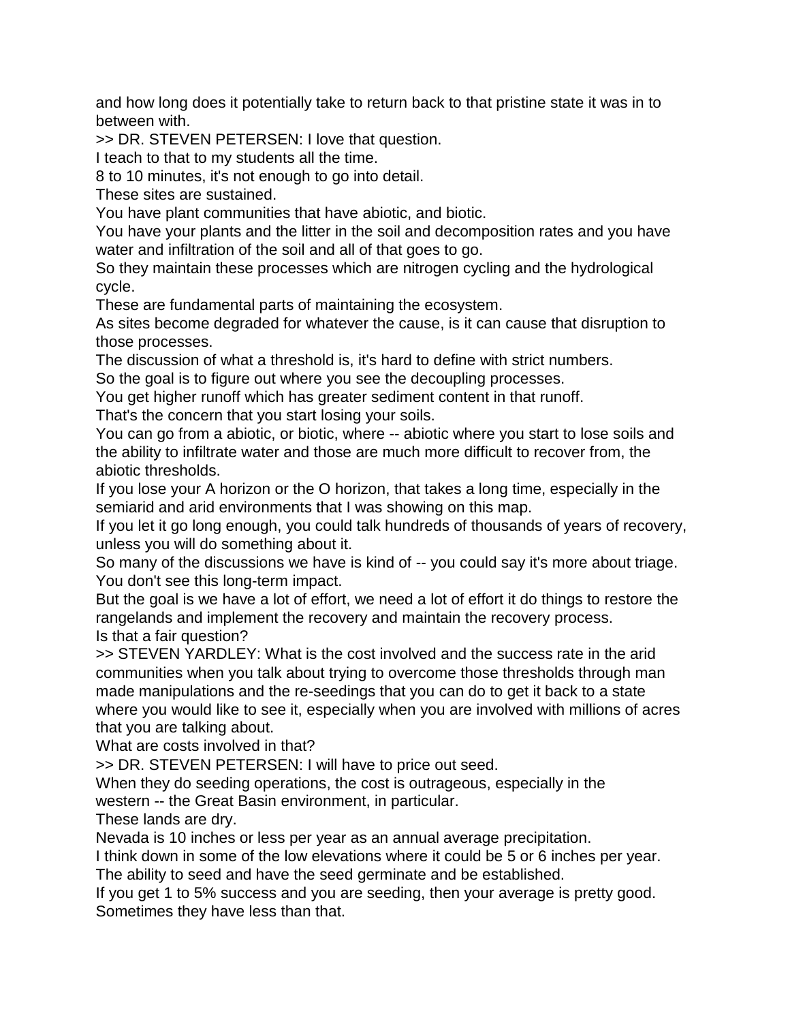and how long does it potentially take to return back to that pristine state it was in to between with.

>> DR. STEVEN PETERSEN: I love that question.

I teach to that to my students all the time.

8 to 10 minutes, it's not enough to go into detail.

These sites are sustained.

You have plant communities that have abiotic, and biotic.

You have your plants and the litter in the soil and decomposition rates and you have water and infiltration of the soil and all of that goes to go.

So they maintain these processes which are nitrogen cycling and the hydrological cycle.

These are fundamental parts of maintaining the ecosystem.

As sites become degraded for whatever the cause, is it can cause that disruption to those processes.

The discussion of what a threshold is, it's hard to define with strict numbers.

So the goal is to figure out where you see the decoupling processes.

You get higher runoff which has greater sediment content in that runoff.

That's the concern that you start losing your soils.

You can go from a abiotic, or biotic, where -- abiotic where you start to lose soils and the ability to infiltrate water and those are much more difficult to recover from, the abiotic thresholds.

If you lose your A horizon or the O horizon, that takes a long time, especially in the semiarid and arid environments that I was showing on this map.

If you let it go long enough, you could talk hundreds of thousands of years of recovery, unless you will do something about it.

So many of the discussions we have is kind of -- you could say it's more about triage. You don't see this long-term impact.

But the goal is we have a lot of effort, we need a lot of effort it do things to restore the rangelands and implement the recovery and maintain the recovery process. Is that a fair question?

>> STEVEN YARDLEY: What is the cost involved and the success rate in the arid communities when you talk about trying to overcome those thresholds through man made manipulations and the re-seedings that you can do to get it back to a state where you would like to see it, especially when you are involved with millions of acres that you are talking about.

What are costs involved in that?

>> DR. STEVEN PETERSEN: I will have to price out seed.

When they do seeding operations, the cost is outrageous, especially in the western -- the Great Basin environment, in particular.

These lands are dry.

Nevada is 10 inches or less per year as an annual average precipitation.

I think down in some of the low elevations where it could be 5 or 6 inches per year. The ability to seed and have the seed germinate and be established.

If you get 1 to 5% success and you are seeding, then your average is pretty good. Sometimes they have less than that.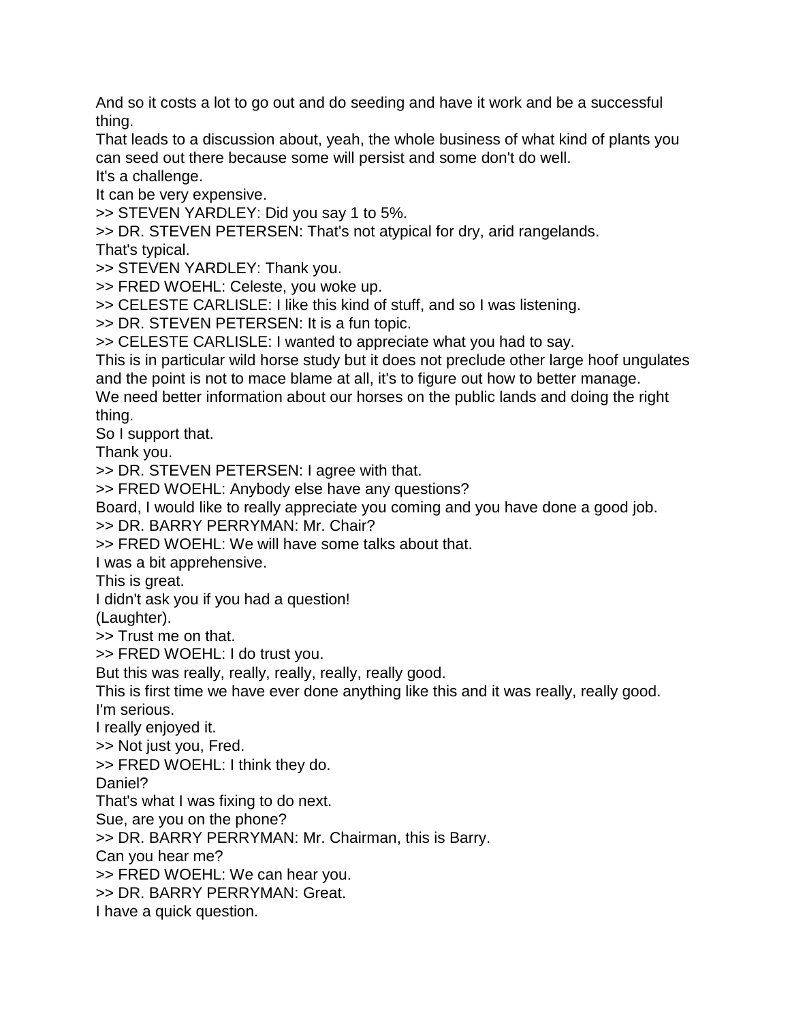And so it costs a lot to go out and do seeding and have it work and be a successful thing.

That leads to a discussion about, yeah, the whole business of what kind of plants you can seed out there because some will persist and some don't do well.

It's a challenge.

It can be very expensive.

>> STEVEN YARDLEY: Did you say 1 to 5%.

>> DR. STEVEN PETERSEN: That's not atypical for dry, arid rangelands.

That's typical.

>> STEVEN YARDLEY: Thank you.

>> FRED WOEHL: Celeste, you woke up.

>> CELESTE CARLISLE: I like this kind of stuff, and so I was listening.

>> DR. STEVEN PETERSEN: It is a fun topic.

>> CELESTE CARLISLE: I wanted to appreciate what you had to say.

This is in particular wild horse study but it does not preclude other large hoof ungulates and the point is not to mace blame at all, it's to figure out how to better manage.

We need better information about our horses on the public lands and doing the right thing.

So I support that.

Thank you.

>> DR. STEVEN PETERSEN: I agree with that.

>> FRED WOEHL: Anybody else have any questions?

Board, I would like to really appreciate you coming and you have done a good job.

>> DR. BARRY PERRYMAN: Mr. Chair?

>> FRED WOEHL: We will have some talks about that.

I was a bit apprehensive.

This is great.

I didn't ask you if you had a question!

(Laughter).

>> Trust me on that.

>> FRED WOEHL: I do trust you.

But this was really, really, really, really, really good.

This is first time we have ever done anything like this and it was really, really good. I'm serious.

I really enjoyed it.

>> Not just you, Fred.

>> FRED WOEHL: I think they do.

Daniel?

That's what I was fixing to do next.

Sue, are you on the phone?

>> DR. BARRY PERRYMAN: Mr. Chairman, this is Barry.

Can you hear me?

>> FRED WOEHL: We can hear you.

>> DR. BARRY PERRYMAN: Great.

I have a quick question.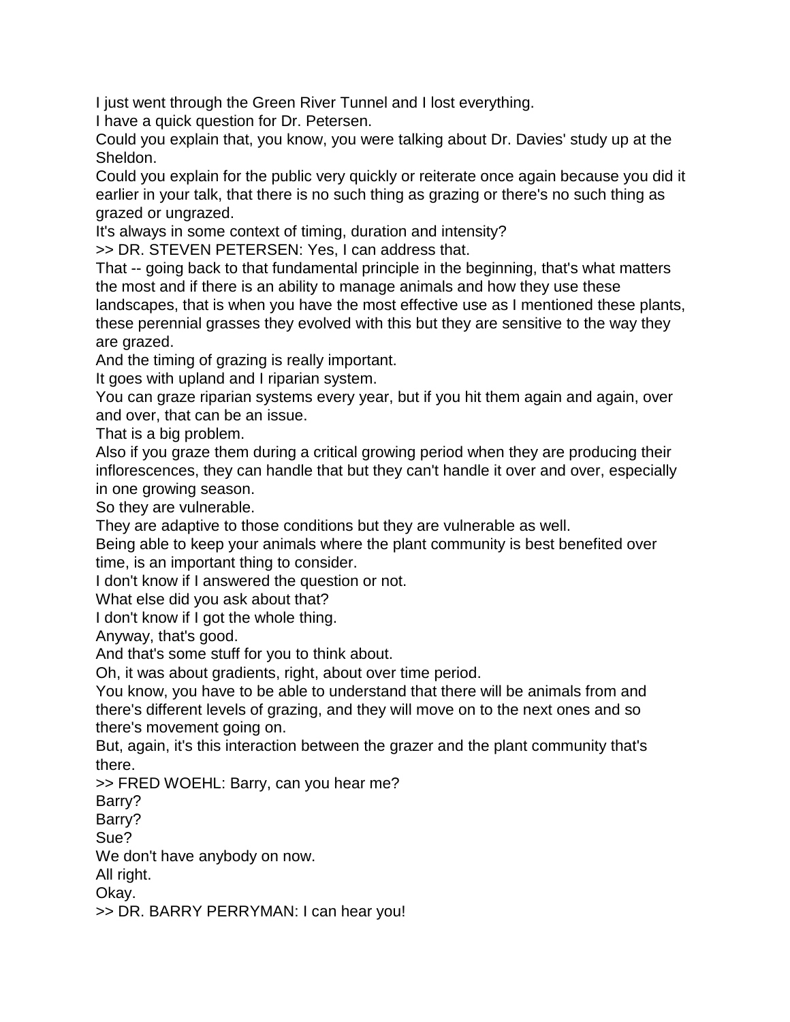I just went through the Green River Tunnel and I lost everything.

I have a quick question for Dr. Petersen.

Could you explain that, you know, you were talking about Dr. Davies' study up at the Sheldon.

Could you explain for the public very quickly or reiterate once again because you did it earlier in your talk, that there is no such thing as grazing or there's no such thing as grazed or ungrazed.

It's always in some context of timing, duration and intensity?

>> DR. STEVEN PETERSEN: Yes, I can address that.

That -- going back to that fundamental principle in the beginning, that's what matters the most and if there is an ability to manage animals and how they use these landscapes, that is when you have the most effective use as I mentioned these plants, these perennial grasses they evolved with this but they are sensitive to the way they are grazed.

And the timing of grazing is really important.

It goes with upland and I riparian system.

You can graze riparian systems every year, but if you hit them again and again, over and over, that can be an issue.

That is a big problem.

Also if you graze them during a critical growing period when they are producing their inflorescences, they can handle that but they can't handle it over and over, especially in one growing season.

So they are vulnerable.

They are adaptive to those conditions but they are vulnerable as well.

Being able to keep your animals where the plant community is best benefited over time, is an important thing to consider.

I don't know if I answered the question or not.

What else did you ask about that?

I don't know if I got the whole thing.

Anyway, that's good.

And that's some stuff for you to think about.

Oh, it was about gradients, right, about over time period.

You know, you have to be able to understand that there will be animals from and there's different levels of grazing, and they will move on to the next ones and so there's movement going on.

But, again, it's this interaction between the grazer and the plant community that's there.

>> FRED WOEHL: Barry, can you hear me?

Barry?

Barry?

Sue?

We don't have anybody on now.

All right.

Okay.

>> DR. BARRY PERRYMAN: I can hear you!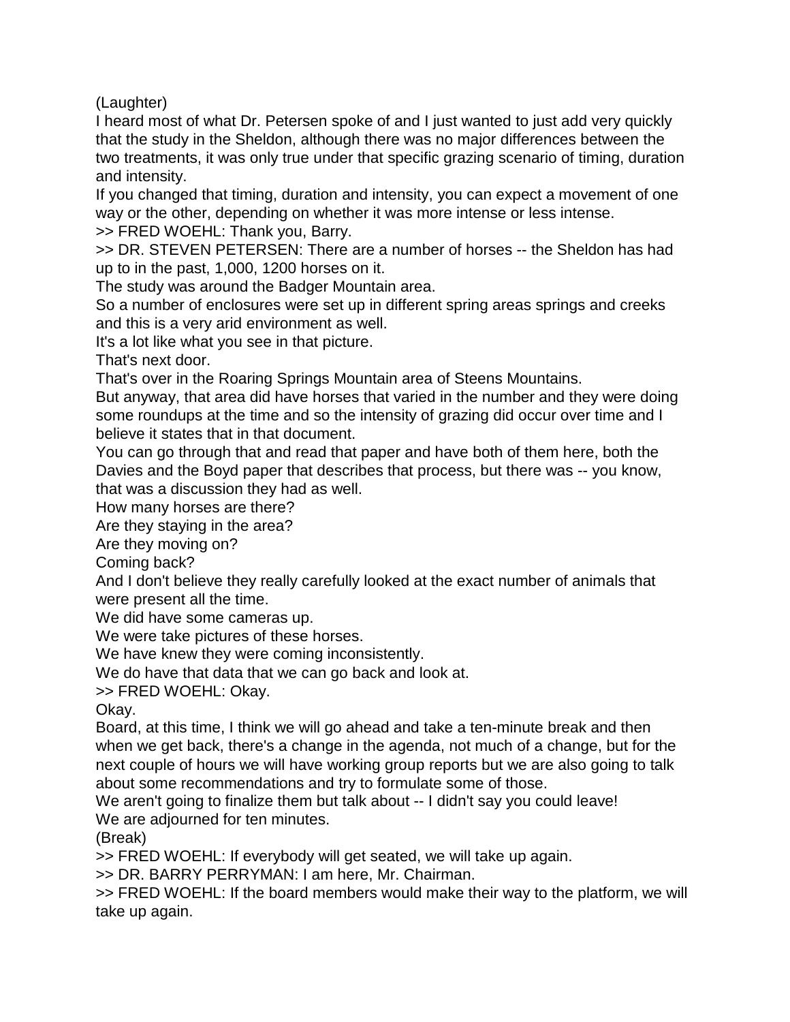(Laughter)

I heard most of what Dr. Petersen spoke of and I just wanted to just add very quickly that the study in the Sheldon, although there was no major differences between the two treatments, it was only true under that specific grazing scenario of timing, duration and intensity.

If you changed that timing, duration and intensity, you can expect a movement of one way or the other, depending on whether it was more intense or less intense. >> FRED WOEHL: Thank you, Barry.

>> DR. STEVEN PETERSEN: There are a number of horses -- the Sheldon has had up to in the past, 1,000, 1200 horses on it.

The study was around the Badger Mountain area.

So a number of enclosures were set up in different spring areas springs and creeks and this is a very arid environment as well.

It's a lot like what you see in that picture.

That's next door.

That's over in the Roaring Springs Mountain area of Steens Mountains.

But anyway, that area did have horses that varied in the number and they were doing some roundups at the time and so the intensity of grazing did occur over time and I believe it states that in that document.

You can go through that and read that paper and have both of them here, both the Davies and the Boyd paper that describes that process, but there was -- you know, that was a discussion they had as well.

How many horses are there?

Are they staying in the area?

Are they moving on?

Coming back?

And I don't believe they really carefully looked at the exact number of animals that were present all the time.

We did have some cameras up.

We were take pictures of these horses.

We have knew they were coming inconsistently.

We do have that data that we can go back and look at.

>> FRED WOEHL: Okay.

Okay.

Board, at this time, I think we will go ahead and take a ten-minute break and then when we get back, there's a change in the agenda, not much of a change, but for the next couple of hours we will have working group reports but we are also going to talk about some recommendations and try to formulate some of those.

We aren't going to finalize them but talk about -- I didn't say you could leave! We are adjourned for ten minutes.

(Break)

>> FRED WOEHL: If everybody will get seated, we will take up again.

>> DR. BARRY PERRYMAN: I am here, Mr. Chairman.

>> FRED WOEHL: If the board members would make their way to the platform, we will take up again.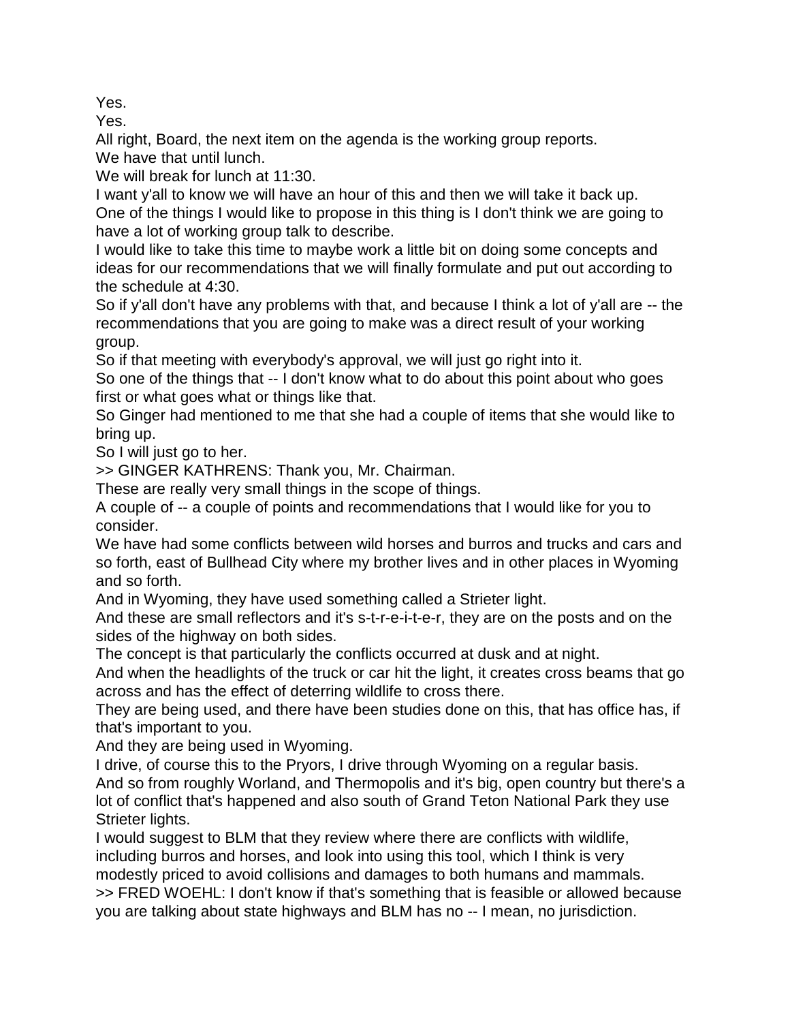Yes.

Yes.

All right, Board, the next item on the agenda is the working group reports. We have that until lunch.

We will break for lunch at 11:30.

I want y'all to know we will have an hour of this and then we will take it back up. One of the things I would like to propose in this thing is I don't think we are going to have a lot of working group talk to describe.

I would like to take this time to maybe work a little bit on doing some concepts and ideas for our recommendations that we will finally formulate and put out according to the schedule at 4:30.

So if y'all don't have any problems with that, and because I think a lot of y'all are -- the recommendations that you are going to make was a direct result of your working group.

So if that meeting with everybody's approval, we will just go right into it.

So one of the things that -- I don't know what to do about this point about who goes first or what goes what or things like that.

So Ginger had mentioned to me that she had a couple of items that she would like to bring up.

So I will just go to her.

>> GINGER KATHRENS: Thank you, Mr. Chairman.

These are really very small things in the scope of things.

A couple of -- a couple of points and recommendations that I would like for you to consider.

We have had some conflicts between wild horses and burros and trucks and cars and so forth, east of Bullhead City where my brother lives and in other places in Wyoming and so forth.

And in Wyoming, they have used something called a Strieter light.

And these are small reflectors and it's s-t-r-e-i-t-e-r, they are on the posts and on the sides of the highway on both sides.

The concept is that particularly the conflicts occurred at dusk and at night.

And when the headlights of the truck or car hit the light, it creates cross beams that go across and has the effect of deterring wildlife to cross there.

They are being used, and there have been studies done on this, that has office has, if that's important to you.

And they are being used in Wyoming.

I drive, of course this to the Pryors, I drive through Wyoming on a regular basis. And so from roughly Worland, and Thermopolis and it's big, open country but there's a lot of conflict that's happened and also south of Grand Teton National Park they use Strieter lights.

I would suggest to BLM that they review where there are conflicts with wildlife, including burros and horses, and look into using this tool, which I think is very modestly priced to avoid collisions and damages to both humans and mammals. >> FRED WOEHL: I don't know if that's something that is feasible or allowed because you are talking about state highways and BLM has no -- I mean, no jurisdiction.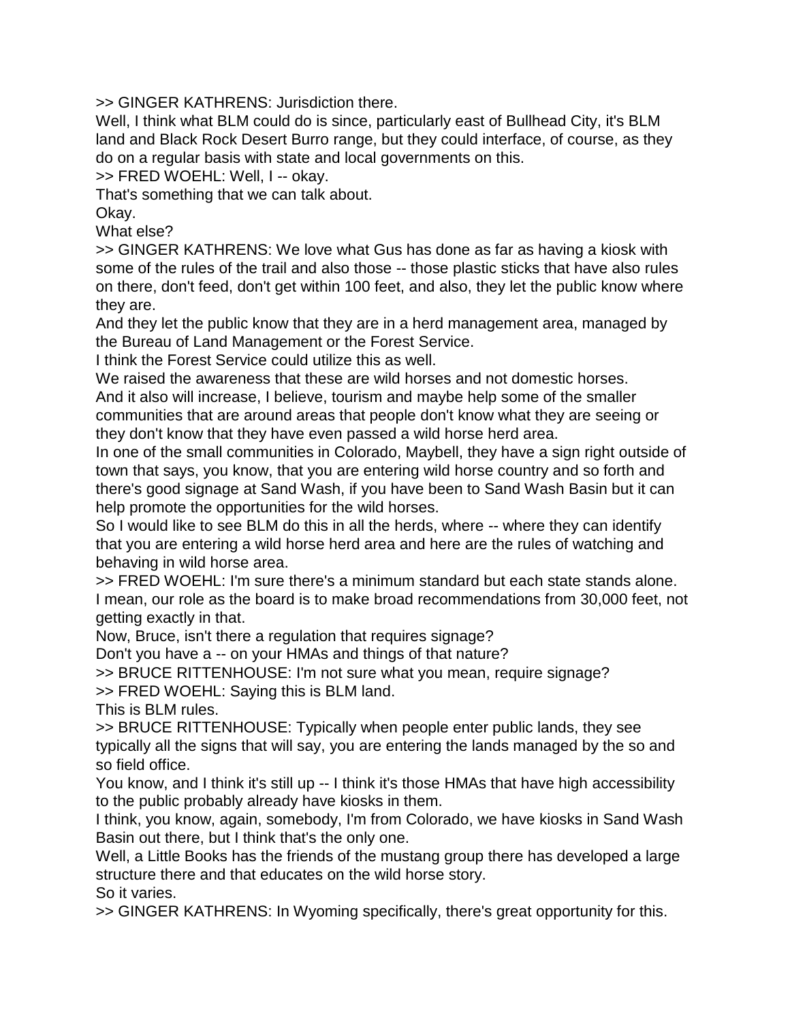>> GINGER KATHRENS: Jurisdiction there.

Well, I think what BLM could do is since, particularly east of Bullhead City, it's BLM land and Black Rock Desert Burro range, but they could interface, of course, as they do on a regular basis with state and local governments on this.

>> FRED WOEHL: Well, I -- okay.

That's something that we can talk about.

Okay.

What else?

>> GINGER KATHRENS: We love what Gus has done as far as having a kiosk with some of the rules of the trail and also those -- those plastic sticks that have also rules on there, don't feed, don't get within 100 feet, and also, they let the public know where they are.

And they let the public know that they are in a herd management area, managed by the Bureau of Land Management or the Forest Service.

I think the Forest Service could utilize this as well.

We raised the awareness that these are wild horses and not domestic horses.

And it also will increase, I believe, tourism and maybe help some of the smaller communities that are around areas that people don't know what they are seeing or they don't know that they have even passed a wild horse herd area.

In one of the small communities in Colorado, Maybell, they have a sign right outside of town that says, you know, that you are entering wild horse country and so forth and there's good signage at Sand Wash, if you have been to Sand Wash Basin but it can help promote the opportunities for the wild horses.

So I would like to see BLM do this in all the herds, where -- where they can identify that you are entering a wild horse herd area and here are the rules of watching and behaving in wild horse area.

>> FRED WOEHL: I'm sure there's a minimum standard but each state stands alone. I mean, our role as the board is to make broad recommendations from 30,000 feet, not getting exactly in that.

Now, Bruce, isn't there a regulation that requires signage?

Don't you have a -- on your HMAs and things of that nature?

>> BRUCE RITTENHOUSE: I'm not sure what you mean, require signage?

>> FRED WOEHL: Saying this is BLM land.

This is BLM rules.

>> BRUCE RITTENHOUSE: Typically when people enter public lands, they see typically all the signs that will say, you are entering the lands managed by the so and so field office.

You know, and I think it's still up -- I think it's those HMAs that have high accessibility to the public probably already have kiosks in them.

I think, you know, again, somebody, I'm from Colorado, we have kiosks in Sand Wash Basin out there, but I think that's the only one.

Well, a Little Books has the friends of the mustang group there has developed a large structure there and that educates on the wild horse story. So it varies.

>> GINGER KATHRENS: In Wyoming specifically, there's great opportunity for this.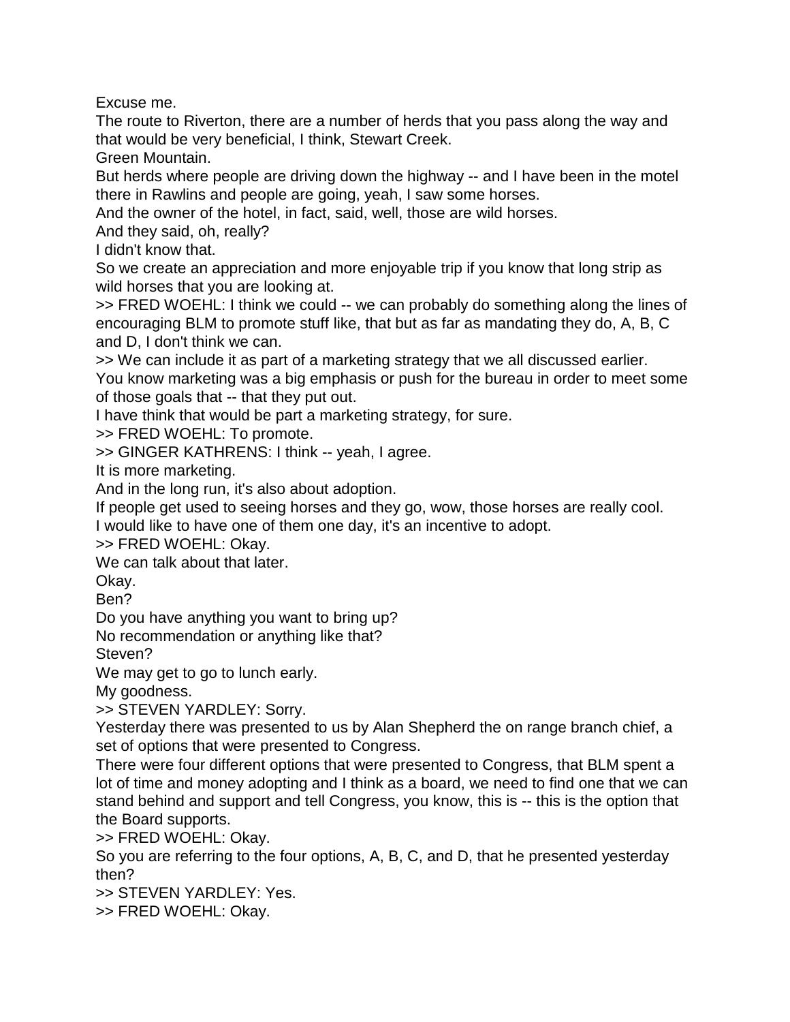Excuse me.

The route to Riverton, there are a number of herds that you pass along the way and that would be very beneficial, I think, Stewart Creek.

Green Mountain.

But herds where people are driving down the highway -- and I have been in the motel there in Rawlins and people are going, yeah, I saw some horses.

And the owner of the hotel, in fact, said, well, those are wild horses.

And they said, oh, really?

I didn't know that.

So we create an appreciation and more enjoyable trip if you know that long strip as wild horses that you are looking at.

>> FRED WOEHL: I think we could -- we can probably do something along the lines of encouraging BLM to promote stuff like, that but as far as mandating they do, A, B, C and D, I don't think we can.

>> We can include it as part of a marketing strategy that we all discussed earlier. You know marketing was a big emphasis or push for the bureau in order to meet some of those goals that -- that they put out.

I have think that would be part a marketing strategy, for sure.

>> FRED WOEHL: To promote.

>> GINGER KATHRENS: I think -- yeah, I agree.

It is more marketing.

And in the long run, it's also about adoption.

If people get used to seeing horses and they go, wow, those horses are really cool.

I would like to have one of them one day, it's an incentive to adopt.

>> FRED WOEHL: Okay.

We can talk about that later.

Okay.

Ben?

Do you have anything you want to bring up?

No recommendation or anything like that?

Steven?

We may get to go to lunch early.

My goodness.

>> STEVEN YARDLEY: Sorry.

Yesterday there was presented to us by Alan Shepherd the on range branch chief, a set of options that were presented to Congress.

There were four different options that were presented to Congress, that BLM spent a lot of time and money adopting and I think as a board, we need to find one that we can stand behind and support and tell Congress, you know, this is -- this is the option that the Board supports.

>> FRED WOEHL: Okay.

So you are referring to the four options, A, B, C, and D, that he presented yesterday then?

>> STEVEN YARDLEY: Yes.

>> FRED WOEHL: Okay.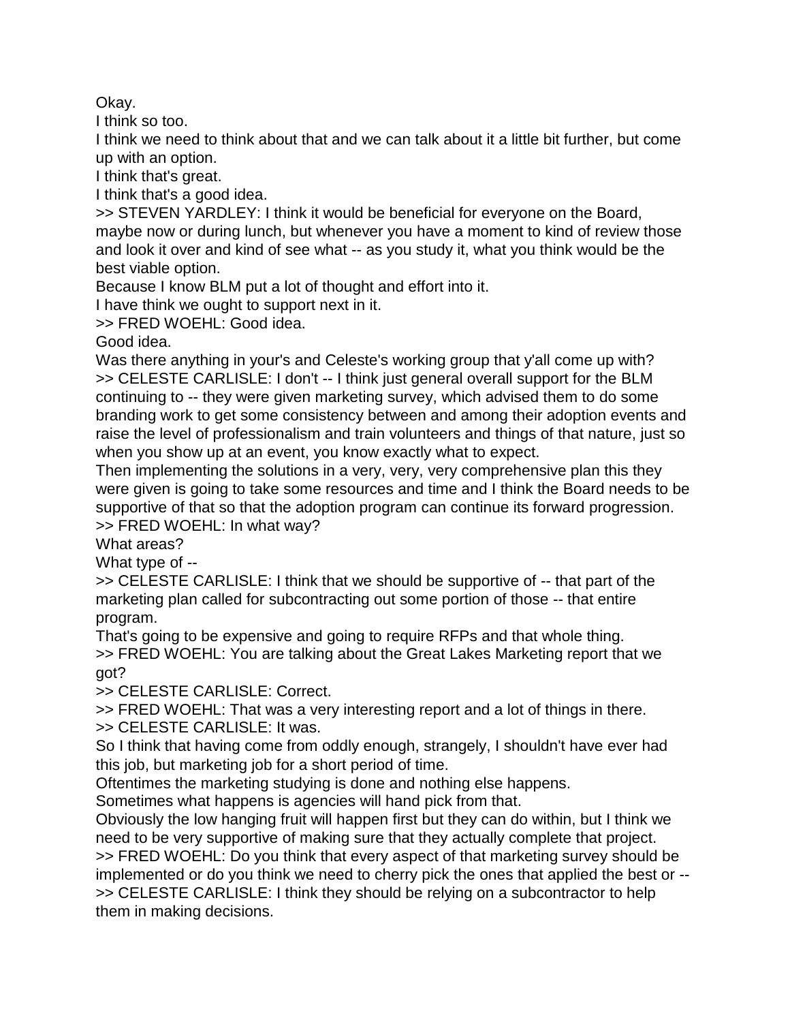Okay.

I think so too.

I think we need to think about that and we can talk about it a little bit further, but come up with an option.

I think that's great.

I think that's a good idea.

>> STEVEN YARDLEY: I think it would be beneficial for everyone on the Board, maybe now or during lunch, but whenever you have a moment to kind of review those and look it over and kind of see what -- as you study it, what you think would be the best viable option.

Because I know BLM put a lot of thought and effort into it.

I have think we ought to support next in it.

>> FRED WOEHL: Good idea.

Good idea.

Was there anything in your's and Celeste's working group that y'all come up with? >> CELESTE CARLISLE: I don't -- I think just general overall support for the BLM continuing to -- they were given marketing survey, which advised them to do some branding work to get some consistency between and among their adoption events and raise the level of professionalism and train volunteers and things of that nature, just so when you show up at an event, you know exactly what to expect.

Then implementing the solutions in a very, very, very comprehensive plan this they were given is going to take some resources and time and I think the Board needs to be supportive of that so that the adoption program can continue its forward progression. >> FRED WOEHL: In what way?

What areas?

What type of --

>> CELESTE CARLISLE: I think that we should be supportive of -- that part of the marketing plan called for subcontracting out some portion of those -- that entire program.

That's going to be expensive and going to require RFPs and that whole thing. >> FRED WOEHL: You are talking about the Great Lakes Marketing report that we got?

>> CELESTE CARLISLE: Correct.

>> FRED WOEHL: That was a very interesting report and a lot of things in there. >> CELESTE CARLISLE: It was.

So I think that having come from oddly enough, strangely, I shouldn't have ever had this job, but marketing job for a short period of time.

Oftentimes the marketing studying is done and nothing else happens.

Sometimes what happens is agencies will hand pick from that.

Obviously the low hanging fruit will happen first but they can do within, but I think we need to be very supportive of making sure that they actually complete that project. >> FRED WOEHL: Do you think that every aspect of that marketing survey should be implemented or do you think we need to cherry pick the ones that applied the best or -- >> CELESTE CARLISLE: I think they should be relying on a subcontractor to help them in making decisions.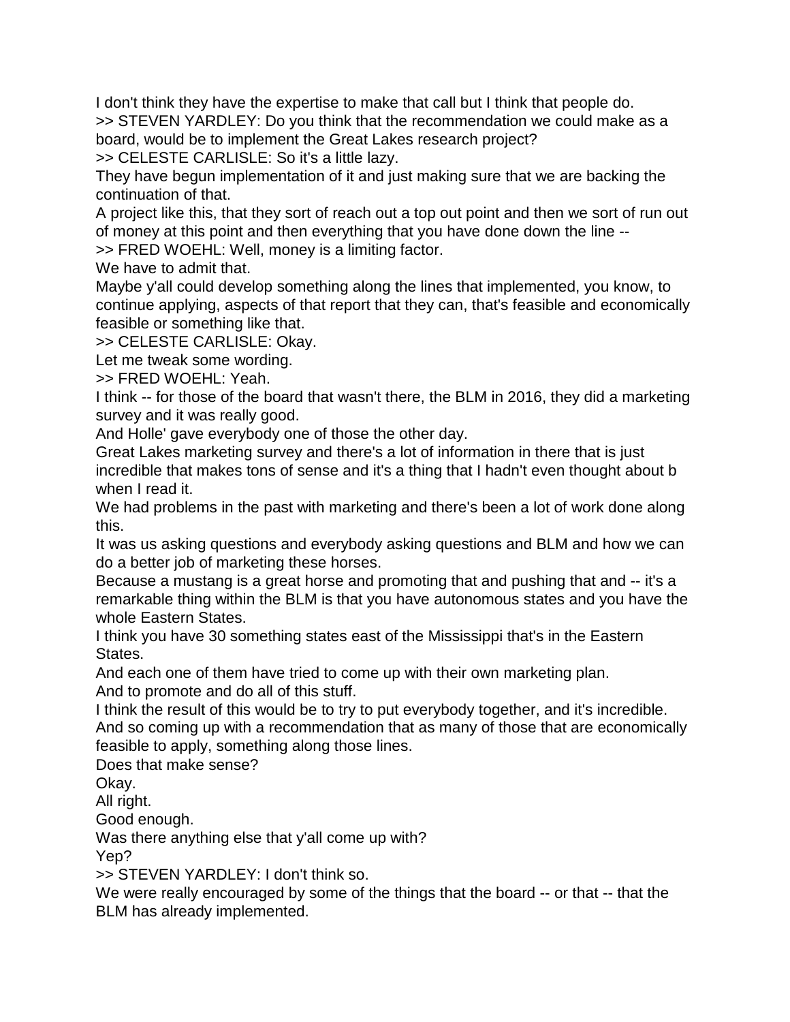I don't think they have the expertise to make that call but I think that people do. >> STEVEN YARDLEY: Do you think that the recommendation we could make as a board, would be to implement the Great Lakes research project?

>> CELESTE CARLISLE: So it's a little lazy.

They have begun implementation of it and just making sure that we are backing the continuation of that.

A project like this, that they sort of reach out a top out point and then we sort of run out of money at this point and then everything that you have done down the line --

>> FRED WOEHL: Well, money is a limiting factor.

We have to admit that.

Maybe y'all could develop something along the lines that implemented, you know, to continue applying, aspects of that report that they can, that's feasible and economically feasible or something like that.

>> CELESTE CARLISLE: Okay.

Let me tweak some wording.

>> FRED WOEHL: Yeah.

I think -- for those of the board that wasn't there, the BLM in 2016, they did a marketing survey and it was really good.

And Holle' gave everybody one of those the other day.

Great Lakes marketing survey and there's a lot of information in there that is just incredible that makes tons of sense and it's a thing that I hadn't even thought about b when I read it.

We had problems in the past with marketing and there's been a lot of work done along this.

It was us asking questions and everybody asking questions and BLM and how we can do a better job of marketing these horses.

Because a mustang is a great horse and promoting that and pushing that and -- it's a remarkable thing within the BLM is that you have autonomous states and you have the whole Eastern States.

I think you have 30 something states east of the Mississippi that's in the Eastern States.

And each one of them have tried to come up with their own marketing plan.

And to promote and do all of this stuff.

I think the result of this would be to try to put everybody together, and it's incredible. And so coming up with a recommendation that as many of those that are economically feasible to apply, something along those lines.

Does that make sense?

Okay.

All right.

Good enough.

Was there anything else that y'all come up with?

Yep?

>> STEVEN YARDLEY: I don't think so.

We were really encouraged by some of the things that the board -- or that -- that the BLM has already implemented.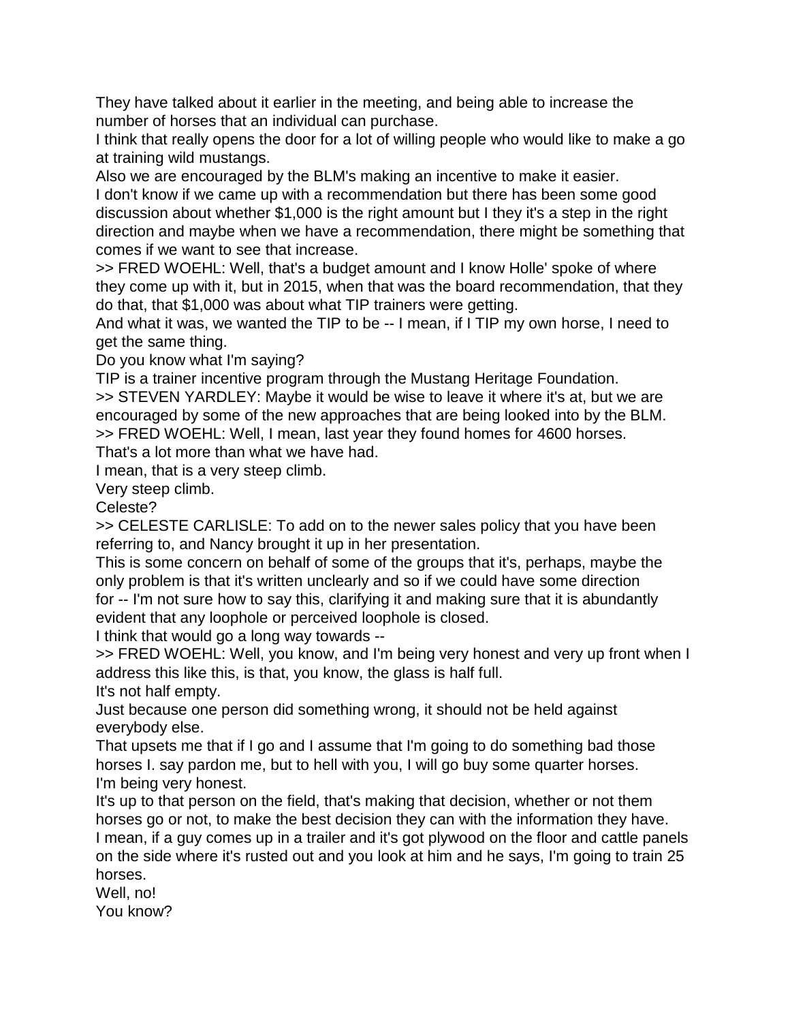They have talked about it earlier in the meeting, and being able to increase the number of horses that an individual can purchase.

I think that really opens the door for a lot of willing people who would like to make a go at training wild mustangs.

Also we are encouraged by the BLM's making an incentive to make it easier. I don't know if we came up with a recommendation but there has been some good discussion about whether \$1,000 is the right amount but I they it's a step in the right direction and maybe when we have a recommendation, there might be something that comes if we want to see that increase.

>> FRED WOEHL: Well, that's a budget amount and I know Holle' spoke of where they come up with it, but in 2015, when that was the board recommendation, that they do that, that \$1,000 was about what TIP trainers were getting.

And what it was, we wanted the TIP to be -- I mean, if I TIP my own horse, I need to get the same thing.

Do you know what I'm saying?

TIP is a trainer incentive program through the Mustang Heritage Foundation.

>> STEVEN YARDLEY: Maybe it would be wise to leave it where it's at, but we are encouraged by some of the new approaches that are being looked into by the BLM. >> FRED WOEHL: Well, I mean, last year they found homes for 4600 horses.

That's a lot more than what we have had.

I mean, that is a very steep climb.

Very steep climb.

Celeste?

>> CELESTE CARLISLE: To add on to the newer sales policy that you have been referring to, and Nancy brought it up in her presentation.

This is some concern on behalf of some of the groups that it's, perhaps, maybe the only problem is that it's written unclearly and so if we could have some direction for -- I'm not sure how to say this, clarifying it and making sure that it is abundantly evident that any loophole or perceived loophole is closed.

I think that would go a long way towards --

>> FRED WOEHL: Well, you know, and I'm being very honest and very up front when I address this like this, is that, you know, the glass is half full.

It's not half empty.

Just because one person did something wrong, it should not be held against everybody else.

That upsets me that if I go and I assume that I'm going to do something bad those horses I. say pardon me, but to hell with you, I will go buy some quarter horses. I'm being very honest.

It's up to that person on the field, that's making that decision, whether or not them horses go or not, to make the best decision they can with the information they have. I mean, if a guy comes up in a trailer and it's got plywood on the floor and cattle panels

on the side where it's rusted out and you look at him and he says, I'm going to train 25 horses.

Well, no! You know?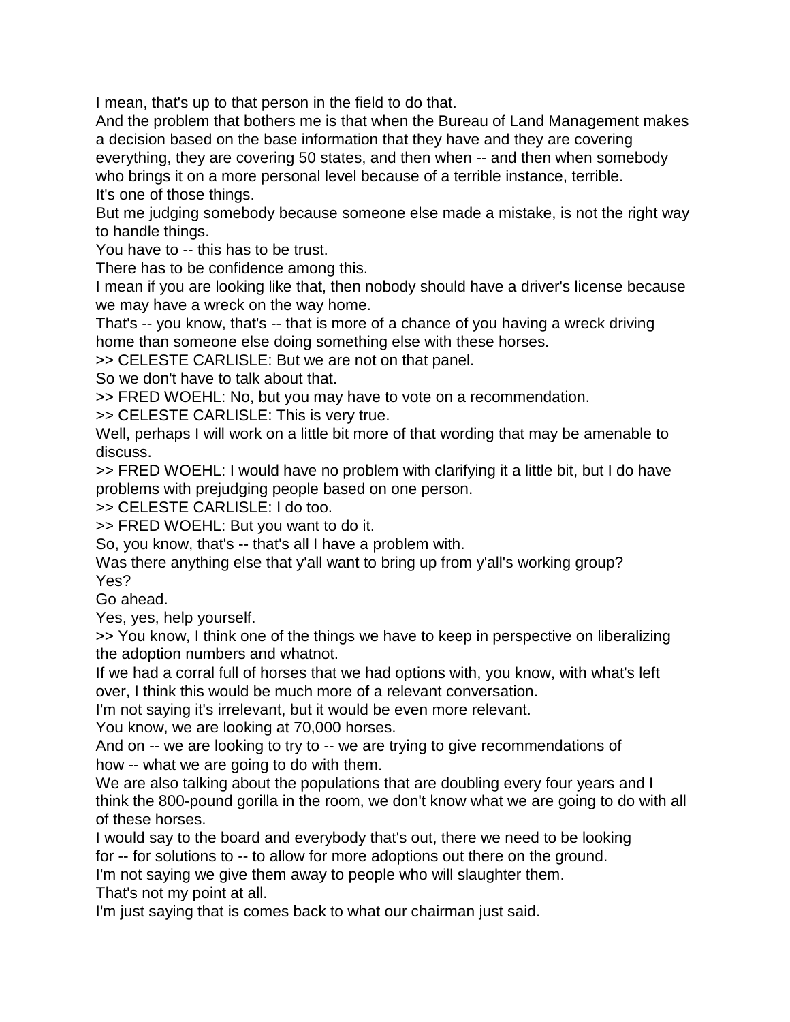I mean, that's up to that person in the field to do that.

And the problem that bothers me is that when the Bureau of Land Management makes a decision based on the base information that they have and they are covering everything, they are covering 50 states, and then when -- and then when somebody who brings it on a more personal level because of a terrible instance, terrible. It's one of those things.

But me judging somebody because someone else made a mistake, is not the right way to handle things.

You have to -- this has to be trust.

There has to be confidence among this.

I mean if you are looking like that, then nobody should have a driver's license because we may have a wreck on the way home.

That's -- you know, that's -- that is more of a chance of you having a wreck driving home than someone else doing something else with these horses.

>> CELESTE CARLISLE: But we are not on that panel.

So we don't have to talk about that.

>> FRED WOEHL: No, but you may have to vote on a recommendation.

>> CELESTE CARLISLE: This is very true.

Well, perhaps I will work on a little bit more of that wording that may be amenable to discuss.

>> FRED WOEHL: I would have no problem with clarifying it a little bit, but I do have problems with prejudging people based on one person.

>> CELESTE CARLISLE: I do too.

>> FRED WOEHL: But you want to do it.

So, you know, that's -- that's all I have a problem with.

Was there anything else that y'all want to bring up from y'all's working group? Yes?

Go ahead.

Yes, yes, help yourself.

>> You know, I think one of the things we have to keep in perspective on liberalizing the adoption numbers and whatnot.

If we had a corral full of horses that we had options with, you know, with what's left over, I think this would be much more of a relevant conversation.

I'm not saying it's irrelevant, but it would be even more relevant.

You know, we are looking at 70,000 horses.

And on -- we are looking to try to -- we are trying to give recommendations of how -- what we are going to do with them.

We are also talking about the populations that are doubling every four years and I think the 800-pound gorilla in the room, we don't know what we are going to do with all of these horses.

I would say to the board and everybody that's out, there we need to be looking for -- for solutions to -- to allow for more adoptions out there on the ground.

I'm not saying we give them away to people who will slaughter them. That's not my point at all.

I'm just saying that is comes back to what our chairman just said.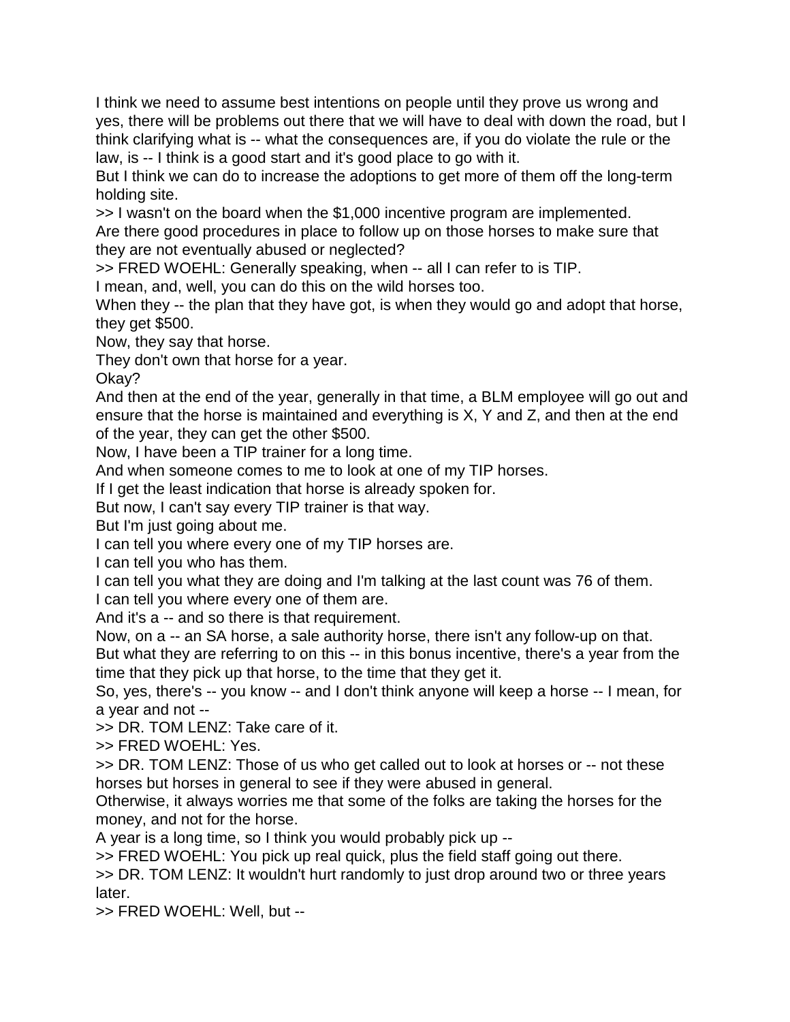I think we need to assume best intentions on people until they prove us wrong and yes, there will be problems out there that we will have to deal with down the road, but I think clarifying what is -- what the consequences are, if you do violate the rule or the law, is -- I think is a good start and it's good place to go with it.

But I think we can do to increase the adoptions to get more of them off the long-term holding site.

>> I wasn't on the board when the \$1,000 incentive program are implemented.

Are there good procedures in place to follow up on those horses to make sure that they are not eventually abused or neglected?

>> FRED WOEHL: Generally speaking, when -- all I can refer to is TIP.

I mean, and, well, you can do this on the wild horses too.

When they -- the plan that they have got, is when they would go and adopt that horse, they get \$500.

Now, they say that horse.

They don't own that horse for a year.

Okay?

And then at the end of the year, generally in that time, a BLM employee will go out and ensure that the horse is maintained and everything is X, Y and Z, and then at the end of the year, they can get the other \$500.

Now, I have been a TIP trainer for a long time.

And when someone comes to me to look at one of my TIP horses.

If I get the least indication that horse is already spoken for.

But now, I can't say every TIP trainer is that way.

But I'm just going about me.

I can tell you where every one of my TIP horses are.

I can tell you who has them.

I can tell you what they are doing and I'm talking at the last count was 76 of them.

I can tell you where every one of them are.

And it's a -- and so there is that requirement.

Now, on a -- an SA horse, a sale authority horse, there isn't any follow-up on that. But what they are referring to on this -- in this bonus incentive, there's a year from the time that they pick up that horse, to the time that they get it.

So, yes, there's -- you know -- and I don't think anyone will keep a horse -- I mean, for a year and not --

>> DR. TOM LENZ: Take care of it.

>> FRED WOEHL: Yes.

>> DR. TOM LENZ: Those of us who get called out to look at horses or -- not these horses but horses in general to see if they were abused in general.

Otherwise, it always worries me that some of the folks are taking the horses for the money, and not for the horse.

A year is a long time, so I think you would probably pick up --

>> FRED WOEHL: You pick up real quick, plus the field staff going out there.

>> DR. TOM LENZ: It wouldn't hurt randomly to just drop around two or three years later.

>> FRED WOEHL: Well, but --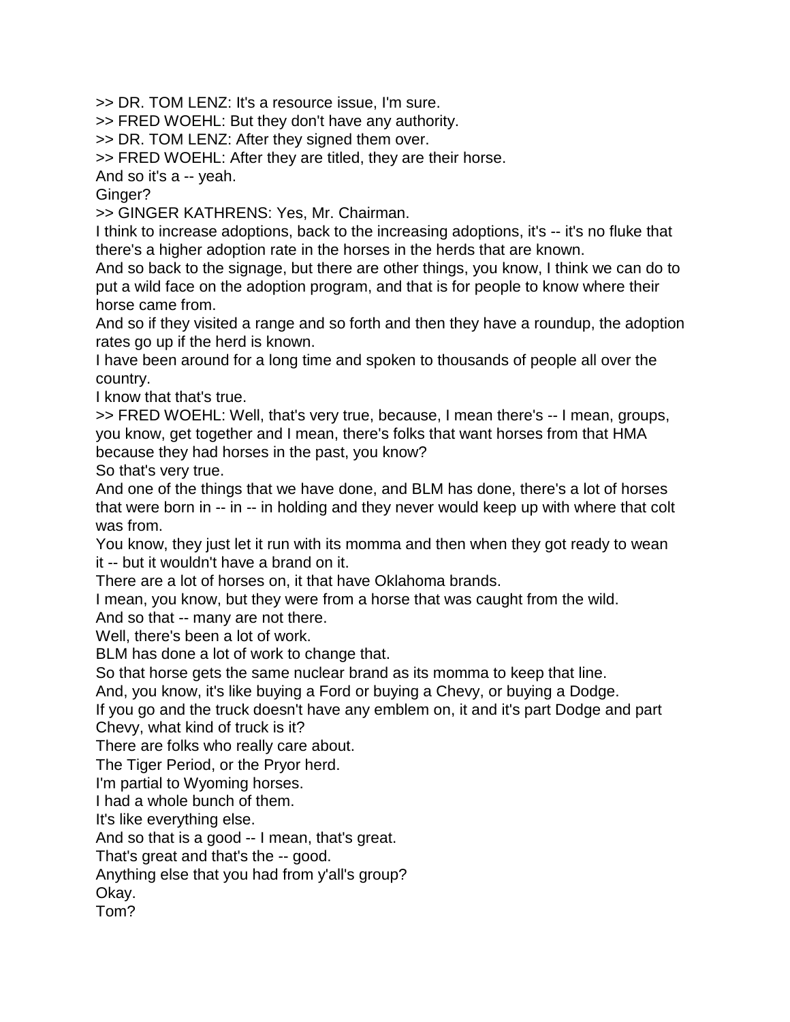>> DR. TOM LENZ: It's a resource issue, I'm sure.

>> FRED WOEHL: But they don't have any authority.

>> DR. TOM LENZ: After they signed them over.

>> FRED WOEHL: After they are titled, they are their horse.

And so it's a -- yeah.

Ginger?

>> GINGER KATHRENS: Yes, Mr. Chairman.

I think to increase adoptions, back to the increasing adoptions, it's -- it's no fluke that there's a higher adoption rate in the horses in the herds that are known.

And so back to the signage, but there are other things, you know, I think we can do to put a wild face on the adoption program, and that is for people to know where their horse came from.

And so if they visited a range and so forth and then they have a roundup, the adoption rates go up if the herd is known.

I have been around for a long time and spoken to thousands of people all over the country.

I know that that's true.

>> FRED WOEHL: Well, that's very true, because, I mean there's -- I mean, groups, you know, get together and I mean, there's folks that want horses from that HMA because they had horses in the past, you know?

So that's very true.

And one of the things that we have done, and BLM has done, there's a lot of horses that were born in -- in -- in holding and they never would keep up with where that colt was from.

You know, they just let it run with its momma and then when they got ready to wean it -- but it wouldn't have a brand on it.

There are a lot of horses on, it that have Oklahoma brands.

I mean, you know, but they were from a horse that was caught from the wild.

And so that -- many are not there.

Well, there's been a lot of work.

BLM has done a lot of work to change that.

So that horse gets the same nuclear brand as its momma to keep that line.

And, you know, it's like buying a Ford or buying a Chevy, or buying a Dodge.

If you go and the truck doesn't have any emblem on, it and it's part Dodge and part Chevy, what kind of truck is it?

There are folks who really care about.

The Tiger Period, or the Pryor herd.

I'm partial to Wyoming horses.

I had a whole bunch of them.

It's like everything else.

And so that is a good -- I mean, that's great.

That's great and that's the -- good.

Anything else that you had from y'all's group?

Okay.

Tom?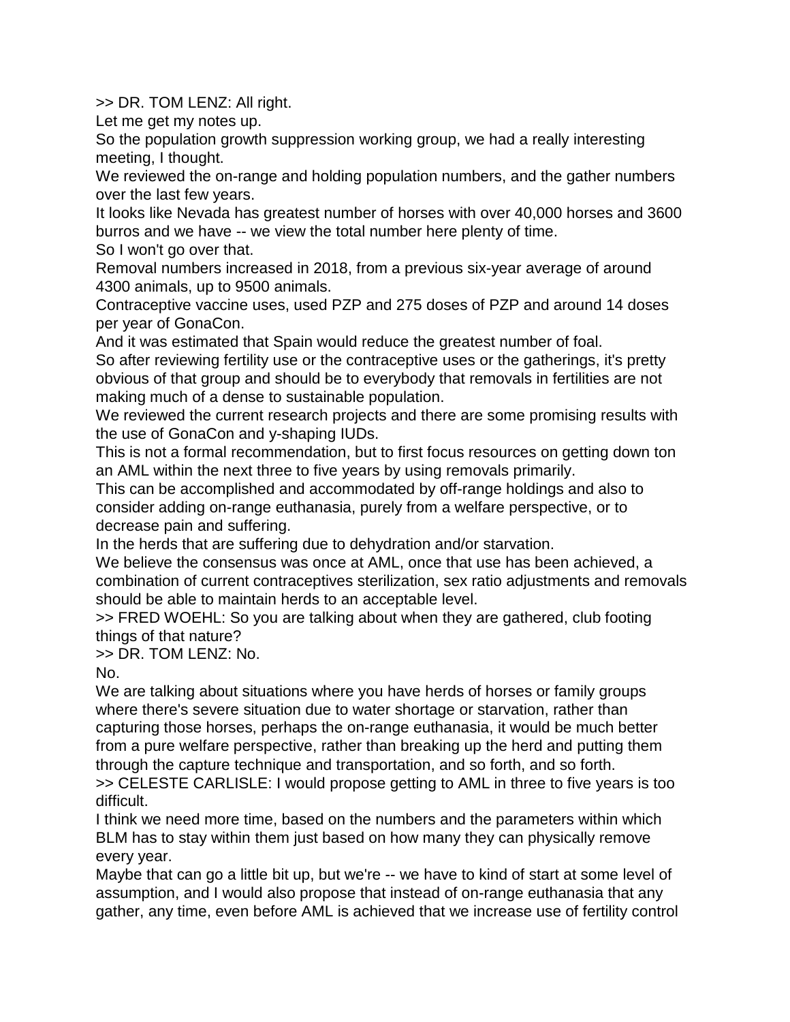>> DR. TOM LENZ: All right.

Let me get my notes up.

So the population growth suppression working group, we had a really interesting meeting, I thought.

We reviewed the on-range and holding population numbers, and the gather numbers over the last few years.

It looks like Nevada has greatest number of horses with over 40,000 horses and 3600 burros and we have -- we view the total number here plenty of time.

So I won't go over that.

Removal numbers increased in 2018, from a previous six-year average of around 4300 animals, up to 9500 animals.

Contraceptive vaccine uses, used PZP and 275 doses of PZP and around 14 doses per year of GonaCon.

And it was estimated that Spain would reduce the greatest number of foal. So after reviewing fertility use or the contraceptive uses or the gatherings, it's pretty obvious of that group and should be to everybody that removals in fertilities are not making much of a dense to sustainable population.

We reviewed the current research projects and there are some promising results with the use of GonaCon and y-shaping IUDs.

This is not a formal recommendation, but to first focus resources on getting down ton an AML within the next three to five years by using removals primarily.

This can be accomplished and accommodated by off-range holdings and also to consider adding on-range euthanasia, purely from a welfare perspective, or to decrease pain and suffering.

In the herds that are suffering due to dehydration and/or starvation.

We believe the consensus was once at AML, once that use has been achieved, a combination of current contraceptives sterilization, sex ratio adjustments and removals should be able to maintain herds to an acceptable level.

>> FRED WOEHL: So you are talking about when they are gathered, club footing things of that nature?

>> DR. TOM LENZ: No.

No.

We are talking about situations where you have herds of horses or family groups where there's severe situation due to water shortage or starvation, rather than capturing those horses, perhaps the on-range euthanasia, it would be much better from a pure welfare perspective, rather than breaking up the herd and putting them through the capture technique and transportation, and so forth, and so forth.

>> CELESTE CARLISLE: I would propose getting to AML in three to five years is too difficult.

I think we need more time, based on the numbers and the parameters within which BLM has to stay within them just based on how many they can physically remove every year.

Maybe that can go a little bit up, but we're -- we have to kind of start at some level of assumption, and I would also propose that instead of on-range euthanasia that any gather, any time, even before AML is achieved that we increase use of fertility control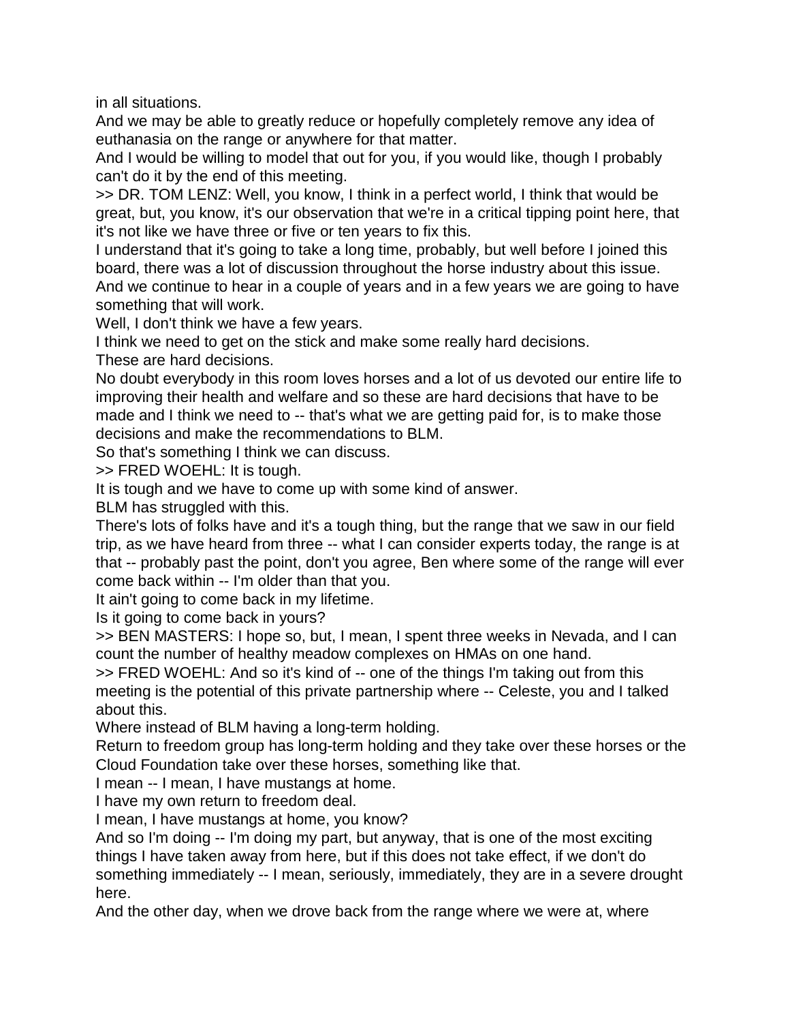in all situations.

And we may be able to greatly reduce or hopefully completely remove any idea of euthanasia on the range or anywhere for that matter.

And I would be willing to model that out for you, if you would like, though I probably can't do it by the end of this meeting.

>> DR. TOM LENZ: Well, you know, I think in a perfect world, I think that would be great, but, you know, it's our observation that we're in a critical tipping point here, that it's not like we have three or five or ten years to fix this.

I understand that it's going to take a long time, probably, but well before I joined this board, there was a lot of discussion throughout the horse industry about this issue. And we continue to hear in a couple of years and in a few years we are going to have something that will work.

Well, I don't think we have a few years.

I think we need to get on the stick and make some really hard decisions. These are hard decisions.

No doubt everybody in this room loves horses and a lot of us devoted our entire life to improving their health and welfare and so these are hard decisions that have to be made and I think we need to -- that's what we are getting paid for, is to make those decisions and make the recommendations to BLM.

So that's something I think we can discuss.

>> FRED WOEHL: It is tough.

It is tough and we have to come up with some kind of answer.

BLM has struggled with this.

There's lots of folks have and it's a tough thing, but the range that we saw in our field trip, as we have heard from three -- what I can consider experts today, the range is at that -- probably past the point, don't you agree, Ben where some of the range will ever come back within -- I'm older than that you.

It ain't going to come back in my lifetime.

Is it going to come back in yours?

>> BEN MASTERS: I hope so, but, I mean, I spent three weeks in Nevada, and I can count the number of healthy meadow complexes on HMAs on one hand.

>> FRED WOEHL: And so it's kind of -- one of the things I'm taking out from this meeting is the potential of this private partnership where -- Celeste, you and I talked about this.

Where instead of BLM having a long-term holding.

Return to freedom group has long-term holding and they take over these horses or the Cloud Foundation take over these horses, something like that.

I mean -- I mean, I have mustangs at home.

I have my own return to freedom deal.

I mean, I have mustangs at home, you know?

And so I'm doing -- I'm doing my part, but anyway, that is one of the most exciting things I have taken away from here, but if this does not take effect, if we don't do something immediately -- I mean, seriously, immediately, they are in a severe drought here.

And the other day, when we drove back from the range where we were at, where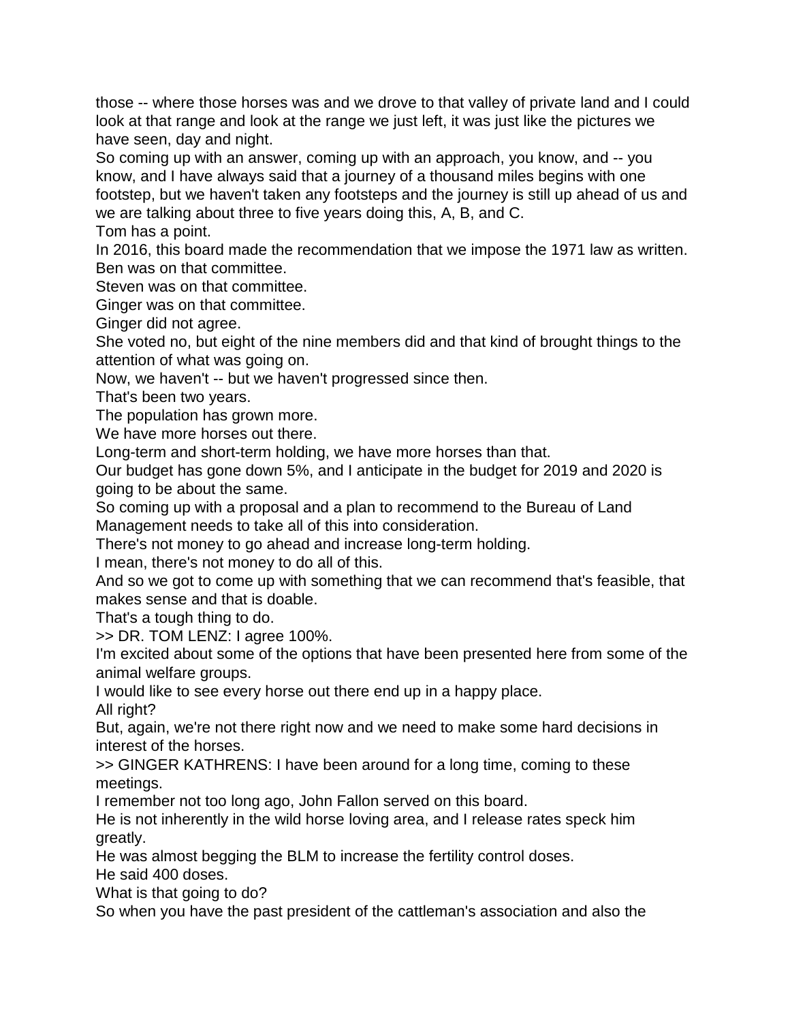those -- where those horses was and we drove to that valley of private land and I could look at that range and look at the range we just left, it was just like the pictures we have seen, day and night.

So coming up with an answer, coming up with an approach, you know, and -- you know, and I have always said that a journey of a thousand miles begins with one footstep, but we haven't taken any footsteps and the journey is still up ahead of us and we are talking about three to five years doing this, A, B, and C.

Tom has a point.

In 2016, this board made the recommendation that we impose the 1971 law as written. Ben was on that committee.

Steven was on that committee.

Ginger was on that committee.

Ginger did not agree.

She voted no, but eight of the nine members did and that kind of brought things to the attention of what was going on.

Now, we haven't -- but we haven't progressed since then.

That's been two years.

The population has grown more.

We have more horses out there.

Long-term and short-term holding, we have more horses than that.

Our budget has gone down 5%, and I anticipate in the budget for 2019 and 2020 is going to be about the same.

So coming up with a proposal and a plan to recommend to the Bureau of Land Management needs to take all of this into consideration.

There's not money to go ahead and increase long-term holding.

I mean, there's not money to do all of this.

And so we got to come up with something that we can recommend that's feasible, that makes sense and that is doable.

That's a tough thing to do.

>> DR. TOM LENZ: I agree 100%.

I'm excited about some of the options that have been presented here from some of the animal welfare groups.

I would like to see every horse out there end up in a happy place.

All right?

But, again, we're not there right now and we need to make some hard decisions in interest of the horses.

>> GINGER KATHRENS: I have been around for a long time, coming to these meetings.

I remember not too long ago, John Fallon served on this board.

He is not inherently in the wild horse loving area, and I release rates speck him greatly.

He was almost begging the BLM to increase the fertility control doses. He said 400 doses.

What is that going to do?

So when you have the past president of the cattleman's association and also the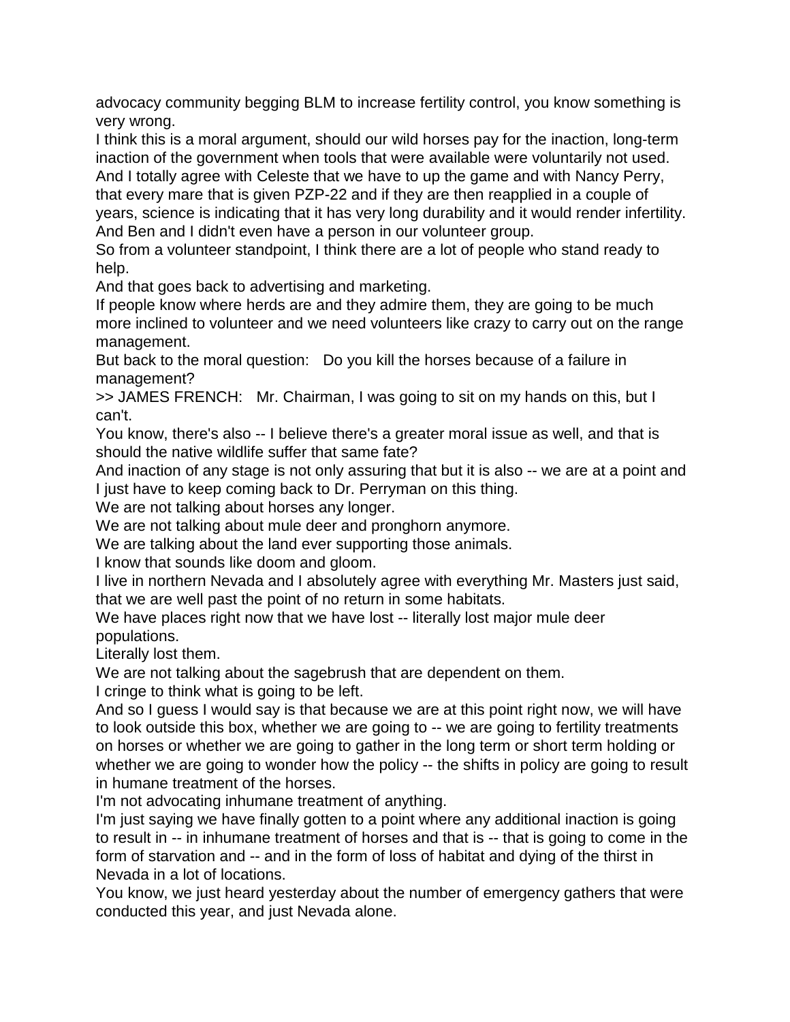advocacy community begging BLM to increase fertility control, you know something is very wrong.

I think this is a moral argument, should our wild horses pay for the inaction, long-term inaction of the government when tools that were available were voluntarily not used.

And I totally agree with Celeste that we have to up the game and with Nancy Perry, that every mare that is given PZP-22 and if they are then reapplied in a couple of years, science is indicating that it has very long durability and it would render infertility. And Ben and I didn't even have a person in our volunteer group.

So from a volunteer standpoint, I think there are a lot of people who stand ready to help.

And that goes back to advertising and marketing.

If people know where herds are and they admire them, they are going to be much more inclined to volunteer and we need volunteers like crazy to carry out on the range management.

But back to the moral question: Do you kill the horses because of a failure in management?

>> JAMES FRENCH: Mr. Chairman, I was going to sit on my hands on this, but I can't.

You know, there's also -- I believe there's a greater moral issue as well, and that is should the native wildlife suffer that same fate?

And inaction of any stage is not only assuring that but it is also -- we are at a point and I just have to keep coming back to Dr. Perryman on this thing.

We are not talking about horses any longer.

We are not talking about mule deer and pronghorn anymore.

We are talking about the land ever supporting those animals.

I know that sounds like doom and gloom.

I live in northern Nevada and I absolutely agree with everything Mr. Masters just said, that we are well past the point of no return in some habitats.

We have places right now that we have lost -- literally lost major mule deer populations.

Literally lost them.

We are not talking about the sagebrush that are dependent on them.

I cringe to think what is going to be left.

And so I guess I would say is that because we are at this point right now, we will have to look outside this box, whether we are going to -- we are going to fertility treatments on horses or whether we are going to gather in the long term or short term holding or whether we are going to wonder how the policy -- the shifts in policy are going to result in humane treatment of the horses.

I'm not advocating inhumane treatment of anything.

I'm just saying we have finally gotten to a point where any additional inaction is going to result in -- in inhumane treatment of horses and that is -- that is going to come in the form of starvation and -- and in the form of loss of habitat and dying of the thirst in Nevada in a lot of locations.

You know, we just heard yesterday about the number of emergency gathers that were conducted this year, and just Nevada alone.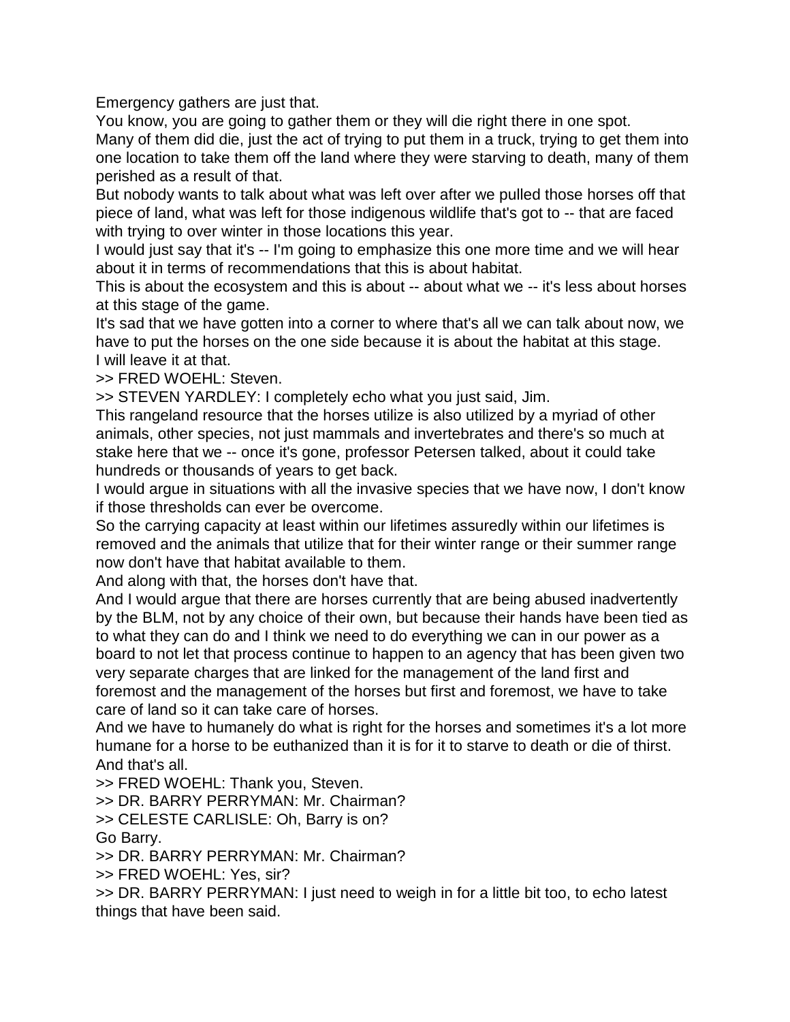Emergency gathers are just that.

You know, you are going to gather them or they will die right there in one spot. Many of them did die, just the act of trying to put them in a truck, trying to get them into one location to take them off the land where they were starving to death, many of them perished as a result of that.

But nobody wants to talk about what was left over after we pulled those horses off that piece of land, what was left for those indigenous wildlife that's got to -- that are faced with trying to over winter in those locations this year.

I would just say that it's -- I'm going to emphasize this one more time and we will hear about it in terms of recommendations that this is about habitat.

This is about the ecosystem and this is about -- about what we -- it's less about horses at this stage of the game.

It's sad that we have gotten into a corner to where that's all we can talk about now, we have to put the horses on the one side because it is about the habitat at this stage. I will leave it at that.

>> FRED WOEHL: Steven.

>> STEVEN YARDLEY: I completely echo what you just said, Jim.

This rangeland resource that the horses utilize is also utilized by a myriad of other animals, other species, not just mammals and invertebrates and there's so much at stake here that we -- once it's gone, professor Petersen talked, about it could take hundreds or thousands of years to get back.

I would argue in situations with all the invasive species that we have now, I don't know if those thresholds can ever be overcome.

So the carrying capacity at least within our lifetimes assuredly within our lifetimes is removed and the animals that utilize that for their winter range or their summer range now don't have that habitat available to them.

And along with that, the horses don't have that.

And I would argue that there are horses currently that are being abused inadvertently by the BLM, not by any choice of their own, but because their hands have been tied as to what they can do and I think we need to do everything we can in our power as a board to not let that process continue to happen to an agency that has been given two very separate charges that are linked for the management of the land first and foremost and the management of the horses but first and foremost, we have to take care of land so it can take care of horses.

And we have to humanely do what is right for the horses and sometimes it's a lot more humane for a horse to be euthanized than it is for it to starve to death or die of thirst. And that's all.

>> FRED WOEHL: Thank you, Steven.

>> DR. BARRY PERRYMAN: Mr. Chairman?

>> CELESTE CARLISLE: Oh, Barry is on?

Go Barry.

>> DR. BARRY PERRYMAN: Mr. Chairman?

>> FRED WOEHL: Yes, sir?

>> DR. BARRY PERRYMAN: I just need to weigh in for a little bit too, to echo latest things that have been said.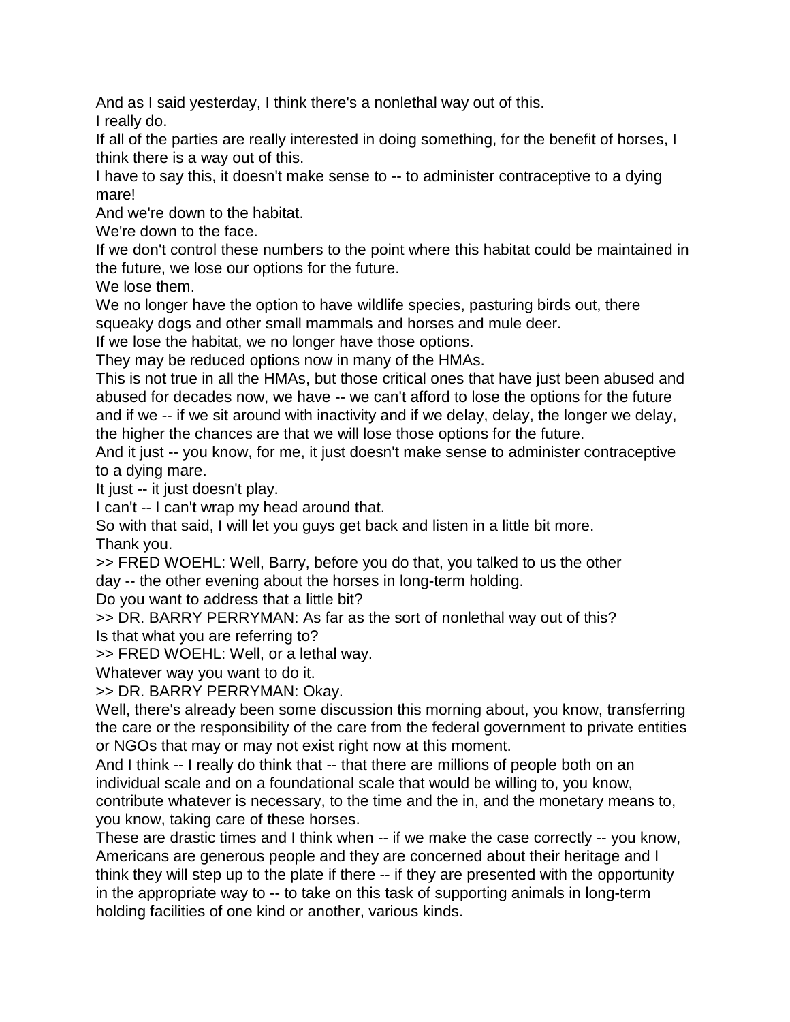And as I said yesterday, I think there's a nonlethal way out of this. I really do.

If all of the parties are really interested in doing something, for the benefit of horses, I think there is a way out of this.

I have to say this, it doesn't make sense to -- to administer contraceptive to a dying mare!

And we're down to the habitat.

We're down to the face.

If we don't control these numbers to the point where this habitat could be maintained in the future, we lose our options for the future.

We lose them.

We no longer have the option to have wildlife species, pasturing birds out, there squeaky dogs and other small mammals and horses and mule deer.

If we lose the habitat, we no longer have those options.

They may be reduced options now in many of the HMAs.

This is not true in all the HMAs, but those critical ones that have just been abused and abused for decades now, we have -- we can't afford to lose the options for the future and if we -- if we sit around with inactivity and if we delay, delay, the longer we delay, the higher the chances are that we will lose those options for the future.

And it just -- you know, for me, it just doesn't make sense to administer contraceptive to a dying mare.

It just -- it just doesn't play.

I can't -- I can't wrap my head around that.

So with that said, I will let you guys get back and listen in a little bit more.

Thank you.

>> FRED WOEHL: Well, Barry, before you do that, you talked to us the other day -- the other evening about the horses in long-term holding.

Do you want to address that a little bit?

>> DR. BARRY PERRYMAN: As far as the sort of nonlethal way out of this? Is that what you are referring to?

>> FRED WOEHL: Well, or a lethal way.

Whatever way you want to do it.

>> DR. BARRY PERRYMAN: Okay.

Well, there's already been some discussion this morning about, you know, transferring the care or the responsibility of the care from the federal government to private entities or NGOs that may or may not exist right now at this moment.

And I think -- I really do think that -- that there are millions of people both on an individual scale and on a foundational scale that would be willing to, you know, contribute whatever is necessary, to the time and the in, and the monetary means to, you know, taking care of these horses.

These are drastic times and I think when -- if we make the case correctly -- you know, Americans are generous people and they are concerned about their heritage and I think they will step up to the plate if there -- if they are presented with the opportunity in the appropriate way to -- to take on this task of supporting animals in long-term holding facilities of one kind or another, various kinds.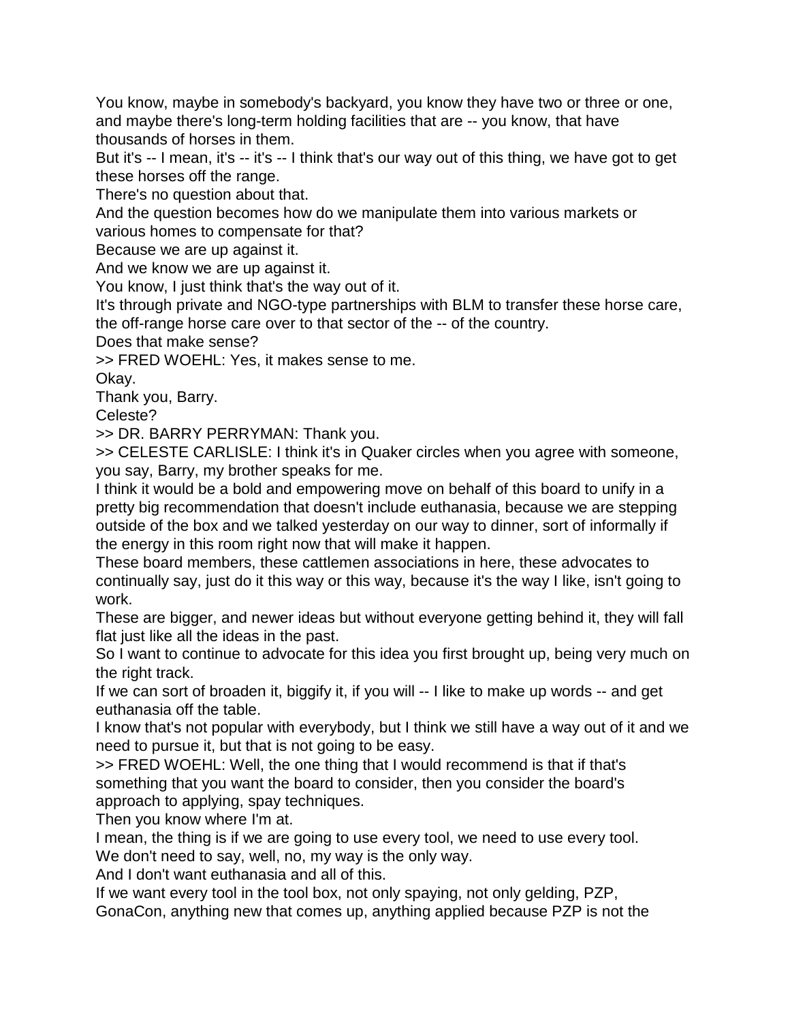You know, maybe in somebody's backyard, you know they have two or three or one, and maybe there's long-term holding facilities that are -- you know, that have thousands of horses in them.

But it's -- I mean, it's -- it's -- I think that's our way out of this thing, we have got to get these horses off the range.

There's no question about that.

And the question becomes how do we manipulate them into various markets or various homes to compensate for that?

Because we are up against it.

And we know we are up against it.

You know, I just think that's the way out of it.

It's through private and NGO-type partnerships with BLM to transfer these horse care, the off-range horse care over to that sector of the -- of the country.

Does that make sense?

>> FRED WOEHL: Yes, it makes sense to me.

Okay.

Thank you, Barry.

Celeste?

>> DR. BARRY PERRYMAN: Thank you.

>> CELESTE CARLISLE: I think it's in Quaker circles when you agree with someone, you say, Barry, my brother speaks for me.

I think it would be a bold and empowering move on behalf of this board to unify in a pretty big recommendation that doesn't include euthanasia, because we are stepping outside of the box and we talked yesterday on our way to dinner, sort of informally if the energy in this room right now that will make it happen.

These board members, these cattlemen associations in here, these advocates to continually say, just do it this way or this way, because it's the way I like, isn't going to work.

These are bigger, and newer ideas but without everyone getting behind it, they will fall flat just like all the ideas in the past.

So I want to continue to advocate for this idea you first brought up, being very much on the right track.

If we can sort of broaden it, biggify it, if you will -- I like to make up words -- and get euthanasia off the table.

I know that's not popular with everybody, but I think we still have a way out of it and we need to pursue it, but that is not going to be easy.

>> FRED WOEHL: Well, the one thing that I would recommend is that if that's something that you want the board to consider, then you consider the board's approach to applying, spay techniques.

Then you know where I'm at.

I mean, the thing is if we are going to use every tool, we need to use every tool. We don't need to say, well, no, my way is the only way.

And I don't want euthanasia and all of this.

If we want every tool in the tool box, not only spaying, not only gelding, PZP, GonaCon, anything new that comes up, anything applied because PZP is not the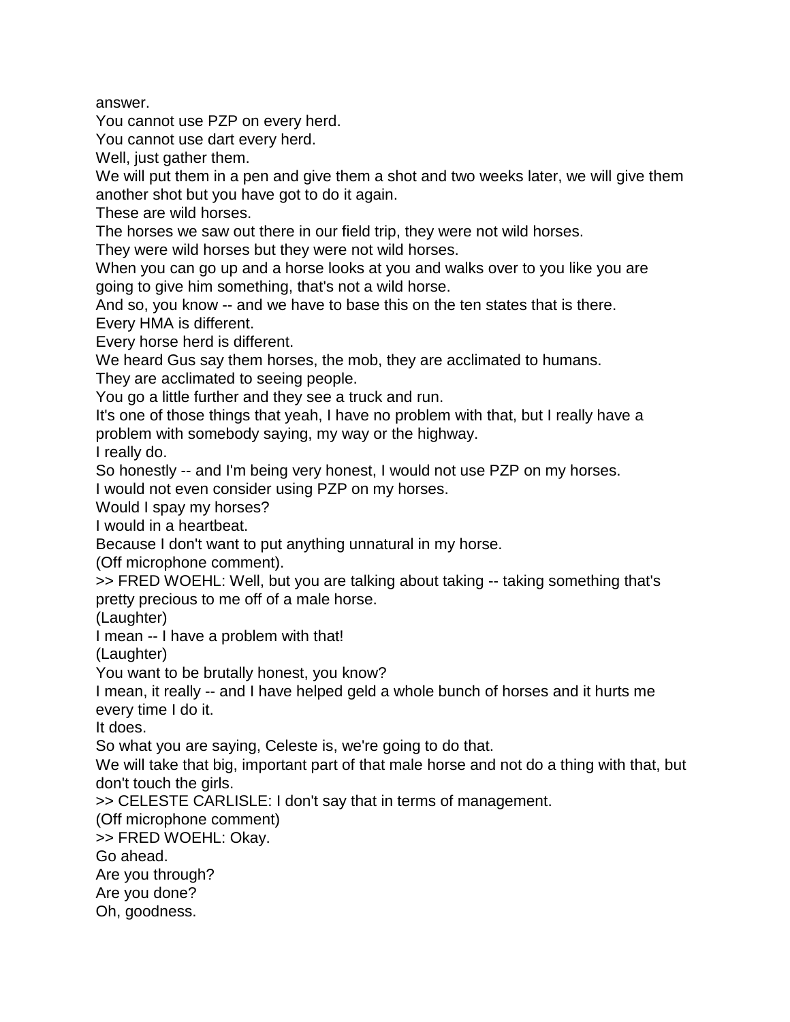answer.

You cannot use PZP on every herd.

You cannot use dart every herd.

Well, just gather them.

We will put them in a pen and give them a shot and two weeks later, we will give them another shot but you have got to do it again.

These are wild horses.

The horses we saw out there in our field trip, they were not wild horses.

They were wild horses but they were not wild horses.

When you can go up and a horse looks at you and walks over to you like you are going to give him something, that's not a wild horse.

And so, you know -- and we have to base this on the ten states that is there. Every HMA is different.

Every horse herd is different.

We heard Gus say them horses, the mob, they are acclimated to humans.

They are acclimated to seeing people.

You go a little further and they see a truck and run.

It's one of those things that yeah, I have no problem with that, but I really have a problem with somebody saying, my way or the highway.

I really do.

So honestly -- and I'm being very honest, I would not use PZP on my horses.

I would not even consider using PZP on my horses.

Would I spay my horses?

I would in a heartbeat.

Because I don't want to put anything unnatural in my horse.

(Off microphone comment).

>> FRED WOEHL: Well, but you are talking about taking -- taking something that's pretty precious to me off of a male horse.

(Laughter)

I mean -- I have a problem with that!

(Laughter)

You want to be brutally honest, you know?

I mean, it really -- and I have helped geld a whole bunch of horses and it hurts me every time I do it.

It does.

So what you are saying, Celeste is, we're going to do that.

We will take that big, important part of that male horse and not do a thing with that, but don't touch the girls.

>> CELESTE CARLISLE: I don't say that in terms of management.

(Off microphone comment)

>> FRED WOEHL: Okay.

Go ahead.

Are you through?

Are you done?

Oh, goodness.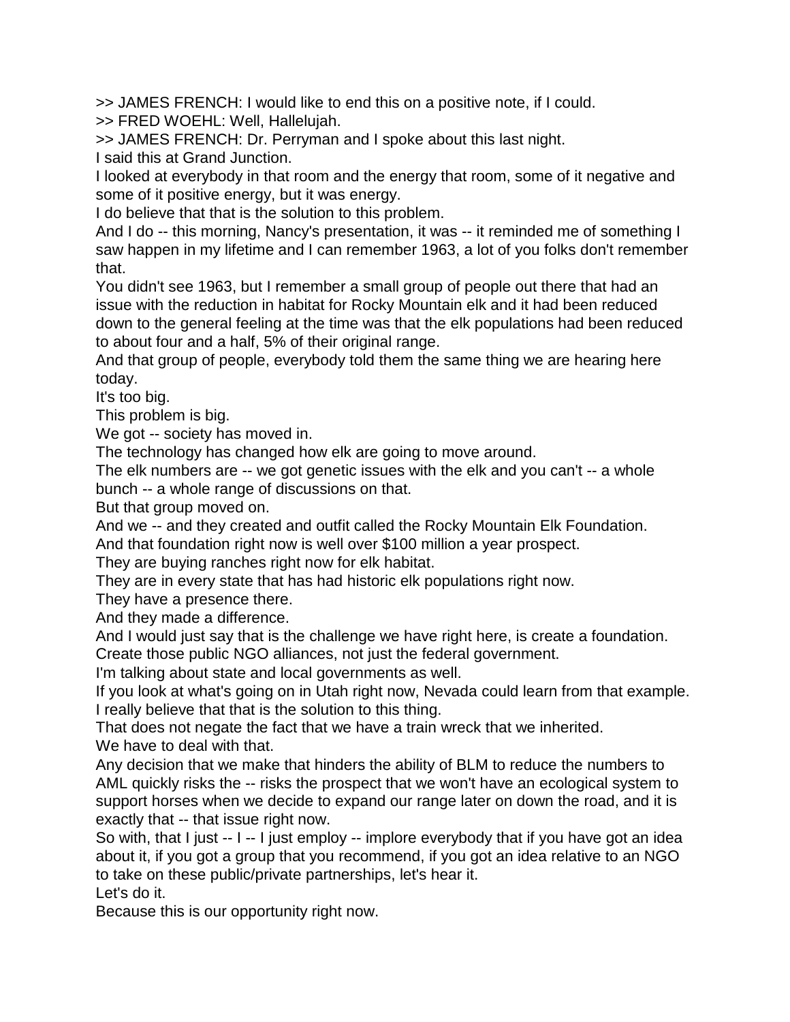>> JAMES FRENCH: I would like to end this on a positive note, if I could.

>> FRED WOEHL: Well, Hallelujah.

>> JAMES FRENCH: Dr. Perryman and I spoke about this last night.

I said this at Grand Junction.

I looked at everybody in that room and the energy that room, some of it negative and some of it positive energy, but it was energy.

I do believe that that is the solution to this problem.

And I do -- this morning, Nancy's presentation, it was -- it reminded me of something I saw happen in my lifetime and I can remember 1963, a lot of you folks don't remember that.

You didn't see 1963, but I remember a small group of people out there that had an issue with the reduction in habitat for Rocky Mountain elk and it had been reduced down to the general feeling at the time was that the elk populations had been reduced to about four and a half, 5% of their original range.

And that group of people, everybody told them the same thing we are hearing here today.

It's too big.

This problem is big.

We got -- society has moved in.

The technology has changed how elk are going to move around.

The elk numbers are -- we got genetic issues with the elk and you can't -- a whole bunch -- a whole range of discussions on that.

But that group moved on.

And we -- and they created and outfit called the Rocky Mountain Elk Foundation.

And that foundation right now is well over \$100 million a year prospect.

They are buying ranches right now for elk habitat.

They are in every state that has had historic elk populations right now.

They have a presence there.

And they made a difference.

And I would just say that is the challenge we have right here, is create a foundation. Create those public NGO alliances, not just the federal government.

I'm talking about state and local governments as well.

If you look at what's going on in Utah right now, Nevada could learn from that example. I really believe that that is the solution to this thing.

That does not negate the fact that we have a train wreck that we inherited. We have to deal with that.

Any decision that we make that hinders the ability of BLM to reduce the numbers to AML quickly risks the -- risks the prospect that we won't have an ecological system to support horses when we decide to expand our range later on down the road, and it is exactly that -- that issue right now.

So with, that I just -- I -- I just employ -- implore everybody that if you have got an idea about it, if you got a group that you recommend, if you got an idea relative to an NGO to take on these public/private partnerships, let's hear it.

Let's do it.

Because this is our opportunity right now.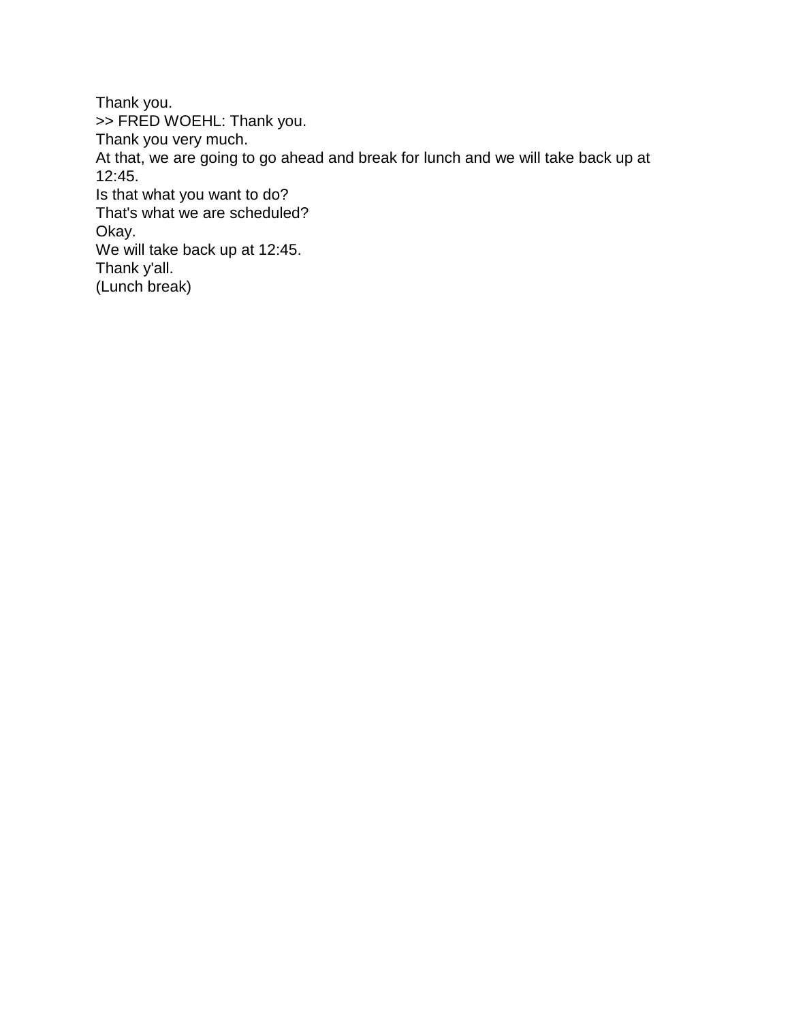Thank you. >> FRED WOEHL: Thank you. Thank you very much. At that, we are going to go ahead and break for lunch and we will take back up at 12:45. Is that what you want to do? That's what we are scheduled? Okay. We will take back up at 12:45. Thank y'all. (Lunch break)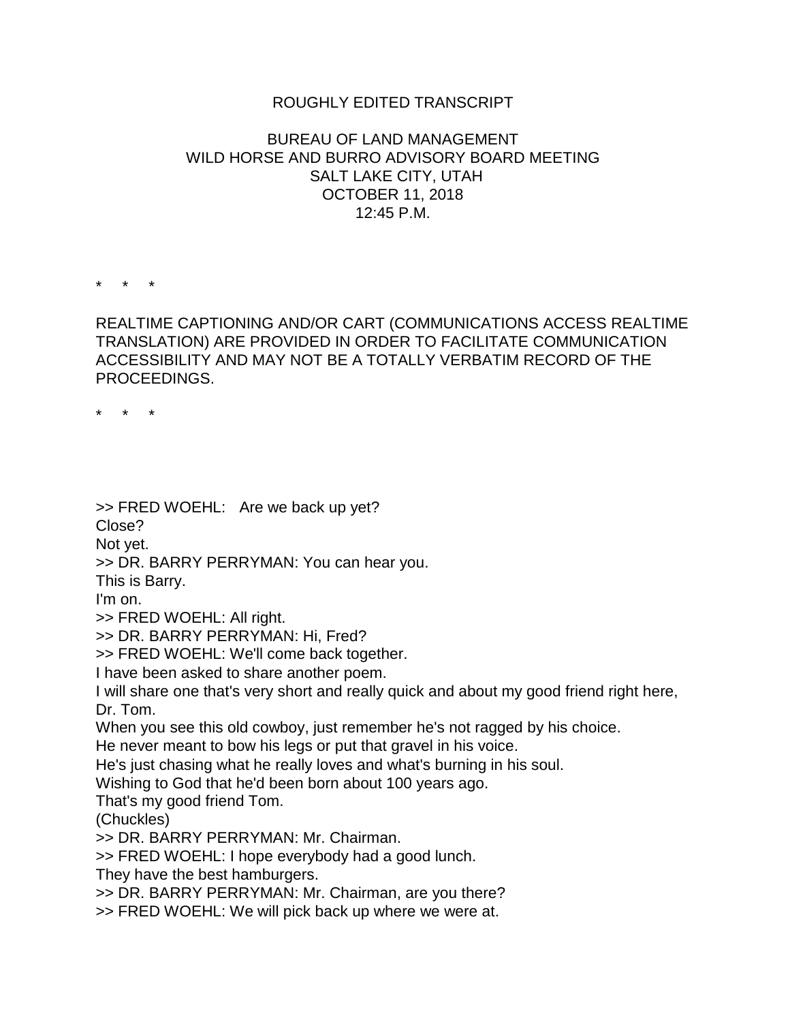## ROUGHLY EDITED TRANSCRIPT

## BUREAU OF LAND MANAGEMENT WILD HORSE AND BURRO ADVISORY BOARD MEETING SALT LAKE CITY, UTAH OCTOBER 11, 2018 12:45 P.M.

\* \* \*

REALTIME CAPTIONING AND/OR CART (COMMUNICATIONS ACCESS REALTIME TRANSLATION) ARE PROVIDED IN ORDER TO FACILITATE COMMUNICATION ACCESSIBILITY AND MAY NOT BE A TOTALLY VERBATIM RECORD OF THE PROCEEDINGS.

\* \* \*

>> FRED WOEHL: Are we back up yet? Close? Not yet. >> DR. BARRY PERRYMAN: You can hear you. This is Barry. I'm on. >> FRED WOEHL: All right. >> DR. BARRY PERRYMAN: Hi, Fred? >> FRED WOEHL: We'll come back together. I have been asked to share another poem. I will share one that's very short and really quick and about my good friend right here, Dr. Tom. When you see this old cowboy, just remember he's not ragged by his choice. He never meant to bow his legs or put that gravel in his voice. He's just chasing what he really loves and what's burning in his soul. Wishing to God that he'd been born about 100 years ago. That's my good friend Tom. (Chuckles) >> DR. BARRY PERRYMAN: Mr. Chairman. >> FRED WOEHL: I hope everybody had a good lunch. They have the best hamburgers. >> DR. BARRY PERRYMAN: Mr. Chairman, are you there? >> FRED WOEHL: We will pick back up where we were at.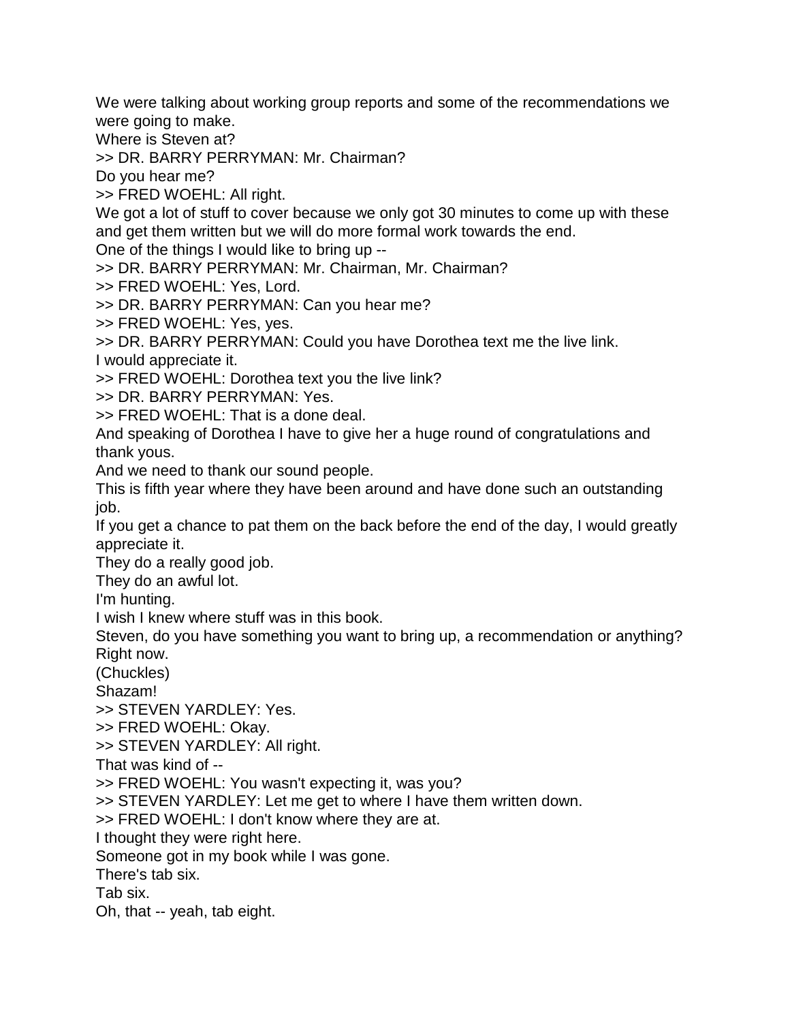We were talking about working group reports and some of the recommendations we were going to make.

Where is Steven at?

>> DR. BARRY PERRYMAN: Mr. Chairman?

Do you hear me?

>> FRED WOEHL: All right.

We got a lot of stuff to cover because we only got 30 minutes to come up with these and get them written but we will do more formal work towards the end.

One of the things I would like to bring up --

>> DR. BARRY PERRYMAN: Mr. Chairman, Mr. Chairman?

>> FRED WOEHL: Yes, Lord.

>> DR. BARRY PERRYMAN: Can you hear me?

>> FRED WOEHL: Yes, yes.

>> DR. BARRY PERRYMAN: Could you have Dorothea text me the live link.

I would appreciate it.

>> FRED WOEHL: Dorothea text you the live link?

>> DR. BARRY PERRYMAN: Yes.

>> FRED WOEHL: That is a done deal.

And speaking of Dorothea I have to give her a huge round of congratulations and thank yous.

And we need to thank our sound people.

This is fifth year where they have been around and have done such an outstanding job.

If you get a chance to pat them on the back before the end of the day, I would greatly appreciate it.

They do a really good job.

They do an awful lot.

I'm hunting.

I wish I knew where stuff was in this book.

Steven, do you have something you want to bring up, a recommendation or anything? Right now.

(Chuckles)

Shazam!

>> STEVEN YARDLEY: Yes.

>> FRED WOEHL: Okay.

>> STEVEN YARDLEY: All right.

That was kind of --

>> FRED WOEHL: You wasn't expecting it, was you?

>> STEVEN YARDLEY: Let me get to where I have them written down.

>> FRED WOEHL: I don't know where they are at.

I thought they were right here.

Someone got in my book while I was gone.

There's tab six.

Tab six.

Oh, that -- yeah, tab eight.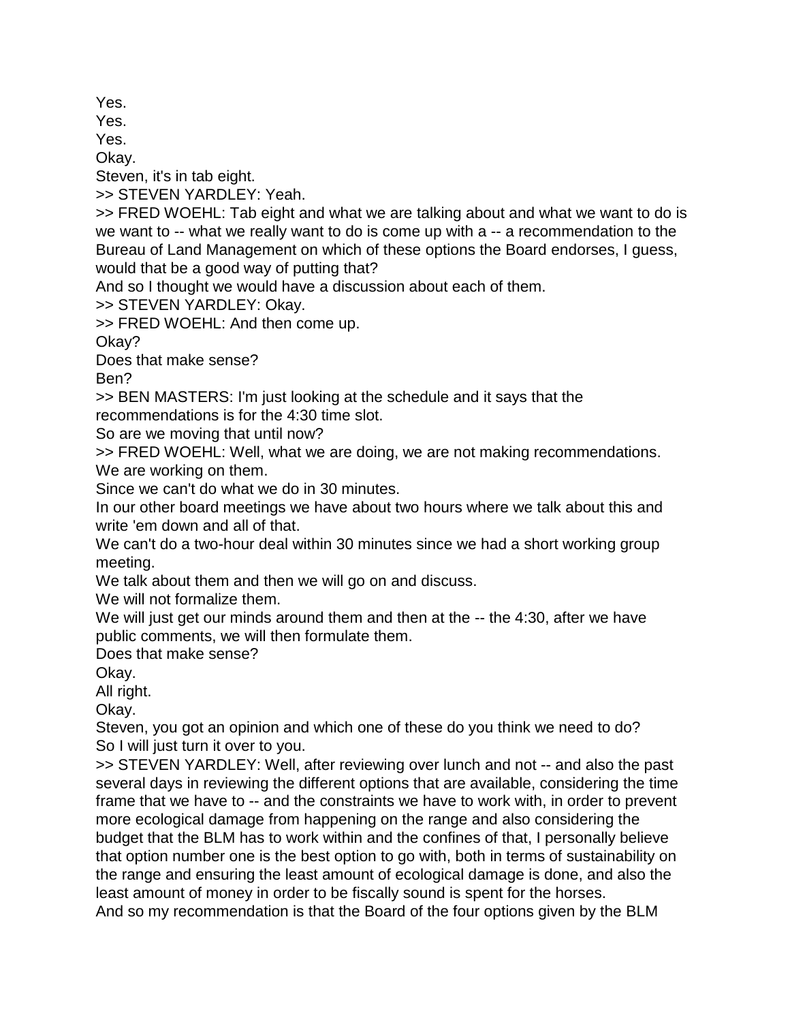Yes.

Yes.

Yes.

Okay.

Steven, it's in tab eight.

>> STEVEN YARDLEY: Yeah.

>> FRED WOEHL: Tab eight and what we are talking about and what we want to do is we want to -- what we really want to do is come up with a -- a recommendation to the Bureau of Land Management on which of these options the Board endorses, I guess, would that be a good way of putting that?

And so I thought we would have a discussion about each of them.

>> STEVEN YARDLEY: Okay.

>> FRED WOEHL: And then come up.

Okay?

Does that make sense?

Ben?

>> BEN MASTERS: I'm just looking at the schedule and it says that the recommendations is for the 4:30 time slot.

So are we moving that until now?

>> FRED WOEHL: Well, what we are doing, we are not making recommendations. We are working on them.

Since we can't do what we do in 30 minutes.

In our other board meetings we have about two hours where we talk about this and write 'em down and all of that.

We can't do a two-hour deal within 30 minutes since we had a short working group meeting.

We talk about them and then we will go on and discuss.

We will not formalize them.

We will just get our minds around them and then at the -- the 4:30, after we have public comments, we will then formulate them.

Does that make sense?

Okay.

All right.

Okay.

Steven, you got an opinion and which one of these do you think we need to do? So I will just turn it over to you.

>> STEVEN YARDLEY: Well, after reviewing over lunch and not -- and also the past several days in reviewing the different options that are available, considering the time frame that we have to -- and the constraints we have to work with, in order to prevent more ecological damage from happening on the range and also considering the budget that the BLM has to work within and the confines of that, I personally believe that option number one is the best option to go with, both in terms of sustainability on the range and ensuring the least amount of ecological damage is done, and also the least amount of money in order to be fiscally sound is spent for the horses. And so my recommendation is that the Board of the four options given by the BLM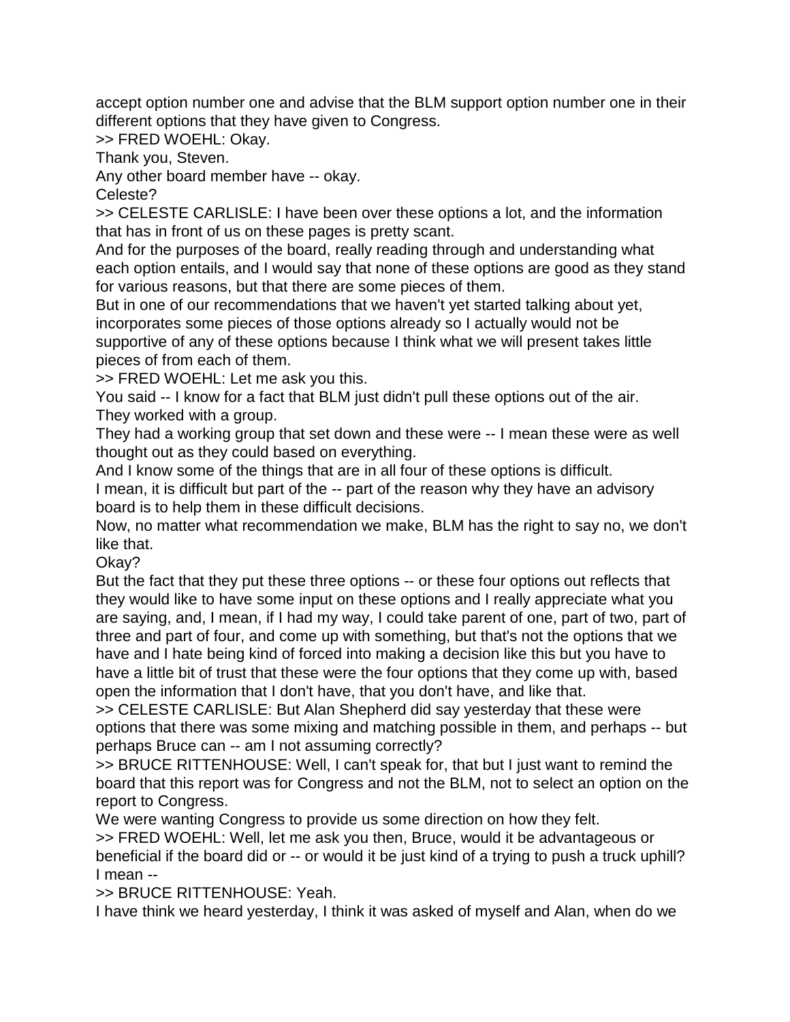accept option number one and advise that the BLM support option number one in their different options that they have given to Congress.

>> FRED WOEHL: Okay.

Thank you, Steven.

Any other board member have -- okay.

Celeste?

>> CELESTE CARLISLE: I have been over these options a lot, and the information that has in front of us on these pages is pretty scant.

And for the purposes of the board, really reading through and understanding what each option entails, and I would say that none of these options are good as they stand for various reasons, but that there are some pieces of them.

But in one of our recommendations that we haven't yet started talking about yet, incorporates some pieces of those options already so I actually would not be supportive of any of these options because I think what we will present takes little pieces of from each of them.

>> FRED WOEHL: Let me ask you this.

You said -- I know for a fact that BLM just didn't pull these options out of the air. They worked with a group.

They had a working group that set down and these were -- I mean these were as well thought out as they could based on everything.

And I know some of the things that are in all four of these options is difficult. I mean, it is difficult but part of the -- part of the reason why they have an advisory board is to help them in these difficult decisions.

Now, no matter what recommendation we make, BLM has the right to say no, we don't like that.

Okay?

But the fact that they put these three options -- or these four options out reflects that they would like to have some input on these options and I really appreciate what you are saying, and, I mean, if I had my way, I could take parent of one, part of two, part of three and part of four, and come up with something, but that's not the options that we have and I hate being kind of forced into making a decision like this but you have to have a little bit of trust that these were the four options that they come up with, based open the information that I don't have, that you don't have, and like that.

>> CELESTE CARLISLE: But Alan Shepherd did say yesterday that these were options that there was some mixing and matching possible in them, and perhaps -- but perhaps Bruce can -- am I not assuming correctly?

>> BRUCE RITTENHOUSE: Well, I can't speak for, that but I just want to remind the board that this report was for Congress and not the BLM, not to select an option on the report to Congress.

We were wanting Congress to provide us some direction on how they felt.

>> FRED WOEHL: Well, let me ask you then, Bruce, would it be advantageous or beneficial if the board did or -- or would it be just kind of a trying to push a truck uphill? I mean --

>> BRUCE RITTENHOUSE: Yeah.

I have think we heard yesterday, I think it was asked of myself and Alan, when do we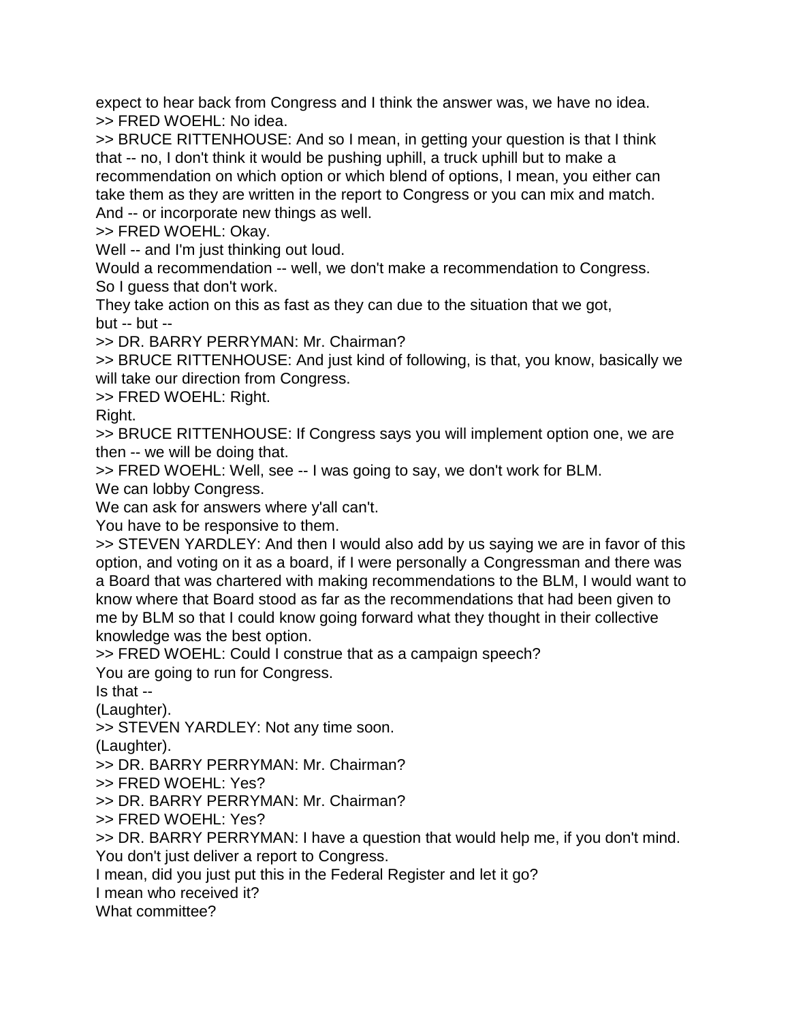expect to hear back from Congress and I think the answer was, we have no idea. >> FRED WOEHL: No idea.

>> BRUCE RITTENHOUSE: And so I mean, in getting your question is that I think that -- no, I don't think it would be pushing uphill, a truck uphill but to make a recommendation on which option or which blend of options, I mean, you either can take them as they are written in the report to Congress or you can mix and match. And -- or incorporate new things as well.

>> FRED WOEHL: Okay.

Well -- and I'm just thinking out loud.

Would a recommendation -- well, we don't make a recommendation to Congress. So I guess that don't work.

They take action on this as fast as they can due to the situation that we got, but -- but --

>> DR. BARRY PERRYMAN: Mr. Chairman?

>> BRUCE RITTENHOUSE: And just kind of following, is that, you know, basically we will take our direction from Congress.

>> FRED WOEHL: Right.

Right.

>> BRUCE RITTENHOUSE: If Congress says you will implement option one, we are then -- we will be doing that.

>> FRED WOEHL: Well, see -- I was going to say, we don't work for BLM.

We can lobby Congress.

We can ask for answers where y'all can't.

You have to be responsive to them.

>> STEVEN YARDLEY: And then I would also add by us saying we are in favor of this option, and voting on it as a board, if I were personally a Congressman and there was a Board that was chartered with making recommendations to the BLM, I would want to know where that Board stood as far as the recommendations that had been given to me by BLM so that I could know going forward what they thought in their collective knowledge was the best option.

>> FRED WOEHL: Could I construe that as a campaign speech?

You are going to run for Congress.

Is that --

(Laughter).

>> STEVEN YARDLEY: Not any time soon.

(Laughter).

>> DR. BARRY PERRYMAN: Mr. Chairman?

>> FRED WOEHL: Yes?

>> DR. BARRY PERRYMAN: Mr. Chairman?

>> FRED WOEHL: Yes?

>> DR. BARRY PERRYMAN: I have a question that would help me, if you don't mind.

You don't just deliver a report to Congress.

I mean, did you just put this in the Federal Register and let it go?

I mean who received it?

What committee?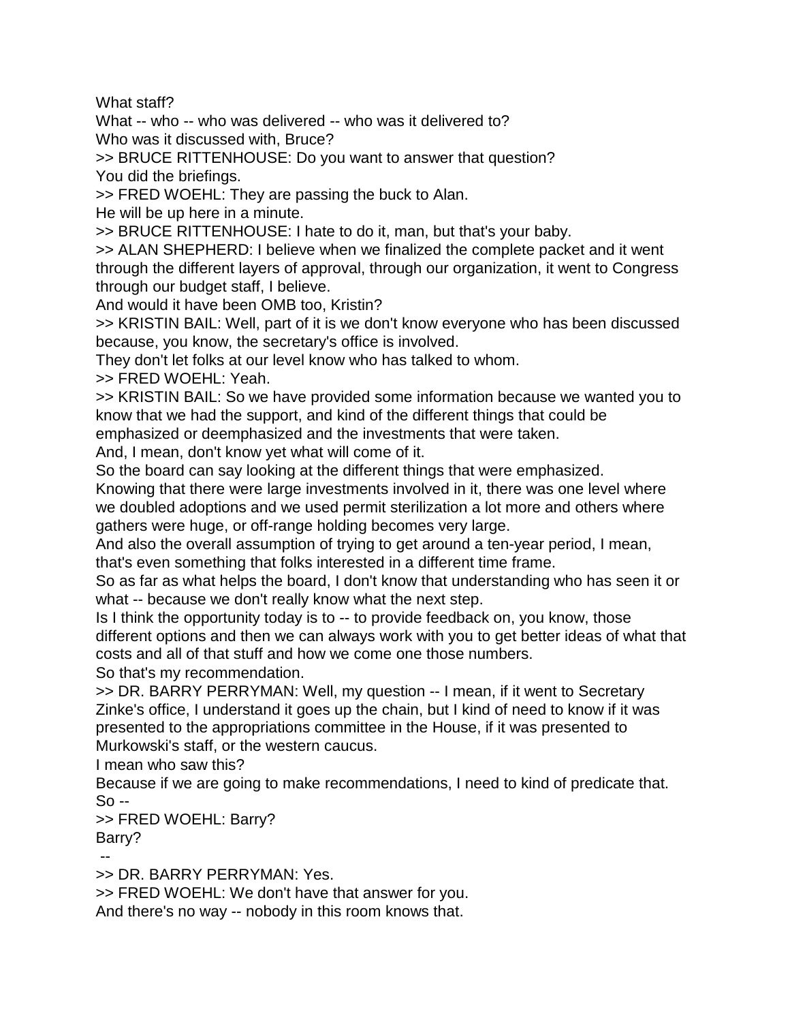What staff?

What -- who -- who was delivered -- who was it delivered to?

Who was it discussed with, Bruce?

>> BRUCE RITTENHOUSE: Do you want to answer that question? You did the briefings.

>> FRED WOEHL: They are passing the buck to Alan.

He will be up here in a minute.

>> BRUCE RITTENHOUSE: I hate to do it, man, but that's your baby.

>> ALAN SHEPHERD: I believe when we finalized the complete packet and it went through the different layers of approval, through our organization, it went to Congress through our budget staff, I believe.

And would it have been OMB too, Kristin?

>> KRISTIN BAIL: Well, part of it is we don't know everyone who has been discussed because, you know, the secretary's office is involved.

They don't let folks at our level know who has talked to whom.

>> FRED WOEHL: Yeah.

>> KRISTIN BAIL: So we have provided some information because we wanted you to know that we had the support, and kind of the different things that could be emphasized or deemphasized and the investments that were taken.

And, I mean, don't know yet what will come of it.

So the board can say looking at the different things that were emphasized.

Knowing that there were large investments involved in it, there was one level where we doubled adoptions and we used permit sterilization a lot more and others where gathers were huge, or off-range holding becomes very large.

And also the overall assumption of trying to get around a ten-year period, I mean, that's even something that folks interested in a different time frame.

So as far as what helps the board, I don't know that understanding who has seen it or what -- because we don't really know what the next step.

Is I think the opportunity today is to -- to provide feedback on, you know, those different options and then we can always work with you to get better ideas of what that costs and all of that stuff and how we come one those numbers.

So that's my recommendation.

>> DR. BARRY PERRYMAN: Well, my question -- I mean, if it went to Secretary Zinke's office, I understand it goes up the chain, but I kind of need to know if it was presented to the appropriations committee in the House, if it was presented to Murkowski's staff, or the western caucus.

I mean who saw this?

Because if we are going to make recommendations, I need to kind of predicate that.  $So -$ 

>> FRED WOEHL: Barry?

Barry?

--

>> DR. BARRY PERRYMAN: Yes.

>> FRED WOEHL: We don't have that answer for you.

And there's no way -- nobody in this room knows that.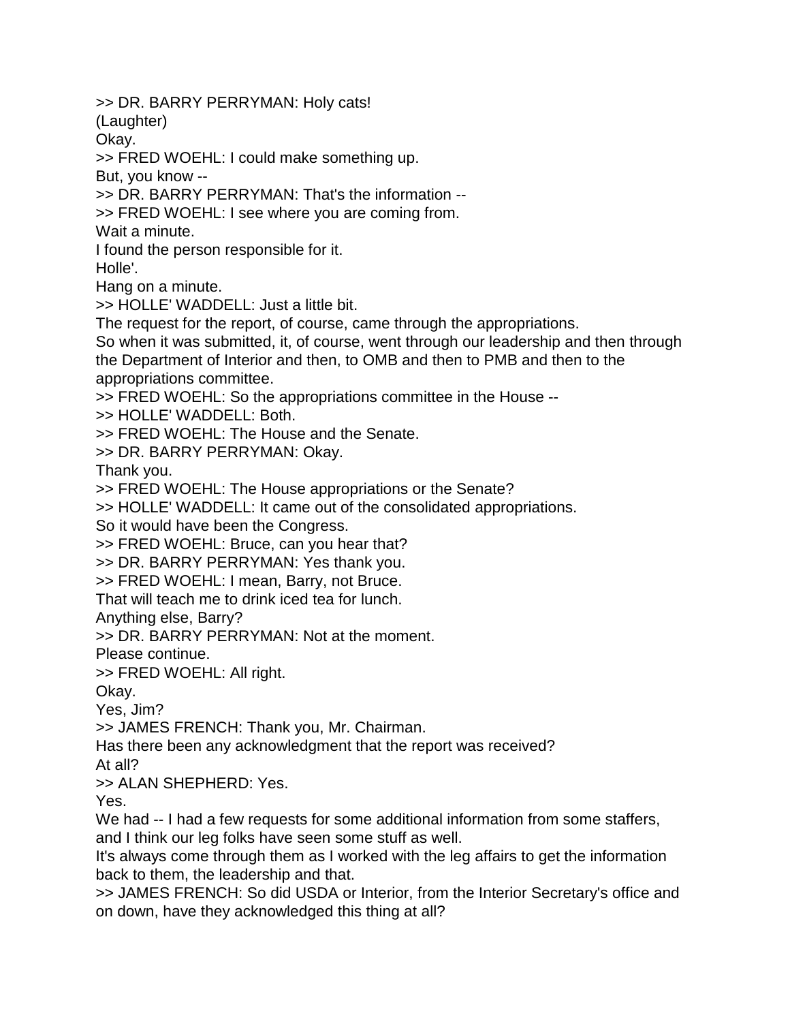>> DR. BARRY PERRYMAN: Holy cats!

(Laughter)

Okay.

>> FRED WOEHL: I could make something up.

But, you know --

>> DR. BARRY PERRYMAN: That's the information --

>> FRED WOEHL: I see where you are coming from.

Wait a minute.

I found the person responsible for it.

Holle'.

Hang on a minute.

>> HOLLE' WADDELL: Just a little bit.

The request for the report, of course, came through the appropriations.

So when it was submitted, it, of course, went through our leadership and then through the Department of Interior and then, to OMB and then to PMB and then to the appropriations committee.

>> FRED WOEHL: So the appropriations committee in the House --

>> HOLLE' WADDELL: Both.

>> FRED WOEHL: The House and the Senate.

>> DR. BARRY PERRYMAN: Okay.

Thank you.

>> FRED WOEHL: The House appropriations or the Senate?

>> HOLLE' WADDELL: It came out of the consolidated appropriations.

So it would have been the Congress.

>> FRED WOEHL: Bruce, can you hear that?

>> DR. BARRY PERRYMAN: Yes thank you.

>> FRED WOEHL: I mean, Barry, not Bruce.

That will teach me to drink iced tea for lunch.

Anything else, Barry?

>> DR. BARRY PERRYMAN: Not at the moment.

Please continue.

>> FRED WOEHL: All right.

Okay.

Yes, Jim?

>> JAMES FRENCH: Thank you, Mr. Chairman.

Has there been any acknowledgment that the report was received?

At all?

>> ALAN SHEPHERD: Yes.

Yes.

We had  $-$  I had a few requests for some additional information from some staffers, and I think our leg folks have seen some stuff as well.

It's always come through them as I worked with the leg affairs to get the information back to them, the leadership and that.

>> JAMES FRENCH: So did USDA or Interior, from the Interior Secretary's office and on down, have they acknowledged this thing at all?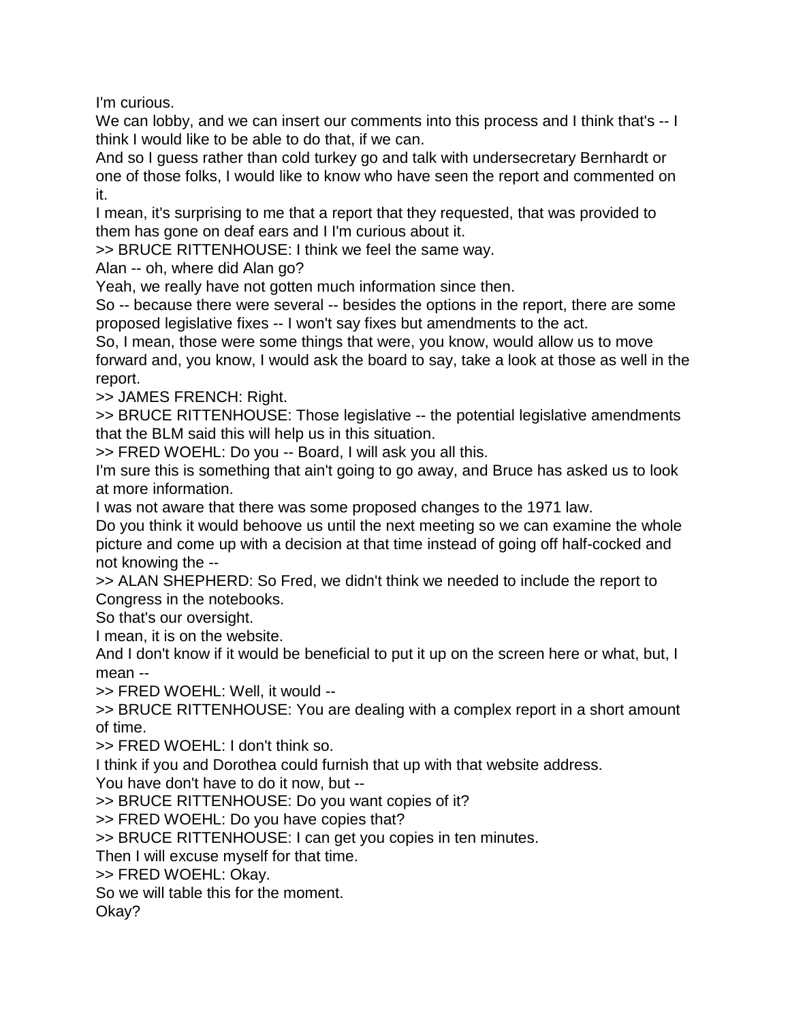I'm curious.

We can lobby, and we can insert our comments into this process and I think that's -- I think I would like to be able to do that, if we can.

And so I guess rather than cold turkey go and talk with undersecretary Bernhardt or one of those folks, I would like to know who have seen the report and commented on it.

I mean, it's surprising to me that a report that they requested, that was provided to them has gone on deaf ears and I I'm curious about it.

>> BRUCE RITTENHOUSE: I think we feel the same way.

Alan -- oh, where did Alan go?

Yeah, we really have not gotten much information since then.

So -- because there were several -- besides the options in the report, there are some proposed legislative fixes -- I won't say fixes but amendments to the act.

So, I mean, those were some things that were, you know, would allow us to move forward and, you know, I would ask the board to say, take a look at those as well in the report.

>> JAMES FRENCH: Right.

>> BRUCE RITTENHOUSE: Those legislative -- the potential legislative amendments that the BLM said this will help us in this situation.

>> FRED WOEHL: Do you -- Board, I will ask you all this.

I'm sure this is something that ain't going to go away, and Bruce has asked us to look at more information.

I was not aware that there was some proposed changes to the 1971 law.

Do you think it would behoove us until the next meeting so we can examine the whole picture and come up with a decision at that time instead of going off half-cocked and not knowing the --

>> ALAN SHEPHERD: So Fred, we didn't think we needed to include the report to Congress in the notebooks.

So that's our oversight.

I mean, it is on the website.

And I don't know if it would be beneficial to put it up on the screen here or what, but, I mean --

>> FRED WOEHL: Well, it would --

>> BRUCE RITTENHOUSE: You are dealing with a complex report in a short amount of time.

>> FRED WOEHL: I don't think so.

I think if you and Dorothea could furnish that up with that website address.

You have don't have to do it now, but --

>> BRUCE RITTENHOUSE: Do you want copies of it?

>> FRED WOEHL: Do you have copies that?

>> BRUCE RITTENHOUSE: I can get you copies in ten minutes.

Then I will excuse myself for that time.

>> FRED WOEHL: Okay.

So we will table this for the moment.

Okay?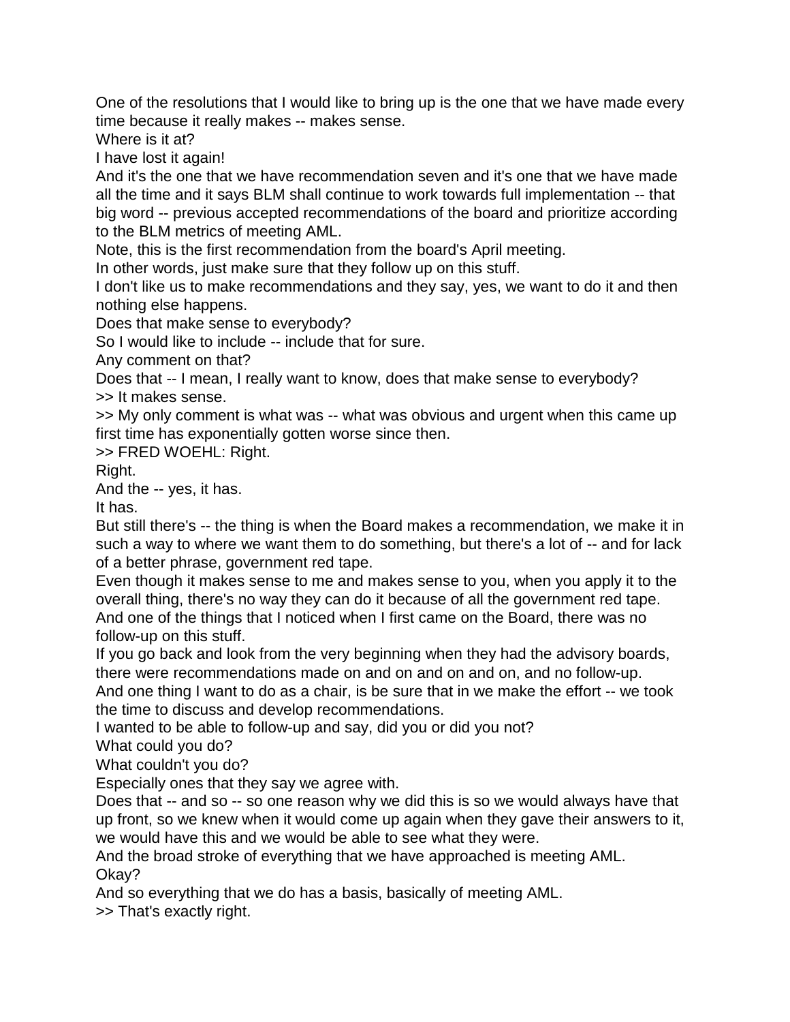One of the resolutions that I would like to bring up is the one that we have made every time because it really makes -- makes sense.

Where is it at?

I have lost it again!

And it's the one that we have recommendation seven and it's one that we have made all the time and it says BLM shall continue to work towards full implementation -- that big word -- previous accepted recommendations of the board and prioritize according to the BLM metrics of meeting AML.

Note, this is the first recommendation from the board's April meeting.

In other words, just make sure that they follow up on this stuff.

I don't like us to make recommendations and they say, yes, we want to do it and then nothing else happens.

Does that make sense to everybody?

So I would like to include -- include that for sure.

Any comment on that?

Does that -- I mean, I really want to know, does that make sense to everybody? >> It makes sense.

>> My only comment is what was -- what was obvious and urgent when this came up first time has exponentially gotten worse since then.

>> FRED WOEHL: Right.

Right.

And the -- yes, it has.

It has.

But still there's -- the thing is when the Board makes a recommendation, we make it in such a way to where we want them to do something, but there's a lot of -- and for lack of a better phrase, government red tape.

Even though it makes sense to me and makes sense to you, when you apply it to the overall thing, there's no way they can do it because of all the government red tape. And one of the things that I noticed when I first came on the Board, there was no follow-up on this stuff.

If you go back and look from the very beginning when they had the advisory boards, there were recommendations made on and on and on and on, and no follow-up.

And one thing I want to do as a chair, is be sure that in we make the effort -- we took the time to discuss and develop recommendations.

I wanted to be able to follow-up and say, did you or did you not?

What could you do?

What couldn't you do?

Especially ones that they say we agree with.

Does that -- and so -- so one reason why we did this is so we would always have that up front, so we knew when it would come up again when they gave their answers to it, we would have this and we would be able to see what they were.

And the broad stroke of everything that we have approached is meeting AML. Okay?

And so everything that we do has a basis, basically of meeting AML.

>> That's exactly right.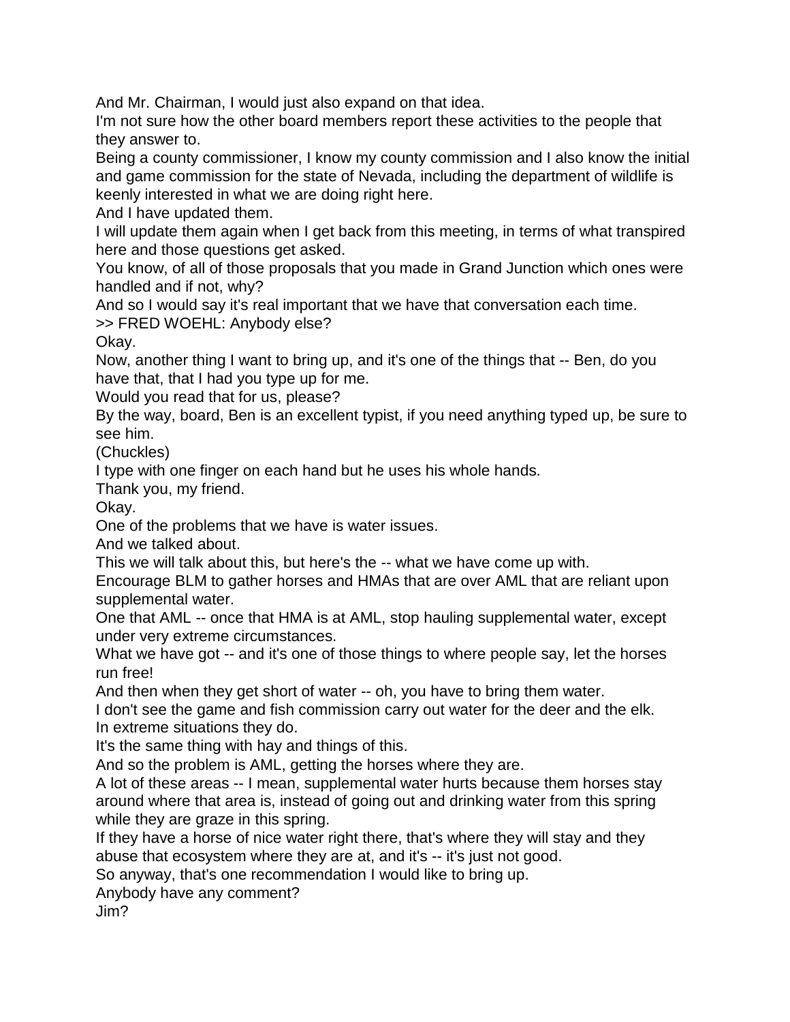And Mr. Chairman, I would just also expand on that idea.

I'm not sure how the other board members report these activities to the people that they answer to.

Being a county commissioner, I know my county commission and I also know the initial and game commission for the state of Nevada, including the department of wildlife is keenly interested in what we are doing right here.

And I have updated them.

I will update them again when I get back from this meeting, in terms of what transpired here and those questions get asked.

You know, of all of those proposals that you made in Grand Junction which ones were handled and if not, why?

And so I would say it's real important that we have that conversation each time.

>> FRED WOEHL: Anybody else?

Okay.

Now, another thing I want to bring up, and it's one of the things that -- Ben, do you have that, that I had you type up for me.

Would you read that for us, please?

By the way, board, Ben is an excellent typist, if you need anything typed up, be sure to see him.

(Chuckles)

I type with one finger on each hand but he uses his whole hands.

Thank you, my friend.

Okay.

One of the problems that we have is water issues.

And we talked about.

This we will talk about this, but here's the -- what we have come up with.

Encourage BLM to gather horses and HMAs that are over AML that are reliant upon supplemental water.

One that AML -- once that HMA is at AML, stop hauling supplemental water, except under very extreme circumstances.

What we have got -- and it's one of those things to where people say, let the horses run free!

And then when they get short of water -- oh, you have to bring them water.

I don't see the game and fish commission carry out water for the deer and the elk. In extreme situations they do.

It's the same thing with hay and things of this.

And so the problem is AML, getting the horses where they are.

A lot of these areas -- I mean, supplemental water hurts because them horses stay around where that area is, instead of going out and drinking water from this spring while they are graze in this spring.

If they have a horse of nice water right there, that's where they will stay and they abuse that ecosystem where they are at, and it's -- it's just not good.

So anyway, that's one recommendation I would like to bring up.

Anybody have any comment?

Jim?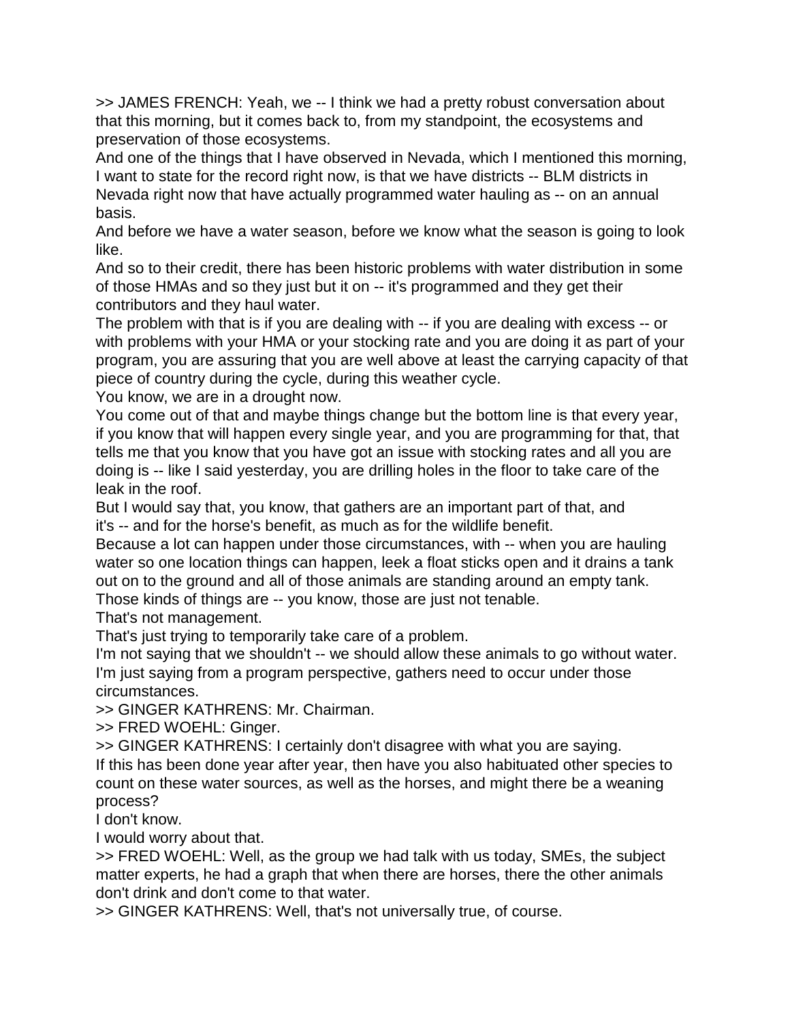>> JAMES FRENCH: Yeah, we -- I think we had a pretty robust conversation about that this morning, but it comes back to, from my standpoint, the ecosystems and preservation of those ecosystems.

And one of the things that I have observed in Nevada, which I mentioned this morning, I want to state for the record right now, is that we have districts -- BLM districts in Nevada right now that have actually programmed water hauling as -- on an annual basis.

And before we have a water season, before we know what the season is going to look like.

And so to their credit, there has been historic problems with water distribution in some of those HMAs and so they just but it on -- it's programmed and they get their contributors and they haul water.

The problem with that is if you are dealing with -- if you are dealing with excess -- or with problems with your HMA or your stocking rate and you are doing it as part of your program, you are assuring that you are well above at least the carrying capacity of that piece of country during the cycle, during this weather cycle.

You know, we are in a drought now.

You come out of that and maybe things change but the bottom line is that every year, if you know that will happen every single year, and you are programming for that, that tells me that you know that you have got an issue with stocking rates and all you are doing is -- like I said yesterday, you are drilling holes in the floor to take care of the leak in the roof.

But I would say that, you know, that gathers are an important part of that, and it's -- and for the horse's benefit, as much as for the wildlife benefit.

Because a lot can happen under those circumstances, with -- when you are hauling water so one location things can happen, leek a float sticks open and it drains a tank out on to the ground and all of those animals are standing around an empty tank.

Those kinds of things are -- you know, those are just not tenable.

That's not management.

That's just trying to temporarily take care of a problem.

I'm not saying that we shouldn't -- we should allow these animals to go without water. I'm just saying from a program perspective, gathers need to occur under those circumstances.

>> GINGER KATHRENS: Mr. Chairman.

>> FRED WOEHL: Ginger.

>> GINGER KATHRENS: I certainly don't disagree with what you are saying.

If this has been done year after year, then have you also habituated other species to count on these water sources, as well as the horses, and might there be a weaning process?

I don't know.

I would worry about that.

>> FRED WOEHL: Well, as the group we had talk with us today, SMEs, the subject matter experts, he had a graph that when there are horses, there the other animals don't drink and don't come to that water.

>> GINGER KATHRENS: Well, that's not universally true, of course.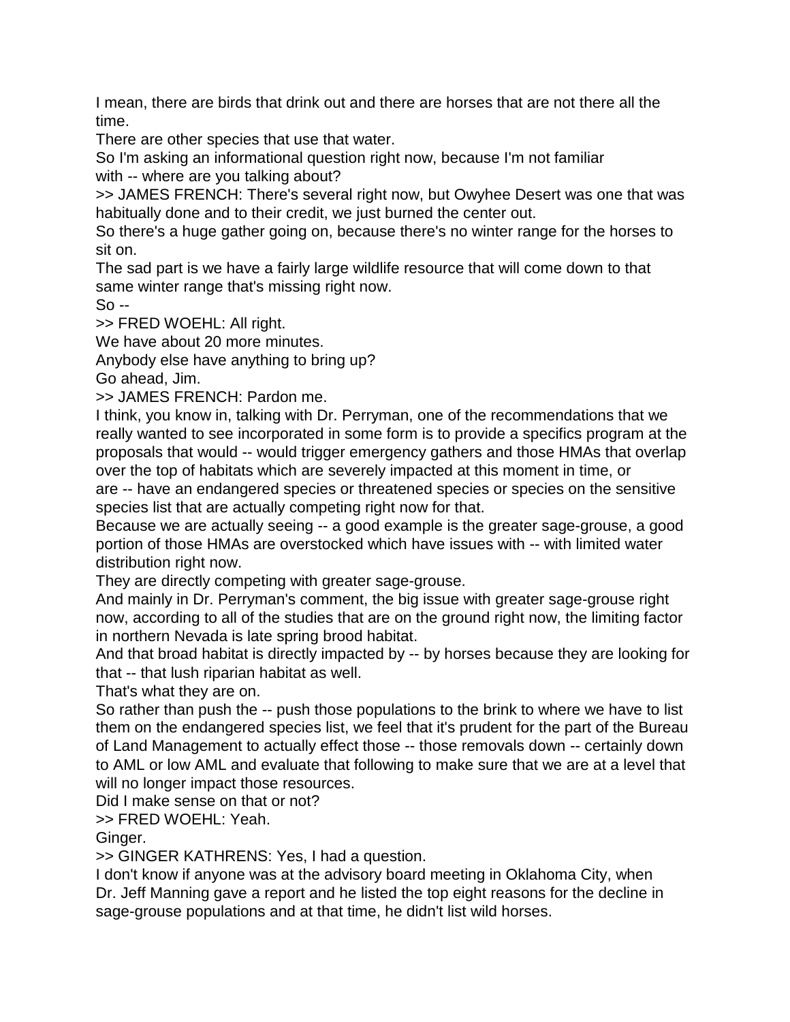I mean, there are birds that drink out and there are horses that are not there all the time.

There are other species that use that water.

So I'm asking an informational question right now, because I'm not familiar with -- where are you talking about?

>> JAMES FRENCH: There's several right now, but Owyhee Desert was one that was habitually done and to their credit, we just burned the center out.

So there's a huge gather going on, because there's no winter range for the horses to sit on.

The sad part is we have a fairly large wildlife resource that will come down to that same winter range that's missing right now.

 $So -$ 

>> FRED WOEHL: All right.

We have about 20 more minutes.

Anybody else have anything to bring up?

Go ahead, Jim.

>> JAMES FRENCH: Pardon me.

I think, you know in, talking with Dr. Perryman, one of the recommendations that we really wanted to see incorporated in some form is to provide a specifics program at the proposals that would -- would trigger emergency gathers and those HMAs that overlap over the top of habitats which are severely impacted at this moment in time, or are -- have an endangered species or threatened species or species on the sensitive species list that are actually competing right now for that.

Because we are actually seeing -- a good example is the greater sage-grouse, a good portion of those HMAs are overstocked which have issues with -- with limited water distribution right now.

They are directly competing with greater sage-grouse.

And mainly in Dr. Perryman's comment, the big issue with greater sage-grouse right now, according to all of the studies that are on the ground right now, the limiting factor in northern Nevada is late spring brood habitat.

And that broad habitat is directly impacted by -- by horses because they are looking for that -- that lush riparian habitat as well.

That's what they are on.

So rather than push the -- push those populations to the brink to where we have to list them on the endangered species list, we feel that it's prudent for the part of the Bureau of Land Management to actually effect those -- those removals down -- certainly down to AML or low AML and evaluate that following to make sure that we are at a level that will no longer impact those resources.

Did I make sense on that or not?

>> FRED WOEHL: Yeah.

Ginger.

>> GINGER KATHRENS: Yes, I had a question.

I don't know if anyone was at the advisory board meeting in Oklahoma City, when Dr. Jeff Manning gave a report and he listed the top eight reasons for the decline in sage-grouse populations and at that time, he didn't list wild horses.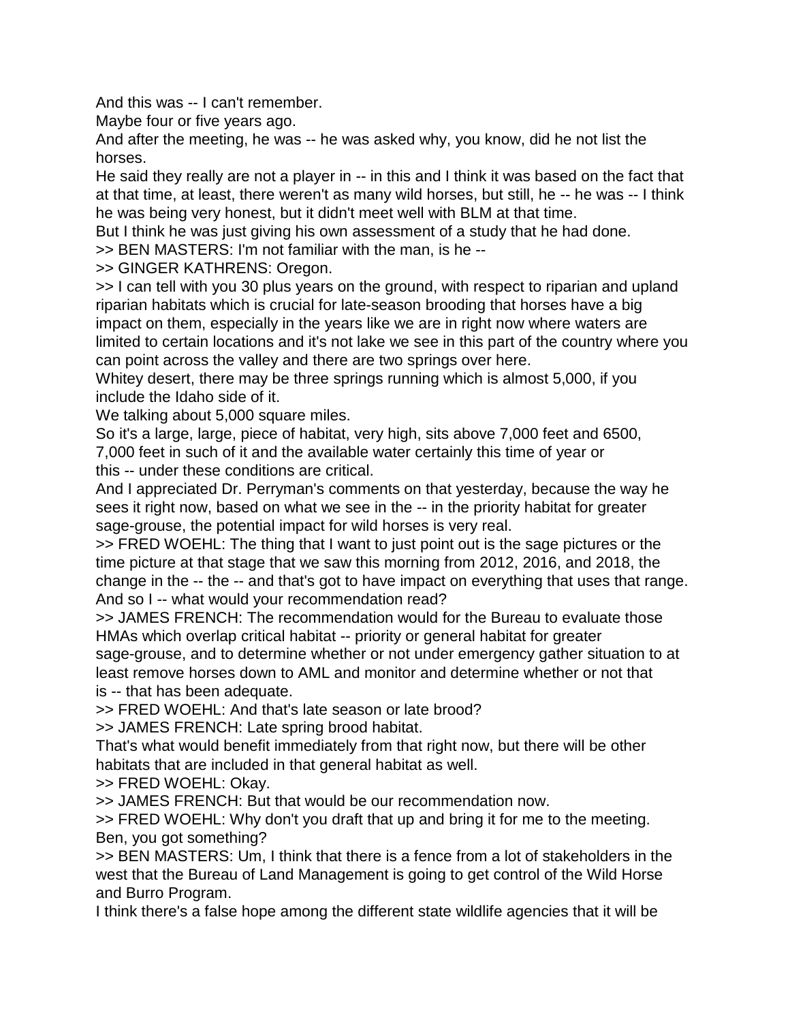And this was -- I can't remember.

Maybe four or five years ago.

And after the meeting, he was -- he was asked why, you know, did he not list the horses.

He said they really are not a player in -- in this and I think it was based on the fact that at that time, at least, there weren't as many wild horses, but still, he -- he was -- I think he was being very honest, but it didn't meet well with BLM at that time.

But I think he was just giving his own assessment of a study that he had done.

>> BEN MASTERS: I'm not familiar with the man, is he --

>> GINGER KATHRENS: Oregon.

>> I can tell with you 30 plus years on the ground, with respect to riparian and upland riparian habitats which is crucial for late-season brooding that horses have a big impact on them, especially in the years like we are in right now where waters are limited to certain locations and it's not lake we see in this part of the country where you can point across the valley and there are two springs over here.

Whitey desert, there may be three springs running which is almost 5,000, if you include the Idaho side of it.

We talking about 5,000 square miles.

So it's a large, large, piece of habitat, very high, sits above 7,000 feet and 6500, 7,000 feet in such of it and the available water certainly this time of year or this -- under these conditions are critical.

And I appreciated Dr. Perryman's comments on that yesterday, because the way he sees it right now, based on what we see in the -- in the priority habitat for greater sage-grouse, the potential impact for wild horses is very real.

>> FRED WOEHL: The thing that I want to just point out is the sage pictures or the time picture at that stage that we saw this morning from 2012, 2016, and 2018, the change in the -- the -- and that's got to have impact on everything that uses that range. And so I -- what would your recommendation read?

>> JAMES FRENCH: The recommendation would for the Bureau to evaluate those HMAs which overlap critical habitat -- priority or general habitat for greater sage-grouse, and to determine whether or not under emergency gather situation to at least remove horses down to AML and monitor and determine whether or not that is -- that has been adequate.

>> FRED WOEHL: And that's late season or late brood?

>> JAMES FRENCH: Late spring brood habitat.

That's what would benefit immediately from that right now, but there will be other habitats that are included in that general habitat as well.

>> FRED WOEHL: Okay.

>> JAMES FRENCH: But that would be our recommendation now.

>> FRED WOEHL: Why don't you draft that up and bring it for me to the meeting. Ben, you got something?

>> BEN MASTERS: Um, I think that there is a fence from a lot of stakeholders in the west that the Bureau of Land Management is going to get control of the Wild Horse and Burro Program.

I think there's a false hope among the different state wildlife agencies that it will be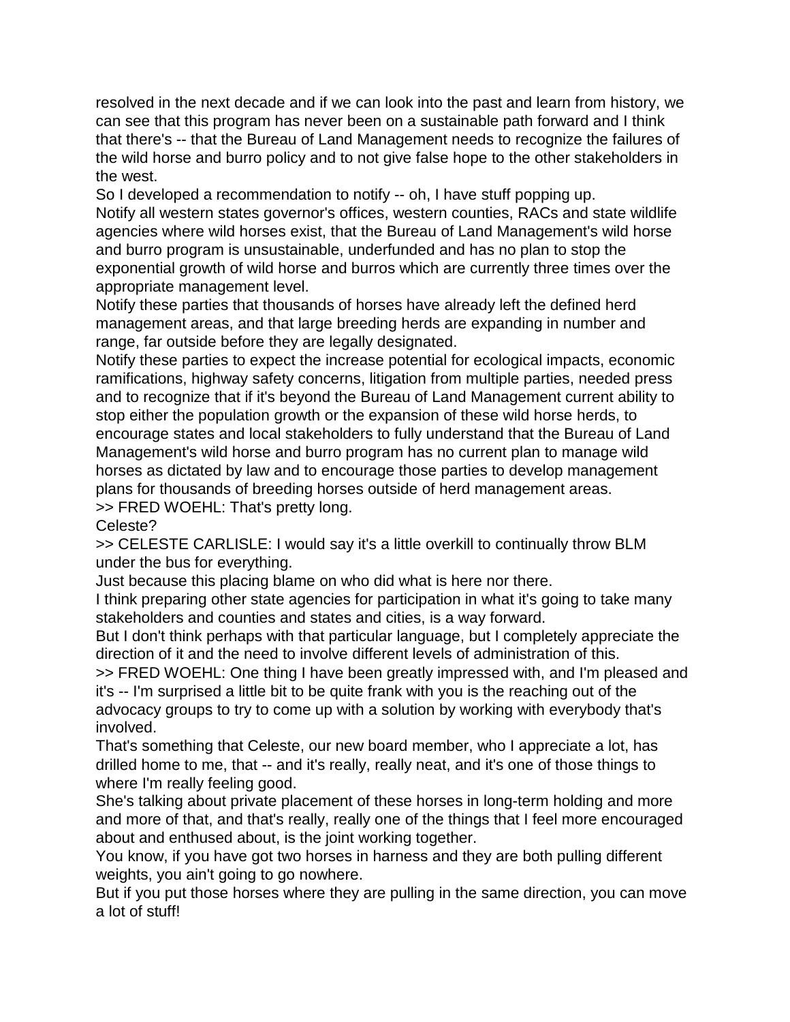resolved in the next decade and if we can look into the past and learn from history, we can see that this program has never been on a sustainable path forward and I think that there's -- that the Bureau of Land Management needs to recognize the failures of the wild horse and burro policy and to not give false hope to the other stakeholders in the west.

So I developed a recommendation to notify -- oh, I have stuff popping up. Notify all western states governor's offices, western counties, RACs and state wildlife agencies where wild horses exist, that the Bureau of Land Management's wild horse and burro program is unsustainable, underfunded and has no plan to stop the exponential growth of wild horse and burros which are currently three times over the appropriate management level.

Notify these parties that thousands of horses have already left the defined herd management areas, and that large breeding herds are expanding in number and range, far outside before they are legally designated.

Notify these parties to expect the increase potential for ecological impacts, economic ramifications, highway safety concerns, litigation from multiple parties, needed press and to recognize that if it's beyond the Bureau of Land Management current ability to stop either the population growth or the expansion of these wild horse herds, to encourage states and local stakeholders to fully understand that the Bureau of Land Management's wild horse and burro program has no current plan to manage wild horses as dictated by law and to encourage those parties to develop management plans for thousands of breeding horses outside of herd management areas. >> FRED WOEHL: That's pretty long.

Celeste?

>> CELESTE CARLISLE: I would say it's a little overkill to continually throw BLM under the bus for everything.

Just because this placing blame on who did what is here nor there.

I think preparing other state agencies for participation in what it's going to take many stakeholders and counties and states and cities, is a way forward.

But I don't think perhaps with that particular language, but I completely appreciate the direction of it and the need to involve different levels of administration of this.

>> FRED WOEHL: One thing I have been greatly impressed with, and I'm pleased and it's -- I'm surprised a little bit to be quite frank with you is the reaching out of the advocacy groups to try to come up with a solution by working with everybody that's involved.

That's something that Celeste, our new board member, who I appreciate a lot, has drilled home to me, that -- and it's really, really neat, and it's one of those things to where I'm really feeling good.

She's talking about private placement of these horses in long-term holding and more and more of that, and that's really, really one of the things that I feel more encouraged about and enthused about, is the joint working together.

You know, if you have got two horses in harness and they are both pulling different weights, you ain't going to go nowhere.

But if you put those horses where they are pulling in the same direction, you can move a lot of stuff!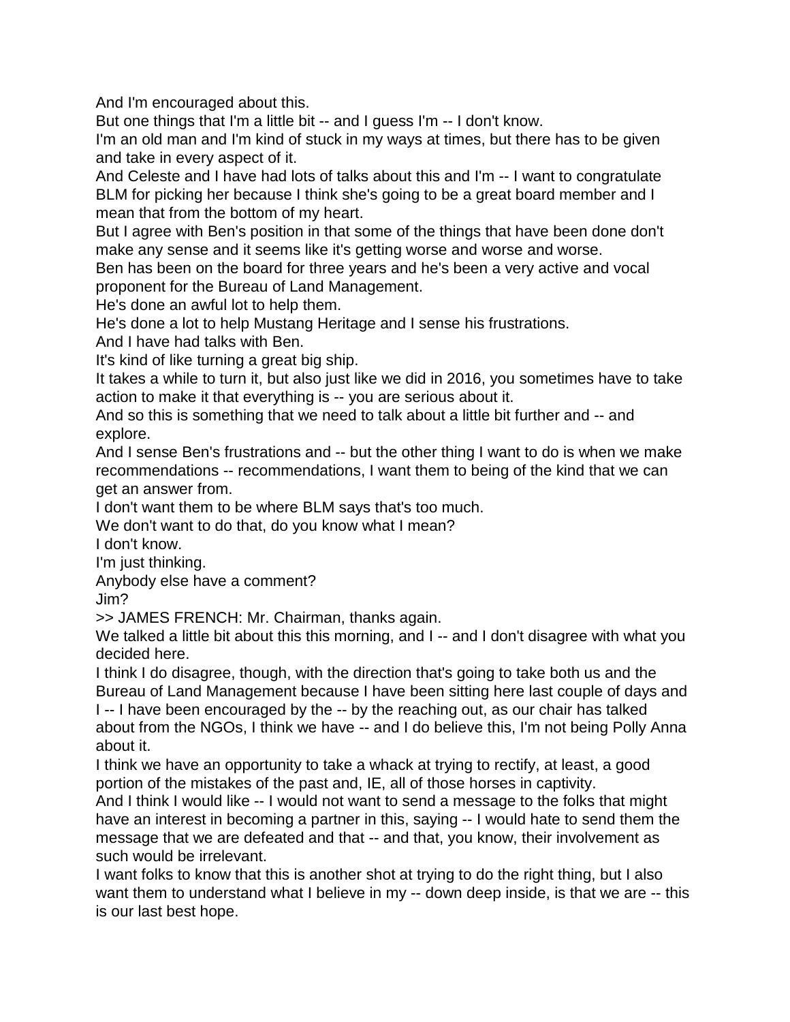And I'm encouraged about this.

But one things that I'm a little bit -- and I guess I'm -- I don't know.

I'm an old man and I'm kind of stuck in my ways at times, but there has to be given and take in every aspect of it.

And Celeste and I have had lots of talks about this and I'm -- I want to congratulate BLM for picking her because I think she's going to be a great board member and I mean that from the bottom of my heart.

But I agree with Ben's position in that some of the things that have been done don't make any sense and it seems like it's getting worse and worse and worse.

Ben has been on the board for three years and he's been a very active and vocal proponent for the Bureau of Land Management.

He's done an awful lot to help them.

He's done a lot to help Mustang Heritage and I sense his frustrations.

And I have had talks with Ben.

It's kind of like turning a great big ship.

It takes a while to turn it, but also just like we did in 2016, you sometimes have to take action to make it that everything is -- you are serious about it.

And so this is something that we need to talk about a little bit further and -- and explore.

And I sense Ben's frustrations and -- but the other thing I want to do is when we make recommendations -- recommendations, I want them to being of the kind that we can get an answer from.

I don't want them to be where BLM says that's too much.

We don't want to do that, do you know what I mean?

I don't know.

I'm just thinking.

Anybody else have a comment?

Jim?

>> JAMES FRENCH: Mr. Chairman, thanks again.

We talked a little bit about this this morning, and I -- and I don't disagree with what you decided here.

I think I do disagree, though, with the direction that's going to take both us and the Bureau of Land Management because I have been sitting here last couple of days and

I -- I have been encouraged by the -- by the reaching out, as our chair has talked about from the NGOs, I think we have -- and I do believe this, I'm not being Polly Anna about it.

I think we have an opportunity to take a whack at trying to rectify, at least, a good portion of the mistakes of the past and, IE, all of those horses in captivity.

And I think I would like -- I would not want to send a message to the folks that might have an interest in becoming a partner in this, saying -- I would hate to send them the message that we are defeated and that -- and that, you know, their involvement as such would be irrelevant.

I want folks to know that this is another shot at trying to do the right thing, but I also want them to understand what I believe in my -- down deep inside, is that we are -- this is our last best hope.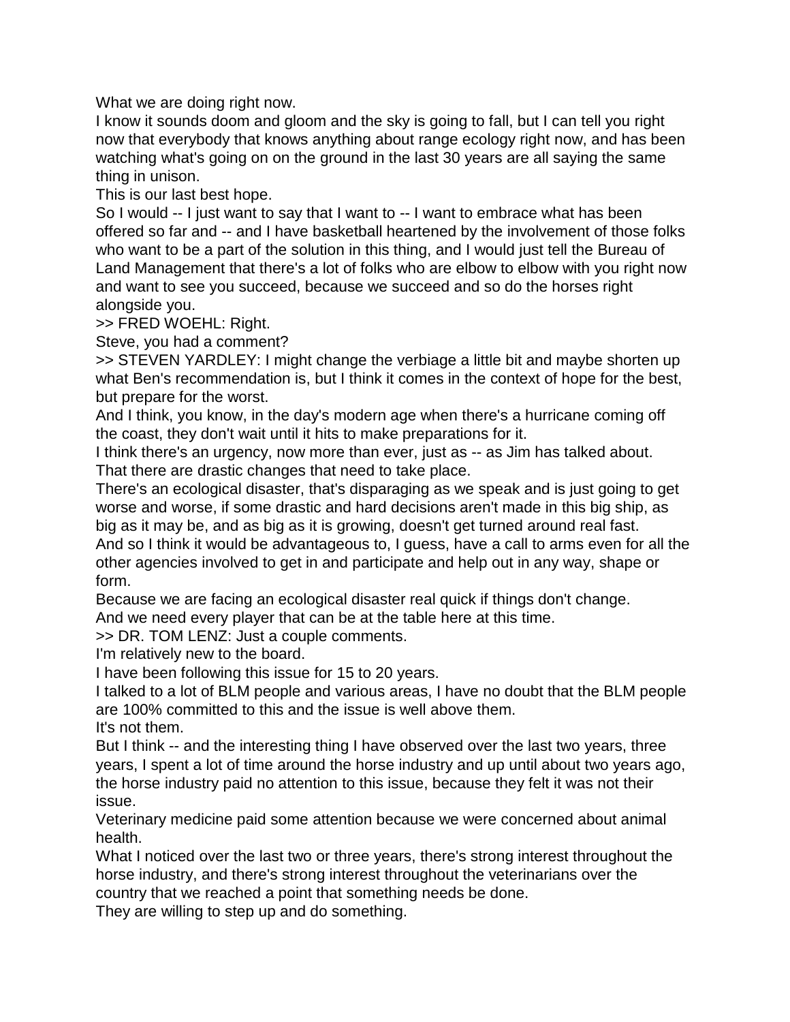What we are doing right now.

I know it sounds doom and gloom and the sky is going to fall, but I can tell you right now that everybody that knows anything about range ecology right now, and has been watching what's going on on the ground in the last 30 years are all saying the same thing in unison.

This is our last best hope.

So I would -- I just want to say that I want to -- I want to embrace what has been offered so far and -- and I have basketball heartened by the involvement of those folks who want to be a part of the solution in this thing, and I would just tell the Bureau of Land Management that there's a lot of folks who are elbow to elbow with you right now and want to see you succeed, because we succeed and so do the horses right alongside you.

>> FRED WOEHL: Right.

Steve, you had a comment?

>> STEVEN YARDLEY: I might change the verbiage a little bit and maybe shorten up what Ben's recommendation is, but I think it comes in the context of hope for the best, but prepare for the worst.

And I think, you know, in the day's modern age when there's a hurricane coming off the coast, they don't wait until it hits to make preparations for it.

I think there's an urgency, now more than ever, just as -- as Jim has talked about. That there are drastic changes that need to take place.

There's an ecological disaster, that's disparaging as we speak and is just going to get worse and worse, if some drastic and hard decisions aren't made in this big ship, as big as it may be, and as big as it is growing, doesn't get turned around real fast.

And so I think it would be advantageous to, I guess, have a call to arms even for all the other agencies involved to get in and participate and help out in any way, shape or form.

Because we are facing an ecological disaster real quick if things don't change.

And we need every player that can be at the table here at this time.

>> DR. TOM LENZ: Just a couple comments.

I'm relatively new to the board.

I have been following this issue for 15 to 20 years.

I talked to a lot of BLM people and various areas, I have no doubt that the BLM people are 100% committed to this and the issue is well above them.

It's not them.

But I think -- and the interesting thing I have observed over the last two years, three years, I spent a lot of time around the horse industry and up until about two years ago, the horse industry paid no attention to this issue, because they felt it was not their issue.

Veterinary medicine paid some attention because we were concerned about animal health.

What I noticed over the last two or three years, there's strong interest throughout the horse industry, and there's strong interest throughout the veterinarians over the country that we reached a point that something needs be done.

They are willing to step up and do something.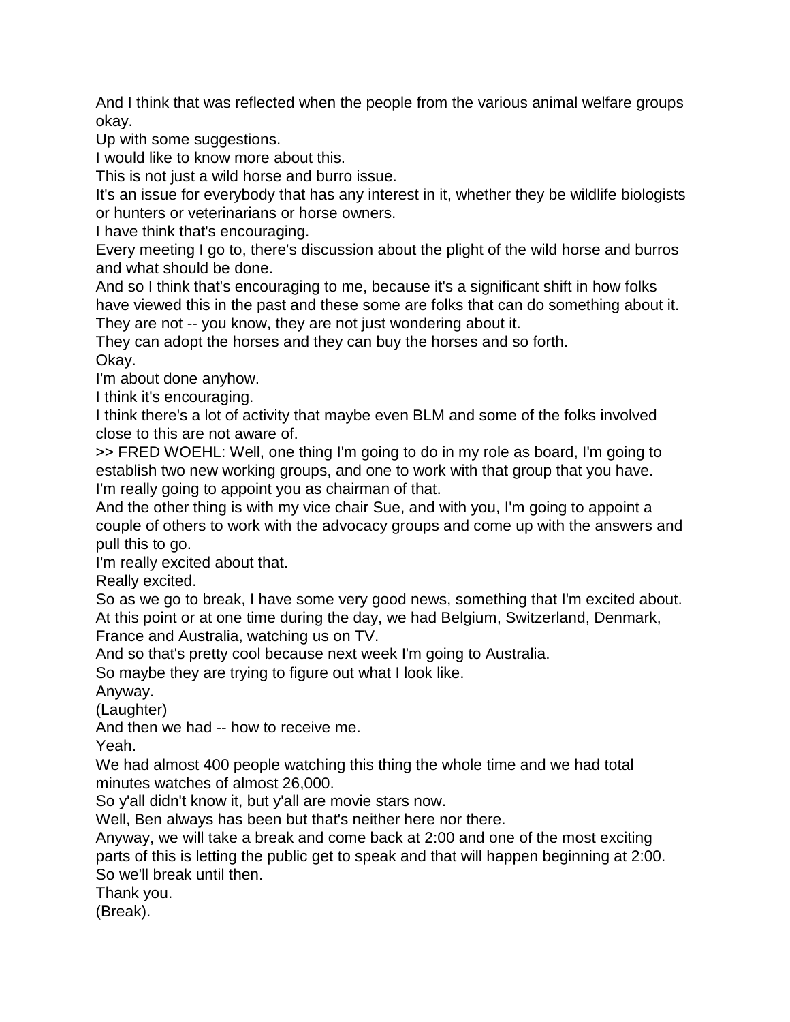And I think that was reflected when the people from the various animal welfare groups okay.

Up with some suggestions.

I would like to know more about this.

This is not just a wild horse and burro issue.

It's an issue for everybody that has any interest in it, whether they be wildlife biologists or hunters or veterinarians or horse owners.

I have think that's encouraging.

Every meeting I go to, there's discussion about the plight of the wild horse and burros and what should be done.

And so I think that's encouraging to me, because it's a significant shift in how folks have viewed this in the past and these some are folks that can do something about it. They are not -- you know, they are not just wondering about it.

They can adopt the horses and they can buy the horses and so forth. Okay.

I'm about done anyhow.

I think it's encouraging.

I think there's a lot of activity that maybe even BLM and some of the folks involved close to this are not aware of.

>> FRED WOEHL: Well, one thing I'm going to do in my role as board, I'm going to establish two new working groups, and one to work with that group that you have. I'm really going to appoint you as chairman of that.

And the other thing is with my vice chair Sue, and with you, I'm going to appoint a couple of others to work with the advocacy groups and come up with the answers and pull this to go.

I'm really excited about that.

Really excited.

So as we go to break, I have some very good news, something that I'm excited about. At this point or at one time during the day, we had Belgium, Switzerland, Denmark, France and Australia, watching us on TV.

And so that's pretty cool because next week I'm going to Australia.

So maybe they are trying to figure out what I look like.

Anyway.

(Laughter)

And then we had -- how to receive me.

Yeah.

We had almost 400 people watching this thing the whole time and we had total minutes watches of almost 26,000.

So y'all didn't know it, but y'all are movie stars now.

Well, Ben always has been but that's neither here nor there.

Anyway, we will take a break and come back at 2:00 and one of the most exciting parts of this is letting the public get to speak and that will happen beginning at 2:00. So we'll break until then.

Thank you.

(Break).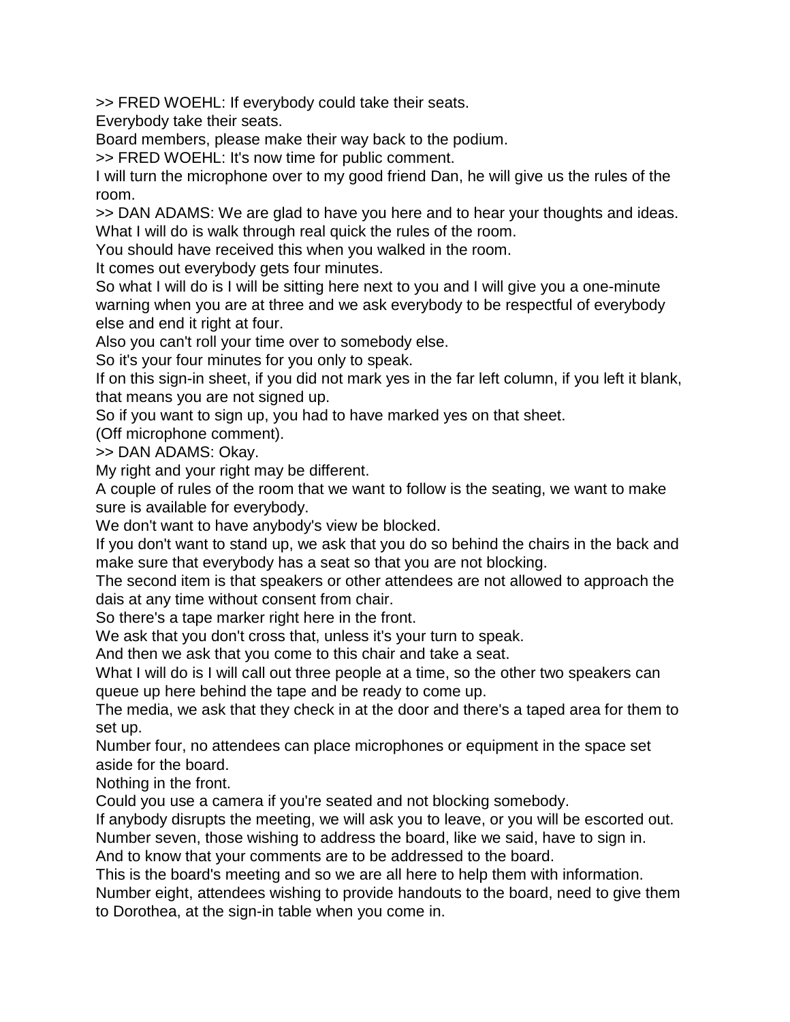>> FRED WOEHL: If everybody could take their seats.

Everybody take their seats.

Board members, please make their way back to the podium.

>> FRED WOEHL: It's now time for public comment.

I will turn the microphone over to my good friend Dan, he will give us the rules of the room.

>> DAN ADAMS: We are glad to have you here and to hear your thoughts and ideas. What I will do is walk through real quick the rules of the room.

You should have received this when you walked in the room.

It comes out everybody gets four minutes.

So what I will do is I will be sitting here next to you and I will give you a one-minute warning when you are at three and we ask everybody to be respectful of everybody else and end it right at four.

Also you can't roll your time over to somebody else.

So it's your four minutes for you only to speak.

If on this sign-in sheet, if you did not mark yes in the far left column, if you left it blank, that means you are not signed up.

So if you want to sign up, you had to have marked yes on that sheet.

(Off microphone comment).

>> DAN ADAMS: Okay.

My right and your right may be different.

A couple of rules of the room that we want to follow is the seating, we want to make sure is available for everybody.

We don't want to have anybody's view be blocked.

If you don't want to stand up, we ask that you do so behind the chairs in the back and make sure that everybody has a seat so that you are not blocking.

The second item is that speakers or other attendees are not allowed to approach the dais at any time without consent from chair.

So there's a tape marker right here in the front.

We ask that you don't cross that, unless it's your turn to speak.

And then we ask that you come to this chair and take a seat.

What I will do is I will call out three people at a time, so the other two speakers can queue up here behind the tape and be ready to come up.

The media, we ask that they check in at the door and there's a taped area for them to set up.

Number four, no attendees can place microphones or equipment in the space set aside for the board.

Nothing in the front.

Could you use a camera if you're seated and not blocking somebody.

If anybody disrupts the meeting, we will ask you to leave, or you will be escorted out.

Number seven, those wishing to address the board, like we said, have to sign in. And to know that your comments are to be addressed to the board.

This is the board's meeting and so we are all here to help them with information.

Number eight, attendees wishing to provide handouts to the board, need to give them to Dorothea, at the sign-in table when you come in.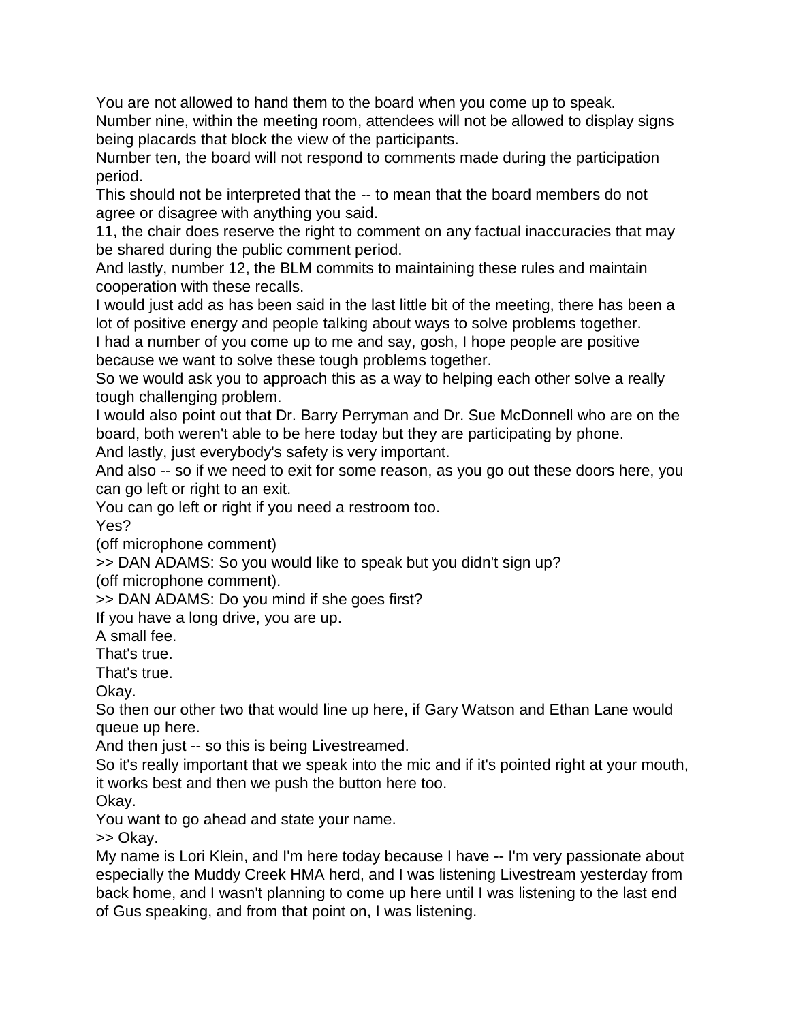You are not allowed to hand them to the board when you come up to speak. Number nine, within the meeting room, attendees will not be allowed to display signs being placards that block the view of the participants.

Number ten, the board will not respond to comments made during the participation period.

This should not be interpreted that the -- to mean that the board members do not agree or disagree with anything you said.

11, the chair does reserve the right to comment on any factual inaccuracies that may be shared during the public comment period.

And lastly, number 12, the BLM commits to maintaining these rules and maintain cooperation with these recalls.

I would just add as has been said in the last little bit of the meeting, there has been a lot of positive energy and people talking about ways to solve problems together.

I had a number of you come up to me and say, gosh, I hope people are positive because we want to solve these tough problems together.

So we would ask you to approach this as a way to helping each other solve a really tough challenging problem.

I would also point out that Dr. Barry Perryman and Dr. Sue McDonnell who are on the board, both weren't able to be here today but they are participating by phone. And lastly, just everybody's safety is very important.

And also -- so if we need to exit for some reason, as you go out these doors here, you can go left or right to an exit.

You can go left or right if you need a restroom too.

Yes?

(off microphone comment)

>> DAN ADAMS: So you would like to speak but you didn't sign up? (off microphone comment).

>> DAN ADAMS: Do you mind if she goes first?

If you have a long drive, you are up.

A small fee.

That's true.

That's true.

Okay.

So then our other two that would line up here, if Gary Watson and Ethan Lane would queue up here.

And then just -- so this is being Livestreamed.

So it's really important that we speak into the mic and if it's pointed right at your mouth, it works best and then we push the button here too.

Okay.

You want to go ahead and state your name.

>> Okay.

My name is Lori Klein, and I'm here today because I have -- I'm very passionate about especially the Muddy Creek HMA herd, and I was listening Livestream yesterday from back home, and I wasn't planning to come up here until I was listening to the last end of Gus speaking, and from that point on, I was listening.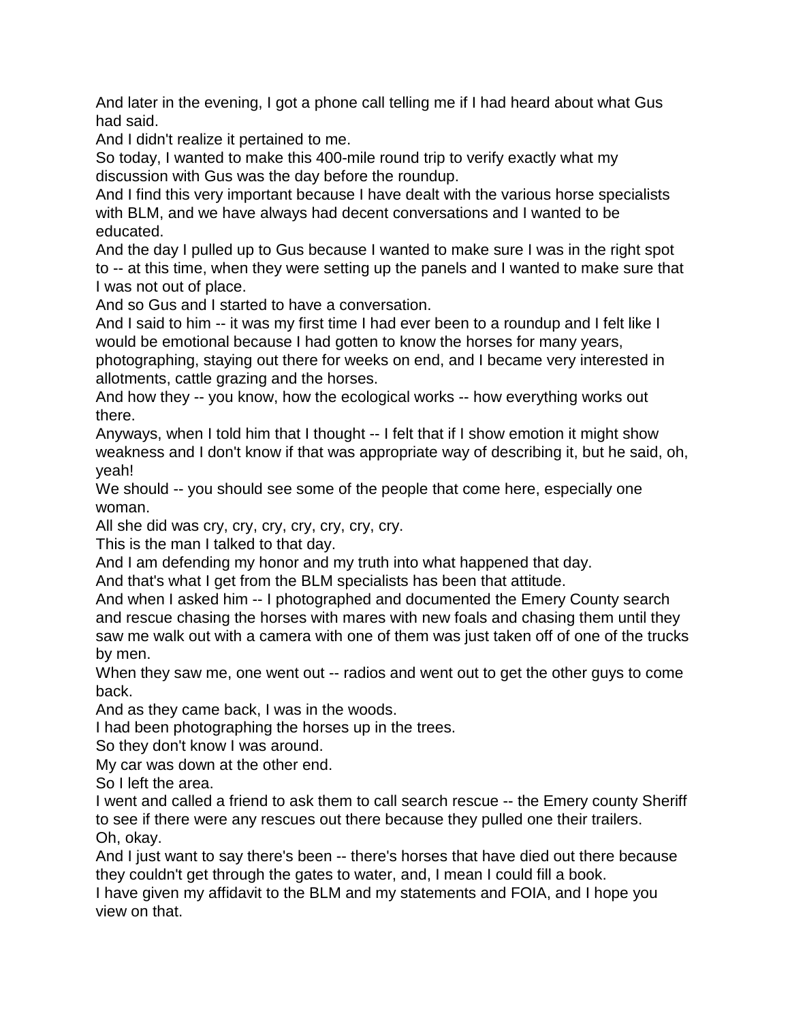And later in the evening, I got a phone call telling me if I had heard about what Gus had said.

And I didn't realize it pertained to me.

So today, I wanted to make this 400-mile round trip to verify exactly what my discussion with Gus was the day before the roundup.

And I find this very important because I have dealt with the various horse specialists with BLM, and we have always had decent conversations and I wanted to be educated.

And the day I pulled up to Gus because I wanted to make sure I was in the right spot to -- at this time, when they were setting up the panels and I wanted to make sure that I was not out of place.

And so Gus and I started to have a conversation.

And I said to him -- it was my first time I had ever been to a roundup and I felt like I would be emotional because I had gotten to know the horses for many years, photographing, staying out there for weeks on end, and I became very interested in allotments, cattle grazing and the horses.

And how they -- you know, how the ecological works -- how everything works out there.

Anyways, when I told him that I thought -- I felt that if I show emotion it might show weakness and I don't know if that was appropriate way of describing it, but he said, oh, yeah!

We should -- you should see some of the people that come here, especially one woman.

All she did was cry, cry, cry, cry, cry, cry, cry.

This is the man I talked to that day.

And I am defending my honor and my truth into what happened that day.

And that's what I get from the BLM specialists has been that attitude.

And when I asked him -- I photographed and documented the Emery County search and rescue chasing the horses with mares with new foals and chasing them until they saw me walk out with a camera with one of them was just taken off of one of the trucks by men.

When they saw me, one went out -- radios and went out to get the other guys to come back.

And as they came back, I was in the woods.

I had been photographing the horses up in the trees.

So they don't know I was around.

My car was down at the other end.

So I left the area.

I went and called a friend to ask them to call search rescue -- the Emery county Sheriff to see if there were any rescues out there because they pulled one their trailers. Oh, okay.

And I just want to say there's been -- there's horses that have died out there because they couldn't get through the gates to water, and, I mean I could fill a book.

I have given my affidavit to the BLM and my statements and FOIA, and I hope you view on that.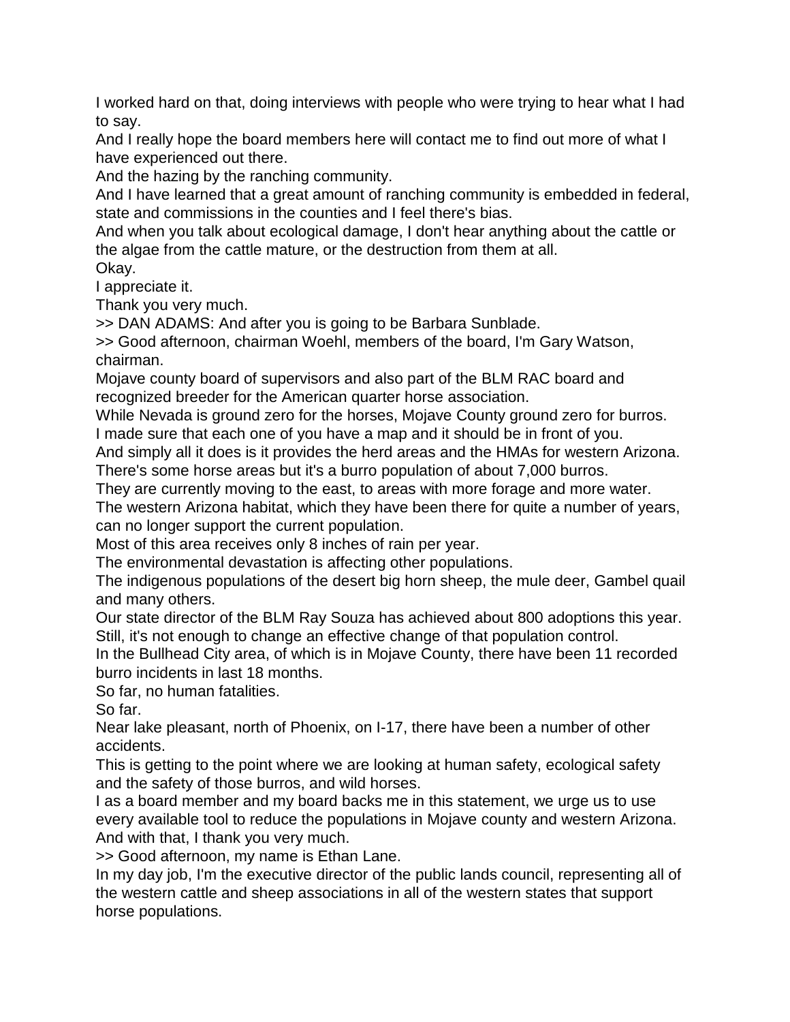I worked hard on that, doing interviews with people who were trying to hear what I had to say.

And I really hope the board members here will contact me to find out more of what I have experienced out there.

And the hazing by the ranching community.

And I have learned that a great amount of ranching community is embedded in federal, state and commissions in the counties and I feel there's bias.

And when you talk about ecological damage, I don't hear anything about the cattle or the algae from the cattle mature, or the destruction from them at all.

Okay.

I appreciate it.

Thank you very much.

>> DAN ADAMS: And after you is going to be Barbara Sunblade.

>> Good afternoon, chairman Woehl, members of the board, I'm Gary Watson, chairman.

Mojave county board of supervisors and also part of the BLM RAC board and recognized breeder for the American quarter horse association.

While Nevada is ground zero for the horses, Mojave County ground zero for burros.

I made sure that each one of you have a map and it should be in front of you.

And simply all it does is it provides the herd areas and the HMAs for western Arizona.

There's some horse areas but it's a burro population of about 7,000 burros.

They are currently moving to the east, to areas with more forage and more water.

The western Arizona habitat, which they have been there for quite a number of years, can no longer support the current population.

Most of this area receives only 8 inches of rain per year.

The environmental devastation is affecting other populations.

The indigenous populations of the desert big horn sheep, the mule deer, Gambel quail and many others.

Our state director of the BLM Ray Souza has achieved about 800 adoptions this year. Still, it's not enough to change an effective change of that population control.

In the Bullhead City area, of which is in Mojave County, there have been 11 recorded burro incidents in last 18 months.

So far, no human fatalities.

So far.

Near lake pleasant, north of Phoenix, on I-17, there have been a number of other accidents.

This is getting to the point where we are looking at human safety, ecological safety and the safety of those burros, and wild horses.

I as a board member and my board backs me in this statement, we urge us to use every available tool to reduce the populations in Mojave county and western Arizona. And with that, I thank you very much.

>> Good afternoon, my name is Ethan Lane.

In my day job, I'm the executive director of the public lands council, representing all of the western cattle and sheep associations in all of the western states that support horse populations.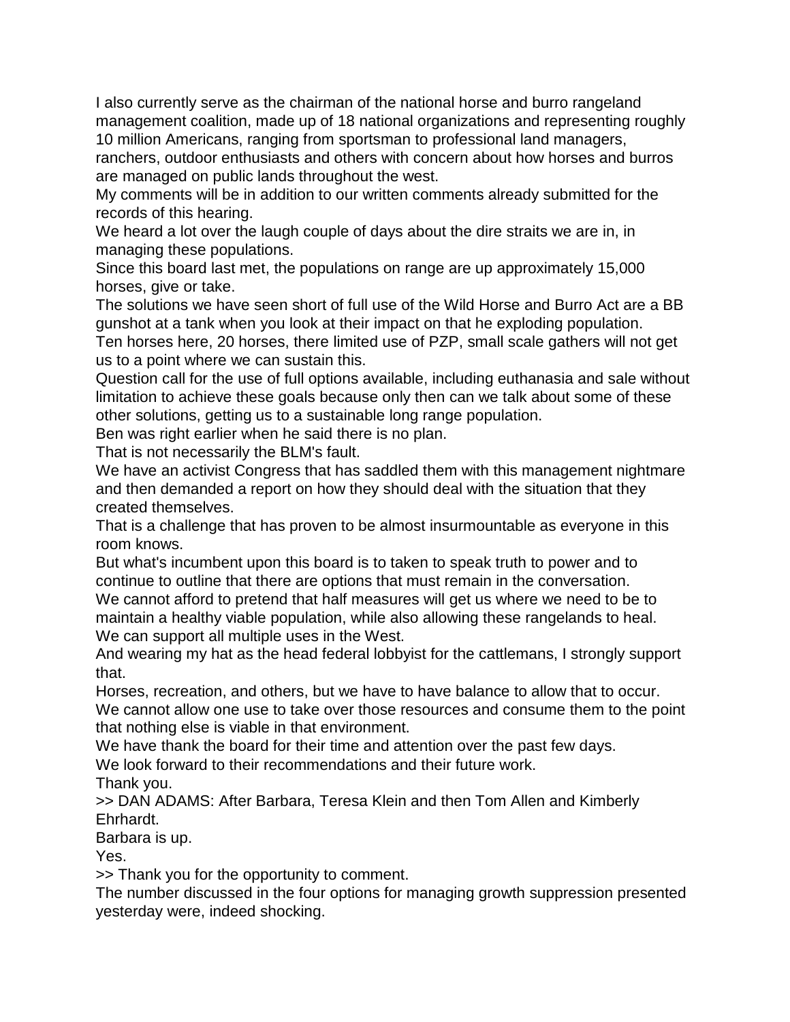I also currently serve as the chairman of the national horse and burro rangeland management coalition, made up of 18 national organizations and representing roughly 10 million Americans, ranging from sportsman to professional land managers,

ranchers, outdoor enthusiasts and others with concern about how horses and burros are managed on public lands throughout the west.

My comments will be in addition to our written comments already submitted for the records of this hearing.

We heard a lot over the laugh couple of days about the dire straits we are in, in managing these populations.

Since this board last met, the populations on range are up approximately 15,000 horses, give or take.

The solutions we have seen short of full use of the Wild Horse and Burro Act are a BB gunshot at a tank when you look at their impact on that he exploding population.

Ten horses here, 20 horses, there limited use of PZP, small scale gathers will not get us to a point where we can sustain this.

Question call for the use of full options available, including euthanasia and sale without limitation to achieve these goals because only then can we talk about some of these other solutions, getting us to a sustainable long range population.

Ben was right earlier when he said there is no plan.

That is not necessarily the BLM's fault.

We have an activist Congress that has saddled them with this management nightmare and then demanded a report on how they should deal with the situation that they created themselves.

That is a challenge that has proven to be almost insurmountable as everyone in this room knows.

But what's incumbent upon this board is to taken to speak truth to power and to continue to outline that there are options that must remain in the conversation.

We cannot afford to pretend that half measures will get us where we need to be to maintain a healthy viable population, while also allowing these rangelands to heal. We can support all multiple uses in the West.

And wearing my hat as the head federal lobbyist for the cattlemans, I strongly support that.

Horses, recreation, and others, but we have to have balance to allow that to occur. We cannot allow one use to take over those resources and consume them to the point that nothing else is viable in that environment.

We have thank the board for their time and attention over the past few days.

We look forward to their recommendations and their future work.

Thank you.

>> DAN ADAMS: After Barbara, Teresa Klein and then Tom Allen and Kimberly Ehrhardt.

Barbara is up.

Yes.

>> Thank you for the opportunity to comment.

The number discussed in the four options for managing growth suppression presented yesterday were, indeed shocking.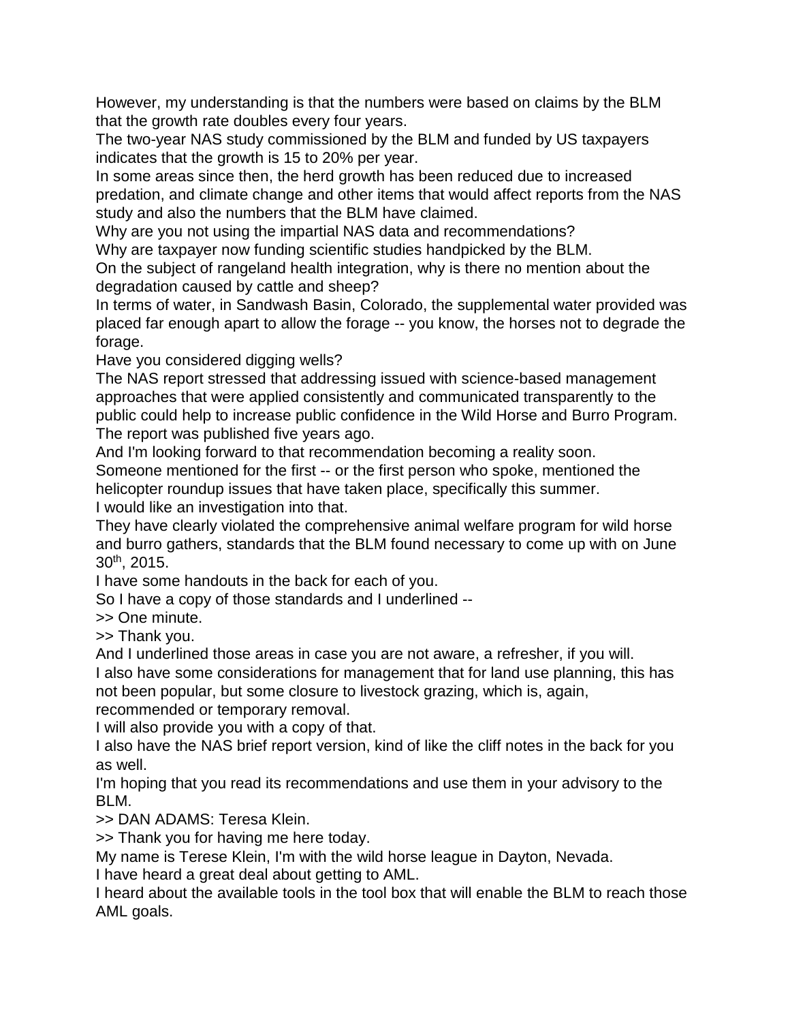However, my understanding is that the numbers were based on claims by the BLM that the growth rate doubles every four years.

The two-year NAS study commissioned by the BLM and funded by US taxpayers indicates that the growth is 15 to 20% per year.

In some areas since then, the herd growth has been reduced due to increased predation, and climate change and other items that would affect reports from the NAS study and also the numbers that the BLM have claimed.

Why are you not using the impartial NAS data and recommendations?

Why are taxpayer now funding scientific studies handpicked by the BLM.

On the subject of rangeland health integration, why is there no mention about the degradation caused by cattle and sheep?

In terms of water, in Sandwash Basin, Colorado, the supplemental water provided was placed far enough apart to allow the forage -- you know, the horses not to degrade the forage.

Have you considered digging wells?

The NAS report stressed that addressing issued with science-based management approaches that were applied consistently and communicated transparently to the public could help to increase public confidence in the Wild Horse and Burro Program. The report was published five years ago.

And I'm looking forward to that recommendation becoming a reality soon.

Someone mentioned for the first -- or the first person who spoke, mentioned the helicopter roundup issues that have taken place, specifically this summer. I would like an investigation into that.

They have clearly violated the comprehensive animal welfare program for wild horse and burro gathers, standards that the BLM found necessary to come up with on June 30th, 2015.

I have some handouts in the back for each of you.

So I have a copy of those standards and I underlined --

>> One minute.

>> Thank you.

And I underlined those areas in case you are not aware, a refresher, if you will.

I also have some considerations for management that for land use planning, this has not been popular, but some closure to livestock grazing, which is, again,

recommended or temporary removal.

I will also provide you with a copy of that.

I also have the NAS brief report version, kind of like the cliff notes in the back for you as well.

I'm hoping that you read its recommendations and use them in your advisory to the BLM.

>> DAN ADAMS: Teresa Klein.

>> Thank you for having me here today.

My name is Terese Klein, I'm with the wild horse league in Dayton, Nevada.

I have heard a great deal about getting to AML.

I heard about the available tools in the tool box that will enable the BLM to reach those AML goals.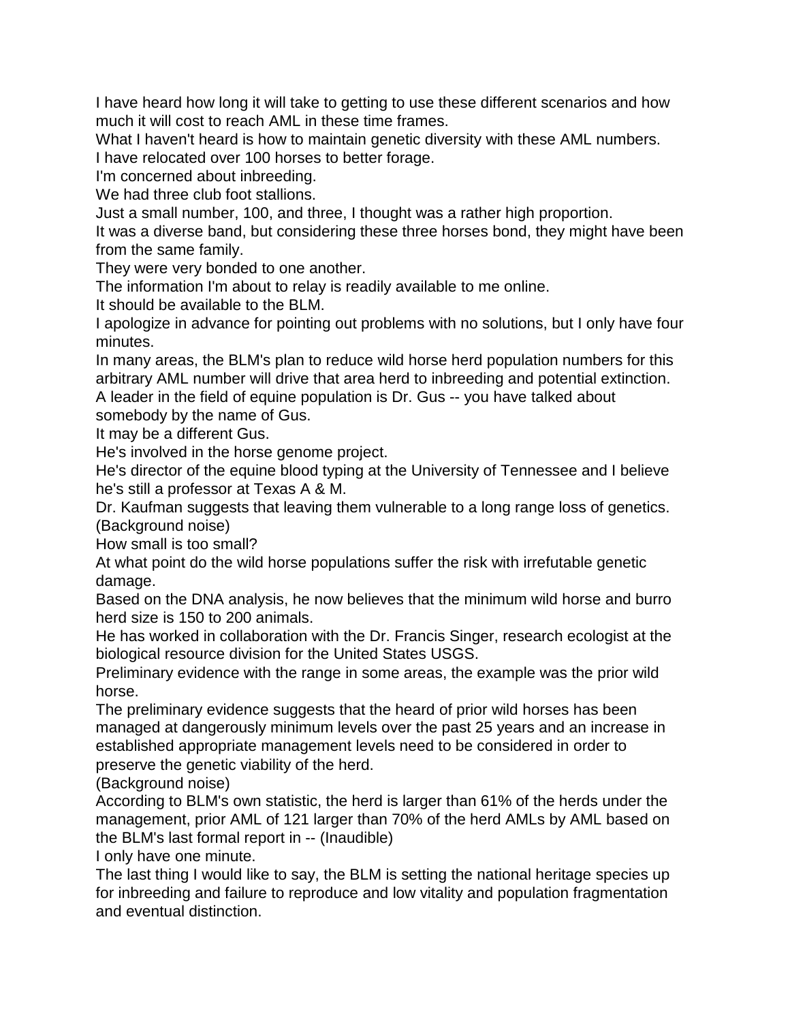I have heard how long it will take to getting to use these different scenarios and how much it will cost to reach AML in these time frames.

What I haven't heard is how to maintain genetic diversity with these AML numbers. I have relocated over 100 horses to better forage.

I'm concerned about inbreeding.

We had three club foot stallions.

Just a small number, 100, and three, I thought was a rather high proportion.

It was a diverse band, but considering these three horses bond, they might have been from the same family.

They were very bonded to one another.

The information I'm about to relay is readily available to me online.

It should be available to the BLM.

I apologize in advance for pointing out problems with no solutions, but I only have four minutes.

In many areas, the BLM's plan to reduce wild horse herd population numbers for this arbitrary AML number will drive that area herd to inbreeding and potential extinction.

A leader in the field of equine population is Dr. Gus -- you have talked about somebody by the name of Gus.

It may be a different Gus.

He's involved in the horse genome project.

He's director of the equine blood typing at the University of Tennessee and I believe he's still a professor at Texas A & M.

Dr. Kaufman suggests that leaving them vulnerable to a long range loss of genetics. (Background noise)

How small is too small?

At what point do the wild horse populations suffer the risk with irrefutable genetic damage.

Based on the DNA analysis, he now believes that the minimum wild horse and burro herd size is 150 to 200 animals.

He has worked in collaboration with the Dr. Francis Singer, research ecologist at the biological resource division for the United States USGS.

Preliminary evidence with the range in some areas, the example was the prior wild horse.

The preliminary evidence suggests that the heard of prior wild horses has been managed at dangerously minimum levels over the past 25 years and an increase in established appropriate management levels need to be considered in order to

preserve the genetic viability of the herd.

(Background noise)

According to BLM's own statistic, the herd is larger than 61% of the herds under the management, prior AML of 121 larger than 70% of the herd AMLs by AML based on the BLM's last formal report in -- (Inaudible)

I only have one minute.

The last thing I would like to say, the BLM is setting the national heritage species up for inbreeding and failure to reproduce and low vitality and population fragmentation and eventual distinction.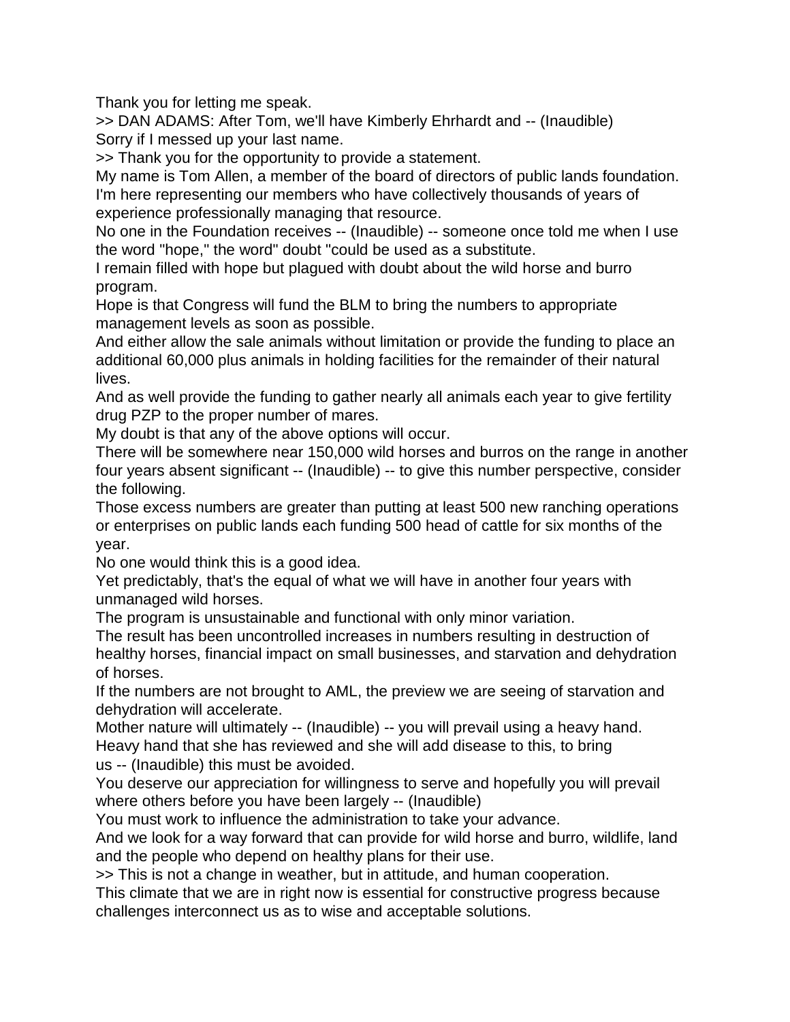Thank you for letting me speak.

>> DAN ADAMS: After Tom, we'll have Kimberly Ehrhardt and -- (Inaudible) Sorry if I messed up your last name.

>> Thank you for the opportunity to provide a statement.

My name is Tom Allen, a member of the board of directors of public lands foundation. I'm here representing our members who have collectively thousands of years of experience professionally managing that resource.

No one in the Foundation receives -- (Inaudible) -- someone once told me when I use the word "hope," the word" doubt "could be used as a substitute.

I remain filled with hope but plagued with doubt about the wild horse and burro program.

Hope is that Congress will fund the BLM to bring the numbers to appropriate management levels as soon as possible.

And either allow the sale animals without limitation or provide the funding to place an additional 60,000 plus animals in holding facilities for the remainder of their natural lives.

And as well provide the funding to gather nearly all animals each year to give fertility drug PZP to the proper number of mares.

My doubt is that any of the above options will occur.

There will be somewhere near 150,000 wild horses and burros on the range in another four years absent significant -- (Inaudible) -- to give this number perspective, consider the following.

Those excess numbers are greater than putting at least 500 new ranching operations or enterprises on public lands each funding 500 head of cattle for six months of the year.

No one would think this is a good idea.

Yet predictably, that's the equal of what we will have in another four years with unmanaged wild horses.

The program is unsustainable and functional with only minor variation.

The result has been uncontrolled increases in numbers resulting in destruction of healthy horses, financial impact on small businesses, and starvation and dehydration of horses.

If the numbers are not brought to AML, the preview we are seeing of starvation and dehydration will accelerate.

Mother nature will ultimately -- (Inaudible) -- you will prevail using a heavy hand. Heavy hand that she has reviewed and she will add disease to this, to bring us -- (Inaudible) this must be avoided.

You deserve our appreciation for willingness to serve and hopefully you will prevail where others before you have been largely -- (Inaudible)

You must work to influence the administration to take your advance.

And we look for a way forward that can provide for wild horse and burro, wildlife, land and the people who depend on healthy plans for their use.

>> This is not a change in weather, but in attitude, and human cooperation.

This climate that we are in right now is essential for constructive progress because challenges interconnect us as to wise and acceptable solutions.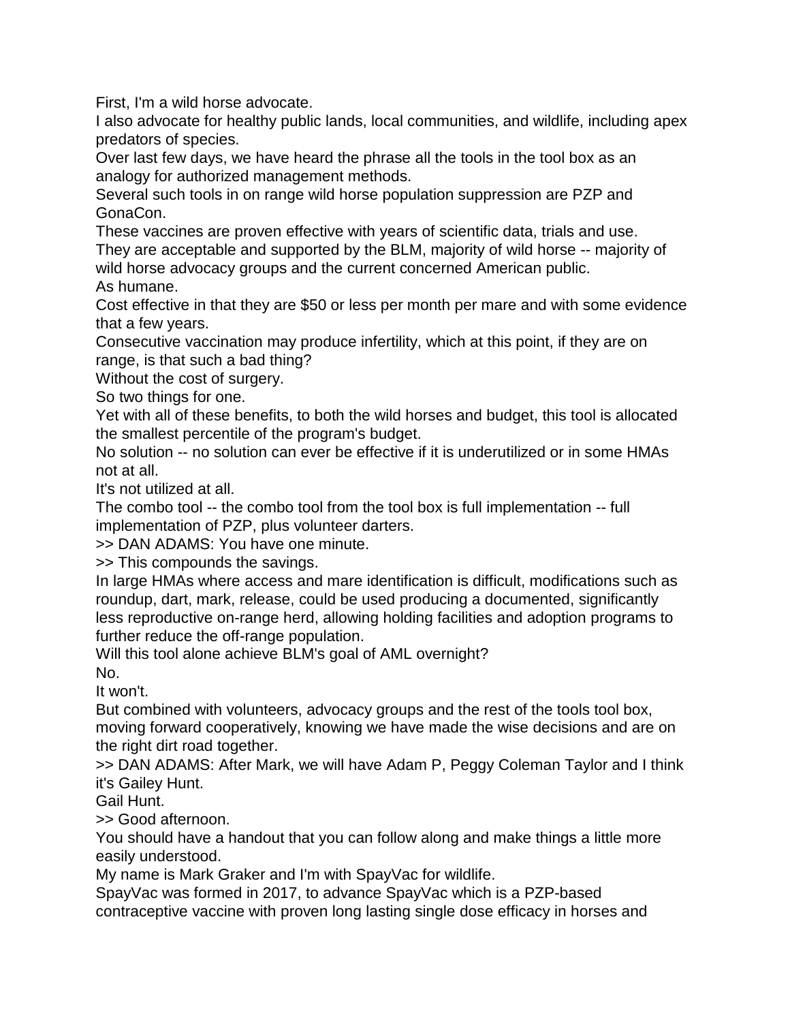First, I'm a wild horse advocate.

I also advocate for healthy public lands, local communities, and wildlife, including apex predators of species.

Over last few days, we have heard the phrase all the tools in the tool box as an analogy for authorized management methods.

Several such tools in on range wild horse population suppression are PZP and GonaCon.

These vaccines are proven effective with years of scientific data, trials and use. They are acceptable and supported by the BLM, majority of wild horse -- majority of wild horse advocacy groups and the current concerned American public. As humane.

Cost effective in that they are \$50 or less per month per mare and with some evidence that a few years.

Consecutive vaccination may produce infertility, which at this point, if they are on range, is that such a bad thing?

Without the cost of surgery.

So two things for one.

Yet with all of these benefits, to both the wild horses and budget, this tool is allocated the smallest percentile of the program's budget.

No solution -- no solution can ever be effective if it is underutilized or in some HMAs not at all.

It's not utilized at all.

The combo tool -- the combo tool from the tool box is full implementation -- full implementation of PZP, plus volunteer darters.

>> DAN ADAMS: You have one minute.

>> This compounds the savings.

In large HMAs where access and mare identification is difficult, modifications such as roundup, dart, mark, release, could be used producing a documented, significantly less reproductive on-range herd, allowing holding facilities and adoption programs to further reduce the off-range population.

Will this tool alone achieve BLM's goal of AML overnight? No.

It won't.

But combined with volunteers, advocacy groups and the rest of the tools tool box, moving forward cooperatively, knowing we have made the wise decisions and are on the right dirt road together.

>> DAN ADAMS: After Mark, we will have Adam P, Peggy Coleman Taylor and I think it's Gailey Hunt.

Gail Hunt.

>> Good afternoon.

You should have a handout that you can follow along and make things a little more easily understood.

My name is Mark Graker and I'm with SpayVac for wildlife.

SpayVac was formed in 2017, to advance SpayVac which is a PZP-based contraceptive vaccine with proven long lasting single dose efficacy in horses and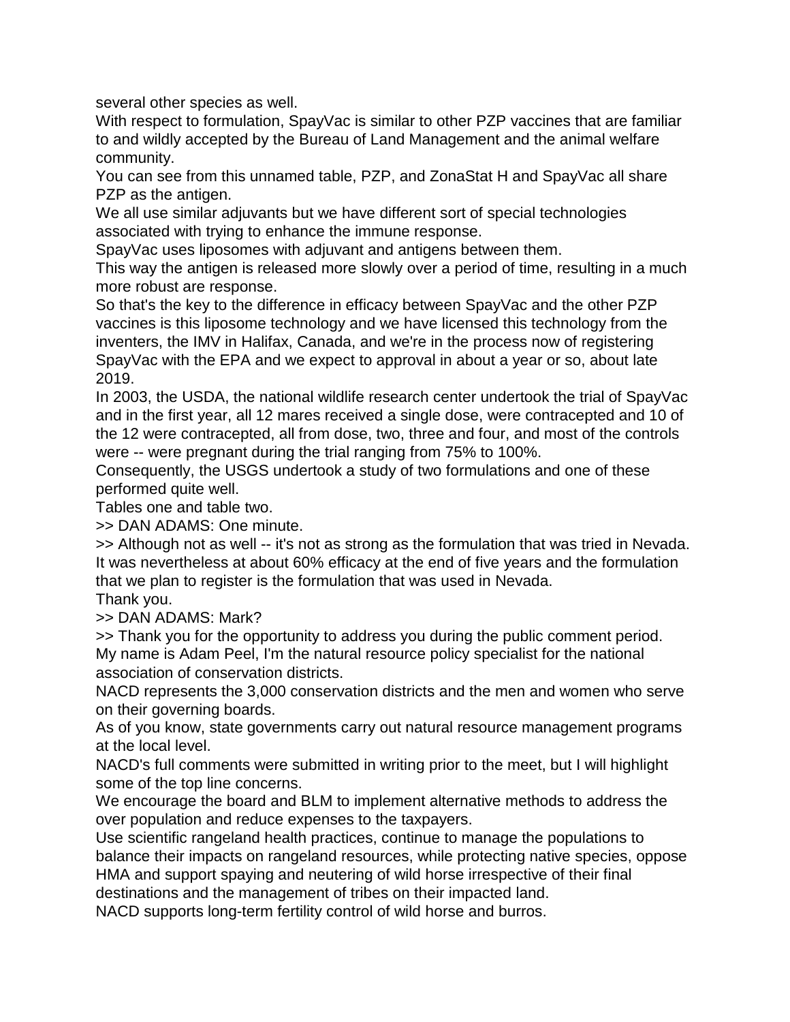several other species as well.

With respect to formulation, SpayVac is similar to other PZP vaccines that are familiar to and wildly accepted by the Bureau of Land Management and the animal welfare community.

You can see from this unnamed table, PZP, and ZonaStat H and SpayVac all share PZP as the antigen.

We all use similar adjuvants but we have different sort of special technologies associated with trying to enhance the immune response.

SpayVac uses liposomes with adjuvant and antigens between them.

This way the antigen is released more slowly over a period of time, resulting in a much more robust are response.

So that's the key to the difference in efficacy between SpayVac and the other PZP vaccines is this liposome technology and we have licensed this technology from the inventers, the IMV in Halifax, Canada, and we're in the process now of registering SpayVac with the EPA and we expect to approval in about a year or so, about late 2019.

In 2003, the USDA, the national wildlife research center undertook the trial of SpayVac and in the first year, all 12 mares received a single dose, were contracepted and 10 of the 12 were contracepted, all from dose, two, three and four, and most of the controls were -- were pregnant during the trial ranging from 75% to 100%.

Consequently, the USGS undertook a study of two formulations and one of these performed quite well.

Tables one and table two.

>> DAN ADAMS: One minute.

>> Although not as well -- it's not as strong as the formulation that was tried in Nevada. It was nevertheless at about 60% efficacy at the end of five years and the formulation that we plan to register is the formulation that was used in Nevada.

Thank you.

>> DAN ADAMS: Mark?

>> Thank you for the opportunity to address you during the public comment period. My name is Adam Peel, I'm the natural resource policy specialist for the national association of conservation districts.

NACD represents the 3,000 conservation districts and the men and women who serve on their governing boards.

As of you know, state governments carry out natural resource management programs at the local level.

NACD's full comments were submitted in writing prior to the meet, but I will highlight some of the top line concerns.

We encourage the board and BLM to implement alternative methods to address the over population and reduce expenses to the taxpayers.

Use scientific rangeland health practices, continue to manage the populations to balance their impacts on rangeland resources, while protecting native species, oppose HMA and support spaying and neutering of wild horse irrespective of their final

destinations and the management of tribes on their impacted land.

NACD supports long-term fertility control of wild horse and burros.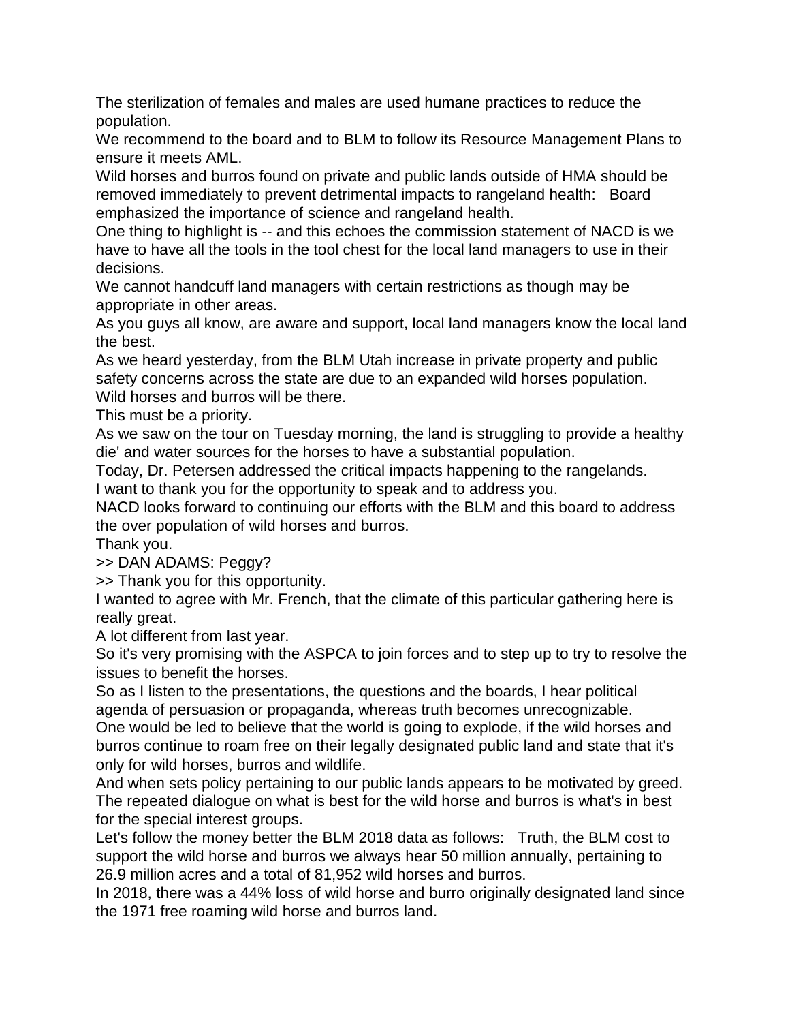The sterilization of females and males are used humane practices to reduce the population.

We recommend to the board and to BLM to follow its Resource Management Plans to ensure it meets AML.

Wild horses and burros found on private and public lands outside of HMA should be removed immediately to prevent detrimental impacts to rangeland health: Board emphasized the importance of science and rangeland health.

One thing to highlight is -- and this echoes the commission statement of NACD is we have to have all the tools in the tool chest for the local land managers to use in their decisions.

We cannot handcuff land managers with certain restrictions as though may be appropriate in other areas.

As you guys all know, are aware and support, local land managers know the local land the best.

As we heard yesterday, from the BLM Utah increase in private property and public safety concerns across the state are due to an expanded wild horses population.

Wild horses and burros will be there.

This must be a priority.

As we saw on the tour on Tuesday morning, the land is struggling to provide a healthy die' and water sources for the horses to have a substantial population.

Today, Dr. Petersen addressed the critical impacts happening to the rangelands.

I want to thank you for the opportunity to speak and to address you.

NACD looks forward to continuing our efforts with the BLM and this board to address the over population of wild horses and burros.

Thank you.

>> DAN ADAMS: Peggy?

>> Thank you for this opportunity.

I wanted to agree with Mr. French, that the climate of this particular gathering here is really great.

A lot different from last year.

So it's very promising with the ASPCA to join forces and to step up to try to resolve the issues to benefit the horses.

So as I listen to the presentations, the questions and the boards, I hear political agenda of persuasion or propaganda, whereas truth becomes unrecognizable. One would be led to believe that the world is going to explode, if the wild horses and burros continue to roam free on their legally designated public land and state that it's only for wild horses, burros and wildlife.

And when sets policy pertaining to our public lands appears to be motivated by greed. The repeated dialogue on what is best for the wild horse and burros is what's in best for the special interest groups.

Let's follow the money better the BLM 2018 data as follows: Truth, the BLM cost to support the wild horse and burros we always hear 50 million annually, pertaining to 26.9 million acres and a total of 81,952 wild horses and burros.

In 2018, there was a 44% loss of wild horse and burro originally designated land since the 1971 free roaming wild horse and burros land.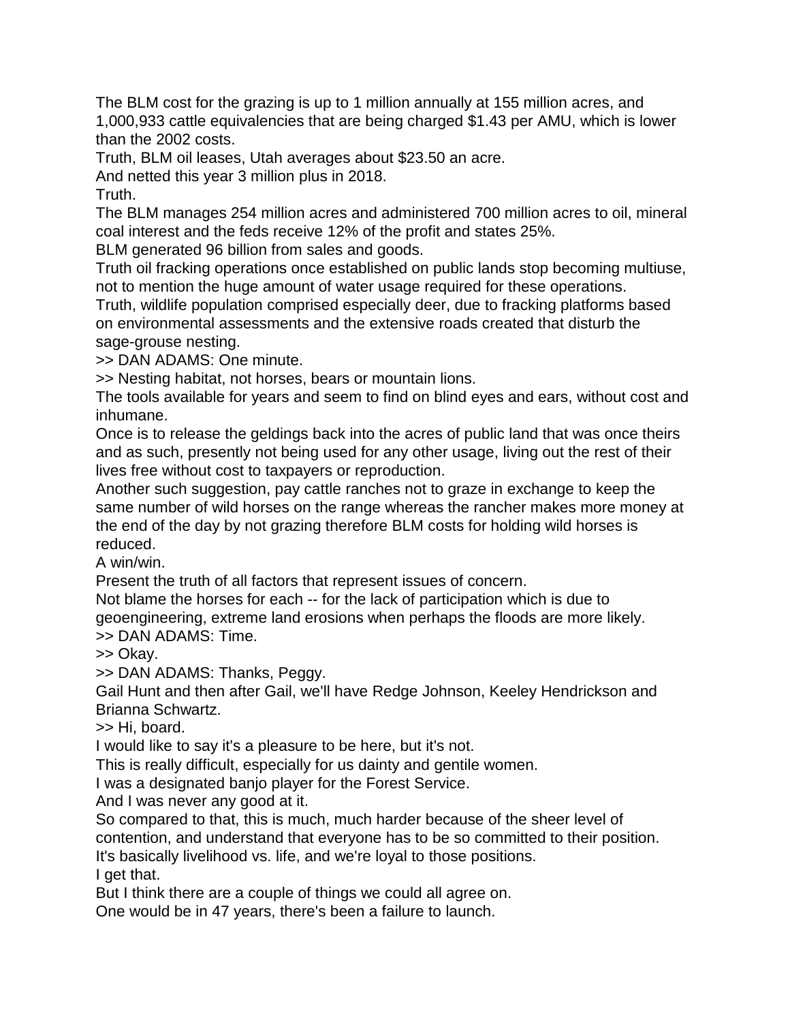The BLM cost for the grazing is up to 1 million annually at 155 million acres, and 1,000,933 cattle equivalencies that are being charged \$1.43 per AMU, which is lower than the 2002 costs.

Truth, BLM oil leases, Utah averages about \$23.50 an acre.

And netted this year 3 million plus in 2018.

Truth.

The BLM manages 254 million acres and administered 700 million acres to oil, mineral coal interest and the feds receive 12% of the profit and states 25%.

BLM generated 96 billion from sales and goods.

Truth oil fracking operations once established on public lands stop becoming multiuse, not to mention the huge amount of water usage required for these operations.

Truth, wildlife population comprised especially deer, due to fracking platforms based on environmental assessments and the extensive roads created that disturb the sage-grouse nesting.

>> DAN ADAMS: One minute.

>> Nesting habitat, not horses, bears or mountain lions.

The tools available for years and seem to find on blind eyes and ears, without cost and inhumane.

Once is to release the geldings back into the acres of public land that was once theirs and as such, presently not being used for any other usage, living out the rest of their lives free without cost to taxpayers or reproduction.

Another such suggestion, pay cattle ranches not to graze in exchange to keep the same number of wild horses on the range whereas the rancher makes more money at the end of the day by not grazing therefore BLM costs for holding wild horses is reduced.

A win/win.

Present the truth of all factors that represent issues of concern.

Not blame the horses for each -- for the lack of participation which is due to geoengineering, extreme land erosions when perhaps the floods are more likely. >> DAN ADAMS: Time.

>> Okay.

>> DAN ADAMS: Thanks, Peggy.

Gail Hunt and then after Gail, we'll have Redge Johnson, Keeley Hendrickson and Brianna Schwartz.

>> Hi, board.

I would like to say it's a pleasure to be here, but it's not.

This is really difficult, especially for us dainty and gentile women.

I was a designated banjo player for the Forest Service.

And I was never any good at it.

So compared to that, this is much, much harder because of the sheer level of contention, and understand that everyone has to be so committed to their position. It's basically livelihood vs. life, and we're loyal to those positions. I get that.

But I think there are a couple of things we could all agree on.

One would be in 47 years, there's been a failure to launch.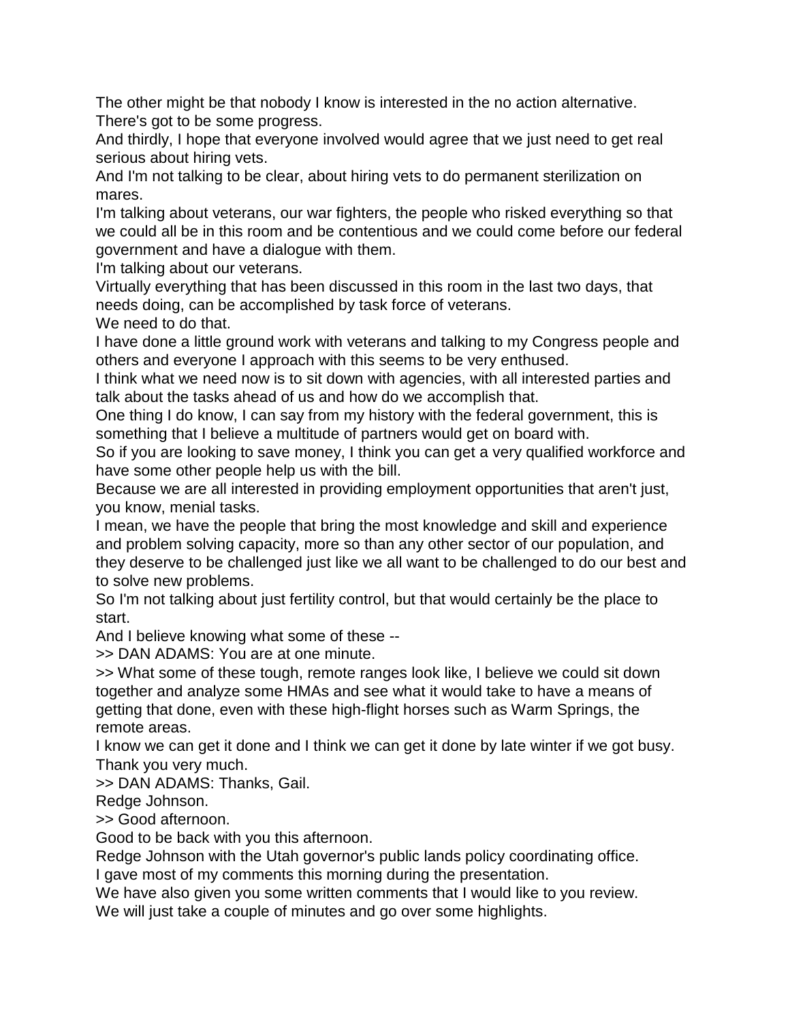The other might be that nobody I know is interested in the no action alternative. There's got to be some progress.

And thirdly, I hope that everyone involved would agree that we just need to get real serious about hiring vets.

And I'm not talking to be clear, about hiring vets to do permanent sterilization on mares.

I'm talking about veterans, our war fighters, the people who risked everything so that we could all be in this room and be contentious and we could come before our federal government and have a dialogue with them.

I'm talking about our veterans.

Virtually everything that has been discussed in this room in the last two days, that needs doing, can be accomplished by task force of veterans.

We need to do that.

I have done a little ground work with veterans and talking to my Congress people and others and everyone I approach with this seems to be very enthused.

I think what we need now is to sit down with agencies, with all interested parties and talk about the tasks ahead of us and how do we accomplish that.

One thing I do know, I can say from my history with the federal government, this is something that I believe a multitude of partners would get on board with.

So if you are looking to save money, I think you can get a very qualified workforce and have some other people help us with the bill.

Because we are all interested in providing employment opportunities that aren't just, you know, menial tasks.

I mean, we have the people that bring the most knowledge and skill and experience and problem solving capacity, more so than any other sector of our population, and they deserve to be challenged just like we all want to be challenged to do our best and to solve new problems.

So I'm not talking about just fertility control, but that would certainly be the place to start.

And I believe knowing what some of these --

>> DAN ADAMS: You are at one minute.

>> What some of these tough, remote ranges look like, I believe we could sit down together and analyze some HMAs and see what it would take to have a means of getting that done, even with these high-flight horses such as Warm Springs, the remote areas.

I know we can get it done and I think we can get it done by late winter if we got busy. Thank you very much.

>> DAN ADAMS: Thanks, Gail.

Redge Johnson.

>> Good afternoon.

Good to be back with you this afternoon.

Redge Johnson with the Utah governor's public lands policy coordinating office. I gave most of my comments this morning during the presentation.

We have also given you some written comments that I would like to you review.

We will just take a couple of minutes and go over some highlights.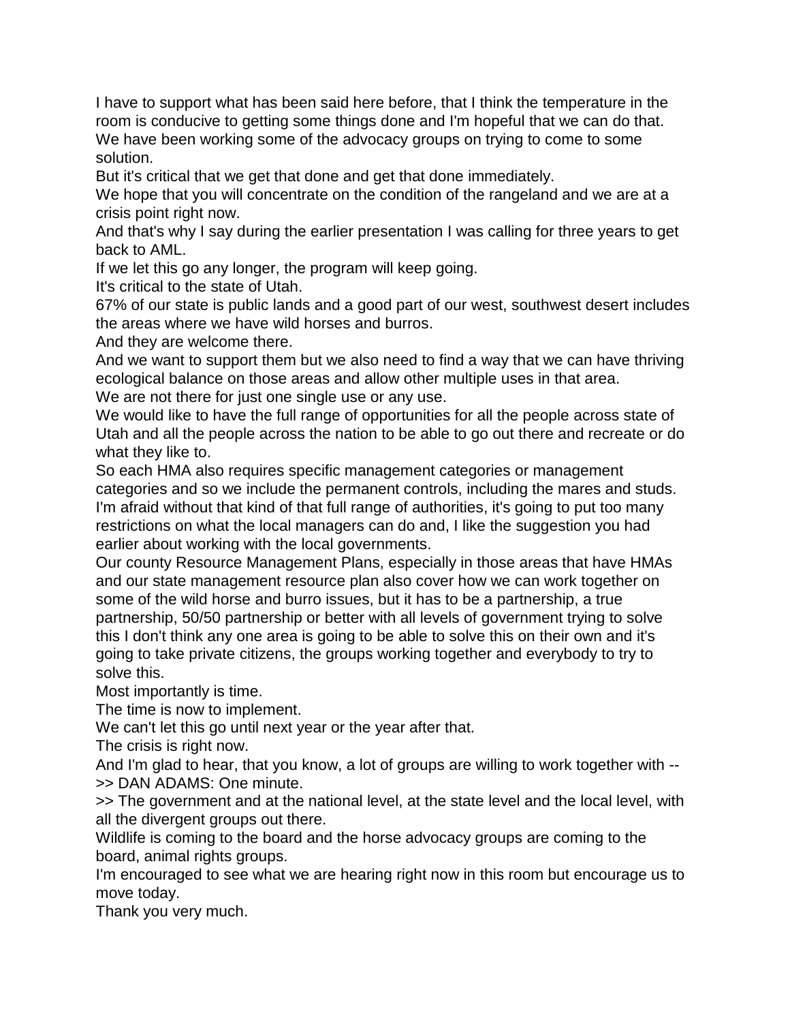I have to support what has been said here before, that I think the temperature in the room is conducive to getting some things done and I'm hopeful that we can do that. We have been working some of the advocacy groups on trying to come to some solution.

But it's critical that we get that done and get that done immediately.

We hope that you will concentrate on the condition of the rangeland and we are at a crisis point right now.

And that's why I say during the earlier presentation I was calling for three years to get back to AML.

If we let this go any longer, the program will keep going.

It's critical to the state of Utah.

67% of our state is public lands and a good part of our west, southwest desert includes the areas where we have wild horses and burros.

And they are welcome there.

And we want to support them but we also need to find a way that we can have thriving ecological balance on those areas and allow other multiple uses in that area.

We are not there for just one single use or any use.

We would like to have the full range of opportunities for all the people across state of Utah and all the people across the nation to be able to go out there and recreate or do what they like to.

So each HMA also requires specific management categories or management categories and so we include the permanent controls, including the mares and studs. I'm afraid without that kind of that full range of authorities, it's going to put too many restrictions on what the local managers can do and, I like the suggestion you had earlier about working with the local governments.

Our county Resource Management Plans, especially in those areas that have HMAs and our state management resource plan also cover how we can work together on some of the wild horse and burro issues, but it has to be a partnership, a true partnership, 50/50 partnership or better with all levels of government trying to solve this I don't think any one area is going to be able to solve this on their own and it's going to take private citizens, the groups working together and everybody to try to solve this.

Most importantly is time.

The time is now to implement.

We can't let this go until next year or the year after that.

The crisis is right now.

And I'm glad to hear, that you know, a lot of groups are willing to work together with -- >> DAN ADAMS: One minute.

>> The government and at the national level, at the state level and the local level, with all the divergent groups out there.

Wildlife is coming to the board and the horse advocacy groups are coming to the board, animal rights groups.

I'm encouraged to see what we are hearing right now in this room but encourage us to move today.

Thank you very much.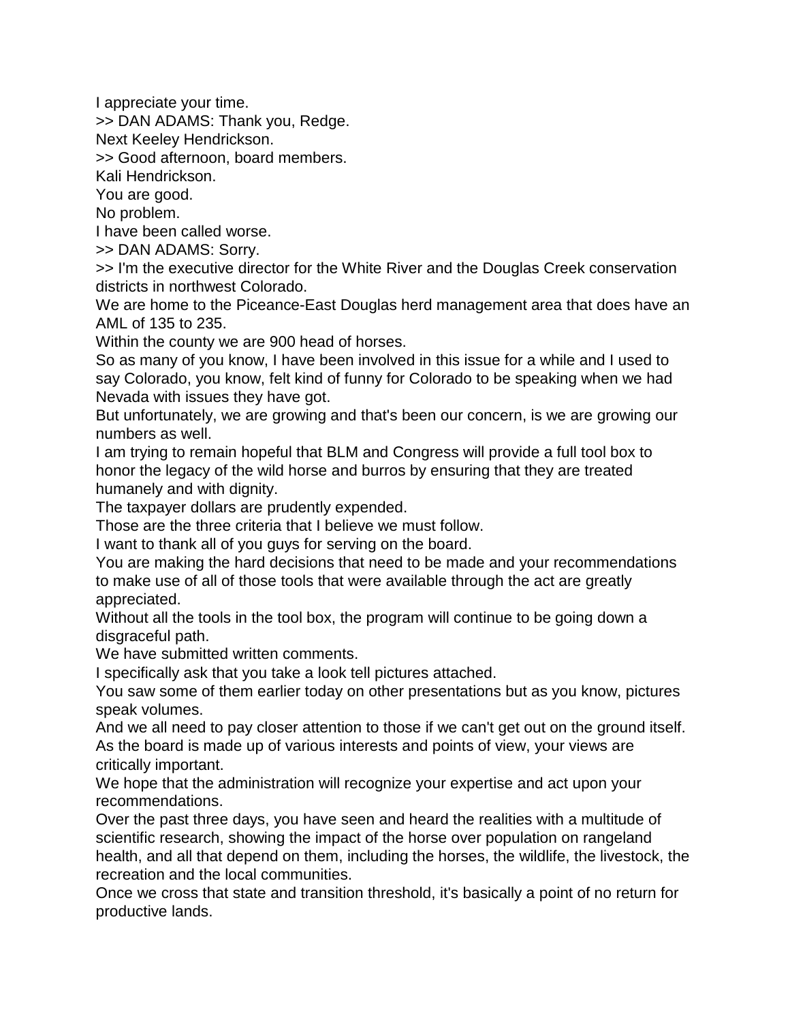I appreciate your time.

>> DAN ADAMS: Thank you, Redge.

Next Keeley Hendrickson.

>> Good afternoon, board members.

Kali Hendrickson.

You are good.

No problem.

I have been called worse.

>> DAN ADAMS: Sorry.

>> I'm the executive director for the White River and the Douglas Creek conservation districts in northwest Colorado.

We are home to the Piceance-East Douglas herd management area that does have an AML of 135 to 235.

Within the county we are 900 head of horses.

So as many of you know, I have been involved in this issue for a while and I used to say Colorado, you know, felt kind of funny for Colorado to be speaking when we had Nevada with issues they have got.

But unfortunately, we are growing and that's been our concern, is we are growing our numbers as well.

I am trying to remain hopeful that BLM and Congress will provide a full tool box to honor the legacy of the wild horse and burros by ensuring that they are treated humanely and with dignity.

The taxpayer dollars are prudently expended.

Those are the three criteria that I believe we must follow.

I want to thank all of you guys for serving on the board.

You are making the hard decisions that need to be made and your recommendations to make use of all of those tools that were available through the act are greatly appreciated.

Without all the tools in the tool box, the program will continue to be going down a disgraceful path.

We have submitted written comments.

I specifically ask that you take a look tell pictures attached.

You saw some of them earlier today on other presentations but as you know, pictures speak volumes.

And we all need to pay closer attention to those if we can't get out on the ground itself. As the board is made up of various interests and points of view, your views are critically important.

We hope that the administration will recognize your expertise and act upon your recommendations.

Over the past three days, you have seen and heard the realities with a multitude of scientific research, showing the impact of the horse over population on rangeland health, and all that depend on them, including the horses, the wildlife, the livestock, the recreation and the local communities.

Once we cross that state and transition threshold, it's basically a point of no return for productive lands.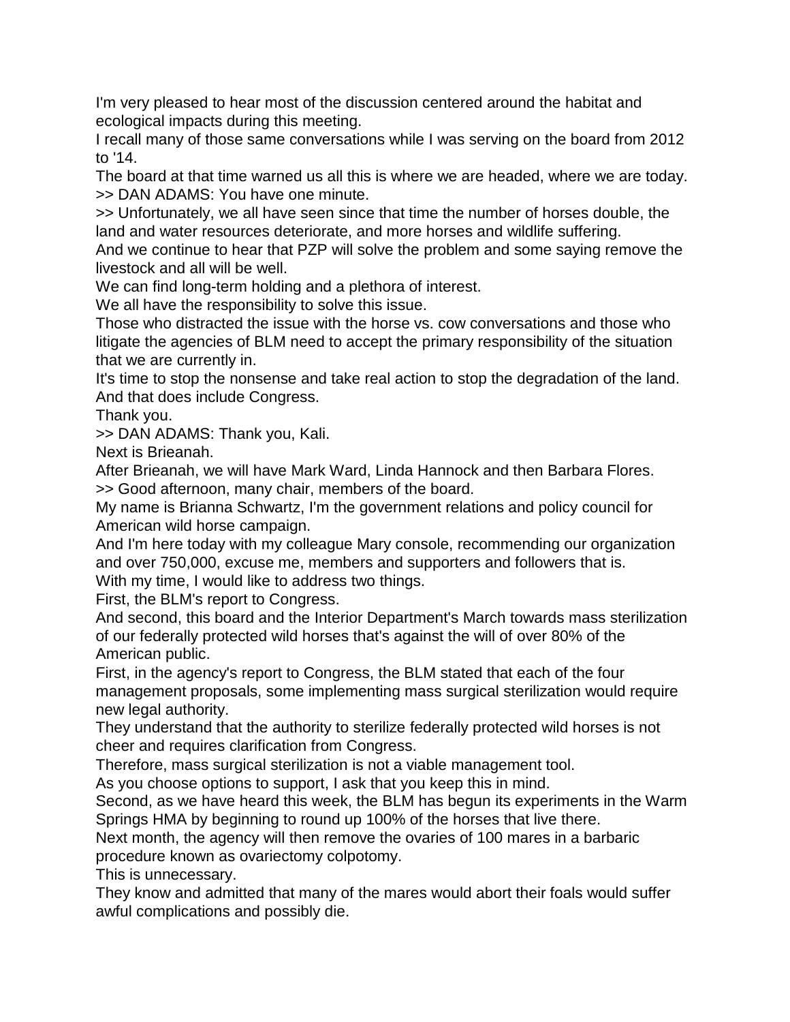I'm very pleased to hear most of the discussion centered around the habitat and ecological impacts during this meeting.

I recall many of those same conversations while I was serving on the board from 2012 to '14.

The board at that time warned us all this is where we are headed, where we are today. >> DAN ADAMS: You have one minute.

>> Unfortunately, we all have seen since that time the number of horses double, the land and water resources deteriorate, and more horses and wildlife suffering.

And we continue to hear that PZP will solve the problem and some saying remove the livestock and all will be well.

We can find long-term holding and a plethora of interest.

We all have the responsibility to solve this issue.

Those who distracted the issue with the horse vs. cow conversations and those who litigate the agencies of BLM need to accept the primary responsibility of the situation that we are currently in.

It's time to stop the nonsense and take real action to stop the degradation of the land. And that does include Congress.

Thank you.

>> DAN ADAMS: Thank you, Kali.

Next is Brieanah.

After Brieanah, we will have Mark Ward, Linda Hannock and then Barbara Flores. >> Good afternoon, many chair, members of the board.

My name is Brianna Schwartz, I'm the government relations and policy council for American wild horse campaign.

And I'm here today with my colleague Mary console, recommending our organization and over 750,000, excuse me, members and supporters and followers that is.

With my time, I would like to address two things.

First, the BLM's report to Congress.

And second, this board and the Interior Department's March towards mass sterilization of our federally protected wild horses that's against the will of over 80% of the American public.

First, in the agency's report to Congress, the BLM stated that each of the four management proposals, some implementing mass surgical sterilization would require new legal authority.

They understand that the authority to sterilize federally protected wild horses is not cheer and requires clarification from Congress.

Therefore, mass surgical sterilization is not a viable management tool.

As you choose options to support, I ask that you keep this in mind.

Second, as we have heard this week, the BLM has begun its experiments in the Warm Springs HMA by beginning to round up 100% of the horses that live there.

Next month, the agency will then remove the ovaries of 100 mares in a barbaric procedure known as ovariectomy colpotomy.

This is unnecessary.

They know and admitted that many of the mares would abort their foals would suffer awful complications and possibly die.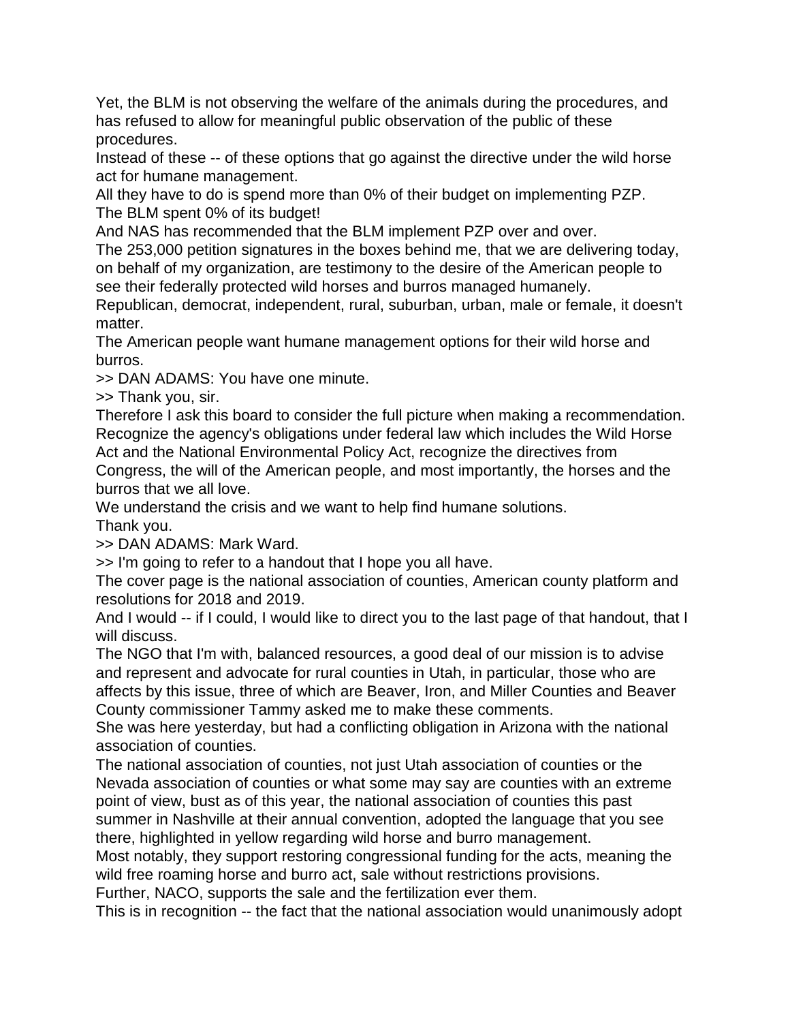Yet, the BLM is not observing the welfare of the animals during the procedures, and has refused to allow for meaningful public observation of the public of these procedures.

Instead of these -- of these options that go against the directive under the wild horse act for humane management.

All they have to do is spend more than 0% of their budget on implementing PZP. The BLM spent 0% of its budget!

And NAS has recommended that the BLM implement PZP over and over.

The 253,000 petition signatures in the boxes behind me, that we are delivering today, on behalf of my organization, are testimony to the desire of the American people to see their federally protected wild horses and burros managed humanely.

Republican, democrat, independent, rural, suburban, urban, male or female, it doesn't matter.

The American people want humane management options for their wild horse and burros.

>> DAN ADAMS: You have one minute.

>> Thank you, sir.

Therefore I ask this board to consider the full picture when making a recommendation. Recognize the agency's obligations under federal law which includes the Wild Horse Act and the National Environmental Policy Act, recognize the directives from

Congress, the will of the American people, and most importantly, the horses and the burros that we all love.

We understand the crisis and we want to help find humane solutions.

Thank you.

>> DAN ADAMS: Mark Ward.

>> I'm going to refer to a handout that I hope you all have.

The cover page is the national association of counties, American county platform and resolutions for 2018 and 2019.

And I would -- if I could, I would like to direct you to the last page of that handout, that I will discuss.

The NGO that I'm with, balanced resources, a good deal of our mission is to advise and represent and advocate for rural counties in Utah, in particular, those who are affects by this issue, three of which are Beaver, Iron, and Miller Counties and Beaver County commissioner Tammy asked me to make these comments.

She was here yesterday, but had a conflicting obligation in Arizona with the national association of counties.

The national association of counties, not just Utah association of counties or the Nevada association of counties or what some may say are counties with an extreme point of view, bust as of this year, the national association of counties this past summer in Nashville at their annual convention, adopted the language that you see there, highlighted in yellow regarding wild horse and burro management.

Most notably, they support restoring congressional funding for the acts, meaning the wild free roaming horse and burro act, sale without restrictions provisions.

Further, NACO, supports the sale and the fertilization ever them.

This is in recognition -- the fact that the national association would unanimously adopt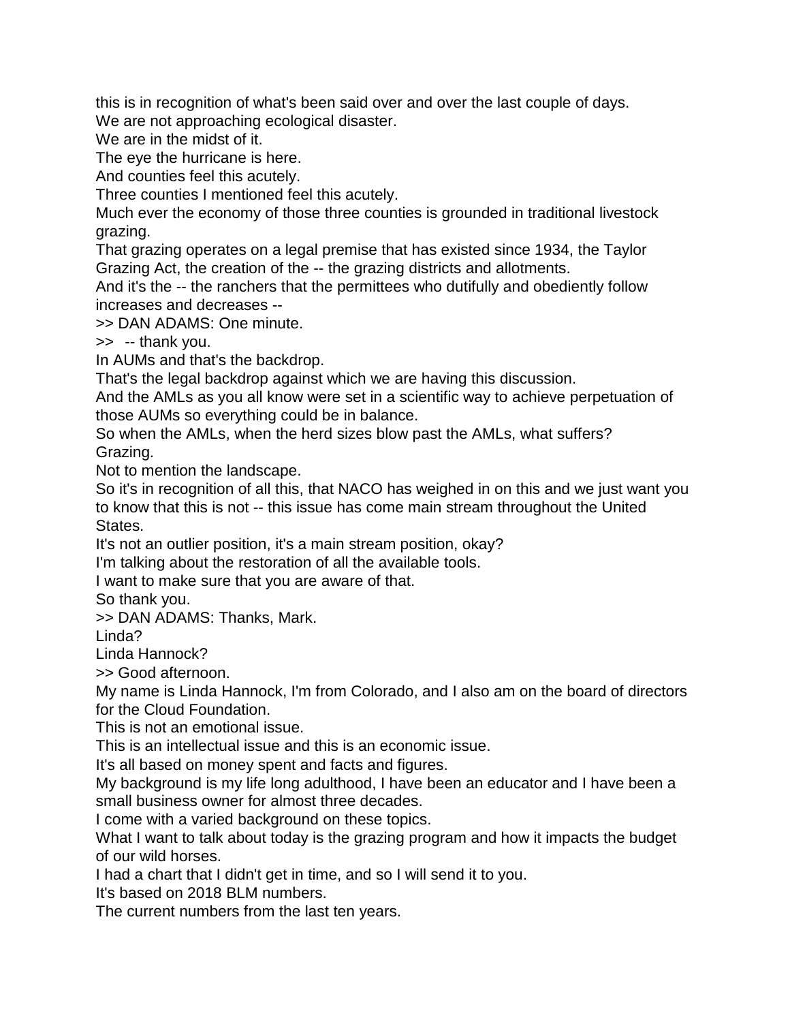this is in recognition of what's been said over and over the last couple of days. We are not approaching ecological disaster.

We are in the midst of it.

The eye the hurricane is here.

And counties feel this acutely.

Three counties I mentioned feel this acutely.

Much ever the economy of those three counties is grounded in traditional livestock grazing.

That grazing operates on a legal premise that has existed since 1934, the Taylor Grazing Act, the creation of the -- the grazing districts and allotments.

And it's the -- the ranchers that the permittees who dutifully and obediently follow increases and decreases --

>> DAN ADAMS: One minute.

>> -- thank you.

In AUMs and that's the backdrop.

That's the legal backdrop against which we are having this discussion.

And the AMLs as you all know were set in a scientific way to achieve perpetuation of those AUMs so everything could be in balance.

So when the AMLs, when the herd sizes blow past the AMLs, what suffers? Grazing.

Not to mention the landscape.

So it's in recognition of all this, that NACO has weighed in on this and we just want you to know that this is not -- this issue has come main stream throughout the United States.

It's not an outlier position, it's a main stream position, okay?

I'm talking about the restoration of all the available tools.

I want to make sure that you are aware of that.

So thank you.

>> DAN ADAMS: Thanks, Mark.

Linda?

Linda Hannock?

>> Good afternoon.

My name is Linda Hannock, I'm from Colorado, and I also am on the board of directors for the Cloud Foundation.

This is not an emotional issue.

This is an intellectual issue and this is an economic issue.

It's all based on money spent and facts and figures.

My background is my life long adulthood, I have been an educator and I have been a small business owner for almost three decades.

I come with a varied background on these topics.

What I want to talk about today is the grazing program and how it impacts the budget of our wild horses.

I had a chart that I didn't get in time, and so I will send it to you.

It's based on 2018 BLM numbers.

The current numbers from the last ten years.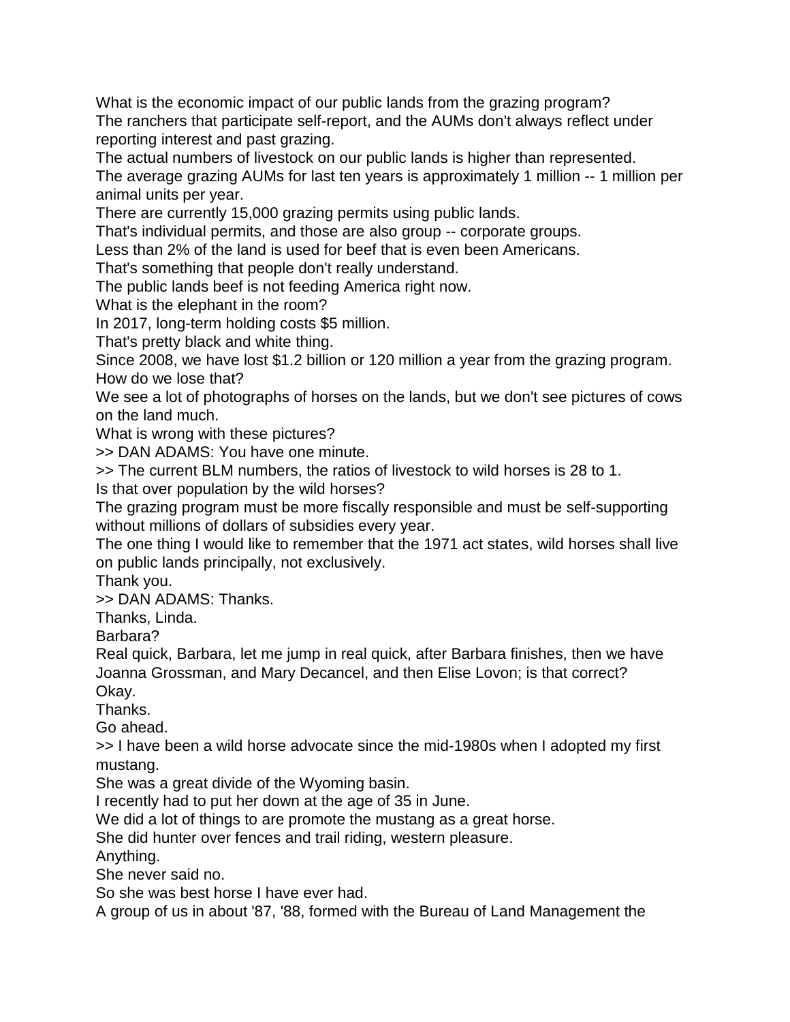What is the economic impact of our public lands from the grazing program? The ranchers that participate self-report, and the AUMs don't always reflect under reporting interest and past grazing.

The actual numbers of livestock on our public lands is higher than represented.

The average grazing AUMs for last ten years is approximately 1 million -- 1 million per animal units per year.

There are currently 15,000 grazing permits using public lands.

That's individual permits, and those are also group -- corporate groups.

Less than 2% of the land is used for beef that is even been Americans.

That's something that people don't really understand.

The public lands beef is not feeding America right now.

What is the elephant in the room?

In 2017, long-term holding costs \$5 million.

That's pretty black and white thing.

Since 2008, we have lost \$1.2 billion or 120 million a year from the grazing program. How do we lose that?

We see a lot of photographs of horses on the lands, but we don't see pictures of cows on the land much.

What is wrong with these pictures?

>> DAN ADAMS: You have one minute.

>> The current BLM numbers, the ratios of livestock to wild horses is 28 to 1.

Is that over population by the wild horses?

The grazing program must be more fiscally responsible and must be self-supporting without millions of dollars of subsidies every year.

The one thing I would like to remember that the 1971 act states, wild horses shall live on public lands principally, not exclusively.

Thank you.

>> DAN ADAMS: Thanks.

Thanks, Linda.

Barbara?

Real quick, Barbara, let me jump in real quick, after Barbara finishes, then we have Joanna Grossman, and Mary Decancel, and then Elise Lovon; is that correct?

Okay.

Thanks.

Go ahead.

>> I have been a wild horse advocate since the mid-1980s when I adopted my first mustang.

She was a great divide of the Wyoming basin.

I recently had to put her down at the age of 35 in June.

We did a lot of things to are promote the mustang as a great horse.

She did hunter over fences and trail riding, western pleasure.

Anything.

She never said no.

So she was best horse I have ever had.

A group of us in about '87, '88, formed with the Bureau of Land Management the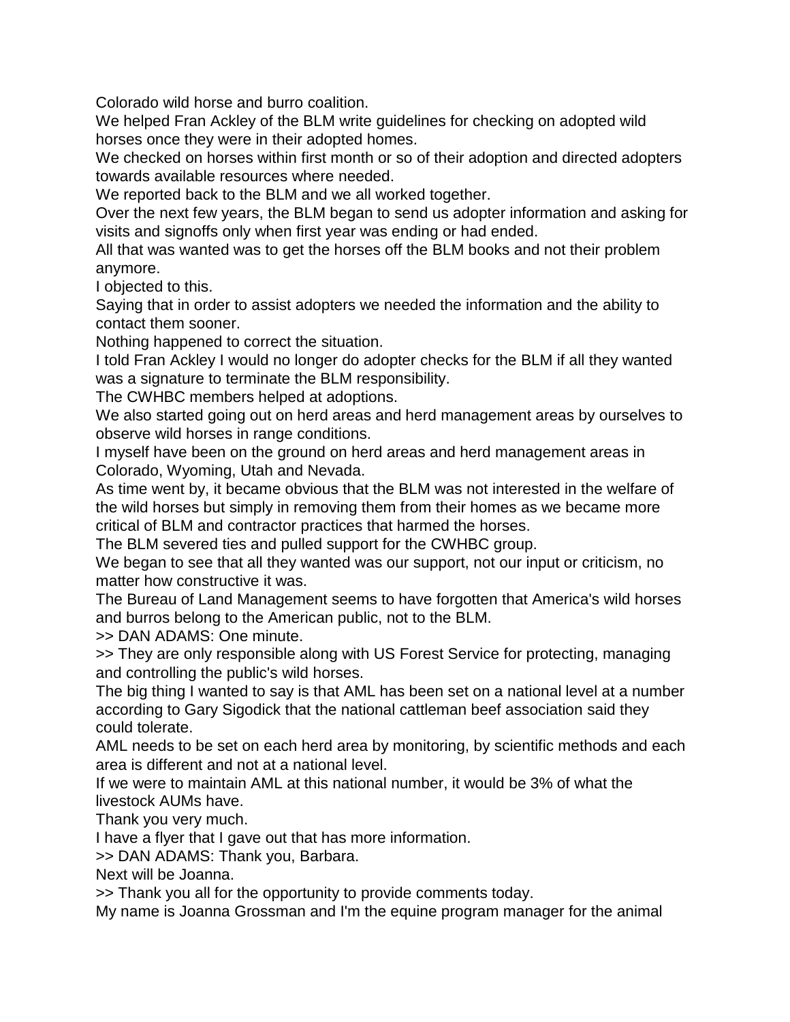Colorado wild horse and burro coalition.

We helped Fran Ackley of the BLM write guidelines for checking on adopted wild horses once they were in their adopted homes.

We checked on horses within first month or so of their adoption and directed adopters towards available resources where needed.

We reported back to the BLM and we all worked together.

Over the next few years, the BLM began to send us adopter information and asking for visits and signoffs only when first year was ending or had ended.

All that was wanted was to get the horses off the BLM books and not their problem anymore.

I objected to this.

Saying that in order to assist adopters we needed the information and the ability to contact them sooner.

Nothing happened to correct the situation.

I told Fran Ackley I would no longer do adopter checks for the BLM if all they wanted was a signature to terminate the BLM responsibility.

The CWHBC members helped at adoptions.

We also started going out on herd areas and herd management areas by ourselves to observe wild horses in range conditions.

I myself have been on the ground on herd areas and herd management areas in Colorado, Wyoming, Utah and Nevada.

As time went by, it became obvious that the BLM was not interested in the welfare of the wild horses but simply in removing them from their homes as we became more critical of BLM and contractor practices that harmed the horses.

The BLM severed ties and pulled support for the CWHBC group.

We began to see that all they wanted was our support, not our input or criticism, no matter how constructive it was.

The Bureau of Land Management seems to have forgotten that America's wild horses and burros belong to the American public, not to the BLM.

>> DAN ADAMS: One minute.

>> They are only responsible along with US Forest Service for protecting, managing and controlling the public's wild horses.

The big thing I wanted to say is that AML has been set on a national level at a number according to Gary Sigodick that the national cattleman beef association said they could tolerate.

AML needs to be set on each herd area by monitoring, by scientific methods and each area is different and not at a national level.

If we were to maintain AML at this national number, it would be 3% of what the livestock AUMs have.

Thank you very much.

I have a flyer that I gave out that has more information.

>> DAN ADAMS: Thank you, Barbara.

Next will be Joanna.

>> Thank you all for the opportunity to provide comments today.

My name is Joanna Grossman and I'm the equine program manager for the animal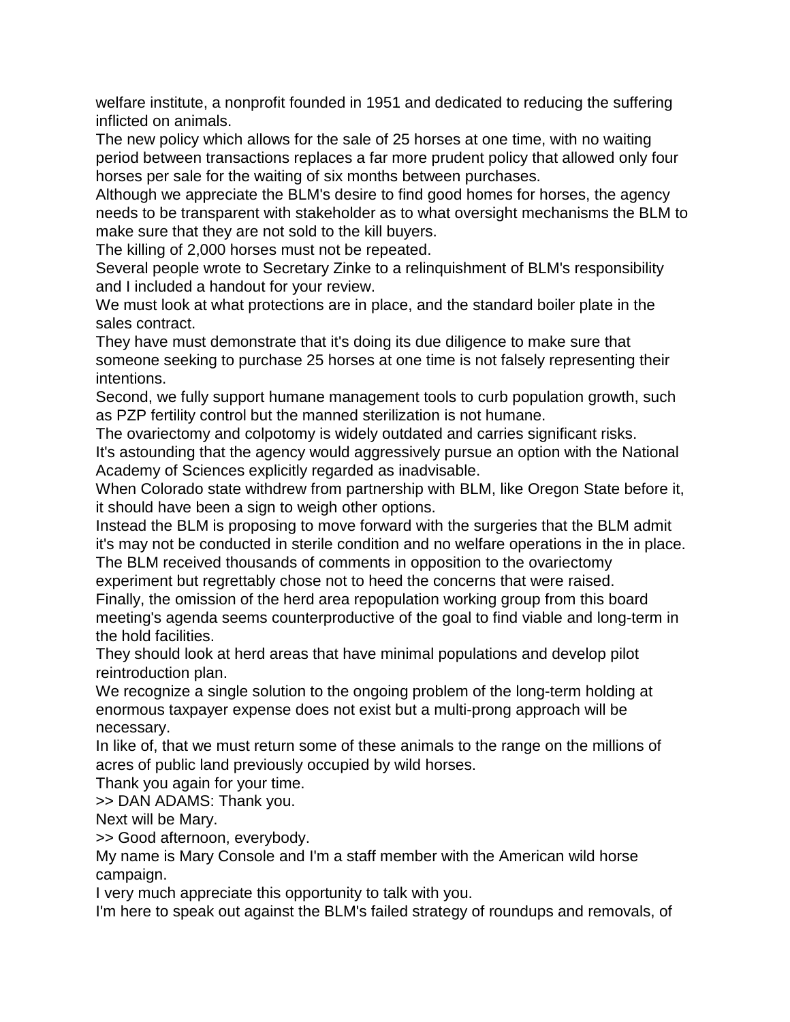welfare institute, a nonprofit founded in 1951 and dedicated to reducing the suffering inflicted on animals.

The new policy which allows for the sale of 25 horses at one time, with no waiting period between transactions replaces a far more prudent policy that allowed only four horses per sale for the waiting of six months between purchases.

Although we appreciate the BLM's desire to find good homes for horses, the agency needs to be transparent with stakeholder as to what oversight mechanisms the BLM to make sure that they are not sold to the kill buyers.

The killing of 2,000 horses must not be repeated.

Several people wrote to Secretary Zinke to a relinquishment of BLM's responsibility and I included a handout for your review.

We must look at what protections are in place, and the standard boiler plate in the sales contract.

They have must demonstrate that it's doing its due diligence to make sure that someone seeking to purchase 25 horses at one time is not falsely representing their intentions.

Second, we fully support humane management tools to curb population growth, such as PZP fertility control but the manned sterilization is not humane.

The ovariectomy and colpotomy is widely outdated and carries significant risks. It's astounding that the agency would aggressively pursue an option with the National Academy of Sciences explicitly regarded as inadvisable.

When Colorado state withdrew from partnership with BLM, like Oregon State before it, it should have been a sign to weigh other options.

Instead the BLM is proposing to move forward with the surgeries that the BLM admit it's may not be conducted in sterile condition and no welfare operations in the in place. The BLM received thousands of comments in opposition to the ovariectomy

experiment but regrettably chose not to heed the concerns that were raised.

Finally, the omission of the herd area repopulation working group from this board meeting's agenda seems counterproductive of the goal to find viable and long-term in the hold facilities.

They should look at herd areas that have minimal populations and develop pilot reintroduction plan.

We recognize a single solution to the ongoing problem of the long-term holding at enormous taxpayer expense does not exist but a multi-prong approach will be necessary.

In like of, that we must return some of these animals to the range on the millions of acres of public land previously occupied by wild horses.

Thank you again for your time.

>> DAN ADAMS: Thank you.

Next will be Mary.

>> Good afternoon, everybody.

My name is Mary Console and I'm a staff member with the American wild horse campaign.

I very much appreciate this opportunity to talk with you.

I'm here to speak out against the BLM's failed strategy of roundups and removals, of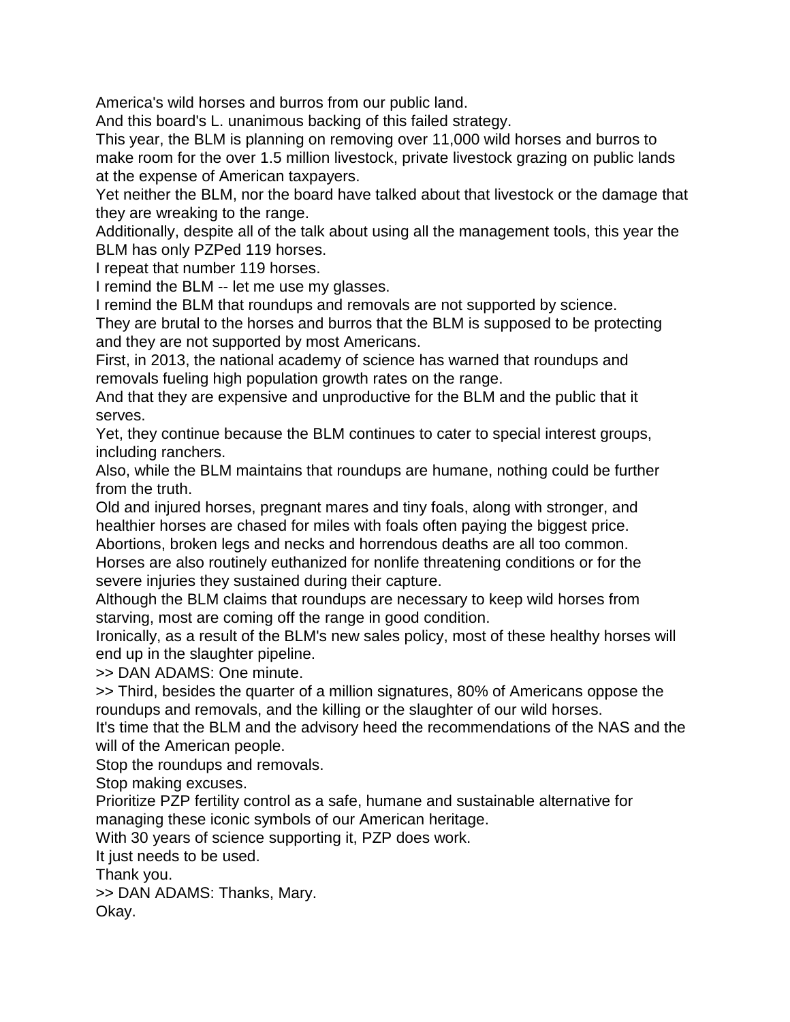America's wild horses and burros from our public land.

And this board's L. unanimous backing of this failed strategy.

This year, the BLM is planning on removing over 11,000 wild horses and burros to make room for the over 1.5 million livestock, private livestock grazing on public lands at the expense of American taxpayers.

Yet neither the BLM, nor the board have talked about that livestock or the damage that they are wreaking to the range.

Additionally, despite all of the talk about using all the management tools, this year the BLM has only PZPed 119 horses.

I repeat that number 119 horses.

I remind the BLM -- let me use my glasses.

I remind the BLM that roundups and removals are not supported by science.

They are brutal to the horses and burros that the BLM is supposed to be protecting and they are not supported by most Americans.

First, in 2013, the national academy of science has warned that roundups and removals fueling high population growth rates on the range.

And that they are expensive and unproductive for the BLM and the public that it serves.

Yet, they continue because the BLM continues to cater to special interest groups, including ranchers.

Also, while the BLM maintains that roundups are humane, nothing could be further from the truth.

Old and injured horses, pregnant mares and tiny foals, along with stronger, and healthier horses are chased for miles with foals often paying the biggest price.

Abortions, broken legs and necks and horrendous deaths are all too common. Horses are also routinely euthanized for nonlife threatening conditions or for the severe injuries they sustained during their capture.

Although the BLM claims that roundups are necessary to keep wild horses from starving, most are coming off the range in good condition.

Ironically, as a result of the BLM's new sales policy, most of these healthy horses will end up in the slaughter pipeline.

>> DAN ADAMS: One minute.

>> Third, besides the quarter of a million signatures, 80% of Americans oppose the roundups and removals, and the killing or the slaughter of our wild horses.

It's time that the BLM and the advisory heed the recommendations of the NAS and the will of the American people.

Stop the roundups and removals.

Stop making excuses.

Prioritize PZP fertility control as a safe, humane and sustainable alternative for managing these iconic symbols of our American heritage.

With 30 years of science supporting it, PZP does work.

It just needs to be used.

Thank you.

>> DAN ADAMS: Thanks, Mary.

Okay.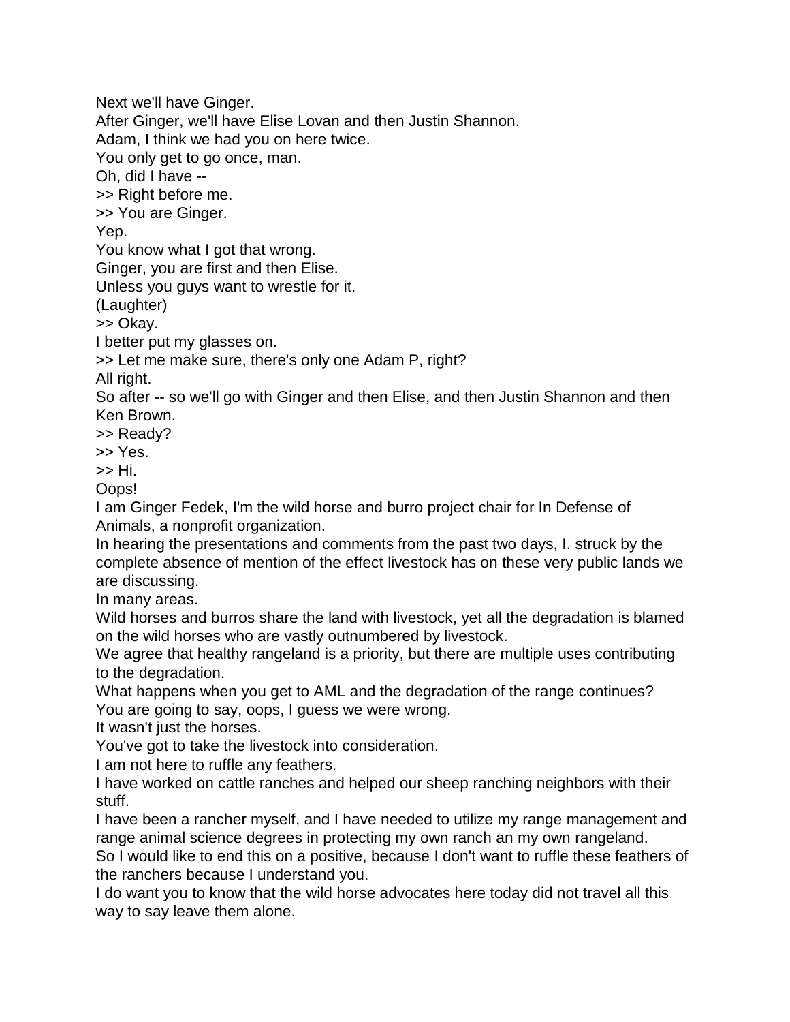Next we'll have Ginger. After Ginger, we'll have Elise Lovan and then Justin Shannon. Adam, I think we had you on here twice. You only get to go once, man. Oh, did I have -- >> Right before me. >> You are Ginger. Yep. You know what I got that wrong. Ginger, you are first and then Elise. Unless you guys want to wrestle for it. (Laughter) >> Okay. I better put my glasses on. >> Let me make sure, there's only one Adam P, right? All right. So after -- so we'll go with Ginger and then Elise, and then Justin Shannon and then Ken Brown. >> Ready? >> Yes. >> Hi. Oops! I am Ginger Fedek, I'm the wild horse and burro project chair for In Defense of Animals, a nonprofit organization. In hearing the presentations and comments from the past two days, I. struck by the complete absence of mention of the effect livestock has on these very public lands we are discussing. In many areas. Wild horses and burros share the land with livestock, yet all the degradation is blamed

on the wild horses who are vastly outnumbered by livestock. We agree that healthy rangeland is a priority, but there are multiple uses contributing to the degradation.

What happens when you get to AML and the degradation of the range continues? You are going to say, oops, I guess we were wrong.

It wasn't just the horses.

You've got to take the livestock into consideration.

I am not here to ruffle any feathers.

I have worked on cattle ranches and helped our sheep ranching neighbors with their stuff.

I have been a rancher myself, and I have needed to utilize my range management and range animal science degrees in protecting my own ranch an my own rangeland.

So I would like to end this on a positive, because I don't want to ruffle these feathers of the ranchers because I understand you.

I do want you to know that the wild horse advocates here today did not travel all this way to say leave them alone.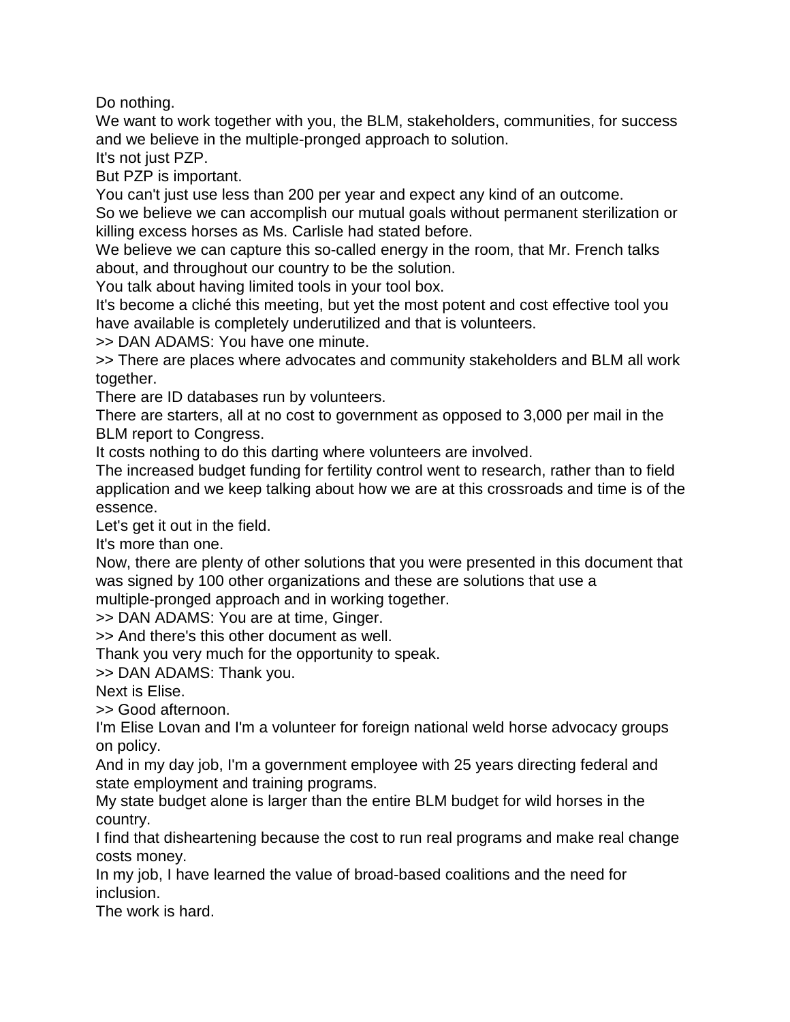Do nothing.

We want to work together with you, the BLM, stakeholders, communities, for success and we believe in the multiple-pronged approach to solution.

It's not just PZP.

But PZP is important.

You can't just use less than 200 per year and expect any kind of an outcome.

So we believe we can accomplish our mutual goals without permanent sterilization or killing excess horses as Ms. Carlisle had stated before.

We believe we can capture this so-called energy in the room, that Mr. French talks about, and throughout our country to be the solution.

You talk about having limited tools in your tool box.

It's become a cliché this meeting, but yet the most potent and cost effective tool you have available is completely underutilized and that is volunteers.

>> DAN ADAMS: You have one minute.

>> There are places where advocates and community stakeholders and BLM all work together.

There are ID databases run by volunteers.

There are starters, all at no cost to government as opposed to 3,000 per mail in the BLM report to Congress.

It costs nothing to do this darting where volunteers are involved.

The increased budget funding for fertility control went to research, rather than to field application and we keep talking about how we are at this crossroads and time is of the essence.

Let's get it out in the field.

It's more than one.

Now, there are plenty of other solutions that you were presented in this document that was signed by 100 other organizations and these are solutions that use a

multiple-pronged approach and in working together.

>> DAN ADAMS: You are at time, Ginger.

>> And there's this other document as well.

Thank you very much for the opportunity to speak.

>> DAN ADAMS: Thank you.

Next is Elise.

>> Good afternoon.

I'm Elise Lovan and I'm a volunteer for foreign national weld horse advocacy groups on policy.

And in my day job, I'm a government employee with 25 years directing federal and state employment and training programs.

My state budget alone is larger than the entire BLM budget for wild horses in the country.

I find that disheartening because the cost to run real programs and make real change costs money.

In my job, I have learned the value of broad-based coalitions and the need for inclusion.

The work is hard.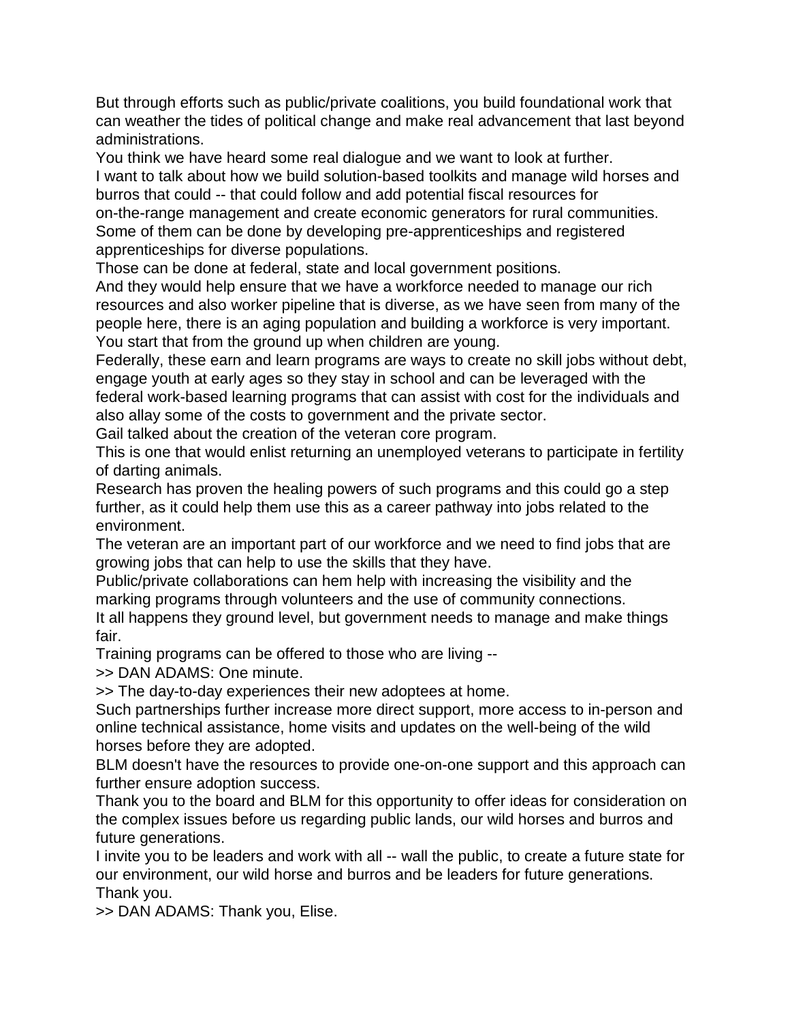But through efforts such as public/private coalitions, you build foundational work that can weather the tides of political change and make real advancement that last beyond administrations.

You think we have heard some real dialogue and we want to look at further. I want to talk about how we build solution-based toolkits and manage wild horses and burros that could -- that could follow and add potential fiscal resources for on-the-range management and create economic generators for rural communities. Some of them can be done by developing pre-apprenticeships and registered apprenticeships for diverse populations.

Those can be done at federal, state and local government positions.

And they would help ensure that we have a workforce needed to manage our rich resources and also worker pipeline that is diverse, as we have seen from many of the people here, there is an aging population and building a workforce is very important. You start that from the ground up when children are young.

Federally, these earn and learn programs are ways to create no skill jobs without debt, engage youth at early ages so they stay in school and can be leveraged with the federal work-based learning programs that can assist with cost for the individuals and also allay some of the costs to government and the private sector.

Gail talked about the creation of the veteran core program.

This is one that would enlist returning an unemployed veterans to participate in fertility of darting animals.

Research has proven the healing powers of such programs and this could go a step further, as it could help them use this as a career pathway into jobs related to the environment.

The veteran are an important part of our workforce and we need to find jobs that are growing jobs that can help to use the skills that they have.

Public/private collaborations can hem help with increasing the visibility and the marking programs through volunteers and the use of community connections.

It all happens they ground level, but government needs to manage and make things fair.

Training programs can be offered to those who are living --

>> DAN ADAMS: One minute.

>> The day-to-day experiences their new adoptees at home.

Such partnerships further increase more direct support, more access to in-person and online technical assistance, home visits and updates on the well-being of the wild horses before they are adopted.

BLM doesn't have the resources to provide one-on-one support and this approach can further ensure adoption success.

Thank you to the board and BLM for this opportunity to offer ideas for consideration on the complex issues before us regarding public lands, our wild horses and burros and future generations.

I invite you to be leaders and work with all -- wall the public, to create a future state for our environment, our wild horse and burros and be leaders for future generations. Thank you.

>> DAN ADAMS: Thank you, Elise.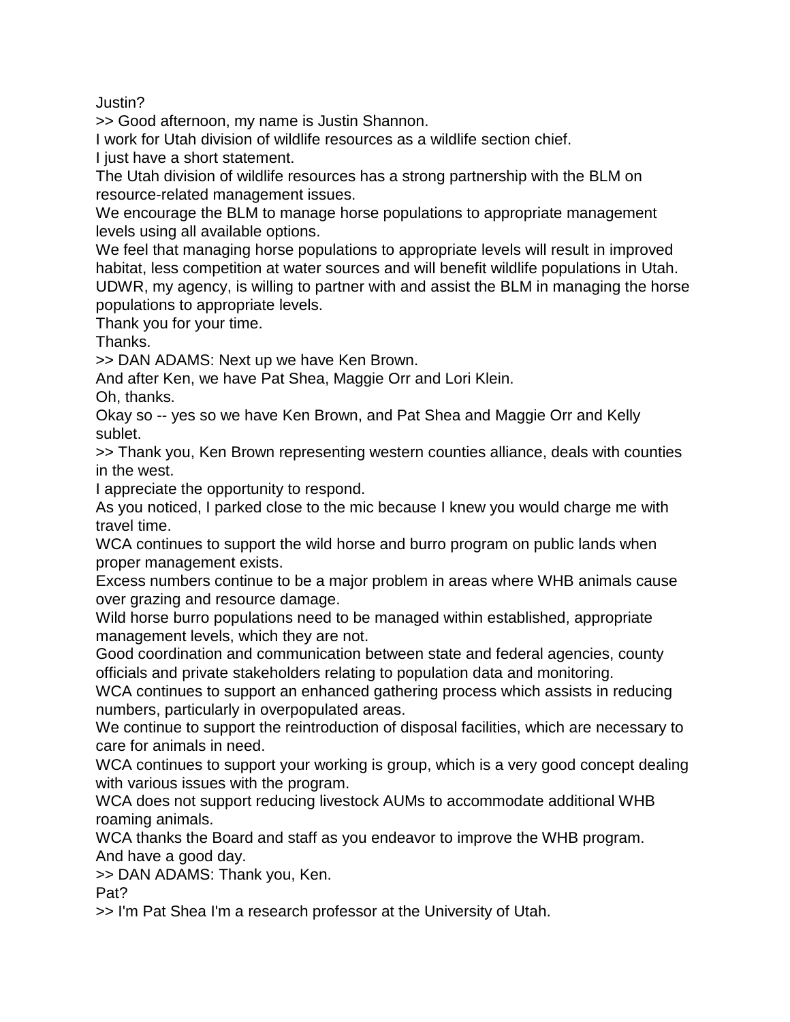Justin?

>> Good afternoon, my name is Justin Shannon.

I work for Utah division of wildlife resources as a wildlife section chief.

I just have a short statement.

The Utah division of wildlife resources has a strong partnership with the BLM on resource-related management issues.

We encourage the BLM to manage horse populations to appropriate management levels using all available options.

We feel that managing horse populations to appropriate levels will result in improved habitat, less competition at water sources and will benefit wildlife populations in Utah. UDWR, my agency, is willing to partner with and assist the BLM in managing the horse populations to appropriate levels.

Thank you for your time.

Thanks.

>> DAN ADAMS: Next up we have Ken Brown.

And after Ken, we have Pat Shea, Maggie Orr and Lori Klein.

Oh, thanks.

Okay so -- yes so we have Ken Brown, and Pat Shea and Maggie Orr and Kelly sublet.

>> Thank you, Ken Brown representing western counties alliance, deals with counties in the west.

I appreciate the opportunity to respond.

As you noticed, I parked close to the mic because I knew you would charge me with travel time.

WCA continues to support the wild horse and burro program on public lands when proper management exists.

Excess numbers continue to be a major problem in areas where WHB animals cause over grazing and resource damage.

Wild horse burro populations need to be managed within established, appropriate management levels, which they are not.

Good coordination and communication between state and federal agencies, county officials and private stakeholders relating to population data and monitoring.

WCA continues to support an enhanced gathering process which assists in reducing numbers, particularly in overpopulated areas.

We continue to support the reintroduction of disposal facilities, which are necessary to care for animals in need.

WCA continues to support your working is group, which is a very good concept dealing with various issues with the program.

WCA does not support reducing livestock AUMs to accommodate additional WHB roaming animals.

WCA thanks the Board and staff as you endeavor to improve the WHB program. And have a good day.

>> DAN ADAMS: Thank you, Ken.

Pat?

>> I'm Pat Shea I'm a research professor at the University of Utah.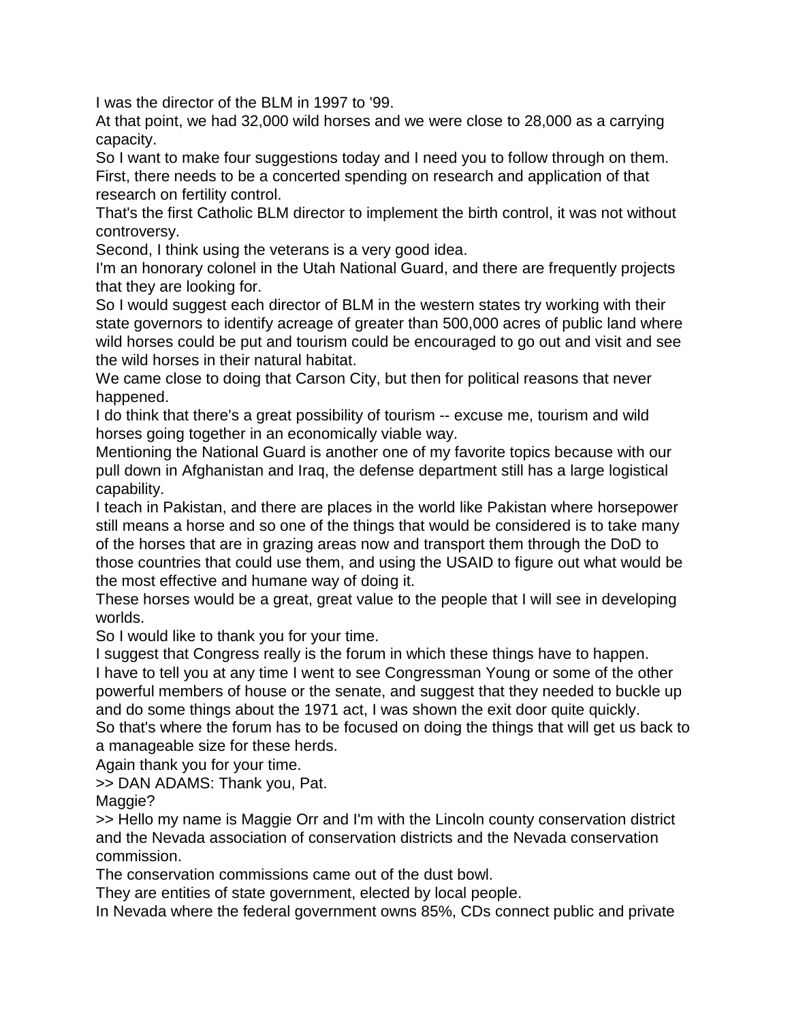I was the director of the BLM in 1997 to '99.

At that point, we had 32,000 wild horses and we were close to 28,000 as a carrying capacity.

So I want to make four suggestions today and I need you to follow through on them.

First, there needs to be a concerted spending on research and application of that research on fertility control.

That's the first Catholic BLM director to implement the birth control, it was not without controversy.

Second, I think using the veterans is a very good idea.

I'm an honorary colonel in the Utah National Guard, and there are frequently projects that they are looking for.

So I would suggest each director of BLM in the western states try working with their state governors to identify acreage of greater than 500,000 acres of public land where wild horses could be put and tourism could be encouraged to go out and visit and see the wild horses in their natural habitat.

We came close to doing that Carson City, but then for political reasons that never happened.

I do think that there's a great possibility of tourism -- excuse me, tourism and wild horses going together in an economically viable way.

Mentioning the National Guard is another one of my favorite topics because with our pull down in Afghanistan and Iraq, the defense department still has a large logistical capability.

I teach in Pakistan, and there are places in the world like Pakistan where horsepower still means a horse and so one of the things that would be considered is to take many of the horses that are in grazing areas now and transport them through the DoD to those countries that could use them, and using the USAID to figure out what would be the most effective and humane way of doing it.

These horses would be a great, great value to the people that I will see in developing worlds.

So I would like to thank you for your time.

I suggest that Congress really is the forum in which these things have to happen. I have to tell you at any time I went to see Congressman Young or some of the other powerful members of house or the senate, and suggest that they needed to buckle up and do some things about the 1971 act, I was shown the exit door quite quickly. So that's where the forum has to be focused on doing the things that will get us back to a manageable size for these herds.

Again thank you for your time.

>> DAN ADAMS: Thank you, Pat.

Maggie?

>> Hello my name is Maggie Orr and I'm with the Lincoln county conservation district and the Nevada association of conservation districts and the Nevada conservation commission.

The conservation commissions came out of the dust bowl.

They are entities of state government, elected by local people.

In Nevada where the federal government owns 85%, CDs connect public and private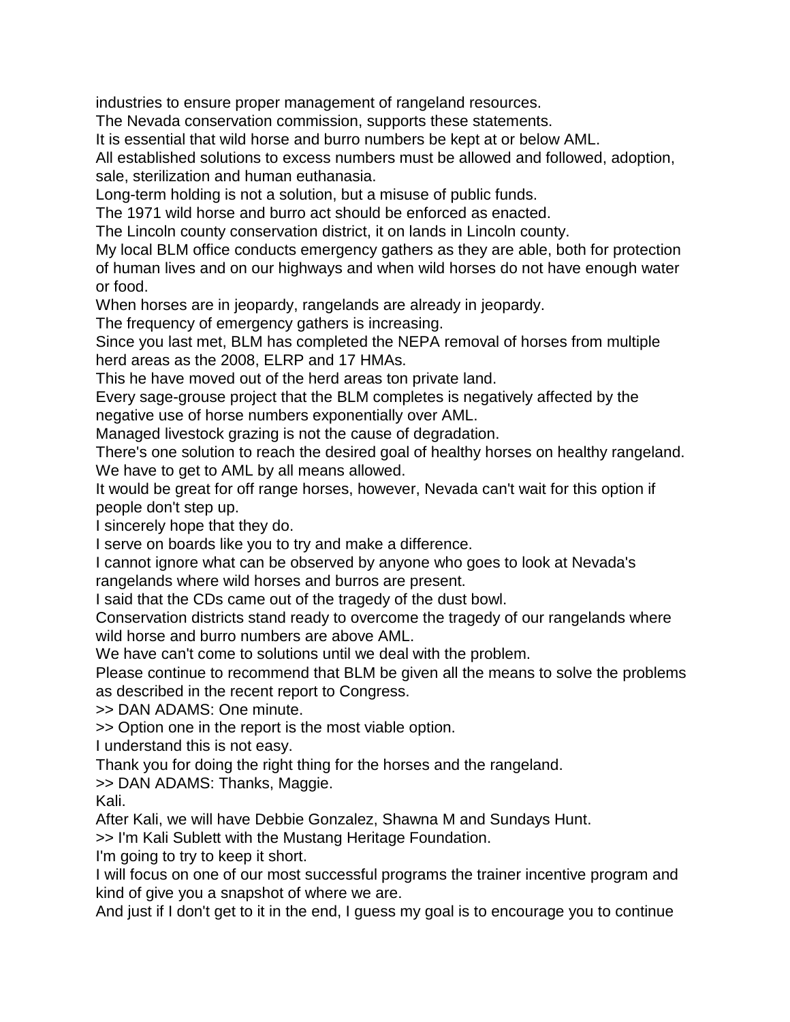industries to ensure proper management of rangeland resources.

The Nevada conservation commission, supports these statements.

It is essential that wild horse and burro numbers be kept at or below AML.

All established solutions to excess numbers must be allowed and followed, adoption, sale, sterilization and human euthanasia.

Long-term holding is not a solution, but a misuse of public funds.

The 1971 wild horse and burro act should be enforced as enacted.

The Lincoln county conservation district, it on lands in Lincoln county.

My local BLM office conducts emergency gathers as they are able, both for protection of human lives and on our highways and when wild horses do not have enough water or food.

When horses are in jeopardy, rangelands are already in jeopardy.

The frequency of emergency gathers is increasing.

Since you last met, BLM has completed the NEPA removal of horses from multiple herd areas as the 2008, ELRP and 17 HMAs.

This he have moved out of the herd areas ton private land.

Every sage-grouse project that the BLM completes is negatively affected by the negative use of horse numbers exponentially over AML.

Managed livestock grazing is not the cause of degradation.

There's one solution to reach the desired goal of healthy horses on healthy rangeland. We have to get to AML by all means allowed.

It would be great for off range horses, however, Nevada can't wait for this option if people don't step up.

I sincerely hope that they do.

I serve on boards like you to try and make a difference.

I cannot ignore what can be observed by anyone who goes to look at Nevada's rangelands where wild horses and burros are present.

I said that the CDs came out of the tragedy of the dust bowl.

Conservation districts stand ready to overcome the tragedy of our rangelands where wild horse and burro numbers are above AML.

We have can't come to solutions until we deal with the problem.

Please continue to recommend that BLM be given all the means to solve the problems as described in the recent report to Congress.

>> DAN ADAMS: One minute.

>> Option one in the report is the most viable option.

I understand this is not easy.

Thank you for doing the right thing for the horses and the rangeland.

>> DAN ADAMS: Thanks, Maggie.

Kali.

After Kali, we will have Debbie Gonzalez, Shawna M and Sundays Hunt.

>> I'm Kali Sublett with the Mustang Heritage Foundation.

I'm going to try to keep it short.

I will focus on one of our most successful programs the trainer incentive program and kind of give you a snapshot of where we are.

And just if I don't get to it in the end, I guess my goal is to encourage you to continue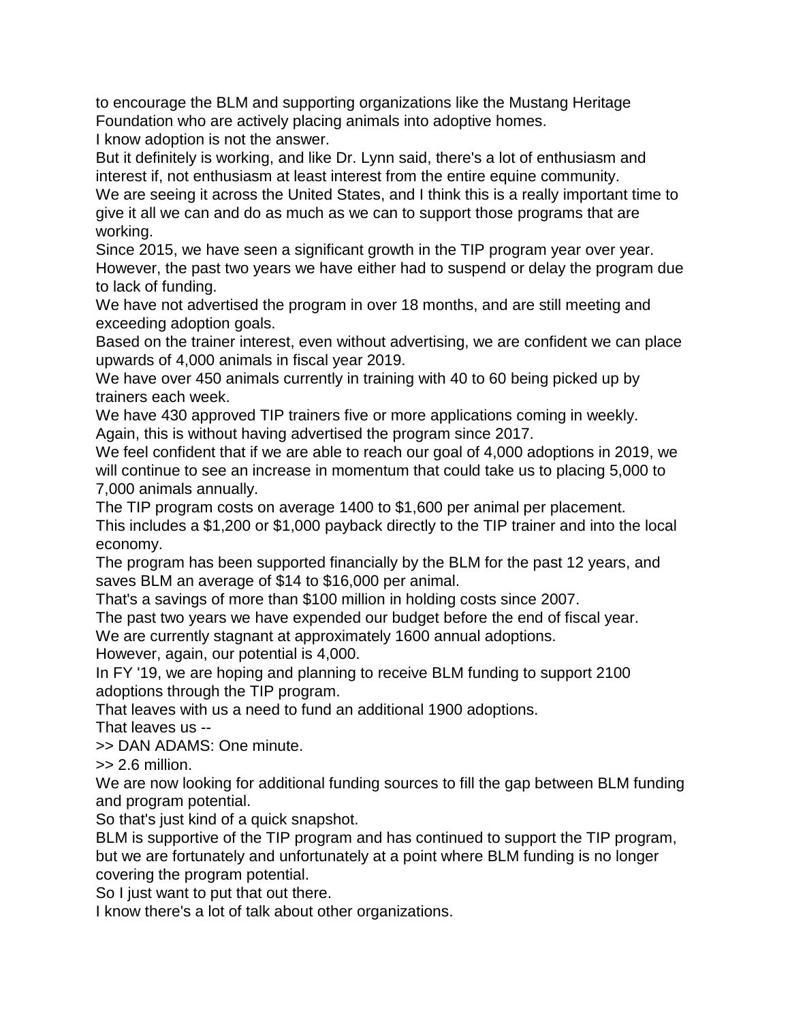to encourage the BLM and supporting organizations like the Mustang Heritage Foundation who are actively placing animals into adoptive homes.

I know adoption is not the answer.

But it definitely is working, and like Dr. Lynn said, there's a lot of enthusiasm and interest if, not enthusiasm at least interest from the entire equine community.

We are seeing it across the United States, and I think this is a really important time to give it all we can and do as much as we can to support those programs that are working.

Since 2015, we have seen a significant growth in the TIP program year over year. However, the past two years we have either had to suspend or delay the program due to lack of funding.

We have not advertised the program in over 18 months, and are still meeting and exceeding adoption goals.

Based on the trainer interest, even without advertising, we are confident we can place upwards of 4,000 animals in fiscal year 2019.

We have over 450 animals currently in training with 40 to 60 being picked up by trainers each week.

We have 430 approved TIP trainers five or more applications coming in weekly. Again, this is without having advertised the program since 2017.

We feel confident that if we are able to reach our goal of 4,000 adoptions in 2019, we will continue to see an increase in momentum that could take us to placing 5,000 to 7,000 animals annually.

The TIP program costs on average 1400 to \$1,600 per animal per placement. This includes a \$1,200 or \$1,000 payback directly to the TIP trainer and into the local economy.

The program has been supported financially by the BLM for the past 12 years, and saves BLM an average of \$14 to \$16,000 per animal.

That's a savings of more than \$100 million in holding costs since 2007.

The past two years we have expended our budget before the end of fiscal year. We are currently stagnant at approximately 1600 annual adoptions.

However, again, our potential is 4,000.

In FY '19, we are hoping and planning to receive BLM funding to support 2100 adoptions through the TIP program.

That leaves with us a need to fund an additional 1900 adoptions.

That leaves us --

>> DAN ADAMS: One minute.

>> 2.6 million.

We are now looking for additional funding sources to fill the gap between BLM funding and program potential.

So that's just kind of a quick snapshot.

BLM is supportive of the TIP program and has continued to support the TIP program, but we are fortunately and unfortunately at a point where BLM funding is no longer covering the program potential.

So I just want to put that out there.

I know there's a lot of talk about other organizations.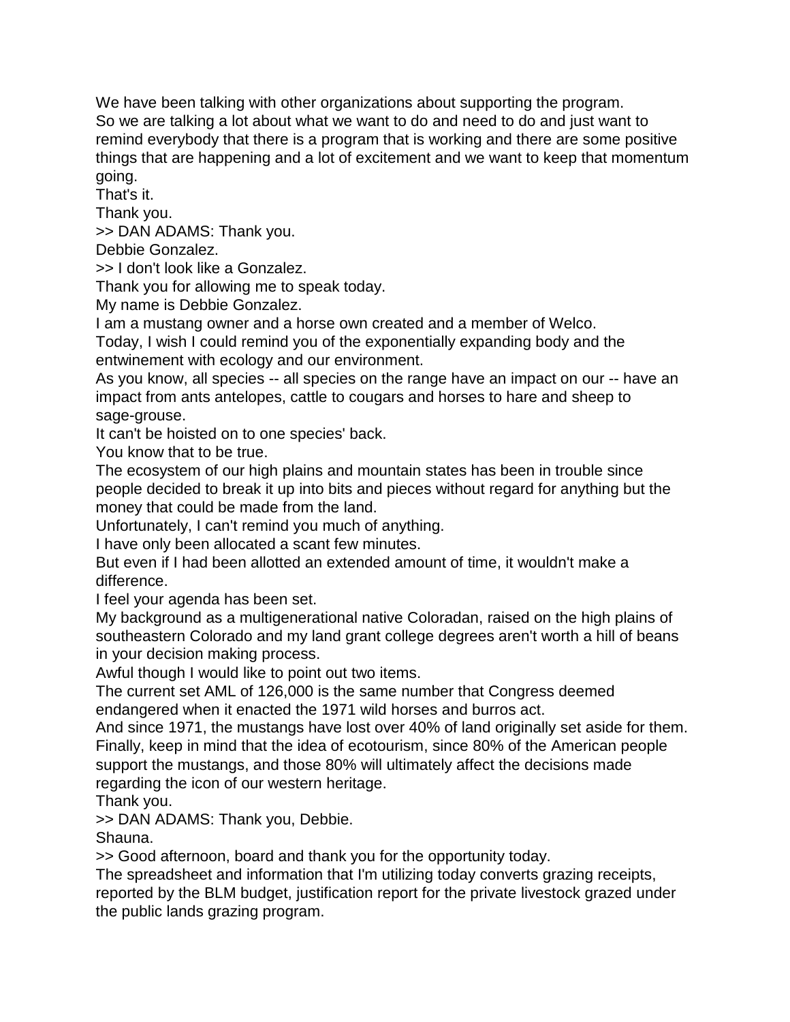We have been talking with other organizations about supporting the program. So we are talking a lot about what we want to do and need to do and just want to remind everybody that there is a program that is working and there are some positive things that are happening and a lot of excitement and we want to keep that momentum going.

That's it.

Thank you.

>> DAN ADAMS: Thank you.

Debbie Gonzalez.

>> I don't look like a Gonzalez.

Thank you for allowing me to speak today.

My name is Debbie Gonzalez.

I am a mustang owner and a horse own created and a member of Welco.

Today, I wish I could remind you of the exponentially expanding body and the entwinement with ecology and our environment.

As you know, all species -- all species on the range have an impact on our -- have an impact from ants antelopes, cattle to cougars and horses to hare and sheep to sage-grouse.

It can't be hoisted on to one species' back.

You know that to be true.

The ecosystem of our high plains and mountain states has been in trouble since people decided to break it up into bits and pieces without regard for anything but the money that could be made from the land.

Unfortunately, I can't remind you much of anything.

I have only been allocated a scant few minutes.

But even if I had been allotted an extended amount of time, it wouldn't make a difference.

I feel your agenda has been set.

My background as a multigenerational native Coloradan, raised on the high plains of southeastern Colorado and my land grant college degrees aren't worth a hill of beans in your decision making process.

Awful though I would like to point out two items.

The current set AML of 126,000 is the same number that Congress deemed endangered when it enacted the 1971 wild horses and burros act.

And since 1971, the mustangs have lost over 40% of land originally set aside for them. Finally, keep in mind that the idea of ecotourism, since 80% of the American people support the mustangs, and those 80% will ultimately affect the decisions made regarding the icon of our western heritage.

Thank you.

>> DAN ADAMS: Thank you, Debbie.

Shauna.

>> Good afternoon, board and thank you for the opportunity today.

The spreadsheet and information that I'm utilizing today converts grazing receipts, reported by the BLM budget, justification report for the private livestock grazed under the public lands grazing program.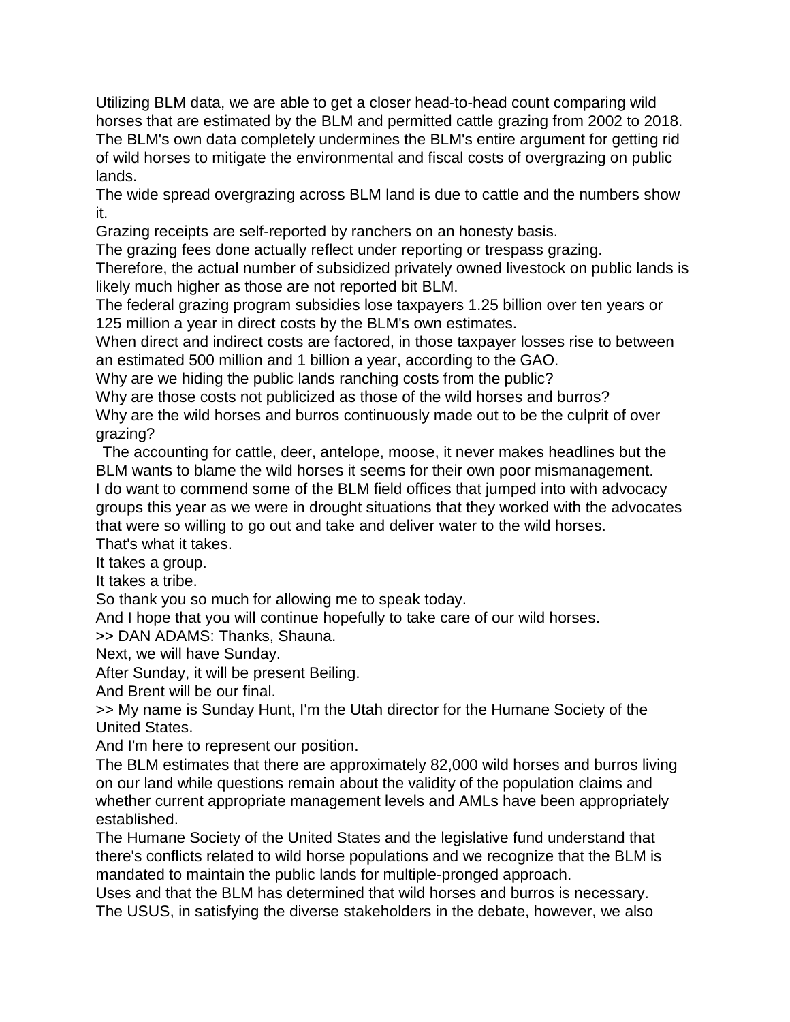Utilizing BLM data, we are able to get a closer head-to-head count comparing wild horses that are estimated by the BLM and permitted cattle grazing from 2002 to 2018. The BLM's own data completely undermines the BLM's entire argument for getting rid of wild horses to mitigate the environmental and fiscal costs of overgrazing on public lands.

The wide spread overgrazing across BLM land is due to cattle and the numbers show it.

Grazing receipts are self-reported by ranchers on an honesty basis.

The grazing fees done actually reflect under reporting or trespass grazing.

Therefore, the actual number of subsidized privately owned livestock on public lands is likely much higher as those are not reported bit BLM.

The federal grazing program subsidies lose taxpayers 1.25 billion over ten years or 125 million a year in direct costs by the BLM's own estimates.

When direct and indirect costs are factored, in those taxpayer losses rise to between an estimated 500 million and 1 billion a year, according to the GAO.

Why are we hiding the public lands ranching costs from the public?

Why are those costs not publicized as those of the wild horses and burros? Why are the wild horses and burros continuously made out to be the culprit of over grazing?

The accounting for cattle, deer, antelope, moose, it never makes headlines but the BLM wants to blame the wild horses it seems for their own poor mismanagement. I do want to commend some of the BLM field offices that jumped into with advocacy groups this year as we were in drought situations that they worked with the advocates that were so willing to go out and take and deliver water to the wild horses.

That's what it takes.

It takes a group.

It takes a tribe.

So thank you so much for allowing me to speak today.

And I hope that you will continue hopefully to take care of our wild horses.

>> DAN ADAMS: Thanks, Shauna.

Next, we will have Sunday.

After Sunday, it will be present Beiling.

And Brent will be our final.

>> My name is Sunday Hunt, I'm the Utah director for the Humane Society of the United States.

And I'm here to represent our position.

The BLM estimates that there are approximately 82,000 wild horses and burros living on our land while questions remain about the validity of the population claims and whether current appropriate management levels and AMLs have been appropriately established.

The Humane Society of the United States and the legislative fund understand that there's conflicts related to wild horse populations and we recognize that the BLM is mandated to maintain the public lands for multiple-pronged approach.

Uses and that the BLM has determined that wild horses and burros is necessary. The USUS, in satisfying the diverse stakeholders in the debate, however, we also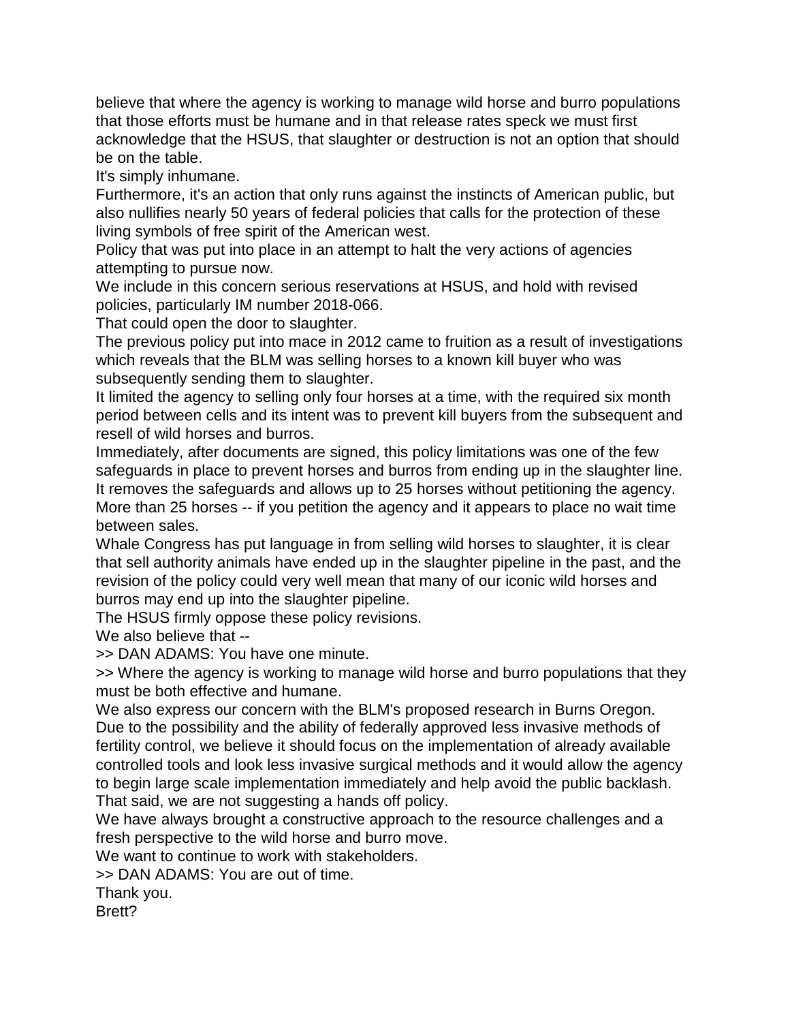believe that where the agency is working to manage wild horse and burro populations that those efforts must be humane and in that release rates speck we must first acknowledge that the HSUS, that slaughter or destruction is not an option that should be on the table.

It's simply inhumane.

Furthermore, it's an action that only runs against the instincts of American public, but also nullifies nearly 50 years of federal policies that calls for the protection of these living symbols of free spirit of the American west.

Policy that was put into place in an attempt to halt the very actions of agencies attempting to pursue now.

We include in this concern serious reservations at HSUS, and hold with revised policies, particularly IM number 2018-066.

That could open the door to slaughter.

The previous policy put into mace in 2012 came to fruition as a result of investigations which reveals that the BLM was selling horses to a known kill buyer who was subsequently sending them to slaughter.

It limited the agency to selling only four horses at a time, with the required six month period between cells and its intent was to prevent kill buyers from the subsequent and resell of wild horses and burros.

Immediately, after documents are signed, this policy limitations was one of the few safeguards in place to prevent horses and burros from ending up in the slaughter line. It removes the safeguards and allows up to 25 horses without petitioning the agency. More than 25 horses -- if you petition the agency and it appears to place no wait time between sales.

Whale Congress has put language in from selling wild horses to slaughter, it is clear that sell authority animals have ended up in the slaughter pipeline in the past, and the revision of the policy could very well mean that many of our iconic wild horses and burros may end up into the slaughter pipeline.

The HSUS firmly oppose these policy revisions.

We also believe that --

>> DAN ADAMS: You have one minute.

>> Where the agency is working to manage wild horse and burro populations that they must be both effective and humane.

We also express our concern with the BLM's proposed research in Burns Oregon. Due to the possibility and the ability of federally approved less invasive methods of fertility control, we believe it should focus on the implementation of already available controlled tools and look less invasive surgical methods and it would allow the agency to begin large scale implementation immediately and help avoid the public backlash. That said, we are not suggesting a hands off policy.

We have always brought a constructive approach to the resource challenges and a fresh perspective to the wild horse and burro move.

We want to continue to work with stakeholders.

>> DAN ADAMS: You are out of time.

Thank you.

Brett?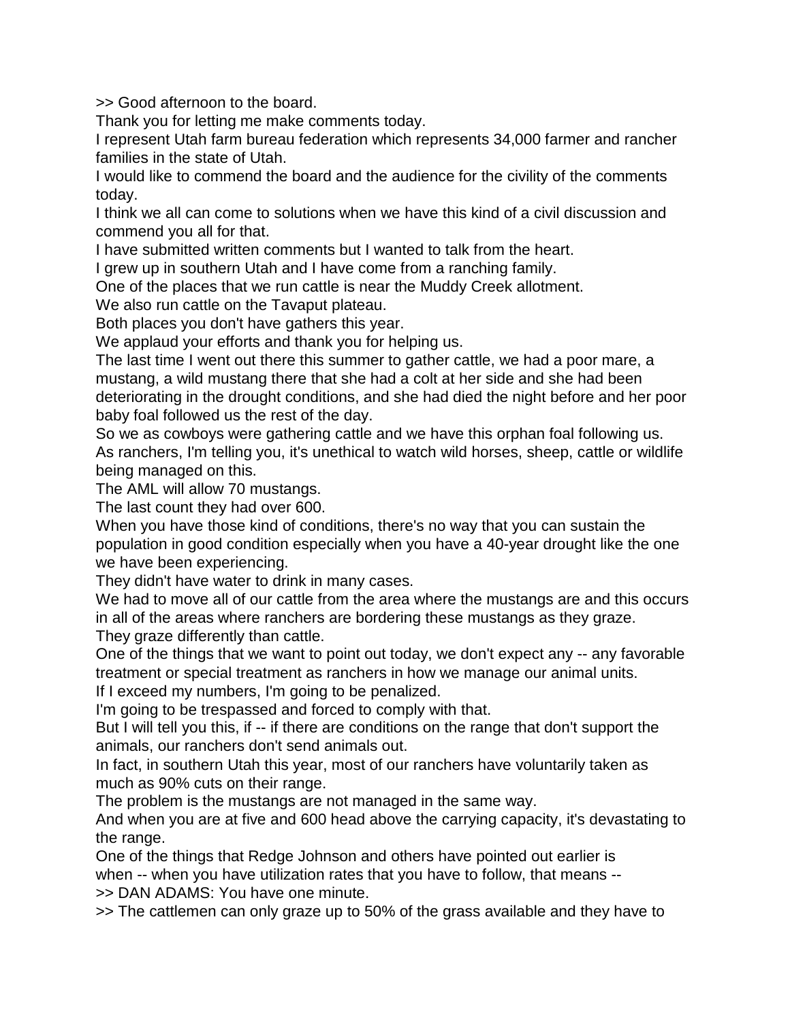>> Good afternoon to the board.

Thank you for letting me make comments today.

I represent Utah farm bureau federation which represents 34,000 farmer and rancher families in the state of Utah.

I would like to commend the board and the audience for the civility of the comments today.

I think we all can come to solutions when we have this kind of a civil discussion and commend you all for that.

I have submitted written comments but I wanted to talk from the heart.

I grew up in southern Utah and I have come from a ranching family.

One of the places that we run cattle is near the Muddy Creek allotment.

We also run cattle on the Tavaput plateau.

Both places you don't have gathers this year.

We applaud your efforts and thank you for helping us.

The last time I went out there this summer to gather cattle, we had a poor mare, a mustang, a wild mustang there that she had a colt at her side and she had been deteriorating in the drought conditions, and she had died the night before and her poor baby foal followed us the rest of the day.

So we as cowboys were gathering cattle and we have this orphan foal following us. As ranchers, I'm telling you, it's unethical to watch wild horses, sheep, cattle or wildlife being managed on this.

The AML will allow 70 mustangs.

The last count they had over 600.

When you have those kind of conditions, there's no way that you can sustain the population in good condition especially when you have a 40-year drought like the one we have been experiencing.

They didn't have water to drink in many cases.

We had to move all of our cattle from the area where the mustangs are and this occurs in all of the areas where ranchers are bordering these mustangs as they graze. They graze differently than cattle.

One of the things that we want to point out today, we don't expect any -- any favorable treatment or special treatment as ranchers in how we manage our animal units.

If I exceed my numbers, I'm going to be penalized.

I'm going to be trespassed and forced to comply with that.

But I will tell you this, if -- if there are conditions on the range that don't support the animals, our ranchers don't send animals out.

In fact, in southern Utah this year, most of our ranchers have voluntarily taken as much as 90% cuts on their range.

The problem is the mustangs are not managed in the same way.

And when you are at five and 600 head above the carrying capacity, it's devastating to the range.

One of the things that Redge Johnson and others have pointed out earlier is when -- when you have utilization rates that you have to follow, that means -- >> DAN ADAMS: You have one minute.

>> The cattlemen can only graze up to 50% of the grass available and they have to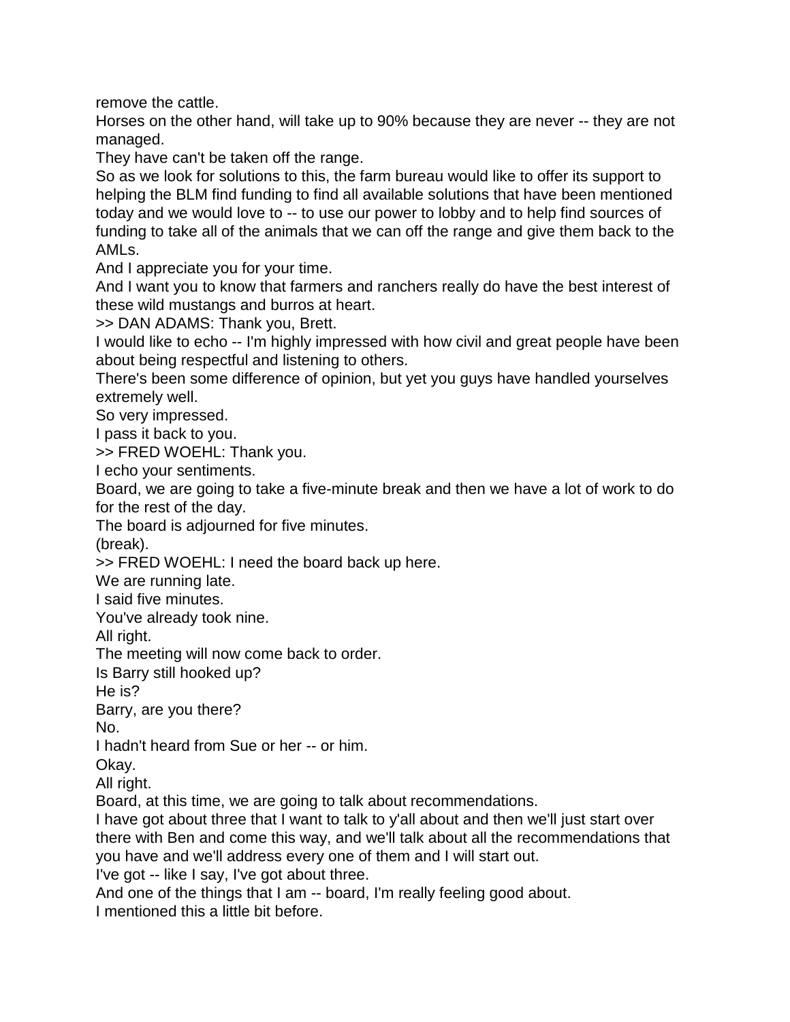remove the cattle.

Horses on the other hand, will take up to 90% because they are never -- they are not managed.

They have can't be taken off the range.

So as we look for solutions to this, the farm bureau would like to offer its support to helping the BLM find funding to find all available solutions that have been mentioned today and we would love to -- to use our power to lobby and to help find sources of funding to take all of the animals that we can off the range and give them back to the AMLs.

And I appreciate you for your time.

And I want you to know that farmers and ranchers really do have the best interest of these wild mustangs and burros at heart.

>> DAN ADAMS: Thank you, Brett.

I would like to echo -- I'm highly impressed with how civil and great people have been about being respectful and listening to others.

There's been some difference of opinion, but yet you guys have handled yourselves extremely well.

So very impressed.

I pass it back to you.

>> FRED WOEHL: Thank you.

I echo your sentiments.

Board, we are going to take a five-minute break and then we have a lot of work to do for the rest of the day.

The board is adjourned for five minutes.

(break).

>> FRED WOEHL: I need the board back up here.

We are running late.

I said five minutes.

You've already took nine.

All right.

The meeting will now come back to order.

Is Barry still hooked up?

He is?

Barry, are you there?

No.

I hadn't heard from Sue or her -- or him.

Okay.

All right.

Board, at this time, we are going to talk about recommendations.

I have got about three that I want to talk to y'all about and then we'll just start over there with Ben and come this way, and we'll talk about all the recommendations that you have and we'll address every one of them and I will start out.

I've got -- like I say, I've got about three.

And one of the things that I am -- board, I'm really feeling good about.

I mentioned this a little bit before.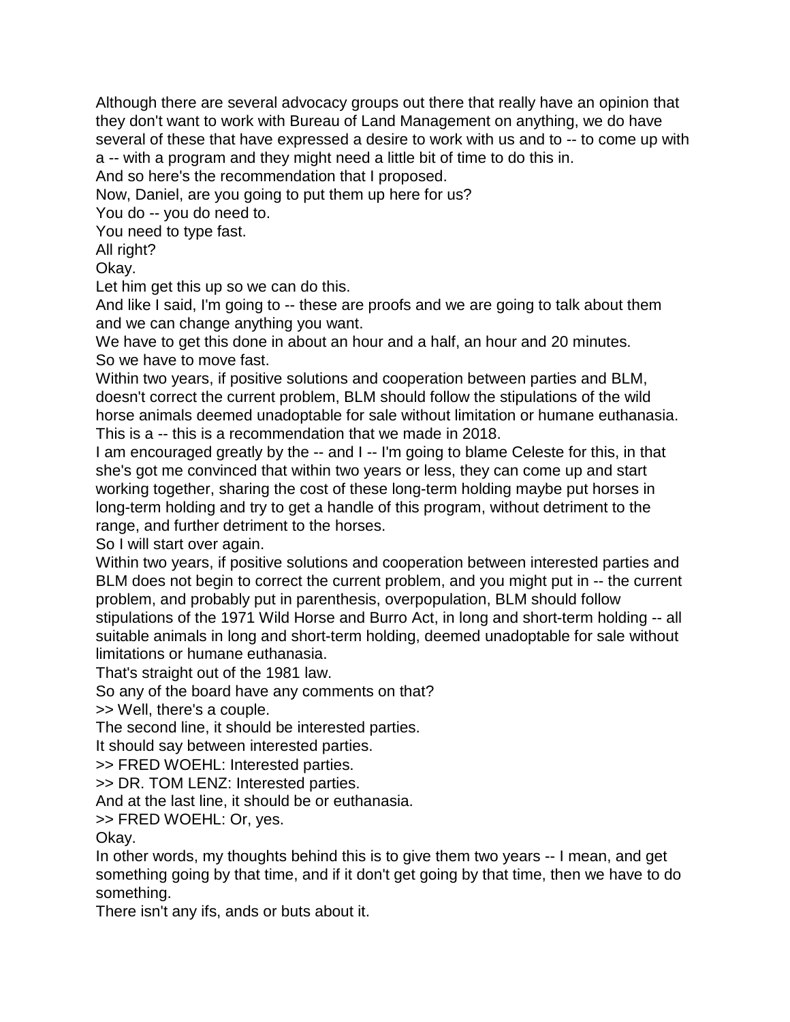Although there are several advocacy groups out there that really have an opinion that they don't want to work with Bureau of Land Management on anything, we do have several of these that have expressed a desire to work with us and to -- to come up with a -- with a program and they might need a little bit of time to do this in.

And so here's the recommendation that I proposed.

Now, Daniel, are you going to put them up here for us?

You do -- you do need to.

You need to type fast.

All right?

Okay.

Let him get this up so we can do this.

And like I said, I'm going to -- these are proofs and we are going to talk about them and we can change anything you want.

We have to get this done in about an hour and a half, an hour and 20 minutes. So we have to move fast.

Within two years, if positive solutions and cooperation between parties and BLM, doesn't correct the current problem, BLM should follow the stipulations of the wild horse animals deemed unadoptable for sale without limitation or humane euthanasia. This is a -- this is a recommendation that we made in 2018.

I am encouraged greatly by the -- and I -- I'm going to blame Celeste for this, in that she's got me convinced that within two years or less, they can come up and start working together, sharing the cost of these long-term holding maybe put horses in long-term holding and try to get a handle of this program, without detriment to the range, and further detriment to the horses.

So I will start over again.

Within two years, if positive solutions and cooperation between interested parties and BLM does not begin to correct the current problem, and you might put in -- the current problem, and probably put in parenthesis, overpopulation, BLM should follow stipulations of the 1971 Wild Horse and Burro Act, in long and short-term holding -- all suitable animals in long and short-term holding, deemed unadoptable for sale without limitations or humane euthanasia.

That's straight out of the 1981 law.

So any of the board have any comments on that?

>> Well, there's a couple.

The second line, it should be interested parties.

It should say between interested parties.

>> FRED WOEHL: Interested parties.

>> DR. TOM LENZ: Interested parties.

And at the last line, it should be or euthanasia.

>> FRED WOEHL: Or, yes.

Okay.

In other words, my thoughts behind this is to give them two years -- I mean, and get something going by that time, and if it don't get going by that time, then we have to do something.

There isn't any ifs, ands or buts about it.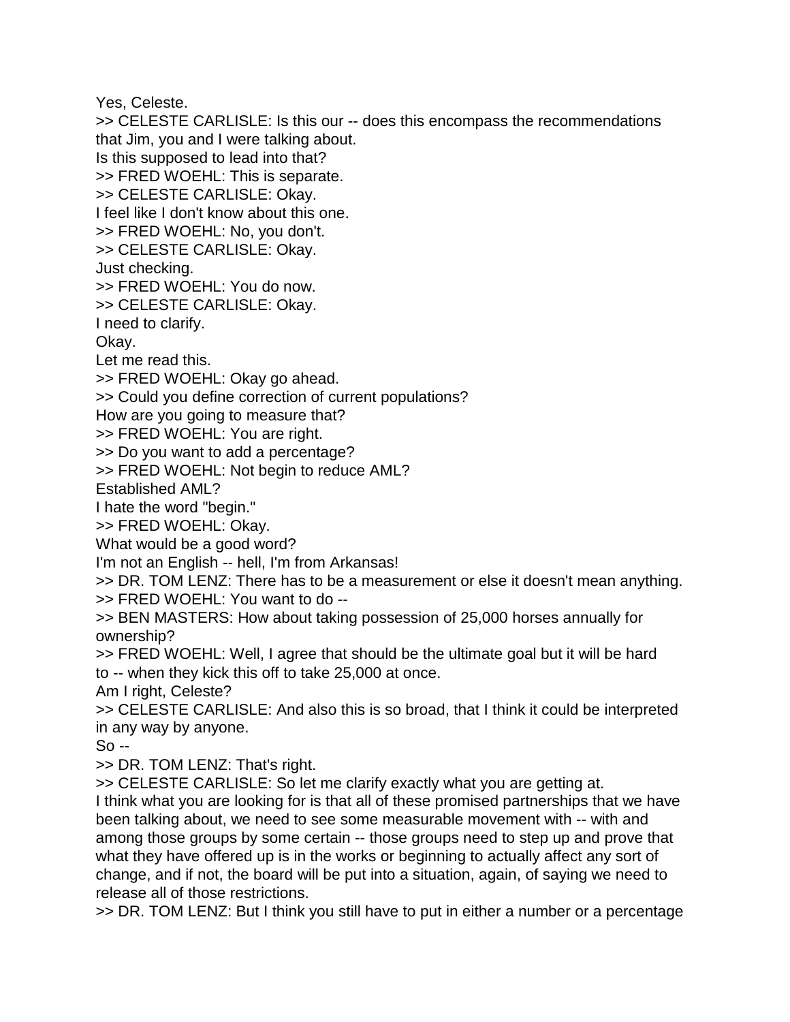Yes, Celeste.

>> CELESTE CARLISLE: Is this our -- does this encompass the recommendations that Jim, you and I were talking about.

Is this supposed to lead into that?

>> FRED WOEHL: This is separate.

>> CELESTE CARLISLE: Okay.

I feel like I don't know about this one.

>> FRED WOEHL: No, you don't.

>> CELESTE CARLISLE: Okay.

Just checking.

>> FRED WOEHL: You do now.

>> CELESTE CARLISLE: Okay.

I need to clarify.

Okay.

Let me read this.

>> FRED WOEHL: Okay go ahead.

>> Could you define correction of current populations?

How are you going to measure that?

>> FRED WOEHL: You are right.

>> Do you want to add a percentage?

>> FRED WOEHL: Not begin to reduce AML?

Established AML?

I hate the word "begin."

>> FRED WOEHL: Okay.

What would be a good word?

I'm not an English -- hell, I'm from Arkansas!

>> DR. TOM LENZ: There has to be a measurement or else it doesn't mean anything. >> FRED WOEHL: You want to do --

>> BEN MASTERS: How about taking possession of 25,000 horses annually for ownership?

>> FRED WOEHL: Well, I agree that should be the ultimate goal but it will be hard to -- when they kick this off to take 25,000 at once.

Am I right, Celeste?

>> CELESTE CARLISLE: And also this is so broad, that I think it could be interpreted in any way by anyone.

 $So -$ 

>> DR. TOM LENZ: That's right.

>> CELESTE CARLISLE: So let me clarify exactly what you are getting at.

I think what you are looking for is that all of these promised partnerships that we have been talking about, we need to see some measurable movement with -- with and among those groups by some certain -- those groups need to step up and prove that what they have offered up is in the works or beginning to actually affect any sort of change, and if not, the board will be put into a situation, again, of saying we need to release all of those restrictions.

>> DR. TOM LENZ: But I think you still have to put in either a number or a percentage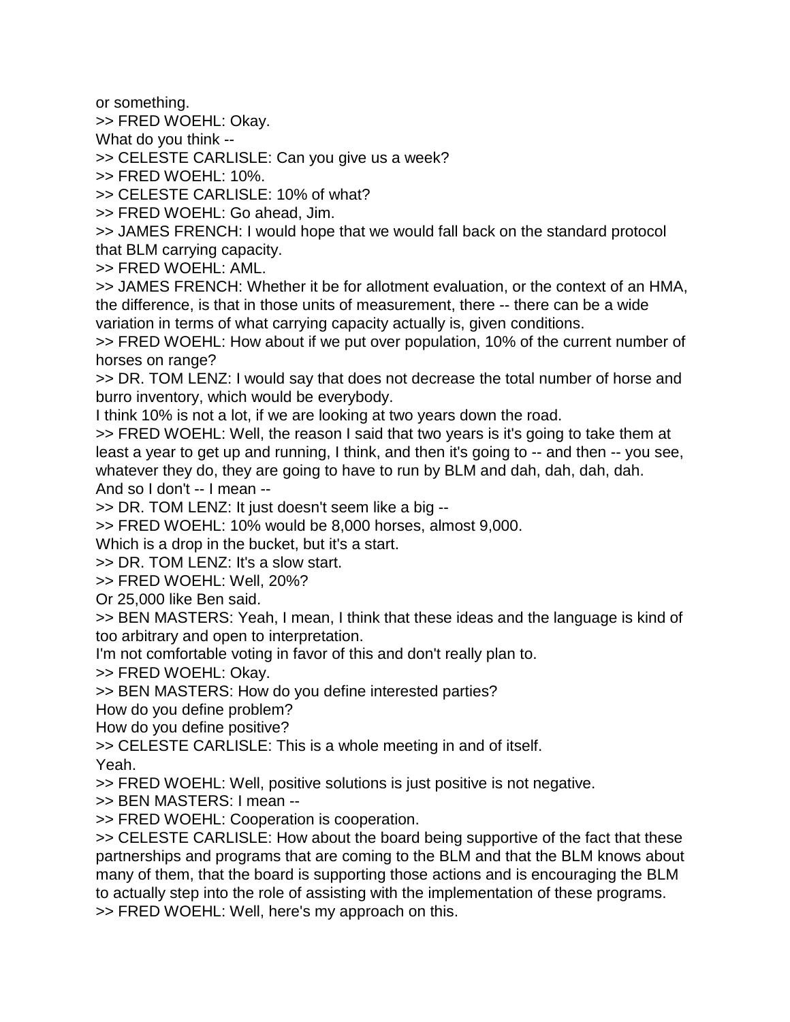or something.

>> FRED WOEHL: Okay.

What do you think --

>> CELESTE CARLISLE: Can you give us a week?

>> FRED WOEHL: 10%.

>> CELESTE CARLISLE: 10% of what?

>> FRED WOEHL: Go ahead, Jim.

>> JAMES FRENCH: I would hope that we would fall back on the standard protocol that BLM carrying capacity.

>> FRED WOEHL: AML.

>> JAMES FRENCH: Whether it be for allotment evaluation, or the context of an HMA, the difference, is that in those units of measurement, there -- there can be a wide variation in terms of what carrying capacity actually is, given conditions.

>> FRED WOEHL: How about if we put over population, 10% of the current number of horses on range?

>> DR. TOM LENZ: I would say that does not decrease the total number of horse and burro inventory, which would be everybody.

I think 10% is not a lot, if we are looking at two years down the road.

>> FRED WOEHL: Well, the reason I said that two years is it's going to take them at least a year to get up and running, I think, and then it's going to -- and then -- you see, whatever they do, they are going to have to run by BLM and dah, dah, dah, dah. And so I don't -- I mean --

>> DR. TOM LENZ: It just doesn't seem like a big --

>> FRED WOEHL: 10% would be 8,000 horses, almost 9,000.

Which is a drop in the bucket, but it's a start.

>> DR. TOM LENZ: It's a slow start.

>> FRED WOEHL: Well, 20%?

Or 25,000 like Ben said.

>> BEN MASTERS: Yeah, I mean, I think that these ideas and the language is kind of too arbitrary and open to interpretation.

I'm not comfortable voting in favor of this and don't really plan to.

>> FRED WOEHL: Okay.

>> BEN MASTERS: How do you define interested parties?

How do you define problem?

How do you define positive?

>> CELESTE CARLISLE: This is a whole meeting in and of itself.

Yeah.

>> FRED WOEHL: Well, positive solutions is just positive is not negative.

>> BEN MASTERS: I mean --

>> FRED WOEHL: Cooperation is cooperation.

>> CELESTE CARLISLE: How about the board being supportive of the fact that these partnerships and programs that are coming to the BLM and that the BLM knows about many of them, that the board is supporting those actions and is encouraging the BLM to actually step into the role of assisting with the implementation of these programs. >> FRED WOEHL: Well, here's my approach on this.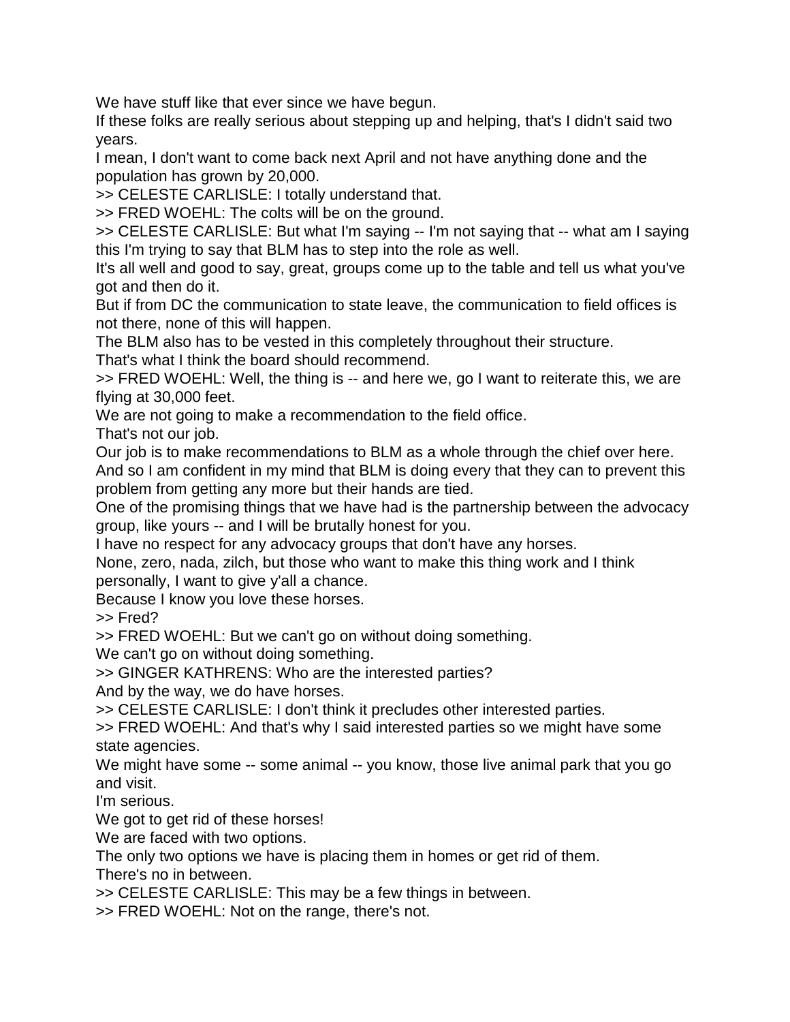We have stuff like that ever since we have begun.

If these folks are really serious about stepping up and helping, that's I didn't said two years.

I mean, I don't want to come back next April and not have anything done and the population has grown by 20,000.

>> CELESTE CARLISLE: I totally understand that.

>> FRED WOEHL: The colts will be on the ground.

>> CELESTE CARLISLE: But what I'm saying -- I'm not saying that -- what am I saying this I'm trying to say that BLM has to step into the role as well.

It's all well and good to say, great, groups come up to the table and tell us what you've got and then do it.

But if from DC the communication to state leave, the communication to field offices is not there, none of this will happen.

The BLM also has to be vested in this completely throughout their structure.

That's what I think the board should recommend.

>> FRED WOEHL: Well, the thing is -- and here we, go I want to reiterate this, we are flying at 30,000 feet.

We are not going to make a recommendation to the field office.

That's not our job.

Our job is to make recommendations to BLM as a whole through the chief over here.

And so I am confident in my mind that BLM is doing every that they can to prevent this problem from getting any more but their hands are tied.

One of the promising things that we have had is the partnership between the advocacy group, like yours -- and I will be brutally honest for you.

I have no respect for any advocacy groups that don't have any horses.

None, zero, nada, zilch, but those who want to make this thing work and I think personally, I want to give y'all a chance.

Because I know you love these horses.

>> Fred?

>> FRED WOEHL: But we can't go on without doing something.

We can't go on without doing something.

>> GINGER KATHRENS: Who are the interested parties?

And by the way, we do have horses.

>> CELESTE CARLISLE: I don't think it precludes other interested parties.

>> FRED WOEHL: And that's why I said interested parties so we might have some state agencies.

We might have some -- some animal -- you know, those live animal park that you go and visit.

I'm serious.

We got to get rid of these horses!

We are faced with two options.

The only two options we have is placing them in homes or get rid of them.

There's no in between.

>> CELESTE CARLISLE: This may be a few things in between.

>> FRED WOEHL: Not on the range, there's not.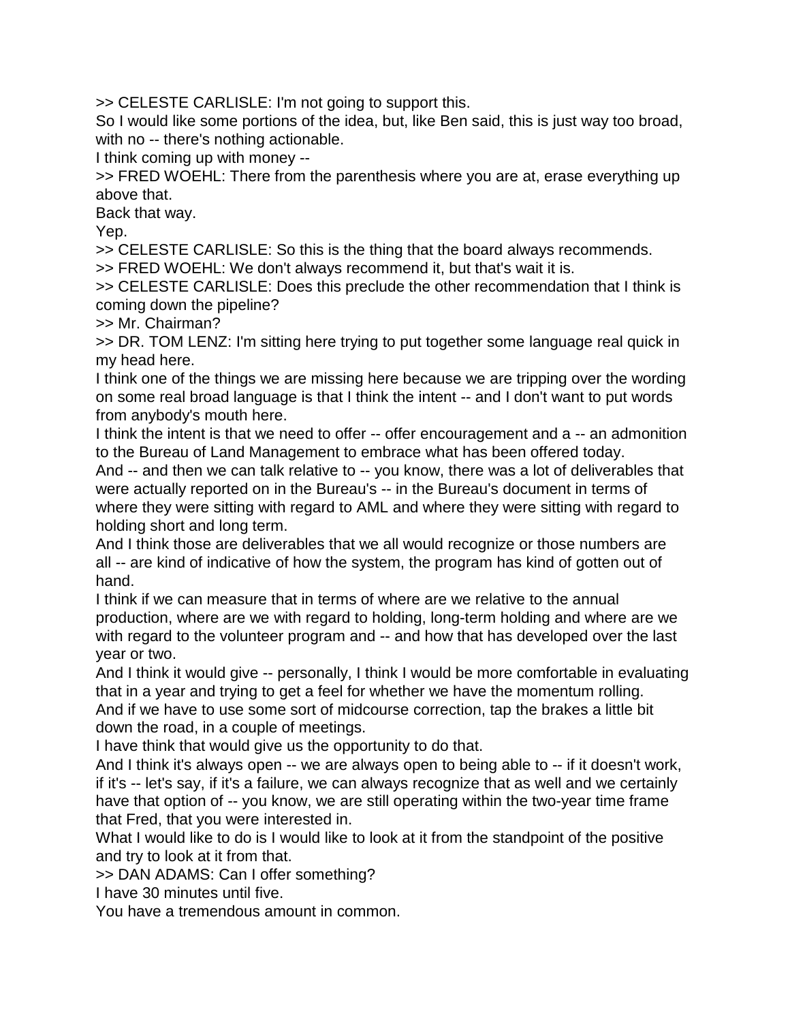>> CELESTE CARLISLE: I'm not going to support this.

So I would like some portions of the idea, but, like Ben said, this is just way too broad, with no -- there's nothing actionable.

I think coming up with money --

>> FRED WOEHL: There from the parenthesis where you are at, erase everything up above that.

Back that way.

Yep.

>> CELESTE CARLISLE: So this is the thing that the board always recommends. >> FRED WOEHL: We don't always recommend it, but that's wait it is.

>> CELESTE CARLISLE: Does this preclude the other recommendation that I think is coming down the pipeline?

>> Mr. Chairman?

>> DR. TOM LENZ: I'm sitting here trying to put together some language real quick in my head here.

I think one of the things we are missing here because we are tripping over the wording on some real broad language is that I think the intent -- and I don't want to put words from anybody's mouth here.

I think the intent is that we need to offer -- offer encouragement and a -- an admonition to the Bureau of Land Management to embrace what has been offered today.

And -- and then we can talk relative to -- you know, there was a lot of deliverables that were actually reported on in the Bureau's -- in the Bureau's document in terms of where they were sitting with regard to AML and where they were sitting with regard to holding short and long term.

And I think those are deliverables that we all would recognize or those numbers are all -- are kind of indicative of how the system, the program has kind of gotten out of hand.

I think if we can measure that in terms of where are we relative to the annual production, where are we with regard to holding, long-term holding and where are we with regard to the volunteer program and -- and how that has developed over the last year or two.

And I think it would give -- personally, I think I would be more comfortable in evaluating that in a year and trying to get a feel for whether we have the momentum rolling. And if we have to use some sort of midcourse correction, tap the brakes a little bit down the road, in a couple of meetings.

I have think that would give us the opportunity to do that.

And I think it's always open -- we are always open to being able to -- if it doesn't work, if it's -- let's say, if it's a failure, we can always recognize that as well and we certainly have that option of -- you know, we are still operating within the two-year time frame that Fred, that you were interested in.

What I would like to do is I would like to look at it from the standpoint of the positive and try to look at it from that.

>> DAN ADAMS: Can I offer something?

I have 30 minutes until five.

You have a tremendous amount in common.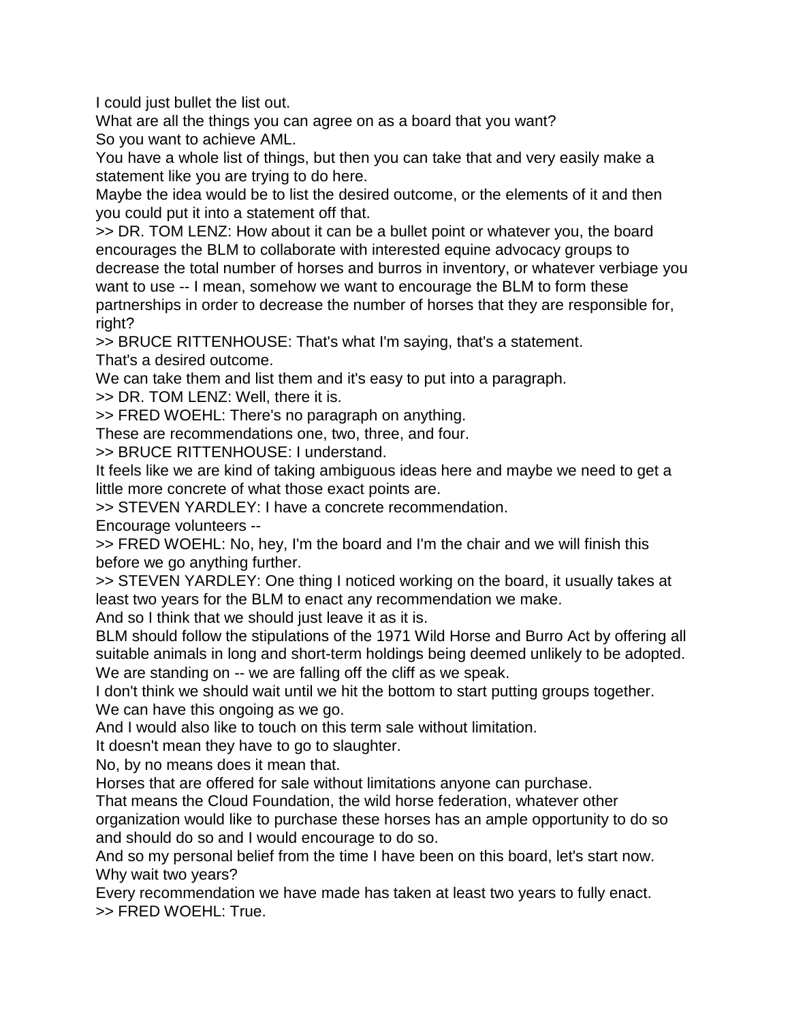I could just bullet the list out.

What are all the things you can agree on as a board that you want? So you want to achieve AML.

You have a whole list of things, but then you can take that and very easily make a statement like you are trying to do here.

Maybe the idea would be to list the desired outcome, or the elements of it and then you could put it into a statement off that.

>> DR. TOM LENZ: How about it can be a bullet point or whatever you, the board encourages the BLM to collaborate with interested equine advocacy groups to decrease the total number of horses and burros in inventory, or whatever verbiage you want to use -- I mean, somehow we want to encourage the BLM to form these partnerships in order to decrease the number of horses that they are responsible for, right?

>> BRUCE RITTENHOUSE: That's what I'm saying, that's a statement. That's a desired outcome.

We can take them and list them and it's easy to put into a paragraph.

>> DR. TOM LENZ: Well, there it is.

>> FRED WOEHL: There's no paragraph on anything.

These are recommendations one, two, three, and four.

>> BRUCE RITTENHOUSE: I understand.

It feels like we are kind of taking ambiguous ideas here and maybe we need to get a little more concrete of what those exact points are.

>> STEVEN YARDLEY: I have a concrete recommendation.

Encourage volunteers --

>> FRED WOEHL: No, hey, I'm the board and I'm the chair and we will finish this before we go anything further.

>> STEVEN YARDLEY: One thing I noticed working on the board, it usually takes at least two years for the BLM to enact any recommendation we make.

And so I think that we should just leave it as it is.

BLM should follow the stipulations of the 1971 Wild Horse and Burro Act by offering all suitable animals in long and short-term holdings being deemed unlikely to be adopted. We are standing on -- we are falling off the cliff as we speak.

I don't think we should wait until we hit the bottom to start putting groups together. We can have this ongoing as we go.

And I would also like to touch on this term sale without limitation.

It doesn't mean they have to go to slaughter.

No, by no means does it mean that.

Horses that are offered for sale without limitations anyone can purchase.

That means the Cloud Foundation, the wild horse federation, whatever other

organization would like to purchase these horses has an ample opportunity to do so and should do so and I would encourage to do so.

And so my personal belief from the time I have been on this board, let's start now. Why wait two years?

Every recommendation we have made has taken at least two years to fully enact. >> FRED WOEHL: True.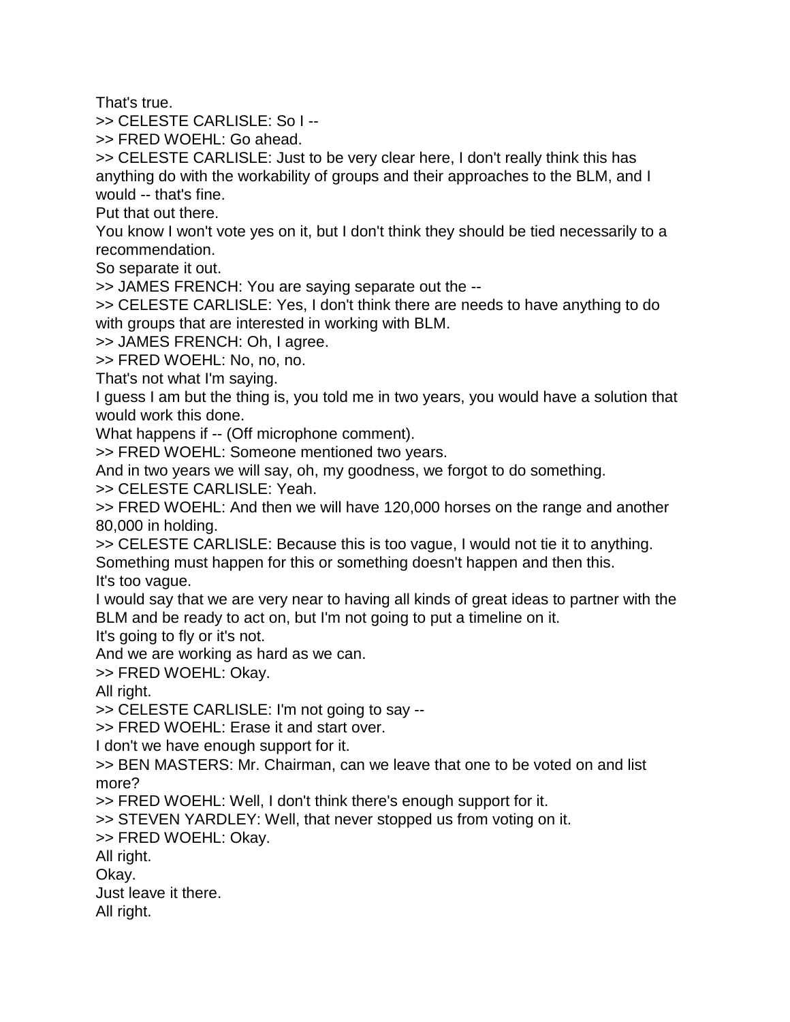That's true.

>> CELESTE CARLISLE: So I --

>> FRED WOEHL: Go ahead.

>> CELESTE CARLISLE: Just to be very clear here, I don't really think this has anything do with the workability of groups and their approaches to the BLM, and I would -- that's fine.

Put that out there.

You know I won't vote yes on it, but I don't think they should be tied necessarily to a recommendation.

So separate it out.

>> JAMES FRENCH: You are saying separate out the --

>> CELESTE CARLISLE: Yes, I don't think there are needs to have anything to do with groups that are interested in working with BLM.

>> JAMES FRENCH: Oh, I agree.

>> FRED WOEHL: No, no, no.

That's not what I'm saying.

I guess I am but the thing is, you told me in two years, you would have a solution that would work this done.

What happens if -- (Off microphone comment).

>> FRED WOEHL: Someone mentioned two years.

And in two years we will say, oh, my goodness, we forgot to do something.

>> CELESTE CARLISLE: Yeah.

>> FRED WOEHL: And then we will have 120,000 horses on the range and another 80,000 in holding.

>> CELESTE CARLISLE: Because this is too vague, I would not tie it to anything.

Something must happen for this or something doesn't happen and then this. It's too vague.

I would say that we are very near to having all kinds of great ideas to partner with the BLM and be ready to act on, but I'm not going to put a timeline on it.

It's going to fly or it's not.

And we are working as hard as we can.

>> FRED WOEHL: Okay.

All right.

>> CELESTE CARLISLE: I'm not going to say --

>> FRED WOEHL: Erase it and start over.

I don't we have enough support for it.

>> BEN MASTERS: Mr. Chairman, can we leave that one to be voted on and list more?

>> FRED WOEHL: Well, I don't think there's enough support for it.

>> STEVEN YARDLEY: Well, that never stopped us from voting on it.

>> FRED WOEHL: Okay.

All right.

Okay.

Just leave it there.

All right.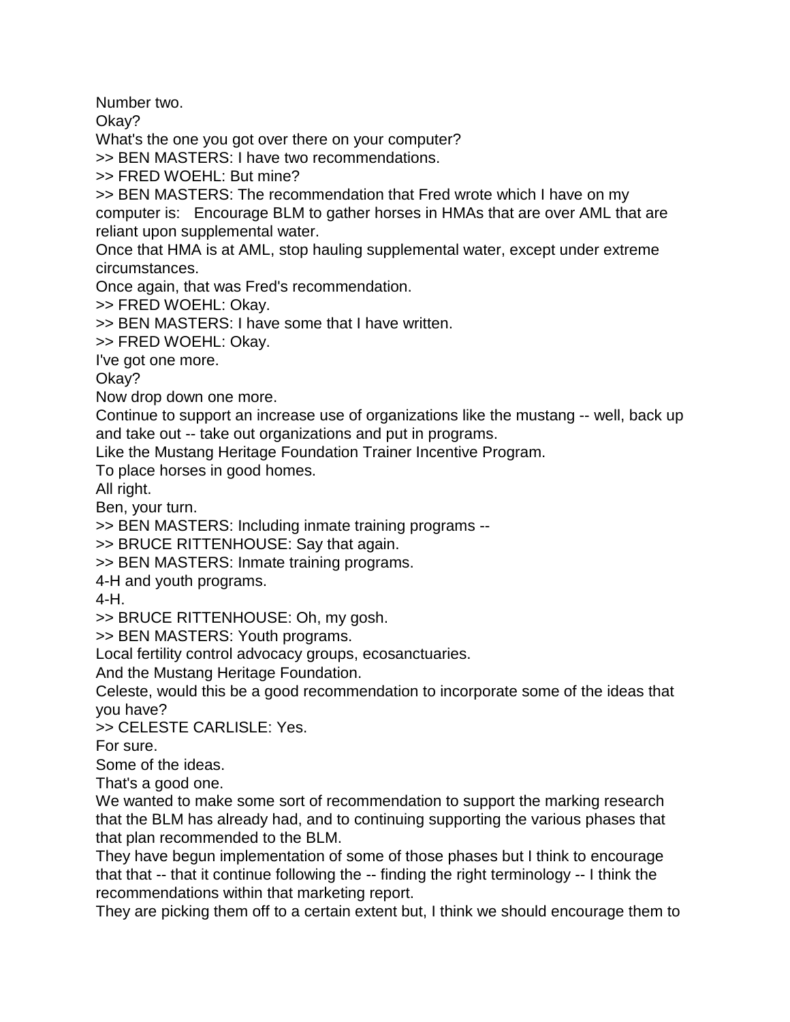Number two.

Okay?

What's the one you got over there on your computer?

>> BEN MASTERS: I have two recommendations.

>> FRED WOEHL: But mine?

>> BEN MASTERS: The recommendation that Fred wrote which I have on my computer is: Encourage BLM to gather horses in HMAs that are over AML that are reliant upon supplemental water.

Once that HMA is at AML, stop hauling supplemental water, except under extreme circumstances.

Once again, that was Fred's recommendation.

>> FRED WOEHL: Okay.

>> BEN MASTERS: I have some that I have written.

>> FRED WOEHL: Okay.

I've got one more.

Okay?

Now drop down one more.

Continue to support an increase use of organizations like the mustang -- well, back up and take out -- take out organizations and put in programs.

Like the Mustang Heritage Foundation Trainer Incentive Program.

To place horses in good homes.

All right.

Ben, your turn.

>> BEN MASTERS: Including inmate training programs --

>> BRUCE RITTENHOUSE: Say that again.

>> BEN MASTERS: Inmate training programs.

4-H and youth programs.

4-H.

>> BRUCE RITTENHOUSE: Oh, my gosh.

>> BEN MASTERS: Youth programs.

Local fertility control advocacy groups, ecosanctuaries.

And the Mustang Heritage Foundation.

Celeste, would this be a good recommendation to incorporate some of the ideas that you have?

>> CELESTE CARLISLE: Yes.

For sure.

Some of the ideas.

That's a good one.

We wanted to make some sort of recommendation to support the marking research that the BLM has already had, and to continuing supporting the various phases that that plan recommended to the BLM.

They have begun implementation of some of those phases but I think to encourage that that -- that it continue following the -- finding the right terminology -- I think the recommendations within that marketing report.

They are picking them off to a certain extent but, I think we should encourage them to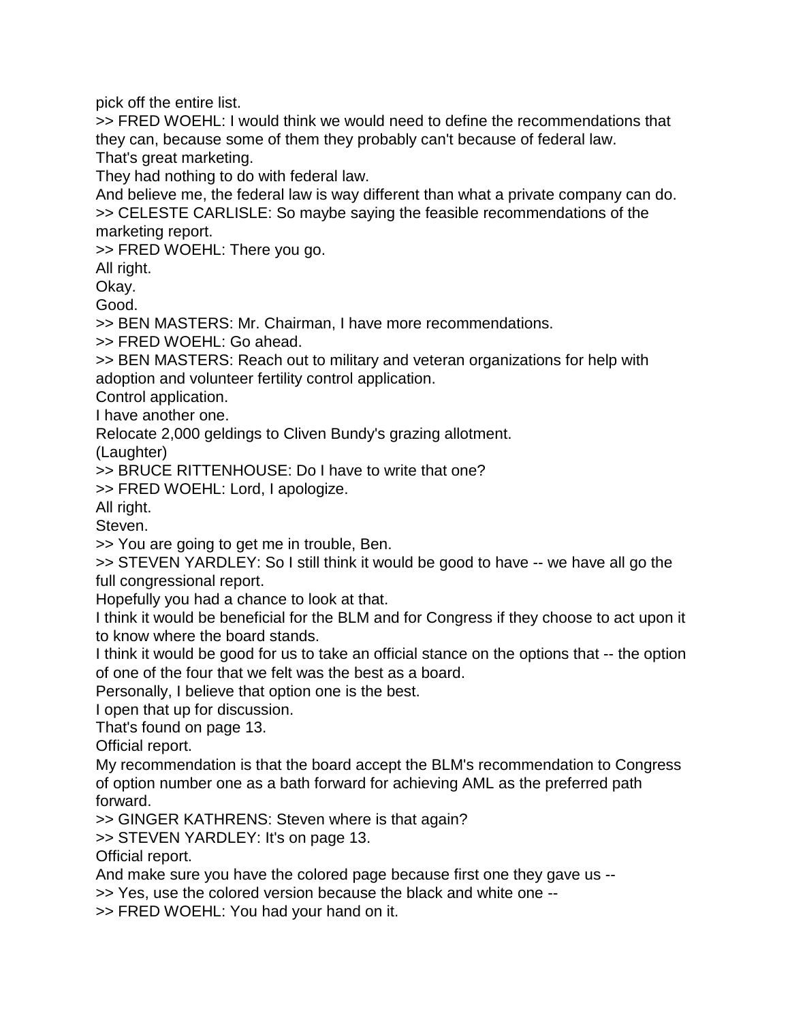pick off the entire list.

>> FRED WOEHL: I would think we would need to define the recommendations that they can, because some of them they probably can't because of federal law. That's great marketing.

They had nothing to do with federal law.

And believe me, the federal law is way different than what a private company can do. >> CELESTE CARLISLE: So maybe saying the feasible recommendations of the marketing report.

>> FRED WOEHL: There you go.

All right.

Okay.

Good.

>> BEN MASTERS: Mr. Chairman, I have more recommendations.

>> FRED WOEHL: Go ahead.

>> BEN MASTERS: Reach out to military and veteran organizations for help with adoption and volunteer fertility control application.

Control application.

I have another one.

Relocate 2,000 geldings to Cliven Bundy's grazing allotment.

(Laughter)

>> BRUCE RITTENHOUSE: Do I have to write that one?

>> FRED WOEHL: Lord, I apologize.

All right.

Steven.

>> You are going to get me in trouble, Ben.

>> STEVEN YARDLEY: So I still think it would be good to have -- we have all go the full congressional report.

Hopefully you had a chance to look at that.

I think it would be beneficial for the BLM and for Congress if they choose to act upon it to know where the board stands.

I think it would be good for us to take an official stance on the options that -- the option of one of the four that we felt was the best as a board.

Personally, I believe that option one is the best.

I open that up for discussion.

That's found on page 13.

Official report.

My recommendation is that the board accept the BLM's recommendation to Congress of option number one as a bath forward for achieving AML as the preferred path forward.

>> GINGER KATHRENS: Steven where is that again?

>> STEVEN YARDLEY: It's on page 13.

Official report.

And make sure you have the colored page because first one they gave us --

>> Yes, use the colored version because the black and white one --

>> FRED WOEHL: You had your hand on it.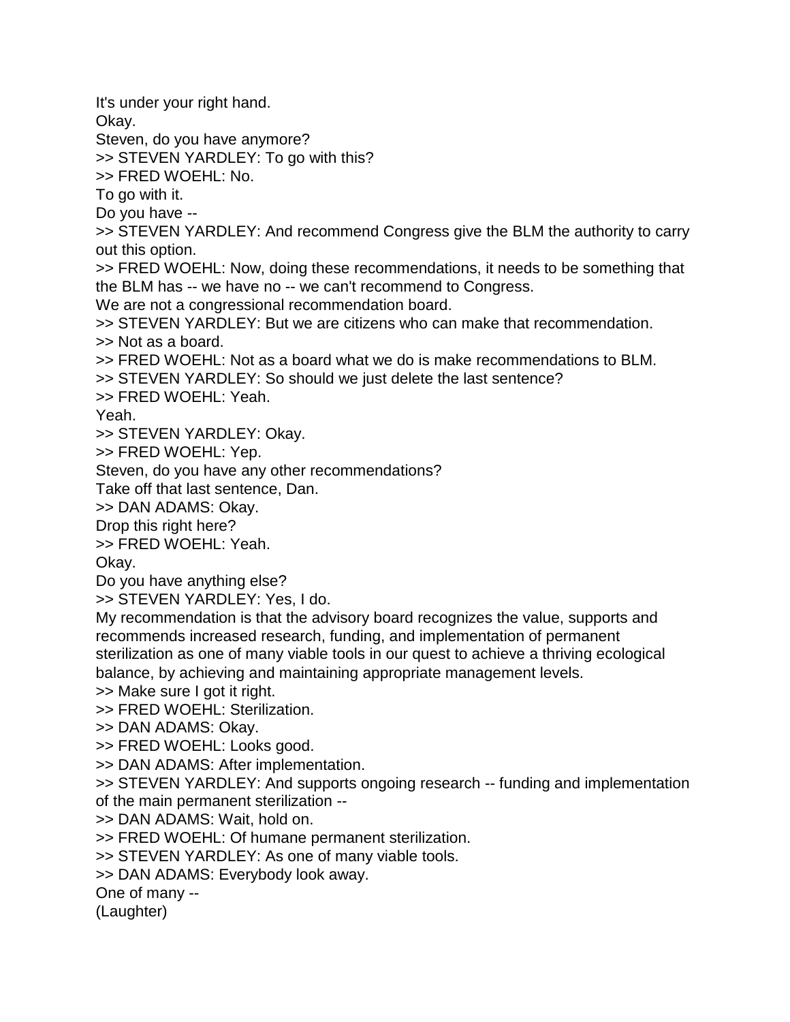It's under your right hand.

Okay.

Steven, do you have anymore?

>> STEVEN YARDLEY: To go with this?

>> FRED WOEHL: No.

To go with it.

Do you have --

>> STEVEN YARDLEY: And recommend Congress give the BLM the authority to carry out this option.

>> FRED WOEHL: Now, doing these recommendations, it needs to be something that the BLM has -- we have no -- we can't recommend to Congress.

We are not a congressional recommendation board.

>> STEVEN YARDLEY: But we are citizens who can make that recommendation. >> Not as a board.

>> FRED WOEHL: Not as a board what we do is make recommendations to BLM.

>> STEVEN YARDLEY: So should we just delete the last sentence?

>> FRED WOEHL: Yeah.

Yeah.

>> STEVEN YARDLEY: Okay.

>> FRED WOEHL: Yep.

Steven, do you have any other recommendations?

Take off that last sentence, Dan.

>> DAN ADAMS: Okay.

Drop this right here?

>> FRED WOEHL: Yeah.

Okay.

Do you have anything else?

>> STEVEN YARDLEY: Yes, I do.

My recommendation is that the advisory board recognizes the value, supports and recommends increased research, funding, and implementation of permanent sterilization as one of many viable tools in our quest to achieve a thriving ecological balance, by achieving and maintaining appropriate management levels.

>> Make sure I got it right.

>> FRED WOEHL: Sterilization.

>> DAN ADAMS: Okay.

>> FRED WOEHL: Looks good.

>> DAN ADAMS: After implementation.

>> STEVEN YARDLEY: And supports ongoing research -- funding and implementation of the main permanent sterilization --

>> DAN ADAMS: Wait, hold on.

>> FRED WOEHL: Of humane permanent sterilization.

>> STEVEN YARDLEY: As one of many viable tools.

>> DAN ADAMS: Everybody look away.

One of many --

(Laughter)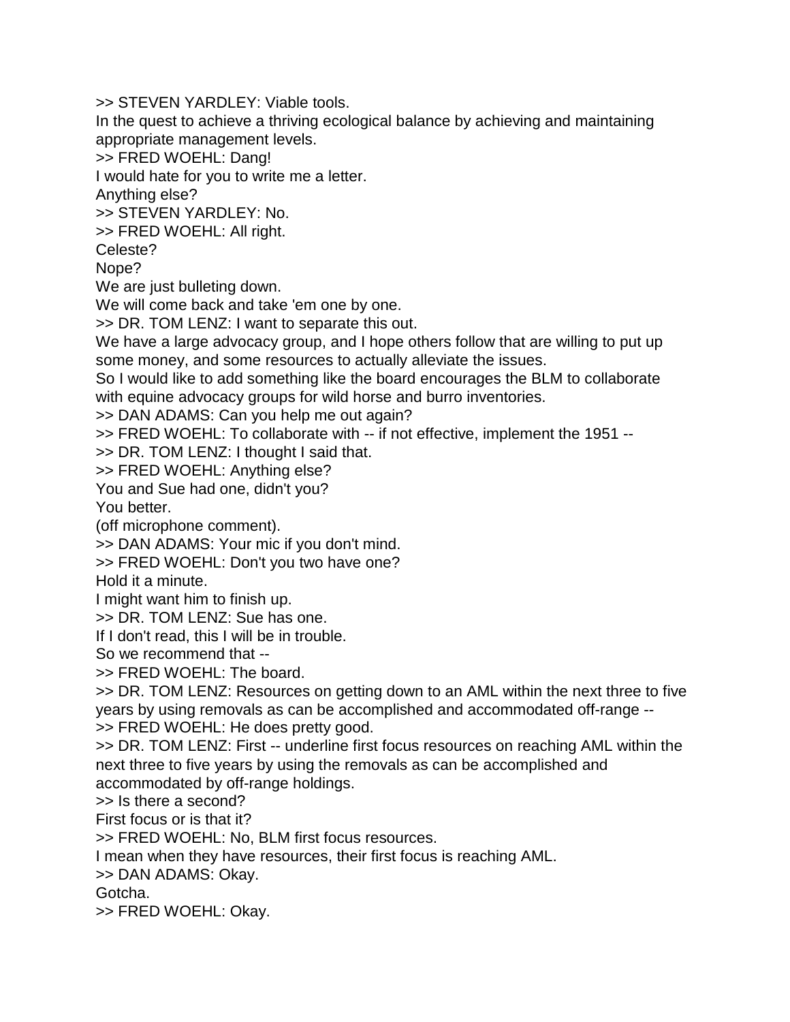>> STEVEN YARDLEY: Viable tools.

In the quest to achieve a thriving ecological balance by achieving and maintaining appropriate management levels.

>> FRED WOEHL: Dang!

I would hate for you to write me a letter.

Anything else?

>> STEVEN YARDLEY: No.

>> FRED WOEHL: All right.

Celeste?

Nope?

We are just bulleting down.

We will come back and take 'em one by one.

>> DR. TOM LENZ: I want to separate this out.

We have a large advocacy group, and I hope others follow that are willing to put up some money, and some resources to actually alleviate the issues.

So I would like to add something like the board encourages the BLM to collaborate with equine advocacy groups for wild horse and burro inventories.

>> DAN ADAMS: Can you help me out again?

>> FRED WOEHL: To collaborate with -- if not effective, implement the 1951 --

>> DR. TOM LENZ: I thought I said that.

>> FRED WOEHL: Anything else?

You and Sue had one, didn't you?

You better.

(off microphone comment).

>> DAN ADAMS: Your mic if you don't mind.

>> FRED WOEHL: Don't you two have one?

Hold it a minute.

I might want him to finish up.

>> DR. TOM LENZ: Sue has one.

If I don't read, this I will be in trouble.

So we recommend that --

>> FRED WOEHL: The board.

>> DR. TOM LENZ: Resources on getting down to an AML within the next three to five years by using removals as can be accomplished and accommodated off-range -- >> FRED WOEHL: He does pretty good.

>> DR. TOM LENZ: First -- underline first focus resources on reaching AML within the next three to five years by using the removals as can be accomplished and accommodated by off-range holdings.

>> Is there a second?

First focus or is that it?

>> FRED WOEHL: No, BLM first focus resources.

I mean when they have resources, their first focus is reaching AML.

>> DAN ADAMS: Okay.

Gotcha.

>> FRED WOEHL: Okay.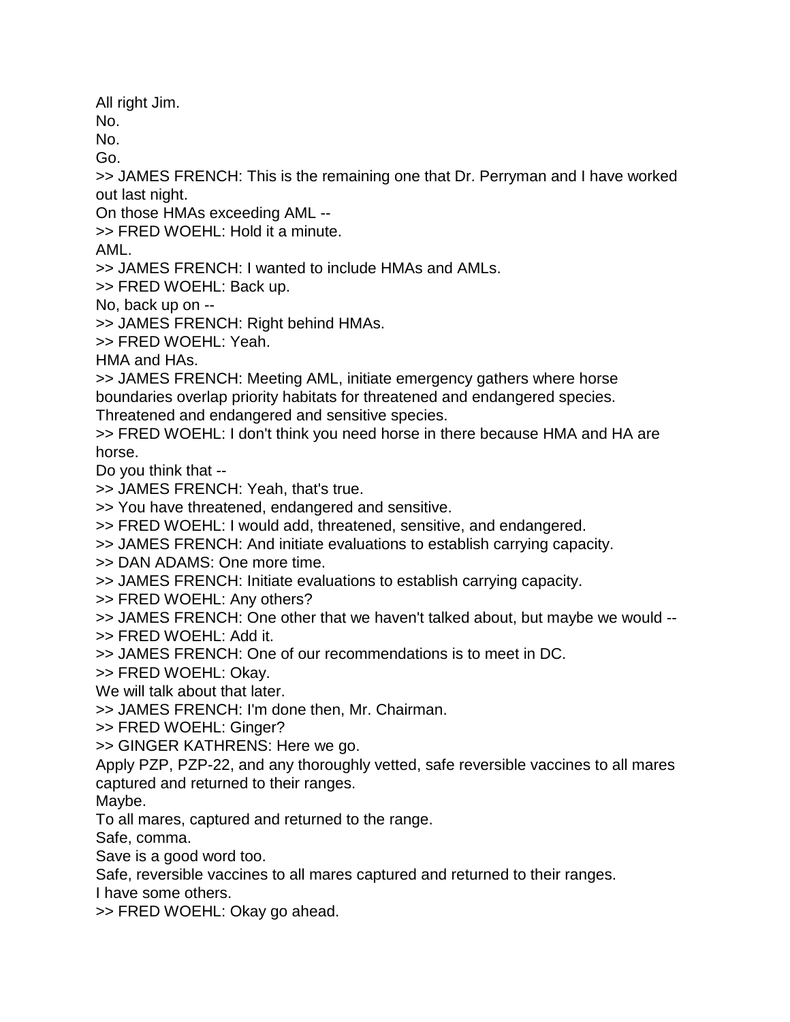All right Jim.

No.

No. Go.

>> JAMES FRENCH: This is the remaining one that Dr. Perryman and I have worked out last night.

On those HMAs exceeding AML --

>> FRED WOEHL: Hold it a minute.

AML.

>> JAMES FRENCH: I wanted to include HMAs and AMLs.

>> FRED WOEHL: Back up.

No, back up on --

>> JAMES FRENCH: Right behind HMAs.

>> FRED WOEHL: Yeah.

HMA and HAs.

>> JAMES FRENCH: Meeting AML, initiate emergency gathers where horse boundaries overlap priority habitats for threatened and endangered species.

Threatened and endangered and sensitive species.

>> FRED WOEHL: I don't think you need horse in there because HMA and HA are horse.

Do you think that --

>> JAMES FRENCH: Yeah, that's true.

>> You have threatened, endangered and sensitive.

>> FRED WOEHL: I would add, threatened, sensitive, and endangered.

>> JAMES FRENCH: And initiate evaluations to establish carrying capacity.

>> DAN ADAMS: One more time.

>> JAMES FRENCH: Initiate evaluations to establish carrying capacity.

>> FRED WOEHL: Any others?

>> JAMES FRENCH: One other that we haven't talked about, but maybe we would --

>> FRED WOEHL: Add it.

>> JAMES FRENCH: One of our recommendations is to meet in DC.

>> FRED WOEHL: Okay.

We will talk about that later.

>> JAMES FRENCH: I'm done then, Mr. Chairman.

>> FRED WOEHL: Ginger?

>> GINGER KATHRENS: Here we go.

Apply PZP, PZP-22, and any thoroughly vetted, safe reversible vaccines to all mares captured and returned to their ranges.

Maybe.

To all mares, captured and returned to the range.

Safe, comma.

Save is a good word too.

Safe, reversible vaccines to all mares captured and returned to their ranges.

I have some others.

>> FRED WOEHL: Okay go ahead.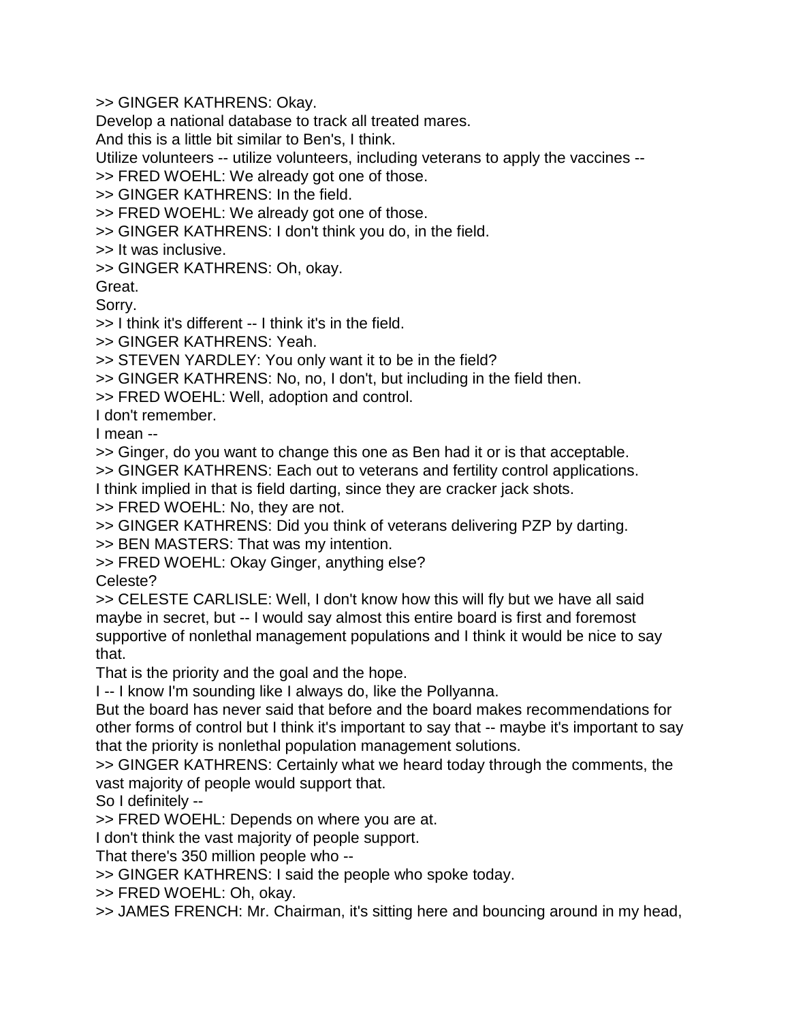>> GINGER KATHRENS: Okay.

Develop a national database to track all treated mares.

And this is a little bit similar to Ben's, I think.

Utilize volunteers -- utilize volunteers, including veterans to apply the vaccines --

>> FRED WOEHL: We already got one of those.

>> GINGER KATHRENS: In the field.

>> FRED WOEHL: We already got one of those.

>> GINGER KATHRENS: I don't think you do, in the field.

>> It was inclusive.

>> GINGER KATHRENS: Oh, okay.

Great.

Sorry.

>> I think it's different -- I think it's in the field.

>> GINGER KATHRENS: Yeah.

>> STEVEN YARDLEY: You only want it to be in the field?

>> GINGER KATHRENS: No, no, I don't, but including in the field then.

>> FRED WOEHL: Well, adoption and control.

I don't remember.

I mean --

>> Ginger, do you want to change this one as Ben had it or is that acceptable.

>> GINGER KATHRENS: Each out to veterans and fertility control applications.

I think implied in that is field darting, since they are cracker jack shots.

>> FRED WOEHL: No, they are not.

>> GINGER KATHRENS: Did you think of veterans delivering PZP by darting.

>> BEN MASTERS: That was my intention.

>> FRED WOEHL: Okay Ginger, anything else?

Celeste?

>> CELESTE CARLISLE: Well, I don't know how this will fly but we have all said maybe in secret, but -- I would say almost this entire board is first and foremost supportive of nonlethal management populations and I think it would be nice to say that.

That is the priority and the goal and the hope.

I -- I know I'm sounding like I always do, like the Pollyanna.

But the board has never said that before and the board makes recommendations for other forms of control but I think it's important to say that -- maybe it's important to say that the priority is nonlethal population management solutions.

>> GINGER KATHRENS: Certainly what we heard today through the comments, the vast majority of people would support that.

So I definitely --

>> FRED WOEHL: Depends on where you are at.

I don't think the vast majority of people support.

That there's 350 million people who --

>> GINGER KATHRENS: I said the people who spoke today.

>> FRED WOEHL: Oh, okay.

>> JAMES FRENCH: Mr. Chairman, it's sitting here and bouncing around in my head,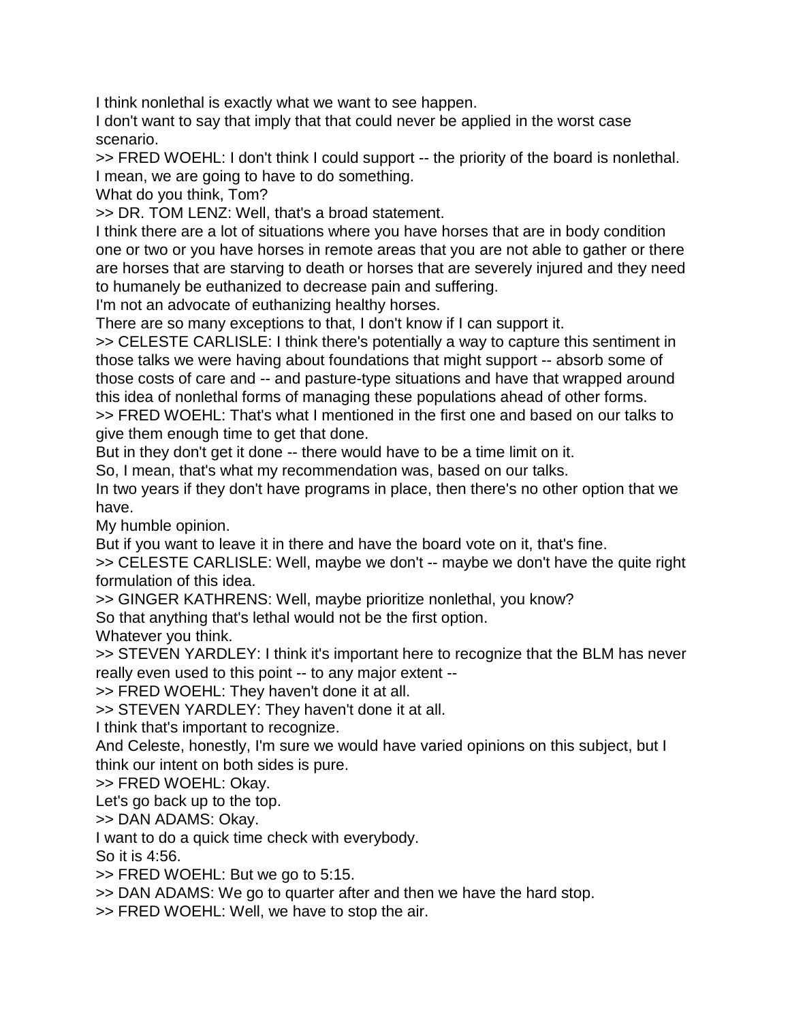I think nonlethal is exactly what we want to see happen.

I don't want to say that imply that that could never be applied in the worst case scenario.

>> FRED WOEHL: I don't think I could support -- the priority of the board is nonlethal. I mean, we are going to have to do something.

What do you think, Tom?

>> DR. TOM LENZ: Well, that's a broad statement.

I think there are a lot of situations where you have horses that are in body condition one or two or you have horses in remote areas that you are not able to gather or there are horses that are starving to death or horses that are severely injured and they need to humanely be euthanized to decrease pain and suffering.

I'm not an advocate of euthanizing healthy horses.

There are so many exceptions to that, I don't know if I can support it.

>> CELESTE CARLISLE: I think there's potentially a way to capture this sentiment in those talks we were having about foundations that might support -- absorb some of those costs of care and -- and pasture-type situations and have that wrapped around this idea of nonlethal forms of managing these populations ahead of other forms.

>> FRED WOEHL: That's what I mentioned in the first one and based on our talks to give them enough time to get that done.

But in they don't get it done -- there would have to be a time limit on it.

So, I mean, that's what my recommendation was, based on our talks.

In two years if they don't have programs in place, then there's no other option that we have.

My humble opinion.

But if you want to leave it in there and have the board vote on it, that's fine.

>> CELESTE CARLISLE: Well, maybe we don't -- maybe we don't have the quite right formulation of this idea.

>> GINGER KATHRENS: Well, maybe prioritize nonlethal, you know?

So that anything that's lethal would not be the first option.

Whatever you think.

>> STEVEN YARDLEY: I think it's important here to recognize that the BLM has never really even used to this point -- to any major extent --

>> FRED WOEHL: They haven't done it at all.

>> STEVEN YARDLEY: They haven't done it at all.

I think that's important to recognize.

And Celeste, honestly, I'm sure we would have varied opinions on this subject, but I think our intent on both sides is pure.

>> FRED WOEHL: Okay.

Let's go back up to the top.

>> DAN ADAMS: Okay.

I want to do a quick time check with everybody.

So it is 4:56.

>> FRED WOEHL: But we go to 5:15.

>> DAN ADAMS: We go to quarter after and then we have the hard stop.

>> FRED WOEHL: Well, we have to stop the air.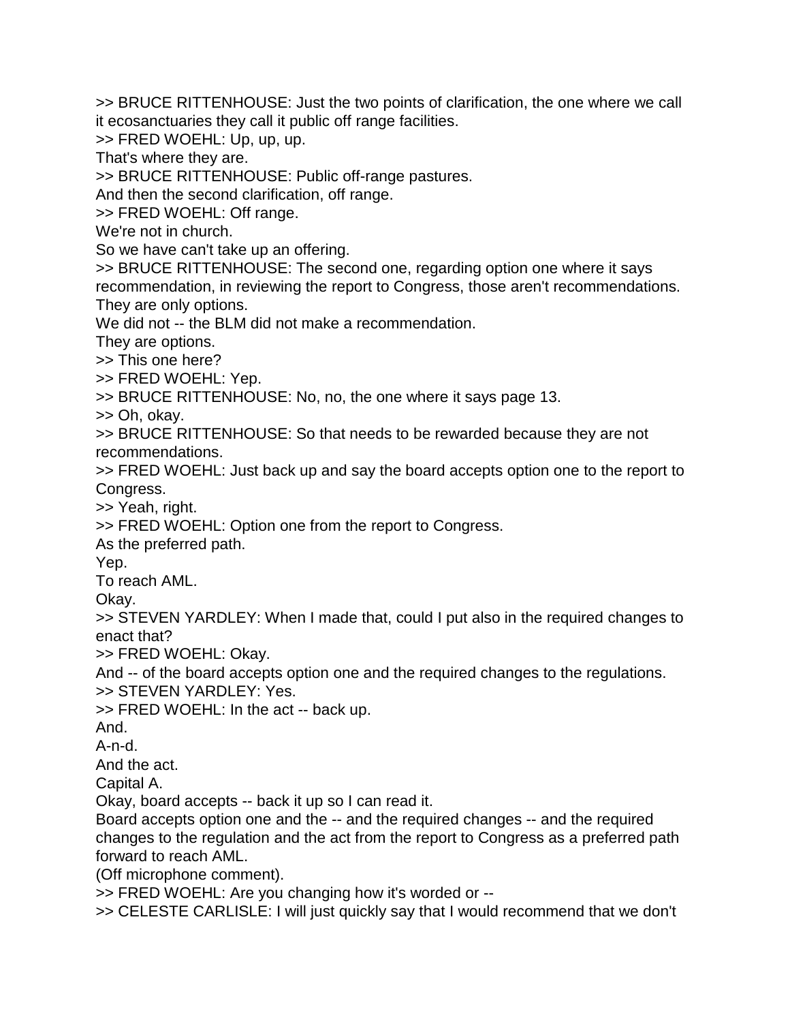>> BRUCE RITTENHOUSE: Just the two points of clarification, the one where we call it ecosanctuaries they call it public off range facilities.

>> FRED WOEHL: Up, up, up.

That's where they are.

>> BRUCE RITTENHOUSE: Public off-range pastures.

And then the second clarification, off range.

>> FRED WOEHL: Off range.

We're not in church.

So we have can't take up an offering.

>> BRUCE RITTENHOUSE: The second one, regarding option one where it says recommendation, in reviewing the report to Congress, those aren't recommendations. They are only options.

We did not -- the BLM did not make a recommendation.

They are options.

>> This one here?

>> FRED WOEHL: Yep.

>> BRUCE RITTENHOUSE: No, no, the one where it says page 13.

>> Oh, okay.

>> BRUCE RITTENHOUSE: So that needs to be rewarded because they are not recommendations.

>> FRED WOEHL: Just back up and say the board accepts option one to the report to Congress.

>> Yeah, right.

>> FRED WOEHL: Option one from the report to Congress.

As the preferred path.

Yep.

To reach AML.

Okay.

>> STEVEN YARDLEY: When I made that, could I put also in the required changes to enact that?

>> FRED WOEHL: Okay.

And -- of the board accepts option one and the required changes to the regulations. >> STEVEN YARDLEY: Yes.

>> FRED WOEHL: In the act -- back up.

And.

A-n-d.

And the act.

Capital A.

Okay, board accepts -- back it up so I can read it.

Board accepts option one and the -- and the required changes -- and the required changes to the regulation and the act from the report to Congress as a preferred path forward to reach AML.

(Off microphone comment).

>> FRED WOEHL: Are you changing how it's worded or --

>> CELESTE CARLISLE: I will just quickly say that I would recommend that we don't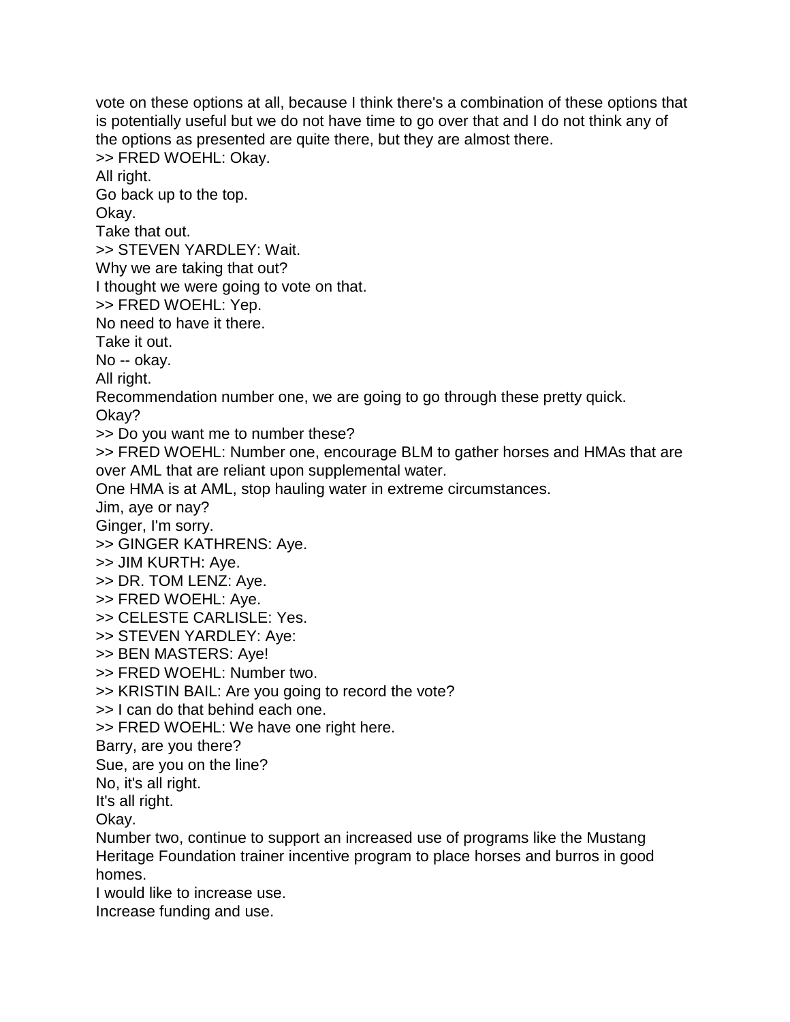vote on these options at all, because I think there's a combination of these options that is potentially useful but we do not have time to go over that and I do not think any of the options as presented are quite there, but they are almost there. >> FRED WOEHL: Okay. All right. Go back up to the top. Okay. Take that out. >> STEVEN YARDLEY: Wait. Why we are taking that out? I thought we were going to vote on that. >> FRED WOEHL: Yep. No need to have it there. Take it out. No -- okay. All right. Recommendation number one, we are going to go through these pretty quick. Okay? >> Do you want me to number these? >> FRED WOEHL: Number one, encourage BLM to gather horses and HMAs that are over AML that are reliant upon supplemental water. One HMA is at AML, stop hauling water in extreme circumstances. Jim, aye or nay? Ginger, I'm sorry. >> GINGER KATHRENS: Aye. >> JIM KURTH: Aye. >> DR. TOM LENZ: Aye. >> FRED WOEHL: Aye. >> CELESTE CARLISLE: Yes. >> STEVEN YARDLEY: Aye: >> BEN MASTERS: Aye! >> FRED WOEHL: Number two. >> KRISTIN BAIL: Are you going to record the vote? >> I can do that behind each one. >> FRED WOEHL: We have one right here. Barry, are you there? Sue, are you on the line? No, it's all right. It's all right. Okay. Number two, continue to support an increased use of programs like the Mustang Heritage Foundation trainer incentive program to place horses and burros in good homes. I would like to increase use. Increase funding and use.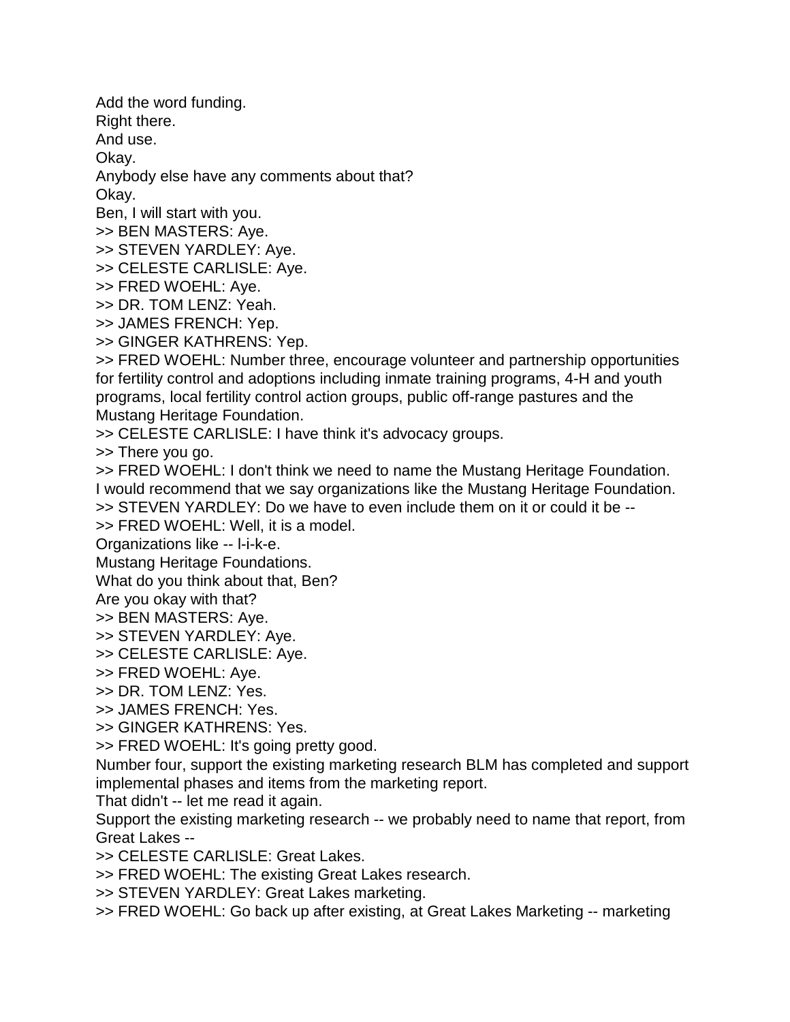Add the word funding.

Right there.

And use.

Okay.

Anybody else have any comments about that?

Okay.

Ben, I will start with you.

>> BEN MASTERS: Aye.

>> STEVEN YARDLEY: Aye.

>> CELESTE CARLISLE: Aye.

>> FRED WOEHL: Aye.

>> DR. TOM LENZ: Yeah.

>> JAMES FRENCH: Yep.

>> GINGER KATHRENS: Yep.

>> FRED WOEHL: Number three, encourage volunteer and partnership opportunities for fertility control and adoptions including inmate training programs, 4-H and youth programs, local fertility control action groups, public off-range pastures and the Mustang Heritage Foundation.

>> CELESTE CARLISLE: I have think it's advocacy groups.

>> There you go.

>> FRED WOEHL: I don't think we need to name the Mustang Heritage Foundation. I would recommend that we say organizations like the Mustang Heritage Foundation. >> STEVEN YARDLEY: Do we have to even include them on it or could it be --

>> FRED WOEHL: Well, it is a model.

Organizations like -- l-i-k-e.

Mustang Heritage Foundations.

What do you think about that, Ben?

Are you okay with that?

>> BEN MASTERS: Aye.

>> STEVEN YARDLEY: Aye.

>> CELESTE CARLISLE: Aye.

>> FRED WOEHL: Aye.

>> DR. TOM LENZ: Yes.

>> JAMES FRENCH: Yes.

>> GINGER KATHRENS: Yes.

>> FRED WOEHL: It's going pretty good.

Number four, support the existing marketing research BLM has completed and support implemental phases and items from the marketing report.

That didn't -- let me read it again.

Support the existing marketing research -- we probably need to name that report, from Great Lakes --

>> CELESTE CARLISLE: Great Lakes.

>> FRED WOEHL: The existing Great Lakes research.

>> STEVEN YARDLEY: Great Lakes marketing.

>> FRED WOEHL: Go back up after existing, at Great Lakes Marketing -- marketing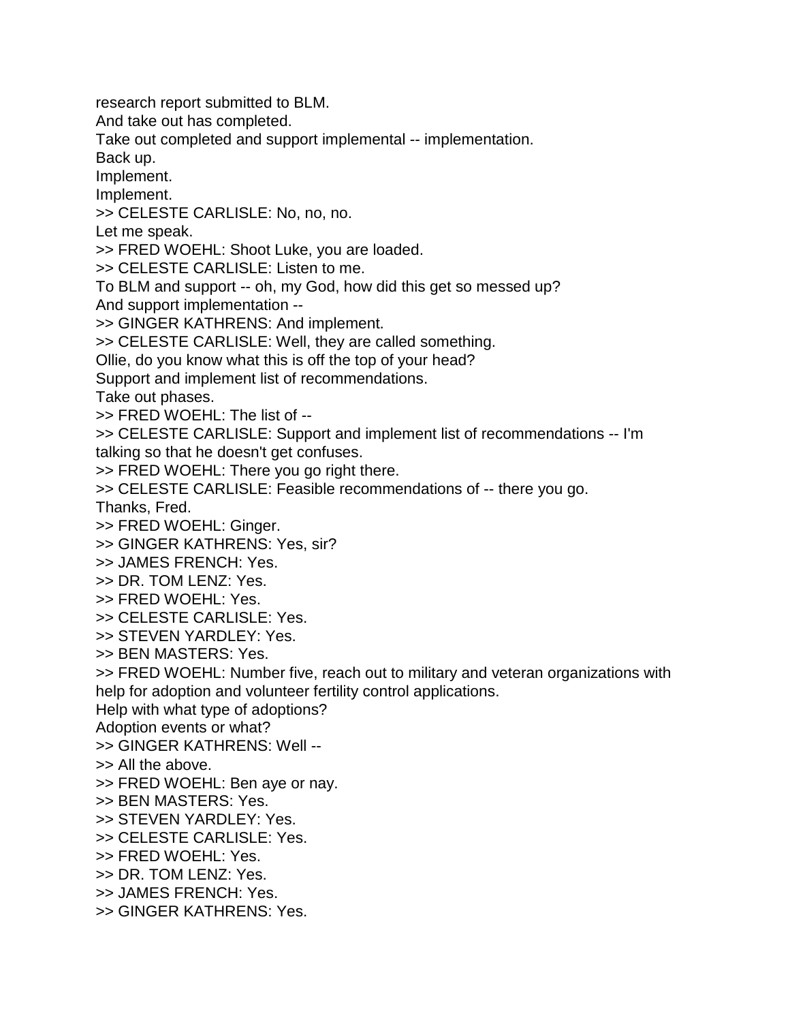research report submitted to BLM. And take out has completed. Take out completed and support implemental -- implementation. Back up. Implement. Implement. >> CELESTE CARLISLE: No, no, no. Let me speak. >> FRED WOEHL: Shoot Luke, you are loaded. >> CELESTE CARLISLE: Listen to me. To BLM and support -- oh, my God, how did this get so messed up? And support implementation -- >> GINGER KATHRENS: And implement. >> CELESTE CARLISLE: Well, they are called something. Ollie, do you know what this is off the top of your head? Support and implement list of recommendations. Take out phases. >> FRED WOEHL: The list of -- >> CELESTE CARLISLE: Support and implement list of recommendations -- I'm talking so that he doesn't get confuses. >> FRED WOEHL: There you go right there. >> CELESTE CARLISLE: Feasible recommendations of -- there you go. Thanks, Fred. >> FRED WOEHL: Ginger. >> GINGER KATHRENS: Yes, sir? >> JAMES FRENCH: Yes. >> DR. TOM LENZ: Yes. >> FRED WOEHL: Yes. >> CELESTE CARLISLE: Yes. >> STEVEN YARDLEY: Yes. >> BEN MASTERS: Yes. >> FRED WOEHL: Number five, reach out to military and veteran organizations with help for adoption and volunteer fertility control applications. Help with what type of adoptions? Adoption events or what? >> GINGER KATHRENS: Well -- >> All the above. >> FRED WOEHL: Ben aye or nay. >> BEN MASTERS: Yes. >> STEVEN YARDLEY: Yes. >> CELESTE CARLISLE: Yes. >> FRED WOEHL: Yes. >> DR. TOM LENZ: Yes. >> JAMES FRENCH: Yes. >> GINGER KATHRENS: Yes.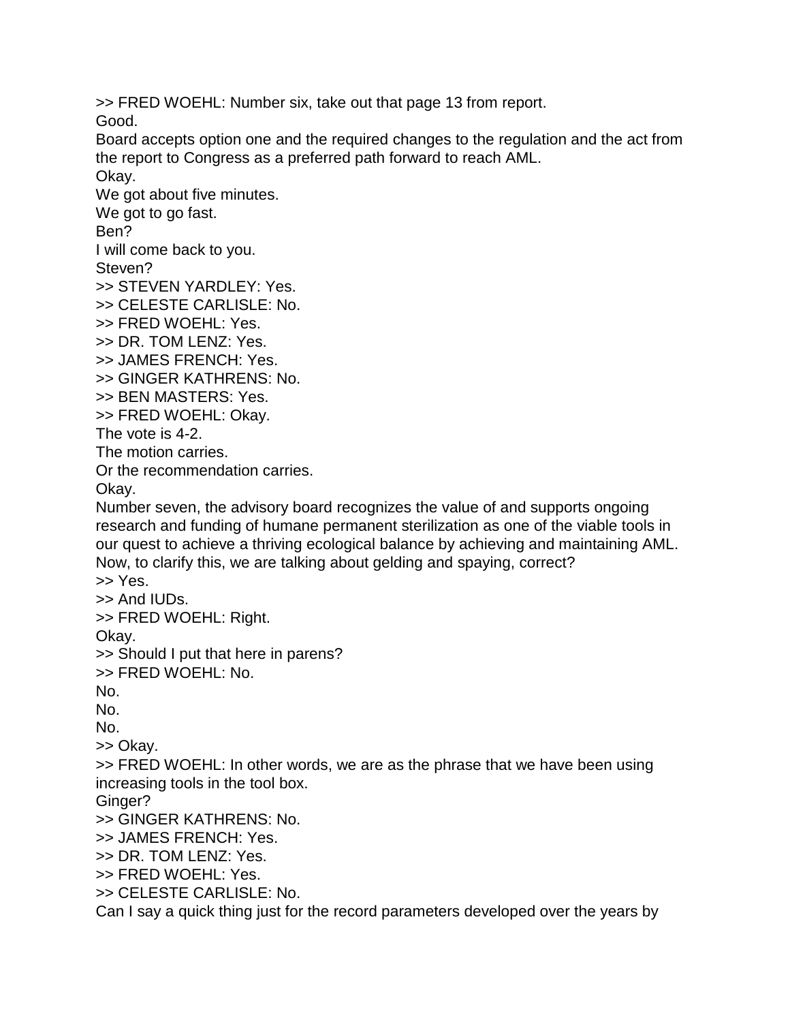>> FRED WOEHL: Number six, take out that page 13 from report.

Good.

Board accepts option one and the required changes to the regulation and the act from the report to Congress as a preferred path forward to reach AML.

Okay. We got about five minutes. We got to go fast. Ben? I will come back to you. Steven? >> STEVEN YARDLEY: Yes. >> CELESTE CARLISLE: No. >> FRED WOEHL: Yes. >> DR. TOM LENZ: Yes. >> JAMES FRENCH: Yes. >> GINGER KATHRENS: No. >> BEN MASTERS: Yes. >> FRED WOEHL: Okay. The vote is 4-2. The motion carries. Or the recommendation carries. Okay. Number seven, the advisory board recognizes the value of and supports ongoing research and funding of humane permanent sterilization as one of the viable tools in our quest to achieve a thriving ecological balance by achieving and maintaining AML. Now, to clarify this, we are talking about gelding and spaying, correct? >> Yes. >> And IUDs. >> FRED WOEHL: Right. Okay. >> Should I put that here in parens? >> FRED WOEHL: No. No. No. No. >> Okay. >> FRED WOEHL: In other words, we are as the phrase that we have been using increasing tools in the tool box. Ginger? >> GINGER KATHRENS: No. >> JAMES FRENCH: Yes. >> DR. TOM LENZ: Yes. >> FRED WOEHL: Yes. >> CELESTE CARLISLE: No.

Can I say a quick thing just for the record parameters developed over the years by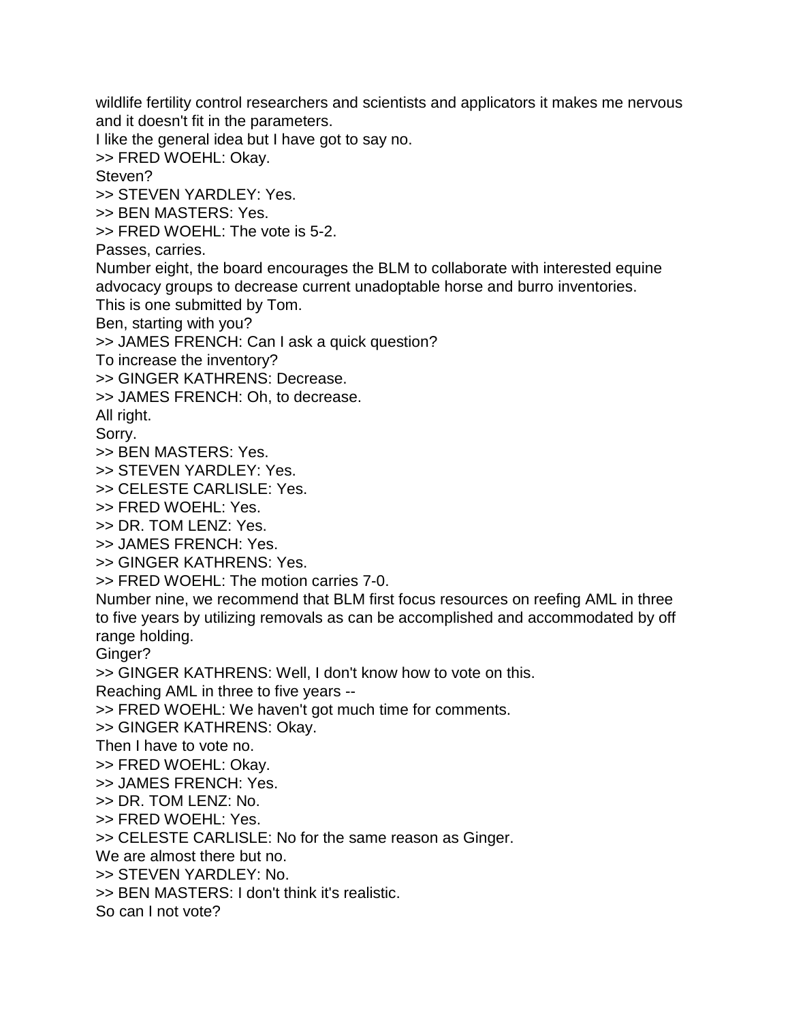wildlife fertility control researchers and scientists and applicators it makes me nervous and it doesn't fit in the parameters.

I like the general idea but I have got to say no.

>> FRED WOEHL: Okay.

Steven?

>> STEVEN YARDLEY: Yes.

>> BEN MASTERS: Yes.

>> FRED WOEHL: The vote is 5-2.

Passes, carries.

Number eight, the board encourages the BLM to collaborate with interested equine advocacy groups to decrease current unadoptable horse and burro inventories.

This is one submitted by Tom.

Ben, starting with you?

>> JAMES FRENCH: Can I ask a quick question?

To increase the inventory?

>> GINGER KATHRENS: Decrease.

>> JAMES FRENCH: Oh, to decrease.

All right.

Sorry.

>> BEN MASTERS: Yes.

>> STEVEN YARDLEY: Yes.

>> CELESTE CARLISLE: Yes.

>> FRED WOEHL: Yes.

>> DR. TOM LENZ: Yes.

>> JAMES FRENCH: Yes.

>> GINGER KATHRENS: Yes.

>> FRED WOEHL: The motion carries 7-0.

Number nine, we recommend that BLM first focus resources on reefing AML in three to five years by utilizing removals as can be accomplished and accommodated by off range holding.

Ginger?

>> GINGER KATHRENS: Well, I don't know how to vote on this.

Reaching AML in three to five years --

>> FRED WOEHL: We haven't got much time for comments.

>> GINGER KATHRENS: Okay.

Then I have to vote no.

>> FRED WOEHL: Okay.

>> JAMES FRENCH: Yes.

>> DR. TOM LENZ: No.

>> FRED WOEHL: Yes.

>> CELESTE CARLISLE: No for the same reason as Ginger.

We are almost there but no.

>> STEVEN YARDLEY: No.

>> BEN MASTERS: I don't think it's realistic.

So can I not vote?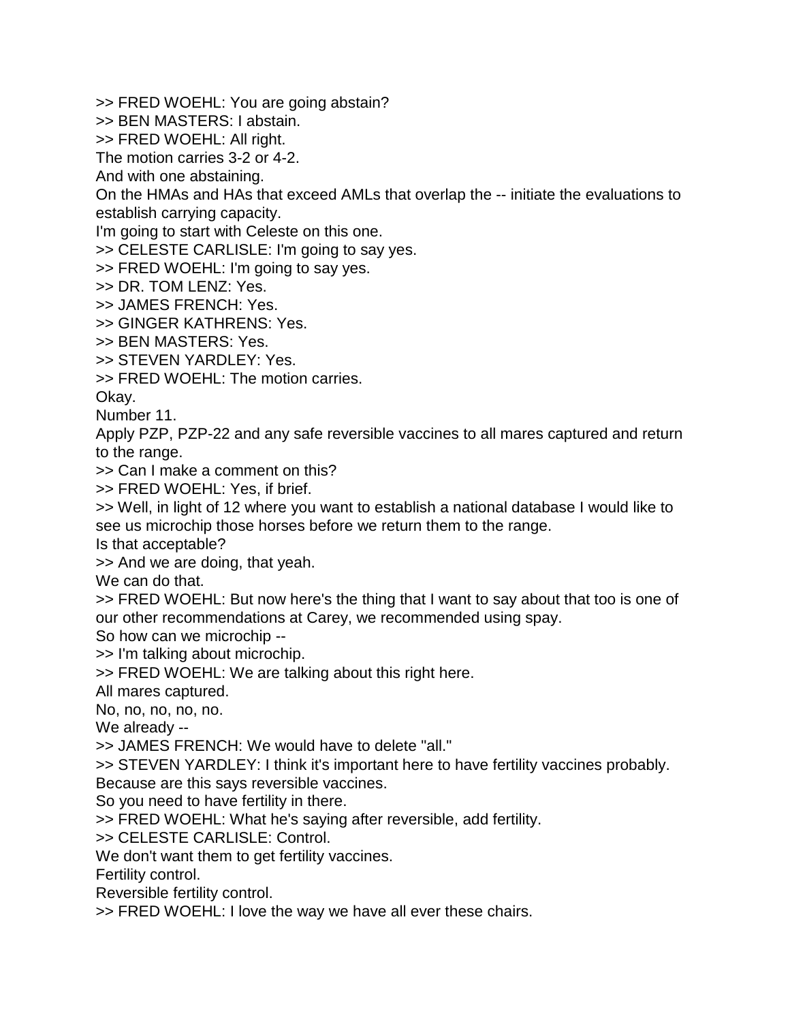>> FRED WOEHL: You are going abstain?

>> BEN MASTERS: I abstain.

>> FRED WOEHL: All right.

The motion carries 3-2 or 4-2.

And with one abstaining.

On the HMAs and HAs that exceed AMLs that overlap the -- initiate the evaluations to establish carrying capacity.

I'm going to start with Celeste on this one.

>> CELESTE CARLISLE: I'm going to say yes.

>> FRED WOEHL: I'm going to say yes.

>> DR. TOM LENZ: Yes.

>> JAMES FRENCH: Yes.

>> GINGER KATHRENS: Yes.

>> BEN MASTERS: Yes.

>> STEVEN YARDLEY: Yes.

>> FRED WOEHL: The motion carries.

Okay.

Number 11.

Apply PZP, PZP-22 and any safe reversible vaccines to all mares captured and return to the range.

>> Can I make a comment on this?

>> FRED WOEHL: Yes, if brief.

>> Well, in light of 12 where you want to establish a national database I would like to see us microchip those horses before we return them to the range.

Is that acceptable?

>> And we are doing, that yeah.

We can do that.

>> FRED WOEHL: But now here's the thing that I want to say about that too is one of our other recommendations at Carey, we recommended using spay.

So how can we microchip --

>> I'm talking about microchip.

>> FRED WOEHL: We are talking about this right here.

All mares captured.

No, no, no, no, no.

We already --

>> JAMES FRENCH: We would have to delete "all."

>> STEVEN YARDLEY: I think it's important here to have fertility vaccines probably.

Because are this says reversible vaccines.

So you need to have fertility in there.

>> FRED WOEHL: What he's saying after reversible, add fertility.

>> CELESTE CARLISLE: Control.

We don't want them to get fertility vaccines.

Fertility control.

Reversible fertility control.

>> FRED WOEHL: I love the way we have all ever these chairs.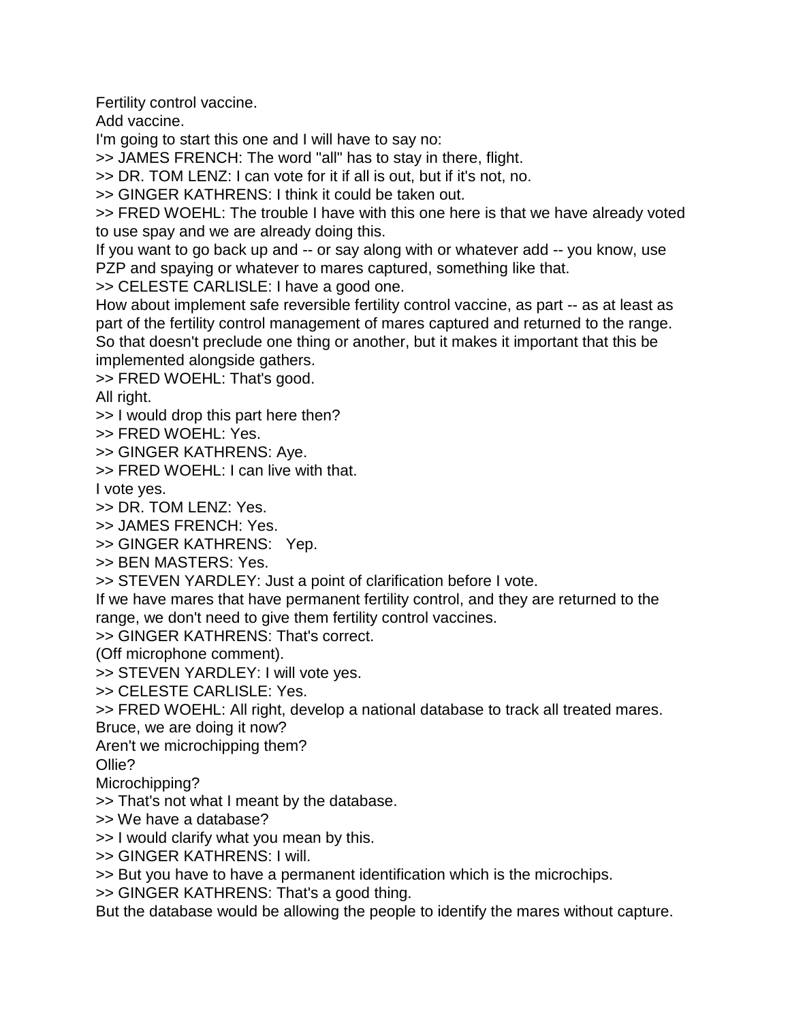Fertility control vaccine.

Add vaccine.

I'm going to start this one and I will have to say no:

>> JAMES FRENCH: The word "all" has to stay in there, flight.

>> DR. TOM LENZ: I can vote for it if all is out, but if it's not, no.

>> GINGER KATHRENS: I think it could be taken out.

>> FRED WOEHL: The trouble I have with this one here is that we have already voted to use spay and we are already doing this.

If you want to go back up and -- or say along with or whatever add -- you know, use PZP and spaying or whatever to mares captured, something like that.

>> CELESTE CARLISLE: I have a good one.

How about implement safe reversible fertility control vaccine, as part -- as at least as part of the fertility control management of mares captured and returned to the range. So that doesn't preclude one thing or another, but it makes it important that this be implemented alongside gathers.

>> FRED WOEHL: That's good.

All right.

>> I would drop this part here then?

>> FRED WOEHL: Yes.

>> GINGER KATHRENS: Aye.

>> FRED WOEHL: I can live with that.

I vote yes.

>> DR. TOM LENZ: Yes.

>> JAMES FRENCH: Yes.

>> GINGER KATHRENS: Yep.

>> BEN MASTERS: Yes.

>> STEVEN YARDLEY: Just a point of clarification before I vote.

If we have mares that have permanent fertility control, and they are returned to the range, we don't need to give them fertility control vaccines.

>> GINGER KATHRENS: That's correct.

(Off microphone comment).

>> STEVEN YARDLEY: I will vote yes.

>> CELESTE CARLISLE: Yes.

>> FRED WOEHL: All right, develop a national database to track all treated mares. Bruce, we are doing it now?

Aren't we microchipping them?

Ollie?

Microchipping?

>> That's not what I meant by the database.

>> We have a database?

>> I would clarify what you mean by this.

>> GINGER KATHRENS: I will.

>> But you have to have a permanent identification which is the microchips.

>> GINGER KATHRENS: That's a good thing.

But the database would be allowing the people to identify the mares without capture.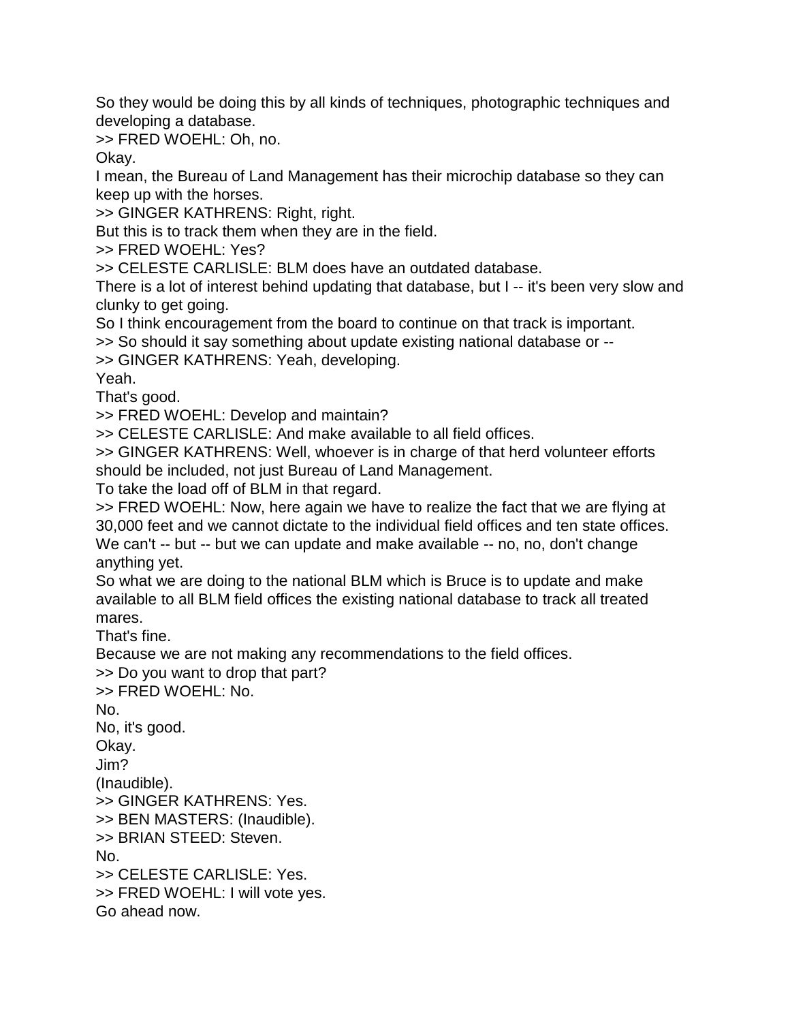So they would be doing this by all kinds of techniques, photographic techniques and developing a database.

>> FRED WOEHL: Oh, no.

Okay.

I mean, the Bureau of Land Management has their microchip database so they can keep up with the horses.

>> GINGER KATHRENS: Right, right.

But this is to track them when they are in the field.

>> FRED WOEHL: Yes?

>> CELESTE CARLISLE: BLM does have an outdated database.

There is a lot of interest behind updating that database, but I -- it's been very slow and clunky to get going.

So I think encouragement from the board to continue on that track is important.

>> So should it say something about update existing national database or --

>> GINGER KATHRENS: Yeah, developing.

Yeah.

That's good.

>> FRED WOEHL: Develop and maintain?

>> CELESTE CARLISLE: And make available to all field offices.

>> GINGER KATHRENS: Well, whoever is in charge of that herd volunteer efforts should be included, not just Bureau of Land Management.

To take the load off of BLM in that regard.

>> FRED WOEHL: Now, here again we have to realize the fact that we are flying at 30,000 feet and we cannot dictate to the individual field offices and ten state offices. We can't -- but -- but we can update and make available -- no, no, don't change anything yet.

So what we are doing to the national BLM which is Bruce is to update and make available to all BLM field offices the existing national database to track all treated mares.

That's fine.

Because we are not making any recommendations to the field offices.

>> Do you want to drop that part?

>> FRED WOEHL: No.

No.

No, it's good.

Okay.

Jim?

(Inaudible).

>> GINGER KATHRENS: Yes.

>> BEN MASTERS: (Inaudible).

>> BRIAN STEED: Steven.

No.

>> CELESTE CARLISLE: Yes.

>> FRED WOEHL: I will vote yes.

Go ahead now.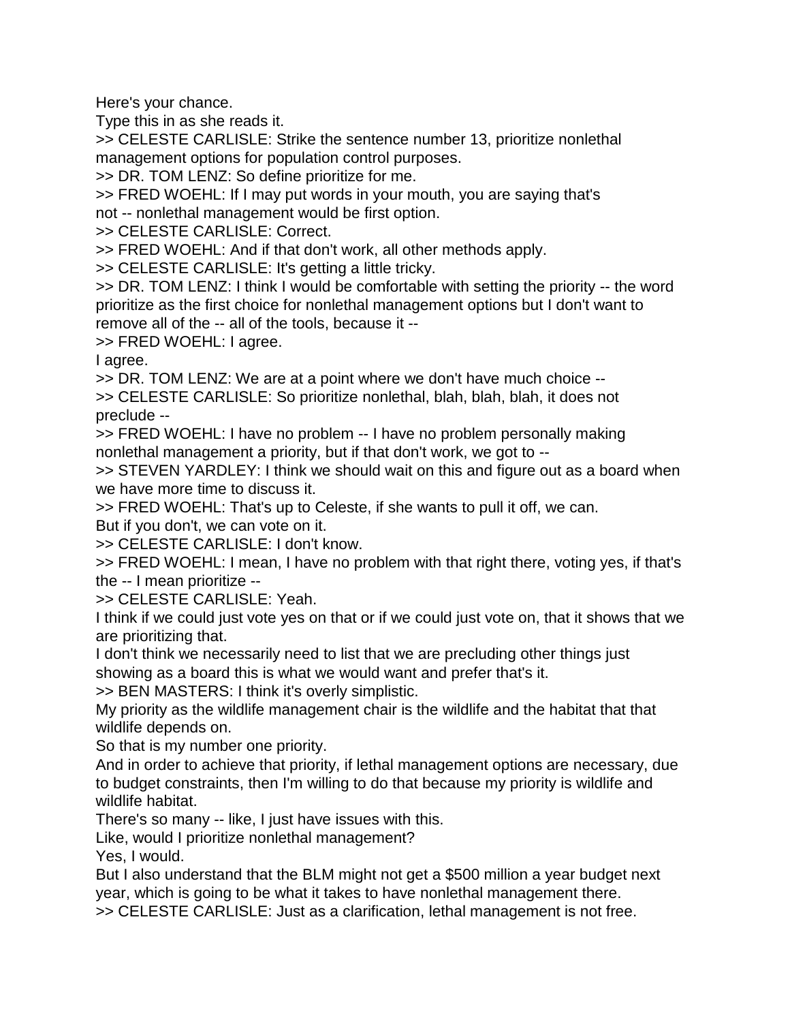Here's your chance.

Type this in as she reads it.

>> CELESTE CARLISLE: Strike the sentence number 13, prioritize nonlethal management options for population control purposes.

>> DR. TOM LENZ: So define prioritize for me.

>> FRED WOEHL: If I may put words in your mouth, you are saying that's not -- nonlethal management would be first option.

>> CELESTE CARLISLE: Correct.

>> FRED WOEHL: And if that don't work, all other methods apply.

>> CELESTE CARLISLE: It's getting a little tricky.

>> DR. TOM LENZ: I think I would be comfortable with setting the priority -- the word prioritize as the first choice for nonlethal management options but I don't want to remove all of the -- all of the tools, because it --

>> FRED WOEHL: I agree.

I agree.

>> DR. TOM LENZ: We are at a point where we don't have much choice --

>> CELESTE CARLISLE: So prioritize nonlethal, blah, blah, blah, it does not preclude --

>> FRED WOEHL: I have no problem -- I have no problem personally making nonlethal management a priority, but if that don't work, we got to --

>> STEVEN YARDLEY: I think we should wait on this and figure out as a board when we have more time to discuss it.

>> FRED WOEHL: That's up to Celeste, if she wants to pull it off, we can.

But if you don't, we can vote on it.

>> CELESTE CARLISLE: I don't know.

>> FRED WOEHL: I mean, I have no problem with that right there, voting yes, if that's the -- I mean prioritize --

>> CELESTE CARLISLE: Yeah.

I think if we could just vote yes on that or if we could just vote on, that it shows that we are prioritizing that.

I don't think we necessarily need to list that we are precluding other things just showing as a board this is what we would want and prefer that's it.

>> BEN MASTERS: I think it's overly simplistic.

My priority as the wildlife management chair is the wildlife and the habitat that that wildlife depends on.

So that is my number one priority.

And in order to achieve that priority, if lethal management options are necessary, due to budget constraints, then I'm willing to do that because my priority is wildlife and wildlife habitat.

There's so many -- like, I just have issues with this.

Like, would I prioritize nonlethal management?

Yes, I would.

But I also understand that the BLM might not get a \$500 million a year budget next year, which is going to be what it takes to have nonlethal management there.

>> CELESTE CARLISLE: Just as a clarification, lethal management is not free.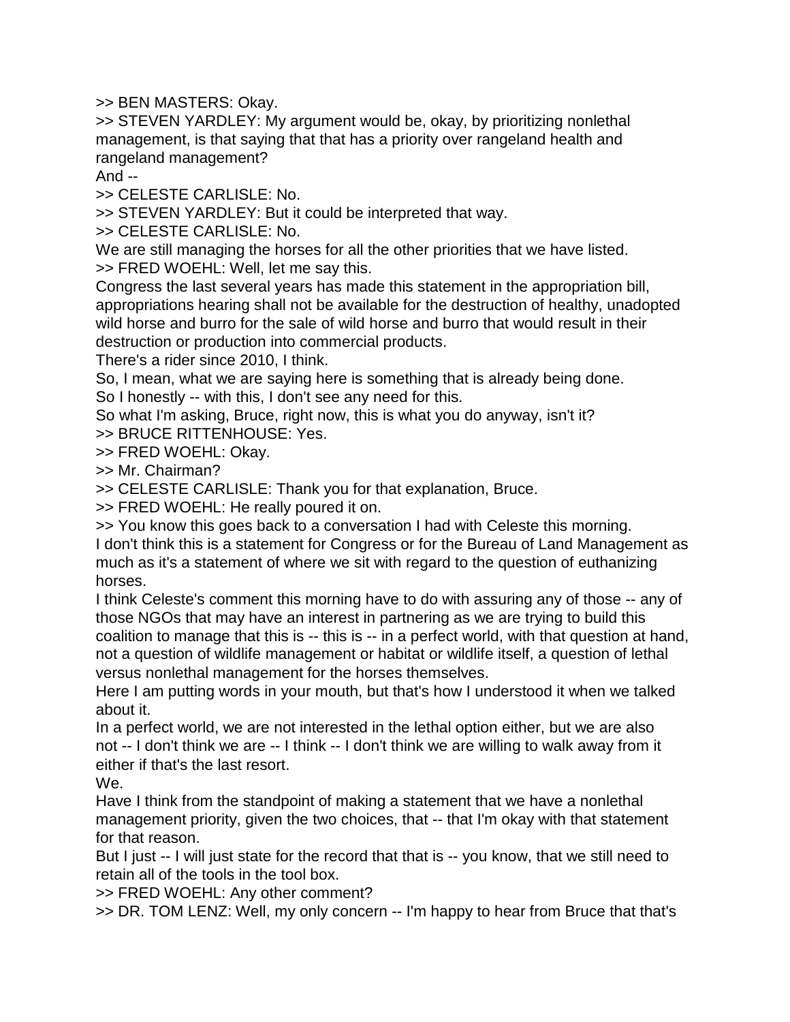>> BEN MASTERS: Okay.

>> STEVEN YARDLEY: My argument would be, okay, by prioritizing nonlethal management, is that saying that that has a priority over rangeland health and rangeland management?

And --

>> CELESTE CARLISLE: No.

>> STEVEN YARDLEY: But it could be interpreted that way.

>> CELESTE CARLISLE: No.

We are still managing the horses for all the other priorities that we have listed. >> FRED WOEHL: Well, let me say this.

Congress the last several years has made this statement in the appropriation bill, appropriations hearing shall not be available for the destruction of healthy, unadopted wild horse and burro for the sale of wild horse and burro that would result in their destruction or production into commercial products.

There's a rider since 2010, I think.

So, I mean, what we are saying here is something that is already being done.

So I honestly -- with this, I don't see any need for this.

So what I'm asking, Bruce, right now, this is what you do anyway, isn't it?

>> BRUCE RITTENHOUSE: Yes.

>> FRED WOEHL: Okay.

>> Mr. Chairman?

>> CELESTE CARLISLE: Thank you for that explanation, Bruce.

>> FRED WOEHL: He really poured it on.

>> You know this goes back to a conversation I had with Celeste this morning.

I don't think this is a statement for Congress or for the Bureau of Land Management as much as it's a statement of where we sit with regard to the question of euthanizing horses.

I think Celeste's comment this morning have to do with assuring any of those -- any of those NGOs that may have an interest in partnering as we are trying to build this coalition to manage that this is -- this is -- in a perfect world, with that question at hand, not a question of wildlife management or habitat or wildlife itself, a question of lethal versus nonlethal management for the horses themselves.

Here I am putting words in your mouth, but that's how I understood it when we talked about it.

In a perfect world, we are not interested in the lethal option either, but we are also not -- I don't think we are -- I think -- I don't think we are willing to walk away from it either if that's the last resort.

We.

Have I think from the standpoint of making a statement that we have a nonlethal management priority, given the two choices, that -- that I'm okay with that statement for that reason.

But I just -- I will just state for the record that that is -- you know, that we still need to retain all of the tools in the tool box.

>> FRED WOEHL: Any other comment?

>> DR. TOM LENZ: Well, my only concern -- I'm happy to hear from Bruce that that's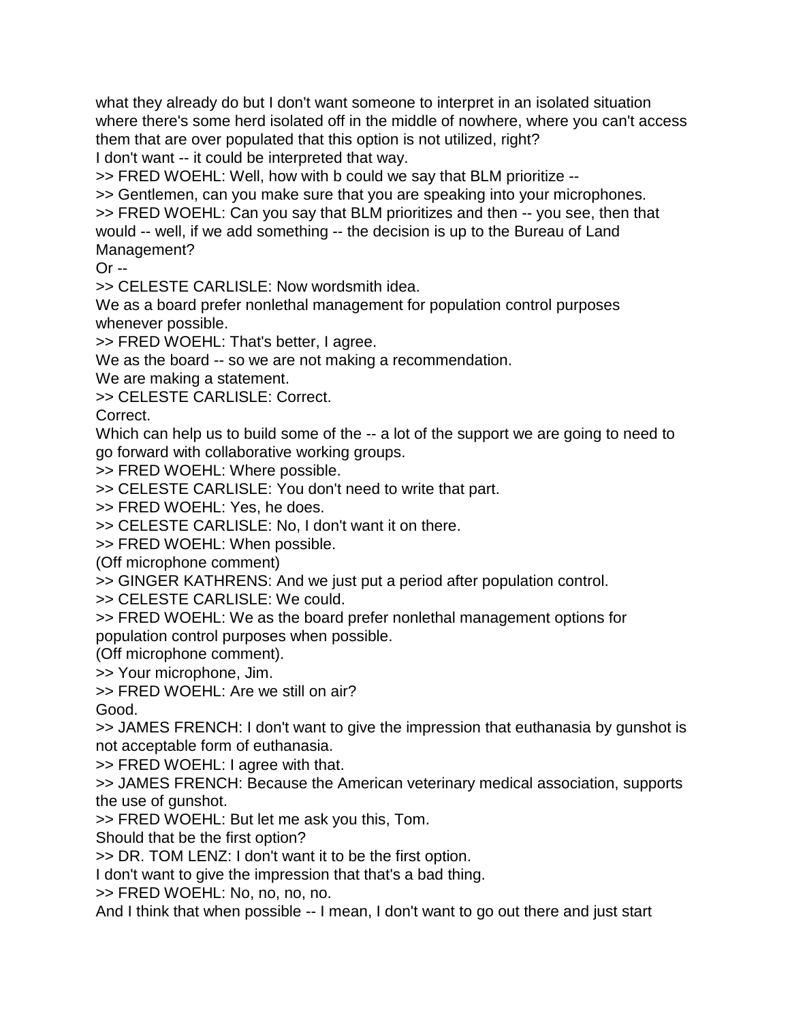what they already do but I don't want someone to interpret in an isolated situation where there's some herd isolated off in the middle of nowhere, where you can't access them that are over populated that this option is not utilized, right? I don't want -- it could be interpreted that way.

>> FRED WOEHL: Well, how with b could we say that BLM prioritize --

>> Gentlemen, can you make sure that you are speaking into your microphones. >> FRED WOEHL: Can you say that BLM prioritizes and then -- you see, then that would -- well, if we add something -- the decision is up to the Bureau of Land Management?

 $Or -1$ 

>> CELESTE CARLISLE: Now wordsmith idea.

We as a board prefer nonlethal management for population control purposes whenever possible.

>> FRED WOEHL: That's better, I agree.

We as the board -- so we are not making a recommendation.

We are making a statement.

>> CELESTE CARLISLE: Correct.

Correct.

Which can help us to build some of the -- a lot of the support we are going to need to go forward with collaborative working groups.

>> FRED WOEHL: Where possible.

>> CELESTE CARLISLE: You don't need to write that part.

>> FRED WOEHL: Yes, he does.

>> CELESTE CARLISLE: No, I don't want it on there.

>> FRED WOEHL: When possible.

(Off microphone comment)

>> GINGER KATHRENS: And we just put a period after population control.

>> CELESTE CARLISLE: We could.

>> FRED WOEHL: We as the board prefer nonlethal management options for

population control purposes when possible.

(Off microphone comment).

>> Your microphone, Jim.

>> FRED WOEHL: Are we still on air?

Good.

>> JAMES FRENCH: I don't want to give the impression that euthanasia by gunshot is not acceptable form of euthanasia.

>> FRED WOEHL: I agree with that.

>> JAMES FRENCH: Because the American veterinary medical association, supports the use of gunshot.

>> FRED WOEHL: But let me ask you this, Tom.

Should that be the first option?

>> DR. TOM LENZ: I don't want it to be the first option.

I don't want to give the impression that that's a bad thing.

>> FRED WOEHL: No, no, no, no.

And I think that when possible -- I mean, I don't want to go out there and just start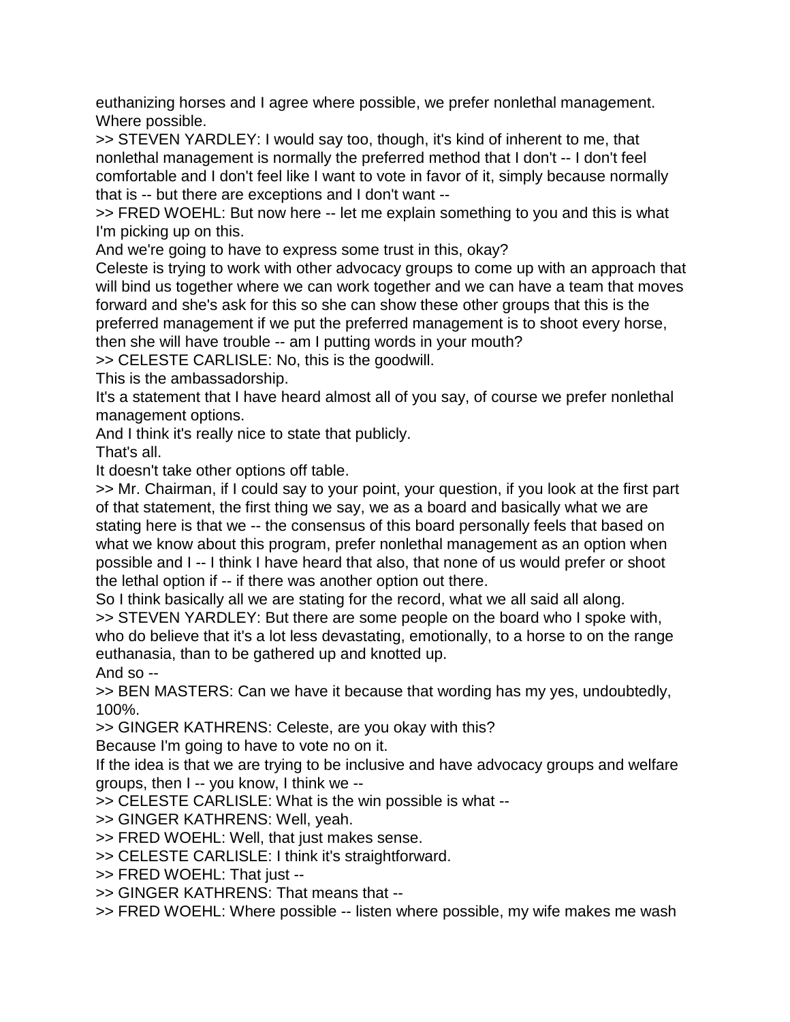euthanizing horses and I agree where possible, we prefer nonlethal management. Where possible.

>> STEVEN YARDLEY: I would say too, though, it's kind of inherent to me, that nonlethal management is normally the preferred method that I don't -- I don't feel comfortable and I don't feel like I want to vote in favor of it, simply because normally that is -- but there are exceptions and I don't want --

>> FRED WOEHL: But now here -- let me explain something to you and this is what I'm picking up on this.

And we're going to have to express some trust in this, okay?

Celeste is trying to work with other advocacy groups to come up with an approach that will bind us together where we can work together and we can have a team that moves forward and she's ask for this so she can show these other groups that this is the preferred management if we put the preferred management is to shoot every horse, then she will have trouble -- am I putting words in your mouth?

>> CELESTE CARLISLE: No, this is the goodwill.

This is the ambassadorship.

It's a statement that I have heard almost all of you say, of course we prefer nonlethal management options.

And I think it's really nice to state that publicly.

That's all.

It doesn't take other options off table.

>> Mr. Chairman, if I could say to your point, your question, if you look at the first part of that statement, the first thing we say, we as a board and basically what we are stating here is that we -- the consensus of this board personally feels that based on what we know about this program, prefer nonlethal management as an option when possible and I -- I think I have heard that also, that none of us would prefer or shoot the lethal option if -- if there was another option out there.

So I think basically all we are stating for the record, what we all said all along.

>> STEVEN YARDLEY: But there are some people on the board who I spoke with, who do believe that it's a lot less devastating, emotionally, to a horse to on the range euthanasia, than to be gathered up and knotted up.

And so --

>> BEN MASTERS: Can we have it because that wording has my yes, undoubtedly, 100%.

>> GINGER KATHRENS: Celeste, are you okay with this?

Because I'm going to have to vote no on it.

If the idea is that we are trying to be inclusive and have advocacy groups and welfare groups, then I -- you know, I think we --

>> CELESTE CARLISLE: What is the win possible is what --

>> GINGER KATHRENS: Well, yeah.

>> FRED WOEHL: Well, that just makes sense.

>> CELESTE CARLISLE: I think it's straightforward.

>> FRED WOEHL: That just --

>> GINGER KATHRENS: That means that --

>> FRED WOEHL: Where possible -- listen where possible, my wife makes me wash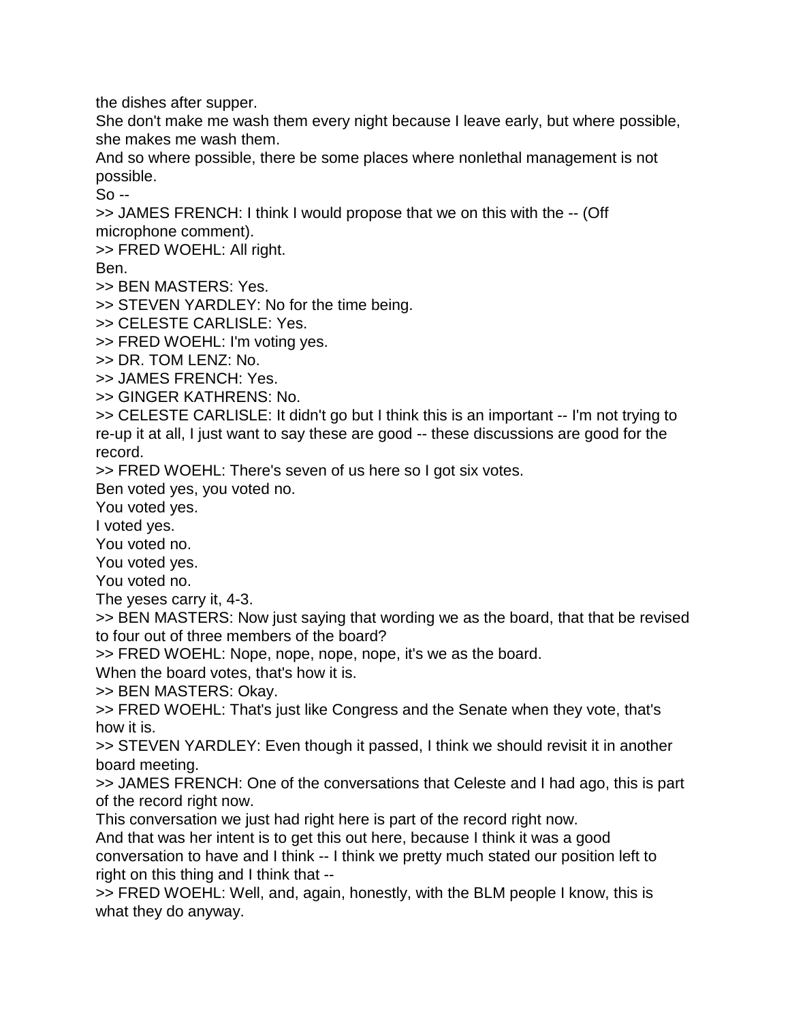the dishes after supper.

She don't make me wash them every night because I leave early, but where possible, she makes me wash them.

And so where possible, there be some places where nonlethal management is not possible.

 $S<sub>0</sub>$  --

>> JAMES FRENCH: I think I would propose that we on this with the -- (Off microphone comment).

>> FRED WOEHL: All right.

Ben.

>> BEN MASTERS: Yes.

>> STEVEN YARDLEY: No for the time being.

>> CELESTE CARLISLE: Yes.

>> FRED WOEHL: I'm voting yes.

>> DR. TOM LENZ: No.

>> JAMES FRENCH: Yes.

>> GINGER KATHRENS: No.

>> CELESTE CARLISLE: It didn't go but I think this is an important -- I'm not trying to re-up it at all, I just want to say these are good -- these discussions are good for the record.

>> FRED WOEHL: There's seven of us here so I got six votes.

Ben voted yes, you voted no.

You voted yes.

I voted yes.

You voted no.

You voted yes.

You voted no.

The yeses carry it, 4-3.

>> BEN MASTERS: Now just saying that wording we as the board, that that be revised to four out of three members of the board?

>> FRED WOEHL: Nope, nope, nope, nope, it's we as the board.

When the board votes, that's how it is.

>> BEN MASTERS: Okay.

>> FRED WOEHL: That's just like Congress and the Senate when they vote, that's how it is.

>> STEVEN YARDLEY: Even though it passed, I think we should revisit it in another board meeting.

>> JAMES FRENCH: One of the conversations that Celeste and I had ago, this is part of the record right now.

This conversation we just had right here is part of the record right now.

And that was her intent is to get this out here, because I think it was a good conversation to have and I think -- I think we pretty much stated our position left to right on this thing and I think that --

>> FRED WOEHL: Well, and, again, honestly, with the BLM people I know, this is what they do anyway.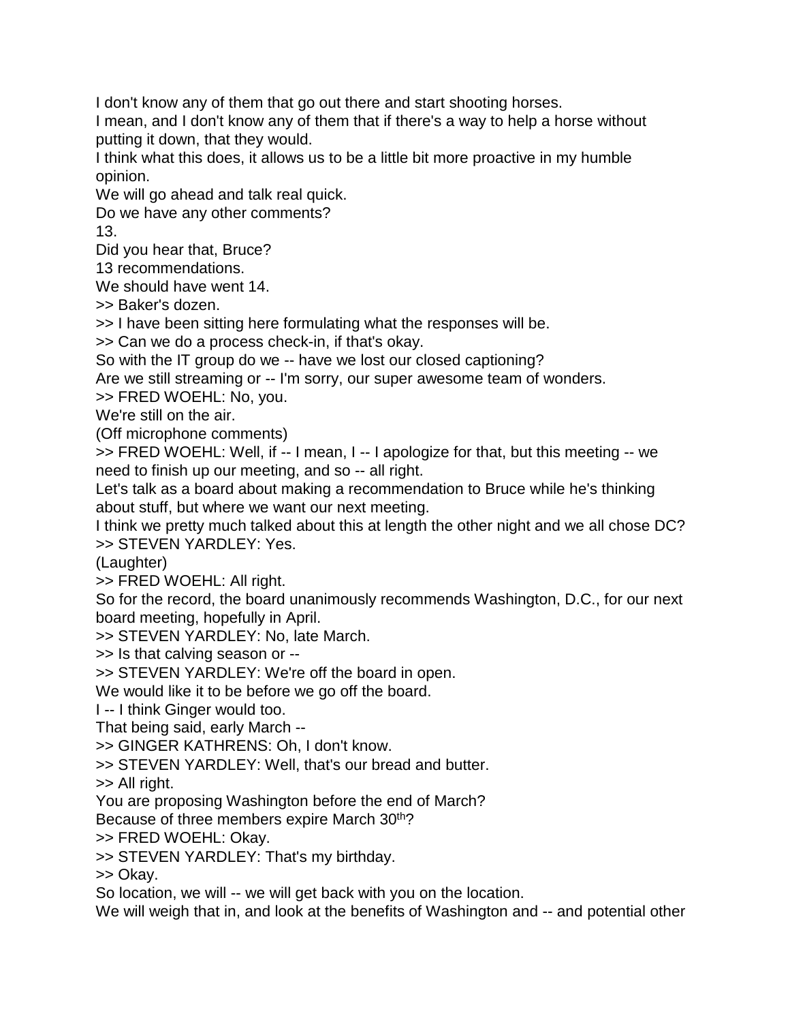I don't know any of them that go out there and start shooting horses.

I mean, and I don't know any of them that if there's a way to help a horse without putting it down, that they would.

I think what this does, it allows us to be a little bit more proactive in my humble opinion.

We will go ahead and talk real quick.

Do we have any other comments?

13.

Did you hear that, Bruce?

13 recommendations.

We should have went 14.

>> Baker's dozen.

>> I have been sitting here formulating what the responses will be.

>> Can we do a process check-in, if that's okay.

So with the IT group do we -- have we lost our closed captioning?

Are we still streaming or -- I'm sorry, our super awesome team of wonders.

>> FRED WOEHL: No, you.

We're still on the air.

(Off microphone comments)

>> FRED WOEHL: Well, if -- I mean, I -- I apologize for that, but this meeting -- we need to finish up our meeting, and so -- all right.

Let's talk as a board about making a recommendation to Bruce while he's thinking about stuff, but where we want our next meeting.

I think we pretty much talked about this at length the other night and we all chose DC? >> STEVEN YARDLEY: Yes.

(Laughter)

>> FRED WOEHL: All right.

So for the record, the board unanimously recommends Washington, D.C., for our next board meeting, hopefully in April.

>> STEVEN YARDLEY: No, late March.

>> Is that calving season or --

>> STEVEN YARDLEY: We're off the board in open.

We would like it to be before we go off the board.

I -- I think Ginger would too.

That being said, early March --

>> GINGER KATHRENS: Oh, I don't know.

>> STEVEN YARDLEY: Well, that's our bread and butter.

>> All right.

You are proposing Washington before the end of March?

Because of three members expire March 30<sup>th</sup>?

>> FRED WOEHL: Okay.

>> STEVEN YARDLEY: That's my birthday.

>> Okay.

So location, we will -- we will get back with you on the location.

We will weigh that in, and look at the benefits of Washington and -- and potential other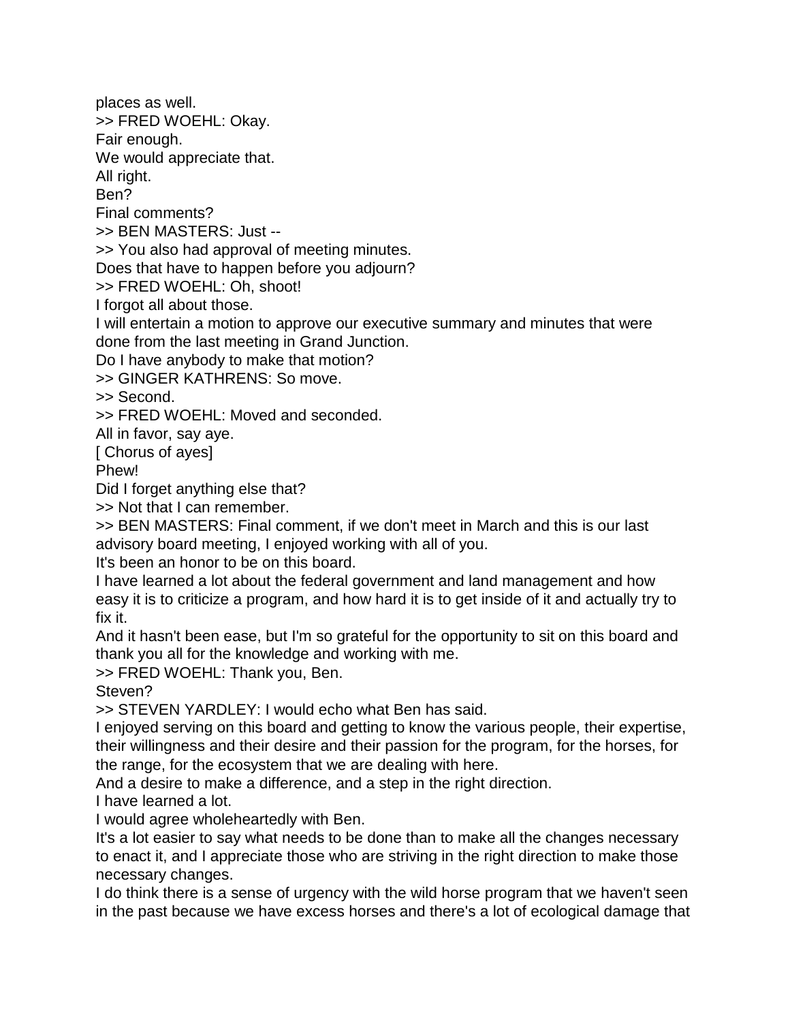places as well. >> FRED WOEHL: Okay.

Fair enough.

We would appreciate that.

All right.

Ben?

Final comments?

>> BEN MASTERS: Just --

>> You also had approval of meeting minutes.

Does that have to happen before you adjourn?

>> FRED WOEHL: Oh, shoot!

I forgot all about those.

I will entertain a motion to approve our executive summary and minutes that were done from the last meeting in Grand Junction.

Do I have anybody to make that motion?

>> GINGER KATHRENS: So move.

>> Second.

>> FRED WOEHL: Moved and seconded.

All in favor, say aye.

[ Chorus of ayes]

Phew!

Did I forget anything else that?

>> Not that I can remember.

>> BEN MASTERS: Final comment, if we don't meet in March and this is our last advisory board meeting, I enjoyed working with all of you.

It's been an honor to be on this board.

I have learned a lot about the federal government and land management and how easy it is to criticize a program, and how hard it is to get inside of it and actually try to fix it.

And it hasn't been ease, but I'm so grateful for the opportunity to sit on this board and thank you all for the knowledge and working with me.

>> FRED WOEHL: Thank you, Ben.

Steven?

>> STEVEN YARDLEY: I would echo what Ben has said.

I enjoyed serving on this board and getting to know the various people, their expertise, their willingness and their desire and their passion for the program, for the horses, for the range, for the ecosystem that we are dealing with here.

And a desire to make a difference, and a step in the right direction.

I have learned a lot.

I would agree wholeheartedly with Ben.

It's a lot easier to say what needs to be done than to make all the changes necessary to enact it, and I appreciate those who are striving in the right direction to make those necessary changes.

I do think there is a sense of urgency with the wild horse program that we haven't seen in the past because we have excess horses and there's a lot of ecological damage that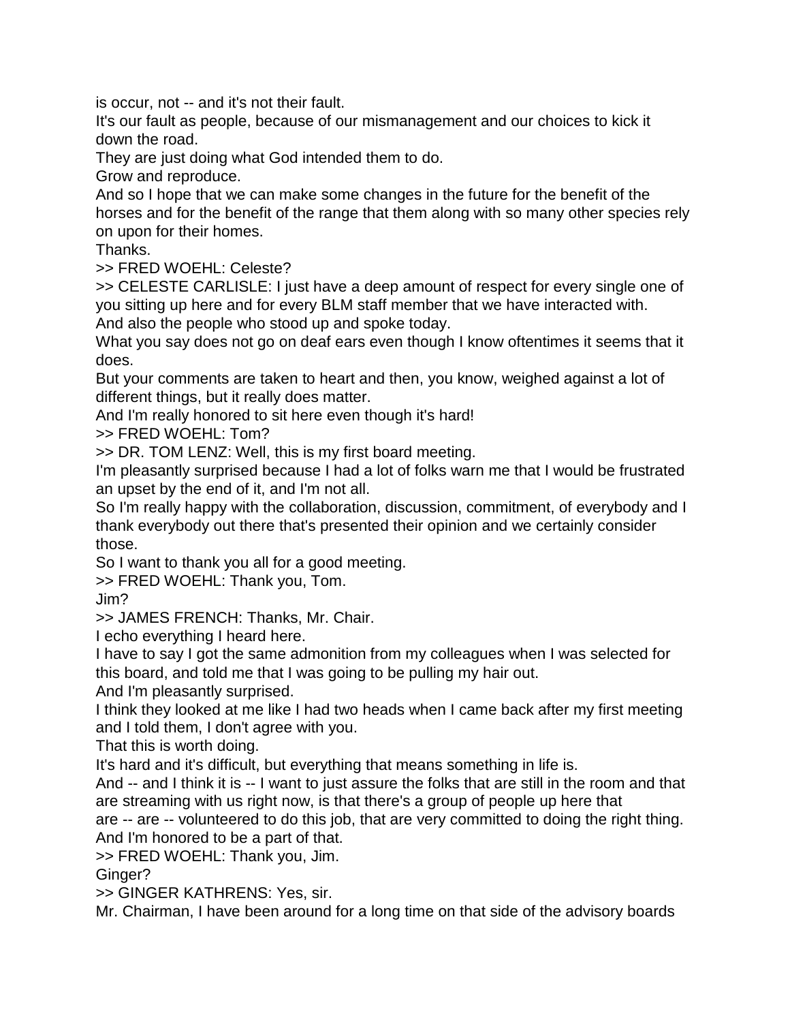is occur, not -- and it's not their fault.

It's our fault as people, because of our mismanagement and our choices to kick it down the road.

They are just doing what God intended them to do.

Grow and reproduce.

And so I hope that we can make some changes in the future for the benefit of the horses and for the benefit of the range that them along with so many other species rely on upon for their homes.

Thanks.

>> FRED WOEHL: Celeste?

>> CELESTE CARLISLE: I just have a deep amount of respect for every single one of you sitting up here and for every BLM staff member that we have interacted with. And also the people who stood up and spoke today.

What you say does not go on deaf ears even though I know oftentimes it seems that it does.

But your comments are taken to heart and then, you know, weighed against a lot of different things, but it really does matter.

And I'm really honored to sit here even though it's hard!

>> FRED WOEHL: Tom?

>> DR. TOM LENZ: Well, this is my first board meeting.

I'm pleasantly surprised because I had a lot of folks warn me that I would be frustrated an upset by the end of it, and I'm not all.

So I'm really happy with the collaboration, discussion, commitment, of everybody and I thank everybody out there that's presented their opinion and we certainly consider those.

So I want to thank you all for a good meeting.

>> FRED WOEHL: Thank you, Tom.

Jim?

>> JAMES FRENCH: Thanks, Mr. Chair.

I echo everything I heard here.

I have to say I got the same admonition from my colleagues when I was selected for this board, and told me that I was going to be pulling my hair out.

And I'm pleasantly surprised.

I think they looked at me like I had two heads when I came back after my first meeting and I told them, I don't agree with you.

That this is worth doing.

It's hard and it's difficult, but everything that means something in life is.

And -- and I think it is -- I want to just assure the folks that are still in the room and that are streaming with us right now, is that there's a group of people up here that

are -- are -- volunteered to do this job, that are very committed to doing the right thing. And I'm honored to be a part of that.

>> FRED WOEHL: Thank you, Jim.

Ginger?

>> GINGER KATHRENS: Yes, sir.

Mr. Chairman, I have been around for a long time on that side of the advisory boards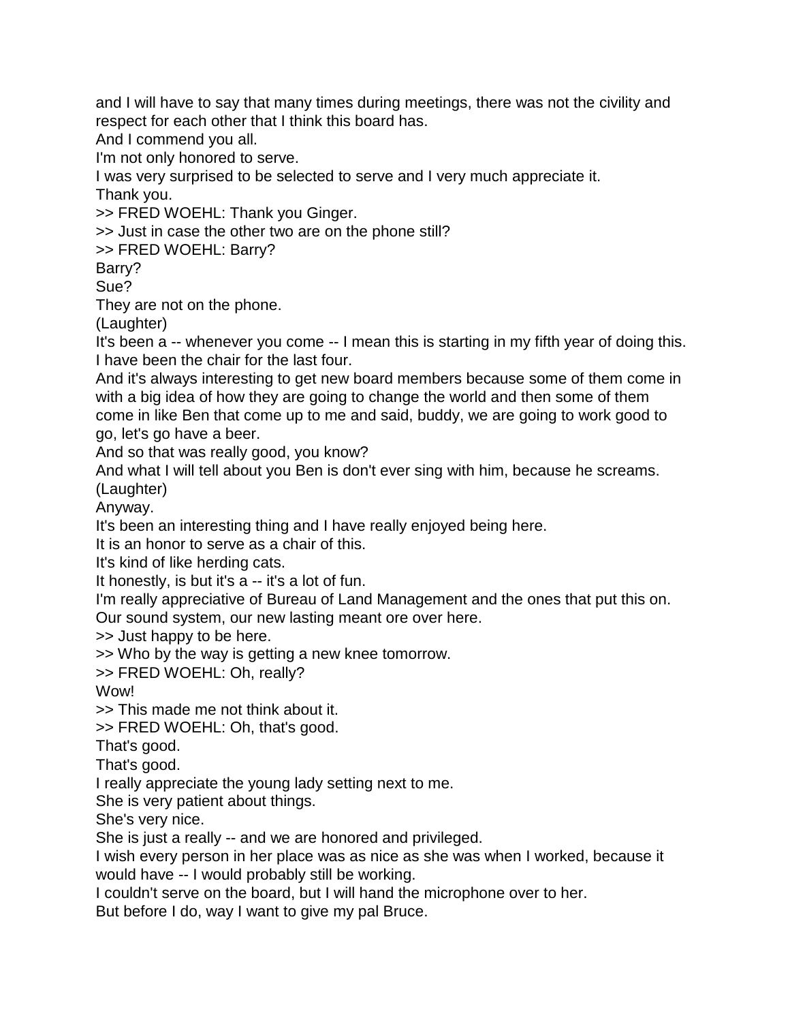and I will have to say that many times during meetings, there was not the civility and respect for each other that I think this board has.

And I commend you all.

I'm not only honored to serve.

I was very surprised to be selected to serve and I very much appreciate it. Thank you.

>> FRED WOEHL: Thank you Ginger.

>> Just in case the other two are on the phone still?

>> FRED WOEHL: Barry?

Barry?

Sue?

They are not on the phone.

(Laughter)

It's been a -- whenever you come -- I mean this is starting in my fifth year of doing this. I have been the chair for the last four.

And it's always interesting to get new board members because some of them come in with a big idea of how they are going to change the world and then some of them come in like Ben that come up to me and said, buddy, we are going to work good to go, let's go have a beer.

And so that was really good, you know?

And what I will tell about you Ben is don't ever sing with him, because he screams. (Laughter)

Anyway.

It's been an interesting thing and I have really enjoyed being here.

It is an honor to serve as a chair of this.

It's kind of like herding cats.

It honestly, is but it's a -- it's a lot of fun.

I'm really appreciative of Bureau of Land Management and the ones that put this on.

Our sound system, our new lasting meant ore over here.

>> Just happy to be here.

>> Who by the way is getting a new knee tomorrow.

>> FRED WOEHL: Oh, really?

Wow!

>> This made me not think about it.

>> FRED WOEHL: Oh, that's good.

That's good.

That's good.

I really appreciate the young lady setting next to me.

She is very patient about things.

She's very nice.

She is just a really -- and we are honored and privileged.

I wish every person in her place was as nice as she was when I worked, because it would have -- I would probably still be working.

I couldn't serve on the board, but I will hand the microphone over to her.

But before I do, way I want to give my pal Bruce.